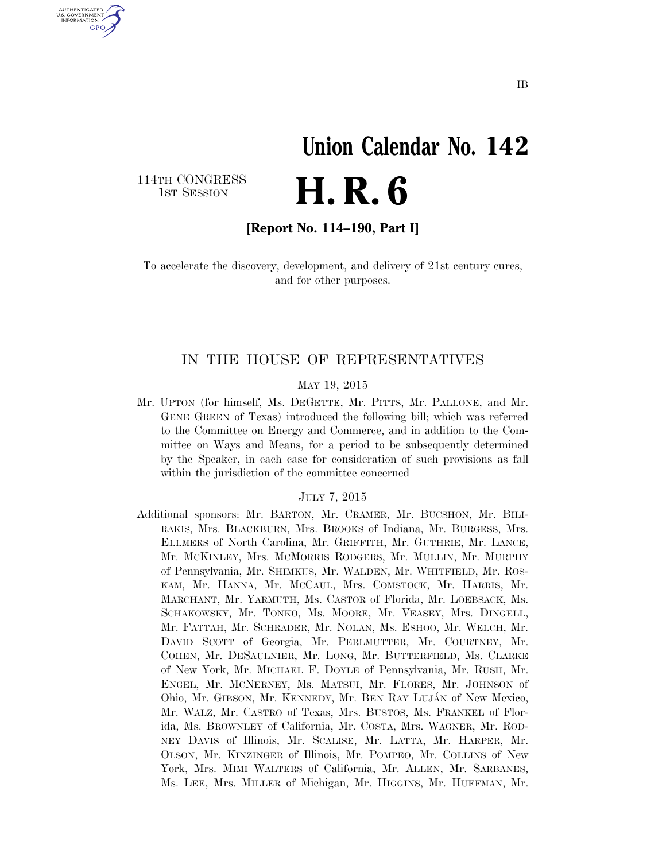# **Union Calendar No. 142**  H. R. 6

114TH CONGRESS<br>1st Session

U.S. GOVERNMENT **GPO** 

**[Report No. 114–190, Part I]** 

To accelerate the discovery, development, and delivery of 21st century cures, and for other purposes.

# IN THE HOUSE OF REPRESENTATIVES

#### MAY 19, 2015

Mr. UPTON (for himself, Ms. DEGETTE, Mr. PITTS, Mr. PALLONE, and Mr. GENE GREEN of Texas) introduced the following bill; which was referred to the Committee on Energy and Commerce, and in addition to the Committee on Ways and Means, for a period to be subsequently determined by the Speaker, in each case for consideration of such provisions as fall within the jurisdiction of the committee concerned

#### JULY 7, 2015

Additional sponsors: Mr. BARTON, Mr. CRAMER, Mr. BUCSHON, Mr. BILI-RAKIS, Mrs. BLACKBURN, Mrs. BROOKS of Indiana, Mr. BURGESS, Mrs. ELLMERS of North Carolina, Mr. GRIFFITH, Mr. GUTHRIE, Mr. LANCE, Mr. MCKINLEY, Mrs. MCMORRIS RODGERS, Mr. MULLIN, Mr. MURPHY of Pennsylvania, Mr. SHIMKUS, Mr. WALDEN, Mr. WHITFIELD, Mr. ROS-KAM, Mr. HANNA, Mr. MCCAUL, Mrs. COMSTOCK, Mr. HARRIS, Mr. MARCHANT, Mr. YARMUTH, Ms. CASTOR of Florida, Mr. LOEBSACK, Ms. SCHAKOWSKY, Mr. TONKO, Ms. MOORE, Mr. VEASEY, Mrs. DINGELL, Mr. FATTAH, Mr. SCHRADER, Mr. NOLAN, Ms. ESHOO, Mr. WELCH, Mr. DAVID SCOTT of Georgia, Mr. PERLMUTTER, Mr. COURTNEY, Mr. COHEN, Mr. DESAULNIER, Mr. LONG, Mr. BUTTERFIELD, Ms. CLARKE of New York, Mr. MICHAEL F. DOYLE of Pennsylvania, Mr. RUSH, Mr. ENGEL, Mr. MCNERNEY, Ms. MATSUI, Mr. FLORES, Mr. JOHNSON of Ohio, Mr. GIBSON, Mr. KENNEDY, Mr. BEN RAY LUJÁN of New Mexico, Mr. WALZ, Mr. CASTRO of Texas, Mrs. BUSTOS, Ms. FRANKEL of Florida, Ms. BROWNLEY of California, Mr. COSTA, Mrs. WAGNER, Mr. ROD-NEY DAVIS of Illinois, Mr. SCALISE, Mr. LATTA, Mr. HARPER, Mr. OLSON, Mr. KINZINGER of Illinois, Mr. POMPEO, Mr. COLLINS of New York, Mrs. MIMI WALTERS of California, Mr. ALLEN, Mr. SARBANES, Ms. LEE, Mrs. MILLER of Michigan, Mr. HIGGINS, Mr. HUFFMAN, Mr.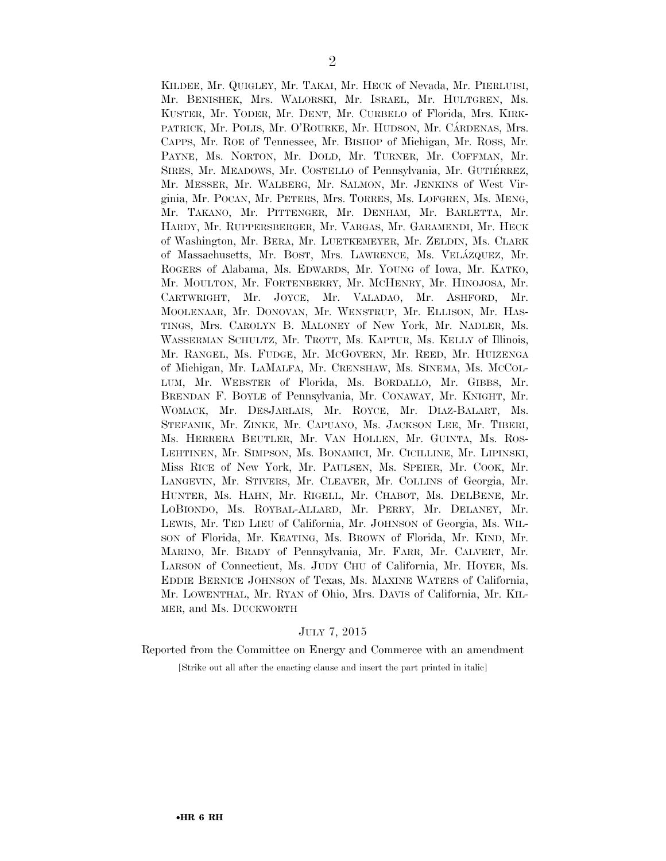KILDEE, Mr. QUIGLEY, Mr. TAKAI, Mr. HECK of Nevada, Mr. PIERLUISI, Mr. BENISHEK, Mrs. WALORSKI, Mr. ISRAEL, Mr. HULTGREN, Ms. KUSTER, Mr. YODER, Mr. DENT, Mr. CURBELO of Florida, Mrs. KIRK-PATRICK, Mr. POLIS, Mr. O'ROURKE, Mr. HUDSON, Mr. CÁRDENAS, Mrs. CAPPS, Mr. ROE of Tennessee, Mr. BISHOP of Michigan, Mr. ROSS, Mr. PAYNE, Ms. NORTON, Mr. DOLD, Mr. TURNER, Mr. COFFMAN, Mr. SIRES, Mr. MEADOWS, Mr. COSTELLO of Pennsylvania, Mr. GUTIÉRREZ, Mr. MESSER, Mr. WALBERG, Mr. SALMON, Mr. JENKINS of West Virginia, Mr. POCAN, Mr. PETERS, Mrs. TORRES, Ms. LOFGREN, Ms. MENG, Mr. TAKANO, Mr. PITTENGER, Mr. DENHAM, Mr. BARLETTA, Mr. HARDY, Mr. RUPPERSBERGER, Mr. VARGAS, Mr. GARAMENDI, Mr. HECK of Washington, Mr. BERA, Mr. LUETKEMEYER, Mr. ZELDIN, Ms. CLARK of Massachusetts, Mr. BOST, Mrs. LAWRENCE, Ms. VELA´ZQUEZ, Mr. ROGERS of Alabama, Ms. EDWARDS, Mr. YOUNG of Iowa, Mr. KATKO, Mr. MOULTON, Mr. FORTENBERRY, Mr. MCHENRY, Mr. HINOJOSA, Mr. CARTWRIGHT, Mr. JOYCE, Mr. VALADAO, Mr. ASHFORD, Mr. MOOLENAAR, Mr. DONOVAN, Mr. WENSTRUP, Mr. ELLISON, Mr. HAS-TINGS, Mrs. CAROLYN B. MALONEY of New York, Mr. NADLER, Ms. WASSERMAN SCHULTZ, Mr. TROTT, Ms. KAPTUR, Ms. KELLY of Illinois, Mr. RANGEL, Ms. FUDGE, Mr. MCGOVERN, Mr. REED, Mr. HUIZENGA of Michigan, Mr. LAMALFA, Mr. CRENSHAW, Ms. SINEMA, Ms. MCCOL-LUM, Mr. WEBSTER of Florida, Ms. BORDALLO, Mr. GIBBS, Mr. BRENDAN F. BOYLE of Pennsylvania, Mr. CONAWAY, Mr. KNIGHT, Mr. WOMACK, Mr. DESJARLAIS, Mr. ROYCE, Mr. DIAZ-BALART, Ms. STEFANIK, Mr. ZINKE, Mr. CAPUANO, Ms. JACKSON LEE, Mr. TIBERI, Ms. HERRERA BEUTLER, Mr. VAN HOLLEN, Mr. GUINTA, Ms. ROS-LEHTINEN, Mr. SIMPSON, Ms. BONAMICI, Mr. CICILLINE, Mr. LIPINSKI, Miss RICE of New York, Mr. PAULSEN, Ms. SPEIER, Mr. COOK, Mr. LANGEVIN, Mr. STIVERS, Mr. CLEAVER, Mr. COLLINS of Georgia, Mr. HUNTER, Ms. HAHN, Mr. RIGELL, Mr. CHABOT, Ms. DELBENE, Mr. LOBIONDO, Ms. ROYBAL-ALLARD, Mr. PERRY, Mr. DELANEY, Mr. LEWIS, Mr. TED LIEU of California, Mr. JOHNSON of Georgia, Ms. WIL-SON of Florida, Mr. KEATING, Ms. BROWN of Florida, Mr. KIND, Mr. MARINO, Mr. BRADY of Pennsylvania, Mr. FARR, Mr. CALVERT, Mr. LARSON of Connecticut, Ms. JUDY CHU of California, Mr. HOYER, Ms. EDDIE BERNICE JOHNSON of Texas, Ms. MAXINE WATERS of California, Mr. LOWENTHAL, Mr. RYAN of Ohio, Mrs. DAVIS of California, Mr. KIL-MER, and Ms. DUCKWORTH

#### JULY 7, 2015

Reported from the Committee on Energy and Commerce with an amendment

[Strike out all after the enacting clause and insert the part printed in italic]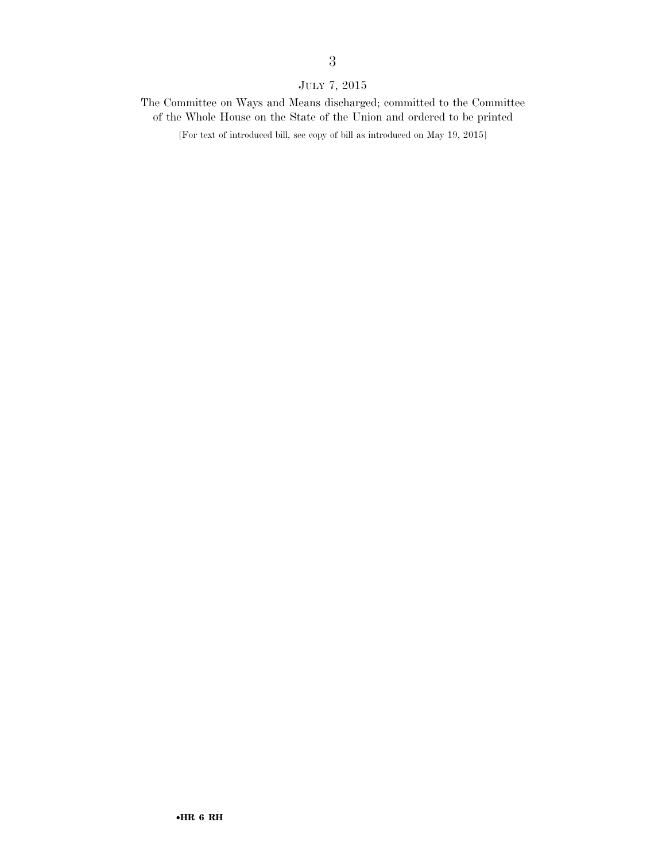# JULY 7, 2015

The Committee on Ways and Means discharged; committed to the Committee of the Whole House on the State of the Union and ordered to be printed

[For text of introduced bill, see copy of bill as introduced on May 19, 2015]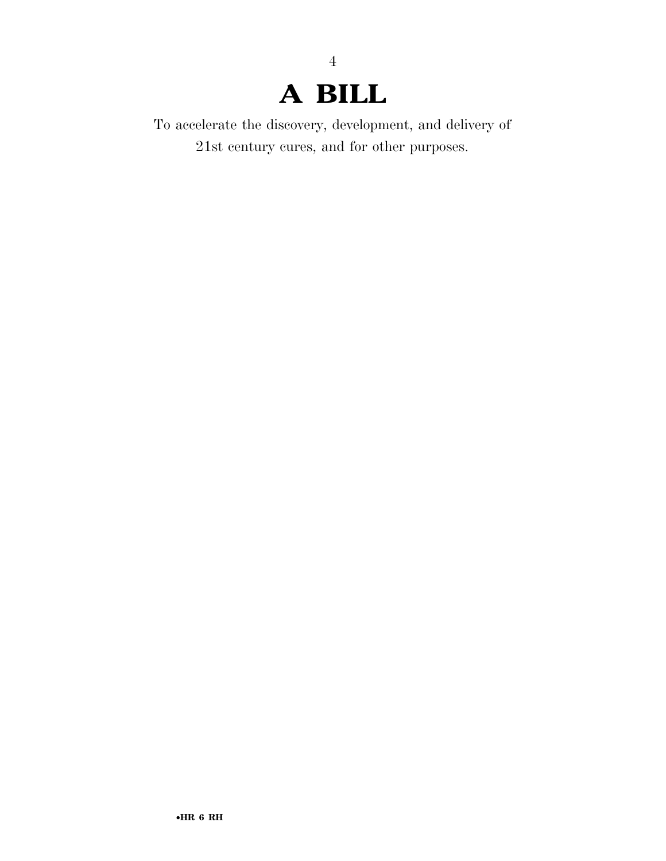# **A BILL**

4

To accelerate the discovery, development, and delivery of 21st century cures, and for other purposes.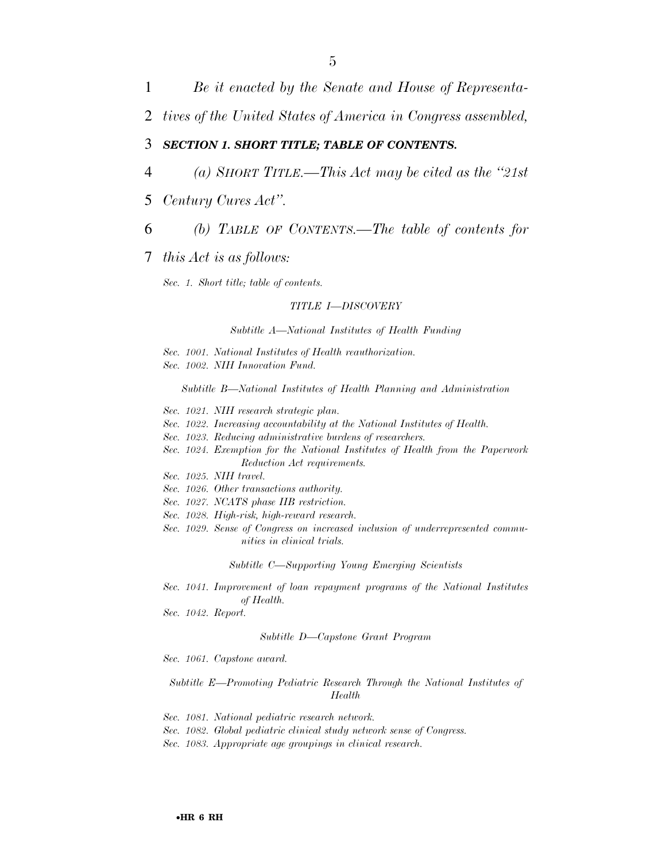1 *Be it enacted by the Senate and House of Representa-*

2 *tives of the United States of America in Congress assembled,* 

## 3 *SECTION 1. SHORT TITLE; TABLE OF CONTENTS.*

- 4 *(a) SHORT TITLE.—This Act may be cited as the ''21st*
- 5 *Century Cures Act''.*
- 6 *(b) TABLE OF CONTENTS.—The table of contents for*

### 7 *this Act is as follows:*

*Sec. 1. Short title; table of contents.* 

#### *TITLE I—DISCOVERY*

*Subtitle A—National Institutes of Health Funding* 

- *Sec. 1001. National Institutes of Health reauthorization.*
- *Sec. 1002. NIH Innovation Fund.*

*Subtitle B—National Institutes of Health Planning and Administration* 

- *Sec. 1021. NIH research strategic plan.*
- *Sec. 1022. Increasing accountability at the National Institutes of Health.*
- *Sec. 1023. Reducing administrative burdens of researchers.*
- *Sec. 1024. Exemption for the National Institutes of Health from the Paperwork Reduction Act requirements.*
- *Sec. 1025. NIH travel.*
- *Sec. 1026. Other transactions authority.*
- *Sec. 1027. NCATS phase IIB restriction.*
- *Sec. 1028. High-risk, high-reward research.*
- *Sec. 1029. Sense of Congress on increased inclusion of underrepresented communities in clinical trials.*

*Subtitle C—Supporting Young Emerging Scientists* 

- *Sec. 1041. Improvement of loan repayment programs of the National Institutes of Health.*
- *Sec. 1042. Report.*

#### *Subtitle D—Capstone Grant Program*

*Sec. 1061. Capstone award.* 

*Subtitle E—Promoting Pediatric Research Through the National Institutes of Health* 

- *Sec. 1081. National pediatric research network.*
- *Sec. 1082. Global pediatric clinical study network sense of Congress.*
- *Sec. 1083. Appropriate age groupings in clinical research.*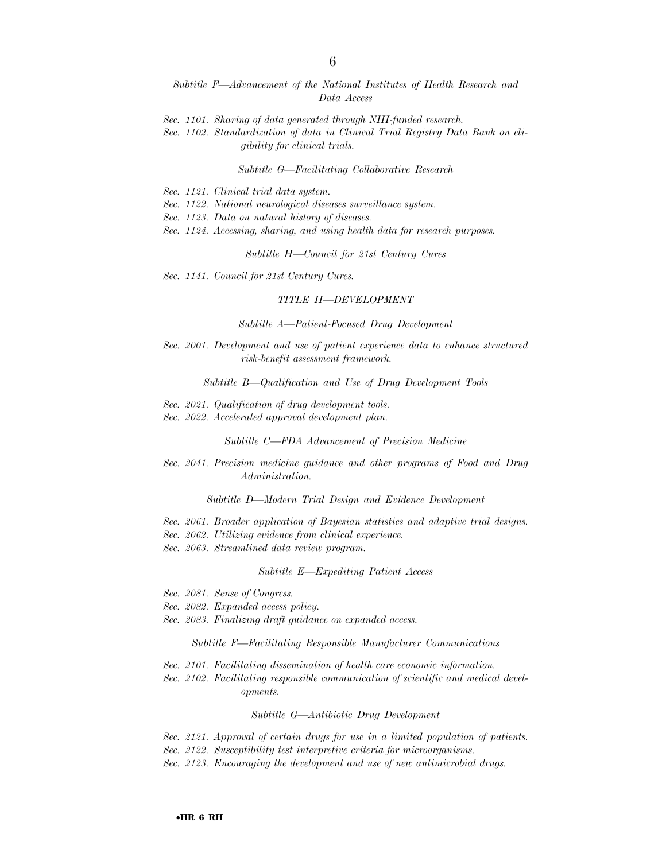- *Subtitle F—Advancement of the National Institutes of Health Research and Data Access*
- *Sec. 1101. Sharing of data generated through NIH-funded research.*
- *Sec. 1102. Standardization of data in Clinical Trial Registry Data Bank on eligibility for clinical trials.*

#### *Subtitle G—Facilitating Collaborative Research*

- *Sec. 1121. Clinical trial data system.*
- *Sec. 1122. National neurological diseases surveillance system.*
- *Sec. 1123. Data on natural history of diseases.*
- *Sec. 1124. Accessing, sharing, and using health data for research purposes.*

*Subtitle H—Council for 21st Century Cures* 

*Sec. 1141. Council for 21st Century Cures.* 

#### *TITLE II—DEVELOPMENT*

*Subtitle A—Patient-Focused Drug Development* 

*Sec. 2001. Development and use of patient experience data to enhance structured risk-benefit assessment framework.* 

*Subtitle B—Qualification and Use of Drug Development Tools* 

- *Sec. 2021. Qualification of drug development tools.*
- *Sec. 2022. Accelerated approval development plan.*

*Subtitle C—FDA Advancement of Precision Medicine* 

*Sec. 2041. Precision medicine guidance and other programs of Food and Drug Administration.* 

*Subtitle D—Modern Trial Design and Evidence Development* 

- *Sec. 2061. Broader application of Bayesian statistics and adaptive trial designs.*
- *Sec. 2062. Utilizing evidence from clinical experience.*
- *Sec. 2063. Streamlined data review program.*

#### *Subtitle E—Expediting Patient Access*

- *Sec. 2081. Sense of Congress.*
- *Sec. 2082. Expanded access policy.*
- *Sec. 2083. Finalizing draft guidance on expanded access.*

*Subtitle F—Facilitating Responsible Manufacturer Communications* 

- *Sec. 2101. Facilitating dissemination of health care economic information.*
- *Sec. 2102. Facilitating responsible communication of scientific and medical developments.*

*Subtitle G—Antibiotic Drug Development* 

*Sec. 2121. Approval of certain drugs for use in a limited population of patients.* 

- *Sec. 2122. Susceptibility test interpretive criteria for microorganisms.*
- *Sec. 2123. Encouraging the development and use of new antimicrobial drugs.*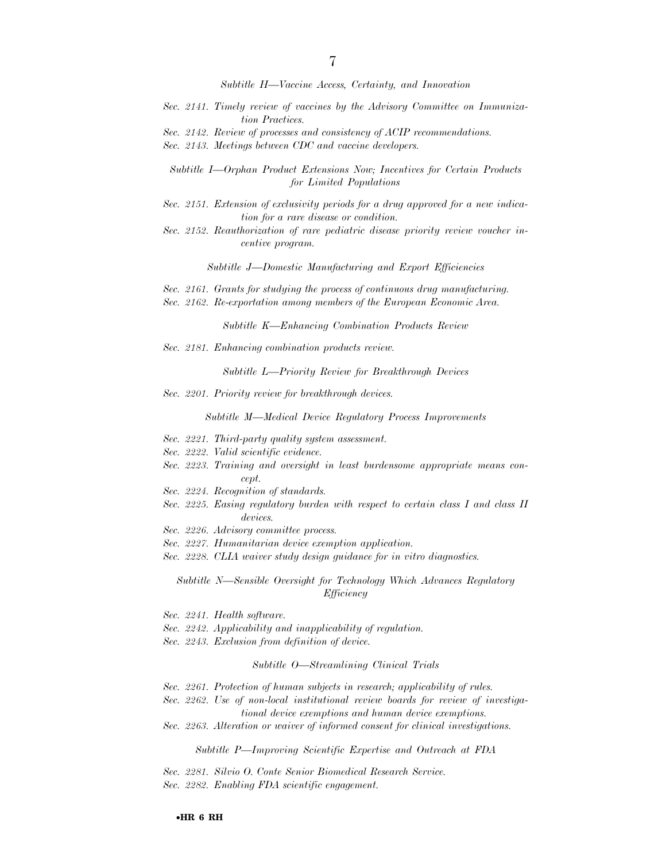*Subtitle H—Vaccine Access, Certainty, and Innovation* 

- *Sec. 2141. Timely review of vaccines by the Advisory Committee on Immunization Practices.*
- *Sec. 2142. Review of processes and consistency of ACIP recommendations.*
- *Sec. 2143. Meetings between CDC and vaccine developers.*

*Subtitle I—Orphan Product Extensions Now; Incentives for Certain Products for Limited Populations* 

- *Sec. 2151. Extension of exclusivity periods for a drug approved for a new indication for a rare disease or condition.*
- *Sec. 2152. Reauthorization of rare pediatric disease priority review voucher incentive program.*

*Subtitle J—Domestic Manufacturing and Export Efficiencies* 

- *Sec. 2161. Grants for studying the process of continuous drug manufacturing.*
- *Sec. 2162. Re-exportation among members of the European Economic Area.*

*Subtitle K—Enhancing Combination Products Review* 

*Sec. 2181. Enhancing combination products review.* 

*Subtitle L—Priority Review for Breakthrough Devices* 

*Sec. 2201. Priority review for breakthrough devices.* 

*Subtitle M—Medical Device Regulatory Process Improvements* 

- *Sec. 2221. Third-party quality system assessment.*
- *Sec. 2222. Valid scientific evidence.*
- *Sec. 2223. Training and oversight in least burdensome appropriate means concept.*
- *Sec. 2224. Recognition of standards.*
- *Sec. 2225. Easing regulatory burden with respect to certain class I and class II devices.*
- *Sec. 2226. Advisory committee process.*
- *Sec. 2227. Humanitarian device exemption application.*
- *Sec. 2228. CLIA waiver study design guidance for in vitro diagnostics.*

*Subtitle N—Sensible Oversight for Technology Which Advances Regulatory Efficiency* 

- *Sec. 2241. Health software.*
- *Sec. 2242. Applicability and inapplicability of regulation.*
- *Sec. 2243. Exclusion from definition of device.*

#### *Subtitle O—Streamlining Clinical Trials*

- *Sec. 2261. Protection of human subjects in research; applicability of rules.*
- *Sec. 2262. Use of non-local institutional review boards for review of investigational device exemptions and human device exemptions.*
- *Sec. 2263. Alteration or waiver of informed consent for clinical investigations.*

*Subtitle P—Improving Scientific Expertise and Outreach at FDA* 

*Sec. 2281. Silvio O. Conte Senior Biomedical Research Service.* 

*Sec. 2282. Enabling FDA scientific engagement.*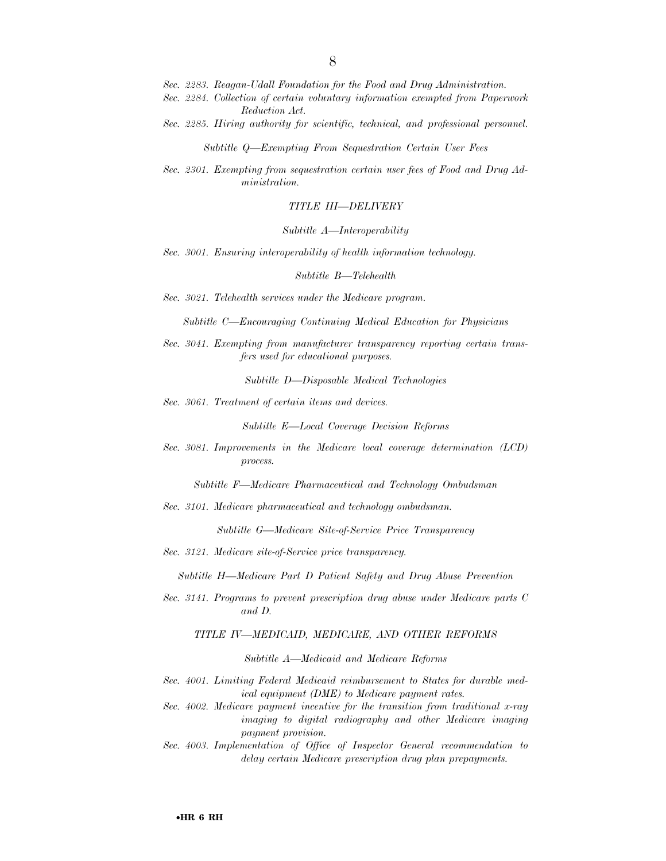- *Sec. 2283. Reagan-Udall Foundation for the Food and Drug Administration.*
- *Sec. 2284. Collection of certain voluntary information exempted from Paperwork Reduction Act.*
- *Sec. 2285. Hiring authority for scientific, technical, and professional personnel.*

*Subtitle Q—Exempting From Sequestration Certain User Fees* 

*Sec. 2301. Exempting from sequestration certain user fees of Food and Drug Administration.* 

#### *TITLE III—DELIVERY*

#### *Subtitle A—Interoperability*

*Sec. 3001. Ensuring interoperability of health information technology.* 

#### *Subtitle B—Telehealth*

*Sec. 3021. Telehealth services under the Medicare program.* 

*Subtitle C—Encouraging Continuing Medical Education for Physicians* 

*Sec. 3041. Exempting from manufacturer transparency reporting certain transfers used for educational purposes.* 

*Subtitle D—Disposable Medical Technologies* 

*Sec. 3061. Treatment of certain items and devices.* 

*Subtitle E—Local Coverage Decision Reforms* 

*Sec. 3081. Improvements in the Medicare local coverage determination (LCD) process.* 

*Subtitle F—Medicare Pharmaceutical and Technology Ombudsman* 

*Sec. 3101. Medicare pharmaceutical and technology ombudsman.* 

*Subtitle G—Medicare Site-of-Service Price Transparency* 

*Sec. 3121. Medicare site-of-Service price transparency.* 

*Subtitle H—Medicare Part D Patient Safety and Drug Abuse Prevention* 

*Sec. 3141. Programs to prevent prescription drug abuse under Medicare parts C and D.* 

#### *TITLE IV—MEDICAID, MEDICARE, AND OTHER REFORMS*

*Subtitle A—Medicaid and Medicare Reforms* 

- *Sec. 4001. Limiting Federal Medicaid reimbursement to States for durable medical equipment (DME) to Medicare payment rates.*
- *Sec. 4002. Medicare payment incentive for the transition from traditional x-ray imaging to digital radiography and other Medicare imaging payment provision.*
- *Sec. 4003. Implementation of Office of Inspector General recommendation to delay certain Medicare prescription drug plan prepayments.*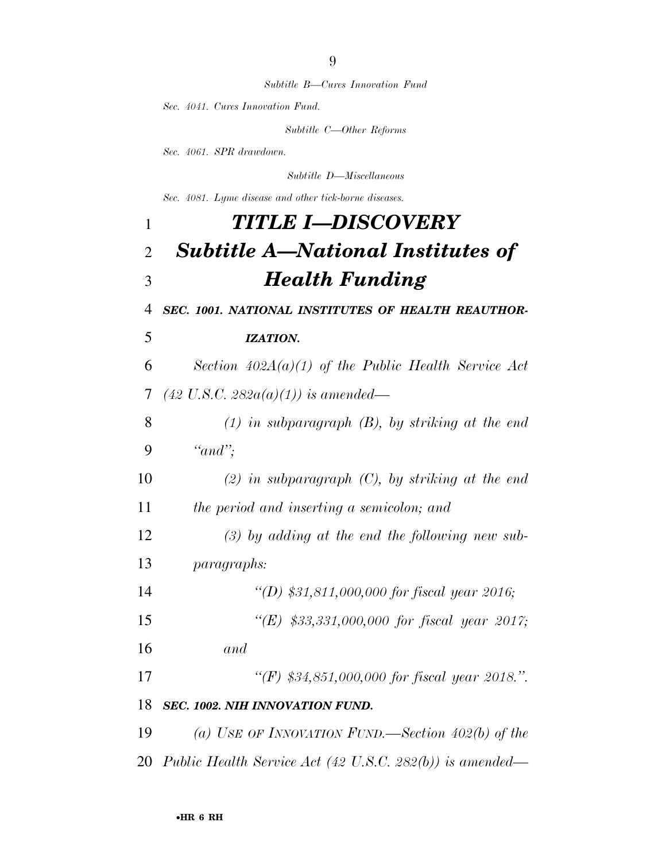*Subtitle B—Cures Innovation Fund* 

*Sec. 4041. Cures Innovation Fund.* 

*Subtitle C—Other Reforms* 

*Sec. 4061. SPR drawdown.* 

*Subtitle D—Miscellaneous* 

*Sec. 4081. Lyme disease and other tick-borne diseases.* 

# *TITLE I—DISCOVERY Subtitle A—National Institutes of Health Funding SEC. 1001. NATIONAL INSTITUTES OF HEALTH REAUTHOR-*

*IZATION.* 

 *Section 402A(a)(1) of the Public Health Service Act (42 U.S.C. 282a(a)(1)) is amended—* 

 *(1) in subparagraph (B), by striking at the end ''and'';* 

 *(2) in subparagraph (C), by striking at the end the period and inserting a semicolon; and* 

 *(3) by adding at the end the following new sub-paragraphs:* 

- *''(D) \$31,811,000,000 for fiscal year 2016;*
- *''(E) \$33,331,000,000 for fiscal year 2017;*
- *and*
- *''(F) \$34,851,000,000 for fiscal year 2018.''.*

## *SEC. 1002. NIH INNOVATION FUND.*

 *(a) USE OF INNOVATION FUND.—Section 402(b) of the Public Health Service Act (42 U.S.C. 282(b)) is amended—*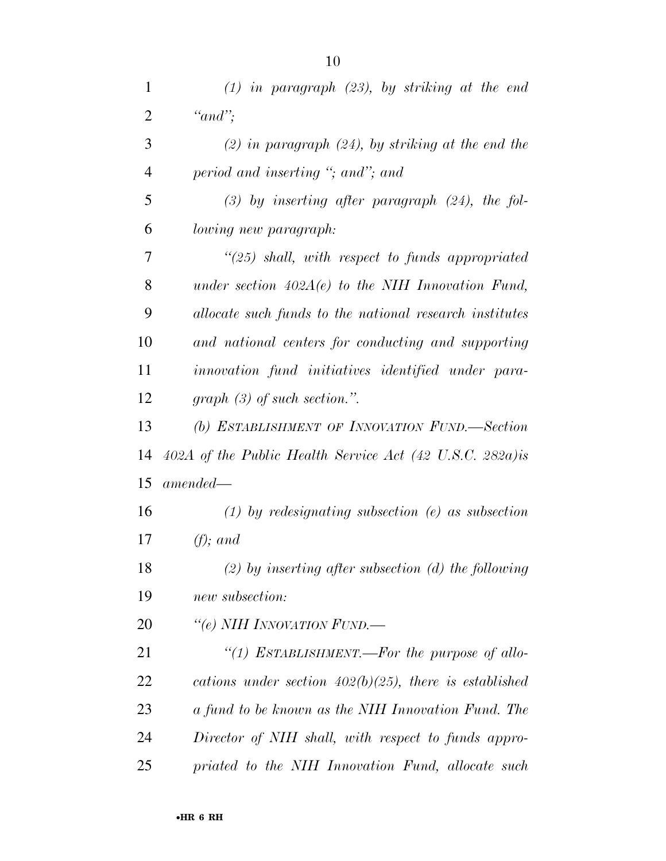| 1              | $(1)$ in paragraph $(23)$ , by striking at the end        |
|----------------|-----------------------------------------------------------|
| $\overline{2}$ | " $and$ ";                                                |
| 3              | $(2)$ in paragraph $(24)$ , by striking at the end the    |
| $\overline{4}$ | period and inserting "; and"; and                         |
| 5              | $(3)$ by inserting after paragraph $(24)$ , the fol-      |
| 6              | lowing new paragraph:                                     |
| 7              | $\lq(25)$ shall, with respect to funds appropriated       |
| 8              | under section $402A(e)$ to the NIH Innovation Fund,       |
| 9              | allocate such funds to the national research institutes   |
| 10             | and national centers for conducting and supporting        |
| 11             | innovation fund initiatives identified under para-        |
| 12             | $graph (3)$ of such section.".                            |
| 13             | (b) ESTABLISHMENT OF INNOVATION FUND.-Section             |
| 14             | 402A of the Public Health Service Act (42 U.S.C. 282a) is |
| 15             | $amended -$                                               |
| 16             | $(1)$ by redesignating subsection $(e)$ as subsection     |
| 17             | $(f)$ ; and                                               |
| 18             | $(2)$ by inserting after subsection (d) the following     |
| 19             | new subsection:                                           |
| 20             | "(e) NIH INNOVATION FUND.—                                |
| 21             | "(1) ESTABLISHMENT.—For the purpose of allo-              |
| 22             | cations under section $402(b)(25)$ , there is established |
| 23             | a fund to be known as the NIH Innovation Fund. The        |
| 24             | Director of NIH shall, with respect to funds appro-       |
| 25             | priated to the NIH Innovation Fund, allocate such         |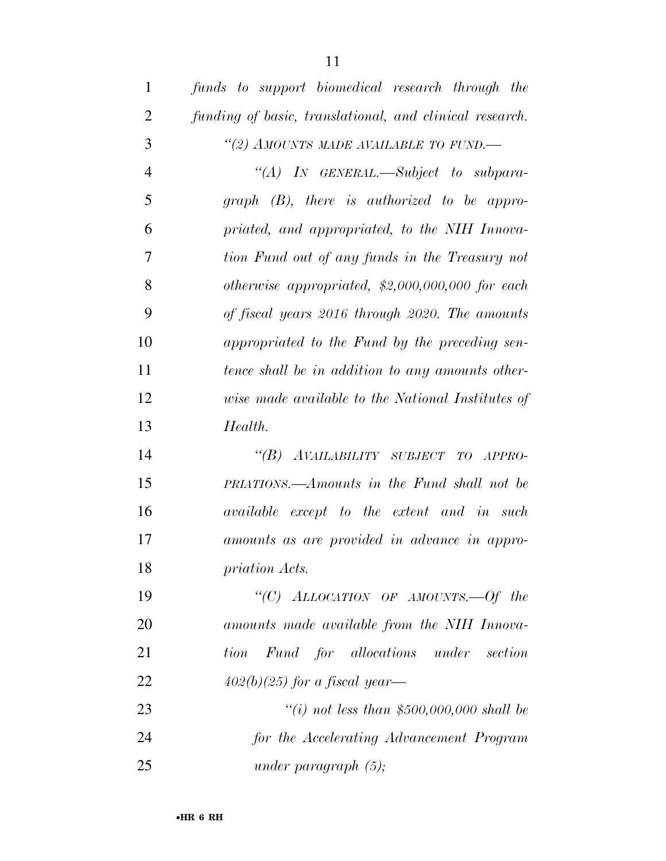| $\mathbf{1}$   | funds to support biomedical research through the        |
|----------------|---------------------------------------------------------|
| $\overline{2}$ | funding of basic, translational, and clinical research. |
| 3              | "(2) AMOUNTS MADE AVAILABLE TO FUND.-                   |
| $\overline{4}$ | "(A) IN GENERAL.—Subject to subpara-                    |
| 5              | $graph$ $(B)$ , there is authorized to be appro-        |
| 6              | priated, and appropriated, to the NIH Innova-           |
| $\overline{7}$ | tion Fund out of any funds in the Treasury not          |
| 8              | otherwise appropriated, $$2,000,000,000$ for each       |
| 9              | of fiscal years 2016 through 2020. The amounts          |
| 10             | appropriated to the Fund by the preceding sen-          |
| 11             | tence shall be in addition to any amounts other-        |
| 12             | wise made available to the National Institutes of       |
| 13             | Health.                                                 |
| 14             | "(B) AVAILABILITY SUBJECT TO APPRO-                     |
| 15             | PRIATIONS.—Amounts in the Fund shall not be             |
| 16             | <i>available except to the extent and in such</i>       |
| 17             | amounts as are provided in advance in appro-            |
| 18             | priation Acts.                                          |
| 19             | "(C) ALLOCATION OF AMOUNTS. Of the                      |
| 20             | amounts made available from the NIH Innova-             |
| 21             | tion Fund for allocations under<br>section              |
| 22             | $402(b)(25)$ for a fiscal year—                         |
| 23             | "(i) not less than \$500,000,000 shall be               |
| 24             | for the Accelerating Advancement Program                |
| 25             | under paragraph $(5)$ ;                                 |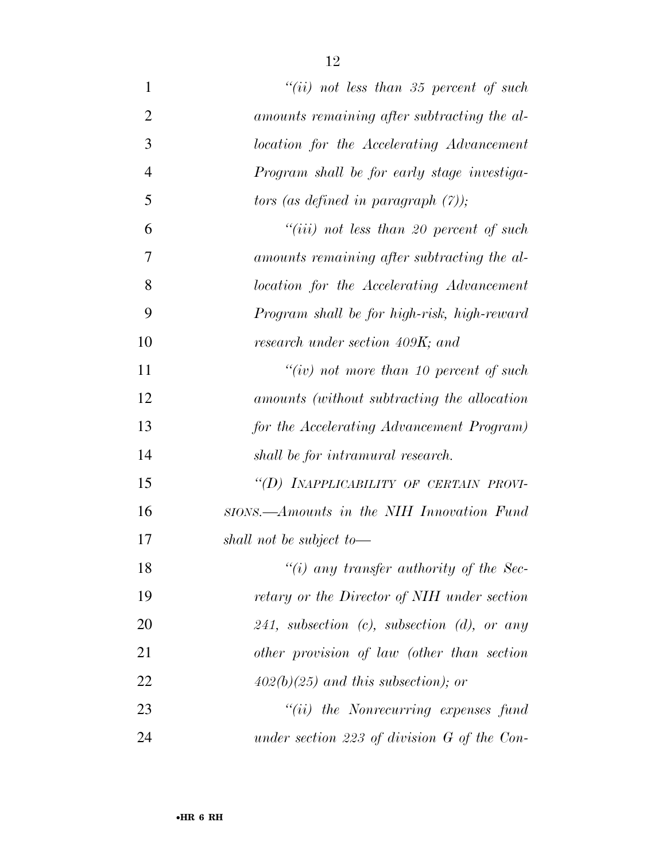| $\mathbf{1}$   | "(ii) not less than 35 percent of such            |
|----------------|---------------------------------------------------|
| $\overline{2}$ | amounts remaining after subtracting the al-       |
| 3              | location for the Accelerating Advancement         |
| $\overline{4}$ | Program shall be for early stage investiga-       |
| 5              | tors (as defined in paragraph $(7)$ );            |
| 6              | "(iii) not less than 20 percent of such           |
| 7              | amounts remaining after subtracting the al-       |
| 8              | location for the Accelerating Advancement         |
| 9              | Program shall be for high-risk, high-reward       |
| 10             | research under section 409K; and                  |
| 11             | "(iv) not more than $10$ percent of such          |
| 12             | amounts (without subtracting the allocation       |
| 13             | for the Accelerating Advancement Program)         |
| 14             | shall be for intramural research.                 |
| 15             | "(D) INAPPLICABILITY OF CERTAIN PROVI-            |
| 16             | stons.—Amounts in the NIH Innovation Fund         |
| 17             | shall not be subject to-                          |
| 18             | "(i) any transfer authority of the Sec-           |
| 19             | retary or the Director of NIH under section       |
| 20             | 241, subsection $(c)$ , subsection $(d)$ , or any |
| 21             | other provision of law (other than section        |
| 22             | $402(b)(25)$ and this subsection); or             |
| 23             | $"(ii)$ the Nonrecurring expenses fund            |
| 24             | under section 223 of division $G$ of the Con-     |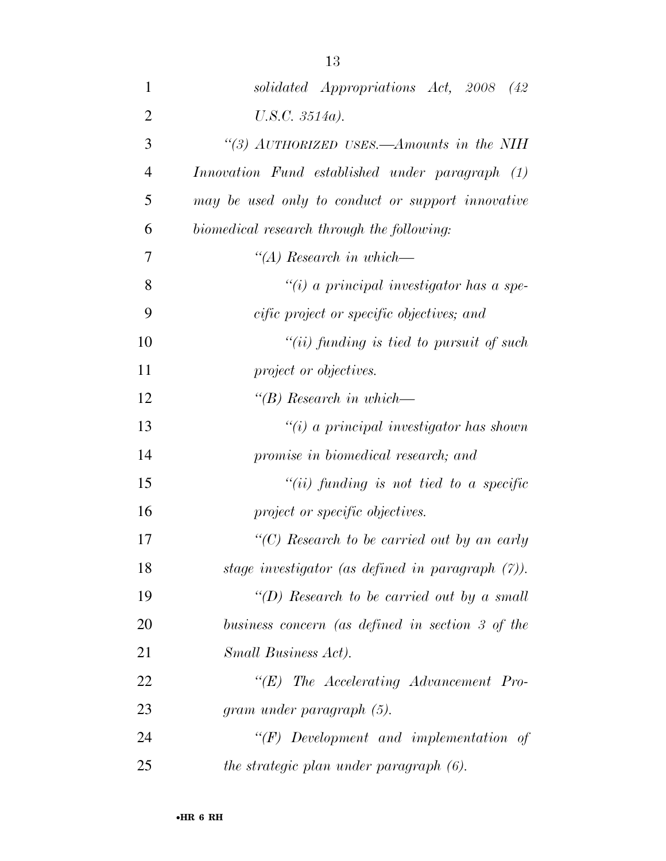| 1              | solidated Appropriations Act, 2008 (42)              |
|----------------|------------------------------------------------------|
| $\overline{2}$ | $U.S.C. 3514a$ ).                                    |
| 3              | "(3) AUTHORIZED USES.—Amounts in the NIH             |
| $\overline{4}$ | Innovation Fund established under paragraph (1)      |
| 5              | may be used only to conduct or support innovative    |
| 6              | biomedical research through the following:           |
| 7              | $\lq (A)$ Research in which—                         |
| 8              | $``(i)$ a principal investigator has a spe-          |
| 9              | cific project or specific objectives; and            |
| 10             | $``(ii)$ funding is tied to pursuit of such          |
| 11             | project or objectives.                               |
| 12             | $\lq\lq B$ ) Research in which—                      |
| 13             | $\tilde{f}(i)$ a principal investigator has shown    |
| 14             | promise in biomedical research; and                  |
| 15             | $``(ii)$ funding is not tied to a specific           |
| 16             | project or specific objectives.                      |
| 17             | "(C) Research to be carried out by an early          |
| 18             | stage investigator (as defined in paragraph $(7)$ ). |
| 19             | "(D) Research to be carried out by a small           |
| 20             | business concern (as defined in section 3 of the     |
| 21             | Small Business Act).                                 |
| 22             | $\lq\lq(E)$ The Accelerating Advancement Pro-        |
|                |                                                      |

 *''(F) Development and implementation of the strategic plan under paragraph (6).* 

*gram under paragraph (5).* 

•**HR 6 RH**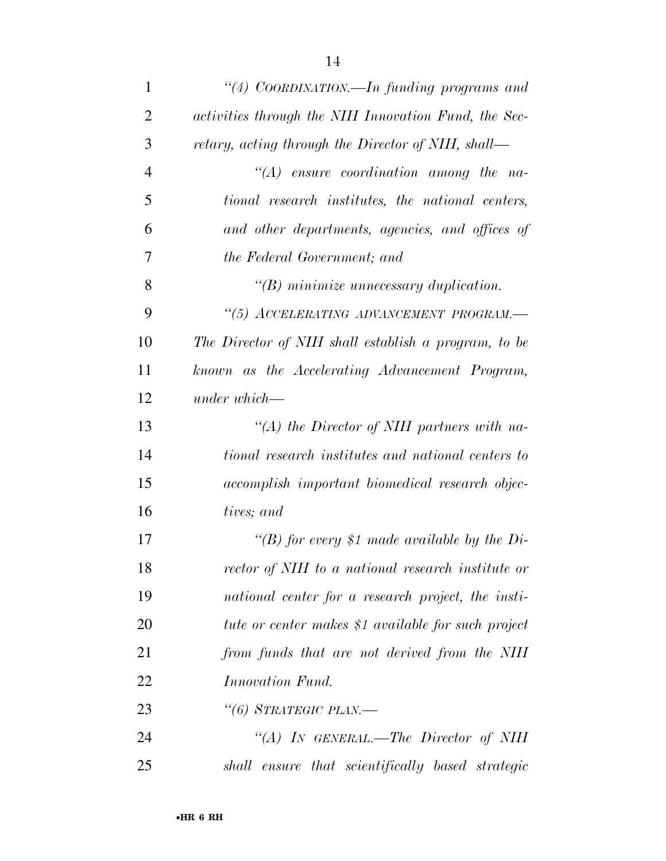| 1              | "(4) COORDINATION.—In funding programs and           |
|----------------|------------------------------------------------------|
| $\overline{2}$ | activities through the NIH Innovation Fund, the Sec- |
| 3              | retary, acting through the Director of NIH, shall—   |
| $\overline{4}$ | $\lq\lq (A)$ ensure coordination among the na-       |
| 5              | tional research institutes, the national centers,    |
| 6              | and other departments, agencies, and offices of      |
| 7              | the Federal Government; and                          |
| 8              | $\lq\lq B$ ) minimize unnecessary duplication.       |
| 9              | "(5) ACCELERATING ADVANCEMENT PROGRAM.-              |
| 10             | The Director of NIH shall establish a program, to be |
| 11             | known as the Accelerating Advancement Program,       |
| 12             | $under which -$                                      |
| 13             | "(A) the Director of NIH partners with na-           |
| 14             | tional research institutes and national centers to   |
| 15             | accomplish important biomedical research objec-      |
| 16             | tives; and                                           |
| 17             | "(B) for every \$1 made available by the Di-         |
| 18             | rector of NIH to a national research institute or    |
| 19             | national center for a research project, the insti-   |
| 20             | tute or center makes \$1 available for such project  |
| 21             | from funds that are not derived from the NIH         |
| 22             | <i>Innovation Fund.</i>                              |
| 23             | "(6) STRATEGIC PLAN.—                                |
| 24             | "(A) IN GENERAL.—The Director of NIH                 |
| 25             | shall ensure that scientifically based strategic     |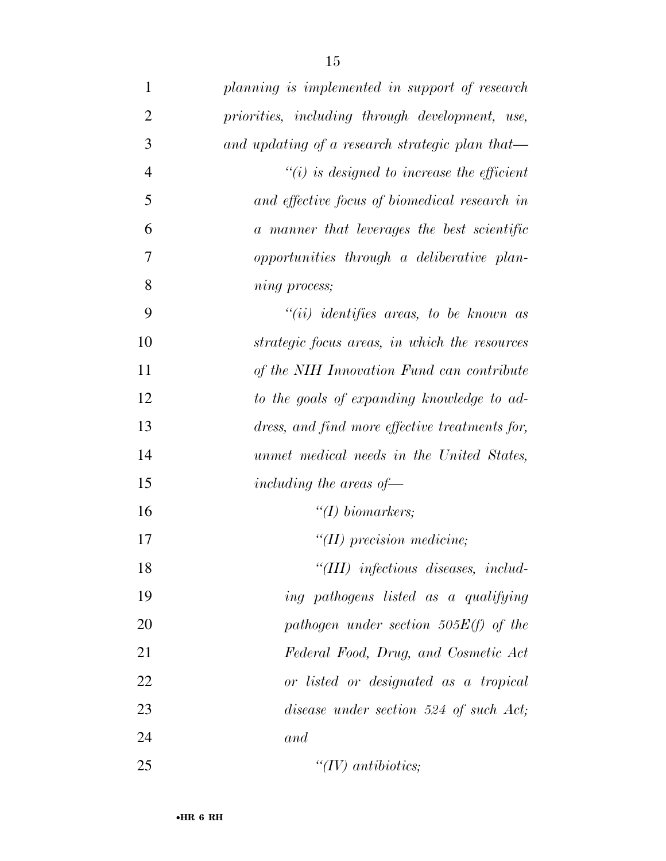| $\mathbf{1}$   | planning is implemented in support of research       |
|----------------|------------------------------------------------------|
| $\overline{2}$ | priorities, including through development, use,      |
| 3              | and updating of a research strategic plan that—      |
| $\overline{4}$ | $\tilde{f}(i)$ is designed to increase the efficient |
| 5              | and effective focus of biomedical research in        |
| 6              | a manner that leverages the best scientific          |
| 7              | opportunities through a deliberative plan-           |
| 8              | ning process;                                        |
| 9              | $``(ii)$ identifies areas, to be known as            |
| 10             | strategic focus areas, in which the resources        |
| 11             | of the NIH Innovation Fund can contribute            |
| 12             | to the goals of expanding knowledge to ad-           |
| 13             | dress, and find more effective treatments for,       |
| 14             | unmet medical needs in the United States,            |
| 15             | including the areas of $\equiv$                      |
| 16             | $\lq (I) \; biomarkers;$                             |
| 17             | $\lq (II)$ precision medicine;                       |
| 18             | "(III) infectious diseases, includ-                  |
| 19             | ing pathogens listed as a qualifying                 |
| 20             | pathogen under section $505E(f)$ of the              |
| 21             | Federal Food, Drug, and Cosmetic Act                 |
| 22             | or listed or designated as a tropical                |
| 23             | disease under section 524 of such Act;               |
| 24             | and                                                  |
| 25             | " $(IV)$ antibiotics;                                |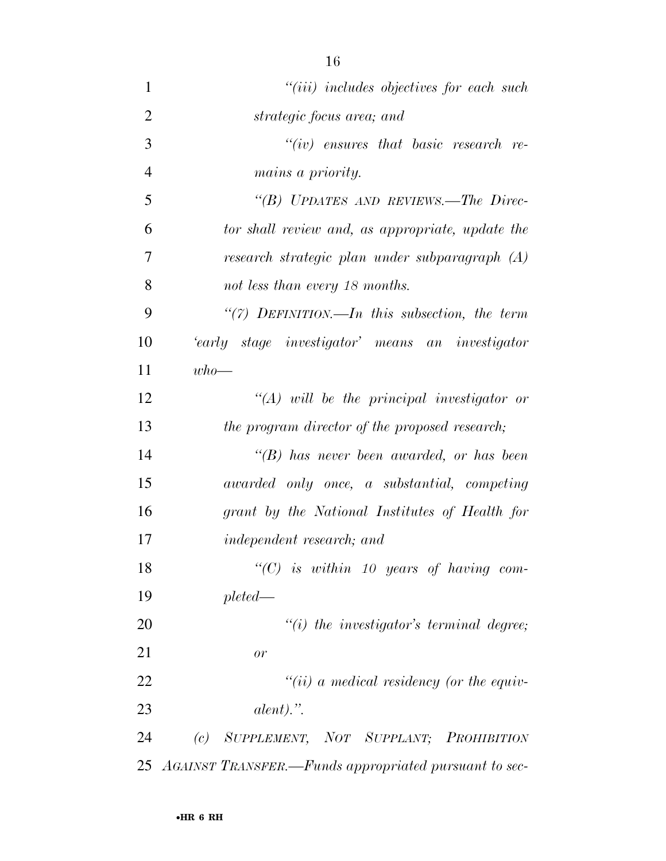| $\mathbf{1}$   | $"(iii)$ includes objectives for each such               |
|----------------|----------------------------------------------------------|
| $\overline{2}$ | strategic focus area; and                                |
| 3              | $``(iv)$ ensures that basic research re-                 |
| $\overline{4}$ | <i>mains a priority.</i>                                 |
| 5              | "(B) UPDATES AND REVIEWS.—The Direc-                     |
| 6              | tor shall review and, as appropriate, update the         |
| 7              | research strategic plan under subparagraph (A)           |
| 8              | not less than every 18 months.                           |
| 9              | "(7) DEFINITION.—In this subsection, the term            |
| 10             | 'early stage investigator' means an investigator         |
| 11             | $who-$                                                   |
| 12             | $\lq (A)$ will be the principal investigator or          |
| 13             | the program director of the proposed research;           |
| 14             | $\lq\lq(B)$ has never been awarded, or has been          |
| 15             | awarded only once, a substantial, competing              |
| 16             | grant by the National Institutes of Health for           |
| 17             | <i>independent research; and</i>                         |
| 18             | " $(C)$ is within 10 years of having com-                |
| 19             | $pleted-$                                                |
| 20             | $\lq\lq(i)$ the investigator's terminal degree;          |
| 21             | or                                                       |
| 22             | $``(ii)$ a medical residency (or the equiv-              |
| 23             | $\mathit{alent})$ .".                                    |
| 24             | (c) SUPPLEMENT, NOT SUPPLANT; PROHIBITION                |
|                | 25 AGAINST TRANSFER.—Funds appropriated pursuant to sec- |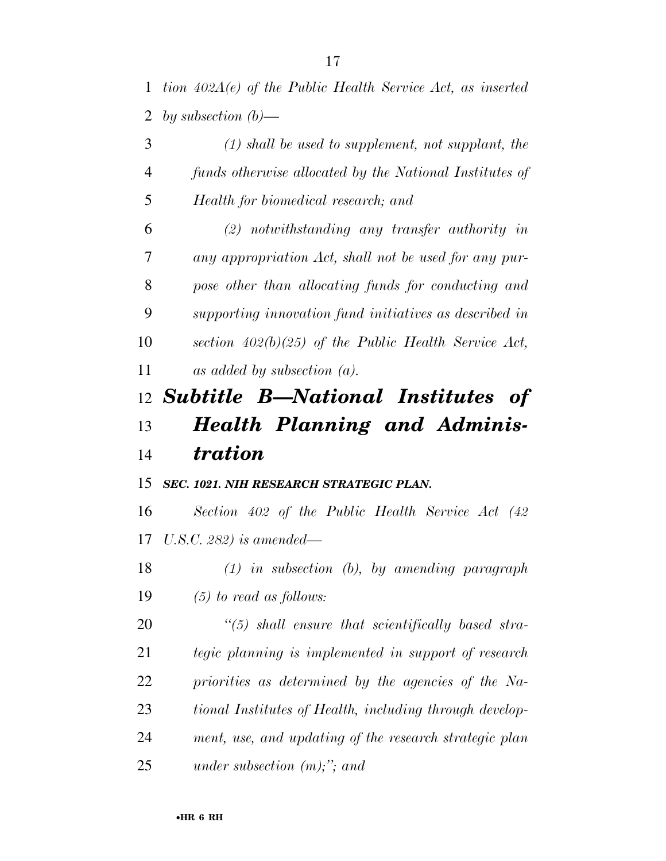*tion 402A(e) of the Public Health Service Act, as inserted by subsection (b)—* 

 *(1) shall be used to supplement, not supplant, the funds otherwise allocated by the National Institutes of Health for biomedical research; and* 

 *(2) notwithstanding any transfer authority in any appropriation Act, shall not be used for any pur- pose other than allocating funds for conducting and supporting innovation fund initiatives as described in section 402(b)(25) of the Public Health Service Act, as added by subsection (a).* 

# *Subtitle B—National Institutes of Health Planning and Adminis-tration*

# *SEC. 1021. NIH RESEARCH STRATEGIC PLAN.*

 *Section 402 of the Public Health Service Act (42 U.S.C. 282) is amended—* 

 *(1) in subsection (b), by amending paragraph (5) to read as follows:* 

 *''(5) shall ensure that scientifically based stra- tegic planning is implemented in support of research priorities as determined by the agencies of the Na- tional Institutes of Health, including through develop- ment, use, and updating of the research strategic plan under subsection (m);''; and*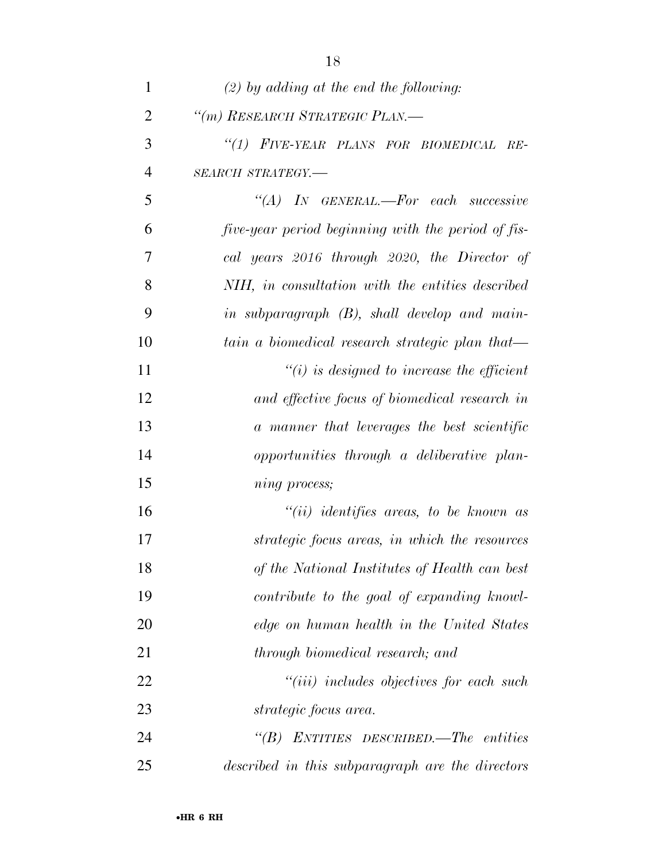| 1              | $(2)$ by adding at the end the following:                 |
|----------------|-----------------------------------------------------------|
| $\overline{2}$ | "(m) RESEARCH STRATEGIC PLAN.-                            |
| 3              | "(1) FIVE-YEAR PLANS FOR BIOMEDICAL RE-                   |
| $\overline{4}$ | SEARCH STRATEGY.-                                         |
| 5              | $\lq \lq (A)$ In GENERAL.—For each successive             |
| 6              | <i>five-year period beginning with the period of fis-</i> |
| 7              | cal years 2016 through 2020, the Director of              |
| 8              | NIH, in consultation with the entities described          |
| 9              | in subparagraph (B), shall develop and main-              |
| 10             | tain a biomedical research strategic plan that—           |
| 11             | $\lq\lq(i)$ is designed to increase the efficient         |
| 12             | and effective focus of biomedical research in             |
| 13             | a manner that leverages the best scientific               |
| 14             | opportunities through a deliberative plan-                |
| 15             | ning process;                                             |
| 16             | $``(ii)$ identifies areas, to be known as                 |
| 17             | strategic focus areas, in which the resources             |
| 18             | of the National Institutes of Health can best             |
| 19             | contribute to the goal of expanding knowl-                |
| 20             | edge on human health in the United States                 |
| 21             | through biomedical research; and                          |
| 22             | $``(iii)$ includes objectives for each such               |
| 23             | strategic focus area.                                     |
| 24             | " $(B)$ ENTITIES DESCRIBED.—The entities                  |
| 25             | described in this subparagraph are the directors          |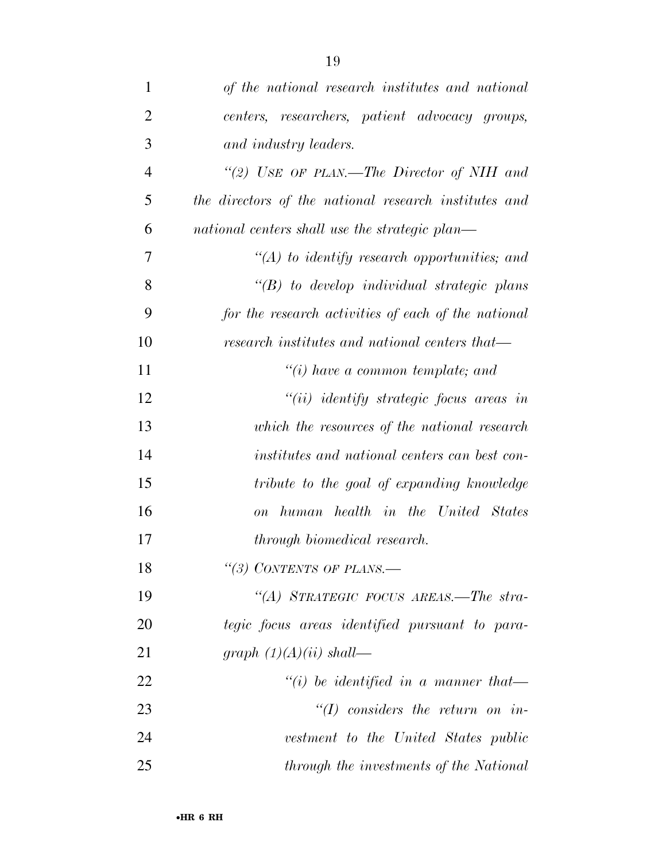| $\mathbf{1}$   | of the national research institutes and national      |
|----------------|-------------------------------------------------------|
| $\overline{2}$ | centers, researchers, patient advocacy groups,        |
| 3              | and industry leaders.                                 |
| $\overline{4}$ | "(2) USE OF PLAN.—The Director of NIH and             |
| 5              | the directors of the national research institutes and |
| 6              | national centers shall use the strategic plan—        |
| 7              | $\lq (A)$ to identify research opportunities; and     |
| 8              | $\lq\lq B$ to develop individual strategic plans      |
| 9              | for the research activities of each of the national   |
| 10             | research institutes and national centers that—        |
| 11             | $\lq\lq(i)$ have a common template; and               |
| 12             | $``(ii)$ identify strategic focus areas in            |
| 13             | which the resources of the national research          |
| 14             | institutes and national centers can best con-         |
| 15             | tribute to the goal of expanding knowledge            |
| 16             | human health in the United States<br>$\overline{on}$  |
| 17             | through biomedical research.                          |
| 18             | "(3) CONTENTS OF PLANS.—                              |
| 19             | "(A) STRATEGIC FOCUS AREAS.—The stra-                 |
| 20             | tegic focus areas identified pursuant to para-        |
| 21             | graph $(1)(A)(ii)$ shall—                             |
| 22             | "(i) be identified in a manner that-                  |
| 23             | $H(f)$ considers the return on in-                    |
| 24             | vestment to the United States public                  |
| 25             | through the investments of the National               |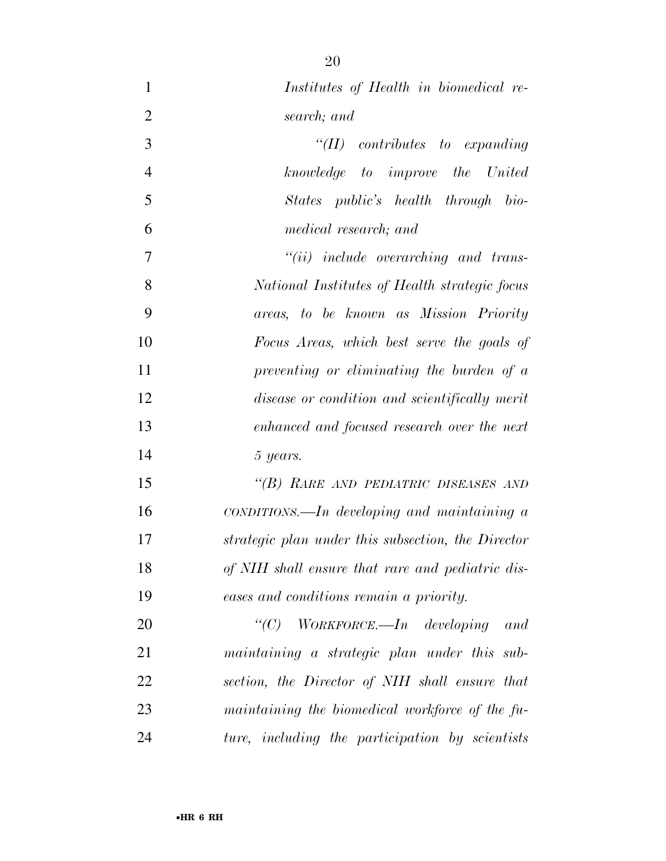| $\mathbf{1}$   | Institutes of Health in biomedical re-                      |
|----------------|-------------------------------------------------------------|
| $\overline{2}$ | search; and                                                 |
| 3              | "(II) contributes to expanding                              |
| $\overline{4}$ | knowledge to improve the United                             |
| 5              | States public's health through bio-                         |
| 6              | medical research; and                                       |
| 7              | $``(ii)$ include overarching and trans-                     |
| 8              | National Institutes of Health strategic focus               |
| 9              | areas, to be known as Mission Priority                      |
| 10             | Focus Areas, which best serve the goals of                  |
| 11             | preventing or eliminating the burden of a                   |
| 12             | disease or condition and scientifically merit               |
| 13             | enhanced and focused research over the next                 |
| 14             | 5 years.                                                    |
| 15             | "(B) RARE AND PEDIATRIC DISEASES AND                        |
| 16             | $\textit{conv}$ conditions. In developing and maintaining a |
| 17             | strategic plan under this subsection, the Director          |
| 18             | of NIH shall ensure that rare and pediatric dis-            |
| 19             | eases and conditions remain a priority.                     |
| 20             | "(C) WORKFORCE.—In developing and                           |
| 21             | maintaining a strategic plan under this sub-                |
| 22             | section, the Director of NIH shall ensure that              |
| 23             | maintaining the biomedical workforce of the fu-             |
| 24             | ture, including the participation by scientists             |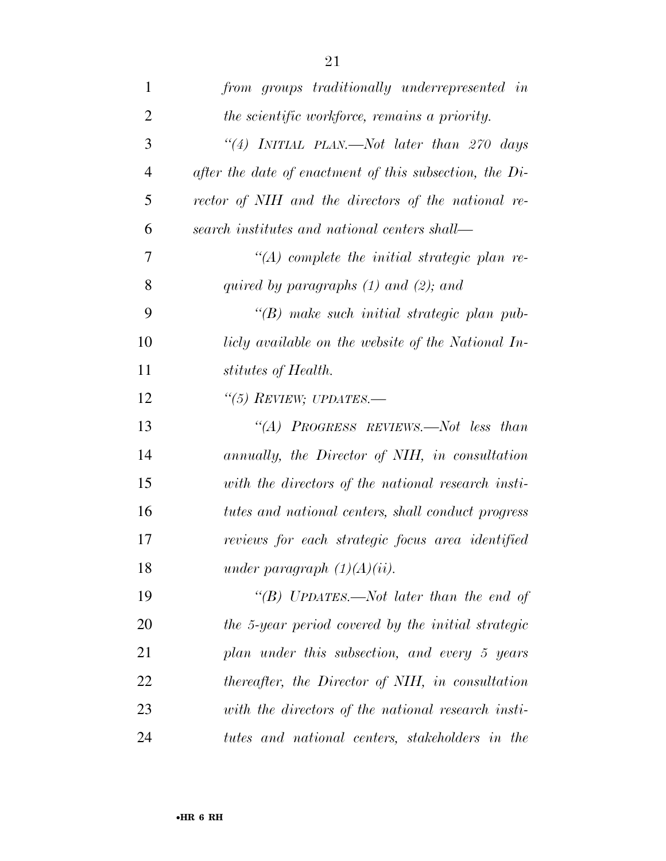| $\mathbf{1}$   | from groups traditionally underrepresented in             |
|----------------|-----------------------------------------------------------|
| 2              | the scientific workforce, remains a priority.             |
| 3              | "(4) INITIAL PLAN.—Not later than $270$ days              |
| $\overline{4}$ | after the date of enactment of this subsection, the $Di-$ |
| 5              | rector of NIH and the directors of the national re-       |
| 6              | search institutes and national centers shall—             |
| 7              | $\lq (A)$ complete the initial strategic plan re-         |
| 8              | quired by paragraphs $(1)$ and $(2)$ ; and                |
| 9              | $\lq\lq(B)$ make such initial strategic plan pub-         |
| 10             | licly available on the website of the National In-        |
| 11             | stitutes of Health.                                       |
| 12             | "(5) REVIEW; UPDATES.—                                    |
| 13             | "(A) PROGRESS REVIEWS.—Not less than                      |
| 14             | annually, the Director of NIH, in consultation            |
| 15             | with the directors of the national research insti-        |
| 16             | tutes and national centers, shall conduct progress        |
| 17             | reviews for each strategic focus area identified          |
| 18             | under paragraph $(1)(A)(ii)$ .                            |
| 19             | "(B) UPDATES.—Not later than the end of                   |
| 20             | the 5-year period covered by the initial strategic        |
| 21             | plan under this subsection, and every 5 years             |
| 22             | thereafter, the Director of NIH, in consultation          |
| 23             | with the directors of the national research insti-        |
| 24             | tutes and national centers, stakeholders in the           |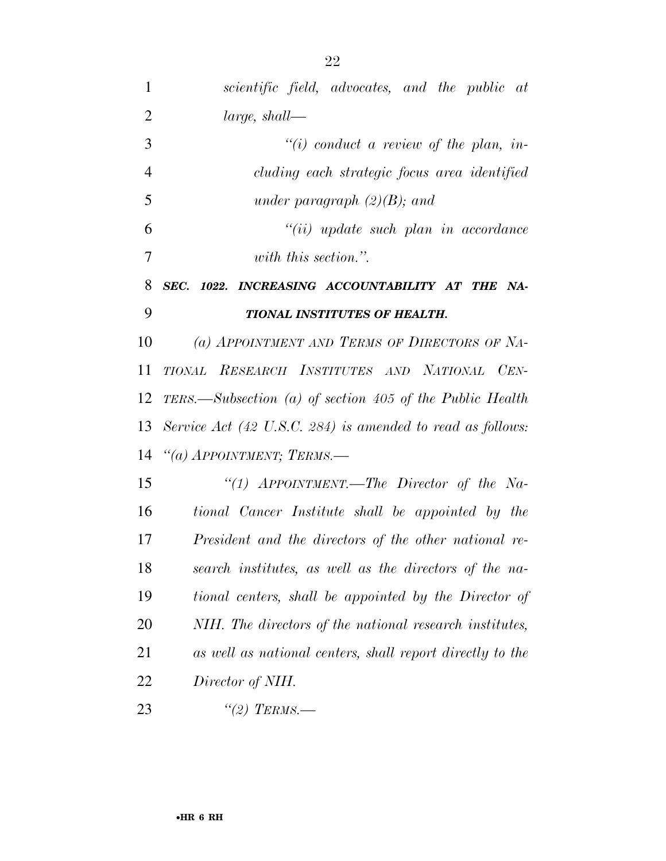| 1              | scientific field, advocates, and the public at                        |
|----------------|-----------------------------------------------------------------------|
| $\overline{2}$ | $large, shall$ —                                                      |
| 3              | $\lq\lq(i)$ conduct a review of the plan, in-                         |
| $\overline{4}$ | cluding each strategic focus area identified                          |
| 5              | under paragraph $(2)(B)$ ; and                                        |
| 6              | $``(ii) update such plan in accordance"$                              |
| 7              | with this section.".                                                  |
| 8              | SEC. 1022. INCREASING ACCOUNTABILITY AT THE NA-                       |
| 9              | TIONAL INSTITUTES OF HEALTH.                                          |
| 10             | (a) APPOINTMENT AND TERMS OF DIRECTORS OF NA-                         |
| 11             | TIONAL RESEARCH INSTITUTES AND NATIONAL CEN-                          |
| 12             | TERS.—Subsection (a) of section 405 of the Public Health              |
| 13             | Service Act $(42 \text{ U.S.C. } 284)$ is amended to read as follows: |
| 14             | "(a) APPOINTMENT; TERMS.-                                             |
| 15             | "(1) $AP$ POINTMENT.—The Director of the Na-                          |
| 16             | tional Cancer Institute shall be appointed by the                     |
| 17             | President and the directors of the other national re-                 |
| 18             | search institutes, as well as the directors of the na-                |
| 19             | tional centers, shall be appointed by the Director of                 |
| 20             | NIH. The directors of the national research institutes,               |
| 21             | as well as national centers, shall report directly to the             |
| 22             | Director of NIH.                                                      |
|                |                                                                       |

*''(2) TERMS.—*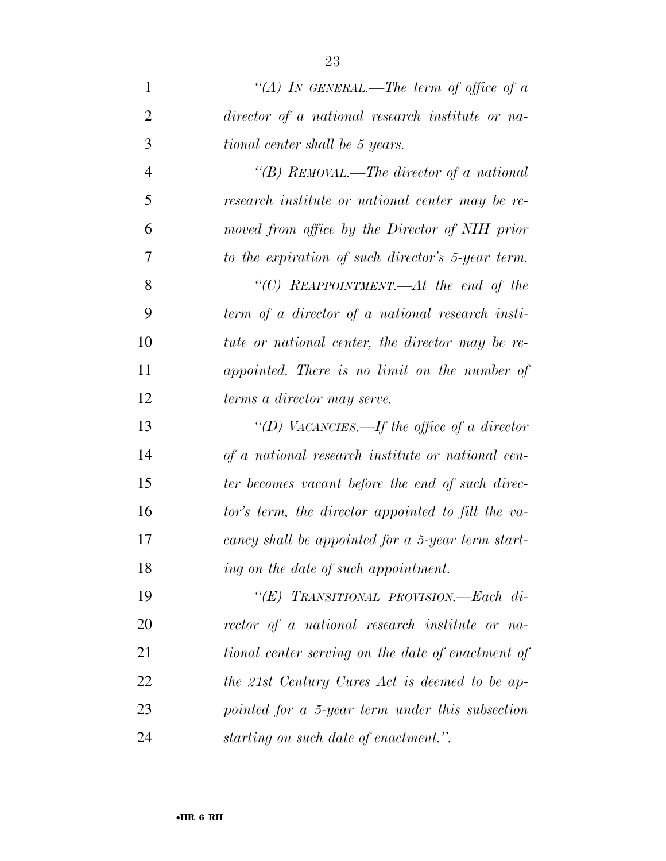| $\mathbf{1}$   | "(A) IN GENERAL.—The term of office of a           |
|----------------|----------------------------------------------------|
| $\overline{2}$ | director of a national research institute or na-   |
| 3              | tional center shall be 5 years.                    |
| $\overline{4}$ | "(B) REMOVAL.—The director of a national           |
| 5              | research institute or national center may be re-   |
| 6              | moved from office by the Director of NIH prior     |
| 7              | to the expiration of such director's 5-year term.  |
| 8              | "(C) REAPPOINTMENT.—At the end of the              |
| 9              | term of a director of a national research insti-   |
| 10             | tute or national center, the director may be re-   |
| 11             | appointed. There is no limit on the number of      |
| 12             | terms a director may serve.                        |
| 13             | "(D) VACANCIES.—If the office of a director        |
| 14             | of a national research institute or national cen-  |
| 15             | ter becomes vacant before the end of such direc-   |
| 16             | tor's term, the director appointed to fill the va- |
| 17             | cancy shall be appointed for a 5-year term start-  |
| 18             | ing on the date of such appointment.               |
| 19             | " $(E)$ TRANSITIONAL PROVISION.—Each di-           |
| 20             | rector of a national research institute or na-     |
| 21             | tional center serving on the date of enactment of  |
| 22             | the 21st Century Cures Act is deemed to be ap-     |
| 23             | pointed for a 5-year term under this subsection    |
| 24             | starting on such date of enactment.".              |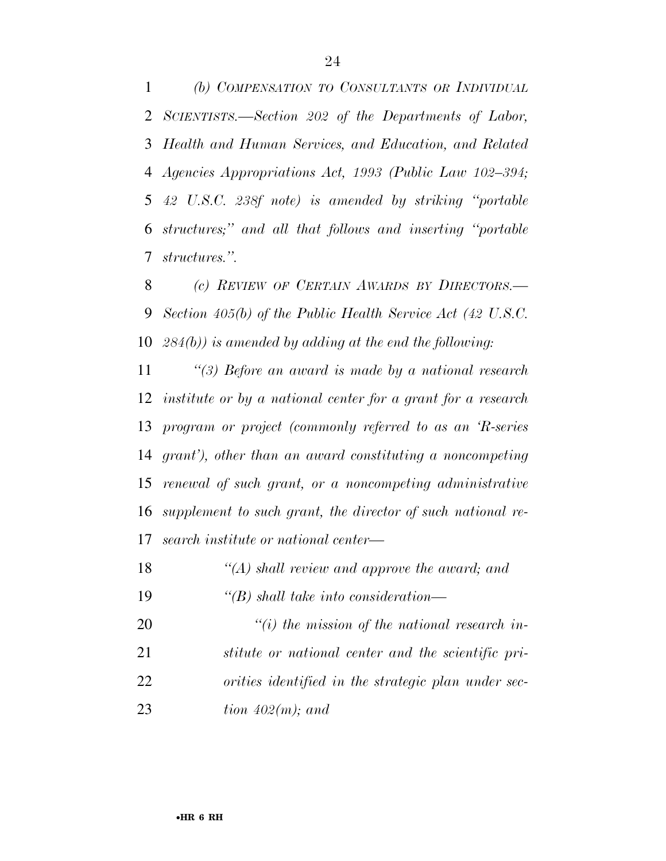*(b) COMPENSATION TO CONSULTANTS OR INDIVIDUAL SCIENTISTS.—Section 202 of the Departments of Labor, Health and Human Services, and Education, and Related Agencies Appropriations Act, 1993 (Public Law 102–394; 42 U.S.C. 238f note) is amended by striking ''portable structures;'' and all that follows and inserting ''portable structures.''.* 

 *(c) REVIEW OF CERTAIN AWARDS BY DIRECTORS.— Section 405(b) of the Public Health Service Act (42 U.S.C. 284(b)) is amended by adding at the end the following:* 

 *''(3) Before an award is made by a national research institute or by a national center for a grant for a research program or project (commonly referred to as an 'R-series grant'), other than an award constituting a noncompeting renewal of such grant, or a noncompeting administrative supplement to such grant, the director of such national re-search institute or national center—* 

| 18 |  |  | $\lq (A)$ shall review and approve the award; and |  |  |
|----|--|--|---------------------------------------------------|--|--|
|    |  |  |                                                   |  |  |

*''(B) shall take into consideration—* 

 *''(i) the mission of the national research in- stitute or national center and the scientific pri- orities identified in the strategic plan under sec-tion 402(m); and*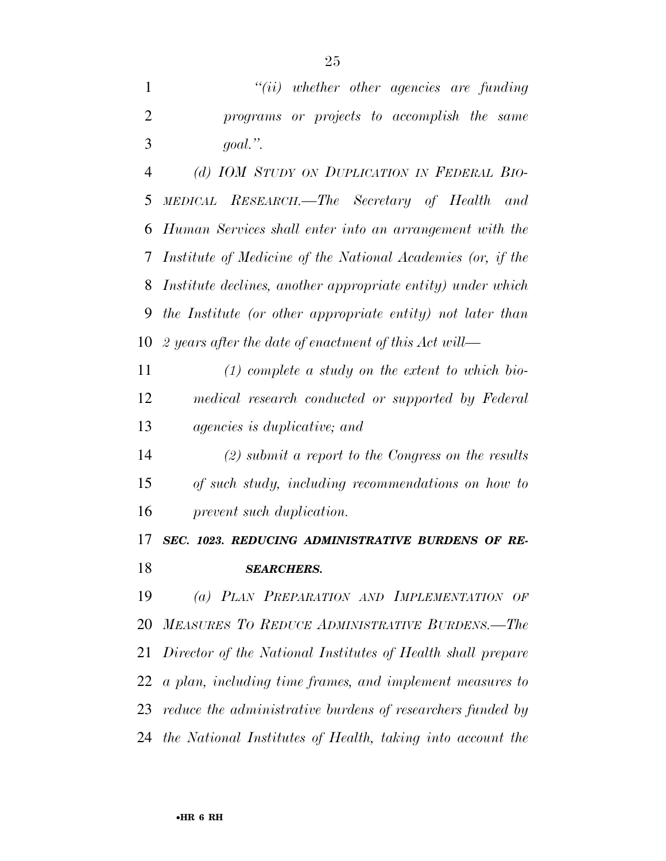*(d) IOM STUDY ON DUPLICATION IN FEDERAL BIO- MEDICAL RESEARCH.—The Secretary of Health and Human Services shall enter into an arrangement with the Institute of Medicine of the National Academies (or, if the Institute declines, another appropriate entity) under which the Institute (or other appropriate entity) not later than 2 years after the date of enactment of this Act will—* 

 *(1) complete a study on the extent to which bio- medical research conducted or supported by Federal agencies is duplicative; and* 

 *(2) submit a report to the Congress on the results of such study, including recommendations on how to prevent such duplication.* 

 *SEC. 1023. REDUCING ADMINISTRATIVE BURDENS OF RE-SEARCHERS.* 

 *(a) PLAN PREPARATION AND IMPLEMENTATION OF MEASURES TO REDUCE ADMINISTRATIVE BURDENS.—The Director of the National Institutes of Health shall prepare a plan, including time frames, and implement measures to reduce the administrative burdens of researchers funded by the National Institutes of Health, taking into account the*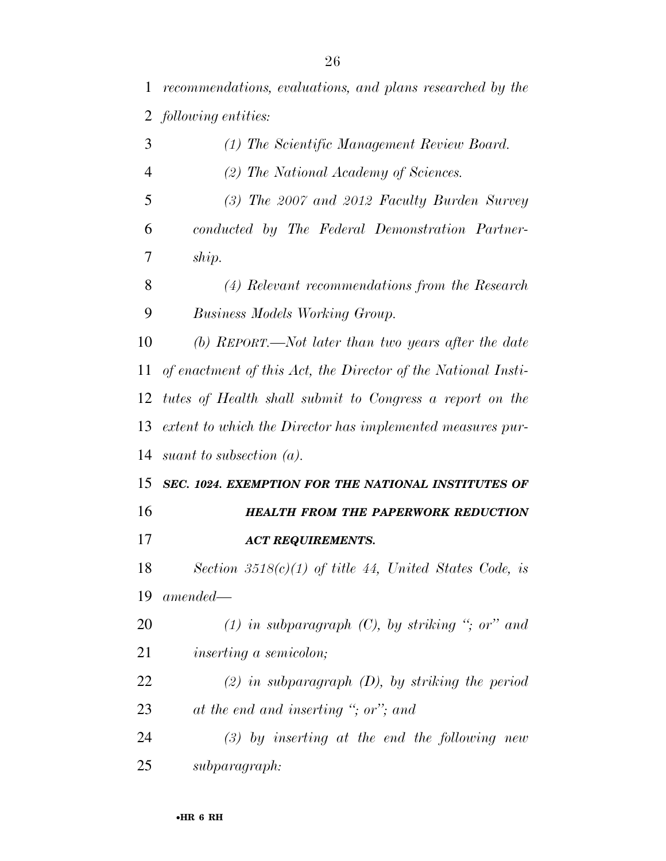*recommendations, evaluations, and plans researched by the following entities:* 

| 3              | (1) The Scientific Management Review Board.                   |
|----------------|---------------------------------------------------------------|
| $\overline{4}$ | (2) The National Academy of Sciences.                         |
| 5              | (3) The 2007 and 2012 Faculty Burden Survey                   |
| 6              | conducted by The Federal Demonstration Partner-               |
| 7              | ship.                                                         |
| 8              | (4) Relevant recommendations from the Research                |
| 9              | <b>Business Models Working Group.</b>                         |
| 10             | $(b)$ REPORT.—Not later than two years after the date         |
| 11             | of enactment of this Act, the Director of the National Insti- |
| 12             | tutes of Health shall submit to Congress a report on the      |
| 13             | extent to which the Director has implemented measures pur-    |
| 14             | suant to subsection $(a)$ .                                   |
| 15             | SEC. 1024. EXEMPTION FOR THE NATIONAL INSTITUTES OF           |
| 16             | <b>HEALTH FROM THE PAPERWORK REDUCTION</b>                    |
| 17             | <b>ACT REQUIREMENTS.</b>                                      |
| 18             | Section 3518(c)(1) of title 44, United States Code, is        |
| 19             | $amended-$                                                    |
| 20             | $(1)$ in subparagraph $(C)$ , by striking "; or" and          |
| 21             | <i>inserting a semicolon;</i>                                 |
| 22             | $(2)$ in subparagraph $(D)$ , by striking the period          |
| 23             | at the end and inserting "; or"; and                          |
| 24             | $(3)$ by inserting at the end the following new               |
| 25             | subparagraph:                                                 |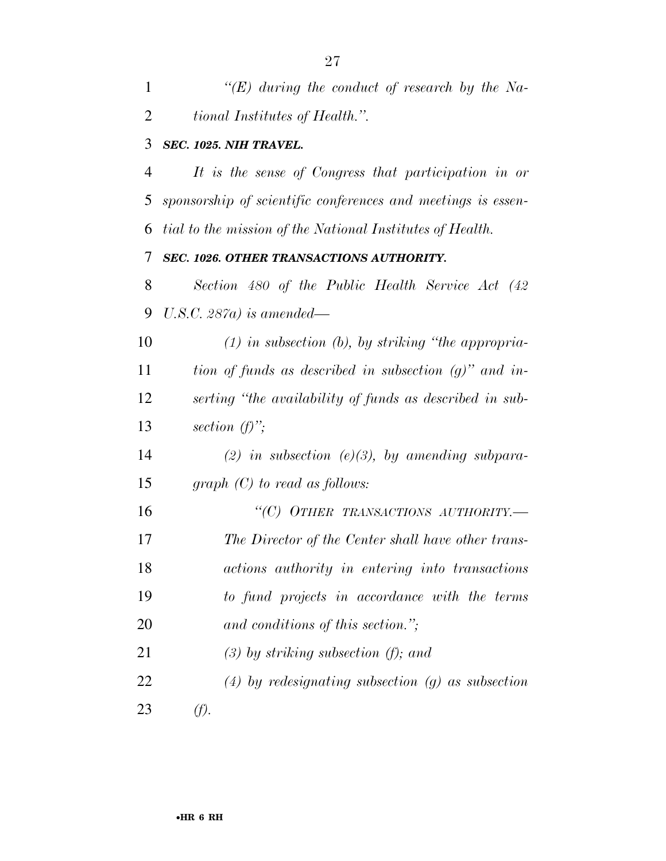| $\mathbf{1}$ | "(E) during the conduct of research by the Na-                     |
|--------------|--------------------------------------------------------------------|
| 2            | <i>tional Institutes of Health.</i> ".                             |
|              | 3 SEC. 1025. NIH TRAVEL.                                           |
|              | It is the sense of Congress that participation in or<br>$4\degree$ |

 *sponsorship of scientific conferences and meetings is essen-tial to the mission of the National Institutes of Health.* 

# *SEC. 1026. OTHER TRANSACTIONS AUTHORITY.*

 *Section 480 of the Public Health Service Act (42 U.S.C. 287a) is amended—* 

 *(1) in subsection (b), by striking ''the appropria- tion of funds as described in subsection (g)'' and in- serting ''the availability of funds as described in sub-section (f)'';* 

 *(2) in subsection (e)(3), by amending subpara-graph (C) to read as follows:* 

 *''(C) OTHER TRANSACTIONS AUTHORITY.— The Director of the Center shall have other trans- actions authority in entering into transactions to fund projects in accordance with the terms and conditions of this section.'';* 

*(3) by striking subsection (f); and* 

 *(4) by redesignating subsection (g) as subsection (f).*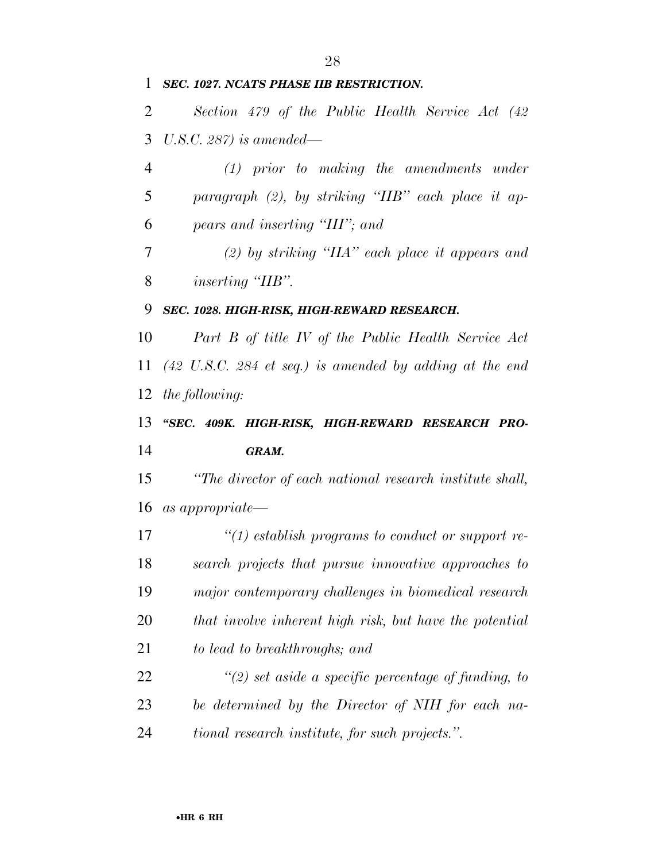# *SEC. 1027. NCATS PHASE IIB RESTRICTION.*

 *Section 479 of the Public Health Service Act (42 U.S.C. 287) is amended—* 

 *(1) prior to making the amendments under paragraph (2), by striking ''IIB'' each place it ap-pears and inserting ''III''; and* 

 *(2) by striking ''IIA'' each place it appears and inserting "IIB"*.

*SEC. 1028. HIGH-RISK, HIGH-REWARD RESEARCH.* 

 *Part B of title IV of the Public Health Service Act (42 U.S.C. 284 et seq.) is amended by adding at the end the following:* 

 *''SEC. 409K. HIGH-RISK, HIGH-REWARD RESEARCH PRO-GRAM.* 

 *''The director of each national research institute shall, as appropriate—* 

 *''(1) establish programs to conduct or support re- search projects that pursue innovative approaches to major contemporary challenges in biomedical research that involve inherent high risk, but have the potential to lead to breakthroughs; and* 

 *''(2) set aside a specific percentage of funding, to be determined by the Director of NIH for each na-tional research institute, for such projects.''.*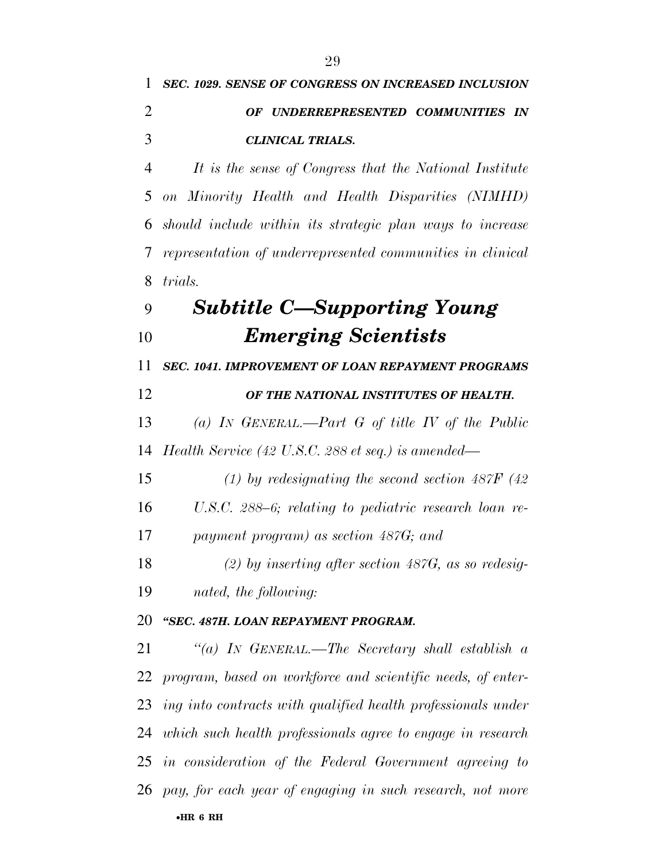| 1  | <b>SEC. 1029. SENSE OF CONGRESS ON INCREASED INCLUSION</b>      |
|----|-----------------------------------------------------------------|
| 2  | OF UNDERREPRESENTED COMMUNITIES IN                              |
| 3  | <b>CLINICAL TRIALS.</b>                                         |
| 4  | It is the sense of Congress that the National Institute         |
| 5  | on Minority Health and Health Disparities (NIMHD)               |
| 6  | should include within its strategic plan ways to increase       |
| 7  | representation of underrepresented communities in clinical      |
| 8  | <i>trials.</i>                                                  |
| 9  | <b>Subtitle C-Supporting Young</b>                              |
| 10 | <b>Emerging Scientists</b>                                      |
| 11 | SEC. 1041. IMPROVEMENT OF LOAN REPAYMENT PROGRAMS               |
| 12 | OF THE NATIONAL INSTITUTES OF HEALTH.                           |
| 13 | (a) IN GENERAL.—Part G of title IV of the Public                |
| 14 | Health Service (42 U.S.C. 288 et seq.) is amended—              |
| 15 | (1) by redesignating the second section $487F$ (42)             |
| 16 | U.S.C. 288–6; relating to pediatric research loan re-           |
| 17 | payment program) as section 487G; and                           |
| 18 | $(2)$ by inserting after section 487G, as so redesig-           |
| 19 | nated, the following:                                           |
| 20 | "SEC. 487H. LOAN REPAYMENT PROGRAM.                             |
| 21 | "(a) IN GENERAL.—The Secretary shall establish a                |
| 22 | program, based on workforce and scientific needs, of enter-     |
|    | 23 ing into contracts with qualified health professionals under |
|    | 24 which such health professionals agree to engage in research  |
|    | 25 in consideration of the Federal Government agreeing to       |
|    | 26 pay, for each year of engaging in such research, not more    |
|    | $\bullet$ HR 6 RH                                               |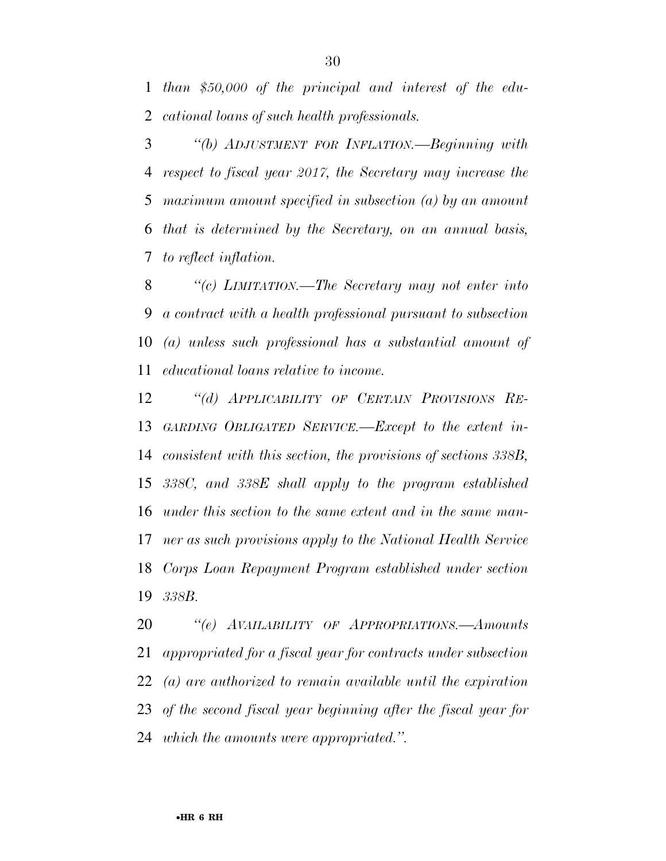*than \$50,000 of the principal and interest of the edu-cational loans of such health professionals.* 

 *''(b) ADJUSTMENT FOR INFLATION.—Beginning with respect to fiscal year 2017, the Secretary may increase the maximum amount specified in subsection (a) by an amount that is determined by the Secretary, on an annual basis, to reflect inflation.* 

 *''(c) LIMITATION.—The Secretary may not enter into a contract with a health professional pursuant to subsection (a) unless such professional has a substantial amount of educational loans relative to income.* 

 *''(d) APPLICABILITY OF CERTAIN PROVISIONS RE- GARDING OBLIGATED SERVICE.—Except to the extent in- consistent with this section, the provisions of sections 338B, 338C, and 338E shall apply to the program established under this section to the same extent and in the same man- ner as such provisions apply to the National Health Service Corps Loan Repayment Program established under section 338B.* 

 *''(e) AVAILABILITY OF APPROPRIATIONS.—Amounts appropriated for a fiscal year for contracts under subsection (a) are authorized to remain available until the expiration of the second fiscal year beginning after the fiscal year for which the amounts were appropriated.''.*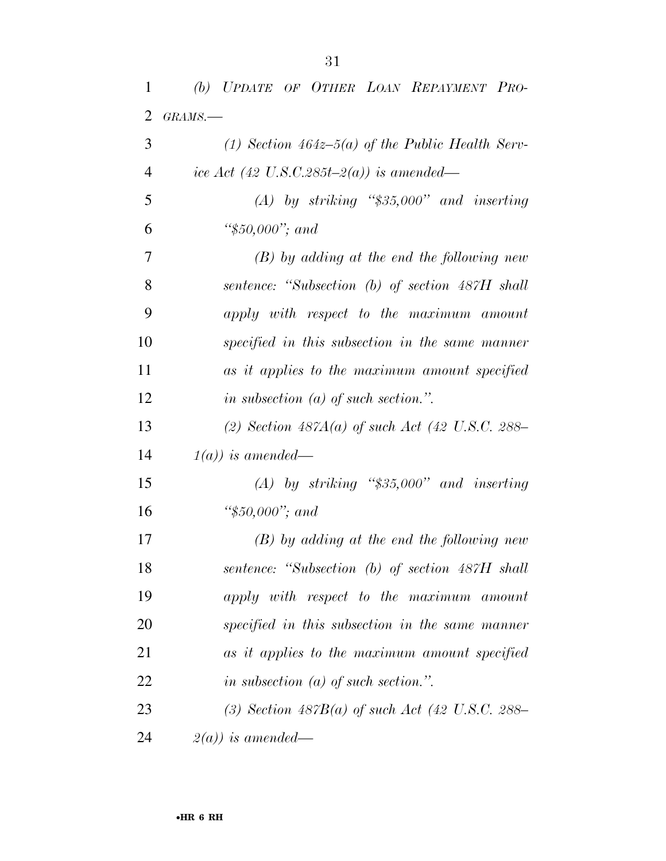| 1              | (b) UPDATE OF OTHER LOAN REPAYMENT PRO-            |
|----------------|----------------------------------------------------|
| $\overline{2}$ | GRAMS.-                                            |
| 3              | (1) Section $464z-5(a)$ of the Public Health Serv- |
| $\overline{4}$ | ice Act (42 U.S.C.285t-2(a)) is amended—           |
| 5              | $(A)$ by striking "\$35,000" and inserting         |
| 6              | " $$50,000$ "; and                                 |
| 7              | $(B)$ by adding at the end the following new       |
| 8              | sentence: "Subsection (b) of section 487H shall    |
| 9              | apply with respect to the maximum amount           |
| 10             | specified in this subsection in the same manner    |
| 11             | as it applies to the maximum amount specified      |
| 12             | in subsection $(a)$ of such section.".             |
| 13             | (2) Section $487A(a)$ of such Act (42 U.S.C. 288-  |
| 14             | $1(a)$ ) is amended—                               |
| 15             | $(A)$ by striking "\$35,000" and inserting         |
| 16             | " $$50,000$ "; and                                 |
| 17             | $(B)$ by adding at the end the following new       |
| 18             | sentence: "Subsection (b) of section 487H shall    |
| 19             | apply with respect to the maximum amount           |
| 20             | specified in this subsection in the same manner    |
| 21             | as it applies to the maximum amount specified      |
| 22             | in subsection $(a)$ of such section.".             |
| 23             | (3) Section $487B(a)$ of such Act (42 U.S.C. 288-  |
| 24             | $2(a)$ ) is amended—                               |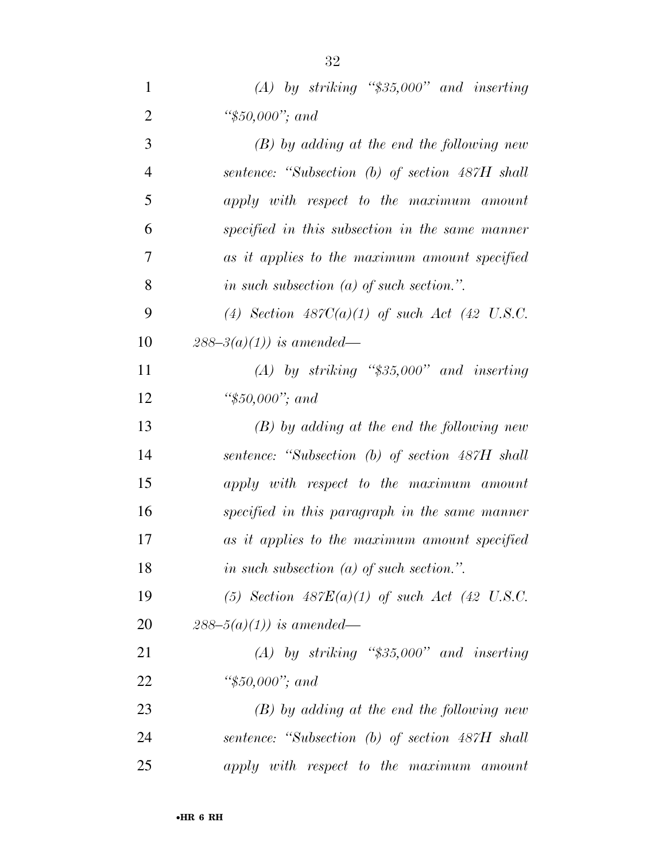| $\mathbf{1}$   | $(A)$ by striking "\$35,000" and inserting      |
|----------------|-------------------------------------------------|
| $\overline{2}$ | " $$50,000$ "; and                              |
| 3              | $(B)$ by adding at the end the following new    |
| $\overline{4}$ | sentence: "Subsection (b) of section 487H shall |
| 5              | apply with respect to the maximum amount        |
| 6              | specified in this subsection in the same manner |
| 7              | as it applies to the maximum amount specified   |
| 8              | in such subsection $(a)$ of such section.".     |
| 9              | (4) Section $487C(a)(1)$ of such Act (42 U.S.C. |
| 10             | $288 - 3(a)(1)$ is amended—                     |
| 11             | $(A)$ by striking "\$35,000" and inserting      |
| 12             | " $$50,000$ "; and                              |
| 13             | $(B)$ by adding at the end the following new    |
| 14             | sentence: "Subsection (b) of section 487H shall |
| 15             | apply with respect to the maximum amount        |
| 16             | specified in this paragraph in the same manner  |
| 17             | as it applies to the maximum amount specified   |
| 18             | in such subsection $(a)$ of such section.".     |
| 19             | (5) Section $487E(a)(1)$ of such Act (42 U.S.C. |
| 20             | $288-5(a)(1)$ is amended—                       |
| 21             | $(A)$ by striking "\$35,000" and inserting      |
| 22             | " $$50,000$ "; and                              |
| 23             | $(B)$ by adding at the end the following new    |
| 24             | sentence: "Subsection (b) of section 487H shall |
| 25             | apply with respect to the maximum amount        |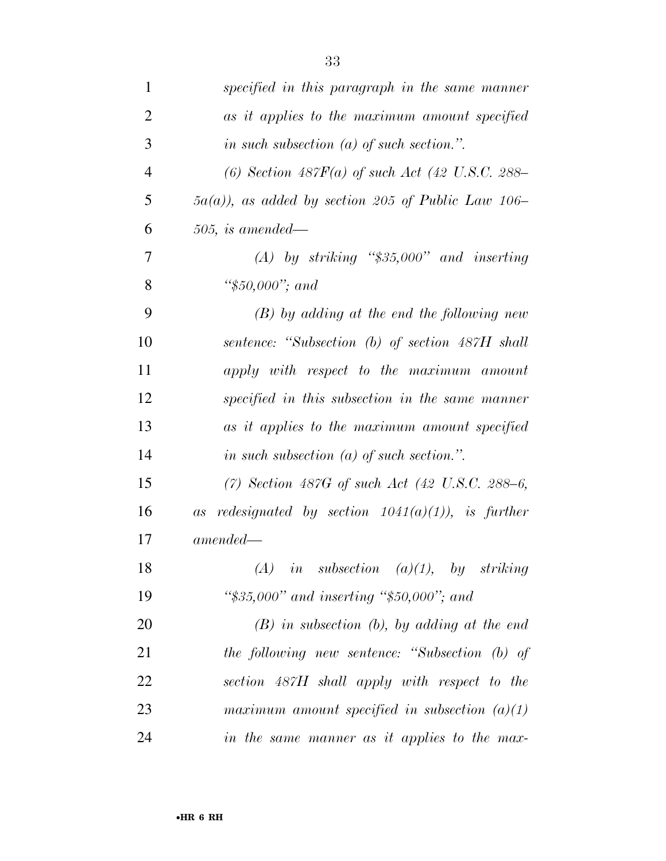| $\mathbf{1}$   | specified in this paragraph in the same manner               |
|----------------|--------------------------------------------------------------|
| $\overline{2}$ | as it applies to the maximum amount specified                |
| 3              | in such subsection $(a)$ of such section.".                  |
| $\overline{4}$ | (6) Section $487F(a)$ of such Act (42 U.S.C. 288-            |
| 5              | $5a(a)$ , as added by section 205 of Public Law 106–         |
| 6              | $505$ , is amended—                                          |
| 7              | $(A)$ by striking "\$35,000" and inserting                   |
| 8              | " $$50,000$ "; and                                           |
| 9              | $(B)$ by adding at the end the following new                 |
| 10             | sentence: "Subsection (b) of section 487H shall              |
| 11             | apply with respect to the maximum amount                     |
| 12             | specified in this subsection in the same manner              |
| 13             | as it applies to the maximum amount specified                |
| 14             | in such subsection $(a)$ of such section.".                  |
| 15             | (7) Section 487G of such Act $(42 \text{ U.S.C. } 288-6,$    |
| 16             | <i>redesignated by section 1041(a)(1)), is further</i><br>as |
| 17             | $amended -$                                                  |
| 18             | $(A)$ in subsection $(a)(1)$ , by striking                   |
| 19             | " $$35,000"$ and inserting " $$50,000"$ ; and                |
| 20             | $(B)$ in subsection $(b)$ , by adding at the end             |
| 21             | the following new sentence: "Subsection (b) of               |
| 22             | section 487H shall apply with respect to the                 |
| 23             | maximum amount specified in subsection $(a)(1)$              |
| 24             | in the same manner as it applies to the max-                 |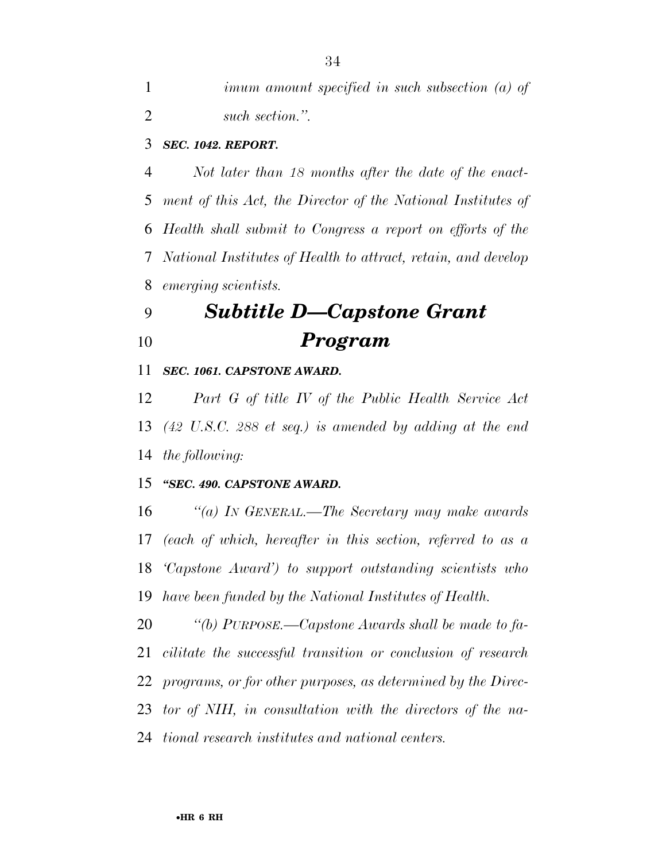*imum amount specified in such subsection (a) of such section.''.* 

# *SEC. 1042. REPORT.*

 *Not later than 18 months after the date of the enact- ment of this Act, the Director of the National Institutes of Health shall submit to Congress a report on efforts of the National Institutes of Health to attract, retain, and develop emerging scientists.* 

# *Subtitle D—Capstone Grant Program*

## *SEC. 1061. CAPSTONE AWARD.*

 *Part G of title IV of the Public Health Service Act (42 U.S.C. 288 et seq.) is amended by adding at the end the following:* 

# *''SEC. 490. CAPSTONE AWARD.*

 *''(a) IN GENERAL.—The Secretary may make awards (each of which, hereafter in this section, referred to as a 'Capstone Award') to support outstanding scientists who have been funded by the National Institutes of Health.* 

 *''(b) PURPOSE.—Capstone Awards shall be made to fa- cilitate the successful transition or conclusion of research programs, or for other purposes, as determined by the Direc- tor of NIH, in consultation with the directors of the na-tional research institutes and national centers.*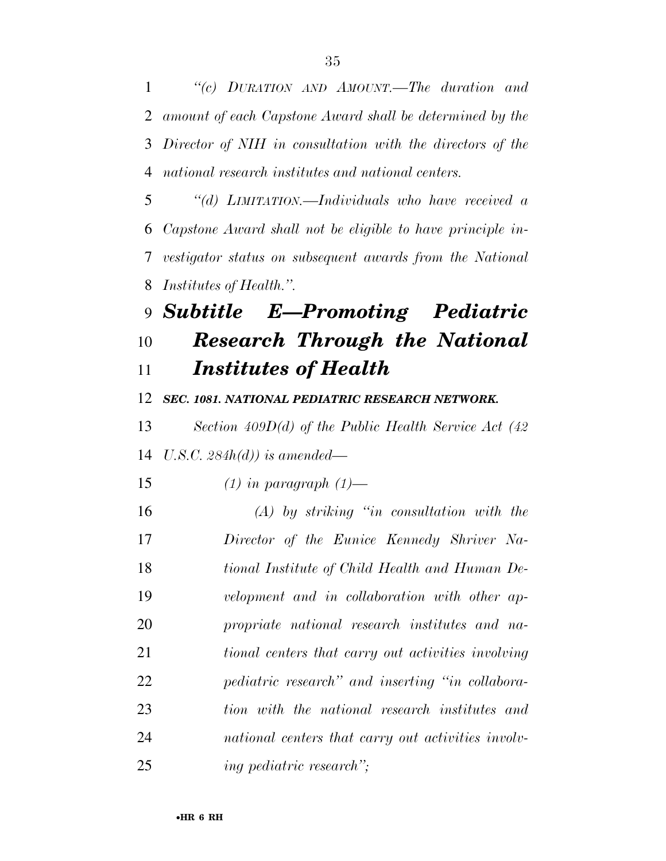*''(c) DURATION AND AMOUNT.—The duration and amount of each Capstone Award shall be determined by the Director of NIH in consultation with the directors of the national research institutes and national centers.* 

 *''(d) LIMITATION.—Individuals who have received a Capstone Award shall not be eligible to have principle in- vestigator status on subsequent awards from the National Institutes of Health.''.* 

 *Subtitle E—Promoting Pediatric Research Through the National Institutes of Health* 

*SEC. 1081. NATIONAL PEDIATRIC RESEARCH NETWORK.* 

 *Section 409D(d) of the Public Health Service Act (42 U.S.C. 284h(d)) is amended—* 

*(1) in paragraph (1)—* 

 *(A) by striking ''in consultation with the Director of the Eunice Kennedy Shriver Na- tional Institute of Child Health and Human De- velopment and in collaboration with other ap- propriate national research institutes and na- tional centers that carry out activities involving pediatric research'' and inserting ''in collabora- tion with the national research institutes and national centers that carry out activities involv-ing pediatric research'';*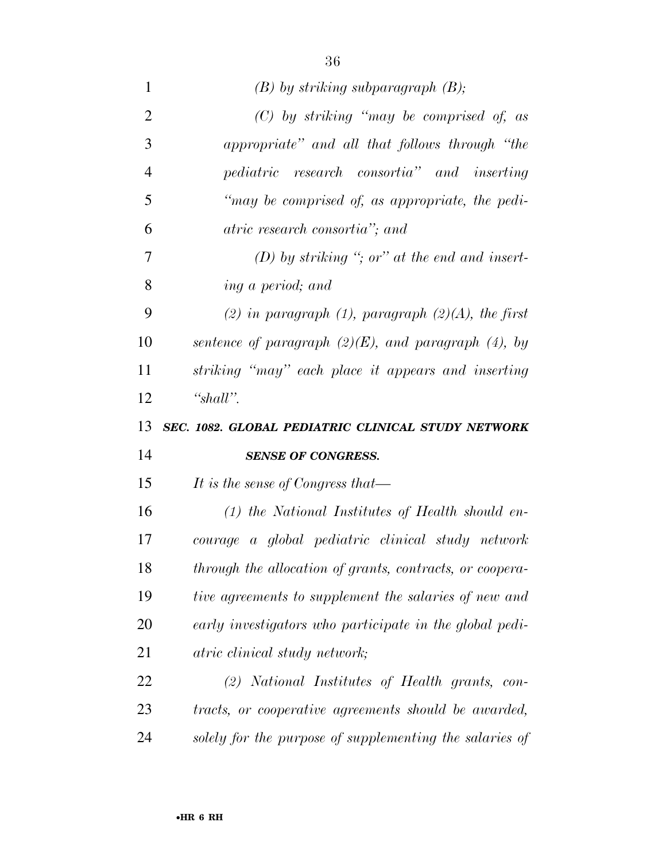| 1              | $(B)$ by striking subparagraph $(B)$ ;                    |
|----------------|-----------------------------------------------------------|
| $\overline{2}$ | $(C)$ by striking "may be comprised of, as                |
| 3              | appropriate" and all that follows through "the            |
| $\overline{4}$ | pediatric research consortia" and inserting               |
| 5              | "may be comprised of, as appropriate, the pedi-           |
| 6              | atric research consortia"; and                            |
| 7              | (D) by striking "; or" at the end and insert-             |
| 8              | ing a period; and                                         |
| 9              | (2) in paragraph (1), paragraph (2)(A), the first         |
| 10             | sentence of paragraph $(2)(E)$ , and paragraph $(4)$ , by |
| 11             | striking "may" each place it appears and inserting        |
| 12             | "shall".                                                  |
|                |                                                           |
|                | SEC. 1082. GLOBAL PEDIATRIC CLINICAL STUDY NETWORK        |
| 13<br>14       | <b>SENSE OF CONGRESS.</b>                                 |
| 15             | It is the sense of Congress that—                         |
| 16             | $(1)$ the National Institutes of Health should en-        |
| 17             | courage a global pediatric clinical study network         |
| 18             | through the allocation of grants, contracts, or coopera-  |
| 19             | tive agreements to supplement the salaries of new and     |
| 20             | early investigators who participate in the global pedi-   |
| 21             | atric clinical study network;                             |
| 22             | (2) National Institutes of Health grants, con-            |
| 23             | tracts, or cooperative agreements should be awarded,      |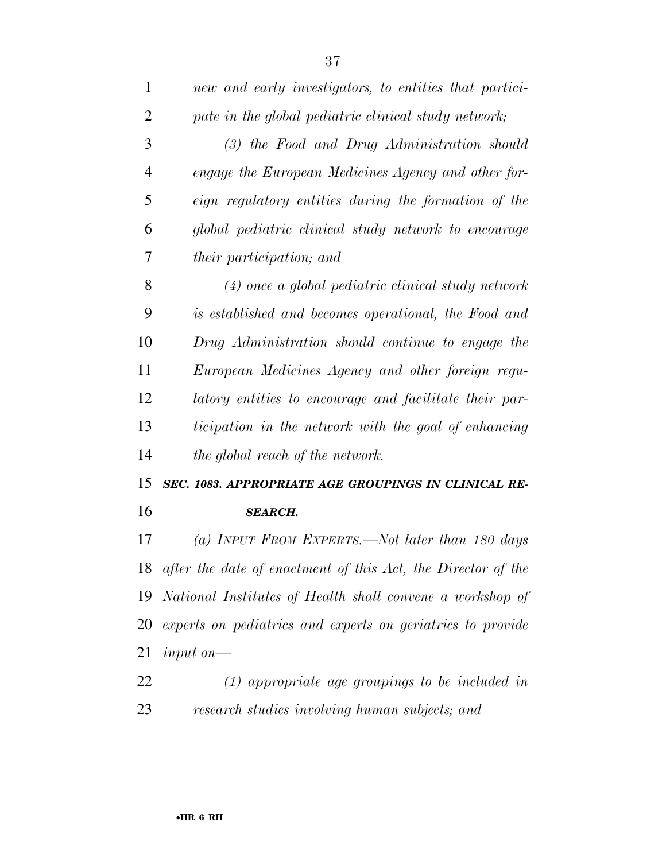| $\mathbf{1}$   | new and early investigators, to entities that partici- |
|----------------|--------------------------------------------------------|
| $\overline{2}$ | pate in the global pediatric clinical study network;   |
| 3              | (3) the Food and Drug Administration should            |
| $\overline{4}$ | engage the European Medicines Agency and other for-    |
| 5              | eign regulatory entities during the formation of the   |
| 6              | global pediatric clinical study network to encourage   |
| 7              | <i>their participation; and</i>                        |
| 8              | $(4)$ once a global pediatric clinical study network   |
| 9              | is established and becomes operational, the Food and   |

 *is established and becomes operational, the Food and Drug Administration should continue to engage the European Medicines Agency and other foreign regu- latory entities to encourage and facilitate their par- ticipation in the network with the goal of enhancing the global reach of the network.* 

 *SEC. 1083. APPROPRIATE AGE GROUPINGS IN CLINICAL RE-SEARCH.* 

 *(a) INPUT FROM EXPERTS.—Not later than 180 days after the date of enactment of this Act, the Director of the National Institutes of Health shall convene a workshop of experts on pediatrics and experts on geriatrics to provide input on—* 

 *(1) appropriate age groupings to be included in research studies involving human subjects; and*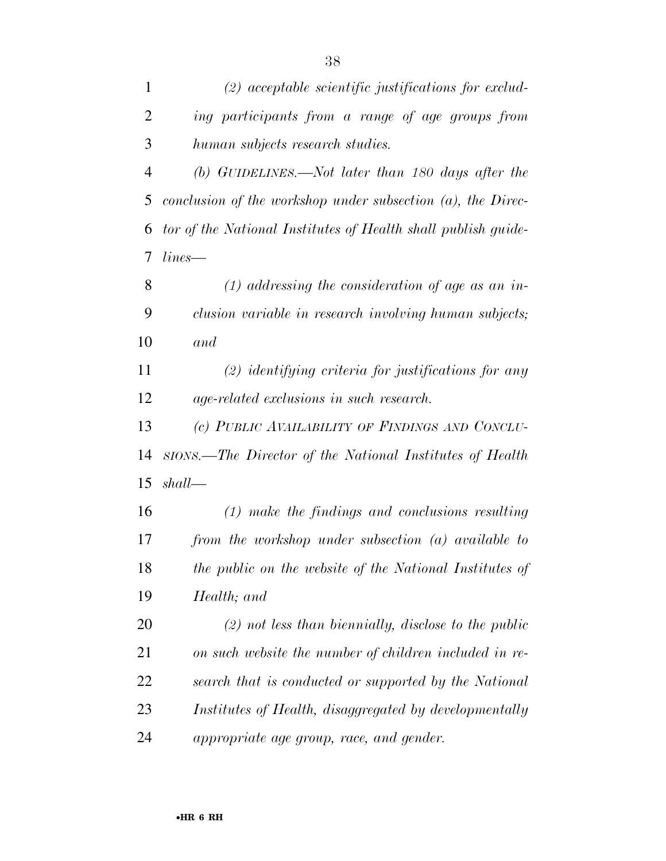| $\mathbf{1}$   | $(2)$ acceptable scientific justifications for exclud-         |
|----------------|----------------------------------------------------------------|
| $\overline{2}$ | ing participants from a range of age groups from               |
| 3              | human subjects research studies.                               |
| 4              | (b) GUIDELINES.—Not later than 180 days after the              |
| 5              | conclusion of the workshop under subsection $(a)$ , the Direc- |
| 6              | tor of the National Institutes of Health shall publish guide-  |
| 7              | lines                                                          |
| 8              | $(1)$ addressing the consideration of age as an in-            |
| 9              | clusion variable in research involving human subjects;         |
| 10             | and                                                            |
| 11             | $(2)$ identifying criteria for justifications for any          |
| 12             | age-related exclusions in such research.                       |
| 13             | (c) PUBLIC AVAILABILITY OF FINDINGS AND CONCLU-                |
| 14             | stons.—The Director of the National Institutes of Health       |
| 15             | shall                                                          |
| 16             | $(1)$ make the findings and conclusions resulting              |
| 17             | from the workshop under subsection (a) available to            |
| 18             | the public on the website of the National Institutes of        |
| 19             | Health; and                                                    |
| 20             | $(2)$ not less than biennially, disclose to the public         |
| 21             | on such website the number of children included in re-         |
| 22             | search that is conducted or supported by the National          |
| 23             | Institutes of Health, disaggregated by developmentally         |
| 24             | appropriate age group, race, and gender.                       |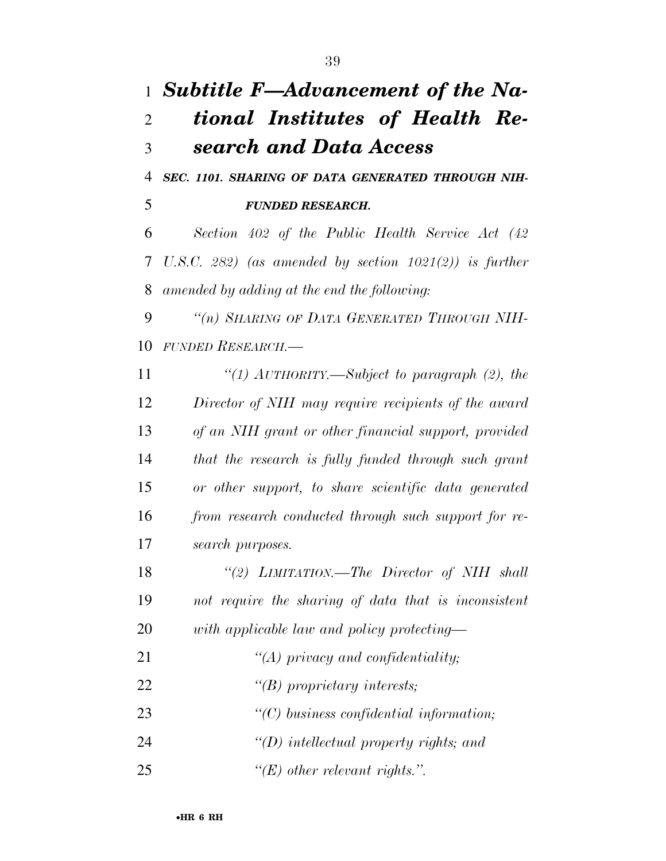## *Subtitle F—Advancement of the Na- tional Institutes of Health Re- search and Data Access SEC. 1101. SHARING OF DATA GENERATED THROUGH NIH-*

*FUNDED RESEARCH.* 

 *Section 402 of the Public Health Service Act (42 U.S.C. 282) (as amended by section 1021(2)) is further amended by adding at the end the following:* 

 *''(n) SHARING OF DATA GENERATED THROUGH NIH-FUNDED RESEARCH.—* 

 *''(1) AUTHORITY.—Subject to paragraph (2), the Director of NIH may require recipients of the award of an NIH grant or other financial support, provided that the research is fully funded through such grant or other support, to share scientific data generated from research conducted through such support for re-search purposes.* 

 *''(2) LIMITATION.—The Director of NIH shall not require the sharing of data that is inconsistent with applicable law and policy protecting—* 

 *''(A) privacy and confidentiality; ''(B) proprietary interests; ''(C) business confidential information; ''(D) intellectual property rights; and ''(E) other relevant rights.''.*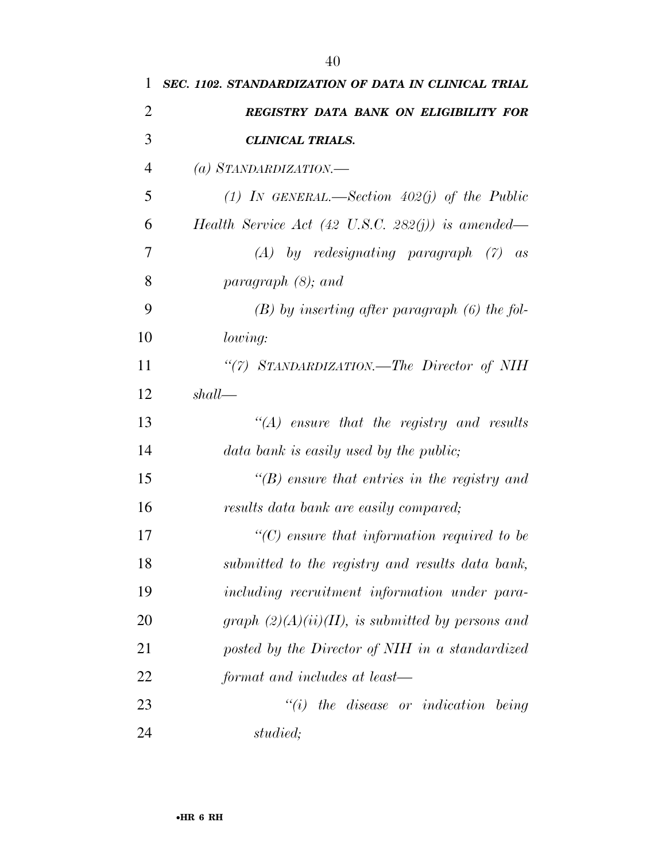| 1              | SEC. 1102. STANDARDIZATION OF DATA IN CLINICAL TRIAL         |
|----------------|--------------------------------------------------------------|
| 2              | <b>REGISTRY DATA BANK ON ELIGIBILITY FOR</b>                 |
| 3              | <b>CLINICAL TRIALS.</b>                                      |
| $\overline{4}$ | (a) STANDARDIZATION.—                                        |
| 5              | (1) IN GENERAL.—Section $402(j)$ of the Public               |
| 6              | Health Service Act $(42 \text{ U.S.C. } 282(j))$ is amended— |
| 7              | $(A)$ by redesignating paragraph $(7)$ as                    |
| 8              | paragraph $(8)$ ; and                                        |
| 9              | $(B)$ by inserting after paragraph $(6)$ the fol-            |
| 10             | <i>lowing:</i>                                               |

 *''(7) STANDARDIZATION.—The Director of NIH shall—* 

| 13 | $\lq\lq (A)$ ensure that the registry and results    |
|----|------------------------------------------------------|
| 14 | data bank is easily used by the public;              |
| 15 | $\lq\lq(B)$ ensure that entries in the registry and  |
| 16 | results data bank are easily compared;               |
| 17 | $\lq\lq C$ ensure that information required to be    |
| 18 | submitted to the registry and results data bank,     |
| 19 | including recruitment information under para-        |
| 20 | graph $(2)(A)(ii)(II)$ , is submitted by persons and |
| 21 | posted by the Director of NIH in a standardized      |
| 22 | format and includes at least—                        |
|    |                                                      |

 *''(i) the disease or indication being studied;*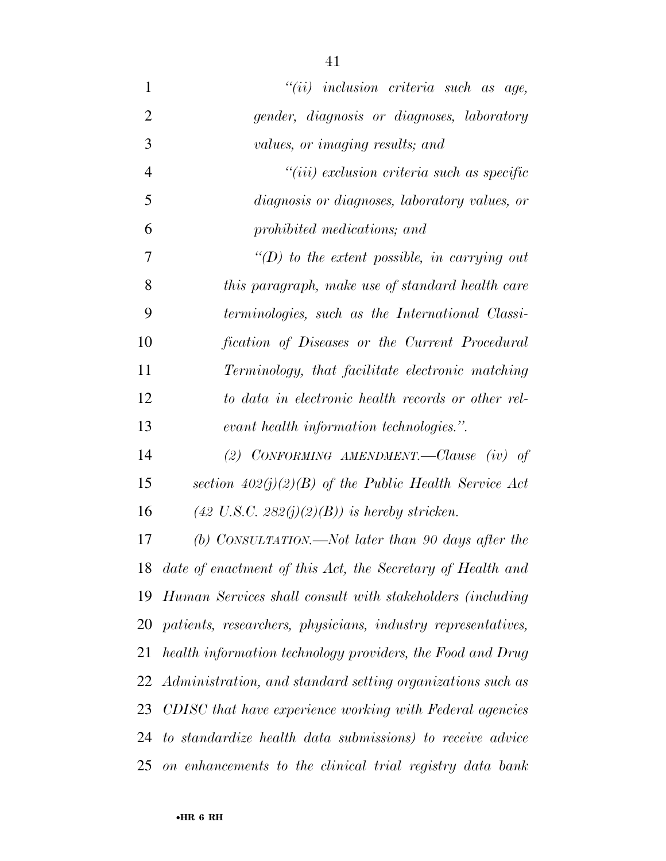*''(ii) inclusion criteria such as age, gender, diagnosis or diagnoses, laboratory values, or imaging results; and ''(iii) exclusion criteria such as specific diagnosis or diagnoses, laboratory values, or prohibited medications; and ''(D) to the extent possible, in carrying out this paragraph, make use of standard health care terminologies, such as the International Classi- fication of Diseases or the Current Procedural Terminology, that facilitate electronic matching to data in electronic health records or other rel- evant health information technologies.''. (2) CONFORMING AMENDMENT.—Clause (iv) of section 402(j)(2)(B) of the Public Health Service Act (42 U.S.C. 282(j)(2)(B)) is hereby stricken. (b) CONSULTATION.—Not later than 90 days after the date of enactment of this Act, the Secretary of Health and* 

*Human Services shall consult with stakeholders (including* 

*patients, researchers, physicians, industry representatives,* 

*health information technology providers, the Food and Drug* 

*Administration, and standard setting organizations such as* 

*CDISC that have experience working with Federal agencies* 

*to standardize health data submissions) to receive advice* 

*on enhancements to the clinical trial registry data bank*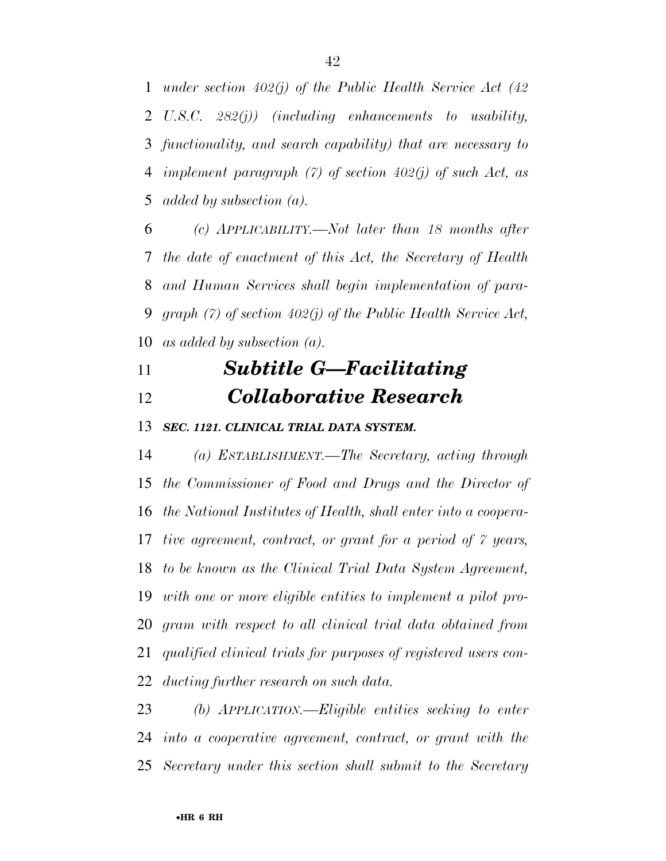*under section 402(j) of the Public Health Service Act (42 U.S.C. 282(j)) (including enhancements to usability, functionality, and search capability) that are necessary to implement paragraph (7) of section 402(j) of such Act, as added by subsection (a).* 

 *(c) APPLICABILITY.—Not later than 18 months after the date of enactment of this Act, the Secretary of Health and Human Services shall begin implementation of para- graph (7) of section 402(j) of the Public Health Service Act, as added by subsection (a).* 

## *Subtitle G—Facilitating Collaborative Research*

*SEC. 1121. CLINICAL TRIAL DATA SYSTEM.* 

 *(a) ESTABLISHMENT.—The Secretary, acting through the Commissioner of Food and Drugs and the Director of the National Institutes of Health, shall enter into a coopera- tive agreement, contract, or grant for a period of 7 years, to be known as the Clinical Trial Data System Agreement, with one or more eligible entities to implement a pilot pro- gram with respect to all clinical trial data obtained from qualified clinical trials for purposes of registered users con-ducting further research on such data.* 

 *(b) APPLICATION.—Eligible entities seeking to enter into a cooperative agreement, contract, or grant with the Secretary under this section shall submit to the Secretary*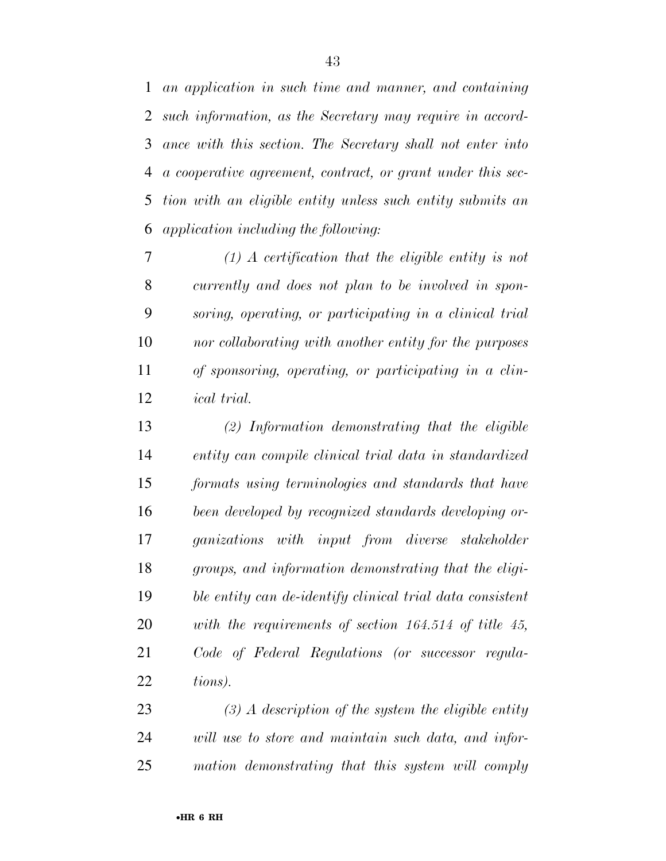*an application in such time and manner, and containing such information, as the Secretary may require in accord- ance with this section. The Secretary shall not enter into a cooperative agreement, contract, or grant under this sec- tion with an eligible entity unless such entity submits an application including the following:* 

 *(1) A certification that the eligible entity is not currently and does not plan to be involved in spon- soring, operating, or participating in a clinical trial nor collaborating with another entity for the purposes of sponsoring, operating, or participating in a clin-ical trial.* 

 *(2) Information demonstrating that the eligible entity can compile clinical trial data in standardized formats using terminologies and standards that have been developed by recognized standards developing or- ganizations with input from diverse stakeholder groups, and information demonstrating that the eligi- ble entity can de-identify clinical trial data consistent with the requirements of section 164.514 of title 45, Code of Federal Regulations (or successor regula-tions).* 

 *(3) A description of the system the eligible entity will use to store and maintain such data, and infor-mation demonstrating that this system will comply*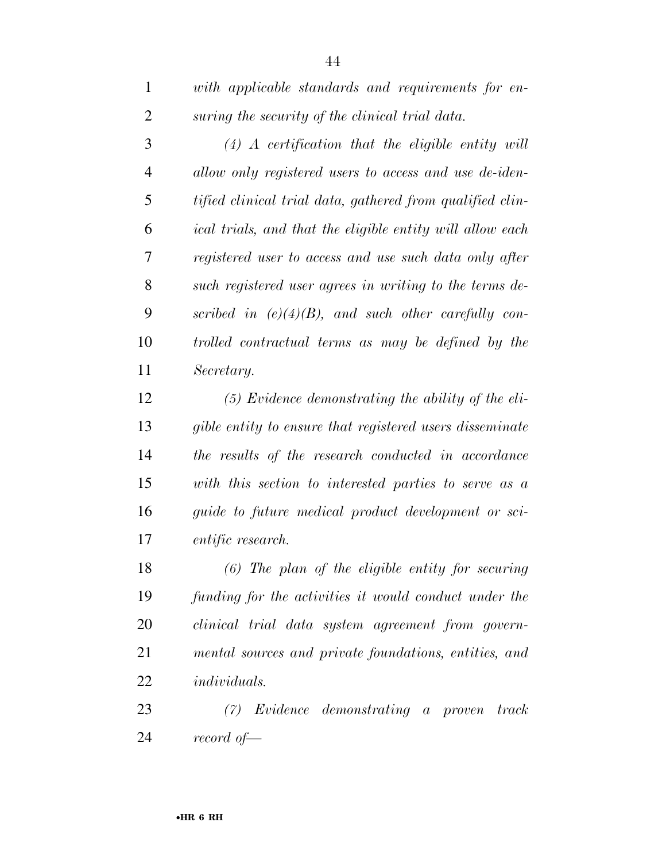| $\mathbf{1}$   | with applicable standards and requirements for en-        |
|----------------|-----------------------------------------------------------|
| $\overline{2}$ | suring the security of the clinical trial data.           |
| 3              | $(4)$ A certification that the eligible entity will       |
| $\overline{4}$ | allow only registered users to access and use de-iden-    |
| 5              | tified clinical trial data, gathered from qualified clin- |
| 6              | ical trials, and that the eligible entity will allow each |
| 7              | registered user to access and use such data only after    |
| 8              | such registered user agrees in writing to the terms de-   |
| 9              | scribed in $(e)(4)(B)$ , and such other carefully con-    |
| 10             | trolled contractual terms as may be defined by the        |
| 11             | Secretary.                                                |
| 12             | $(5)$ Evidence demonstrating the ability of the eli-      |
| 13             | gible entity to ensure that registered users disseminate  |
| 14             | the results of the research conducted in accordance       |
| 15             | with this section to interested parties to serve as a     |
| 16             | guide to future medical product development or sci-       |
| 17             | <i>entific research.</i>                                  |
| 18             | $(6)$ The plan of the eligible entity for securing        |
| 19             | funding for the activities it would conduct under the     |
| 20             | clinical trial data system agreement from govern-         |
| 21             | mental sources and private foundations, entities, and     |
| 22             | <i>individuals.</i>                                       |
| 23             | $(7)$ Evidence demonstrating a proven<br>track            |
| 24             | record of $-$                                             |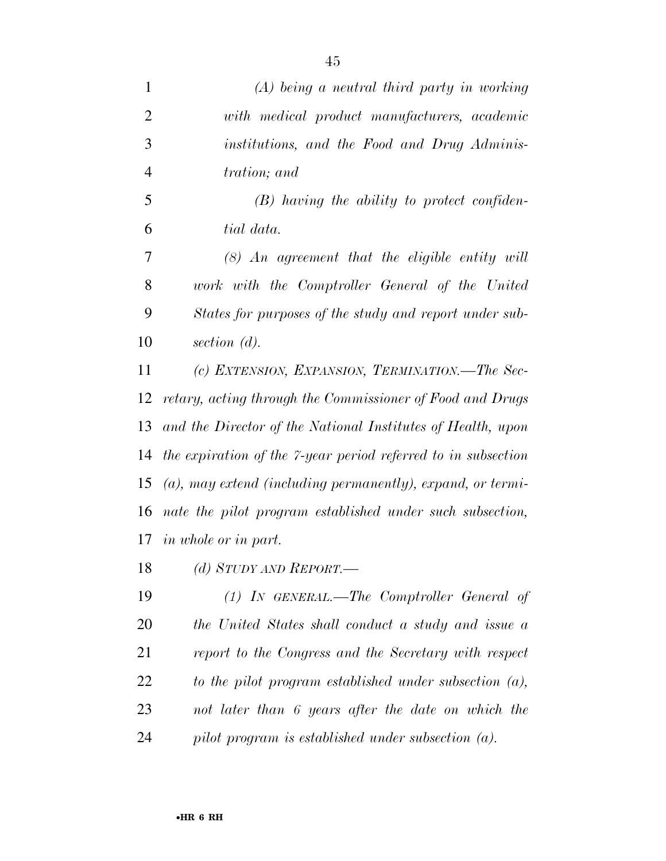| $\mathbf{1}$   | $(A)$ being a neutral third party in working                  |
|----------------|---------------------------------------------------------------|
| $\overline{2}$ | with medical product manufacturers, academic                  |
| 3              | institutions, and the Food and Drug Adminis-                  |
| $\overline{4}$ | tration; and                                                  |
| 5              | $(B)$ having the ability to protect confiden-                 |
| 6              | tial data.                                                    |
| 7              | $(8)$ An agreement that the eligible entity will              |
| 8              | work with the Comptroller General of the United               |
| 9              | States for purposes of the study and report under sub-        |
| 10             | section $(d)$ .                                               |
| 11             | (c) EXTENSION, EXPANSION, TERMINATION.—The Sec-               |
| 12             | retary, acting through the Commissioner of Food and Drugs     |
| 13             | and the Director of the National Institutes of Health, upon   |
| 14             | the expiration of the 7-year period referred to in subsection |
| 15             | $(a)$ , may extend (including permanently), expand, or termi- |
| 16             | nate the pilot program established under such subsection,     |
| 17             | <i>in whole or in part.</i>                                   |
| 18             | (d) STUDY AND REPORT.—                                        |
| 19             | (1) IN GENERAL.—The Comptroller General of                    |
| 20             | the United States shall conduct a study and issue a           |

 *report to the Congress and the Secretary with respect to the pilot program established under subsection (a), not later than 6 years after the date on which the* 

*pilot program is established under subsection (a).*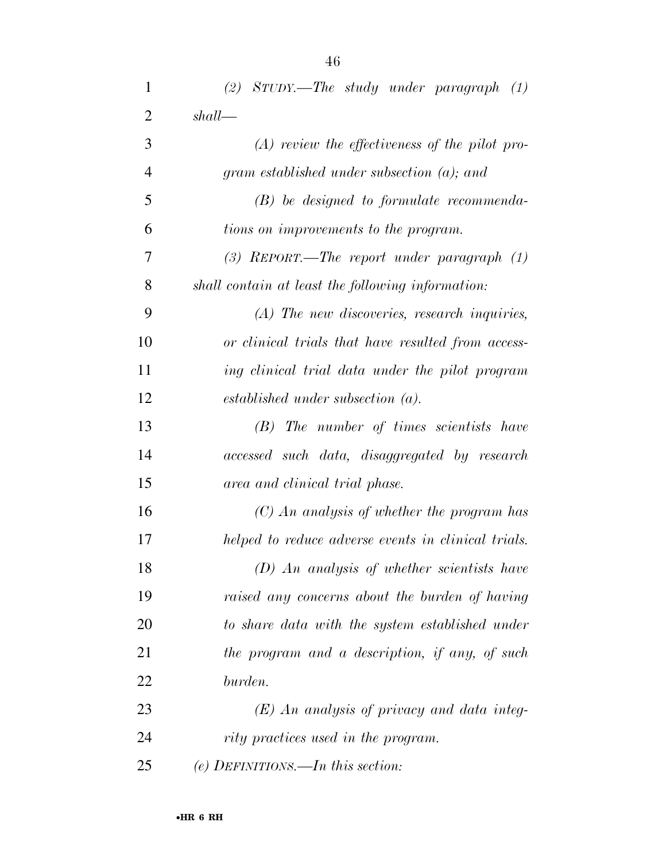| $\mathbf{1}$   | $(2)$ STUDY.—The study under paragraph $(1)$        |
|----------------|-----------------------------------------------------|
| $\overline{2}$ | shall                                               |
| 3              | $(A)$ review the effectiveness of the pilot pro-    |
| 4              | gram established under subsection $(a)$ ; and       |
| 5              | $(B)$ be designed to formulate recommenda-          |
| 6              | tions on improvements to the program.               |
| 7              | (3) REPORT.—The report under paragraph $(1)$        |
| 8              | shall contain at least the following information:   |
| 9              | $(A)$ The new discoveries, research inquiries,      |
| 10             | or clinical trials that have resulted from access-  |
| 11             | ing clinical trial data under the pilot program     |
| 12             | $established$ under subsection $(a)$ .              |
| 13             | (B) The number of times scientists have             |
| 14             | accessed such data, disaggregated by research       |
| 15             | area and clinical trial phase.                      |
| 16             | $(C)$ An analysis of whether the program has        |
| 17             | helped to reduce adverse events in clinical trials. |
| 18             | $(D)$ An analysis of whether scientists have        |
| 19             | raised any concerns about the burden of having      |
| 20             | to share data with the system established under     |
| 21             | the program and a description, if any, of such      |
| 22             | burden.                                             |
| 23             | $(E)$ An analysis of privacy and data integ-        |
| 24             | rity practices used in the program.                 |
| 25             | (e) DEFINITIONS.—In this section:                   |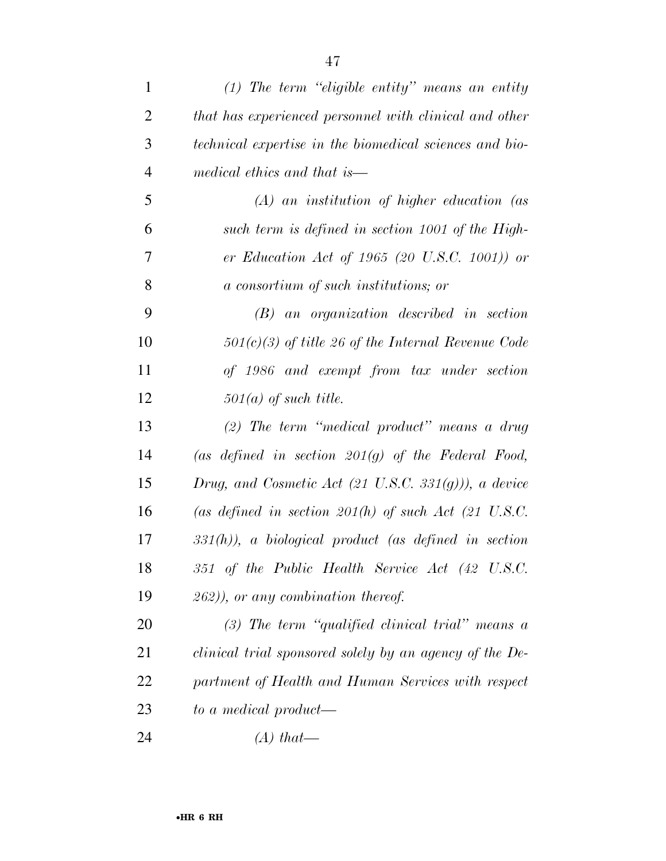| $\mathbf{1}$   | $(1)$ The term "eligible entity" means an entity                 |
|----------------|------------------------------------------------------------------|
| $\overline{2}$ | that has experienced personnel with clinical and other           |
| 3              | technical expertise in the biomedical sciences and bio-          |
| $\overline{4}$ | medical ethics and that is—                                      |
| 5              | $(A)$ an institution of higher education (as                     |
| 6              | such term is defined in section 1001 of the High-                |
| $\tau$         | er Education Act of 1965 (20 U.S.C. 1001)) or                    |
| 8              | a consortium of such institutions; or                            |
| 9              | $(B)$ an organization described in section                       |
| 10             | $501(c)(3)$ of title 26 of the Internal Revenue Code             |
| 11             | of 1986 and exempt from tax under section                        |
| 12             | $501(a)$ of such title.                                          |
| 13             | (2) The term "medical product" means a drug                      |
| 14             | (as defined in section $201(g)$ of the Federal Food,             |
| 15             | Drug, and Cosmetic Act $(21 \text{ U.S.C. } 331(g)))$ , a device |
| 16             | (as defined in section $201(h)$ of such Act (21 U.S.C.           |
| 17             | $331(h)$ , a biological product (as defined in section           |
| 18             | 351 of the Public Health Service Act (42 U.S.C.                  |
| 19             | $(262)$ , or any combination thereof.                            |
| 20             | $(3)$ The term "qualified clinical trial" means a                |
| 21             | clinical trial sponsored solely by an agency of the De-          |
| 22             | partment of Health and Human Services with respect               |
| 23             | to a medical product-                                            |
| 24             | $(A)$ that—                                                      |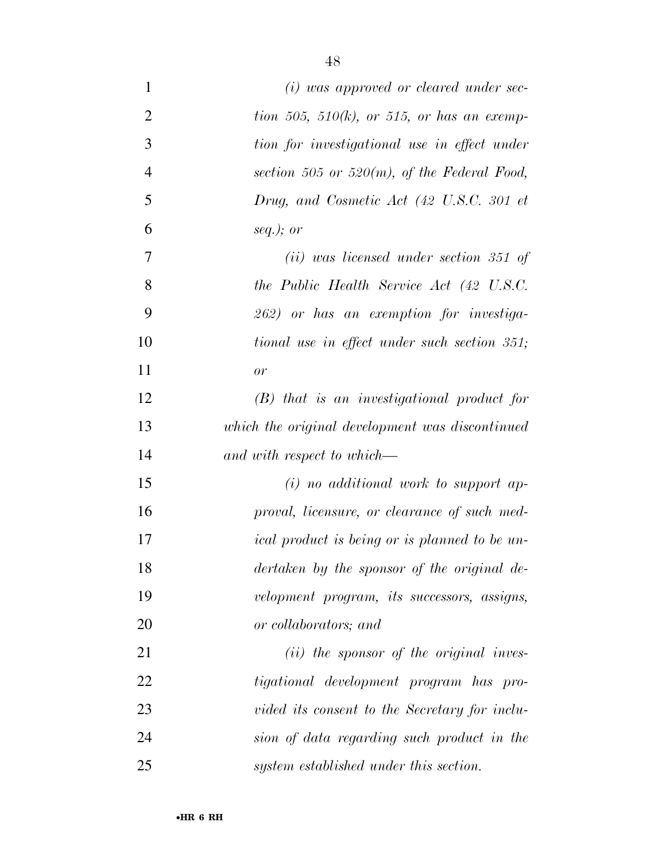| $\mathbf{1}$   | $(i)$ was approved or cleared under sec-             |
|----------------|------------------------------------------------------|
| $\overline{2}$ | tion 505, 510(k), or 515, or has an exemp-           |
| 3              | tion for investigational use in effect under         |
| $\overline{4}$ | section 505 or 520 $(m)$ , of the Federal Food,      |
| 5              | Drug, and Cosmetic Act (42 U.S.C. 301 et             |
| 6              | seq.); or                                            |
| $\tau$         | $(ii)$ was licensed under section 351 of             |
| 8              | the Public Health Service Act (42 U.S.C.             |
| 9              | 262) or has an exemption for investiga-              |
| 10             | tional use in effect under such section 351;         |
| 11             | or                                                   |
| 12             | $(B)$ that is an investigational product for         |
| 13             | which the original development was discontinued      |
| 14             | and with respect to which—                           |
| 15             | $(i)$ no additional work to support ap-              |
| 16             | proval, licensure, or clearance of such med-         |
| 17             | <i>ical product is being or is planned to be un-</i> |
| 18             | dertaken by the sponsor of the original de-          |
| 19             | velopment program, its successors, assigns,          |
| 20             | or collaborators; and                                |
| 21             | $(ii)$ the sponsor of the original inves-            |
| 22             | tigational development program has pro-              |
| 23             | vided its consent to the Secretary for inclu-        |
| 24             | sion of data regarding such product in the           |
| 25             | system established under this section.               |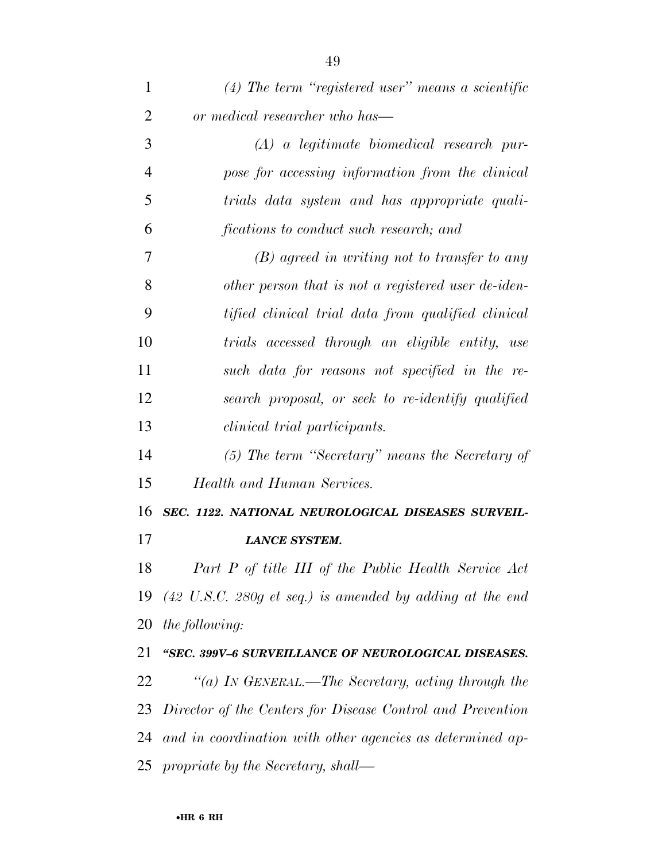| 1              | $(4)$ The term "registered user" means a scientific                            |
|----------------|--------------------------------------------------------------------------------|
| $\overline{2}$ | or medical researcher who has—                                                 |
| 3              | $(A)$ a legitimate biomedical research pur-                                    |
| $\overline{4}$ | pose for accessing information from the clinical                               |
| 5              | trials data system and has appropriate quali-                                  |
| 6              | fications to conduct such research; and                                        |
| 7              | $(B)$ agreed in writing not to transfer to any                                 |
| 8              | other person that is not a registered user de-iden-                            |
| 9              | tified clinical trial data from qualified clinical                             |
| 10             | trials accessed through an eligible entity, use                                |
| 11             | such data for reasons not specified in the re-                                 |
| 12             | search proposal, or seek to re-identify qualified                              |
| 13             | <i>clinical trial participants.</i>                                            |
| 14             | (5) The term "Secretary" means the Secretary of                                |
| 15             | <b>Health and Human Services.</b>                                              |
| 16             | SEC. 1122. NATIONAL NEUROLOGICAL DISEASES SURVEIL-                             |
| 17             | <b>LANCE SYSTEM.</b>                                                           |
| 18             | Part P of title III of the Public Health Service Act                           |
|                | 19 $(42 \text{ U.S.C. } 280g \text{ et seq.})$ is amended by adding at the end |
|                | 20 the following:                                                              |
| 21             | "SEC. 399V-6 SURVEILLANCE OF NEUROLOGICAL DISEASES.                            |
| 22             | "(a) In GENERAL.—The Secretary, acting through the                             |
|                | 23 Director of the Centers for Disease Control and Prevention                  |
|                | 24 and in coordination with other agencies as determined ap-                   |
|                | $25$ propriate by the Secretary, shall—                                        |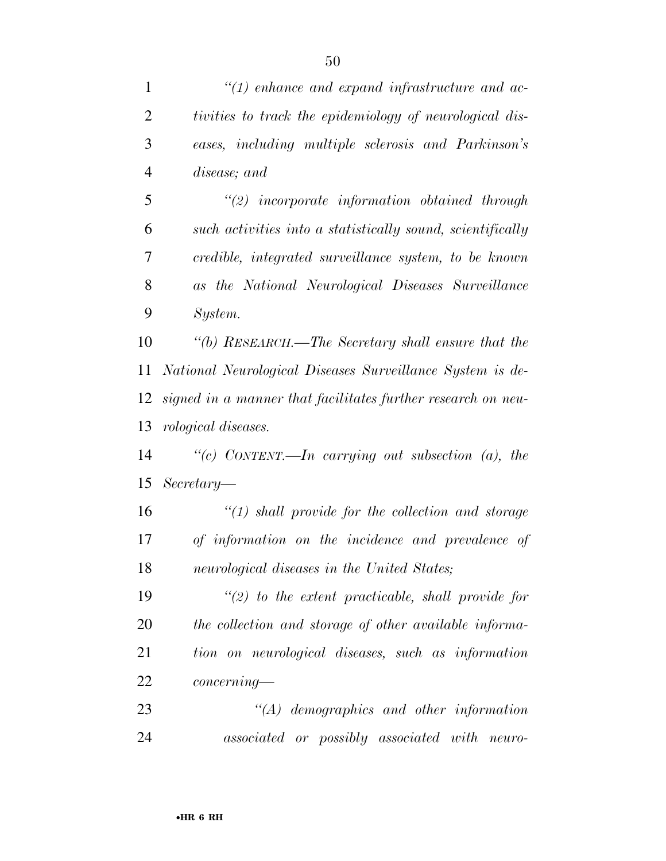| $\mathbf{1}$   | $\lq(1)$ enhance and expand infrastructure and ac-           |
|----------------|--------------------------------------------------------------|
| $\overline{2}$ | tivities to track the epidemiology of neurological dis-      |
| 3              | eases, including multiple sclerosis and Parkinson's          |
| $\overline{4}$ | disease; and                                                 |
| 5              | $\lq(2)$ incorporate information obtained through            |
| 6              | such activities into a statistically sound, scientifically   |
| 7              | credible, integrated surveillance system, to be known        |
| 8              | as the National Neurological Diseases Surveillance           |
| 9              | System.                                                      |
| 10             | "(b) RESEARCH.—The Secretary shall ensure that the           |
| 11             | National Neurological Diseases Surveillance System is de-    |
| 12             | signed in a manner that facilitates further research on neu- |
| 13             | <i>rological diseases.</i>                                   |
| 14             | "(c) CONTENT.—In carrying out subsection (a), the            |
| 15             | $Secretary-$                                                 |
| 16             | $\lq(1)$ shall provide for the collection and storage        |
| 17             | of information on the incidence and prevalence of            |
| 18             | neurological diseases in the United States;                  |
| 19             | $\lq(2)$ to the extent practicable, shall provide for        |
| 20             | the collection and storage of other available informa-       |
| 21             | tion on neurological diseases, such as information           |
| 22             | concerning                                                   |
| 23             | $\lq (A)$ demographics and other information                 |
| 24             | associated or possibly associated with<br>neuro-             |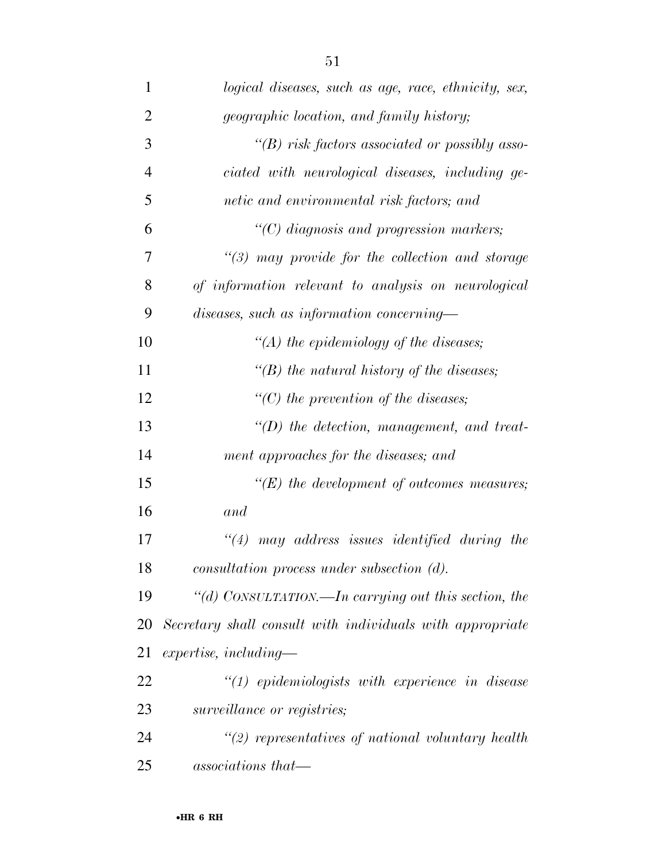| $\mathbf{1}$   | logical diseases, such as age, race, ethnicity, sex,      |
|----------------|-----------------------------------------------------------|
| $\overline{2}$ | <i>geographic location, and family history;</i>           |
| 3              | $\lq\lq(B)$ risk factors associated or possibly asso-     |
| $\overline{4}$ | ciated with neurological diseases, including ge-          |
| 5              | netic and environmental risk factors; and                 |
| 6              | $\lq(C)$ diagnosis and progression markers;               |
| 7              | $\lq(3)$ may provide for the collection and storage       |
| 8              | of information relevant to analysis on neurological       |
| 9              | diseases, such as information concerning-                 |
| 10             | "(A) the epidemiology of the diseases;                    |
| 11             | "(B) the natural history of the diseases;                 |
| 12             | $\lq\lq C$ ) the prevention of the diseases;              |
| 13             | $\lq (D)$ the detection, management, and treat-           |
| 14             | ment approaches for the diseases; and                     |
| 15             | $\lq\lq(E)$ the development of outcomes measures;         |
| 16             | and                                                       |
| 17             | $\lq(4)$ may address issues identified during the         |
| 18             | $consultation$ process under subsection $(d)$ .           |
| 19             | "(d) CONSULTATION.—In carrying out this section, the      |
| 20             | Secretary shall consult with individuals with appropriate |
| 21             | $expertise, including-$                                   |
| 22             | $"(1)$ epidemiologists with experience in disease         |
| 23             | surveillance or registries;                               |
| 24             | $\lq(2)$ representatives of national voluntary health     |
| 25             | associations that—                                        |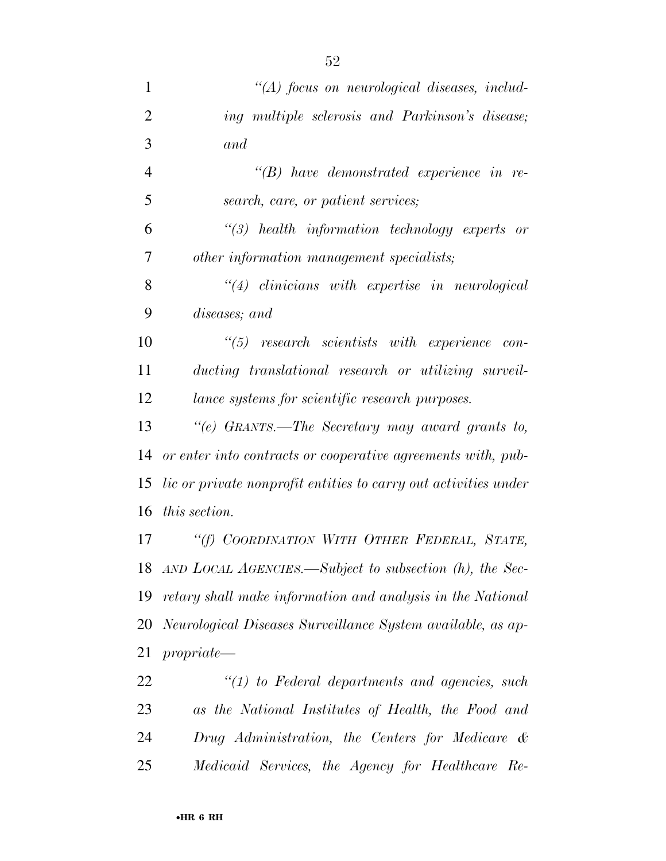| $\mathbf{1}$   | $\lq (A)$ focus on neurological diseases, includ-                      |
|----------------|------------------------------------------------------------------------|
| $\overline{2}$ | ing multiple sclerosis and Parkinson's disease;                        |
| 3              | and                                                                    |
| $\overline{4}$ | $\lq\lq(B)$ have demonstrated experience in re-                        |
| 5              | search, care, or patient services;                                     |
| 6              | $\lq(3)$ health information technology experts or                      |
| 7              | other information management specialists;                              |
| 8              | $\lq(4)$ clinicians with expertise in neurological                     |
| 9              | diseases; and                                                          |
| 10             | $\lq(5)$ research scientists with experience con-                      |
| 11             | ducting translational research or utilizing surveil-                   |
| 12             | lance systems for scientific research purposes.                        |
| 13             | "(e) GRANTS.—The Secretary may award grants to,                        |
| 14             | or enter into contracts or cooperative agreements with, pub-           |
| 15             | <i>lic</i> or private nonprofit entities to carry out activities under |
| 16             | <i>this section.</i>                                                   |
| 17             | "(f) COORDINATION WITH OTHER FEDERAL, STATE,                           |
| 18             | $AND$ LOCAL AGENCIES.—Subject to subsection $(h)$ , the Sec-           |
| 19             | retary shall make information and analysis in the National             |
| 20             | Neurological Diseases Surveillance System available, as ap-            |
| 21             | propriate                                                              |
| 22             | $"(1)$ to Federal departments and agencies, such                       |
| 23             | as the National Institutes of Health, the Food and                     |
| 24             | Drug Administration, the Centers for Medicare &                        |
| 25             | Medicaid Services, the Agency for Healthcare Re-                       |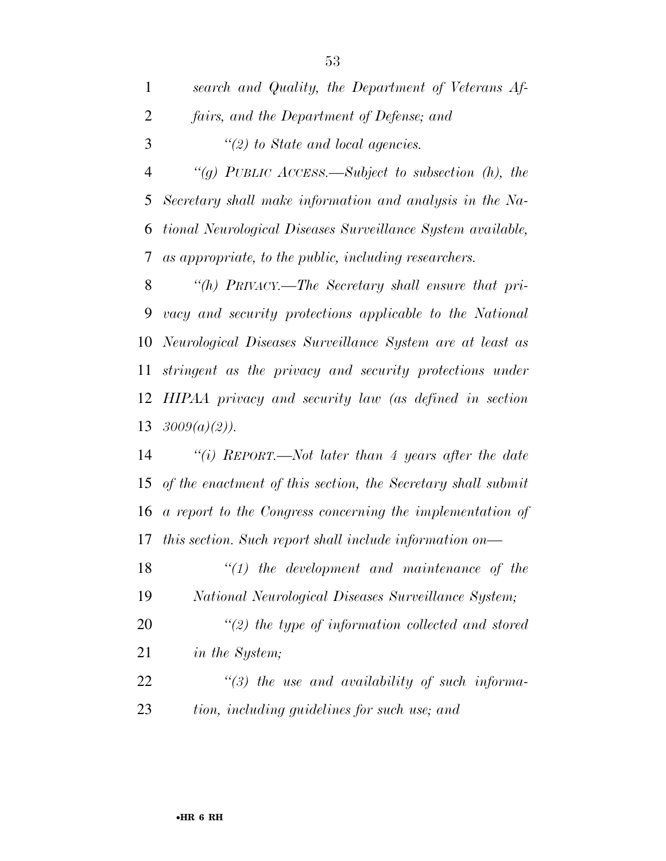| $\mathbf{1}$   | search and Quality, the Department of Veterans Af-           |
|----------------|--------------------------------------------------------------|
| $\overline{2}$ | fairs, and the Department of Defense; and                    |
| 3              | $"(2)$ to State and local agencies.                          |
| $\overline{4}$ | "(g) PUBLIC ACCESS.—Subject to subsection $(h)$ , the        |
| 5              | Secretary shall make information and analysis in the Na-     |
| 6              | tional Neurological Diseases Surveillance System available,  |
| 7              | as appropriate, to the public, including researchers.        |
| 8              | "(h) $PRIVACY$ . The Secretary shall ensure that pri-        |
| 9              | vacy and security protections applicable to the National     |
| 10             | Neurological Diseases Surveillance System are at least as    |
| 11             | stringent as the privacy and security protections under      |
| 12             | HIPAA privacy and security law (as defined in section        |
|                | 13 $3009(a)(2)$ ).                                           |
| 14             | "(i) REPORT.—Not later than 4 years after the date           |
| 15             | of the enactment of this section, the Secretary shall submit |
| 16             | a report to the Congress concerning the implementation of    |
| 17             | this section. Such report shall include information on—      |
| 18             | $\lq(1)$ the development and maintenance of the              |
| 19             | National Neurological Diseases Surveillance System;          |
| 20             | $\lq(2)$ the type of information collected and stored        |
| 21             | <i>in the System;</i>                                        |
| 22             | $\lq(3)$ the use and availability of such informa-           |
| 23             | tion, including guidelines for such use; and                 |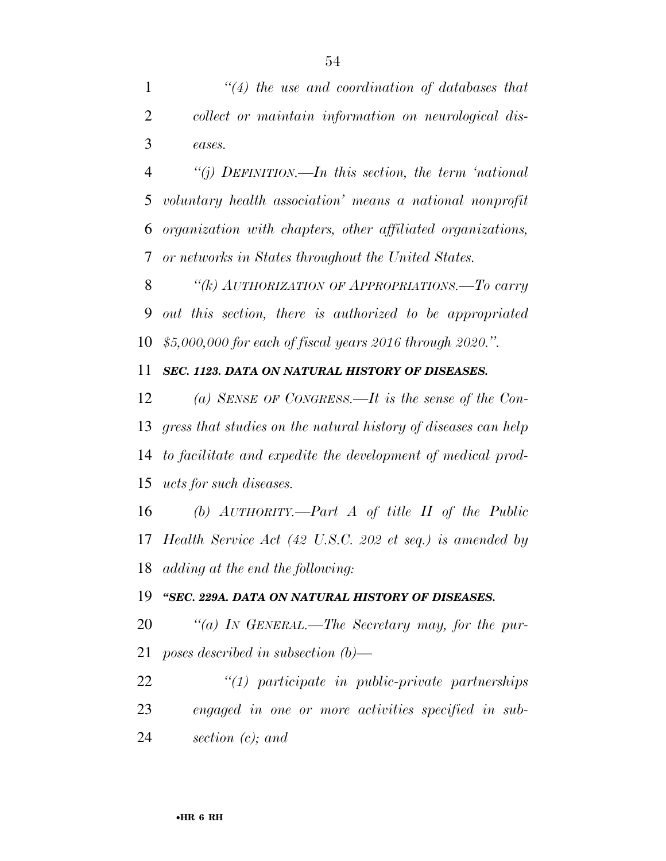*''(4) the use and coordination of databases that collect or maintain information on neurological dis-eases.* 

 *''(j) DEFINITION.—In this section, the term 'national voluntary health association' means a national nonprofit organization with chapters, other affiliated organizations, or networks in States throughout the United States.* 

 *''(k) AUTHORIZATION OF APPROPRIATIONS.—To carry out this section, there is authorized to be appropriated \$5,000,000 for each of fiscal years 2016 through 2020.''.* 

### *SEC. 1123. DATA ON NATURAL HISTORY OF DISEASES.*

 *(a) SENSE OF CONGRESS.—It is the sense of the Con- gress that studies on the natural history of diseases can help to facilitate and expedite the development of medical prod-ucts for such diseases.* 

 *(b) AUTHORITY.—Part A of title II of the Public Health Service Act (42 U.S.C. 202 et seq.) is amended by adding at the end the following:* 

*''SEC. 229A. DATA ON NATURAL HISTORY OF DISEASES.* 

 *''(a) IN GENERAL.—The Secretary may, for the pur-poses described in subsection (b)—* 

 *''(1) participate in public-private partnerships engaged in one or more activities specified in sub-section (c); and*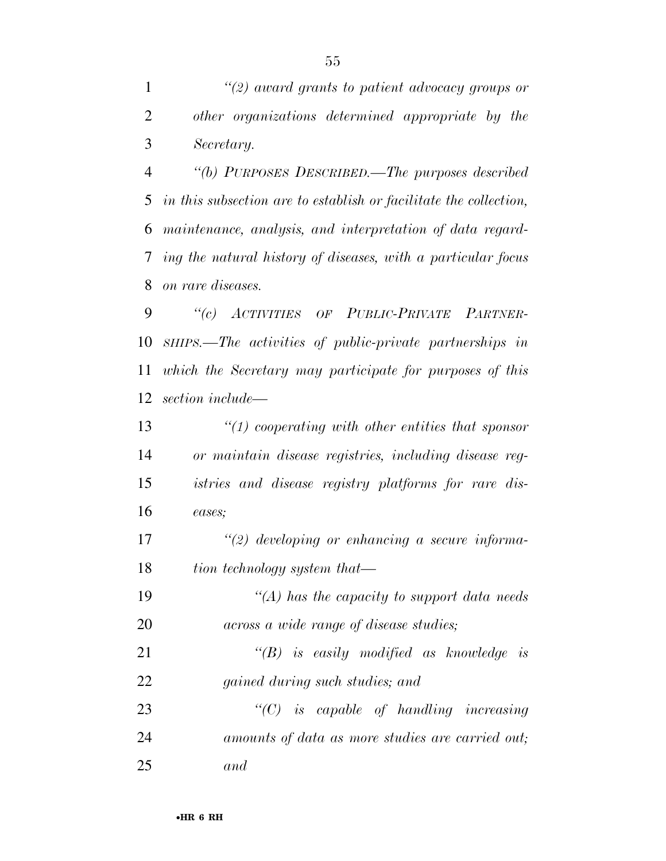*''(2) award grants to patient advocacy groups or other organizations determined appropriate by the Secretary.* 

 *''(b) PURPOSES DESCRIBED.—The purposes described in this subsection are to establish or facilitate the collection, maintenance, analysis, and interpretation of data regard- ing the natural history of diseases, with a particular focus on rare diseases.* 

 *''(c) ACTIVITIES OF PUBLIC-PRIVATE PARTNER- SHIPS.—The activities of public-private partnerships in which the Secretary may participate for purposes of this section include—* 

 *''(1) cooperating with other entities that sponsor or maintain disease registries, including disease reg- istries and disease registry platforms for rare dis-eases;* 

 *''(2) developing or enhancing a secure informa-tion technology system that—* 

 *''(A) has the capacity to support data needs across a wide range of disease studies;* 

 *''(B) is easily modified as knowledge is gained during such studies; and* 

 *''(C) is capable of handling increasing amounts of data as more studies are carried out; and*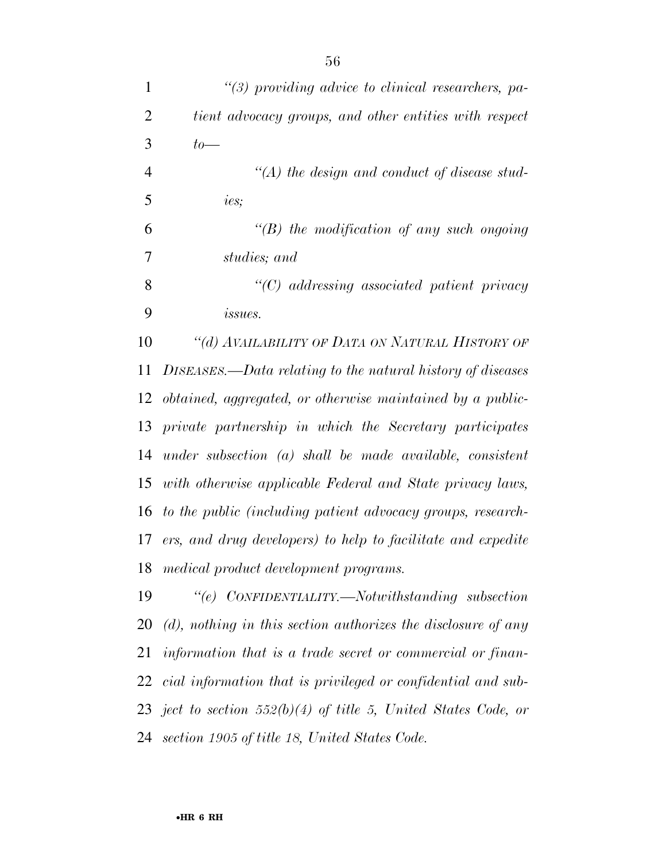*''(3) providing advice to clinical researchers, pa- tient advocacy groups, and other entities with respect to— ''(A) the design and conduct of disease stud- ies; ''(B) the modification of any such ongoing studies; and ''(C) addressing associated patient privacy issues. ''(d) AVAILABILITY OF DATA ON NATURAL HISTORY OF DISEASES.—Data relating to the natural history of diseases obtained, aggregated, or otherwise maintained by a public- private partnership in which the Secretary participates under subsection (a) shall be made available, consistent with otherwise applicable Federal and State privacy laws, to the public (including patient advocacy groups, research- ers, and drug developers) to help to facilitate and expedite medical product development programs. ''(e) CONFIDENTIALITY.—Notwithstanding subsection (d), nothing in this section authorizes the disclosure of any information that is a trade secret or commercial or finan- cial information that is privileged or confidential and sub-ject to section 552(b)(4) of title 5, United States Code, or* 

*section 1905 of title 18, United States Code.*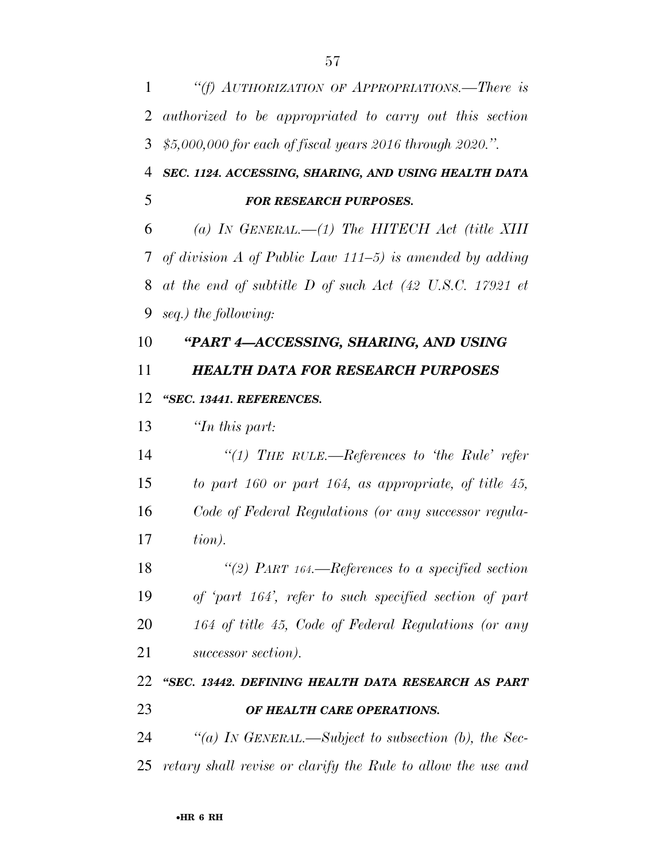*''(f) AUTHORIZATION OF APPROPRIATIONS.—There is authorized to be appropriated to carry out this section \$5,000,000 for each of fiscal years 2016 through 2020.''.* 

 *SEC. 1124. ACCESSING, SHARING, AND USING HEALTH DATA FOR RESEARCH PURPOSES.* 

 *(a) IN GENERAL.—(1) The HITECH Act (title XIII of division A of Public Law 111–5) is amended by adding at the end of subtitle D of such Act (42 U.S.C. 17921 et seq.) the following:* 

### *''PART 4—ACCESSING, SHARING, AND USING*

*HEALTH DATA FOR RESEARCH PURPOSES* 

### *''SEC. 13441. REFERENCES.*

*''In this part:* 

 *''(1) THE RULE.—References to 'the Rule' refer to part 160 or part 164, as appropriate, of title 45, Code of Federal Regulations (or any successor regula-tion).* 

 *''(2) PART 164.—References to a specified section of 'part 164', refer to such specified section of part 164 of title 45, Code of Federal Regulations (or any successor section).* 

## *''SEC. 13442. DEFINING HEALTH DATA RESEARCH AS PART OF HEALTH CARE OPERATIONS.*

 *''(a) IN GENERAL.—Subject to subsection (b), the Sec-retary shall revise or clarify the Rule to allow the use and*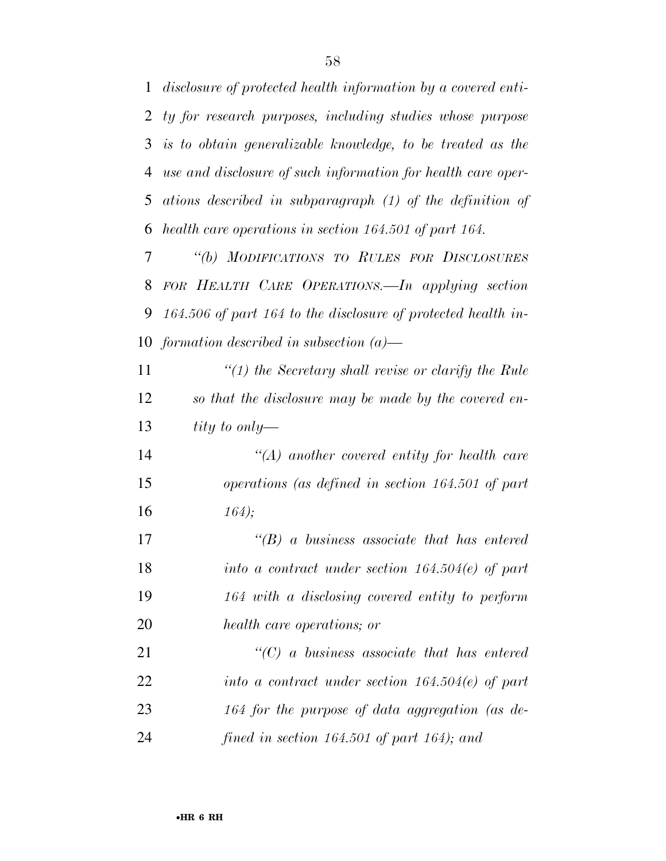*disclosure of protected health information by a covered enti- ty for research purposes, including studies whose purpose is to obtain generalizable knowledge, to be treated as the use and disclosure of such information for health care oper- ations described in subparagraph (1) of the definition of health care operations in section 164.501 of part 164.* 

 *''(b) MODIFICATIONS TO RULES FOR DISCLOSURES FOR HEALTH CARE OPERATIONS.—In applying section 164.506 of part 164 to the disclosure of protected health in-formation described in subsection (a)—* 

 *''(1) the Secretary shall revise or clarify the Rule so that the disclosure may be made by the covered en-tity to only—* 

 *''(A) another covered entity for health care operations (as defined in section 164.501 of part 164);* 

 *''(B) a business associate that has entered into a contract under section 164.504(e) of part 164 with a disclosing covered entity to perform health care operations; or* 

 *''(C) a business associate that has entered into a contract under section 164.504(e) of part 164 for the purpose of data aggregation (as de-fined in section 164.501 of part 164); and*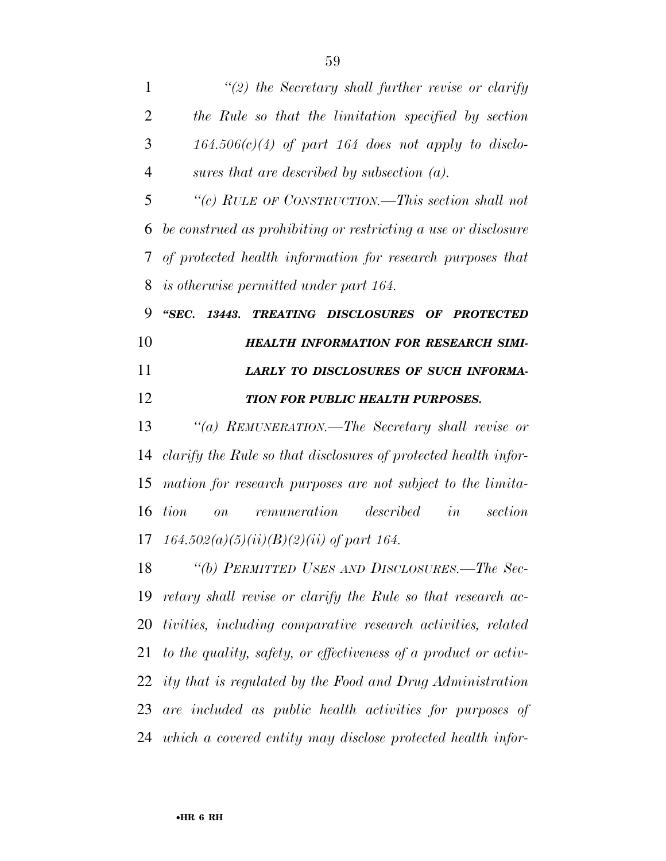| 1              | $\lq(2)$ the Secretary shall further revise or clarify             |
|----------------|--------------------------------------------------------------------|
| $\overline{2}$ | the Rule so that the limitation specified by section               |
| 3              | $164.506(c)(4)$ of part 164 does not apply to disclo-              |
| $\overline{4}$ | sures that are described by subsection $(a)$ .                     |
| 5              | "(c) RULE OF CONSTRUCTION.—This section shall not                  |
| 6              | be construed as prohibiting or restricting a use or disclosure     |
| 7              | of protected health information for research purposes that         |
| 8              | is otherwise permitted under part 164.                             |
| 9              | "SEC.<br>13443. TREATING DISCLOSURES OF PROTECTED                  |
| 10             | <b>HEALTH INFORMATION FOR RESEARCH SIMI-</b>                       |
| 11             | LARLY TO DISCLOSURES OF SUCH INFORMA-                              |
| 12             | TION FOR PUBLIC HEALTH PURPOSES.                                   |
| 13             | "(a) REMUNERATION.—The Secretary shall revise or                   |
| 14             | clarify the Rule so that disclosures of protected health infor-    |
| 15             | mation for research purposes are not subject to the limita-        |
| 16             | in<br>remuneration described<br>tion<br>section<br>$\overline{on}$ |
|                | 17 $164.502(a)(5)(ii)(B)(2)(ii)$ of part 164.                      |
| 18             | "(b) PERMITTED USES AND DISCLOSURES.—The Sec-                      |
| 19             | retary shall revise or clarify the Rule so that research ac-       |
| 20             | tivities, including comparative research activities, related       |
| 21             | to the quality, safety, or effectiveness of a product or activ-    |
| 22             | ity that is regulated by the Food and Drug Administration          |
| 23             | are included as public health activities for purposes of           |
|                | 24 which a covered entity may disclose protected health infor-     |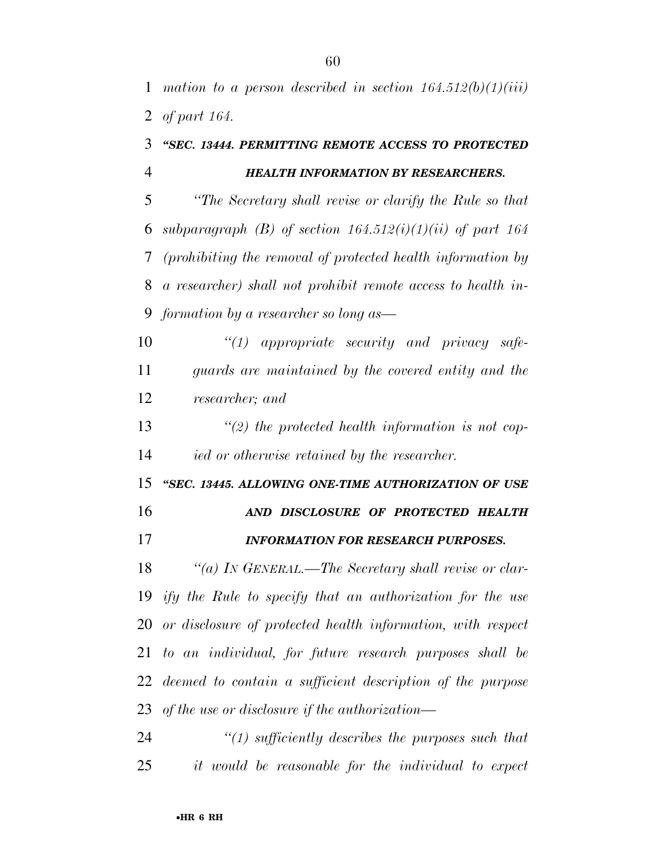## *''SEC. 13444. PERMITTING REMOTE ACCESS TO PROTECTED HEALTH INFORMATION BY RESEARCHERS.*

 *''The Secretary shall revise or clarify the Rule so that subparagraph (B) of section 164.512(i)(1)(ii) of part 164 (prohibiting the removal of protected health information by a researcher) shall not prohibit remote access to health in-formation by a researcher so long as—* 

 *''(1) appropriate security and privacy safe- guards are maintained by the covered entity and the researcher; and* 

 *''(2) the protected health information is not cop-ied or otherwise retained by the researcher.* 

 *''SEC. 13445. ALLOWING ONE-TIME AUTHORIZATION OF USE AND DISCLOSURE OF PROTECTED HEALTH* 

*INFORMATION FOR RESEARCH PURPOSES.* 

 *''(a) IN GENERAL.—The Secretary shall revise or clar- ify the Rule to specify that an authorization for the use or disclosure of protected health information, with respect to an individual, for future research purposes shall be deemed to contain a sufficient description of the purpose of the use or disclosure if the authorization—* 

 *''(1) sufficiently describes the purposes such that it would be reasonable for the individual to expect*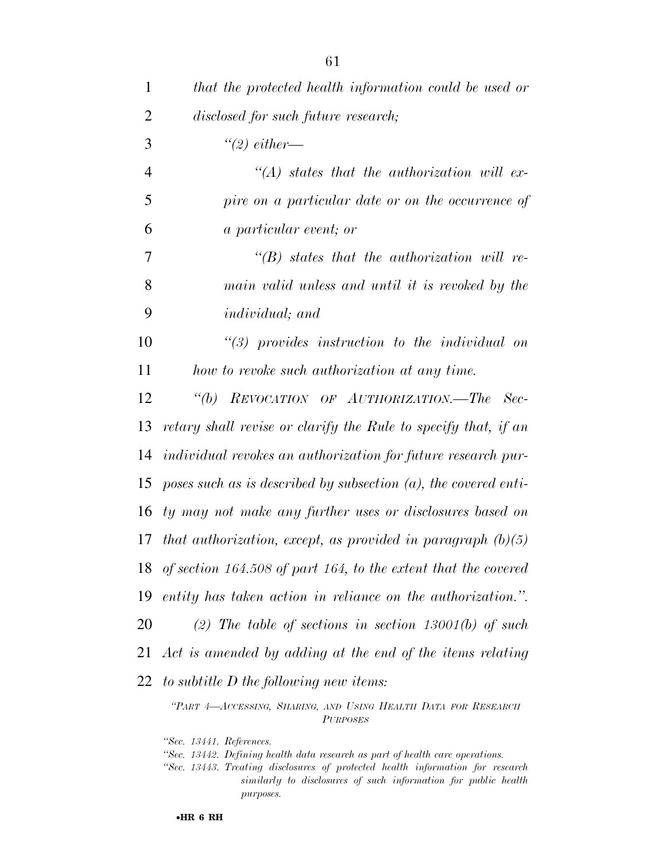| $\mathbf{1}$   | that the protected health information could be used or             |
|----------------|--------------------------------------------------------------------|
| $\overline{2}$ | disclosed for such future research;                                |
| 3              | $\lq(2)$ either—                                                   |
| $\overline{4}$ | $\lq (A)$ states that the authorization will ex-                   |
| 5              | pire on a particular date or on the occurrence of                  |
| 6              | <i>a particular event; or</i>                                      |
| 7              | $\lq\lq B$ states that the authorization will re-                  |
| 8              | main valid unless and until it is revoked by the                   |
| 9              | individual; and                                                    |
| 10             | $\lq(3)$ provides instruction to the individual on                 |
| 11             | how to revoke such authorization at any time.                      |
| 12             | "(b) REVOCATION OF AUTHORIZATION.—The Sec-                         |
| 13             | retary shall revise or clarify the Rule to specify that, if an     |
| 14             | individual revokes an authorization for future research pur-       |
| 15             | poses such as is described by subsection $(a)$ , the covered enti- |
| 16             | ty may not make any further uses or disclosures based on           |
| 17             | that authorization, except, as provided in paragraph $(b)(5)$      |
|                | 18 of section 164.508 of part 164, to the extent that the covered  |
| 19             | entity has taken action in reliance on the authorization.".        |
| 20             | (2) The table of sections in section 13001(b) of such              |
| 21             | Act is amended by adding at the end of the items relating          |
|                | 22 to subtitle $D$ the following new items:                        |
|                |                                                                    |

*''PART 4—ACCESSING, SHARING, AND USING HEALTH DATA FOR RESEARCH PURPOSES*

*''Sec. 13441. References.* 

*''Sec. 13442. Defining health data research as part of health care operations.* 

*''Sec. 13443. Treating disclosures of protected health information for research similarly to disclosures of such information for public health purposes.*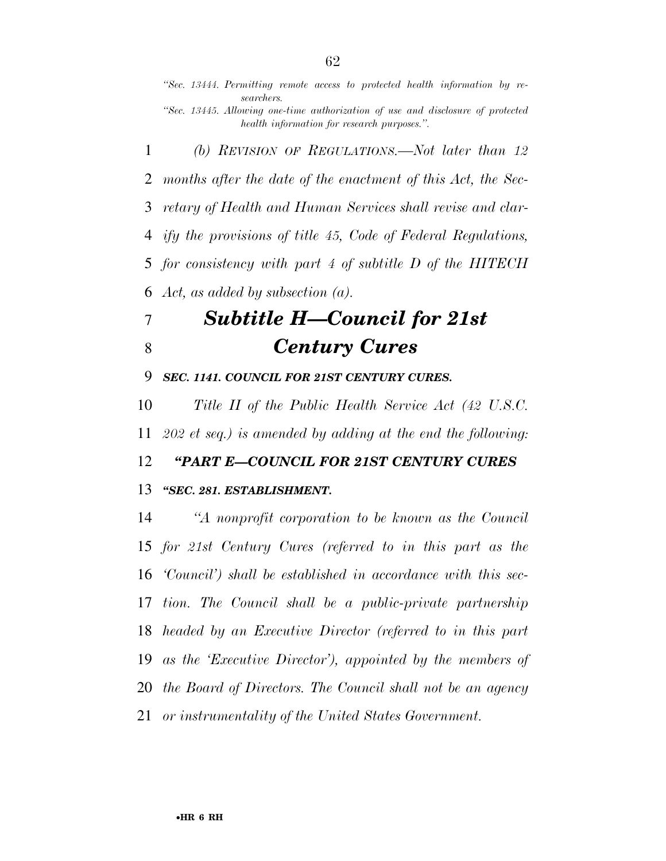*''Sec. 13444. Permitting remote access to protected health information by researchers. ''Sec. 13445. Allowing one-time authorization of use and disclosure of protected health information for research purposes.''.* 

 *(b) REVISION OF REGULATIONS.—Not later than 12 months after the date of the enactment of this Act, the Sec- retary of Health and Human Services shall revise and clar- ify the provisions of title 45, Code of Federal Regulations, for consistency with part 4 of subtitle D of the HITECH Act, as added by subsection (a).* 

## *Subtitle H—Council for 21st Century Cures*

*SEC. 1141. COUNCIL FOR 21ST CENTURY CURES.* 

 *Title II of the Public Health Service Act (42 U.S.C. 202 et seq.) is amended by adding at the end the following:* 

*''PART E—COUNCIL FOR 21ST CENTURY CURES* 

### *''SEC. 281. ESTABLISHMENT.*

 *''A nonprofit corporation to be known as the Council for 21st Century Cures (referred to in this part as the 'Council') shall be established in accordance with this sec- tion. The Council shall be a public-private partnership headed by an Executive Director (referred to in this part as the 'Executive Director'), appointed by the members of the Board of Directors. The Council shall not be an agency or instrumentality of the United States Government.*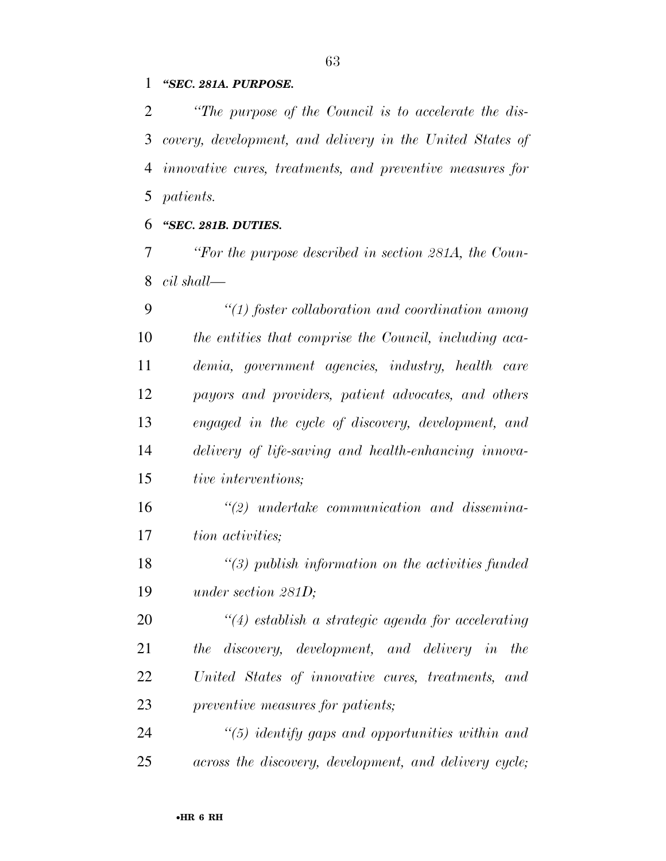#### *''SEC. 281A. PURPOSE.*

 *''The purpose of the Council is to accelerate the dis- covery, development, and delivery in the United States of innovative cures, treatments, and preventive measures for patients.* 

#### *''SEC. 281B. DUTIES.*

 *''For the purpose described in section 281A, the Coun-cil shall—* 

 *''(1) foster collaboration and coordination among the entities that comprise the Council, including aca- demia, government agencies, industry, health care payors and providers, patient advocates, and others engaged in the cycle of discovery, development, and delivery of life-saving and health-enhancing innova-tive interventions;* 

 *''(2) undertake communication and dissemina-tion activities;* 

 *''(3) publish information on the activities funded under section 281D;* 

 *''(4) establish a strategic agenda for accelerating the discovery, development, and delivery in the United States of innovative cures, treatments, and preventive measures for patients;* 

 *''(5) identify gaps and opportunities within and across the discovery, development, and delivery cycle;*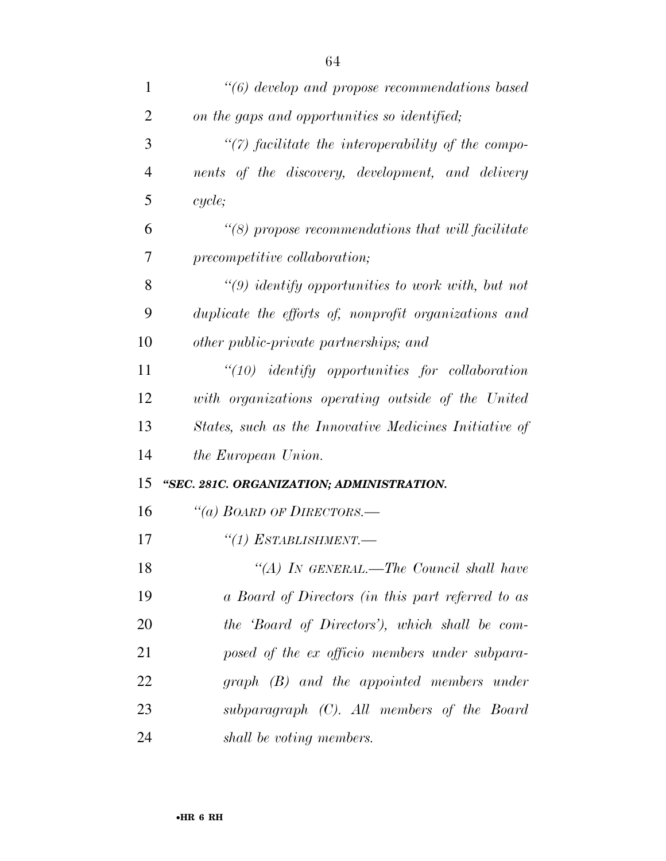| $\mathbf{1}$   | "(6) develop and propose recommendations based         |
|----------------|--------------------------------------------------------|
| $\overline{2}$ | on the gaps and opportunities so identified;           |
| 3              | $\lq(7)$ facilitate the interoperability of the compo- |
| $\overline{4}$ | nents of the discovery, development, and delivery      |
| 5              | cycle;                                                 |
| 6              | $\lq(8)$ propose recommendations that will facilitate  |
| 7              | precompetitive collaboration;                          |
| 8              | $\lq(9)$ identify opportunities to work with, but not  |
| 9              | duplicate the efforts of, nonprofit organizations and  |
| 10             | other public-private partnerships; and                 |
| 11             | $``(10)$ identify opportunities for collaboration      |
| 12             | with organizations operating outside of the United     |
| 13             | States, such as the Innovative Medicines Initiative of |
| 14             | the European Union.                                    |
| 15             | "SEC. 281C. ORGANIZATION; ADMINISTRATION.              |
| 16             | "(a) BOARD OF DIRECTORS.-                              |
| 17             | $``(1)$ ESTABLISHMENT.—                                |
| 18             | "(A) IN GENERAL.—The Council shall have                |
| 19             | a Board of Directors (in this part referred to as      |
| 20             | the 'Board of Directors'), which shall be com-         |
| 21             | posed of the ex officio members under subpara-         |
| 22             | graph (B) and the appointed members under              |
| 23             | subparagraph (C). All members of the Board             |
| 24             | shall be voting members.                               |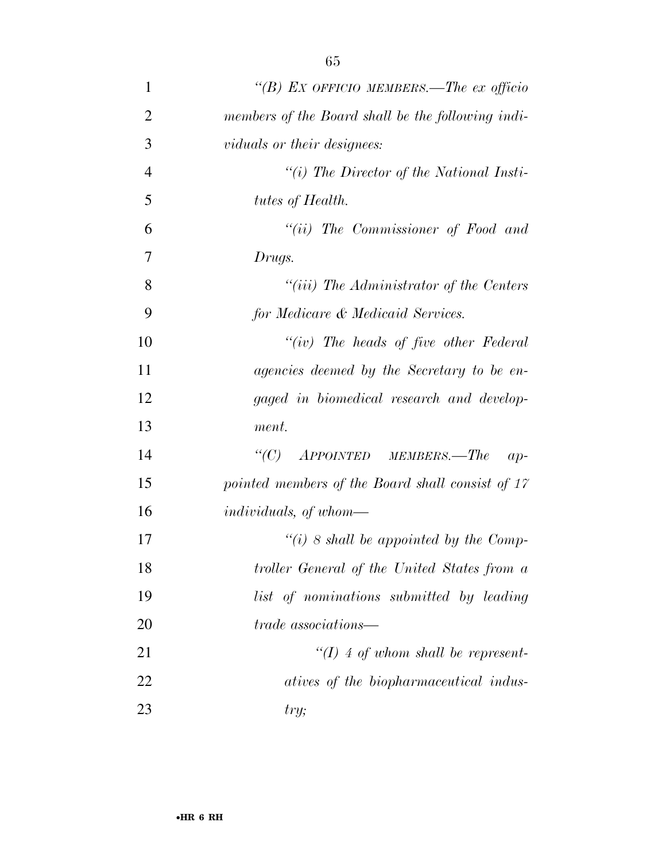| 1              | "(B) EX OFFICIO MEMBERS.—The ex officio           |
|----------------|---------------------------------------------------|
| $\overline{2}$ | members of the Board shall be the following indi- |
| 3              | <i>viduals or their designees:</i>                |
| $\overline{4}$ | $``(i)$ The Director of the National Insti-       |
| 5              | tutes of Health.                                  |
| 6              | $``(ii)$ The Commissioner of Food and             |
| 7              | Drugs.                                            |
| 8              | $``(iii)$ The Administrator of the Centers        |
| 9              | for Medicare & Medicaid Services.                 |
| 10             | $``(iv)$ The heads of five other Federal          |
| 11             | agencies deemed by the Secretary to be en-        |
| 12             | gaged in biomedical research and develop-         |
| 13             | ment.                                             |
| 14             | "(C) $APPOINTED$ MEMBERS.—The<br>$ap-$            |
| 15             | pointed members of the Board shall consist of 17  |
| 16             | <i>individuals, of whom—</i>                      |
| 17             | "(i) 8 shall be appointed by the Comp-            |
| 18             | troller General of the United States from a       |
| 19             | list of nominations submitted by leading          |
| 20             | <i>trade</i> associations—                        |
| 21             | $\lq (I)$ 4 of whom shall be represent-           |
| 22             | atives of the biopharmaceutical indus-            |
| 23             | try;                                              |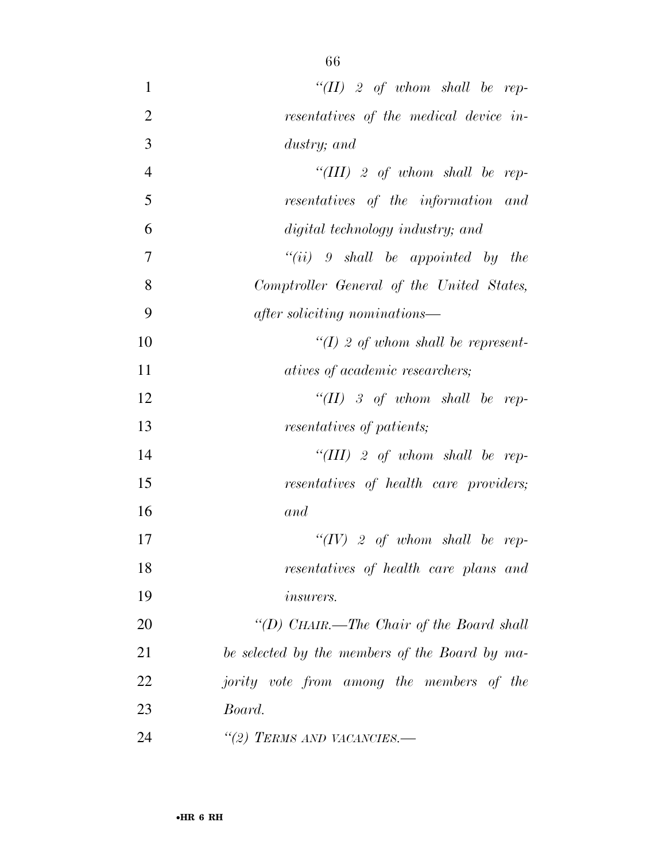| $\mathbf{1}$   | "(II) 2 of whom shall be rep-                  |
|----------------|------------------------------------------------|
| $\overline{2}$ | resentatives of the medical device in-         |
| 3              | dustry; and                                    |
| $\overline{4}$ | "(III) 2 of whom shall be rep-                 |
| 5              | resentatives of the information and            |
| 6              | digital technology industry; and               |
| 7              | $``(ii)$ 9 shall be appointed by the           |
| 8              | Comptroller General of the United States,      |
| 9              | after soliciting nominations—                  |
| 10             | $\lq (I)$ 2 of whom shall be represent-        |
| 11             | <i>atives of academic researchers;</i>         |
| 12             | "(II) 3 of whom shall be rep-                  |
| 13             | resentatives of patients;                      |
| 14             | "(III) 2 of whom shall be rep-                 |
| 15             | resentatives of health care providers;         |
| 16             | and                                            |
| 17             | " $(IV)$ 2 of whom shall be rep-               |
| 18             | resentatives of health care plans and          |
| 19             | <i>insurers.</i>                               |
| 20             | "(D) CHAIR.—The Chair of the Board shall       |
| 21             | be selected by the members of the Board by ma- |
| 22             | jority vote from among the members of the      |
| 23             | Board.                                         |
| 24             | "(2) TERMS AND VACANCIES.—                     |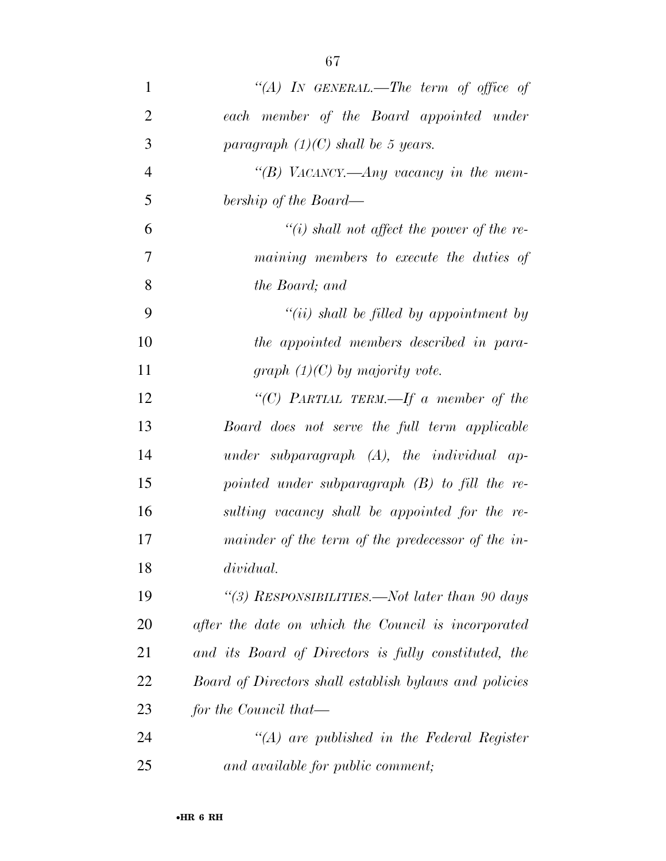| $\mathbf{1}$   | "(A) IN GENERAL.—The term of office of                 |
|----------------|--------------------------------------------------------|
| $\overline{2}$ | each member of the Board appointed under               |
| 3              | paragraph $(1)(C)$ shall be 5 years.                   |
| $\overline{4}$ | "(B) VACANCY.—Any vacancy in the mem-                  |
| 5              | bership of the Board—                                  |
| 6              | $\lq\lq(i)$ shall not affect the power of the re-      |
| 7              | maining members to execute the duties of               |
| 8              | the Board; and                                         |
| 9              | $``(ii)$ shall be filled by appointment by             |
| 10             | the appointed members described in para-               |
| 11             | graph $(1)(C)$ by majority vote.                       |
| 12             | "(C) PARTIAL TERM.—If a member of the                  |
| 13             | Board does not serve the full term applicable          |
| 14             | under subparagraph $(A)$ , the individual ap-          |
| 15             | pointed under subparagraph $(B)$ to fill the re-       |
| 16             | sulting vacancy shall be appointed for the re-         |
| 17             | mainder of the term of the predecessor of the in-      |
| 18             | dividual.                                              |
| 19             | "(3) RESPONSIBILITIES.—Not later than 90 days          |
| 20             | after the date on which the Council is incorporated    |
| 21             | and its Board of Directors is fully constituted, the   |
| 22             | Board of Directors shall establish bylaws and policies |
| 23             | for the Council that—                                  |
| 24             | $\lq\lq (A)$ are published in the Federal Register     |
| 25             | and available for public comment;                      |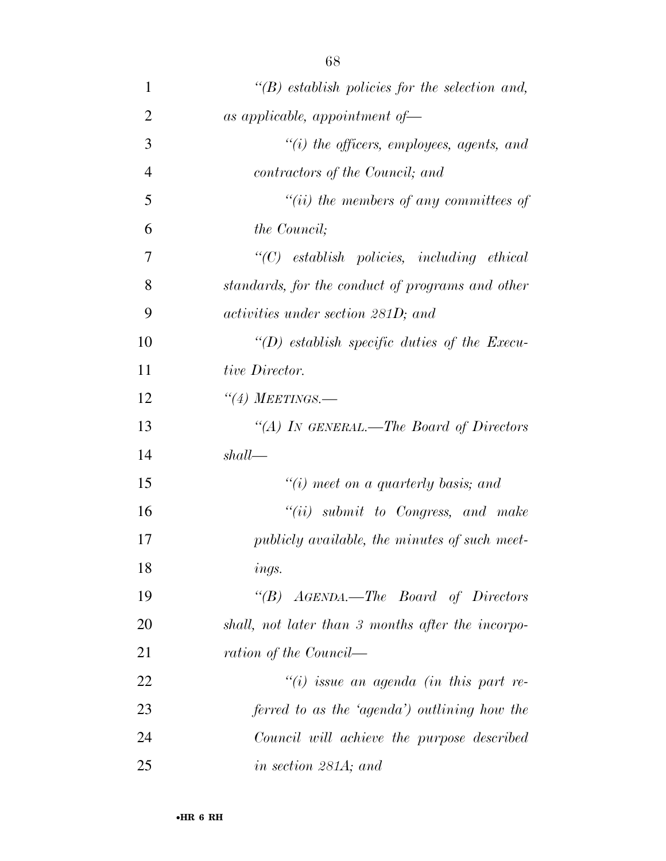| $\mathbf{1}$   | $\lq\lq(B)$ establish policies for the selection and, |
|----------------|-------------------------------------------------------|
| $\overline{2}$ | as applicable, appointment of-                        |
| 3              | $\lq\lq(i)$ the officers, employees, agents, and      |
| $\overline{4}$ | contractors of the Council; and                       |
| 5              | $``(ii)$ the members of any committees of             |
| 6              | the Council;                                          |
| 7              | $"(C)$ establish policies, including ethical          |
| 8              | standards, for the conduct of programs and other      |
| 9              | activities under section 281D; and                    |
| 10             | "(D) establish specific duties of the Execu-          |
| 11             | tive Director.                                        |
| 12             | $\lq(4)$ MEETINGS.—                                   |
| 13             | "(A) IN GENERAL.—The Board of Directors               |
| 14             | shall                                                 |
| 15             | $"(i)$ meet on a quarterly basis; and                 |
| 16             | $``(ii)$ submit to Congress, and make                 |
| 17             | publicly available, the minutes of such meet-         |
| 18             | ings.                                                 |
| 19             | " $(B)$ AGENDA.—The Board of Directors                |
| 20             | shall, not later than 3 months after the incorpo-     |
| 21             | ration of the Council—                                |
| 22             | $``(i)$ issue an agenda (in this part re-             |
| 23             | ferred to as the 'agenda') outlining how the          |
| 24             | Council will achieve the purpose described            |
| 25             | in section 281A; and                                  |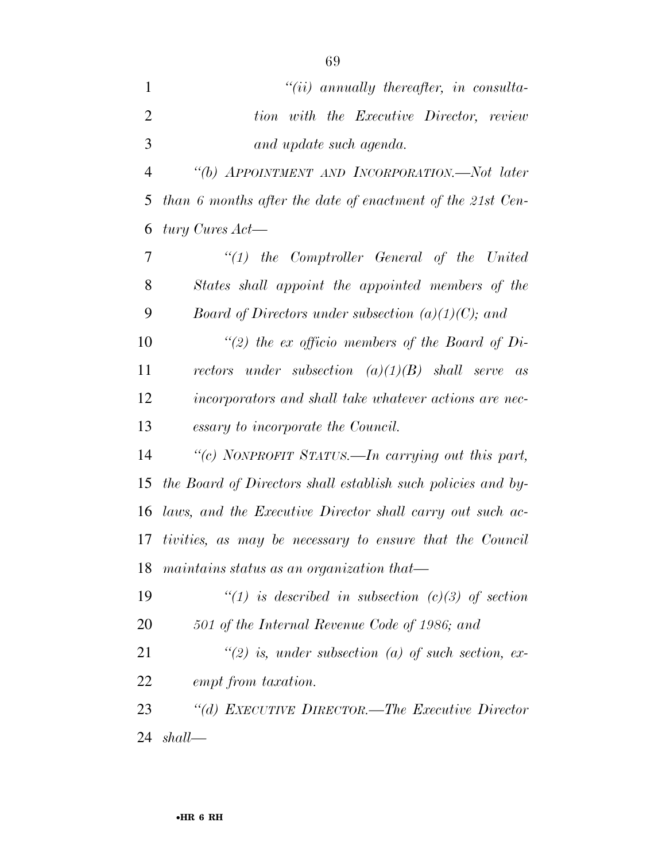- *''(ii) annually thereafter, in consulta- tion with the Executive Director, review and update such agenda. ''(b) APPOINTMENT AND INCORPORATION.—Not later than 6 months after the date of enactment of the 21st Cen- tury Cures Act— ''(1) the Comptroller General of the United States shall appoint the appointed members of the Board of Directors under subsection (a)(1)(C); and ''(2) the ex officio members of the Board of Di- rectors under subsection (a)(1)(B) shall serve as incorporators and shall take whatever actions are nec- essary to incorporate the Council. ''(c) NONPROFIT STATUS.—In carrying out this part, the Board of Directors shall establish such policies and by- laws, and the Executive Director shall carry out such ac- tivities, as may be necessary to ensure that the Council maintains status as an organization that— ''(1) is described in subsection (c)(3) of section 501 of the Internal Revenue Code of 1986; and*
- *''(2) is, under subsection (a) of such section, ex-empt from taxation.*
- *''(d) EXECUTIVE DIRECTOR.—The Executive Director shall—*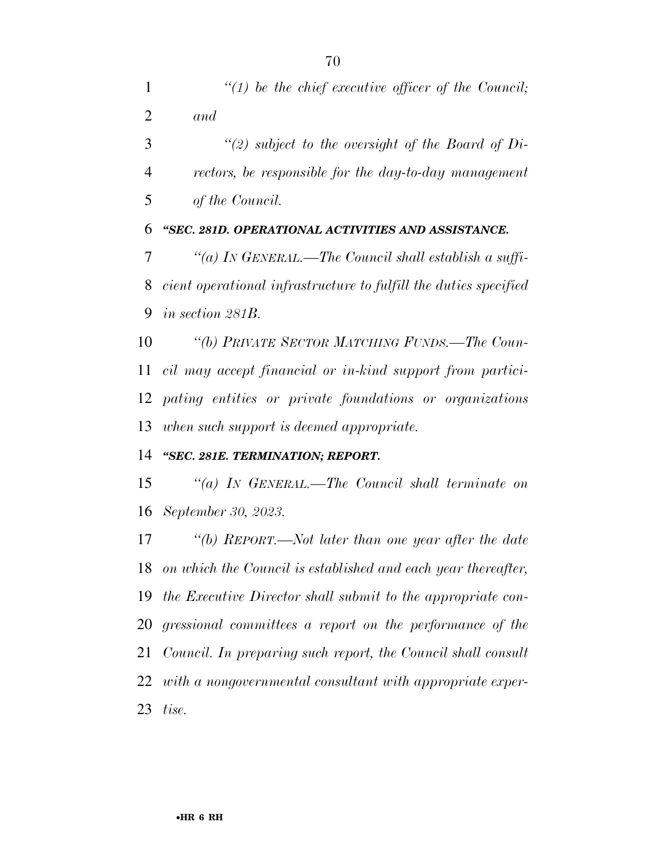| $\mathbf{1}$ | $\lq(1)$ be the chief executive officer of the Council;          |
|--------------|------------------------------------------------------------------|
| 2            | and                                                              |
| 3            | "(2) subject to the oversight of the Board of Di-                |
| 4            | rectors, be responsible for the day-to-day management            |
| 5            | of the Council.                                                  |
| 6            | "SEC. 281D. OPERATIONAL ACTIVITIES AND ASSISTANCE.               |
| 7            | "(a) IN GENERAL.—The Council shall establish a suffi-            |
| 8            | cient operational infrastructure to fulfill the duties specified |
| 9            | in section 281B.                                                 |
| 10           | "(b) PRIVATE SECTOR MATCHING FUNDS.—The Coun-                    |
| 11           | cil may accept financial or in-kind support from partici-        |
| 12           | pating entities or private foundations or organizations          |
| 13           | when such support is deemed appropriate.                         |
| 14           | "SEC. 281E. TERMINATION; REPORT.                                 |
| 15           | "(a) In GENERAL.—The Council shall terminate on                  |
| 16           | September 30, 2023.                                              |
| 17           | "(b) REPORT.—Not later than one year after the date              |
| 18           | on which the Council is established and each year thereafter,    |
| 19           | the Executive Director shall submit to the appropriate con-      |
| 20           | gressional committees a report on the performance of the         |
| 21           | Council. In preparing such report, the Council shall consult     |
| 22           | with a nongovernmental consultant with appropriate exper-        |
| 23           | tise.                                                            |
|              |                                                                  |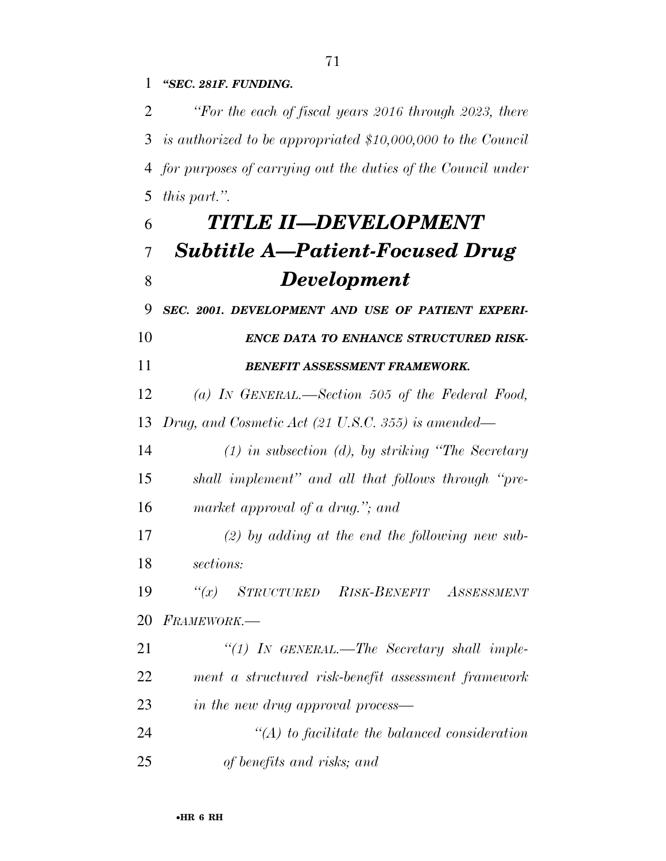*''SEC. 281F. FUNDING.* 

 *''For the each of fiscal years 2016 through 2023, there is authorized to be appropriated \$10,000,000 to the Council for purposes of carrying out the duties of the Council under this part.''.* 

# *TITLE II—DEVELOPMENT Subtitle A—Patient-Focused Drug Development*

*SEC. 2001. DEVELOPMENT AND USE OF PATIENT EXPERI-*

### *ENCE DATA TO ENHANCE STRUCTURED RISK-BENEFIT ASSESSMENT FRAMEWORK.*

 *(a) IN GENERAL.—Section 505 of the Federal Food, Drug, and Cosmetic Act (21 U.S.C. 355) is amended—* 

 *(1) in subsection (d), by striking ''The Secretary shall implement'' and all that follows through ''pre-market approval of a drug.''; and* 

 *(2) by adding at the end the following new sub-sections:* 

 *''(x) STRUCTURED RISK-BENEFIT ASSESSMENT FRAMEWORK.—* 

 *''(1) IN GENERAL.—The Secretary shall imple- ment a structured risk-benefit assessment framework in the new drug approval process—* 

 *''(A) to facilitate the balanced consideration of benefits and risks; and*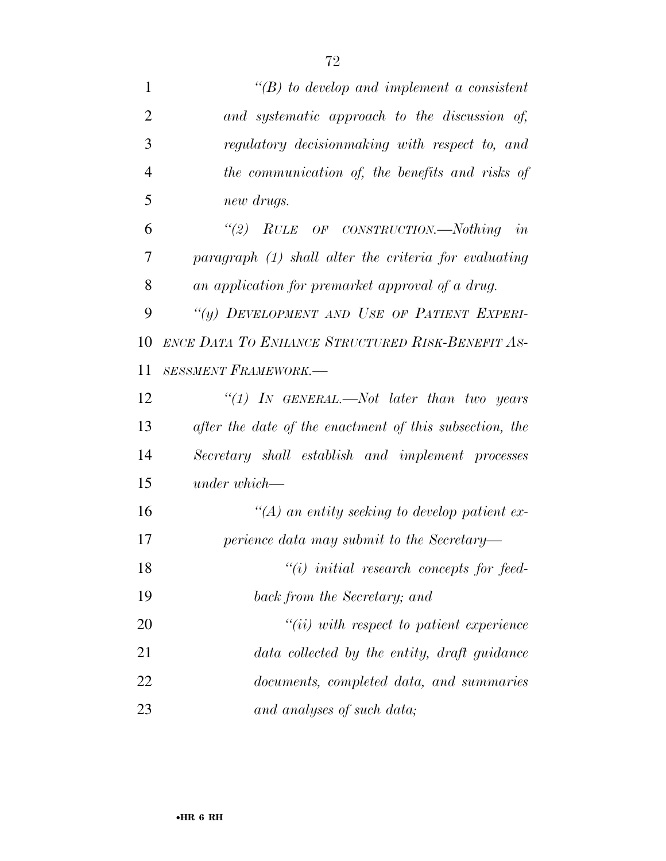| $\mathbf{1}$   | $\lq\lq(B)$ to develop and implement a consistent       |
|----------------|---------------------------------------------------------|
| $\overline{2}$ | and systematic approach to the discussion of,           |
| 3              | regulatory decision making with respect to, and         |
| $\overline{4}$ | the communication of, the benefits and risks of         |
| 5              | new drugs.                                              |
| 6              | "(2) RULE OF CONSTRUCTION.—Nothing in                   |
| 7              | paragraph (1) shall alter the criteria for evaluating   |
| 8              | an application for premarket approval of a drug.        |
| 9              | "(y) DEVELOPMENT AND USE OF PATIENT EXPERI-             |
| 10             | ENCE DATA TO ENHANCE STRUCTURED RISK-BENEFIT AS-        |
| 11             | <b>SESSMENT FRAMEWORK.-</b>                             |
| 12             | "(1) In GENERAL.—Not later than two years               |
| 13             | after the date of the enactment of this subsection, the |
| 14             | Secretary shall establish and implement processes       |
| 15             | under which-                                            |
| 16             | $\lq (A)$ an entity seeking to develop patient ex-      |
| 17             | perience data may submit to the Secretary-              |
| 18             | $``(i)$ initial research concepts for feed-             |
| 19             | back from the Secretary; and                            |
| 20             | $``(ii)$ with respect to patient experience             |
| 21             | data collected by the entity, draft guidance            |
| 22             | documents, completed data, and summaries                |
| 23             | and analyses of such data;                              |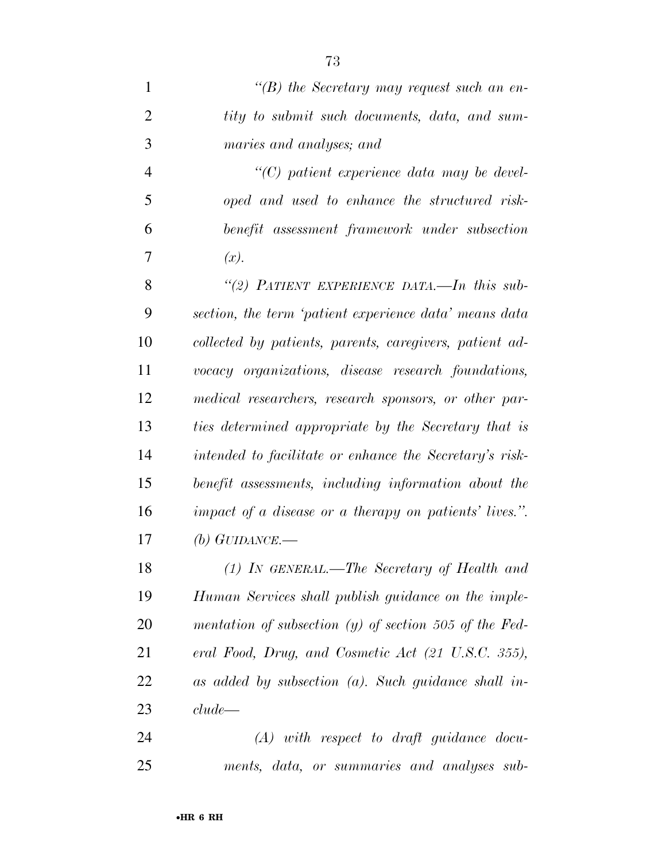*''(B) the Secretary may request such an en- tity to submit such documents, data, and sum- maries and analyses; and ''(C) patient experience data may be devel- oped and used to enhance the structured risk- benefit assessment framework under subsection*   $7 \t (x).$  *''(2) PATIENT EXPERIENCE DATA.—In this sub- section, the term 'patient experience data' means data collected by patients, parents, caregivers, patient ad- vocacy organizations, disease research foundations, medical researchers, research sponsors, or other par- ties determined appropriate by the Secretary that is intended to facilitate or enhance the Secretary's risk- benefit assessments, including information about the impact of a disease or a therapy on patients' lives.''. (b) GUIDANCE.— (1) IN GENERAL.—The Secretary of Health and Human Services shall publish guidance on the imple-mentation of subsection (y) of section 505 of the Fed-*

 *eral Food, Drug, and Cosmetic Act (21 U.S.C. 355), as added by subsection (a). Such guidance shall in-clude—* 

 *(A) with respect to draft guidance docu-ments, data, or summaries and analyses sub-*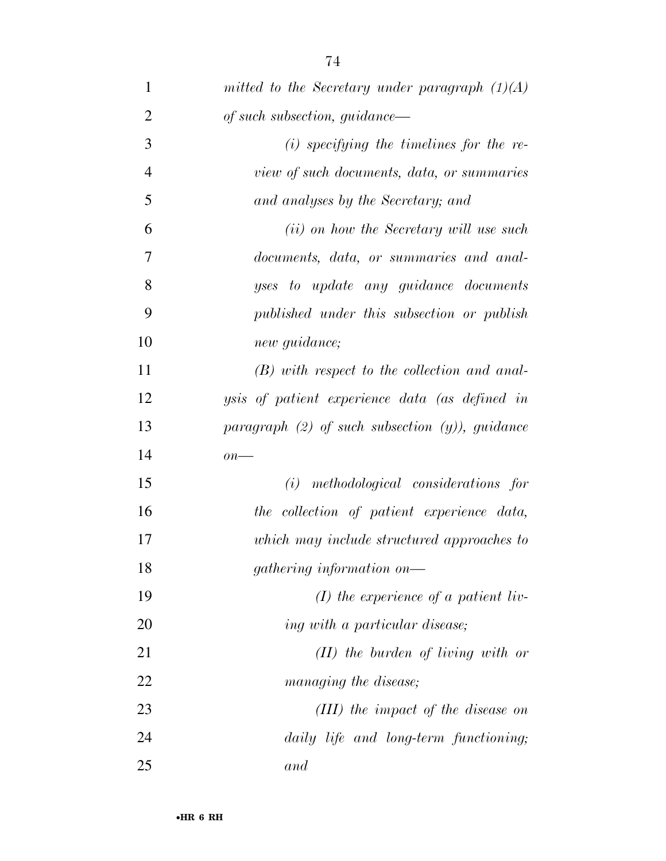| $\mathbf{1}$   | mitted to the Secretary under paragraph $(1)(A)$     |
|----------------|------------------------------------------------------|
| $\overline{2}$ | of such subsection, guidance—                        |
| 3              | $(i)$ specifying the timelines for the re-           |
| $\overline{4}$ | view of such documents, data, or summaries           |
| 5              | and analyses by the Secretary; and                   |
| 6              | ( <i>ii</i> ) on how the Secretary will use such     |
| 7              | documents, data, or summaries and anal-              |
| 8              | yses to update any guidance documents                |
| 9              | published under this subsection or publish           |
| 10             | new guidance;                                        |
| 11             | $(B)$ with respect to the collection and anal-       |
| 12             | ysis of patient experience data (as defined in       |
| 13             | paragraph $(2)$ of such subsection $(y)$ ), guidance |
| 14             | $\overline{on}$ —                                    |
| 15             | methodological considerations for<br>(i)             |
| 16             | the collection of patient experience data,           |
| 17             | which may include structured approaches to           |
| 18             | gathering information on—                            |
| 19             | $(I)$ the experience of a patient liv-               |
| 20             | ing with a particular disease;                       |
| 21             | $(II)$ the burden of living with or                  |
| 22             | managing the disease;                                |
| 23             | $(III)$ the impact of the disease on                 |
| 24             | daily life and long-term functioning;                |
| 25             | and                                                  |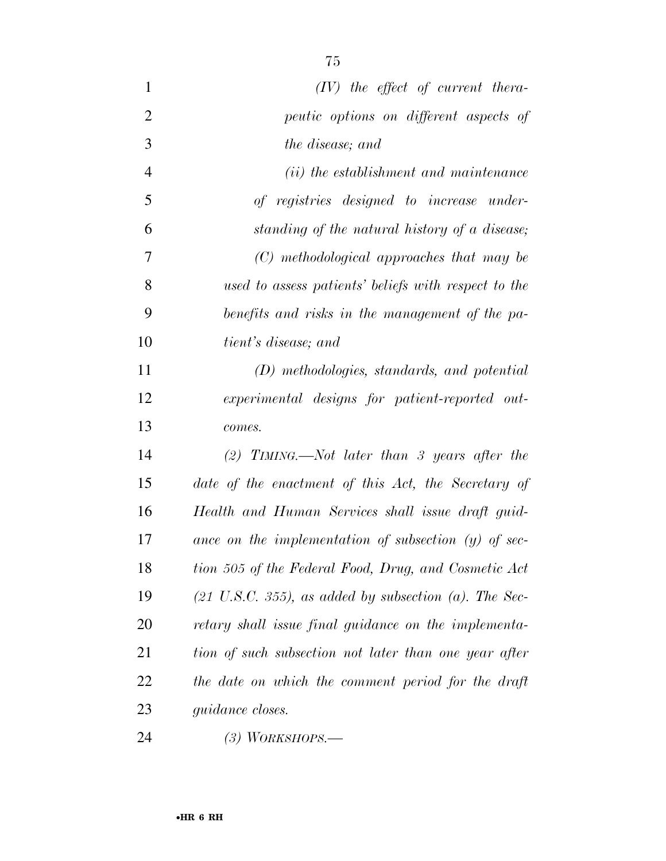| $\mathbf{1}$   | $(IV)$ the effect of current thera-                               |
|----------------|-------------------------------------------------------------------|
| $\overline{2}$ | peutic options on different aspects of                            |
| 3              | the disease; and                                                  |
| $\overline{4}$ | ( <i>ii</i> ) the establishment and maintenance                   |
| 5              | of registries designed to increase under-                         |
| 6              | standing of the natural history of a disease;                     |
| $\overline{7}$ | (C) methodological approaches that may be                         |
| 8              | used to assess patients' beliefs with respect to the              |
| 9              | benefits and risks in the management of the pa-                   |
| 10             | <i>tient's disease; and</i>                                       |
| 11             | (D) methodologies, standards, and potential                       |
| 12             | experimental designs for patient-reported out-                    |
| 13             | comes.                                                            |
| 14             | $(2)$ TIMING.—Not later than 3 years after the                    |
| 15             | date of the enactment of this Act, the Secretary of               |
| 16             | Health and Human Services shall issue draft guid-                 |
| 17             | ance on the implementation of subsection $(y)$ of sec-            |
| 18             | tion 505 of the Federal Food, Drug, and Cosmetic Act              |
| 19             | $(21 \text{ U.S.C. } 355)$ , as added by subsection (a). The Sec- |
| 20             | retary shall issue final guidance on the implementa-              |
| 21             | tion of such subsection not later than one year after             |
| 22             | the date on which the comment period for the draft                |
| 23             | <i>guidance closes.</i>                                           |
|                |                                                                   |

*(3) WORKSHOPS.—*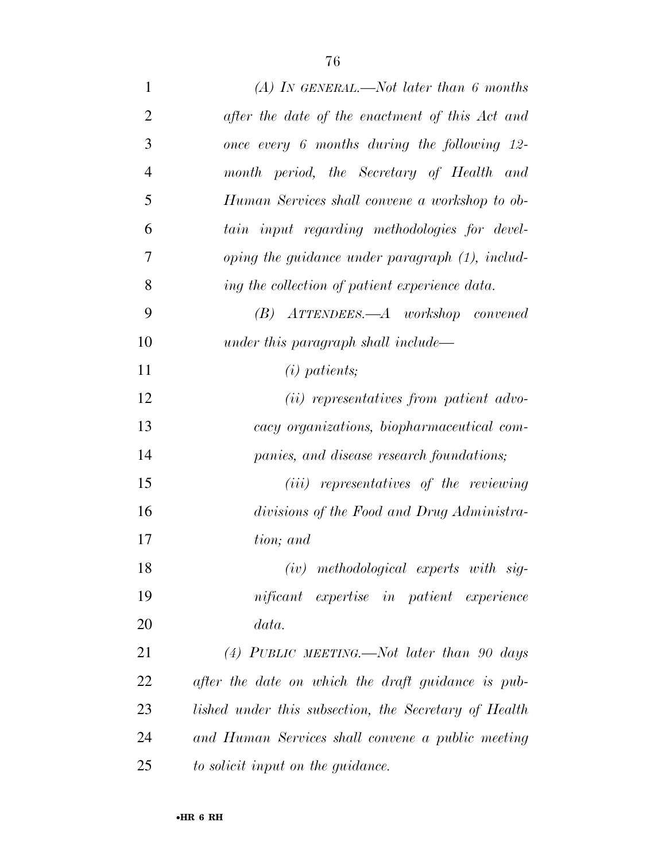| $\mathbf{1}$   | (A) In GENERAL.—Not later than 6 months               |
|----------------|-------------------------------------------------------|
| $\overline{2}$ | after the date of the enactment of this Act and       |
| 3              | once every 6 months during the following 12-          |
| $\overline{4}$ | month period, the Secretary of Health and             |
| 5              | Human Services shall convene a workshop to ob-        |
| 6              | tain input regarding methodologies for devel-         |
| 7              | oping the guidance under paragraph $(1)$ , includ-    |
| 8              | ing the collection of patient experience data.        |
| 9              | $(B)$ ATTENDEES.—A workshop convened                  |
| 10             | under this paragraph shall include—                   |
| 11             | $(i)$ patients;                                       |
| 12             | ( <i>ii</i> ) representatives from patient advo-      |
| 13             | cacy organizations, biopharmaceutical com-            |
| 14             | panies, and disease research foundations;             |
| 15             | ( <i>iii</i> ) representatives of the reviewing       |
| 16             | divisions of the Food and Drug Administra-            |
| 17             | tion; and                                             |
| 18             | $(iv)$ methodological experts with sig-               |
| 19             | nificant expertise in patient experience              |
| 20             | data.                                                 |
| 21             | (4) PUBLIC MEETING.—Not later than 90 days            |
| 22             | after the date on which the draft guidance is pub-    |
| 23             | lished under this subsection, the Secretary of Health |
| 24             | and Human Services shall convene a public meeting     |
| 25             | to solicit input on the guidance.                     |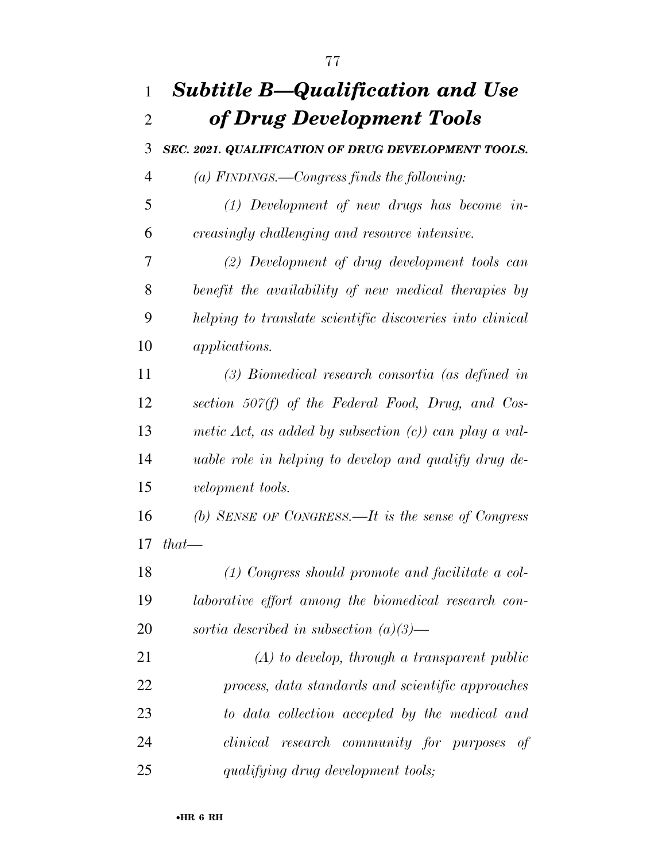## *Subtitle B—Qualification and Use of Drug Development Tools SEC. 2021. QUALIFICATION OF DRUG DEVELOPMENT TOOLS. (a) FINDINGS.—Congress finds the following: (1) Development of new drugs has become in- creasingly challenging and resource intensive. (2) Development of drug development tools can benefit the availability of new medical therapies by helping to translate scientific discoveries into clinical applications. (3) Biomedical research consortia (as defined in section 507(f) of the Federal Food, Drug, and Cos- metic Act, as added by subsection (c)) can play a val- uable role in helping to develop and qualify drug de- velopment tools. (b) SENSE OF CONGRESS.—It is the sense of Congress that— (1) Congress should promote and facilitate a col- laborative effort among the biomedical research con- sortia described in subsection (a)(3)— (A) to develop, through a transparent public process, data standards and scientific approaches to data collection accepted by the medical and clinical research community for purposes of qualifying drug development tools;*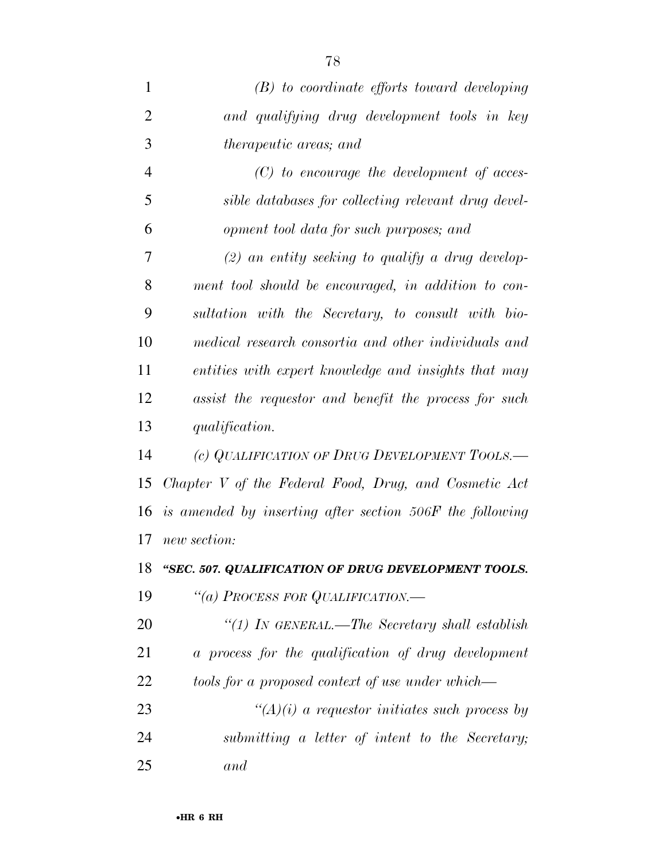| $\mathbf{1}$   | $(B)$ to coordinate efforts toward developing            |
|----------------|----------------------------------------------------------|
| $\overline{2}$ | and qualifying drug development tools in key             |
| 3              | <i>therapeutic areas; and</i>                            |
| $\overline{4}$ | $(C)$ to encourage the development of acces-             |
| 5              | sible databases for collecting relevant drug devel-      |
| 6              | opment tool data for such purposes; and                  |
| 7              | $(2)$ an entity seeking to qualify a drug develop-       |
| 8              | ment tool should be encouraged, in addition to con-      |
| 9              | sultation with the Secretary, to consult with bio-       |
| 10             | medical research consortia and other individuals and     |
| 11             | entities with expert knowledge and insights that may     |
| 12             | assist the requestor and benefit the process for such    |
| 13             | <i>qualification.</i>                                    |
| 14             | (c) QUALIFICATION OF DRUG DEVELOPMENT TOOLS.—            |
| 15             | Chapter V of the Federal Food, Drug, and Cosmetic Act    |
| 16             | is amended by inserting after section 506F the following |
| 17             | new section:                                             |
| 18             | "SEC. 507. QUALIFICATION OF DRUG DEVELOPMENT TOOLS.      |
| 19             | "(a) PROCESS FOR QUALIFICATION.—                         |
| 20             | "(1) IN GENERAL.—The Secretary shall establish           |
| 21             | a process for the qualification of drug development      |
| 22             | tools for a proposed context of use under which—         |
| 23             | " $(A)(i)$ a requestor initiates such process by         |
| 24             | submitting a letter of intent to the Secretary;          |
| 25             | and                                                      |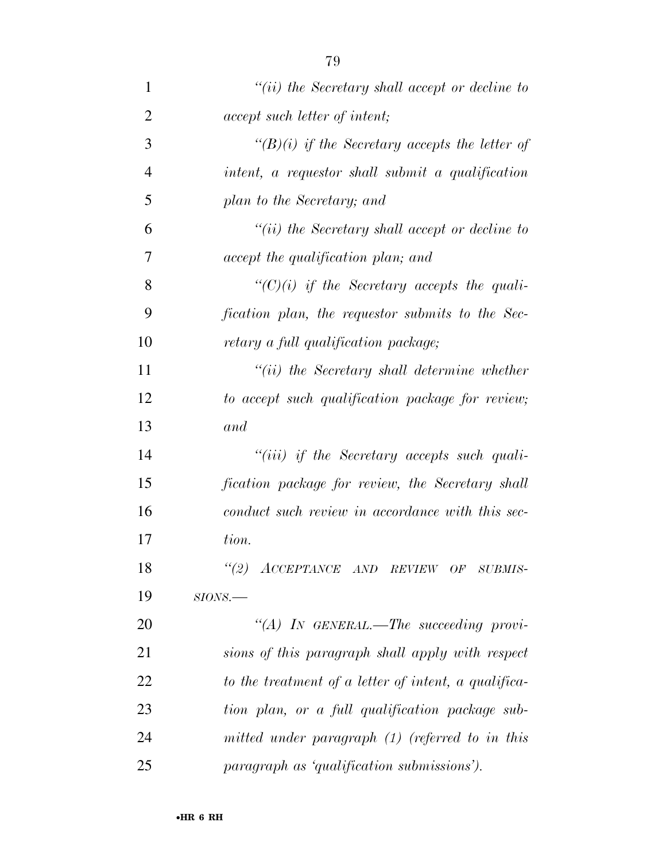| 1              | $``(ii)$ the Secretary shall accept or decline to    |
|----------------|------------------------------------------------------|
| $\overline{2}$ | <i>accept such letter of intent;</i>                 |
| 3              | $\lq (B)(i)$ if the Secretary accepts the letter of  |
| $\overline{4}$ | intent, a requestor shall submit a qualification     |
| 5              | plan to the Secretary; and                           |
| 6              | $``(ii)$ the Secretary shall accept or decline to    |
| 7              | accept the qualification plan; and                   |
| 8              | $\lq\lq C$ (i) if the Secretary accepts the quali-   |
| 9              | fication plan, the requestor submits to the Sec-     |
| 10             | retary a full qualification package;                 |
| 11             | $``(ii)$ the Secretary shall determine whether       |
| 12             | to accept such qualification package for review;     |
| 13             | and                                                  |
| 14             | $``(iii)$ if the Secretary accepts such quali-       |
| 15             | fication package for review, the Secretary shall     |
| 16             | conduct such review in accordance with this sec-     |
| 17             | tion.                                                |
| 18             | "(2) ACCEPTANCE AND REVIEW OF SUBMIS-                |
| 19             | $SIONS$ .                                            |
| 20             | "(A) IN GENERAL.—The succeeding provi-               |
| 21             | sions of this paragraph shall apply with respect     |
| 22             | to the treatment of a letter of intent, a qualifica- |
| 23             | tion plan, or a full qualification package sub-      |
| 24             | mitted under paragraph $(1)$ (referred to in this    |
| 25             | paragraph as 'qualification submissions').           |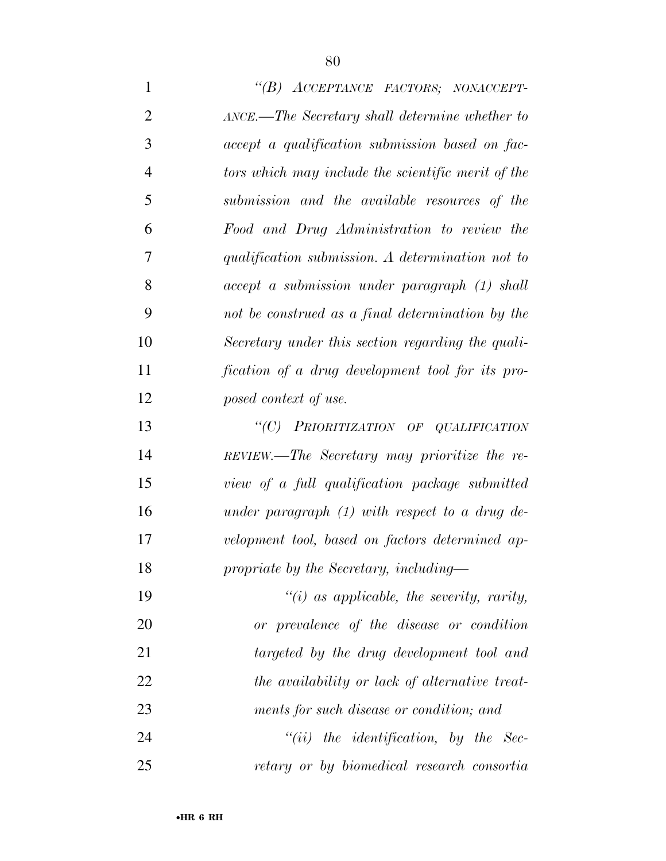*''(B) ACCEPTANCE FACTORS; NONACCEPT- ANCE.—The Secretary shall determine whether to accept a qualification submission based on fac- tors which may include the scientific merit of the submission and the available resources of the Food and Drug Administration to review the qualification submission. A determination not to accept a submission under paragraph (1) shall not be construed as a final determination by the Secretary under this section regarding the quali- fication of a drug development tool for its pro- posed context of use. ''(C) PRIORITIZATION OF QUALIFICATION REVIEW.—The Secretary may prioritize the re- view of a full qualification package submitted under paragraph (1) with respect to a drug de- velopment tool, based on factors determined ap- propriate by the Secretary, including— ''(i) as applicable, the severity, rarity, or prevalence of the disease or condition targeted by the drug development tool and the availability or lack of alternative treat- ments for such disease or condition; and ''(ii) the identification, by the Sec-retary or by biomedical research consortia*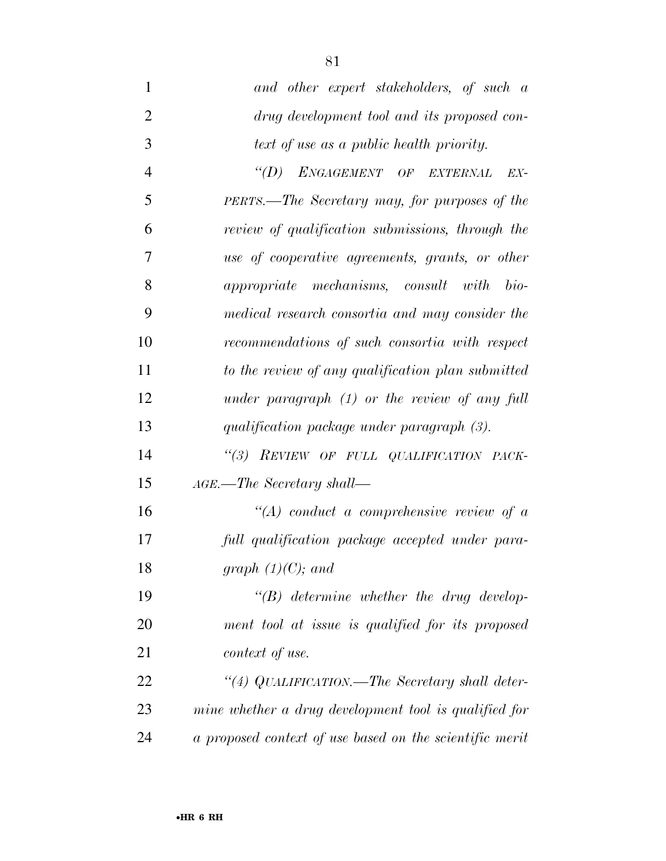| $\mathbf{1}$   | and other expert stakeholders, of such a                |
|----------------|---------------------------------------------------------|
| $\overline{2}$ | drug development tool and its proposed con-             |
| 3              | text of use as a public health priority.                |
| $\overline{4}$ | ENGAGEMENT OF EXTERNAL<br>$\lq (D)$<br>EX-              |
| 5              | PERTS.—The Secretary may, for purposes of the           |
| 6              | review of qualification submissions, through the        |
| 7              | use of cooperative agreements, grants, or other         |
| 8              | appropriate mechanisms, consult with bio-               |
| 9              | medical research consortia and may consider the         |
| 10             | recommendations of such consortia with respect          |
| 11             | to the review of any qualification plan submitted       |
| 12             | under paragraph $(1)$ or the review of any full         |
| 13             | qualification package under paragraph (3).              |
| 14             | "(3) REVIEW OF FULL QUALIFICATION PACK-                 |
| 15             | $_{AGE.}$ -The Secretary shall-                         |
| 16             | $\lq (A)$ conduct a comprehensive review of a           |
| 17             | full qualification package accepted under para-         |
| 18             | graph $(1)(C)$ ; and                                    |
| 19             | $\lq\lq(B)$ determine whether the drug develop-         |
| 20             | ment tool at issue is qualified for its proposed        |
| 21             | context of use.                                         |
| 22             | "(4) QUALIFICATION.—The Secretary shall deter-          |
| 23             | mine whether a drug development tool is qualified for   |
| 24             | a proposed context of use based on the scientific merit |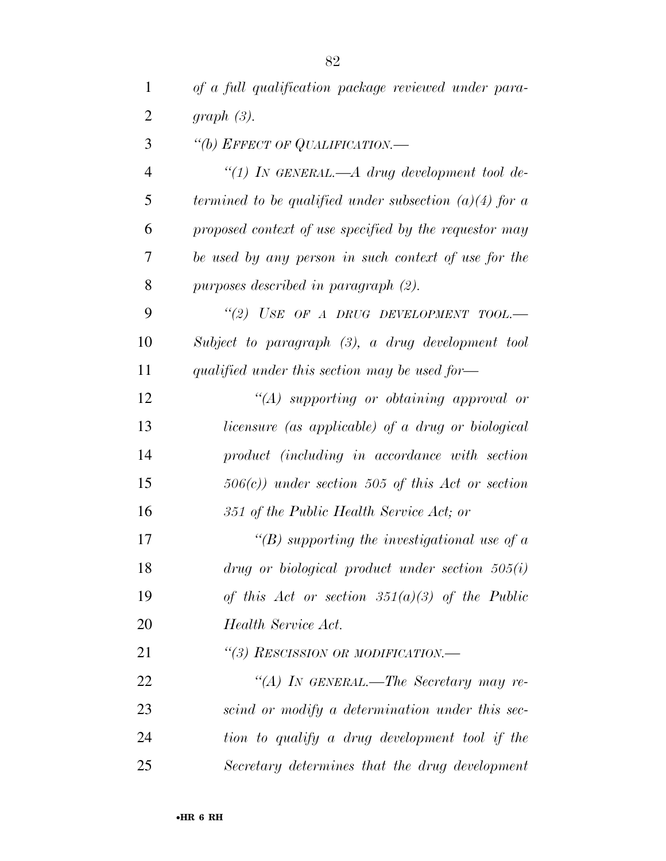| $\mathbf{1}$   | of a full qualification package reviewed under para-                |
|----------------|---------------------------------------------------------------------|
| $\overline{2}$ | graph(3).                                                           |
| 3              | "(b) EFFECT OF QUALIFICATION.—                                      |
| 4              | "(1) IN GENERAL.— $A$ drug development tool de-                     |
| 5              | termined to be qualified under subsection $(a)(4)$ for a            |
| 6              | proposed context of use specified by the requestor may              |
| 7              | be used by any person in such context of use for the                |
| 8              | purposes described in paragraph (2).                                |
| 9              | "(2) USE OF A DRUG DEVELOPMENT TOOL.-                               |
| 10             | Subject to paragraph (3), a drug development tool                   |
| 11             | qualified under this section may be used for-                       |
| 12             | $\lq (A)$ supporting or obtaining approval or                       |
| 13             | licensure (as applicable) of a drug or biological                   |
| 14             | product (including in accordance with section                       |
| 15             | $506(c)$ ) under section 505 of this Act or section                 |
| 16             | 351 of the Public Health Service Act; or                            |
| 17             | "(B) supporting the investigational use of $\alpha$                 |
| 18             | $drug \; or \; biological \; product \; under \; section \; 505(i)$ |
| 19             | of this Act or section $351(a)(3)$ of the Public                    |
| 20             | Health Service Act.                                                 |
| 21             | "(3) RESCISSION OR MODIFICATION.—                                   |
| 22             | "(A) In GENERAL.—The Secretary may re-                              |
| 23             | scind or modify a determination under this sec-                     |
| 24             | tion to qualify a drug development tool if the                      |
| 25             | Secretary determines that the drug development                      |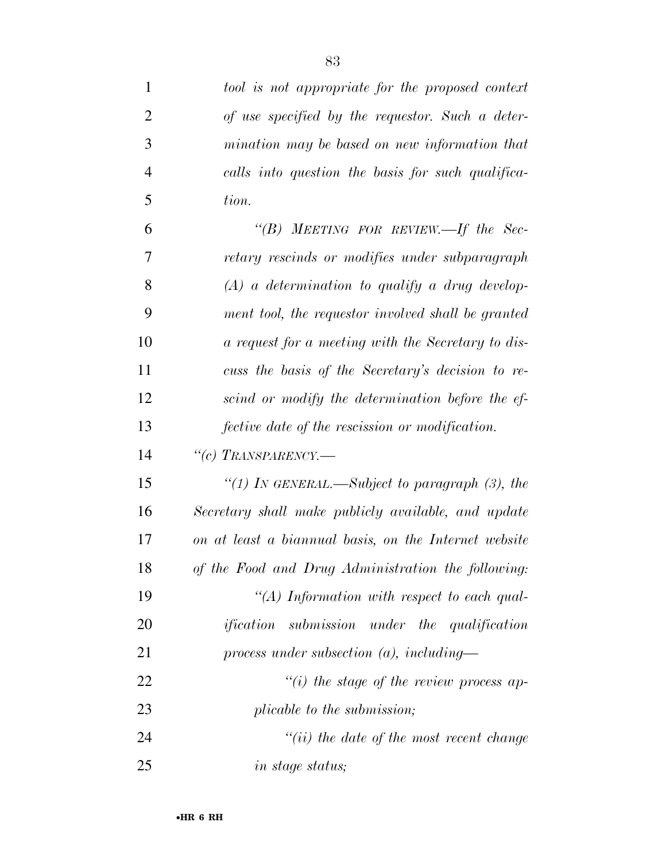| 1              | tool is not appropriate for the proposed context      |
|----------------|-------------------------------------------------------|
| $\overline{2}$ | of use specified by the requestor. Such a deter-      |
| 3              | mination may be based on new information that         |
| 4              | calls into question the basis for such qualifica-     |
| 5              | tion.                                                 |
| 6              | " $(B)$ MEETING FOR REVIEW.—If the Sec-               |
| 7              | retary rescinds or modifies under subparagraph        |
| 8              | $(A)$ a determination to qualify a drug develop-      |
| 9              | ment tool, the requestor involved shall be granted    |
| 10             | a request for a meeting with the Secretary to dis-    |
| 11             | cuss the basis of the Secretary's decision to re-     |
| 12             | scind or modify the determination before the ef-      |
| 13             | fective date of the rescission or modification.       |
| 14             | "(c) TRANSPARENCY.—                                   |
| 15             | "(1) IN GENERAL.—Subject to paragraph $(3)$ , the     |
| 16             | Secretary shall make publicly available, and update   |
| 17             | on at least a biannual basis, on the Internet website |
| 18             | of the Food and Drug Administration the following:    |
| 19             | "(A) Information with respect to each qual-           |
| 20             | <i>ification</i> submission under the qualification   |
| 21             | process under subsection $(a)$ , including—           |
| 22             | $``(i)$ the stage of the review process ap-           |
| 23             | plicable to the submission;                           |
| 24             | $``(ii)$ the date of the most recent change           |
| 25             | <i>in stage status;</i>                               |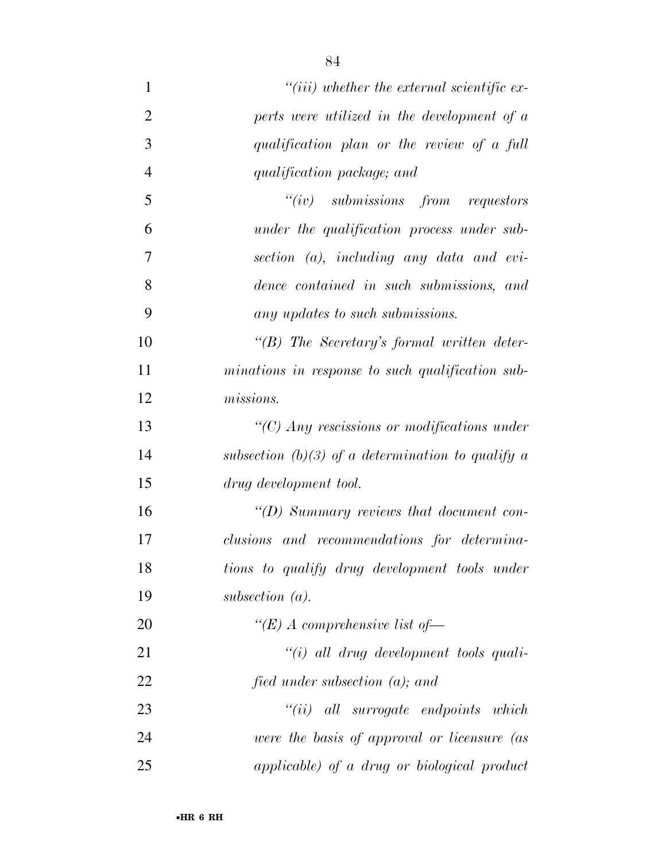| $\mathbf{1}$   | $``(iii)$ whether the external scientific ex-                 |
|----------------|---------------------------------------------------------------|
| $\overline{2}$ | perts were utilized in the development of a                   |
| 3              | qualification plan or the review of a full                    |
| $\overline{4}$ | qualification package; and                                    |
| 5              | $``(iv)$ submissions from requestors                          |
| 6              | under the qualification process under sub-                    |
| 7              | $section (a)$ , including any data and evi-                   |
| 8              | dence contained in such submissions, and                      |
| 9              | any updates to such submissions.                              |
| 10             | $\lq\lq B$ ) The Secretary's formal written deter-            |
| 11             | minations in response to such qualification sub-              |
| 12             | missions.                                                     |
| 13             | $\lq$ <sup>"</sup> (C) Any rescissions or modifications under |
| 14             | subsection (b)(3) of a determination to qualify a             |
| 15             | drug development tool.                                        |
| 16             | "(D) Summary reviews that document con-                       |
| 17             | clusions and recommendations for determina-                   |
| 18             | tions to qualify drug development tools under                 |
| 19             | subsection $(a)$ .                                            |
| 20             | "(E) A comprehensive list of-                                 |
| 21             | $``(i)$ all drug development tools quali-                     |
| 22             | fied under subsection $(a)$ ; and                             |
| 23             | $``(ii)$ all surrogate endpoints which                        |
| 24             | were the basis of approval or licensure (as                   |
| 25             | applicable) of a drug or biological product                   |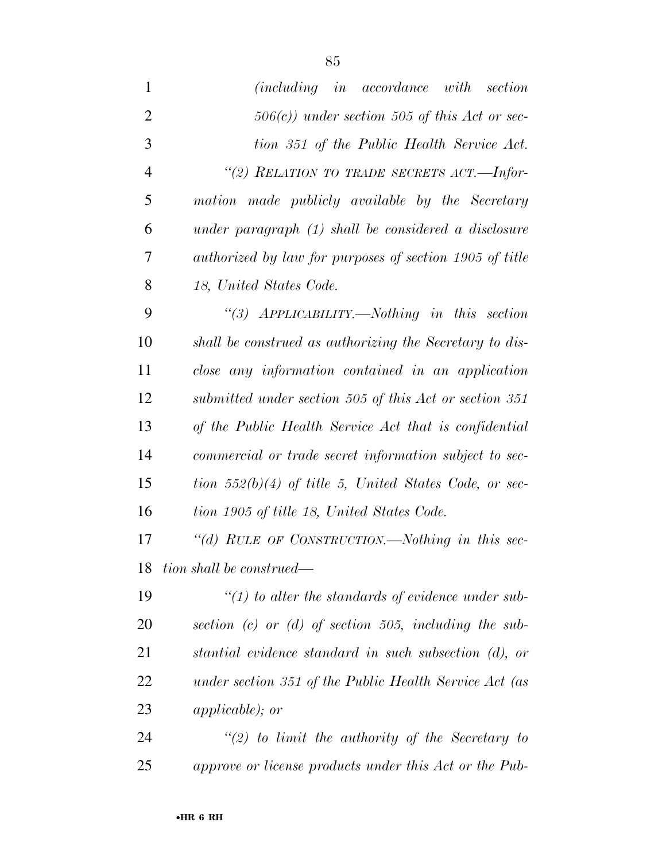| $\mathbf{1}$   | (including in accordance with section                                                     |
|----------------|-------------------------------------------------------------------------------------------|
| $\overline{2}$ | $506(c)$ ) under section 505 of this Act or sec-                                          |
| 3              | tion 351 of the Public Health Service Act.                                                |
| $\overline{4}$ | "(2) RELATION TO TRADE SECRETS ACT.—Infor-                                                |
| 5              | mation made publicly available by the Secretary                                           |
| 6              | under paragraph $(1)$ shall be considered a disclosure                                    |
| 7              | authorized by law for purposes of section 1905 of title                                   |
| 8              | 18, United States Code.                                                                   |
| 9              | "(3) $APPLICABILITY. \longrightarrow \rightarrow \rightarrow \rightarrow$ in this section |
| 10             | shall be construed as authorizing the Secretary to dis-                                   |
| 11             | close any information contained in an application                                         |
| 12             | submitted under section 505 of this Act or section 351                                    |
| 13             | of the Public Health Service Act that is confidential                                     |
| 14             | commercial or trade secret information subject to sec-                                    |
| 15             | tion $552(b)(4)$ of title 5, United States Code, or sec-                                  |
| 16             | tion 1905 of title 18, United States Code.                                                |
| 17             | "(d) RULE OF CONSTRUCTION.—Nothing in this sec-                                           |
| 18             | tion shall be construed—                                                                  |
| 19             | $\lq(1)$ to alter the standards of evidence under sub-                                    |
| 20             | section (c) or (d) of section 505, including the sub-                                     |
| 21             | stantial evidence standard in such subsection (d), or                                     |
| 22             | under section 351 of the Public Health Service Act (as                                    |
| 23             | <i>applicable)</i> ; <i>or</i>                                                            |
| 24             | $\lq(2)$ to limit the authority of the Secretary to                                       |

*approve or license products under this Act or the Pub-*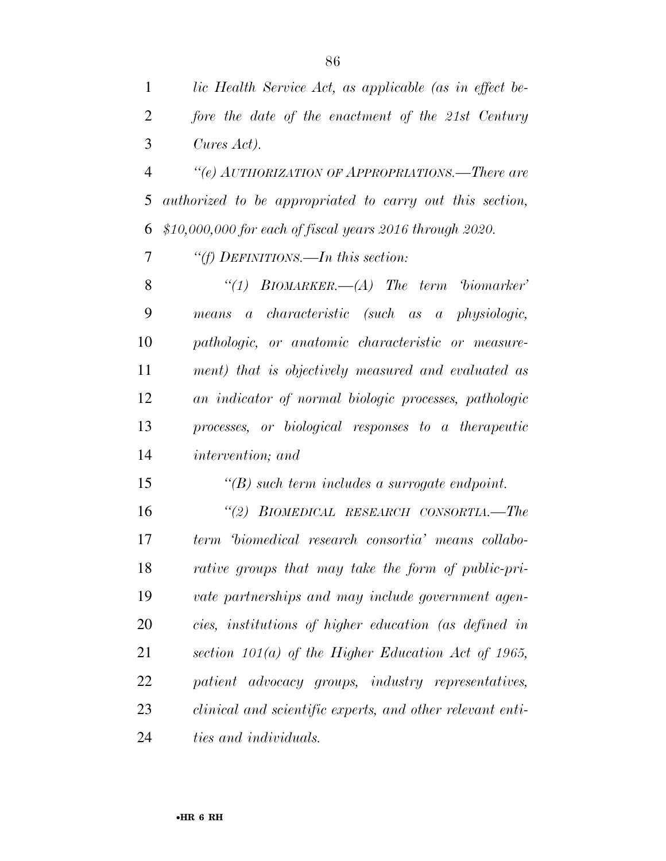*lic Health Service Act, as applicable (as in effect be- fore the date of the enactment of the 21st Century Cures Act).* 

 *''(e) AUTHORIZATION OF APPROPRIATIONS.—There are authorized to be appropriated to carry out this section, \$10,000,000 for each of fiscal years 2016 through 2020.* 

*''(f) DEFINITIONS.—In this section:* 

 *''(1) BIOMARKER.—(A) The term 'biomarker' means a characteristic (such as a physiologic, pathologic, or anatomic characteristic or measure- ment) that is objectively measured and evaluated as an indicator of normal biologic processes, pathologic processes, or biological responses to a therapeutic intervention; and* 

*''(B) such term includes a surrogate endpoint.* 

 *''(2) BIOMEDICAL RESEARCH CONSORTIA.—The term 'biomedical research consortia' means collabo- rative groups that may take the form of public-pri- vate partnerships and may include government agen- cies, institutions of higher education (as defined in section 101(a) of the Higher Education Act of 1965, patient advocacy groups, industry representatives, clinical and scientific experts, and other relevant enti-ties and individuals.*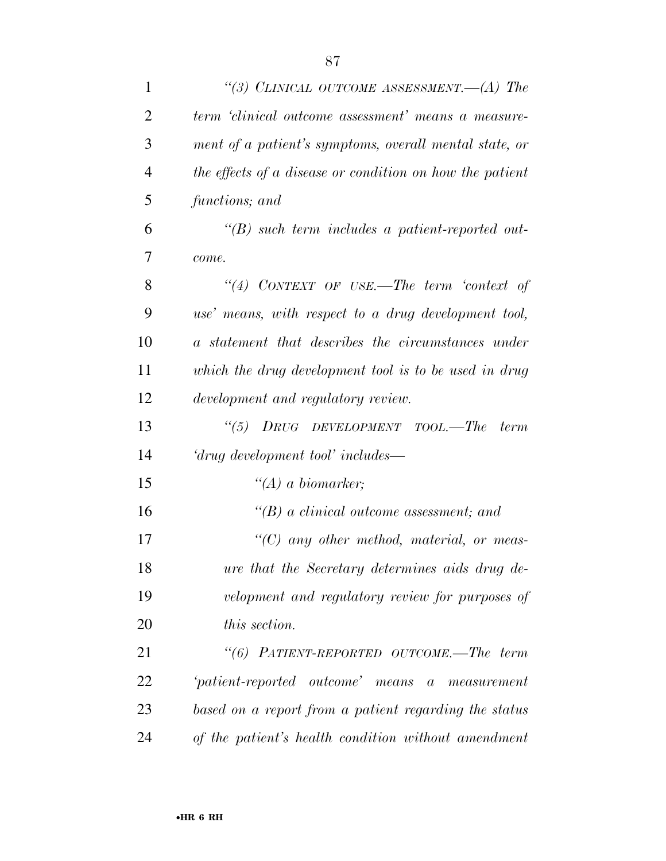| 1              | "(3) CLINICAL OUTCOME ASSESSMENT.—(A) The                |
|----------------|----------------------------------------------------------|
| $\overline{2}$ | term 'clinical outcome assessment' means a measure-      |
| 3              | ment of a patient's symptoms, overall mental state, or   |
| $\overline{4}$ | the effects of a disease or condition on how the patient |
| 5              | functions; and                                           |
| 6              | $\lq\lq(B)$ such term includes a patient-reported out-   |
| 7              | come.                                                    |
| 8              | "(4) CONTEXT OF USE.—The term 'context of                |
| 9              | use' means, with respect to a drug development tool,     |
| 10             | a statement that describes the circumstances under       |
| 11             | which the drug development tool is to be used in drug    |
| 12             | development and regulatory review.                       |
| 13             | "(5) $DRUG$ $DEVELOPMENT$ $TOOL$ .—The<br><i>term</i>    |
| 14             | 'drug development tool' includes—                        |
| 15             | $\lq (A)$ a biomarker;                                   |
| 16             | $\lq\lq(B)$ a clinical outcome assessment; and           |
| 17             | $\lq\lq C$ any other method, material, or meas-          |
| 18             | ure that the Secretary determines aids drug de-          |
| 19             | velopment and regulatory review for purposes of          |
| 20             | this section.                                            |
| 21             | "(6) PATIENT-REPORTED OUTCOME.—The term                  |
| 22             | 'patient-reported outcome' means a measurement           |
| 23             | based on a report from a patient regarding the status    |
| 24             | of the patient's health condition without amendment      |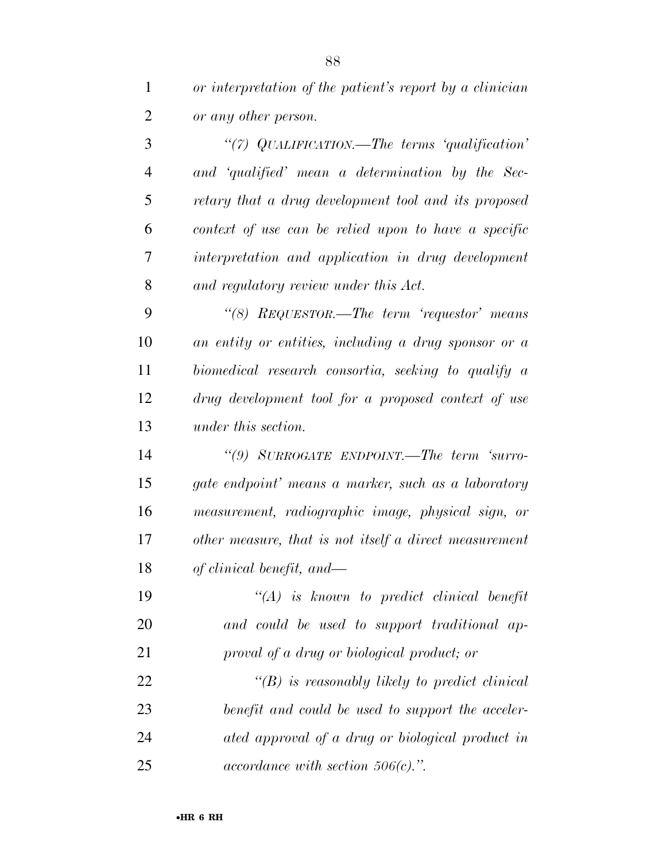*or interpretation of the patient's report by a clinician or any other person.* 

 *''(7) QUALIFICATION.—The terms 'qualification' and 'qualified' mean a determination by the Sec- retary that a drug development tool and its proposed context of use can be relied upon to have a specific interpretation and application in drug development and regulatory review under this Act.* 

 *''(8) REQUESTOR.—The term 'requestor' means an entity or entities, including a drug sponsor or a biomedical research consortia, seeking to qualify a drug development tool for a proposed context of use under this section.* 

 *''(9) SURROGATE ENDPOINT.—The term 'surro- gate endpoint' means a marker, such as a laboratory measurement, radiographic image, physical sign, or other measure, that is not itself a direct measurement of clinical benefit, and—* 

 *''(A) is known to predict clinical benefit and could be used to support traditional ap-proval of a drug or biological product; or* 

 *''(B) is reasonably likely to predict clinical benefit and could be used to support the acceler- ated approval of a drug or biological product in accordance with section 506(c).''.*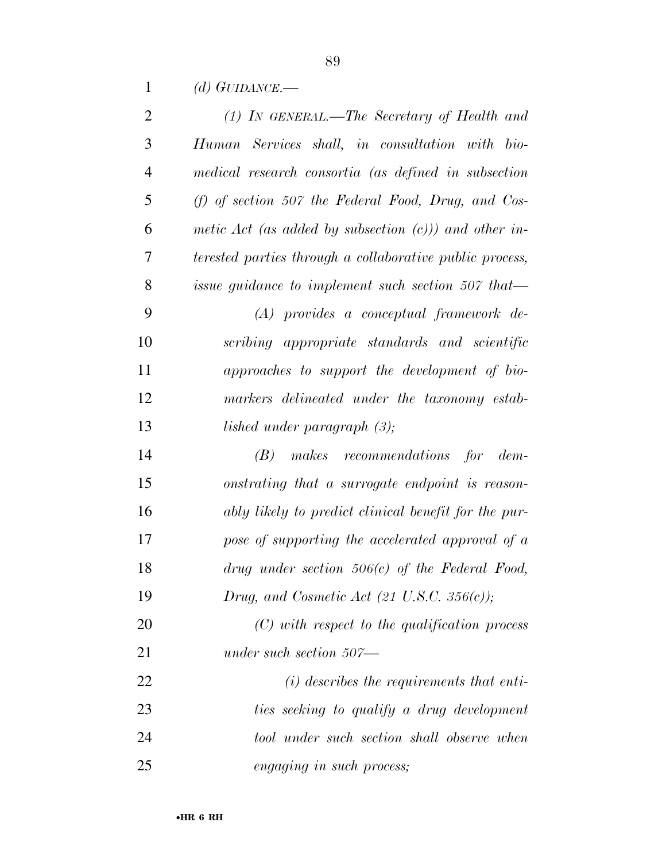*(d) GUIDANCE.—* 

| $\overline{2}$ | $(1)$ In GENERAL.—The Secretary of Health and            |
|----------------|----------------------------------------------------------|
| 3              | Human Services shall, in consultation with bio-          |
| $\overline{4}$ | medical research consortia (as defined in subsection     |
| 5              | $(f)$ of section 507 the Federal Food, Drug, and Cos-    |
| 6              | metic Act (as added by subsection $(c)$ )) and other in- |
| 7              | terested parties through a collaborative public process, |
| 8              | issue guidance to implement such section 507 that-       |
| 9              | $(A)$ provides a conceptual framework de-                |
| 10             | scribing appropriate standards and scientific            |
| 11             | approaches to support the development of bio-            |
| 12             | markers delineated under the taxonomy estab-             |
| 13             | lished under paragraph $(3)$ ;                           |
| 14             | $(B)$ makes recommendations for dem-                     |
| 15             | onstrating that a surrogate endpoint is reason-          |
| 16             | ably likely to predict clinical benefit for the pur-     |
| 17             | pose of supporting the accelerated approval of a         |
| 18             | $drug$ under section 506 $(c)$ of the Federal Food,      |
| 19             | Drug, and Cosmetic Act $(21 \text{ U.S.C. } 356(c));$    |
| 20             | $(C)$ with respect to the qualification process          |
| 21             | under such section $507$ —                               |
| 22             | $(i)$ describes the requirements that enti-              |
| 23             | ties seeking to qualify a drug development               |
| 24             | tool under such section shall observe when               |
| 25             | <i>engaging in such process;</i>                         |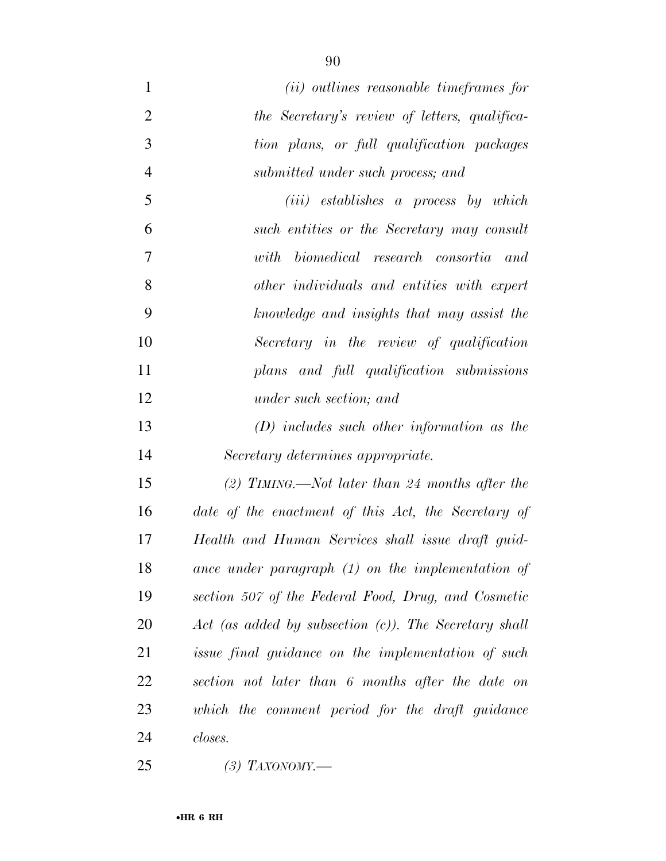- *(ii) outlines reasonable timeframes for the Secretary's review of letters, qualifica- tion plans, or full qualification packages submitted under such process; and*
- *(iii) establishes a process by which such entities or the Secretary may consult with biomedical research consortia and other individuals and entities with expert knowledge and insights that may assist the Secretary in the review of qualification plans and full qualification submissions under such section; and*
- *(D) includes such other information as the Secretary determines appropriate.*

 *(2) TIMING.—Not later than 24 months after the date of the enactment of this Act, the Secretary of Health and Human Services shall issue draft guid- ance under paragraph (1) on the implementation of section 507 of the Federal Food, Drug, and Cosmetic Act (as added by subsection (c)). The Secretary shall issue final guidance on the implementation of such section not later than 6 months after the date on which the comment period for the draft guidance closes.* 

*(3) TAXONOMY.—*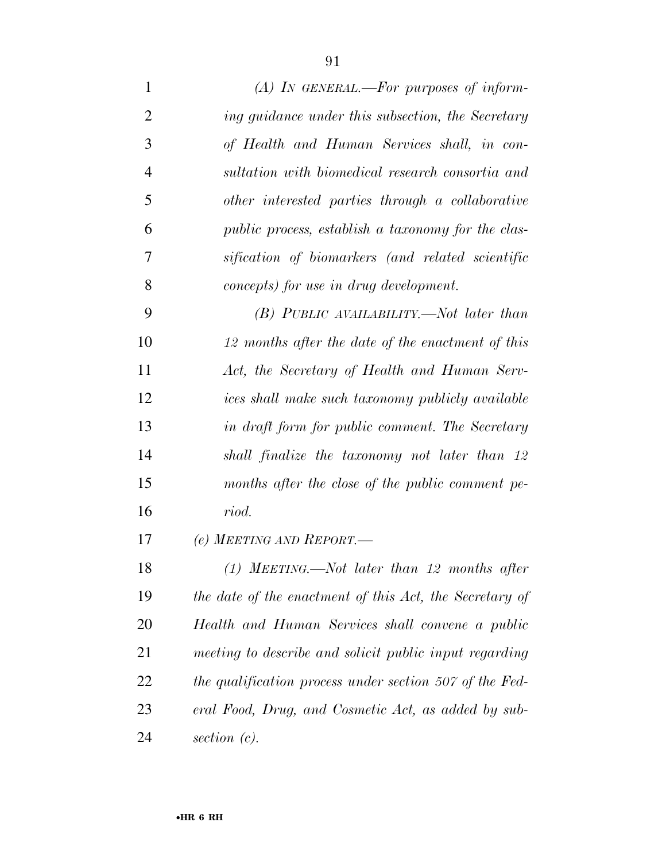*(A) IN GENERAL.—For purposes of inform- ing guidance under this subsection, the Secretary of Health and Human Services shall, in con- sultation with biomedical research consortia and other interested parties through a collaborative public process, establish a taxonomy for the clas- sification of biomarkers (and related scientific concepts) for use in drug development. (B) PUBLIC AVAILABILITY.—Not later than 12 months after the date of the enactment of this Act, the Secretary of Health and Human Serv- ices shall make such taxonomy publicly available in draft form for public comment. The Secretary shall finalize the taxonomy not later than 12 months after the close of the public comment pe- riod. (e) MEETING AND REPORT.— (1) MEETING.—Not later than 12 months after* 

 *the date of the enactment of this Act, the Secretary of Health and Human Services shall convene a public meeting to describe and solicit public input regarding the qualification process under section 507 of the Fed- eral Food, Drug, and Cosmetic Act, as added by sub-section (c).*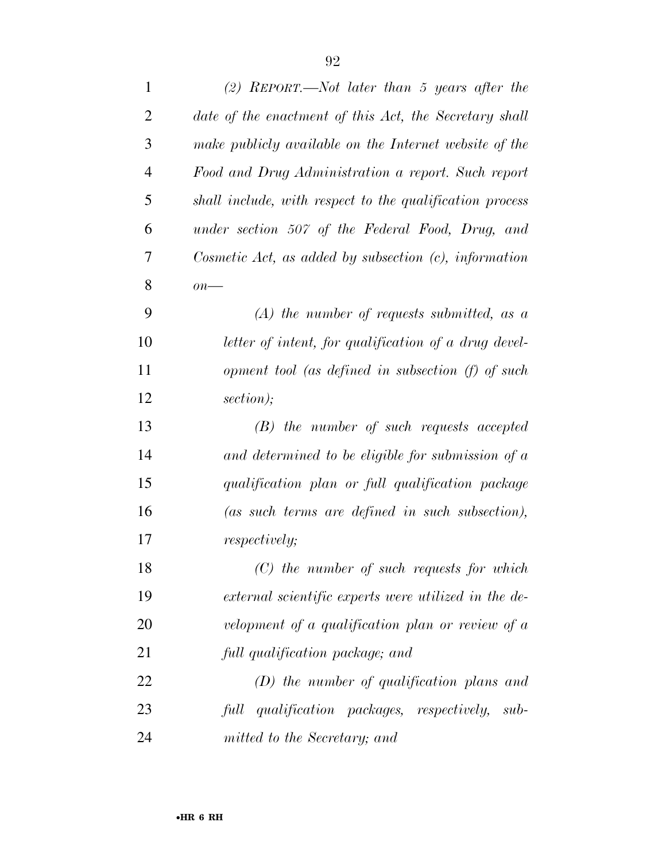| $\mathbf{1}$   | (2) REPORT.—Not later than 5 years after the             |
|----------------|----------------------------------------------------------|
| $\overline{2}$ | date of the enactment of this Act, the Secretary shall   |
| 3              | make publicly available on the Internet website of the   |
| $\overline{4}$ | Food and Drug Administration a report. Such report       |
| 5              | shall include, with respect to the qualification process |
| 6              | under section 507 of the Federal Food, Drug, and         |
| 7              | Cosmetic Act, as added by subsection $(c)$ , information |
| 8              | $\overline{on}$ —                                        |
| 9              | $(A)$ the number of requests submitted, as a             |
| 10             | letter of intent, for qualification of a drug devel-     |
| 11             | opment tool (as defined in subsection (f) of such        |
| 12             | section);                                                |
| 13             | $(B)$ the number of such requests accepted               |
| 14             | and determined to be eligible for submission of $a$      |
| 15             | qualification plan or full qualification package         |
| 16             | (as such terms are defined in such subsection),          |
| 17             | <i>respectively;</i>                                     |
| 18             | $(C)$ the number of such requests for which              |
| 19             | external scientific experts were utilized in the de-     |
| 20             | velopment of a qualification plan or review of a         |
| 21             | full qualification package; and                          |
| 22             | $(D)$ the number of qualification plans and              |
| 23             | full qualification packages, respectively, sub-          |
| 24             | mitted to the Secretary; and                             |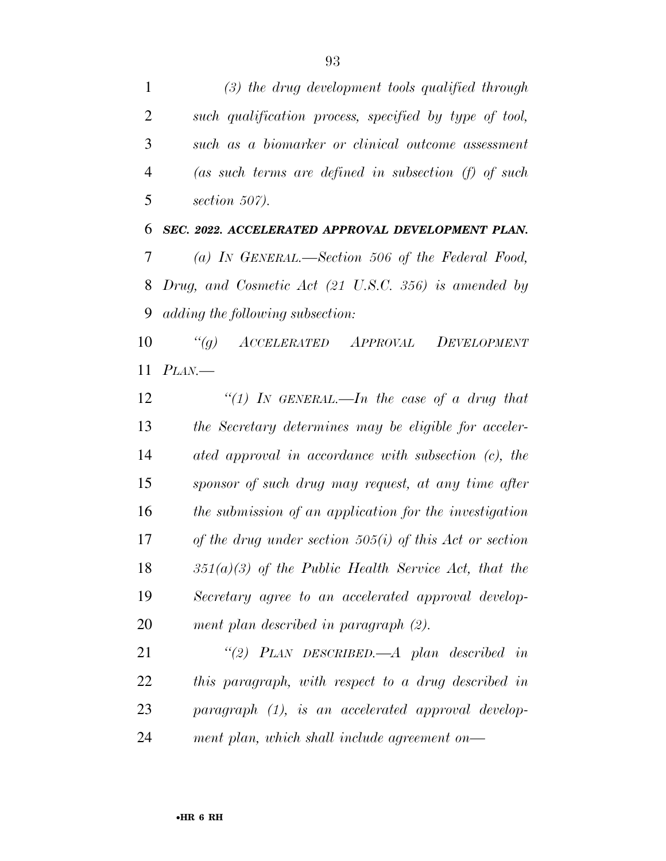*(3) the drug development tools qualified through such qualification process, specified by type of tool, such as a biomarker or clinical outcome assessment (as such terms are defined in subsection (f) of such section 507). SEC. 2022. ACCELERATED APPROVAL DEVELOPMENT PLAN.* 

 *(a) IN GENERAL.—Section 506 of the Federal Food, Drug, and Cosmetic Act (21 U.S.C. 356) is amended by adding the following subsection:* 

 *''(g) ACCELERATED APPROVAL DEVELOPMENT PLAN.—* 

 *''(1) IN GENERAL.—In the case of a drug that the Secretary determines may be eligible for acceler- ated approval in accordance with subsection (c), the sponsor of such drug may request, at any time after the submission of an application for the investigation of the drug under section 505(i) of this Act or section 351(a)(3) of the Public Health Service Act, that the Secretary agree to an accelerated approval develop-ment plan described in paragraph (2).* 

 *''(2) PLAN DESCRIBED.—A plan described in this paragraph, with respect to a drug described in paragraph (1), is an accelerated approval develop-ment plan, which shall include agreement on—*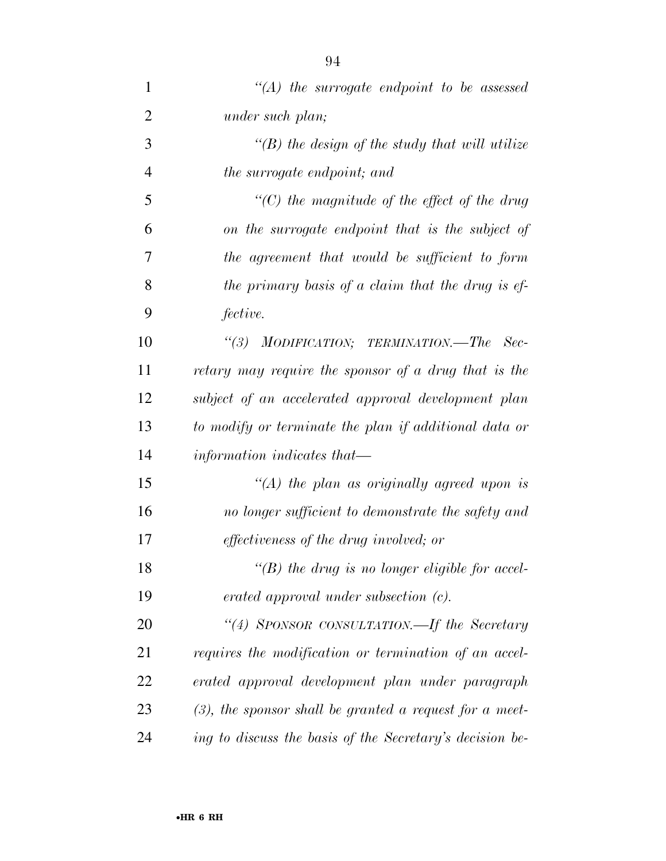| 1              | $\lq\lq (A)$ the surrogate endpoint to be assessed         |
|----------------|------------------------------------------------------------|
| $\overline{2}$ | under such plan;                                           |
| 3              | $\lq (B)$ the design of the study that will utilize        |
| $\overline{4}$ | the surrogate endpoint; and                                |
| 5              | $\lq\lq$ (C) the magnitude of the effect of the drug       |
| 6              | on the surrogate endpoint that is the subject of           |
| 7              | the agreement that would be sufficient to form             |
| 8              | the primary basis of a claim that the drug is ef-          |
| 9              | fective.                                                   |
| 10             | "(3) MODIFICATION; TERMINATION.—The<br>- Sec-              |
| 11             | retary may require the sponsor of a drug that is the       |
| 12             | subject of an accelerated approval development plan        |
| 13             | to modify or terminate the plan if additional data or      |
| 14             | information indicates that—                                |
| 15             | "(A) the plan as originally agreed upon is                 |
| 16             | no longer sufficient to demonstrate the safety and         |
| 17             | <i>effectiveness of the drug involved; or</i>              |
| 18             | "(B) the drug is no longer eligible for accel-             |
| 19             | $erated$ approval under subsection $(c)$ .                 |
| 20             | "(4) SPONSOR CONSULTATION.—If the Secretary                |
| 21             | requires the modification or termination of an accel-      |
| 22             | erated approval development plan under paragraph           |
| 23             | $(3)$ , the sponsor shall be granted a request for a meet- |
| 24             | ing to discuss the basis of the Secretary's decision be-   |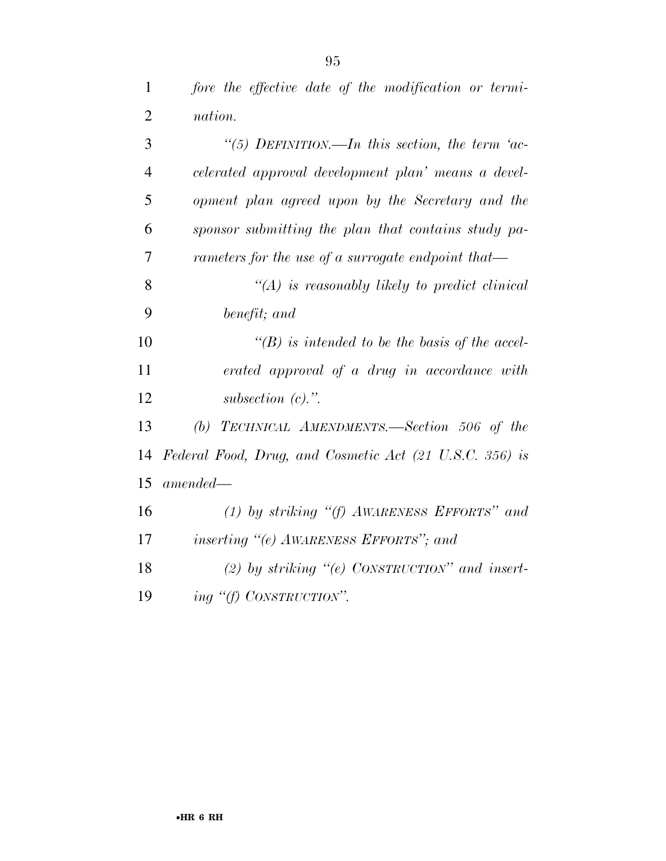| $\mathbf{1}$  | fore the effective date of the modification or termi- |
|---------------|-------------------------------------------------------|
| 2             | nation.                                               |
| $\mathcal{R}$ | "(5) DEFINITION.—In this section, the term 'ac-       |

| 4      | celerated approval development plan' means a devel-   |
|--------|-------------------------------------------------------|
| 5      | opment plan agreed upon by the Secretary and the      |
| 6      | sponsor submitting the plan that contains study pa-   |
| $\tau$ | rameters for the use of a surrogate endpoint that—    |
|        | $\lq\lq (A)$ is reasonably likely to predict clinical |

*benefit; and* 

 *''(B) is intended to be the basis of the accel- erated approval of a drug in accordance with subsection (c).''.* 

 *(b) TECHNICAL AMENDMENTS.—Section 506 of the Federal Food, Drug, and Cosmetic Act (21 U.S.C. 356) is amended—* 

 *(1) by striking ''(f) AWARENESS EFFORTS'' and inserting ''(e) AWARENESS EFFORTS''; and* 

 *(2) by striking ''(e) CONSTRUCTION'' and insert-ing ''(f) CONSTRUCTION''.*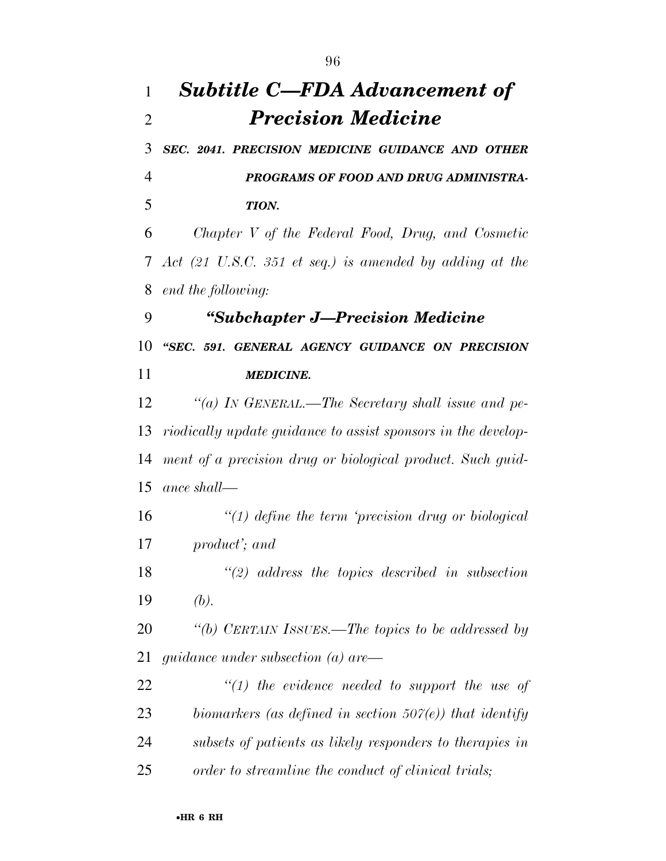## *Subtitle C—FDA Advancement of Precision Medicine SEC. 2041. PRECISION MEDICINE GUIDANCE AND OTHER PROGRAMS OF FOOD AND DRUG ADMINISTRA- TION. Chapter V of the Federal Food, Drug, and Cosmetic Act (21 U.S.C. 351 et seq.) is amended by adding at the end the following: ''Subchapter J—Precision Medicine ''SEC. 591. GENERAL AGENCY GUIDANCE ON PRECISION MEDICINE. ''(a) IN GENERAL.—The Secretary shall issue and pe- riodically update guidance to assist sponsors in the develop- ment of a precision drug or biological product. Such guid- ance shall— ''(1) define the term 'precision drug or biological product'; and ''(2) address the topics described in subsection (b). ''(b) CERTAIN ISSUES.—The topics to be addressed by guidance under subsection (a) are— ''(1) the evidence needed to support the use of biomarkers (as defined in section 507(e)) that identify subsets of patients as likely responders to therapies in order to streamline the conduct of clinical trials;*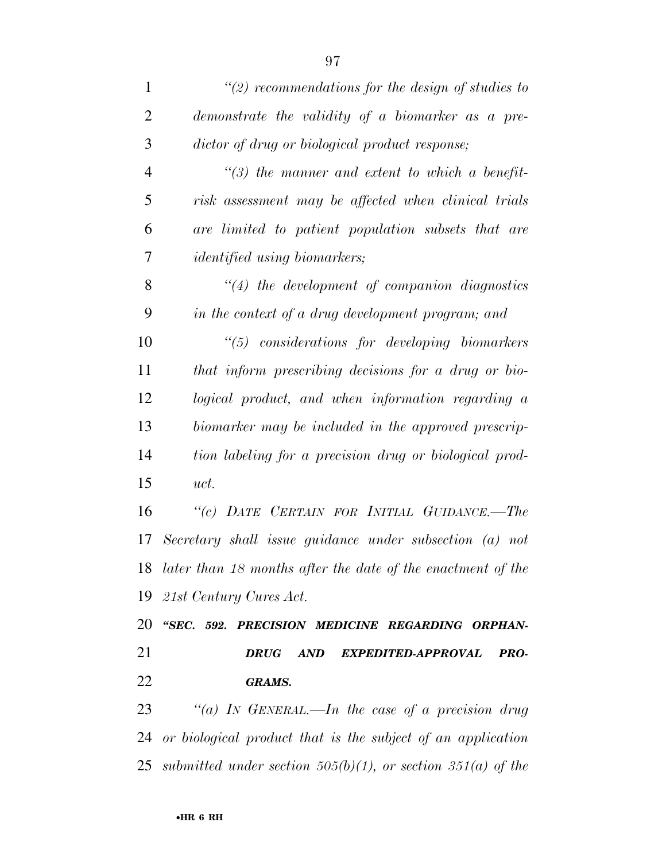| $\mathbf{1}$   | $\lq(2)$ recommendations for the design of studies to            |
|----------------|------------------------------------------------------------------|
| $\overline{2}$ | demonstrate the validity of a biomarker as a pre-                |
| 3              | dictor of drug or biological product response;                   |
| $\overline{4}$ | $\lq(3)$ the manner and extent to which a benefit-               |
| 5              | risk assessment may be affected when clinical trials             |
| 6              | are limited to patient population subsets that are               |
| 7              | <i>identified</i> using biomarkers;                              |
| 8              | $\lq(4)$ the development of companion diagnostics                |
| 9              | in the context of a drug development program; and                |
| 10             | "(5) considerations for developing biomarkers                    |
| 11             | that inform prescribing decisions for a drug or bio-             |
| 12             | logical product, and when information regarding a                |
| 13             | biomarker may be included in the approved prescrip-              |
| 14             | tion labeling for a precision drug or biological prod-           |
| 15             | uct.                                                             |
| 16             | "(c) DATE CERTAIN FOR INITIAL GUIDANCE.-The                      |
| 17             | Secretary shall issue guidance under subsection (a) not          |
| 18             | $later than 18 months after the date of the enactment of the$    |
| 19             | 21st Century Cures Act.                                          |
| 20             | "SEC. 592. PRECISION MEDICINE REGARDING ORPHAN-                  |
| 21             | AND<br>PRO-<br><b>DRUG</b><br>EXPEDITED-APPROVAL                 |
| 22             | <b>GRAMS.</b>                                                    |
| 23             | "(a) IN GENERAL.—In the case of a precision drug                 |
| 24             | or biological product that is the subject of an application      |
| 25             | submitted under section $505(b)(1)$ , or section $351(a)$ of the |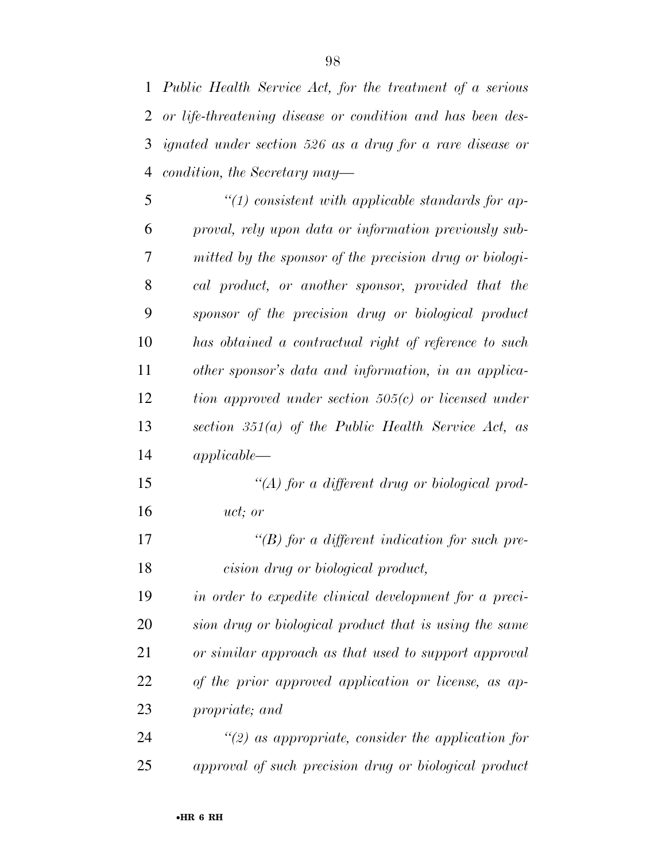*Public Health Service Act, for the treatment of a serious or life-threatening disease or condition and has been des- ignated under section 526 as a drug for a rare disease or condition, the Secretary may—* 

| 5  | $"(1)$ consistent with applicable standards for ap-     |
|----|---------------------------------------------------------|
| 6  | proval, rely upon data or information previously sub-   |
| 7  | mitted by the sponsor of the precision drug or biologi- |
| 8  | cal product, or another sponsor, provided that the      |
| 9  | sponsor of the precision drug or biological product     |
| 10 | has obtained a contractual right of reference to such   |
| 11 | other sponsor's data and information, in an applica-    |
| 12 | tion approved under section $505(c)$ or licensed under  |
| 13 | section $351(a)$ of the Public Health Service Act, as   |
| 14 | $applied be -$                                          |
| 15 | "(A) for a different drug or biological prod-           |
| 16 | uct; or                                                 |
| 17 | $\lq\lq(B)$ for a different indication for such pre-    |
| 18 | cision drug or biological product,                      |
| 19 | in order to expedite clinical development for a preci-  |
| 20 | sion drug or biological product that is using the same  |
| 21 | or similar approach as that used to support approval    |
| 22 | of the prior approved application or license, as ap-    |
| 23 | propriate; and                                          |
|    |                                                         |

 *''(2) as appropriate, consider the application for approval of such precision drug or biological product*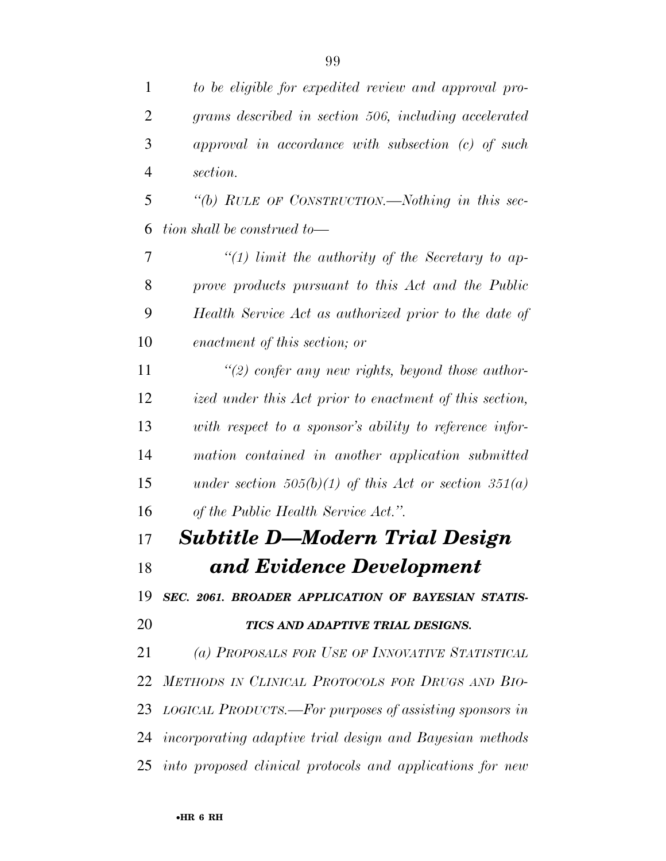*to be eligible for expedited review and approval pro- grams described in section 506, including accelerated approval in accordance with subsection (c) of such section.* 

 *''(b) RULE OF CONSTRUCTION.—Nothing in this sec-tion shall be construed to—* 

 *''(1) limit the authority of the Secretary to ap- prove products pursuant to this Act and the Public Health Service Act as authorized prior to the date of enactment of this section; or* 

 *''(2) confer any new rights, beyond those author- ized under this Act prior to enactment of this section, with respect to a sponsor's ability to reference infor- mation contained in another application submitted under section 505(b)(1) of this Act or section 351(a) of the Public Health Service Act.''.* 

 *Subtitle D—Modern Trial Design and Evidence Development* 

*SEC. 2061. BROADER APPLICATION OF BAYESIAN STATIS-*

## *TICS AND ADAPTIVE TRIAL DESIGNS.*

 *(a) PROPOSALS FOR USE OF INNOVATIVE STATISTICAL METHODS IN CLINICAL PROTOCOLS FOR DRUGS AND BIO- LOGICAL PRODUCTS.—For purposes of assisting sponsors in incorporating adaptive trial design and Bayesian methods into proposed clinical protocols and applications for new*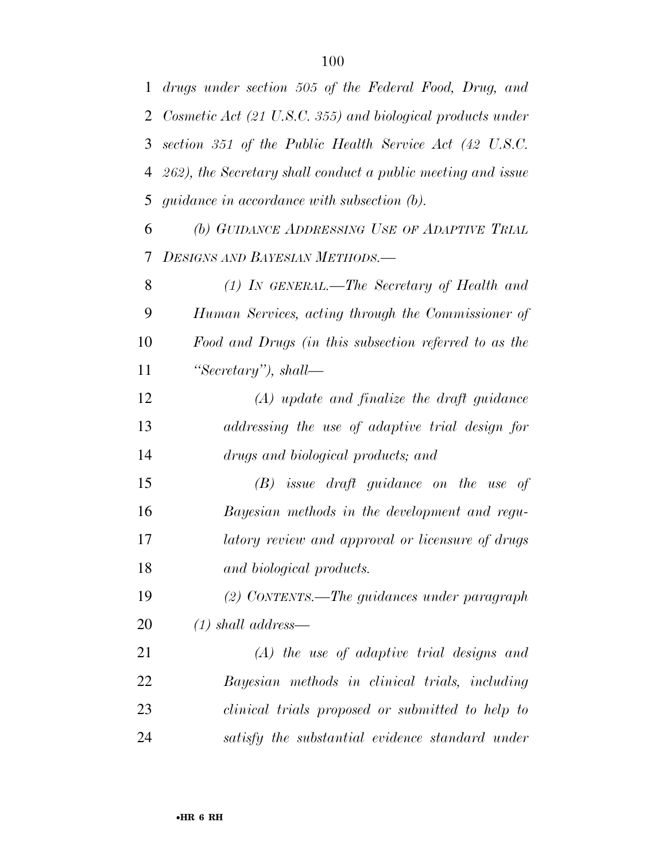| 1              | drugs under section 505 of the Federal Food, Drug, and       |
|----------------|--------------------------------------------------------------|
| $\overline{2}$ | Cosmetic Act (21 U.S.C. 355) and biological products under   |
| 3              | section 351 of the Public Health Service Act (42 U.S.C.      |
| 4              | 262), the Secretary shall conduct a public meeting and issue |
| 5              | <i>guidance in accordance with subsection (b).</i>           |
| 6              | (b) GUIDANCE ADDRESSING USE OF ADAPTIVE TRIAL                |
| 7              | <b>DESIGNS AND BAYESIAN METHODS.—</b>                        |
| 8              | $(1)$ In GENERAL.—The Secretary of Health and                |
| 9              | Human Services, acting through the Commissioner of           |
| 10             | Food and Drugs (in this subsection referred to as the        |
| 11             | "Secretary"), shall—                                         |
| 12             | $(A)$ update and finalize the draft guidance                 |
| 13             | addressing the use of adaptive trial design for              |
| 14             | drugs and biological products; and                           |
| 15             | $(B)$ issue draft guidance on the use of                     |
| 16             | Bayesian methods in the development and regu-                |
| 17             | latory review and approval or licensure of drugs             |
| 18             | and biological products.                                     |
| 19             | $(2)$ CONTENTS.—The guidances under paragraph                |
| 20             | $(1)$ shall address—                                         |
| 21             | $(A)$ the use of adaptive trial designs and                  |
| 22             | Bayesian methods in clinical trials, including               |
| 23             | clinical trials proposed or submitted to help to             |
| 24             | satisfy the substantial evidence standard under              |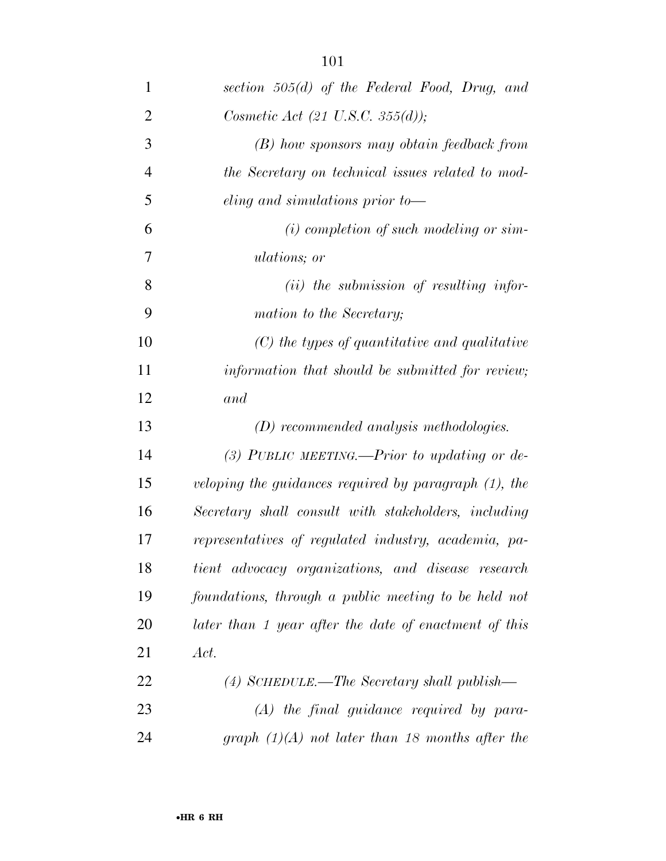| $\mathbf{1}$   | section $505(d)$ of the Federal Food, Drug, and          |
|----------------|----------------------------------------------------------|
| $\overline{2}$ | Cosmetic Act $(21 \text{ U.S. C. } 355(d))$ ;            |
| 3              | (B) how sponsors may obtain feedback from                |
| $\overline{4}$ | the Secretary on technical issues related to mod-        |
| 5              | eling and simulations prior to-                          |
| 6              | $(i)$ completion of such modeling or sim-                |
| 7              | <i>ulations</i> ; or                                     |
| 8              | $(ii)$ the submission of resulting infor-                |
| 9              | mation to the Secretary;                                 |
| 10             | $(C)$ the types of quantitative and qualitative          |
| 11             | information that should be submitted for review;         |
| 12             | and                                                      |
| 13             | $(D)$ recommended analysis methodologies.                |
| 14             | (3) PUBLIC MEETING.—Prior to updating or de-             |
| 15             | veloping the guidances required by paragraph $(1)$ , the |
| 16             | Secretary shall consult with stakeholders, including     |
| 17             | representatives of regulated industry, academia, pa-     |
| 18             | tient advocacy organizations, and disease research       |
| 19             | foundations, through a public meeting to be held not     |
| 20             | later than 1 year after the date of enactment of this    |
| 21             | Act.                                                     |
| 22             | $(4)$ SCHEDULE.—The Secretary shall publish—             |
| 23             | $(A)$ the final guidance required by para-               |
| 24             | graph $(1)(A)$ not later than 18 months after the        |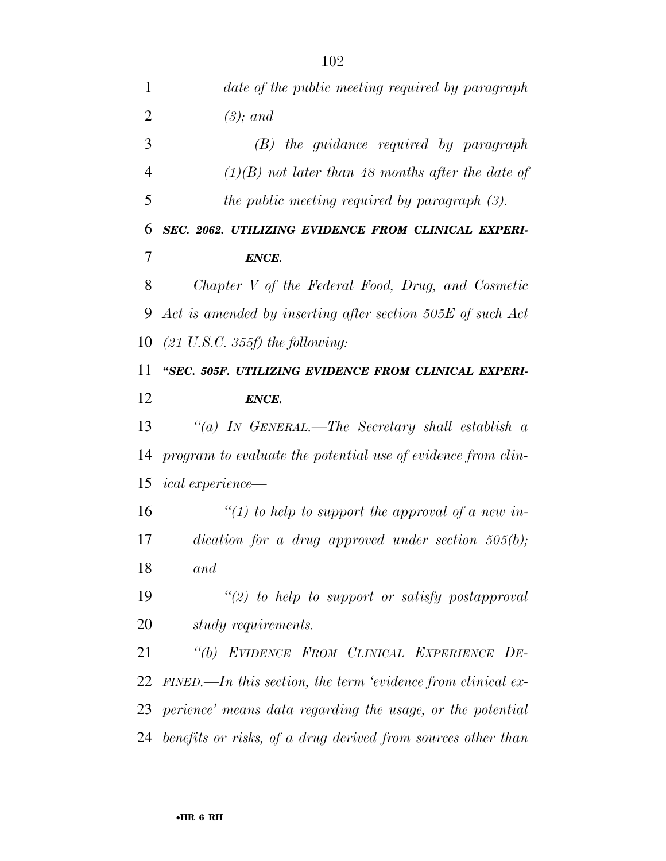| 1              | date of the public meeting required by paragraph               |
|----------------|----------------------------------------------------------------|
| $\overline{2}$ | $(3)$ ; and                                                    |
| 3              | $(B)$ the guidance required by paragraph                       |
| $\overline{4}$ | $(1)(B)$ not later than 48 months after the date of            |
| 5              | the public meeting required by paragraph $(3)$ .               |
| 6              | SEC. 2062. UTILIZING EVIDENCE FROM CLINICAL EXPERI-            |
| 7              | ENCE.                                                          |
| 8              | Chapter V of the Federal Food, Drug, and Cosmetic              |
| 9              | Act is amended by inserting after section 505E of such Act     |
| 10             | $(21 \text{ U.S.C. } 355f)$ the following:                     |
| 11             | "SEC. 505F. UTILIZING EVIDENCE FROM CLINICAL EXPERI-           |
| 12             | ENCE.                                                          |
| 13             | "(a) IN GENERAL.—The Secretary shall establish a               |
| 14             | program to evaluate the potential use of evidence from clin-   |
| 15             | <i>ical experience—</i>                                        |
| 16             | "(1) to help to support the approval of a new in-              |
| 17             | $dication$ for a drug approved under section 505(b);           |
| 18             | and                                                            |
| 19             | $"(2)$ to help to support or satisfy postapproval              |
| 20             | study requirements.                                            |
| 21             | "(b) EVIDENCE FROM CLINICAL EXPERIENCE DE-                     |
| 22             | $FINED$ —In this section, the term 'evidence from clinical ex- |
| 23             | perience' means data regarding the usage, or the potential     |
| 24             | benefits or risks, of a drug derived from sources other than   |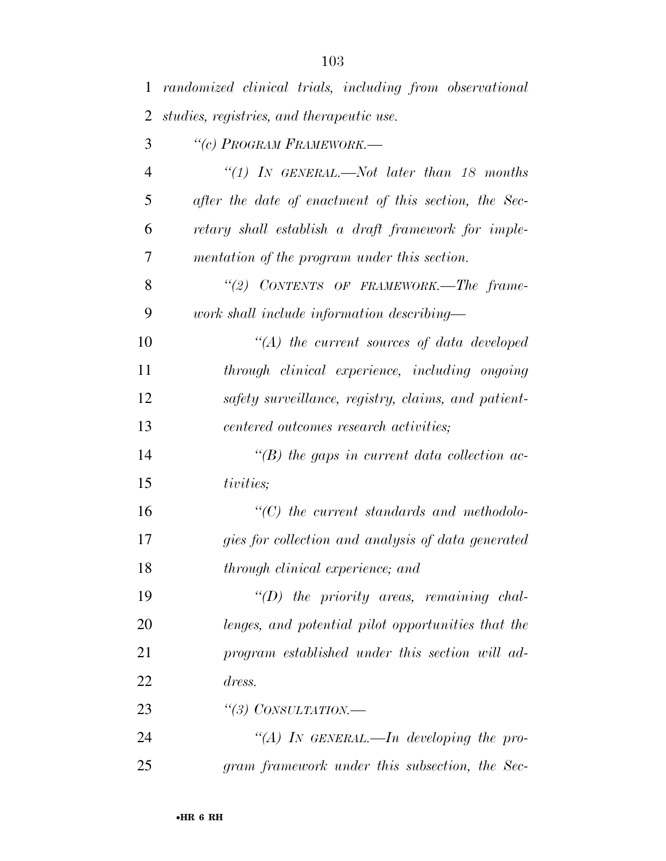| $\mathbf{1}$   | randomized clinical trials, including from observational |
|----------------|----------------------------------------------------------|
| $\overline{2}$ | studies, registries, and therapeutic use.                |
| 3              | "(c) PROGRAM FRAMEWORK.—                                 |
| $\overline{4}$ | "(1) IN GENERAL.—Not later than 18 months                |
| 5              | after the date of enactment of this section, the Sec-    |
| 6              | retary shall establish a draft framework for imple-      |
| 7              | mentation of the program under this section.             |
| 8              | "(2) CONTENTS OF FRAMEWORK.—The frame-                   |
| 9              | work shall include information describing—               |
| 10             | $\lq (A)$ the current sources of data developed          |
| 11             | through clinical experience, including ongoing           |
| 12             | safety surveillance, registry, claims, and patient-      |
| 13             | centered outcomes research activities;                   |
| 14             | $\lq\lq(B)$ the gaps in current data collection ac-      |
| 15             | tivities;                                                |
| 16             | $\lq\lq C$ ) the current standards and methodolo-        |
| 17             | gies for collection and analysis of data generated       |
| 18             | through clinical experience; and                         |
| 19             | $\lq\lq D$ the priority areas, remaining chal-           |
| 20             | lenges, and potential pilot opportunities that the       |
| 21             | program established under this section will ad-          |
| 22             | dress.                                                   |
| 23             | "(3) CONSULTATION.—                                      |
| 24             | "(A) IN GENERAL.—In developing the pro-                  |
| 25             | gram framework under this subsection, the Sec-           |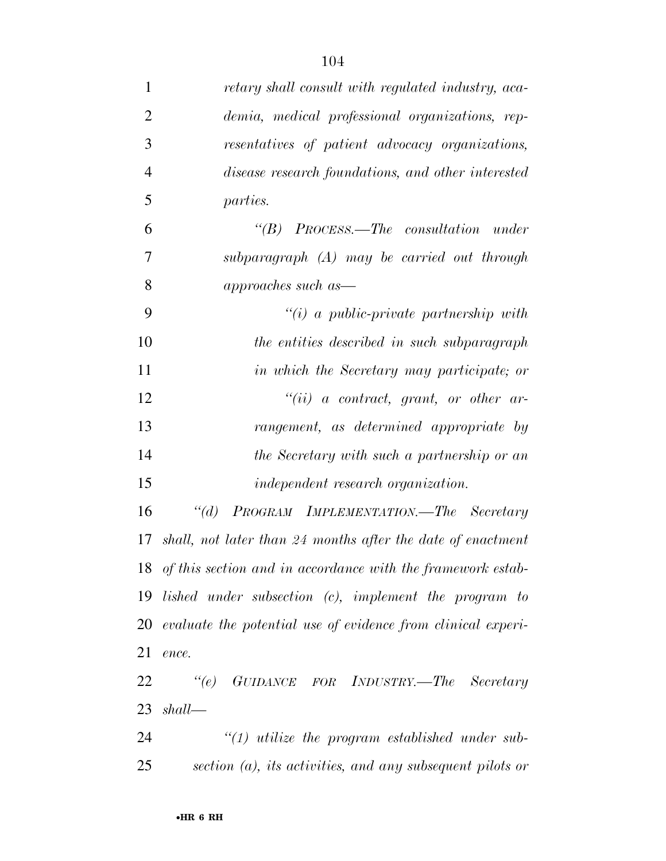| $\mathbf{1}$   | retary shall consult with regulated industry, aca-              |
|----------------|-----------------------------------------------------------------|
| $\overline{2}$ | demia, medical professional organizations, rep-                 |
| 3              | resentatives of patient advocacy organizations,                 |
| $\overline{4}$ | disease research foundations, and other interested              |
| 5              | <i>parties.</i>                                                 |
| 6              | $\lq\lq B$ PROCESS.—The consultation under                      |
| 7              | $subparagnph$ $(A)$ may be carried out through                  |
| 8              | approaches such as—                                             |
| 9              | $\lq\lq(i)$ a public-private partnership with                   |
| 10             | the entities described in such subparagraph                     |
| 11             | in which the Secretary may participate; or                      |
| 12             | $``(ii)$ a contract, grant, or other ar-                        |
| 13             | rangement, as determined appropriate by                         |
| 14             | the Secretary with such a partnership or an                     |
| 15             | <i>independent research organization.</i>                       |
| 16             | PROGRAM IMPLEMENTATION.—The Secretary<br>$\lq(a)$               |
| 17             | shall, not later than 24 months after the date of enactment     |
|                | 18 of this section and in accordance with the framework estab-  |
|                | 19 lished under subsection (c), implement the program to        |
|                | 20 evaluate the potential use of evidence from clinical experi- |
| 21             | ence.                                                           |
| 22             | "(e) GUIDANCE FOR INDUSTRY.—The Secretary                       |
| 23             | shall                                                           |
| 24             | $"(1)$ utilize the program established under sub-               |
| 25             | section $(a)$ , its activities, and any subsequent pilots or    |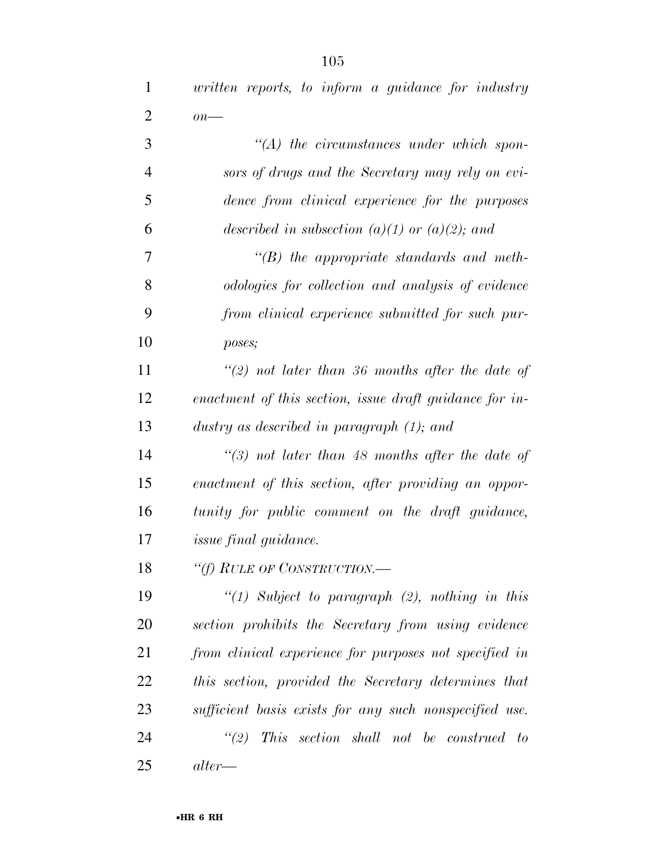*written reports, to inform a guidance for industry* 

| $\overline{2}$ | $\overline{on}$ —                                       |
|----------------|---------------------------------------------------------|
| 3              | $\lq (A)$ the circumstances under which spon-           |
| $\overline{4}$ | sors of drugs and the Secretary may rely on evi-        |
| 5              | dence from clinical experience for the purposes         |
| 6              | described in subsection (a)(1) or (a)(2); and           |
| 7              | $\lq\lq(B)$ the appropriate standards and meth-         |
| 8              | odologies for collection and analysis of evidence       |
| 9              | from clinical experience submitted for such pur-        |
| 10             | poses;                                                  |
| 11             | "(2) not later than 36 months after the date of         |
| 12             | enactment of this section, issue draft guidance for in- |
| 13             | dustry as described in paragraph $(1)$ ; and            |
| 14             | $\lq(3)$ not later than 48 months after the date of     |
| 15             | enactment of this section, after providing an oppor-    |
| 16             | tunity for public comment on the draft guidance,        |
| 17             | <i>issue final guidance.</i>                            |
| 18             | "(f) RULE OF CONSTRUCTION.—                             |
| 19             | " $(1)$ Subject to paragraph $(2)$ , nothing in this    |
| 20             | section prohibits the Secretary from using evidence     |
| 21             | from clinical experience for purposes not specified in  |
| 22             | this section, provided the Secretary determines that    |
| 23             | sufficient basis exists for any such nonspecified use.  |
| 24             | $\lq(2)$ This section shall not be construed to         |
| 25             | $\it alter$                                             |
|                |                                                         |
|                | $\bullet$ HR 6 RH                                       |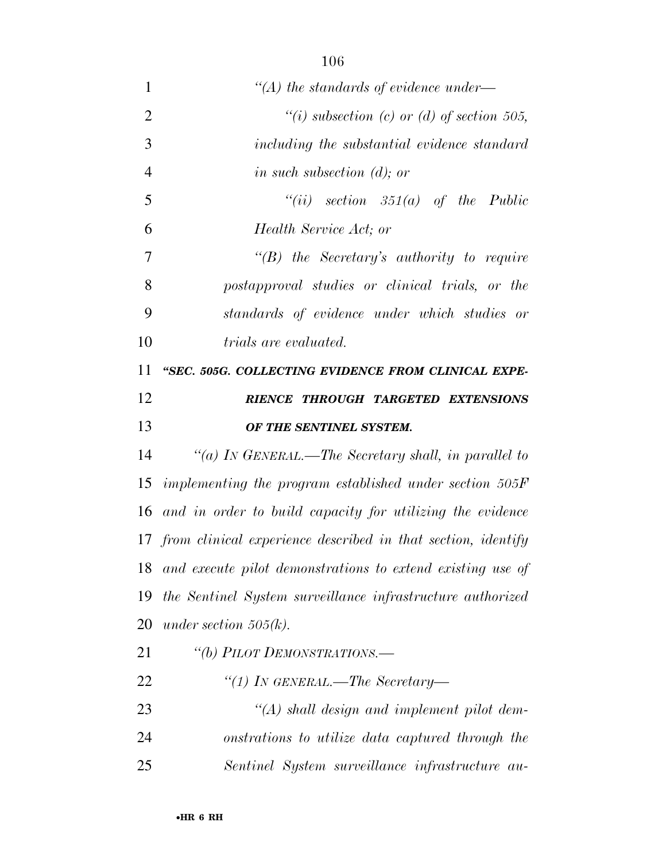| 1              | $\lq (A)$ the standards of evidence under—                      |
|----------------|-----------------------------------------------------------------|
| 2              | "(i) subsection (c) or (d) of section 505,                      |
| 3              | including the substantial evidence standard                     |
| $\overline{4}$ | in such subsection $(d)$ ; or                                   |
| 5              | "(ii) section $351(a)$ of the Public                            |
| 6              | Health Service Act; or                                          |
| 7              | $\lq\lq B$ the Secretary's authority to require                 |
| 8              | postapproval studies or clinical trials, or the                 |
| 9              | standards of evidence under which studies or                    |
| 10             | <i>trials are evaluated.</i>                                    |
| 11             | "SEC. 505G. COLLECTING EVIDENCE FROM CLINICAL EXPE-             |
| 12             | RIENCE THROUGH TARGETED EXTENSIONS                              |
| 13             | OF THE SENTINEL SYSTEM.                                         |
| 14             | "(a) IN GENERAL.—The Secretary shall, in parallel to            |
| 15             | implementing the program established under section $505F$       |
| 16             | and in order to build capacity for utilizing the evidence       |
|                | 17 from clinical experience described in that section, identify |
| 18             | and execute pilot demonstrations to extend existing use of      |
| 19             | the Sentinel System surveillance infrastructure authorized      |
| 20             | under section $505(k)$ .                                        |
| 21             | "(b) PILOT DEMONSTRATIONS.-                                     |
|                |                                                                 |

- *''(1) IN GENERAL.—The Secretary—*
- *''(A) shall design and implement pilot dem- onstrations to utilize data captured through the Sentinel System surveillance infrastructure au-*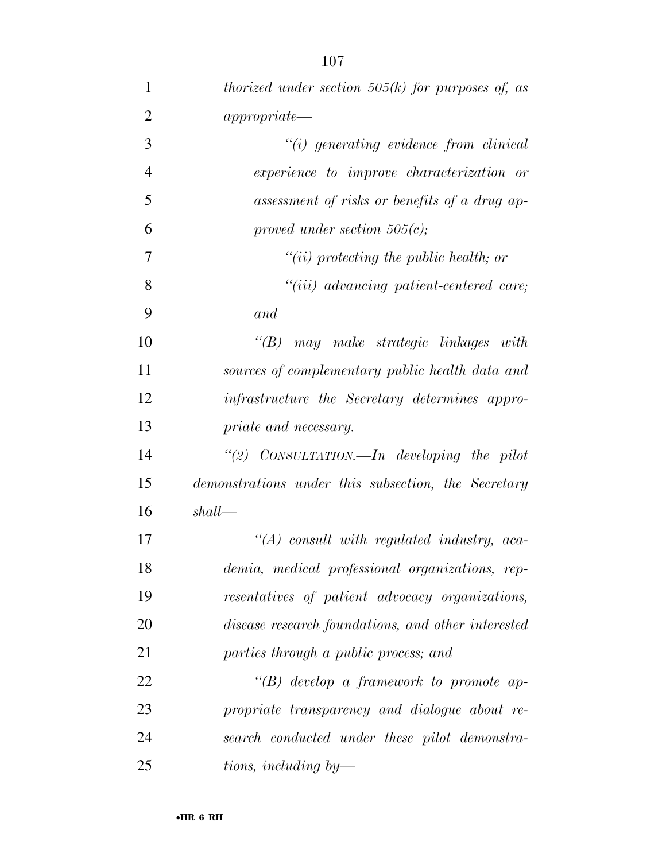| $\mathbf{1}$   | thorized under section $505(k)$ for purposes of, as   |
|----------------|-------------------------------------------------------|
| $\overline{2}$ | approx                                                |
| 3              | $``(i)$ generating evidence from clinical             |
| $\overline{4}$ | experience to improve characterization or             |
| 5              | assessment of risks or benefits of a drug ap-         |
| 6              | proved under section $505(c)$ ;                       |
| 7              | $``(ii)$ protecting the public health; or             |
| 8              | "(iii) advancing patient-centered care;               |
| 9              | and                                                   |
| 10             | $\lq\lq B$ may make strategic linkages with           |
| 11             | sources of complementary public health data and       |
| 12             | <i>infrastructure the Secretary determines appro-</i> |
| 13             | priate and necessary.                                 |
| 14             | "(2) $CONSULTATION$ . In developing the pilot         |
| 15             | demonstrations under this subsection, the Secretary   |
| 16             | shall                                                 |
| 17             | $\lq (A)$ consult with regulated industry, aca-       |
| 18             | demia, medical professional organizations, rep-       |
| 19             | resentatives of patient advocacy organizations,       |
| 20             | disease research foundations, and other interested    |
| 21             | parties through a public process; and                 |
| 22             | "(B) develop a framework to promote ap-               |
| 23             | propriate transparency and dialogue about re-         |
| 24             | search conducted under these pilot demonstra-         |
| 25             | tions, including by—                                  |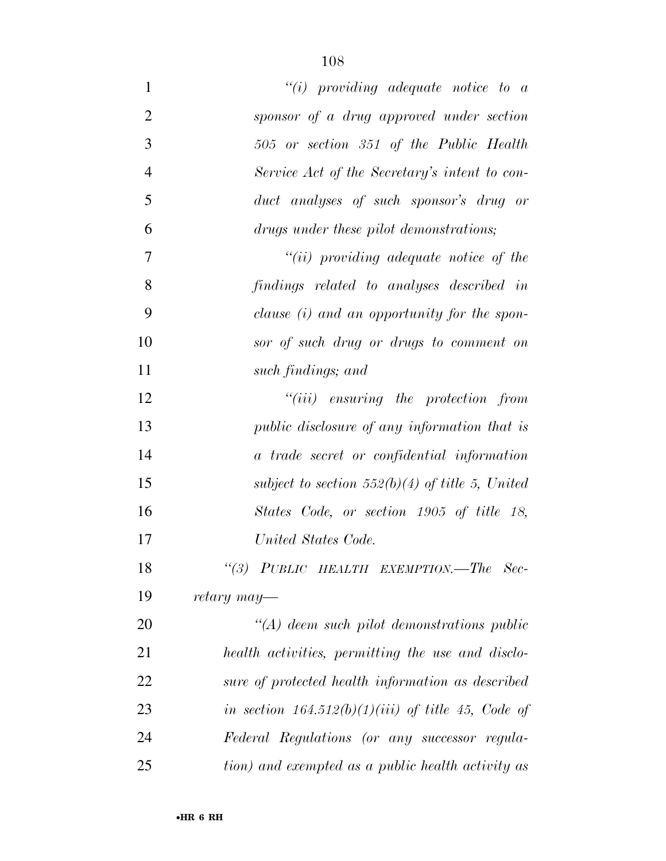| $\mathbf{1}$   | $``(i)$ providing adequate notice to a               |
|----------------|------------------------------------------------------|
| $\overline{2}$ | sponsor of a drug approved under section             |
| 3              | 505 or section 351 of the Public Health              |
| $\overline{4}$ | Service Act of the Secretary's intent to con-        |
| 5              | duct analyses of such sponsor's drug or              |
| 6              | drugs under these pilot demonstrations;              |
| $\overline{7}$ | $``(ii)$ providing adequate notice of the            |
| 8              | findings related to analyses described in            |
| 9              | clause (i) and an opportunity for the spon-          |
| 10             | sor of such drug or drugs to comment on              |
| 11             | such findings; and                                   |
| 12             | $"(iii)$ ensuring the protection from                |
| 13             | <i>public disclosure of any information that is</i>  |
| 14             | a trade secret or confidential information           |
| 15             | subject to section 552(b)(4) of title 5, United      |
| 16             | States Code, or section 1905 of title 18,            |
| 17             | United States Code.                                  |
| 18             | "(3) PUBLIC HEALTH EXEMPTION.-The Sec-               |
| 19             | retary may—                                          |
| 20             | $\lq (A)$ deem such pilot demonstrations public      |
| 21             | health activities, permitting the use and disclo-    |
| 22             | sure of protected health information as described    |
| 23             | in section $164.512(b)(1)(iii)$ of title 45, Code of |
| 24             | Federal Regulations (or any successor regula-        |
| 25             | tion) and exempted as a public health activity as    |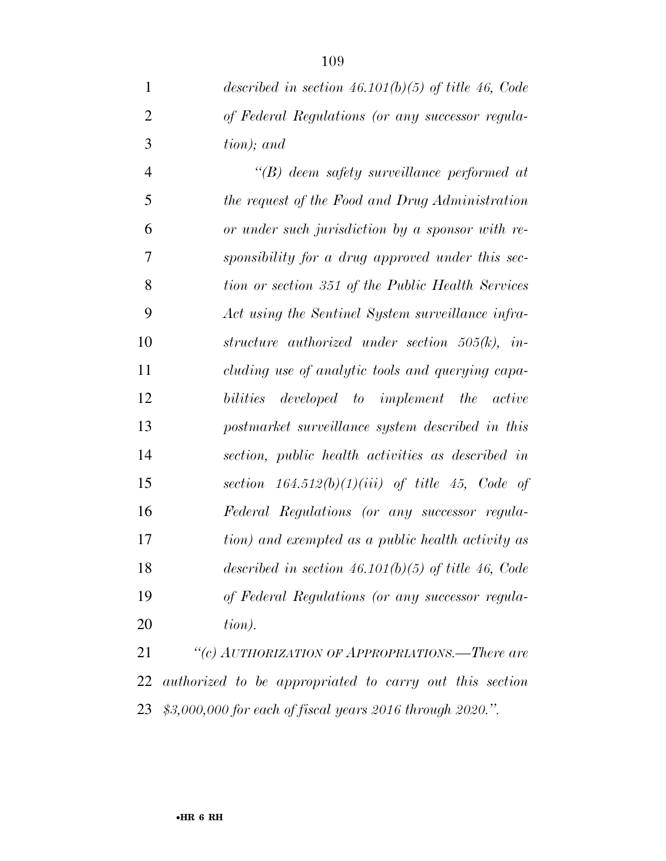*described in section 46.101(b)(5) of title 46, Code of Federal Regulations (or any successor regula-tion); and* 

 *''(B) deem safety surveillance performed at the request of the Food and Drug Administration or under such jurisdiction by a sponsor with re- sponsibility for a drug approved under this sec- tion or section 351 of the Public Health Services Act using the Sentinel System surveillance infra- structure authorized under section 505(k), in- cluding use of analytic tools and querying capa- bilities developed to implement the active postmarket surveillance system described in this section, public health activities as described in section 164.512(b)(1)(iii) of title 45, Code of Federal Regulations (or any successor regula- tion) and exempted as a public health activity as described in section 46.101(b)(5) of title 46, Code of Federal Regulations (or any successor regula-tion).* 

 *''(c) AUTHORIZATION OF APPROPRIATIONS.—There are authorized to be appropriated to carry out this section \$3,000,000 for each of fiscal years 2016 through 2020.''.*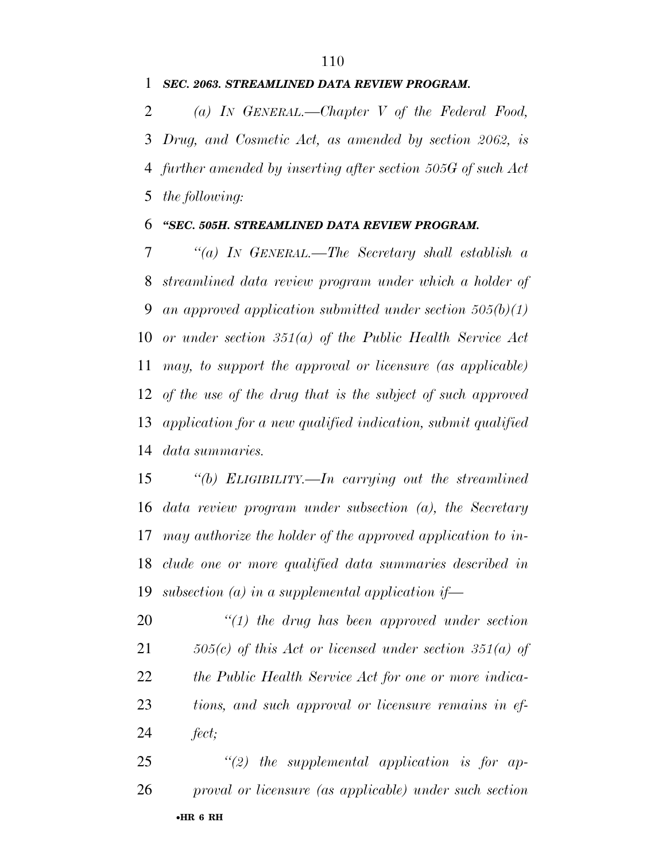#### *SEC. 2063. STREAMLINED DATA REVIEW PROGRAM.*

 *(a) IN GENERAL.—Chapter V of the Federal Food, Drug, and Cosmetic Act, as amended by section 2062, is further amended by inserting after section 505G of such Act the following:* 

#### *''SEC. 505H. STREAMLINED DATA REVIEW PROGRAM.*

 *''(a) IN GENERAL.—The Secretary shall establish a streamlined data review program under which a holder of an approved application submitted under section 505(b)(1) or under section 351(a) of the Public Health Service Act may, to support the approval or licensure (as applicable) of the use of the drug that is the subject of such approved application for a new qualified indication, submit qualified data summaries.* 

 *''(b) ELIGIBILITY.—In carrying out the streamlined data review program under subsection (a), the Secretary may authorize the holder of the approved application to in- clude one or more qualified data summaries described in subsection (a) in a supplemental application if—* 

 *''(1) the drug has been approved under section 505(c) of this Act or licensed under section 351(a) of the Public Health Service Act for one or more indica- tions, and such approval or licensure remains in ef-fect;* 

•**HR 6 RH** *''(2) the supplemental application is for ap-proval or licensure (as applicable) under such section*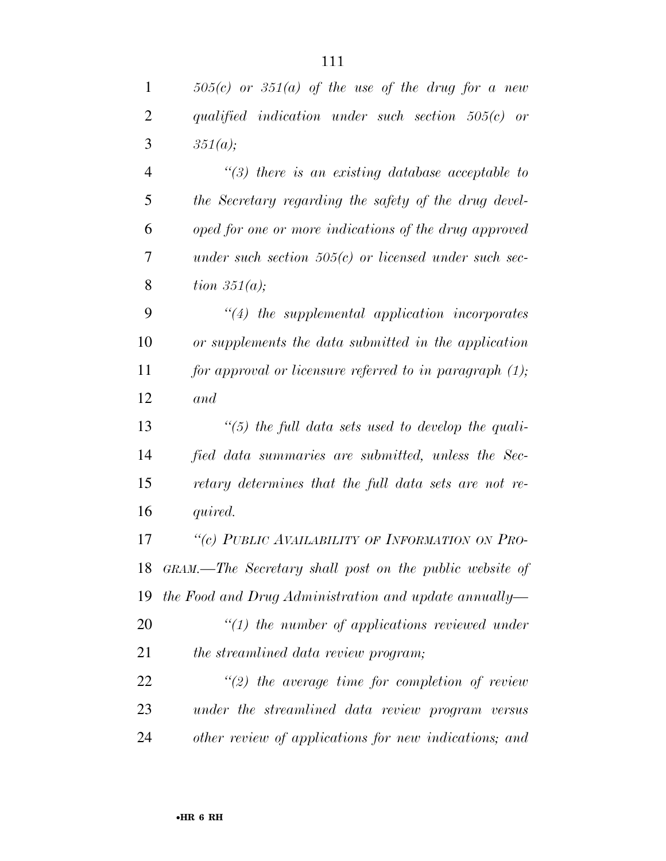| $505(c)$ or $351(a)$ of the use of the drug for a new      |
|------------------------------------------------------------|
| qualified indication under such section $505(c)$ or        |
| 351(a);                                                    |
| $\lq(3)$ there is an existing database acceptable to       |
| the Secretary regarding the safety of the drug devel-      |
| oped for one or more indications of the drug approved      |
| under such section $505(c)$ or licensed under such sec-    |
| tion $351(a)$ ;                                            |
| $\lq(4)$ the supplemental application incorporates         |
| or supplements the data submitted in the application       |
| for approval or licensure referred to in paragraph $(1)$ ; |
| and                                                        |
| $\lq(5)$ the full data sets used to develop the quali-     |
| fied data summaries are submitted, unless the Sec-         |
| retary determines that the full data sets are not re-      |
| quired.                                                    |
| "(c) PUBLIC AVAILABILITY OF INFORMATION ON PRO-            |
| GRAM.—The Secretary shall post on the public website of    |
| the Food and Drug Administration and update annually—      |
| $\lq(1)$ the number of applications reviewed under         |
| the streamlined data review program;                       |
| $\lq(2)$ the average time for completion of review         |
|                                                            |
| under the streamlined data review program versus           |
|                                                            |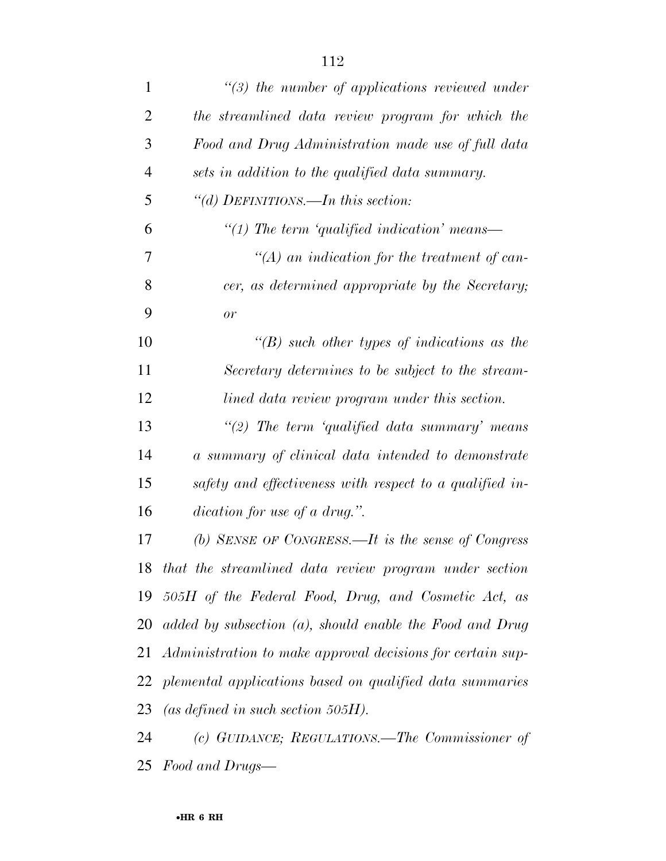| $\mathbf{1}$   | $\lq(3)$ the number of applications reviewed under            |
|----------------|---------------------------------------------------------------|
| $\overline{2}$ | the streamlined data review program for which the             |
| 3              | Food and Drug Administration made use of full data            |
| $\overline{4}$ | sets in addition to the qualified data summary.               |
| 5              | "(d) DEFINITIONS.—In this section:                            |
| 6              | $\lq(1)$ The term 'qualified indication' means—               |
| 7              | $\lq (A)$ an indication for the treatment of can-             |
| 8              | cer, as determined appropriate by the Secretary;              |
| 9              | or                                                            |
| 10             | "(B) such other types of indications as the                   |
| 11             | Secretary determines to be subject to the stream-             |
| 12             | lined data review program under this section.                 |
| 13             | "(2) The term 'qualified data summary' means                  |
| 14             | a summary of clinical data intended to demonstrate            |
| 15             | safety and effectiveness with respect to a qualified in-      |
| 16             | dication for use of a drug.".                                 |
| 17             | (b) SENSE OF CONGRESS.—It is the sense of Congress            |
| 18             | that the streamlined data review program under section        |
| 19             | 505H of the Federal Food, Drug, and Cosmetic Act, as          |
| 20             | added by subsection $(a)$ , should enable the Food and Drug   |
|                | 21 Administration to make approval decisions for certain sup- |
|                | 22 plemental applications based on qualified data summaries   |
| 23             | (as defined in such section $505H$ ).                         |
| 24             | (c) GUIDANCE; REGULATIONS.—The Commissioner of                |
| 25             | Food and Drugs—                                               |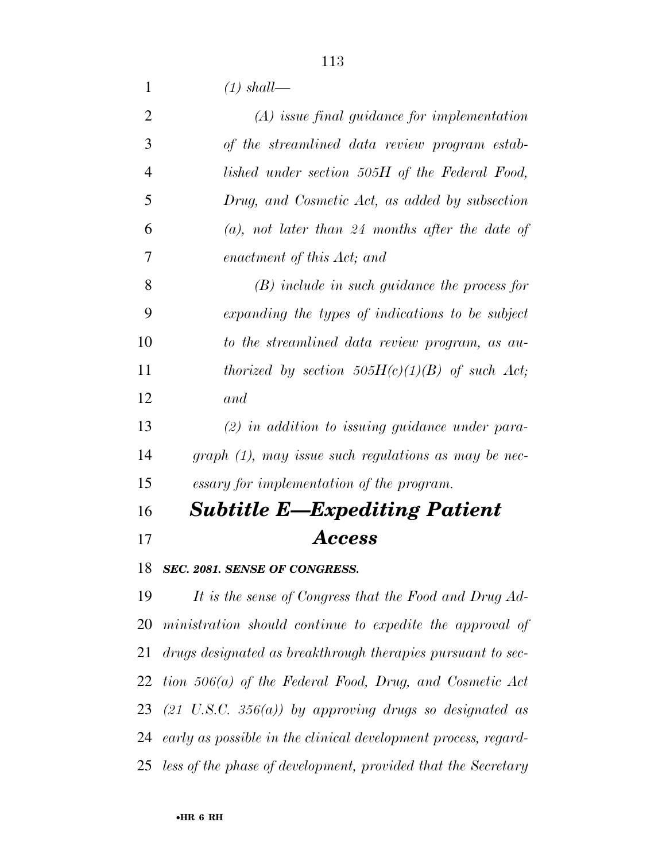*(1) shall—* 

| 2              | $(A)$ issue final guidance for implementation                |
|----------------|--------------------------------------------------------------|
| 3              | of the streamlined data review program estab-                |
| $\overline{4}$ | lished under section 505H of the Federal Food,               |
| 5              | Drug, and Cosmetic Act, as added by subsection               |
| 6              | $(a)$ , not later than 24 months after the date of           |
| 7              | enactment of this Act; and                                   |
| 8              | $(B)$ include in such guidance the process for               |
| 9              | expanding the types of indications to be subject             |
| 10             | to the streamlined data review program, as au-               |
| 11             | thorized by section 505H(c)(1)(B) of such Act;               |
| 12             | and                                                          |
| 13             | $(2)$ in addition to issuing guidance under para-            |
| 14             | $graph (1)$ , may issue such regulations as may be nec-      |
| 15             | essary for implementation of the program.                    |
| 16             | <b>Subtitle E—Expediting Patient</b>                         |
| 17             | Access                                                       |
| 18             | SEC. 2081. SENSE OF CONGRESS.                                |
| 19             | It is the sense of Congress that the Food and Drug Ad-       |
|                | 20 ministration should continue to expedite the approval of  |
| 21             | drugs designated as breakthrough therapies pursuant to sec-  |
|                | 22 tion $506(a)$ of the Federal Food, Drug, and Cosmetic Act |
|                | 23 (21 U.S.C. 356(a)) by approving drugs so designated as    |
|                |                                                              |

*early as possible in the clinical development process, regard-*

*less of the phase of development, provided that the Secretary*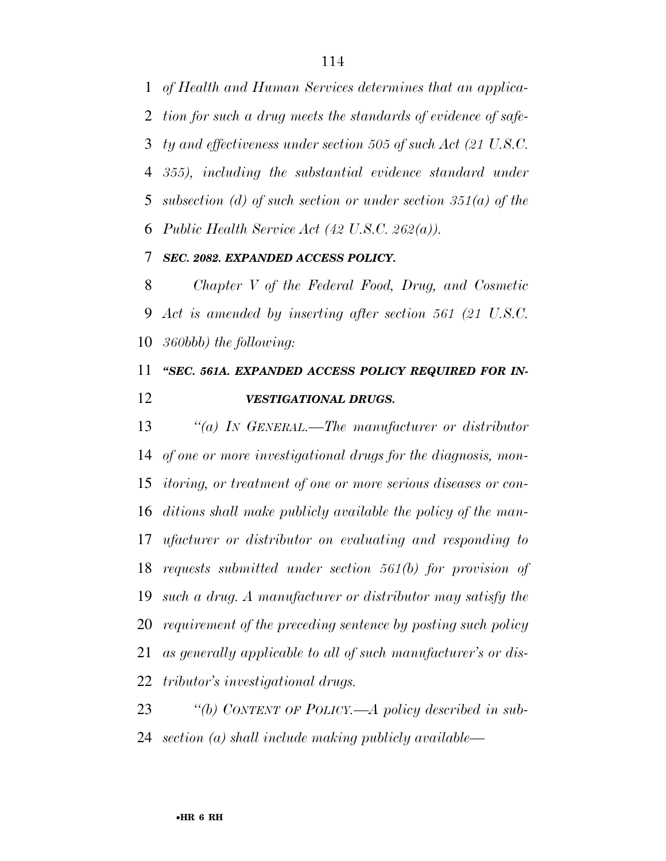*of Health and Human Services determines that an applica- tion for such a drug meets the standards of evidence of safe- ty and effectiveness under section 505 of such Act (21 U.S.C. 355), including the substantial evidence standard under subsection (d) of such section or under section 351(a) of the Public Health Service Act (42 U.S.C. 262(a)).* 

### *SEC. 2082. EXPANDED ACCESS POLICY.*

 *Chapter V of the Federal Food, Drug, and Cosmetic Act is amended by inserting after section 561 (21 U.S.C. 360bbb) the following:* 

## *''SEC. 561A. EXPANDED ACCESS POLICY REQUIRED FOR IN-VESTIGATIONAL DRUGS.*

 *''(a) IN GENERAL.—The manufacturer or distributor of one or more investigational drugs for the diagnosis, mon- itoring, or treatment of one or more serious diseases or con- ditions shall make publicly available the policy of the man- ufacturer or distributor on evaluating and responding to requests submitted under section 561(b) for provision of such a drug. A manufacturer or distributor may satisfy the requirement of the preceding sentence by posting such policy as generally applicable to all of such manufacturer's or dis-tributor's investigational drugs.* 

 *''(b) CONTENT OF POLICY.—A policy described in sub-section (a) shall include making publicly available—*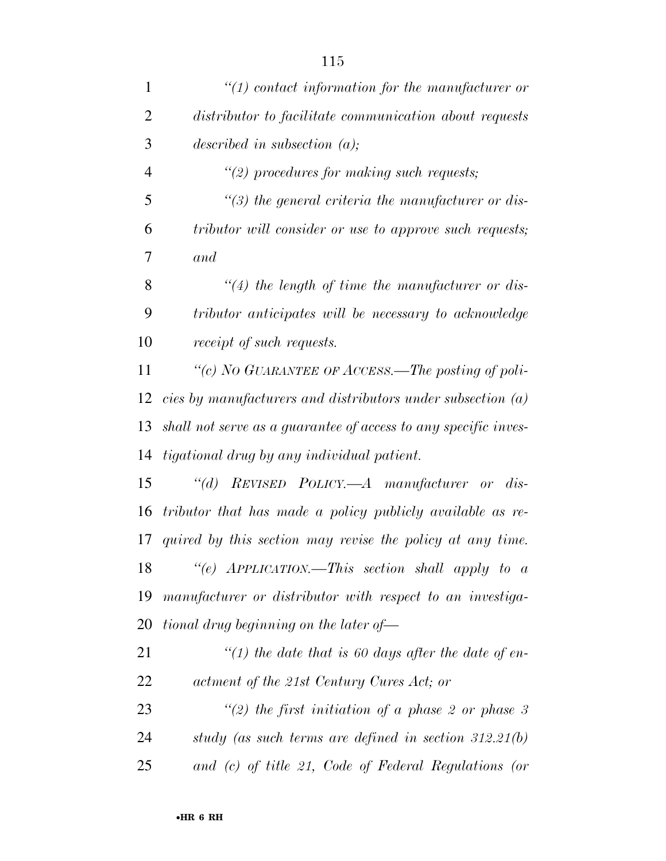| $\mathbf{1}$   | $"(1)$ contact information for the manufacturer or              |
|----------------|-----------------------------------------------------------------|
| $\overline{2}$ | distributor to facilitate communication about requests          |
| 3              | described in subsection $(a)$ ;                                 |
| $\overline{4}$ | $\lq(2)$ procedures for making such requests;                   |
| 5              | $\lq(3)$ the general criteria the manufacturer or dis-          |
| 6              | tributor will consider or use to approve such requests;         |
| 7              | and                                                             |
| 8              | $\lq(4)$ the length of time the manufacturer or dis-            |
| 9              | tributor anticipates will be necessary to acknowledge           |
| 10             | receipt of such requests.                                       |
| 11             | "(c) NO GUARANTEE OF ACCESS.—The posting of poli-               |
| 12             | cies by manufacturers and distributors under subsection $(a)$   |
| 13             | shall not serve as a guarantee of access to any specific inves- |
| 14             | tigational drug by any individual patient.                      |
| 15             | "(d) REVISED POLICY.—A manufacturer or dis-                     |
| 16             | tributor that has made a policy publicly available as re-       |
| 17             | quired by this section may revise the policy at any time.       |
| 18             | "(e) APPLICATION.—This section shall apply to a                 |
| 19             | manufacturer or distributor with respect to an investiga-       |
| 20             | tional drug beginning on the later of-                          |
| 21             | "(1) the date that is 60 days after the date of en-             |
| 22             | actment of the 21st Century Cures Act; or                       |
| 23             | "(2) the first initiation of a phase 2 or phase 3               |
| 24             | study (as such terms are defined in section $312.21(b)$ )       |
| 25             | and (c) of title 21, Code of Federal Regulations (or            |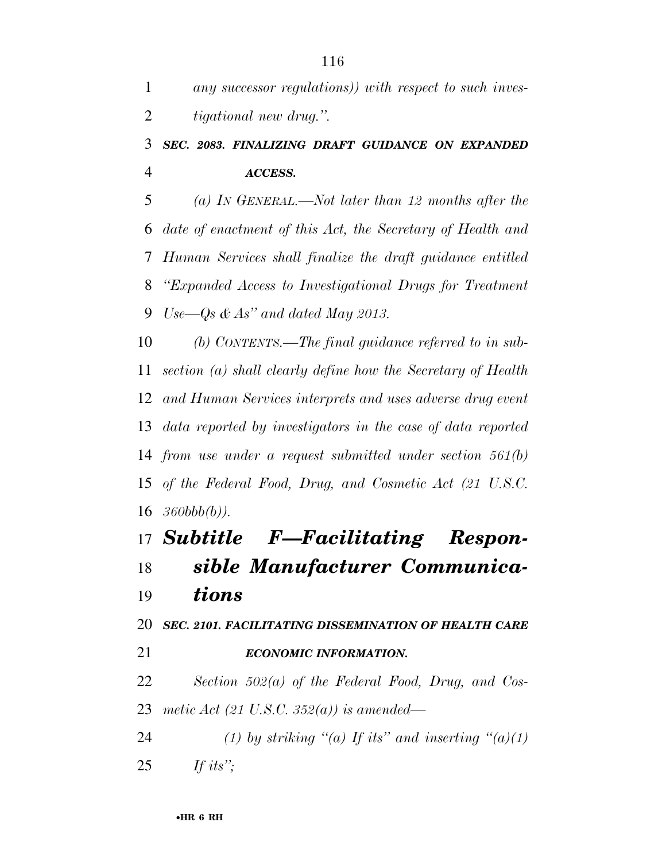## *SEC. 2083. FINALIZING DRAFT GUIDANCE ON EXPANDED ACCESS.*

 *(a) IN GENERAL.—Not later than 12 months after the date of enactment of this Act, the Secretary of Health and Human Services shall finalize the draft guidance entitled ''Expanded Access to Investigational Drugs for Treatment Use—Qs & As'' and dated May 2013.* 

 *(b) CONTENTS.—The final guidance referred to in sub- section (a) shall clearly define how the Secretary of Health and Human Services interprets and uses adverse drug event data reported by investigators in the case of data reported from use under a request submitted under section 561(b) of the Federal Food, Drug, and Cosmetic Act (21 U.S.C. 360bbb(b)).* 

# *Subtitle F—Facilitating Respon- sible Manufacturer Communica-tions*

*SEC. 2101. FACILITATING DISSEMINATION OF HEALTH CARE* 

*ECONOMIC INFORMATION.* 

 *Section 502(a) of the Federal Food, Drug, and Cos-metic Act (21 U.S.C. 352(a)) is amended—* 

*(1) by striking "(a) If its" and inserting "(a)(1) If its'';*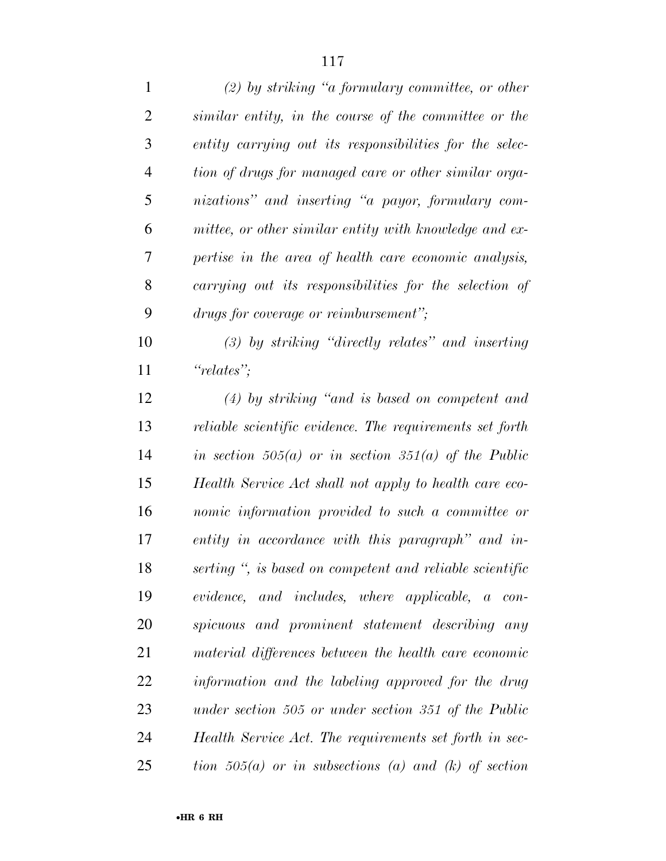| $\mathbf{1}$   | $(2)$ by striking "a formulary committee, or other       |
|----------------|----------------------------------------------------------|
| $\overline{2}$ | similar entity, in the course of the committee or the    |
| 3              | entity carrying out its responsibilities for the selec-  |
| $\overline{4}$ | tion of drugs for managed care or other similar orga-    |
| 5              | nizations" and inserting "a payor, formulary com-        |
| 6              | mittee, or other similar entity with knowledge and ex-   |
| 7              | pertise in the area of health care economic analysis,    |
| 8              | carrying out its responsibilities for the selection of   |
| 9              | drugs for coverage or reimbursement";                    |
| 10             | $(3)$ by striking "directly relates" and inserting       |
| 11             | "relates";                                               |
| 12             | $(4)$ by striking "and is based on competent and         |
| 13             | reliable scientific evidence. The requirements set forth |
| 14             | in section $505(a)$ or in section $351(a)$ of the Public |
| 15             | Health Service Act shall not apply to health care eco-   |
| 16             | nomic information provided to such a committee or        |
| 17             | entity in accordance with this paragraph" and in-        |
| 18             | serting ", is based on competent and reliable scientific |
| 19             | evidence, and includes, where applicable, a con-         |
| 20             | spicuous and prominent statement describing any          |
| 21             | material differences between the health care economic    |
| 22             | information and the labeling approved for the drug       |
| 23             | under section 505 or under section 351 of the Public     |
| 24             | Health Service Act. The requirements set forth in sec-   |
| 25             | tion $505(a)$ or in subsections (a) and (k) of section   |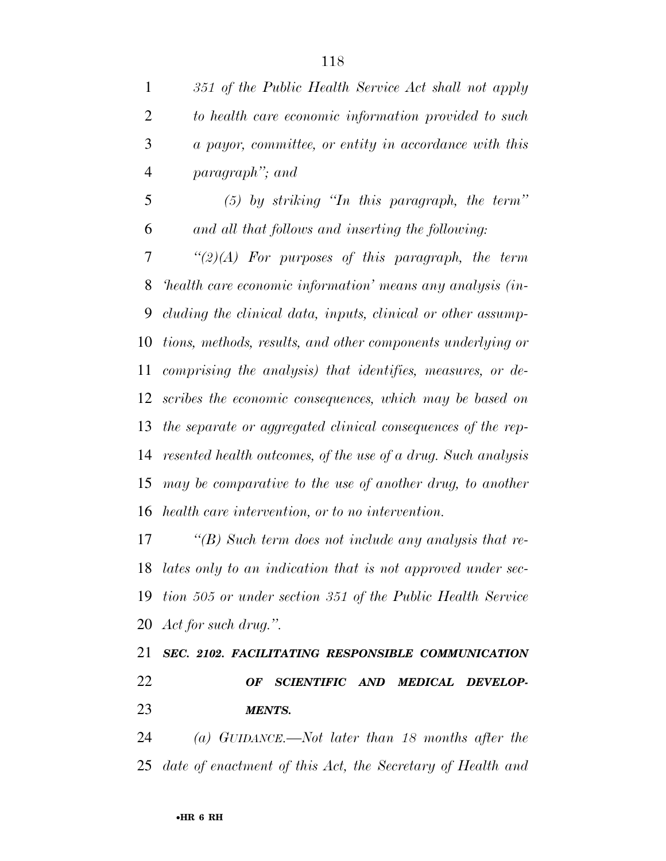*351 of the Public Health Service Act shall not apply to health care economic information provided to such a payor, committee, or entity in accordance with this paragraph''; and (5) by striking ''In this paragraph, the term''* 

 *and all that follows and inserting the following: ''(2)(A) For purposes of this paragraph, the term 'health care economic information' means any analysis (in-cluding the clinical data, inputs, clinical or other assump-*

 *tions, methods, results, and other components underlying or comprising the analysis) that identifies, measures, or de- scribes the economic consequences, which may be based on the separate or aggregated clinical consequences of the rep- resented health outcomes, of the use of a drug. Such analysis may be comparative to the use of another drug, to another health care intervention, or to no intervention.* 

 *''(B) Such term does not include any analysis that re- lates only to an indication that is not approved under sec- tion 505 or under section 351 of the Public Health Service Act for such drug.''.* 

 *SEC. 2102. FACILITATING RESPONSIBLE COMMUNICATION OF SCIENTIFIC AND MEDICAL DEVELOP-MENTS.* 

 *(a) GUIDANCE.—Not later than 18 months after the date of enactment of this Act, the Secretary of Health and*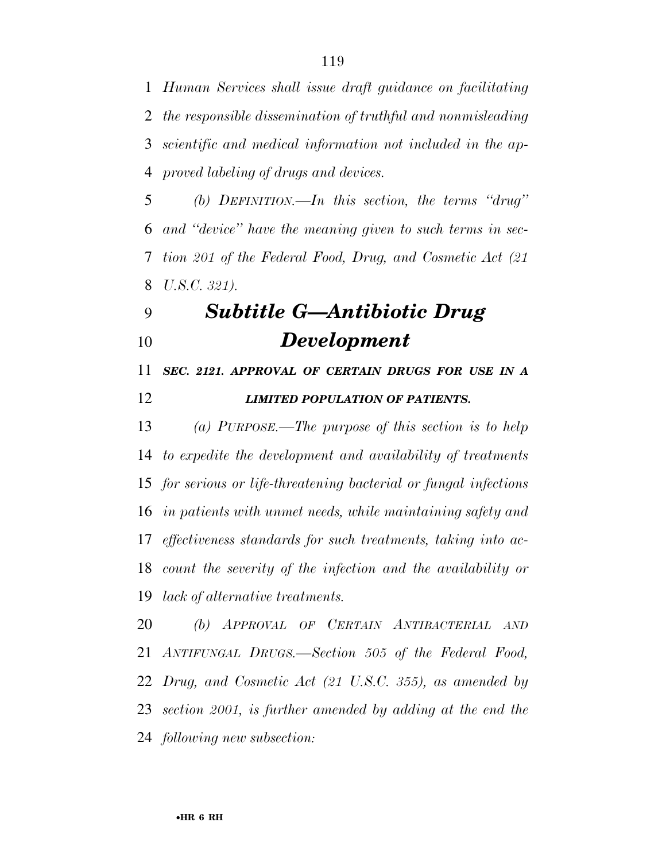*Human Services shall issue draft guidance on facilitating the responsible dissemination of truthful and nonmisleading scientific and medical information not included in the ap-proved labeling of drugs and devices.* 

 *(b) DEFINITION.—In this section, the terms ''drug'' and ''device'' have the meaning given to such terms in sec- tion 201 of the Federal Food, Drug, and Cosmetic Act (21 U.S.C. 321).* 

## *Subtitle G—Antibiotic Drug Development*

 *SEC. 2121. APPROVAL OF CERTAIN DRUGS FOR USE IN A LIMITED POPULATION OF PATIENTS.* 

 *(a) PURPOSE.—The purpose of this section is to help to expedite the development and availability of treatments for serious or life-threatening bacterial or fungal infections in patients with unmet needs, while maintaining safety and effectiveness standards for such treatments, taking into ac- count the severity of the infection and the availability or lack of alternative treatments.* 

 *(b) APPROVAL OF CERTAIN ANTIBACTERIAL AND ANTIFUNGAL DRUGS.—Section 505 of the Federal Food, Drug, and Cosmetic Act (21 U.S.C. 355), as amended by section 2001, is further amended by adding at the end the following new subsection:*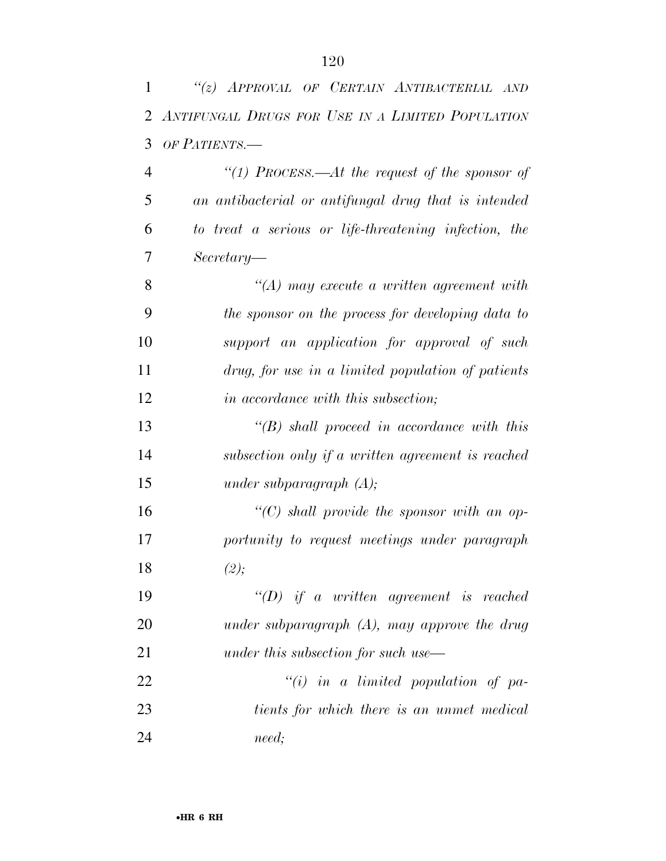| 1              | "(z) APPROVAL OF CERTAIN ANTIBACTERIAL AND            |
|----------------|-------------------------------------------------------|
| 2              | ANTIFUNGAL DRUGS FOR USE IN A LIMITED POPULATION      |
| 3              | OF PATIENTS.-                                         |
| $\overline{4}$ | "(1) PROCESS.—At the request of the sponsor of        |
| 5              | an antibacterial or antifungal drug that is intended  |
| 6              | to treat a serious or life-threatening infection, the |
| 7              | $Secretary-$                                          |
| 8              | $\lq (A)$ may execute a written agreement with        |
| 9              | the sponsor on the process for developing data to     |
| 10             | support an application for approval of such           |
| 11             | drug, for use in a limited population of patients     |
| 12             | <i>in accordance with this subsection;</i>            |
| 13             | $\lq\lq(B)$ shall proceed in accordance with this     |
| 14             | subsection only if a written agreement is reached     |
| 15             | under subparagraph $(A);$                             |
| 16             | "(C) shall provide the sponsor with an op-            |
| 17             | portunity to request meetings under paragraph         |
| 18             | (2);                                                  |
| 19             | $\lq\lq D$ if a written agreement is reached          |
| 20             | under subparagraph $(A)$ , may approve the drug       |
| 21             | under this subsection for such use—                   |
| 22             | $``(i)$ in a limited population of pa-                |
| 23             | tients for which there is an unmet medical            |
| 24             | need;                                                 |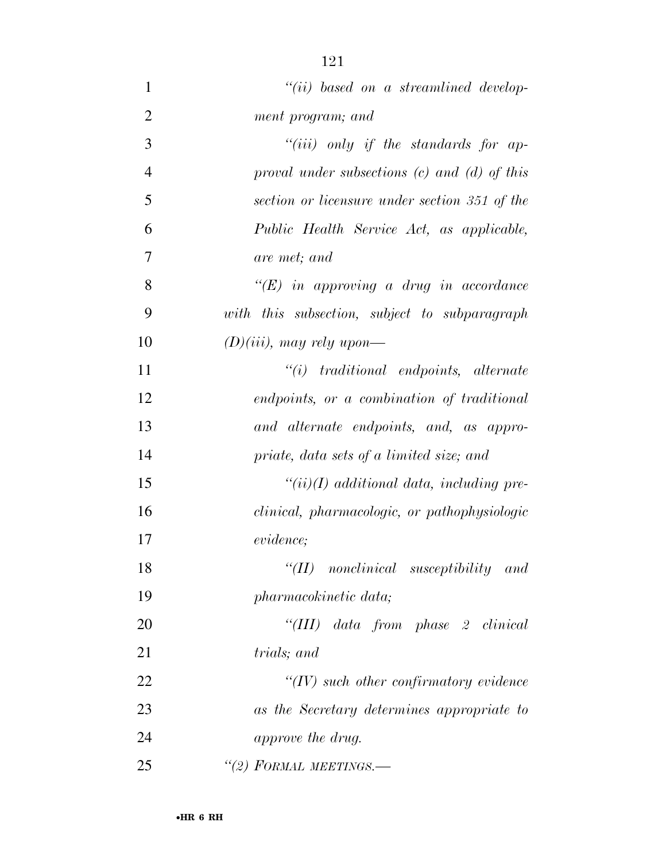| $\mathbf{1}$   | $``(ii)$ based on a streamlined develop-         |
|----------------|--------------------------------------------------|
| $\overline{2}$ | ment program; and                                |
| 3              | "( <i>iii</i> ) only if the standards for ap-    |
| $\overline{4}$ | proval under subsections $(c)$ and $(d)$ of this |
| 5              | section or licensure under section 351 of the    |
| 6              | Public Health Service Act, as applicable,        |
| 7              | are met; and                                     |
| 8              | $\lq\lq (E)$ in approving a drug in accordance   |
| 9              | with this subsection, subject to subparagraph    |
| 10             | $(D)(iii)$ , may rely upon—                      |
| 11             | $``(i)$ traditional endpoints, alternate         |
| 12             | endpoints, or a combination of traditional       |
| 13             | and alternate endpoints, and, as appro-          |
| 14             | priate, data sets of a limited size; and         |
| 15             | $``(ii)(I)$ additional data, including pre-      |
| 16             | clinical, pharmacologic, or pathophysiologic     |
| 17             | evidence;                                        |
| 18             | $\lq\lq (II)$ nonclinical susceptibility and     |
| 19             | pharmacokinetic data;                            |
| 20             | "(III) data from phase 2 clinical                |
| 21             | <i>trials</i> ; and                              |
| 22             | $\lq\lq (IV)$ such other confirmatory evidence   |
| 23             | as the Secretary determines appropriate to       |
| 24             | approve the drug.                                |
| 25             | "(2) FORMAL MEETINGS.—                           |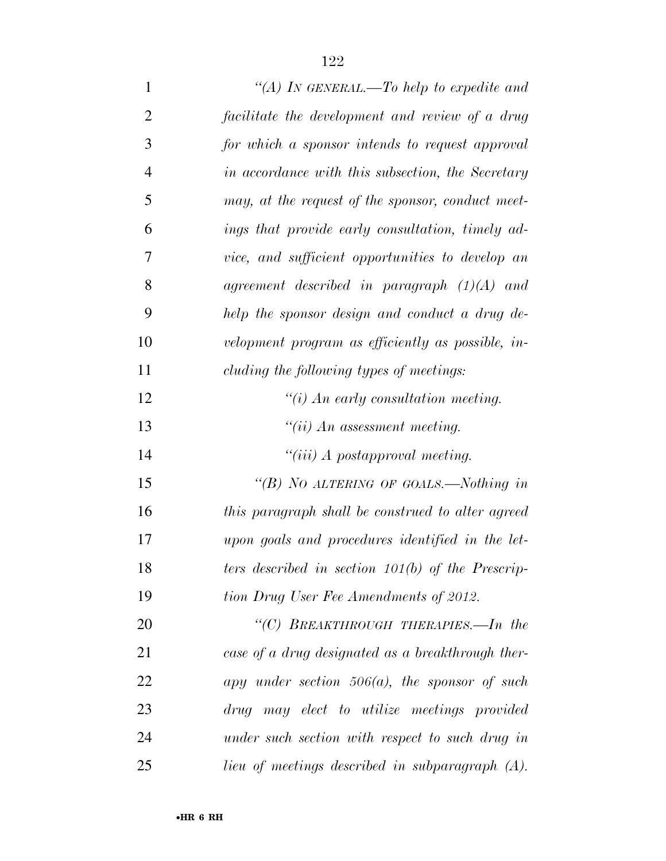| $\mathbf{1}$   | "(A) IN GENERAL.—To help to expedite and            |
|----------------|-----------------------------------------------------|
| $\overline{2}$ | facilitate the development and review of a drug     |
| 3              | for which a sponsor intends to request approval     |
| $\overline{4}$ | in accordance with this subsection, the Secretary   |
| 5              | may, at the request of the sponsor, conduct meet-   |
| 6              | ings that provide early consultation, timely ad-    |
| 7              | vice, and sufficient opportunities to develop an    |
| 8              | agreement described in paragraph $(1)(A)$ and       |
| 9              | help the sponsor design and conduct a drug de-      |
| 10             | velopment program as efficiently as possible, in-   |
| 11             | cluding the following types of meetings:            |
| 12             | $\lq\lq(i)$ An early consultation meeting.          |
| 13             | $``(ii)$ An assessment meeting.                     |
| 14             | $``(iii)$ A postapproval meeting.                   |
| 15             | "(B) NO ALTERING OF GOALS.—Nothing in               |
| 16             | this paragraph shall be construed to alter agreed   |
| 17             | upon goals and procedures identified in the let-    |
| 18             | ters described in section $101(b)$ of the Prescrip- |
| 19             | tion Drug User Fee Amendments of 2012.              |
| 20             | "(C) BREAKTHROUGH THERAPIES.—In the                 |
| 21             | case of a drug designated as a breakthrough ther-   |
| 22             | apy under section $506(a)$ , the sponsor of such    |
| 23             | drug may elect to utilize meetings provided         |
| 24             | under such section with respect to such drug in     |
| 25             | lieu of meetings described in subparagraph (A).     |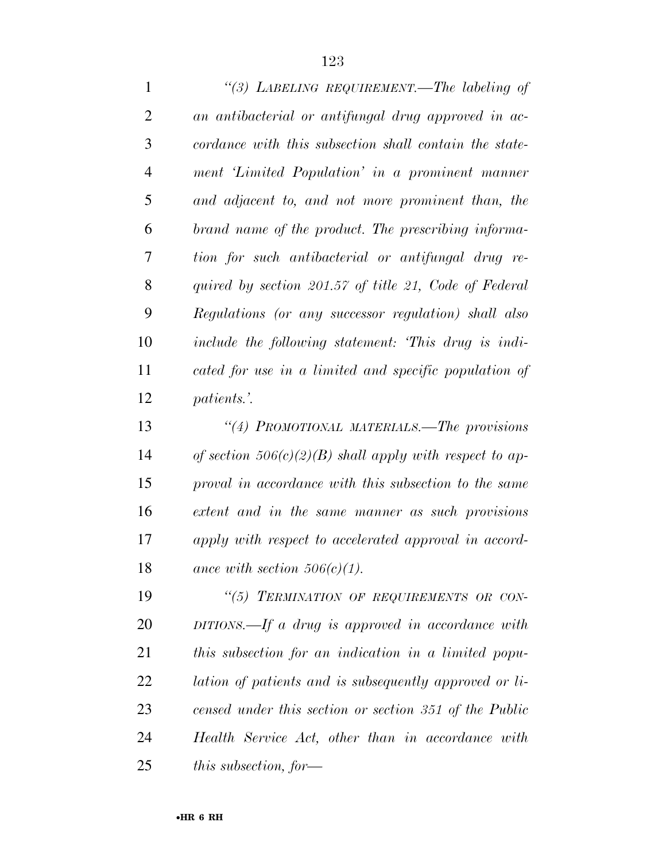*''(3) LABELING REQUIREMENT.—The labeling of an antibacterial or antifungal drug approved in ac- cordance with this subsection shall contain the state- ment 'Limited Population' in a prominent manner and adjacent to, and not more prominent than, the brand name of the product. The prescribing informa- tion for such antibacterial or antifungal drug re- quired by section 201.57 of title 21, Code of Federal Regulations (or any successor regulation) shall also include the following statement: 'This drug is indi- cated for use in a limited and specific population of patients.'.* 

 *''(4) PROMOTIONAL MATERIALS.—The provisions of section 506(c)(2)(B) shall apply with respect to ap- proval in accordance with this subsection to the same extent and in the same manner as such provisions apply with respect to accelerated approval in accord-ance with section 506(c)(1).* 

 *''(5) TERMINATION OF REQUIREMENTS OR CON- DITIONS.—If a drug is approved in accordance with this subsection for an indication in a limited popu- lation of patients and is subsequently approved or li- censed under this section or section 351 of the Public Health Service Act, other than in accordance with this subsection, for—*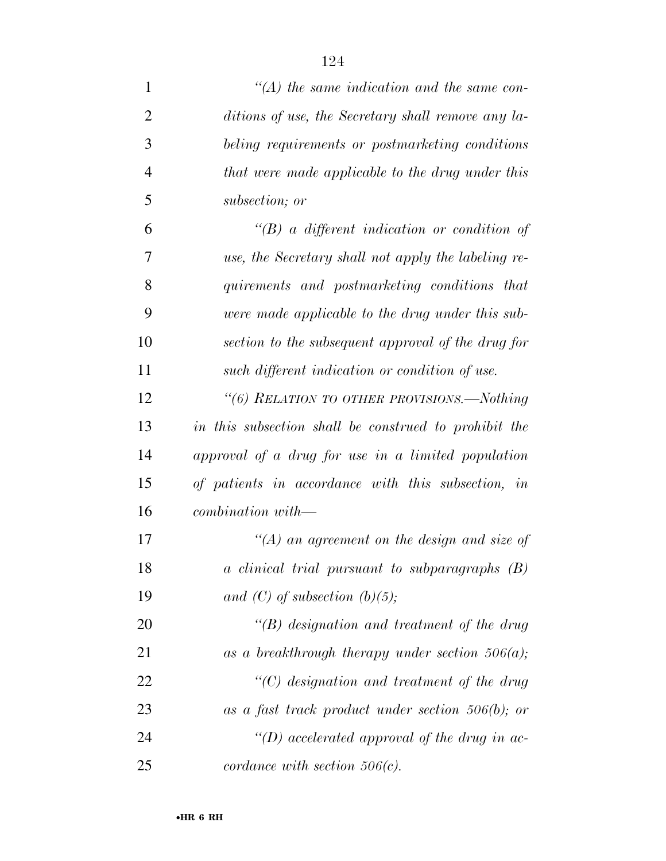| 1              | $\lq (A)$ the same indication and the same con-       |
|----------------|-------------------------------------------------------|
| $\overline{2}$ | ditions of use, the Secretary shall remove any la-    |
| 3              | beling requirements or postmarketing conditions       |
| $\overline{4}$ | that were made applicable to the drug under this      |
| 5              | subsection; or                                        |
| 6              | $\lq\lq B$ a different indication or condition of     |
| 7              | use, the Secretary shall not apply the labeling re-   |
| 8              | quirements and postmarketing conditions that          |
| 9              | were made applicable to the drug under this sub-      |
| 10             | section to the subsequent approval of the drug for    |
| 11             | such different indication or condition of use.        |
| 12             | "(6) RELATION TO OTHER PROVISIONS.—Nothing            |
| 13             | in this subsection shall be construed to prohibit the |
| 14             | approval of a drug for use in a limited population    |
| 15             | of patients in accordance with this subsection, in    |
| 16             | combination with—                                     |
| 17             | $\lq (A)$ an agreement on the design and size of      |
| 18             | a clinical trial pursuant to subparagraphs (B)        |
| 19             | and (C) of subsection (b)(5);                         |
| 20             | $\lq\lq(B)$ designation and treatment of the drug     |
| 21             | as a breakthrough therapy under section $506(a)$ ;    |
| 22             | $\lq\lq C$ designation and treatment of the drug      |
| 23             | as a fast track product under section $506(b)$ ; or   |
| 24             | "(D) accelerated approval of the drug in ac-          |
| 25             | cordance with section $506(c)$ .                      |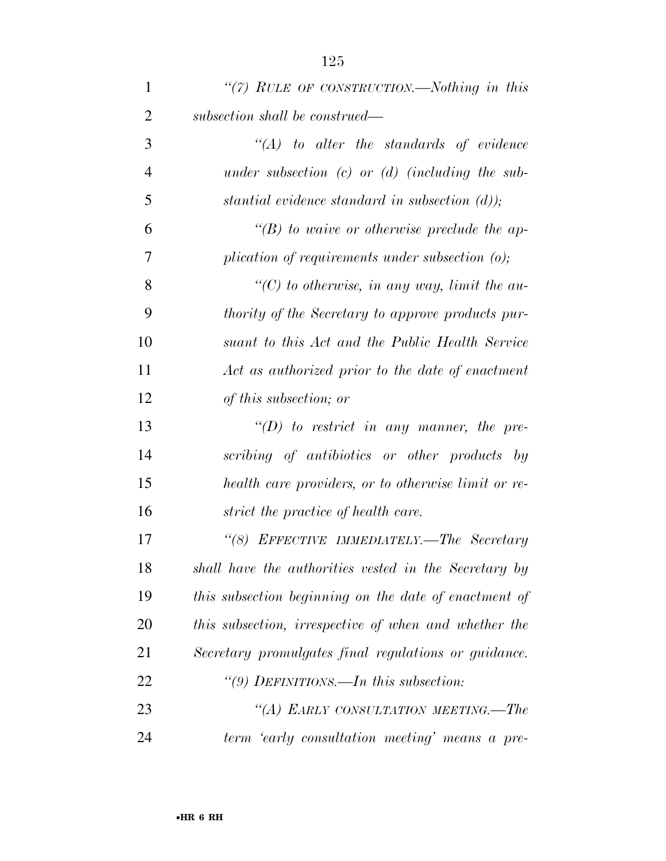| $\mathbf{1}$   | "(7) RULE OF CONSTRUCTION.—Nothing in this               |
|----------------|----------------------------------------------------------|
| $\overline{2}$ | subsection shall be construed—                           |
| 3              | $\lq\lq (A)$ to alter the standards of evidence          |
| $\overline{4}$ | under subsection (c) or (d) (including the sub-          |
| 5              | stantial evidence standard in subsection $(d)$ );        |
| 6              | $\lq\lq(B)$ to waive or otherwise preclude the ap-       |
| 7              | plication of requirements under subsection $(o)$ ;       |
| 8              | $\lq\lq C$ to otherwise, in any way, limit the au-       |
| 9              | <i>thority of the Secretary to approve products pur-</i> |
| 10             | suant to this Act and the Public Health Service          |
| 11             | Act as authorized prior to the date of enactment         |
| 12             | of this subsection; or                                   |
| 13             | $\lq\lq(D)$ to restrict in any manner, the pre-          |
| 14             | scribing of antibiotics or other products by             |
| 15             | health care providers, or to otherwise limit or re-      |
| 16             | strict the practice of health care.                      |
| 17             | "(8) EFFECTIVE IMMEDIATELY.—The Secretary                |
| 18             | shall have the authorities vested in the Secretary by    |
| 19             | this subsection beginning on the date of enactment of    |
| 20             | this subsection, irrespective of when and whether the    |
| 21             | Secretary promulgates final regulations or guidance.     |
| 22             | "(9) DEFINITIONS.—In this subsection:                    |
| 23             | "(A) EARLY CONSULTATION MEETING.—The                     |
| 24             | term 'early consultation meeting' means a pre-           |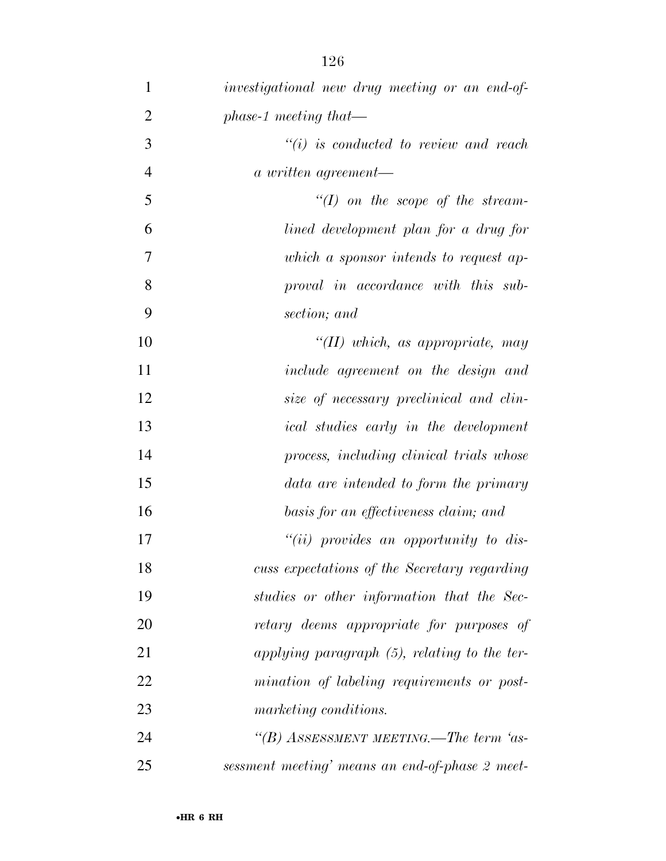| $\mathbf{1}$   | investigational new drug meeting or an end-of-  |
|----------------|-------------------------------------------------|
| $\overline{2}$ | $phase-1$ meeting that—                         |
| 3              | $``(i)$ is conducted to review and reach        |
| $\overline{4}$ | a written agreement—                            |
| 5              | $\lq (I)$ on the scope of the stream-           |
| 6              | lined development plan for a drug for           |
| 7              | which a sponsor intends to request ap-          |
| 8              | proval in accordance with this sub-             |
| 9              | section; and                                    |
| 10             | "(II) which, as appropriate, may                |
| 11             | include agreement on the design and             |
| 12             | size of necessary preclinical and clin-         |
| 13             | <i>ical</i> studies early in the development    |
| 14             | process, including clinical trials whose        |
| 15             | data are intended to form the primary           |
| 16             | basis for an effectiveness claim; and           |
| 17             | " $(ii)$ provides an opportunity to dis-        |
| 18             | cuss expectations of the Secretary regarding    |
| 19             | studies or other information that the Sec-      |
| 20             | retary deems appropriate for purposes of        |
| 21             | applying paragraph $(5)$ , relating to the ter- |
| 22             | mination of labeling requirements or post-      |
| 23             | marketing conditions.                           |
| 24             | "(B) ASSESSMENT MEETING.—The term 'as-          |
| 25             | sessment meeting' means an end-of-phase 2 meet- |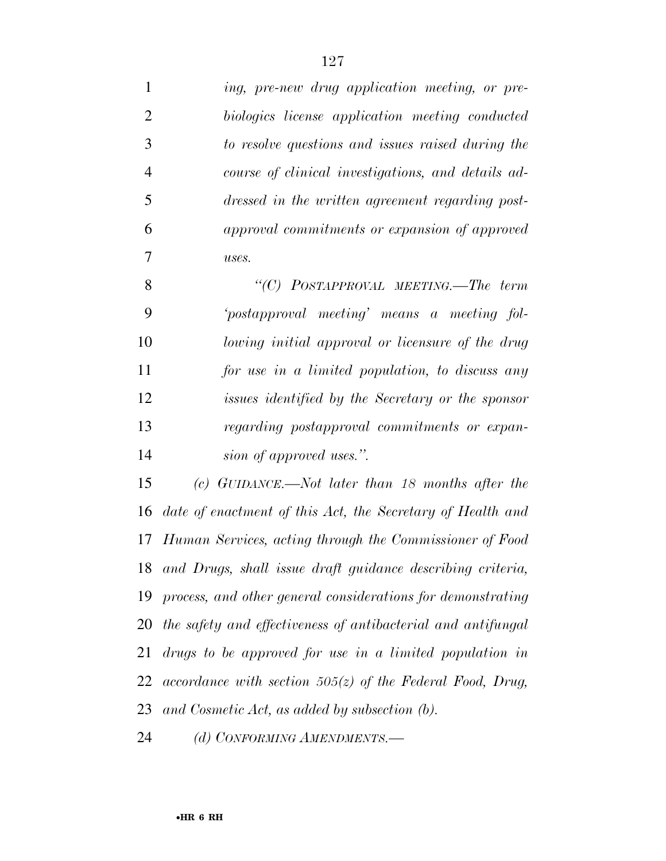*ing, pre-new drug application meeting, or pre- biologics license application meeting conducted to resolve questions and issues raised during the course of clinical investigations, and details ad- dressed in the written agreement regarding post- approval commitments or expansion of approved uses. ''(C) POSTAPPROVAL MEETING.—The term 'postapproval meeting' means a meeting fol- lowing initial approval or licensure of the drug for use in a limited population, to discuss any issues identified by the Secretary or the sponsor regarding postapproval commitments or expan- sion of approved uses.''. (c) GUIDANCE.—Not later than 18 months after the date of enactment of this Act, the Secretary of Health and Human Services, acting through the Commissioner of Food and Drugs, shall issue draft guidance describing criteria, process, and other general considerations for demonstrating the safety and effectiveness of antibacterial and antifungal drugs to be approved for use in a limited population in accordance with section 505(z) of the Federal Food, Drug, and Cosmetic Act, as added by subsection (b).* 

*(d) CONFORMING AMENDMENTS.—*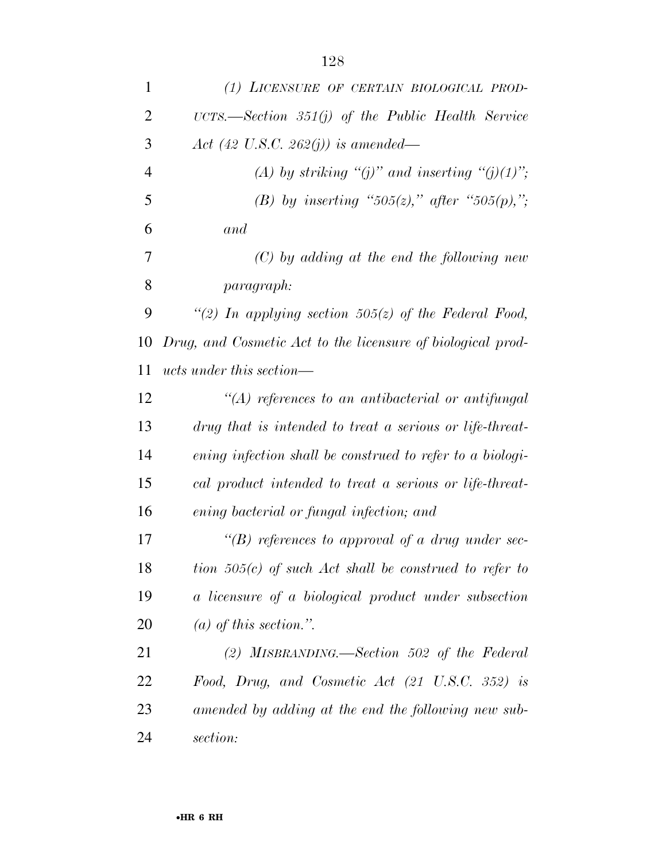| 1              | (1) LICENSURE OF CERTAIN BIOLOGICAL PROD-                   |
|----------------|-------------------------------------------------------------|
| $\overline{2}$ | UCTS.—Section $351(j)$ of the Public Health Service         |
| 3              | Act (42 U.S.C. 262(j)) is amended—                          |
| $\overline{4}$ | (A) by striking "(j)" and inserting "(j)(1)";               |
| 5              | (B) by inserting "505(z)," after "505(p),";                 |
| 6              | and                                                         |
| 7              | $(C)$ by adding at the end the following new                |
| 8              | <i>paragraph:</i>                                           |
| 9              | "(2) In applying section 505(z) of the Federal Food,        |
| 10             | Drug, and Cosmetic Act to the licensure of biological prod- |
| 11             | <i>ucts under this section—</i>                             |
| 12             | $\lq (A)$ references to an antibacterial or antifungal      |
| 13             | drug that is intended to treat a serious or life-threat-    |
| 14             | ening infection shall be construed to refer to a biologi-   |
| 15             | cal product intended to treat a serious or life-threat-     |
| 16             | ening bacterial or fungal infection; and                    |
| 17             | "(B) references to approval of a drug under sec-            |
| 18             | tion $505(c)$ of such Act shall be construed to refer to    |
| 19             | a licensure of a biological product under subsection        |
| <b>20</b>      | (a) of this section.".                                      |
| 21             | (2) MISBRANDING.—Section 502 of the Federal                 |
| 22             | Food, Drug, and Cosmetic Act $(21 \text{ U.S.C. } 352)$ is  |
| 23             | amended by adding at the end the following new sub-         |
| 24             | section:                                                    |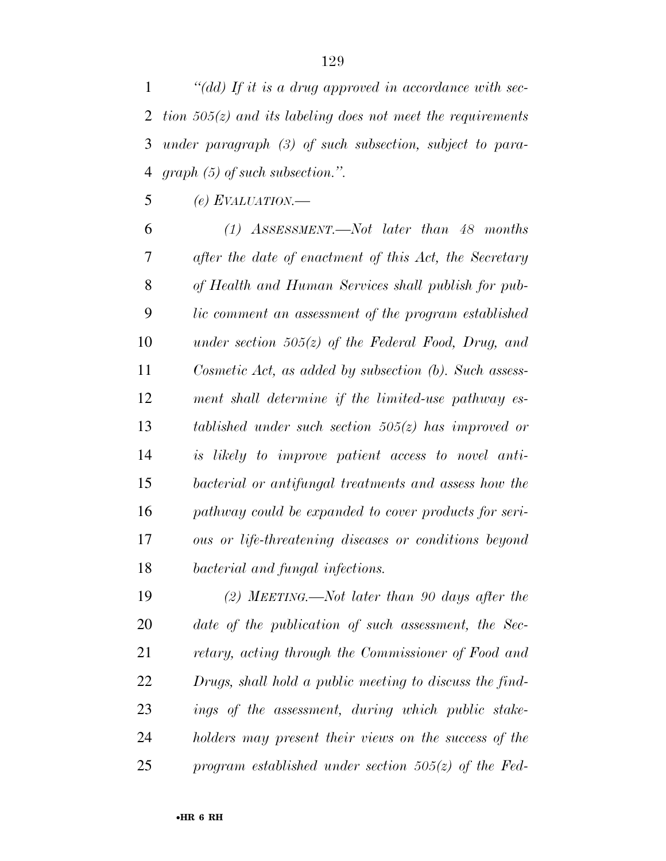*''(dd) If it is a drug approved in accordance with sec- tion 505(z) and its labeling does not meet the requirements under paragraph (3) of such subsection, subject to para-graph (5) of such subsection.''.* 

*(e) EVALUATION.—* 

 *(1) ASSESSMENT.—Not later than 48 months after the date of enactment of this Act, the Secretary of Health and Human Services shall publish for pub- lic comment an assessment of the program established under section 505(z) of the Federal Food, Drug, and Cosmetic Act, as added by subsection (b). Such assess- ment shall determine if the limited-use pathway es- tablished under such section 505(z) has improved or is likely to improve patient access to novel anti- bacterial or antifungal treatments and assess how the pathway could be expanded to cover products for seri- ous or life-threatening diseases or conditions beyond bacterial and fungal infections.* 

 *(2) MEETING.—Not later than 90 days after the date of the publication of such assessment, the Sec- retary, acting through the Commissioner of Food and Drugs, shall hold a public meeting to discuss the find- ings of the assessment, during which public stake- holders may present their views on the success of the program established under section 505(z) of the Fed-*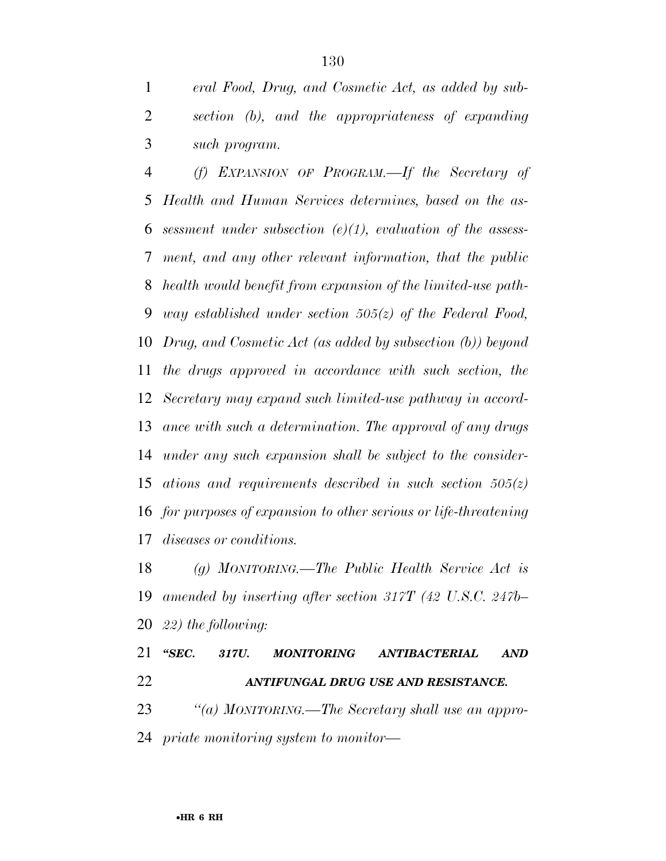*eral Food, Drug, and Cosmetic Act, as added by sub- section (b), and the appropriateness of expanding such program.* 

 *(f) EXPANSION OF PROGRAM.—If the Secretary of Health and Human Services determines, based on the as- sessment under subsection (e)(1), evaluation of the assess- ment, and any other relevant information, that the public health would benefit from expansion of the limited-use path- way established under section 505(z) of the Federal Food, Drug, and Cosmetic Act (as added by subsection (b)) beyond the drugs approved in accordance with such section, the Secretary may expand such limited-use pathway in accord- ance with such a determination. The approval of any drugs under any such expansion shall be subject to the consider- ations and requirements described in such section 505(z) for purposes of expansion to other serious or life-threatening diseases or conditions.* 

 *(g) MONITORING.—The Public Health Service Act is amended by inserting after section 317T (42 U.S.C. 247b– 22) the following:* 

 *''SEC. 317U. MONITORING ANTIBACTERIAL AND ANTIFUNGAL DRUG USE AND RESISTANCE. ''(a) MONITORING.—The Secretary shall use an appro-priate monitoring system to monitor—*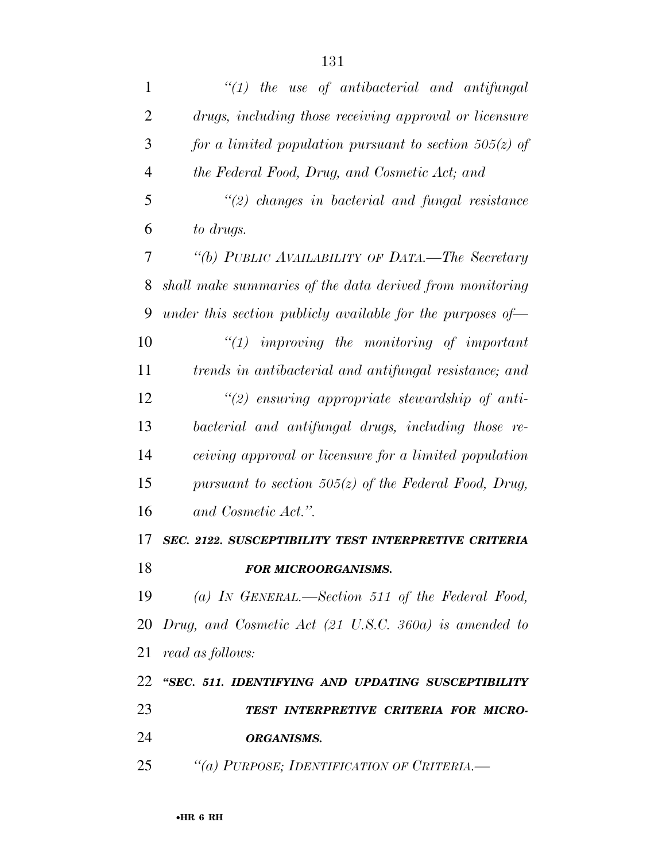| 1              | $"(1)$ the use of antibacterial and antifungal                     |
|----------------|--------------------------------------------------------------------|
| $\overline{2}$ | drugs, including those receiving approval or licensure             |
| 3              | for a limited population pursuant to section $505(z)$ of           |
| $\overline{4}$ | the Federal Food, Drug, and Cosmetic Act; and                      |
| 5              | $\lq(2)$ changes in bacterial and fungal resistance                |
| 6              | to drugs.                                                          |
| 7              | "(b) PUBLIC AVAILABILITY OF DATA.—The Secretary                    |
| 8              | shall make summaries of the data derived from monitoring           |
| 9              | under this section publicly available for the purposes of $\equiv$ |
| 10             | $"(1)$ improving the monitoring of important                       |
| 11             | trends in antibacterial and antifungal resistance; and             |
| 12             | $\lq(2)$ ensuring appropriate stewardship of anti-                 |
| 13             | bacterial and antifungal drugs, including those re-                |
| 14             | ceiving approval or licensure for a limited population             |
| 15             | pursuant to section 505( $z$ ) of the Federal Food, Drug,          |
| 16             | and Cosmetic Act.".                                                |
| 17             | SEC. 2122. SUSCEPTIBILITY TEST INTERPRETIVE CRITERIA               |
| 18             | <b>FOR MICROORGANISMS.</b>                                         |
| 19             | (a) IN GENERAL.—Section 511 of the Federal Food,                   |
|                | 20 Drug, and Cosmetic Act (21 U.S.C. 360a) is amended to           |
| 21             | read as follows:                                                   |
| 22             | "SEC. 511. IDENTIFYING AND UPDATING SUSCEPTIBILITY                 |
| 23             | TEST INTERPRETIVE CRITERIA FOR MICRO-                              |
| 24             | <b>ORGANISMS.</b>                                                  |
| 25             | "(a) PURPOSE; IDENTIFICATION OF CRITERIA.-                         |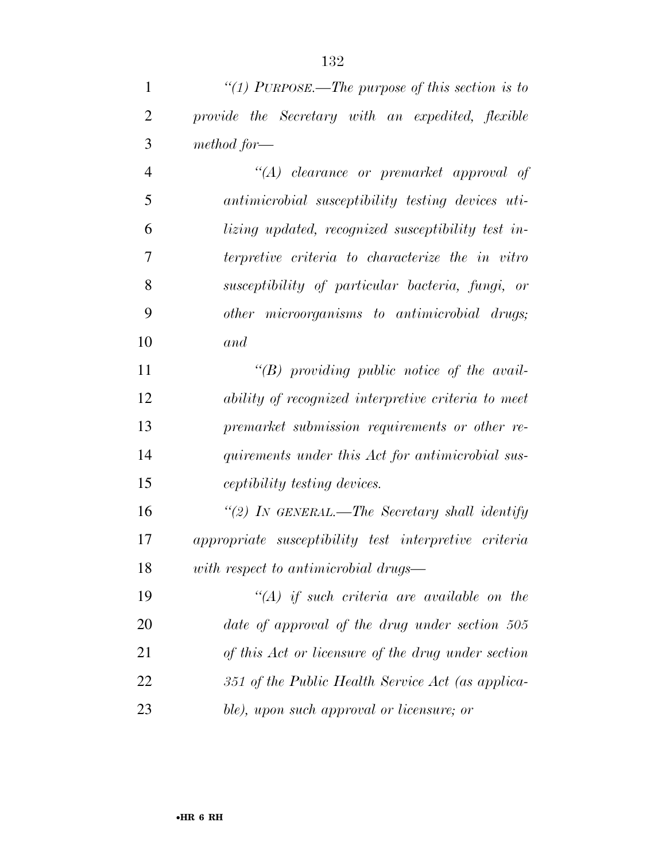*''(1) PURPOSE.—The purpose of this section is to* 

| $\overline{2}$ | provide the Secretary with an expedited, flexible     |
|----------------|-------------------------------------------------------|
| 3              | method for—                                           |
| $\overline{4}$ | "(A) clearance or premarket approval of               |
| 5              | antimicrobial susceptibility testing devices uti-     |
| 6              | lizing updated, recognized susceptibility test in-    |
| 7              | terpretive criteria to characterize the in vitro      |
| 8              | susceptibility of particular bacteria, fungi, or      |
| 9              | other microorganisms to antimicrobial drugs;          |
| 10             | and                                                   |
| 11             | " $(B)$ providing public notice of the avail-         |
| 12             | ability of recognized interpretive criteria to meet   |
| 13             | premarket submission requirements or other re-        |
| 14             | quirements under this Act for antimicrobial sus-      |
| 15             | <i>ceptibility testing devices.</i>                   |
| 16             | "(2) IN GENERAL.—The Secretary shall identify         |
| 17             | appropriate susceptibility test interpretive criteria |
| 18             | with respect to antimicrobial drugs—                  |
| 19             | $H(A)$ if such criteria are available on the          |
| 20             | date of approval of the drug under section 505        |
| 21             | of this Act or licensure of the drug under section    |
| 22             | 351 of the Public Health Service Act (as applica-     |
| 23             | ble), upon such approval or licensure; or             |
|                |                                                       |
|                |                                                       |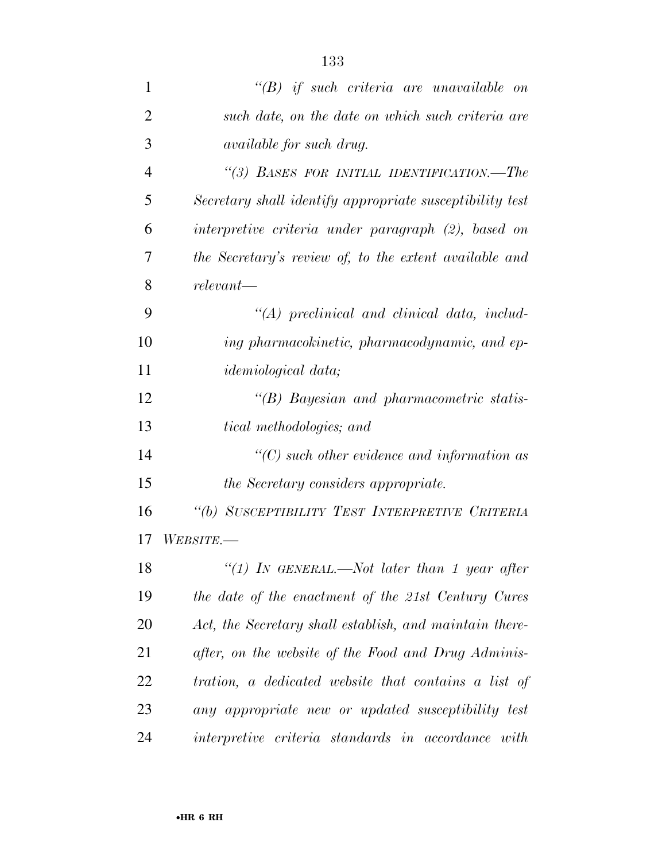| 1              | $\lq\lq B$ if such criteria are unavailable on               |
|----------------|--------------------------------------------------------------|
| $\overline{2}$ | such date, on the date on which such criteria are            |
| 3              | <i>available for such drug.</i>                              |
| $\overline{4}$ | "(3) BASES FOR INITIAL IDENTIFICATION.—The                   |
| 5              | Secretary shall identify appropriate susceptibility test     |
| 6              | interpretive criteria under paragraph (2), based on          |
| 7              | the Secretary's review of, to the extent available and       |
| 8              | $relevant-$                                                  |
| 9              | $\lq (A)$ preclinical and clinical data, includ-             |
| 10             | ing pharmacokinetic, pharmacodynamic, and ep-                |
| 11             | <i>idemiological data</i> ;                                  |
| 12             | $\lq\lq B$ Bayesian and pharmacometric statis-               |
| 13             | <i>tical methodologies; and</i>                              |
| 14             | $\lq$ (C) such other evidence and information as             |
| 15             | the Secretary considers appropriate.                         |
| 16             | "(b) SUSCEPTIBILITY TEST INTERPRETIVE CRITERIA               |
| 17             | WEBSITE.—                                                    |
| 18             | "(1) IN GENERAL.—Not later than 1 year after                 |
| 19             | the date of the enactment of the 21st Century Cures          |
| 20             | Act, the Secretary shall establish, and maintain there-      |
| 21             | after, on the website of the Food and Drug Adminis-          |
| 22             | tration, a dedicated website that contains a list of         |
| 23             | any appropriate new or updated susceptibility test           |
| 24             | <i>interpretive criteria standards in accordance</i><br>with |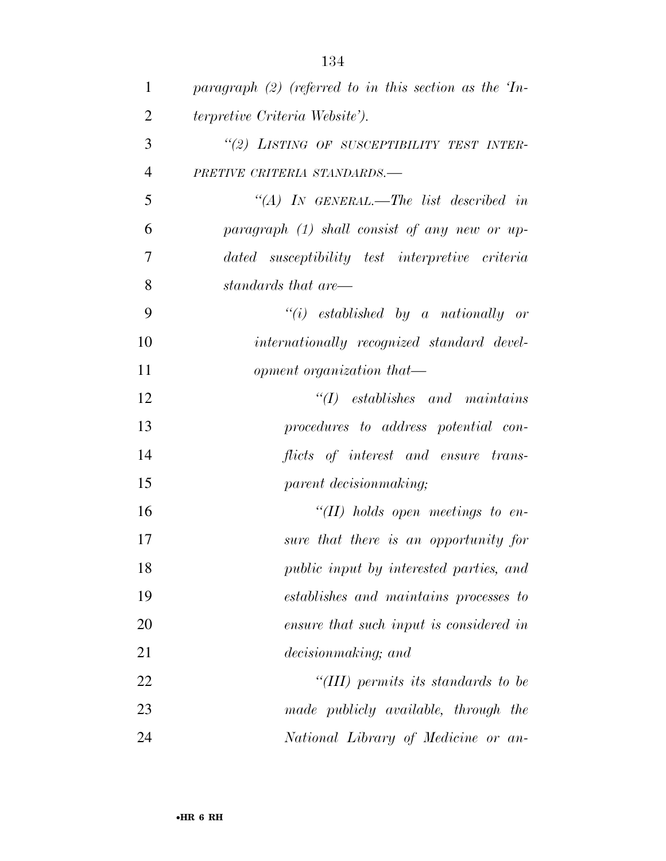| $\mathbf{1}$   | paragraph $(2)$ (referred to in this section as the $T_{n-1}$ |
|----------------|---------------------------------------------------------------|
| $\overline{2}$ | <i>terpretive Criteria Website').</i>                         |
| 3              | "(2) LISTING OF SUSCEPTIBILITY TEST INTER-                    |
| $\overline{4}$ | PRETIVE CRITERIA STANDARDS.-                                  |
| 5              | "(A) IN GENERAL.—The list described in                        |
| 6              | $paramph$ (1) shall consist of any new or up-                 |
| 7              | dated susceptibility test interpretive criteria               |
| 8              | standards that are—                                           |
| 9              | $``(i)$ established by a nationally or                        |
| 10             | internationally recognized standard devel-                    |
| 11             | opment organization that—                                     |
| 12             | $\lq (I)$ establishes and maintains                           |
| 13             | procedures to address potential con-                          |
| 14             | flicts of interest and ensure trans-                          |
| 15             | parent decision making;                                       |
| 16             | "(II) holds open meetings to en-                              |
| 17             | sure that there is an opportunity for                         |
| 18             | public input by interested parties, and                       |
| 19             | establishes and maintains processes to                        |
| 20             | ensure that such input is considered in                       |
| 21             | decision making; and                                          |
| 22             | "(III) permits its standards to be                            |
| 23             | made publicly available, through the                          |
| 24             | National Library of Medicine or an-                           |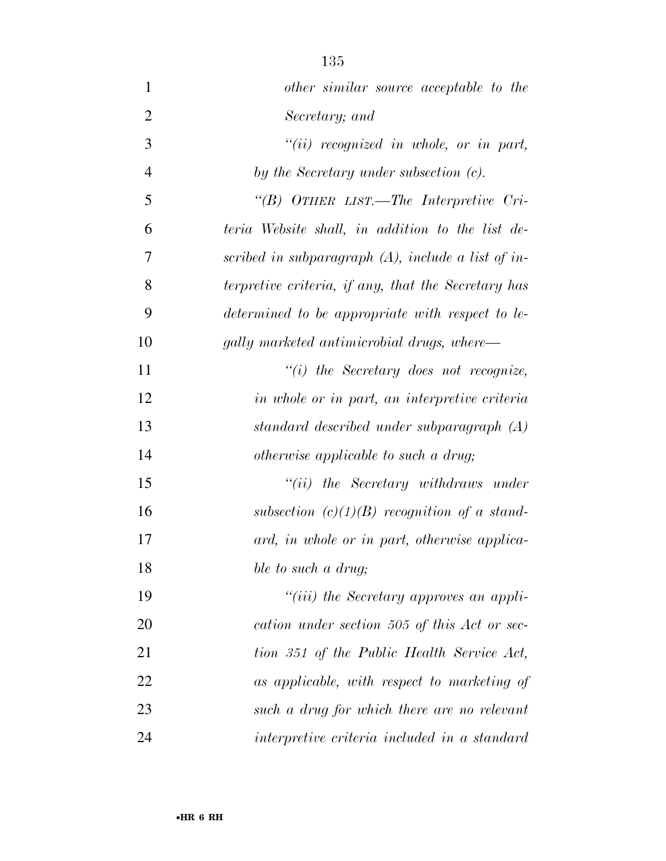| $\mathbf{1}$   | other similar source acceptable to the                |
|----------------|-------------------------------------------------------|
| $\overline{2}$ | Secretary; and                                        |
| 3              | $``(ii)$ recognized in whole, or in part,             |
| $\overline{4}$ | by the Secretary under subsection (c).                |
| 5              | "(B) OTHER LIST.—The Interpretive Cri-                |
| 6              | teria Website shall, in addition to the list de-      |
| 7              | scribed in subparagraph $(A)$ , include a list of in- |
| 8              | terpretive criteria, if any, that the Secretary has   |
| 9              | determined to be appropriate with respect to le-      |
| 10             | gally marketed antimicrobial drugs, where—            |
| 11             | $"(i)$ the Secretary does not recognize,              |
| 12             | in whole or in part, an interpretive criteria         |
| 13             | standard described under subparagraph (A)             |
| 14             | <i>otherwise applicable to such a drug</i> ;          |
| 15             | $``(ii)$ the Secretary withdraws under                |
| 16             | subsection $(c)(1)(B)$ recognition of a stand-        |
| 17             | ard, in whole or in part, otherwise applica-          |
| 18             | ble to such a drug;                                   |
| 19             | "( <i>iii</i> ) the Secretary approves an appli-      |
| 20             | cation under section 505 of this Act or sec-          |
| 21             | tion 351 of the Public Health Service Act,            |
| 22             | as applicable, with respect to marketing of           |
| 23             | such a drug for which there are no relevant           |
| 24             | interpretive criteria included in a standard          |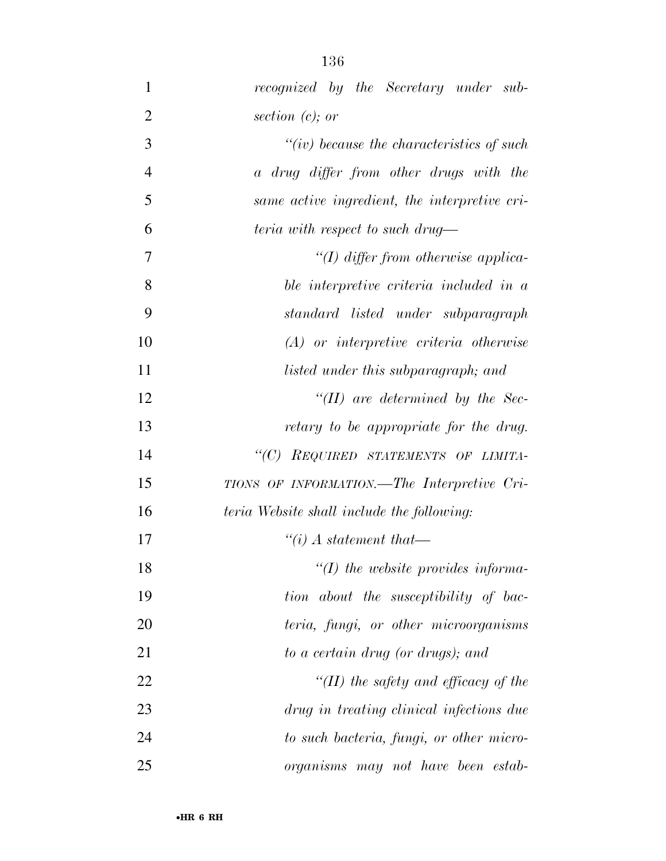| $\mathbf{1}$   | recognized by the Secretary under sub-        |
|----------------|-----------------------------------------------|
| $\overline{2}$ | section $(c)$ ; or                            |
| $\mathfrak{Z}$ | $``(iv)$ because the characteristics of such  |
| $\overline{4}$ | a drug differ from other drugs with the       |
| 5              | same active ingredient, the interpretive cri- |
| 6              | teria with respect to such drug—              |
| 7              | "(I) differ from otherwise applica-           |
| 8              | ble interpretive criteria included in a       |
| 9              | standard listed under subparagraph            |
| 10             | $(A)$ or interpretive criteria otherwise      |
| 11             | listed under this subparagraph; and           |
| 12             | $\lq$ (II) are determined by the Sec-         |
| 13             | retary to be appropriate for the drug.        |
| 14             | "(C) REQUIRED STATEMENTS OF LIMITA-           |
| 15             | TIONS OF INFORMATION.—The Interpretive Cri-   |
| 16             | teria Website shall include the following:    |
| 17             | $\lq\lq(i)$ A statement that—                 |
| 18             | $\lq (I)$ the website provides informa-       |
| 19             | tion about the susceptibility of bac-         |
| 20             | teria, fungi, or other microorganisms         |
| 21             | to a certain drug (or drugs); and             |
| 22             | "(II) the safety and efficacy of the          |
| 23             | drug in treating clinical infections due      |
| 24             | to such bacteria, fungi, or other micro-      |
| 25             | organisms may not have been estab-            |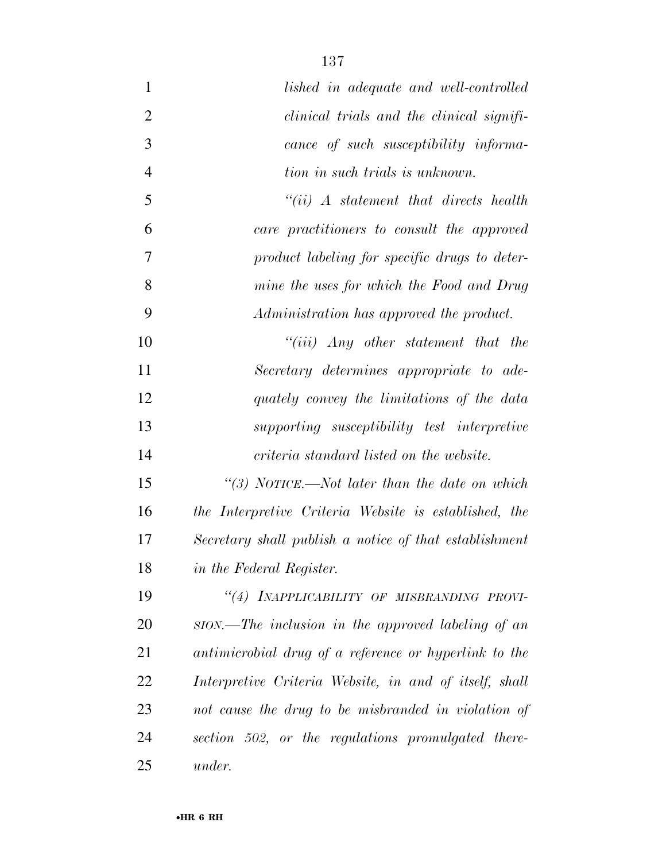| $\mathbf{1}$   | lished in adequate and well-controlled                 |
|----------------|--------------------------------------------------------|
| $\overline{2}$ | <i>clinical trials and the clinical signifi-</i>       |
| 3              | cance of such susceptibility informa-                  |
| $\overline{4}$ | tion in such trials is unknown.                        |
| 5              | $``(ii)$ A statement that directs health               |
| 6              | care practitioners to consult the approved             |
| 7              | product labeling for specific drugs to deter-          |
| 8              | mine the uses for which the Food and Drug              |
| 9              | Administration has approved the product.               |
| 10             | $``(iii)$ Any other statement that the                 |
| 11             | Secretary determines appropriate to ade-               |
| 12             | quately convey the limitations of the data             |
| 13             | supporting susceptibility test interpretive            |
| 14             | criteria standard listed on the website.               |
| 15             | "(3) NOTICE.—Not later than the date on which          |
| 16             | the Interpretive Criteria Website is established, the  |
| 17             | Secretary shall publish a notice of that establishment |
| 18             | in the Federal Register.                               |
| 19             | "(4) INAPPLICABILITY OF MISBRANDING PROVI-             |
| 20             | ston.—The inclusion in the approved labeling of an     |
| 21             | antimicrobial drug of a reference or hyperlink to the  |
| 22             | Interpretive Criteria Website, in and of itself, shall |
| 23             | not cause the drug to be misbranded in violation of    |
| 24             | section 502, or the regulations promulgated there-     |
| 25             | under.                                                 |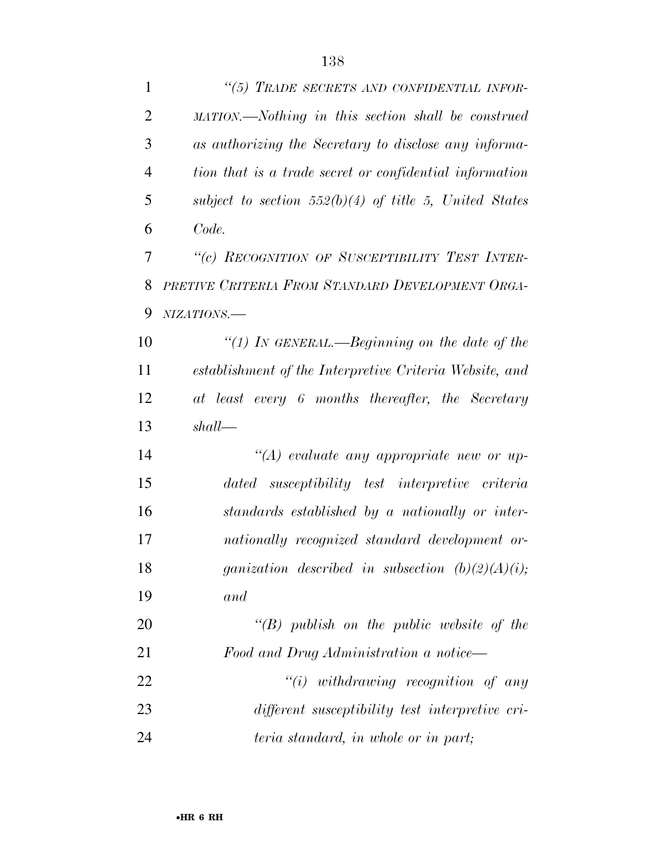| $\mathbf{1}$   | "(5) TRADE SECRETS AND CONFIDENTIAL INFOR-               |
|----------------|----------------------------------------------------------|
| $\overline{2}$ | MATION.—Nothing in this section shall be construed       |
| 3              | as authorizing the Secretary to disclose any informa-    |
| $\overline{4}$ | tion that is a trade secret or confidential information  |
| 5              | subject to section $552(b)(4)$ of title 5, United States |
| 6              | Code.                                                    |
| 7              | "(c) RECOGNITION OF SUSCEPTIBILITY TEST INTER-           |
| 8              | PRETIVE CRITERIA FROM STANDARD DEVELOPMENT ORGA-         |
| 9              | NIZATIONS.-                                              |
| 10             | "(1) IN GENERAL.—Beginning on the date of the            |
| 11             | establishment of the Interpretive Criteria Website, and  |
| 12             | at least every 6 months thereafter, the Secretary        |
| 13             | shall                                                    |
| 14             | $\lq (A)$ evaluate any appropriate new or up-            |
| 15             | dated susceptibility test interpretive criteria          |
| 16             | standards established by a nationally or inter-          |
| 17             | nationally recognized standard development or-           |
| 18             | ganization described in subsection $(b)(2)(A)(i);$       |
| 19             | and                                                      |
| 20             | $\lq\lq B$ publish on the public website of the          |
| 21             | Food and Drug Administration a notice—                   |
| 22             | $``(i)$ withdrawing recognition of any                   |
| 23             | different susceptibility test interpretive cri-          |
| 24             | teria standard, in whole or in part;                     |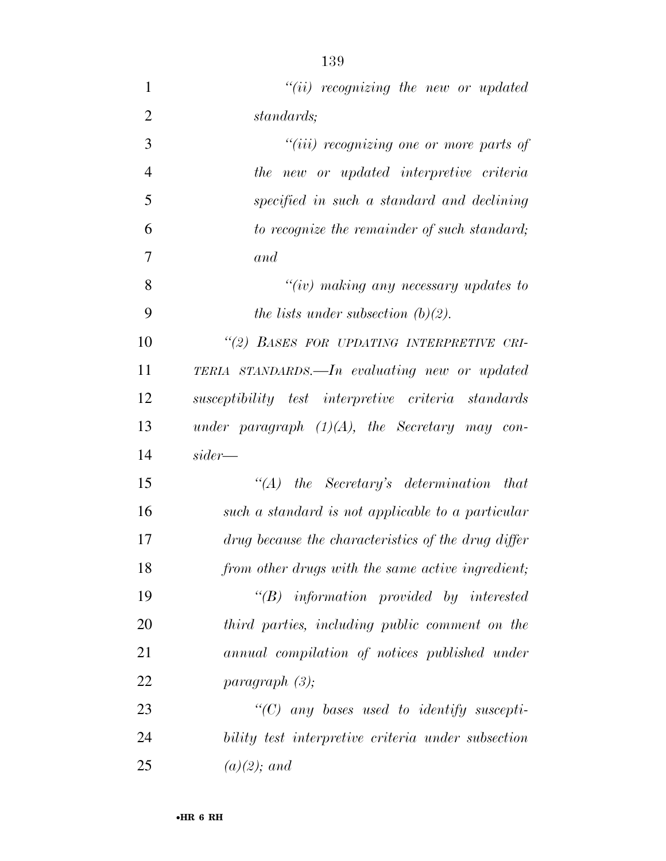| 1              | $"(ii)$ recognizing the new or updated                |
|----------------|-------------------------------------------------------|
| $\overline{2}$ | standards;                                            |
| 3              | "( <i>iii</i> ) recognizing one or more parts of      |
| $\overline{4}$ | the new or updated interpretive criteria              |
| 5              | specified in such a standard and declining            |
| 6              | to recognize the remainder of such standard;          |
| 7              | and                                                   |
| 8              | " $(iv)$ making any necessary updates to              |
| 9              | the lists under subsection $(b)(2)$ .                 |
| 10             | "(2) BASES FOR UPDATING INTERPRETIVE CRI-             |
| 11             | TERIA STANDARDS.—In evaluating new or updated         |
| 12             | susceptibility test interpretive criteria standards   |
| 13             | under paragraph $(1)(A)$ , the Secretary may con-     |
| 14             | $sider -$                                             |
| 15             | $\lq\lq (A)$ the Secretary's determination that       |
| 16             | such a standard is not applicable to a particular     |
| 17             | drug because the characteristics of the drug differ   |
| 18             | from other drugs with the same active ingredient;     |
| 19             | $\lq\lq B$ information provided by interested         |
| 20             | third parties, including public comment on the        |
| 21             | annual compilation of notices published under         |
| 22             | paragnath(3);                                         |
| つつ             | $\mathcal{C}(C)$ any bases used to identify systemti- |

 *''(C) any bases used to identify suscepti- bility test interpretive criteria under subsection (a)(2); and*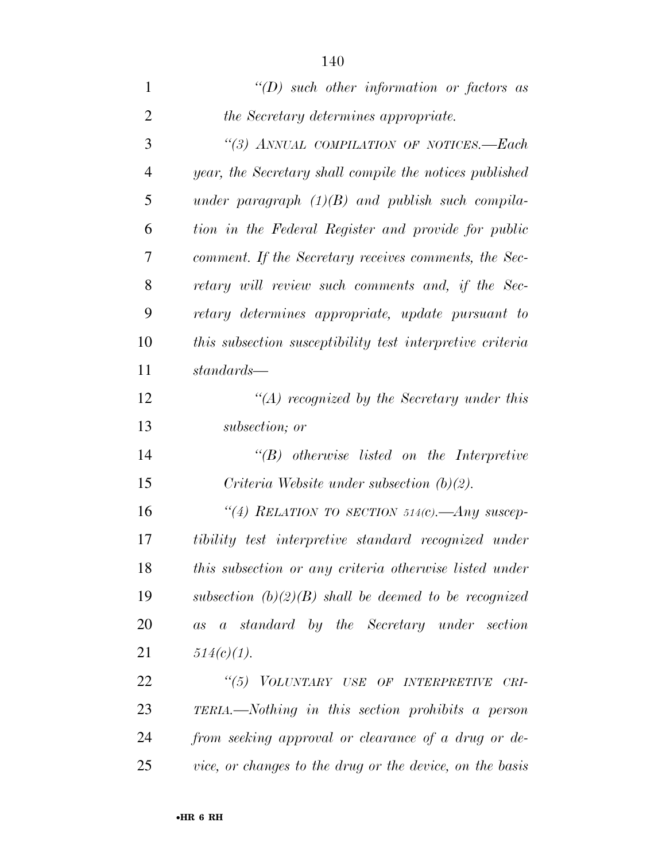| 1              | $\lq (D)$ such other information or factors as            |
|----------------|-----------------------------------------------------------|
| $\overline{2}$ | the Secretary determines appropriate.                     |
| 3              | "(3) ANNUAL COMPILATION OF NOTICES.—Each                  |
| $\overline{4}$ | year, the Secretary shall compile the notices published   |
| 5              | under paragraph $(1)(B)$ and publish such compila-        |
| 6              | tion in the Federal Register and provide for public       |
| 7              | comment. If the Secretary receives comments, the Sec-     |
| 8              | retary will review such comments and, if the Sec-         |
| 9              | retary determines appropriate, update pursuant to         |
| 10             | this subsection susceptibility test interpretive criteria |
| 11             | $standards$ —                                             |
| 12             | $\lq (A)$ recognized by the Secretary under this          |
| 13             | subsection; or                                            |
| 14             | $\lq\lq B$ otherwise listed on the Interpretive           |
| 15             | Criteria Website under subsection $(b)(2)$ .              |
| 16             | "(4) RELATION TO SECTION 514(c). Any suscep-              |
| 17             | tibility test interpretive standard recognized under      |
| 18             | this subsection or any criteria otherwise listed under    |
| 19             | subsection $(b)(2)(B)$ shall be deemed to be recognized   |
| 20             | as a standard by the Secretary under section              |
| 21             | $514(c)(1)$ .                                             |
| 22             | "(5) VOLUNTARY USE OF INTERPRETIVE<br>$CRI-$              |
| 23             | TERIA.—Nothing in this section prohibits a person         |
| 24             | from seeking approval or clearance of a drug or de-       |
| 25             | vice, or changes to the drug or the device, on the basis  |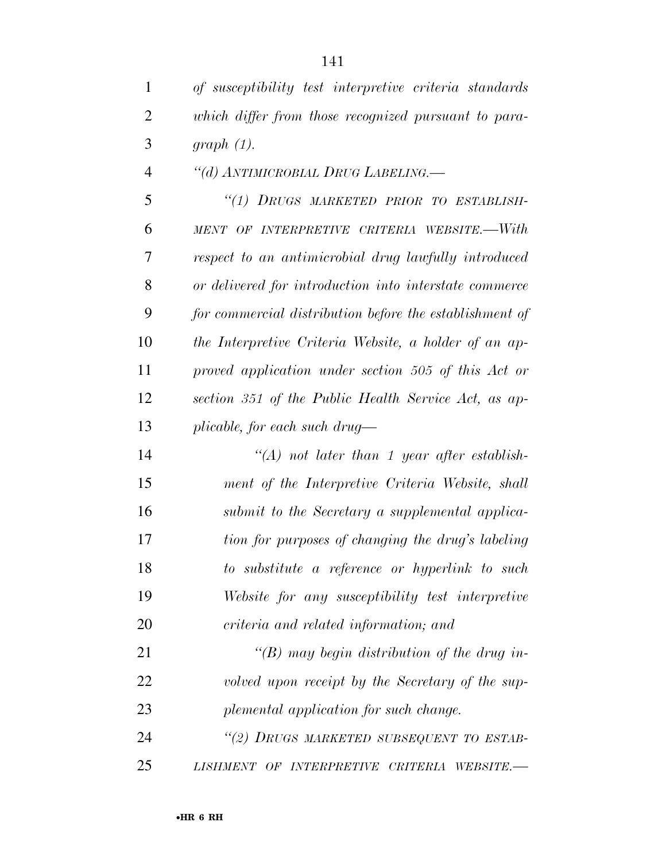| $\mathbf{1}$   | of susceptibility test interpretive criteria standards  |
|----------------|---------------------------------------------------------|
| 2              | which differ from those recognized pursuant to para-    |
| 3              | graph(1).                                               |
| $\overline{4}$ | "(d) ANTIMICROBIAL DRUG LABELING.—                      |
| 5              | "(1) DRUGS MARKETED PRIOR TO ESTABLISH-                 |
| 6              | MENT OF INTERPRETIVE CRITERIA WEBSITE.—With             |
| 7              | respect to an antimicrobial drug lawfully introduced    |
| 8              | or delivered for introduction into interstate commerce  |
| 9              | for commercial distribution before the establishment of |
| 10             | the Interpretive Criteria Website, a holder of an ap-   |
| 11             | proved application under section 505 of this Act or     |
| 12             | section 351 of the Public Health Service Act, as ap-    |
| 13             | plicable, for each such drug—                           |
| 14             | $\lq (A)$ not later than 1 year after establish-        |
| 15             | ment of the Interpretive Criteria Website, shall        |
| 16             | submit to the Secretary a supplemental applica-         |
| 17             | tion for purposes of changing the drug's labeling       |
| 18             | to substitute a reference or hyperlink to such          |
| 19             | Website for any susceptibility test interpretive        |
| 20             | criteria and related information; and                   |
| 21             | "(B) may begin distribution of the drug in-             |
| 22             | volved upon receipt by the Secretary of the sup-        |
| 23             | plemental application for such change.                  |
| 24             | "(2) DRUGS MARKETED SUBSEQUENT TO ESTAB-                |
| 25             | LISHMENT OF INTERPRETIVE CRITERIA WEBSITE.-             |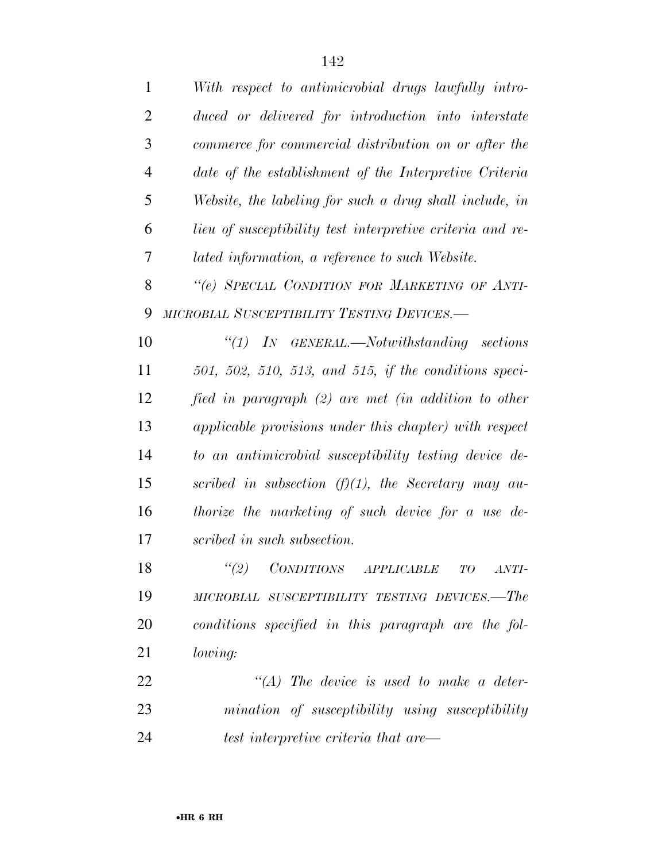| $\mathbf{1}$   | With respect to antimicrobial drugs lawfully intro-       |
|----------------|-----------------------------------------------------------|
| $\overline{2}$ | duced or delivered for introduction into interstate       |
| 3              | commerce for commercial distribution on or after the      |
| $\overline{4}$ | date of the establishment of the Interpretive Criteria    |
| 5              | Website, the labeling for such a drug shall include, in   |
| 6              | lieu of susceptibility test interpretive criteria and re- |
| 7              | lated information, a reference to such Website.           |
| 8              | "(e) SPECIAL CONDITION FOR MARKETING OF ANTI-             |
| 9              | MICROBIAL SUSCEPTIBILITY TESTING DEVICES.-                |
| 10             | $\lq(1)$ IN GENERAL.—Notwithstanding sections             |
| 11             | $501, 502, 510, 513,$ and $515,$ if the conditions speci- |
| 12             | fied in paragraph (2) are met (in addition to other       |
| 13             | applicable provisions under this chapter) with respect    |
| 14             | to an antimicrobial susceptibility testing device de-     |
| 15             | scribed in subsection $(f)(1)$ , the Secretary may au-    |
| 16             | thorize the marketing of such device for a use de-        |
| 17             | scribed in such subsection.                               |
| 18             | $``(2)$ CONDITIONS APPLICABLE TO ANTI-                    |
| 19             | MICROBIAL SUSCEPTIBILITY TESTING DEVICES.—The             |
| 20             | conditions specified in this paragraph are the fol-       |
| 21             | <i>lowing:</i>                                            |
| 22             | $\lq\lq (A)$ The device is used to make a deter-          |
| 23             | mination of susceptibility using susceptibility           |
| 24             | test interpretive criteria that are—                      |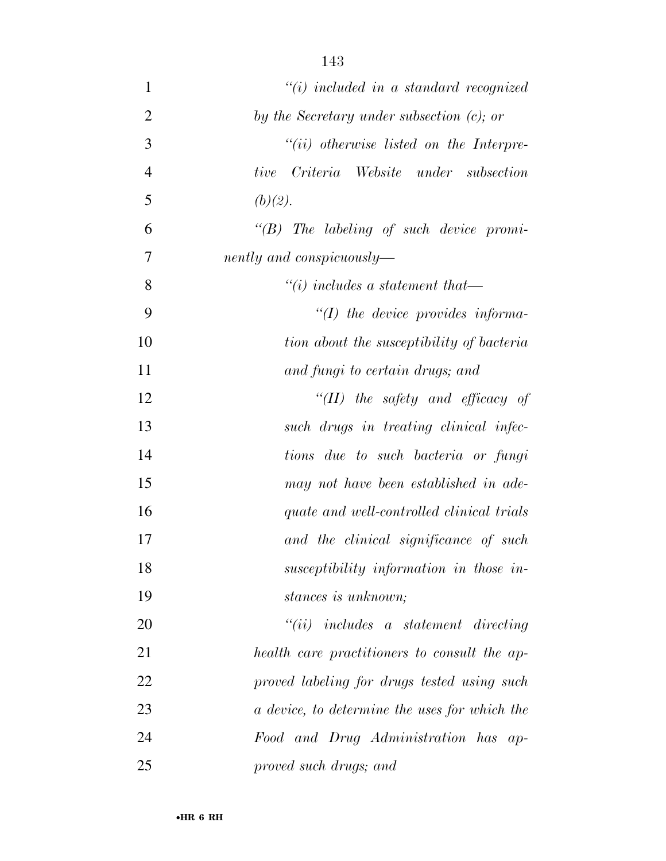| $\mathbf{1}$   | $"(i)$ included in a standard recognized         |
|----------------|--------------------------------------------------|
| $\overline{2}$ | by the Secretary under subsection $(c)$ ; or     |
| 3              | $``(ii)$ otherwise listed on the Interpre-       |
| $\overline{4}$ | Criteria Website under subsection<br><i>tive</i> |
| 5              | (b)(2).                                          |
| 6              | $\lq\lq B$ The labeling of such device promi-    |
| $\overline{7}$ | nently and conspicuously-                        |
| 8              | $\lq\lq(i)$ includes a statement that—           |
| 9              | $\lq (I)$ the device provides informa-           |
| 10             | tion about the susceptibility of bacteria        |
| 11             | and fungi to certain drugs; and                  |
| 12             | "(II) the safety and efficacy of                 |
| 13             | such drugs in treating clinical infec-           |
| 14             | tions due to such bacteria or fungi              |
| 15             | may not have been established in ade-            |
| 16             | quate and well-controlled clinical trials        |
| 17             | and the clinical significance of such            |
| 18             | susceptibility information in those in-          |
| 19             | stances is unknown;                              |
| 20             | $``(ii)$ includes a statement directing          |
| 21             | health care practitioners to consult the ap-     |
| 22             | proved labeling for drugs tested using such      |
| 23             | a device, to determine the uses for which the    |
| 24             | Food and Drug Administration has ap-             |
| 25             | proved such drugs; and                           |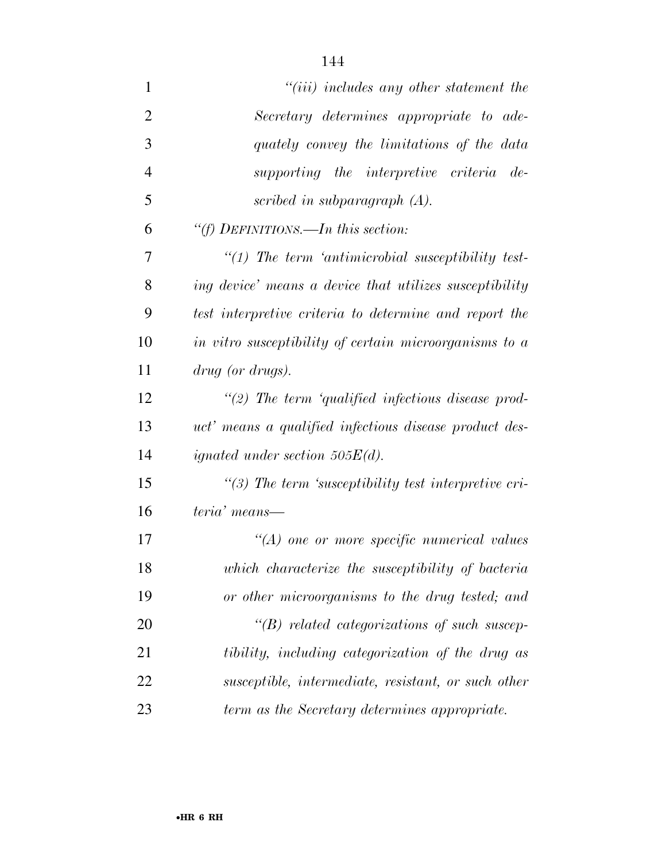| $\mathbf{1}$   | $"(iii)$ includes any other statement the                |
|----------------|----------------------------------------------------------|
| $\overline{2}$ | Secretary determines appropriate to ade-                 |
| 3              | quately convey the limitations of the data               |
| $\overline{4}$ | supporting the interpretive criteria de-                 |
| 5              | scribed in subparagraph $(A)$ .                          |
| 6              | "(f) DEFINITIONS.—In this section:                       |
| 7              | $\lq(1)$ The term 'antimicrobial susceptibility test-    |
| 8              | ing device' means a device that utilizes susceptibility  |
| 9              | test interpretive criteria to determine and report the   |
| 10             | in vitro susceptibility of certain microorganisms to a   |
| 11             | drug (or drugs).                                         |
| 12             | $\lq(2)$ The term 'qualified infectious disease prod-    |
| 13             | uct' means a qualified infectious disease product des-   |
| 14             | <i>ignated under section 505<math>E(d)</math>.</i>       |
| 15             | $\lq(3)$ The term 'susceptibility test interpretive cri- |
| 16             | teria' means—                                            |
| 17             | $\lq\lq (A)$ one or more specific numerical values       |
| 18             | which characterize the susceptibility of bacteria        |
| 19             | or other microorganisms to the drug tested; and          |
| 20             | $\lq\lq(B)$ related categorizations of such suscep-      |
| 21             | tibility, including categorization of the drug as        |
| 22             | susceptible, intermediate, resistant, or such other      |
| 23             | term as the Secretary determines appropriate.            |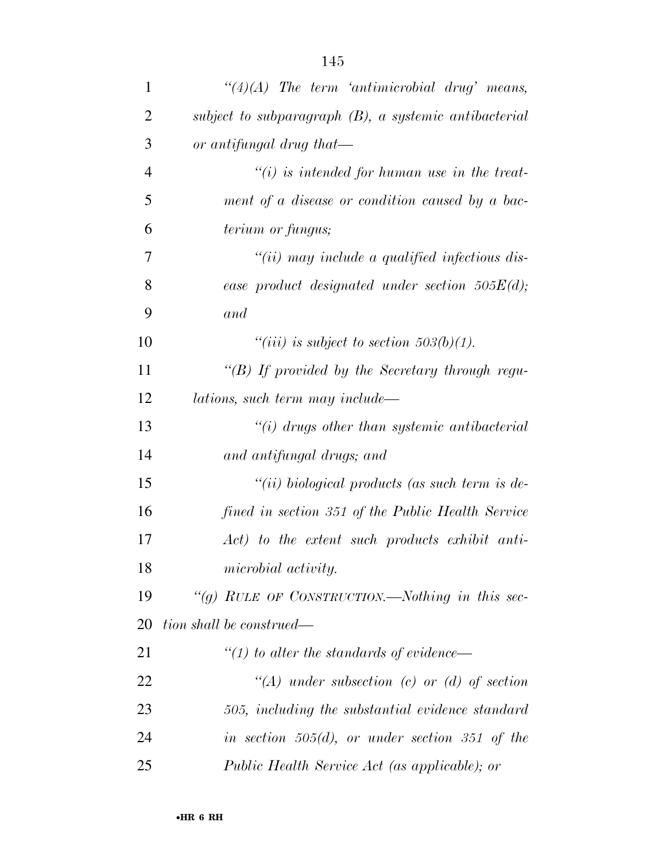| $\mathbf{1}$   | $\lq(4)(A)$ The term 'antimicrobial drug' means,         |
|----------------|----------------------------------------------------------|
| $\overline{2}$ | subject to subparagraph $(B)$ , a systemic antibacterial |
| 3              | or antifungal drug that—                                 |
| $\overline{4}$ | $\tilde{f}(i)$ is intended for human use in the treat-   |
| 5              | ment of a disease or condition caused by a bac-          |
| 6              | <i>terium or fungus;</i>                                 |
| 7              | $``(ii)$ may include a qualified infectious dis-         |
| 8              | ease product designated under section $505E(d)$ ;        |
| 9              | and                                                      |
| 10             | "(iii) is subject to section $503(b)(1)$ .               |
| 11             | " $(B)$ If provided by the Secretary through regu-       |
| 12             | lations, such term may include—                          |
| 13             | $\lq\lq(i)$ drugs other than systemic antibacterial      |
| 14             | and antifungal drugs; and                                |
| 15             | "(ii) biological products (as such term is de-           |
| 16             | fined in section 351 of the Public Health Service        |
| 17             | Act) to the extent such products exhibit anti-           |
| 18             | microbial activity.                                      |
| 19             | "(g) RULE OF CONSTRUCTION.—Nothing in this sec-          |
| 20             | tion shall be construed—                                 |
| 21             | $\lq (1)$ to alter the standards of evidence—            |
| 22             | $\lq (A)$ under subsection (c) or (d) of section         |
| 23             | 505, including the substantial evidence standard         |
| 24             | in section $505(d)$ , or under section 351 of the        |
| 25             | Public Health Service Act (as applicable); or            |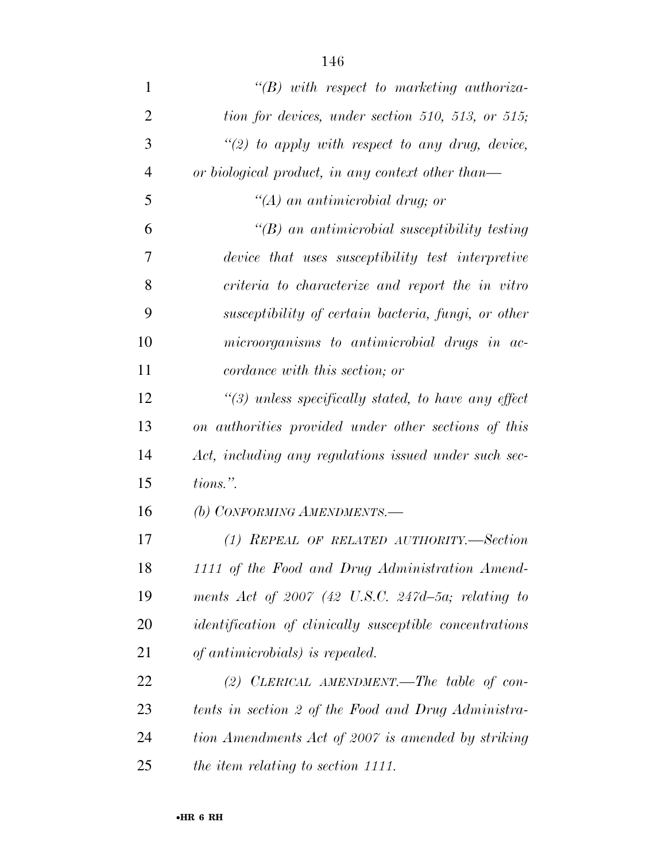| $\mathbf{1}$   | $\lq\lq B$ ) with respect to marketing authoriza-              |
|----------------|----------------------------------------------------------------|
| $\overline{2}$ | tion for devices, under section 510, 513, or 515;              |
| 3              | "(2) to apply with respect to any drug, device,                |
| $\overline{4}$ | or biological product, in any context other than—              |
| 5              | $\lq (A)$ an antimicrobial drug; or                            |
| 6              | $\lq (B)$ an antimicrobial susceptibility testing              |
| 7              | device that uses susceptibility test interpretive              |
| 8              | criteria to characterize and report the in vitro               |
| 9              | susceptibility of certain bacteria, fungi, or other            |
| 10             | microorganisms to antimicrobial drugs in ac-                   |
| 11             | cordance with this section; or                                 |
| 12             | $\lq(3)$ unless specifically stated, to have any effect        |
| 13             | on authorities provided under other sections of this           |
| 14             | Act, including any regulations issued under such sec-          |
| 15             | tions.".                                                       |
| 16             | (b) CONFORMING AMENDMENTS.—                                    |
| 17             | (1) REPEAL OF RELATED AUTHORITY.—Section                       |
| 18             | 1111 of the Food and Drug Administration Amend-                |
| 19             | ments Act of $2007$ (42 U.S.C. 247d-5a; relating to            |
| 20             | <i>identification of clinically susceptible concentrations</i> |
| 21             | of antimicrobials) is repealed.                                |
| 22             | (2) CLERICAL AMENDMENT.—The table of con-                      |
| 23             | tents in section 2 of the Food and Drug Administra-            |
| 24             | tion Amendments Act of 2007 is amended by striking             |
| 25             | the item relating to section 1111.                             |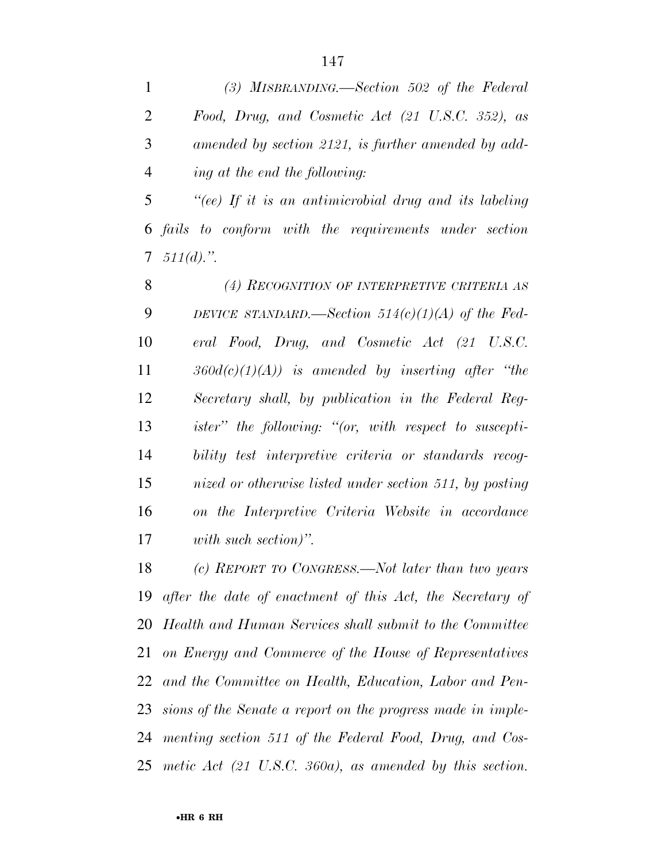|                | (3) MISBRANDING.—Section 502 of the Federal         |
|----------------|-----------------------------------------------------|
| 2              | Food, Drug, and Cosmetic Act (21 U.S.C. 352), as    |
| 3              | amended by section 2121, is further amended by add- |
| $\overline{4}$ | ing at the end the following:                       |

 *''(ee) If it is an antimicrobial drug and its labeling fails to conform with the requirements under section 511(d).''.* 

 *(4) RECOGNITION OF INTERPRETIVE CRITERIA AS DEVICE STANDARD.—Section 514(c)(1)(A) of the Fed- eral Food, Drug, and Cosmetic Act (21 U.S.C. 360d(c)(1)(A)) is amended by inserting after ''the Secretary shall, by publication in the Federal Reg- ister'' the following: ''(or, with respect to suscepti- bility test interpretive criteria or standards recog- nized or otherwise listed under section 511, by posting on the Interpretive Criteria Website in accordance with such section)''.* 

 *(c) REPORT TO CONGRESS.—Not later than two years after the date of enactment of this Act, the Secretary of Health and Human Services shall submit to the Committee on Energy and Commerce of the House of Representatives and the Committee on Health, Education, Labor and Pen- sions of the Senate a report on the progress made in imple- menting section 511 of the Federal Food, Drug, and Cos-metic Act (21 U.S.C. 360a), as amended by this section.*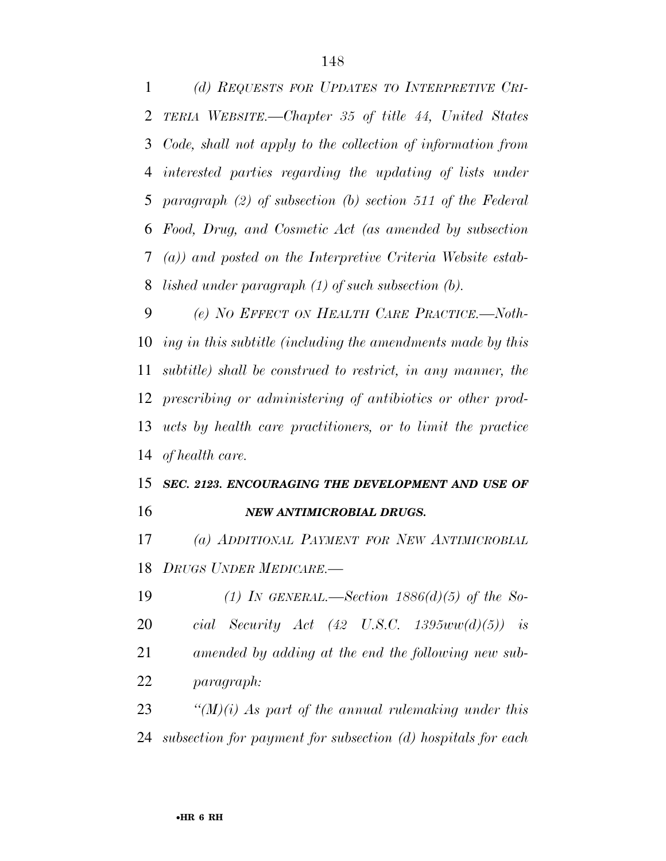*(d) REQUESTS FOR UPDATES TO INTERPRETIVE CRI- TERIA WEBSITE.—Chapter 35 of title 44, United States Code, shall not apply to the collection of information from interested parties regarding the updating of lists under paragraph (2) of subsection (b) section 511 of the Federal Food, Drug, and Cosmetic Act (as amended by subsection (a)) and posted on the Interpretive Criteria Website estab-lished under paragraph (1) of such subsection (b).* 

 *(e) NO EFFECT ON HEALTH CARE PRACTICE.—Noth- ing in this subtitle (including the amendments made by this subtitle) shall be construed to restrict, in any manner, the prescribing or administering of antibiotics or other prod- ucts by health care practitioners, or to limit the practice of health care.* 

## *SEC. 2123. ENCOURAGING THE DEVELOPMENT AND USE OF NEW ANTIMICROBIAL DRUGS.*

 *(a) ADDITIONAL PAYMENT FOR NEW ANTIMICROBIAL DRUGS UNDER MEDICARE.—* 

 *(1) IN GENERAL.—Section 1886(d)(5) of the So- cial Security Act (42 U.S.C. 1395ww(d)(5)) is amended by adding at the end the following new sub-paragraph:* 

 *''(M)(i) As part of the annual rulemaking under this subsection for payment for subsection (d) hospitals for each*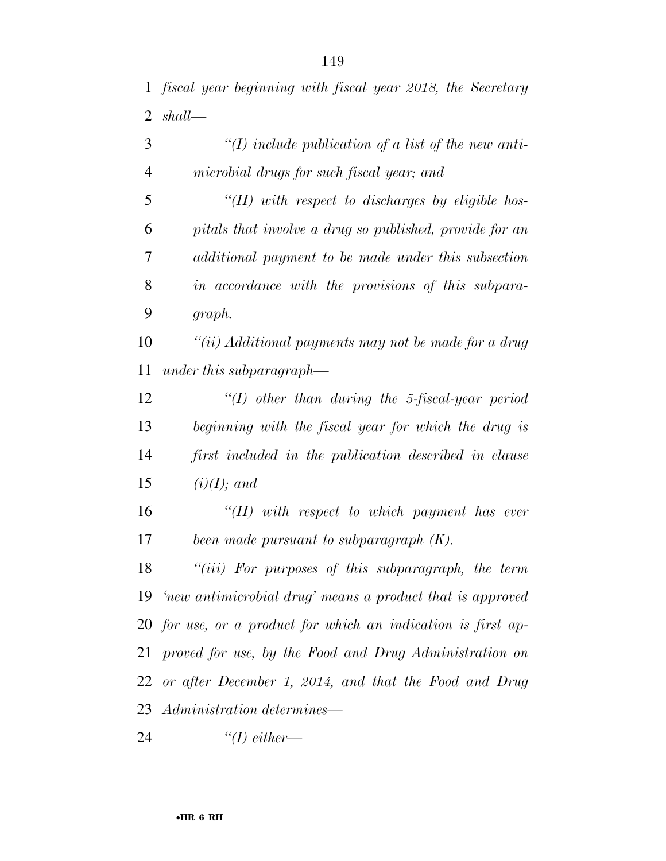*fiscal year beginning with fiscal year 2018, the Secretary shall—* 

 *''(I) include publication of a list of the new anti-microbial drugs for such fiscal year; and* 

 *''(II) with respect to discharges by eligible hos- pitals that involve a drug so published, provide for an additional payment to be made under this subsection in accordance with the provisions of this subpara-graph.* 

 *''(ii) Additional payments may not be made for a drug under this subparagraph—* 

 *''(I) other than during the 5-fiscal-year period beginning with the fiscal year for which the drug is first included in the publication described in clause (i)(I); and* 

 *''(II) with respect to which payment has ever been made pursuant to subparagraph (K).* 

 *''(iii) For purposes of this subparagraph, the term 'new antimicrobial drug' means a product that is approved for use, or a product for which an indication is first ap- proved for use, by the Food and Drug Administration on or after December 1, 2014, and that the Food and Drug Administration determines—* 

*''(I) either—*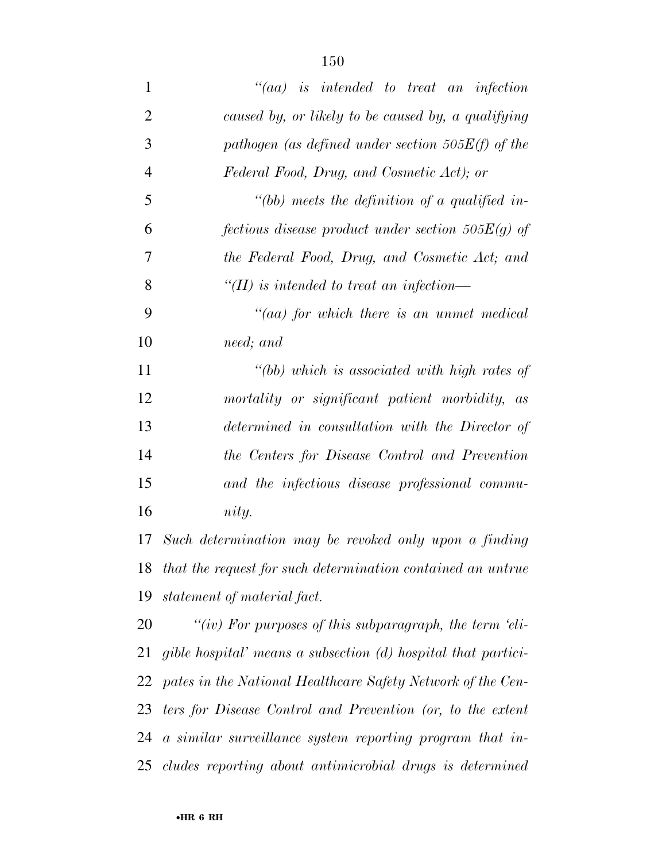| $\mathbf{1}$   | $``(aa)$ is intended to treat an infection                      |
|----------------|-----------------------------------------------------------------|
| $\overline{2}$ | caused by, or likely to be caused by, a qualifying              |
| 3              | pathogen (as defined under section $505E(f)$ of the             |
| $\overline{4}$ | Federal Food, Drug, and Cosmetic Act); or                       |
| 5              | "(bb) meets the definition of a qualified in-                   |
| 6              | fections disease product under section $505E(g)$ of             |
| 7              | the Federal Food, Drug, and Cosmetic Act; and                   |
| 8              | "(II) is intended to treat an infection—                        |
| 9              | $``(aa)$ for which there is an unmet medical                    |
| 10             | need; and                                                       |
| 11             | $"$ (bb) which is associated with high rates of                 |
| 12             | mortality or significant patient morbidity, as                  |
| 13             | determined in consultation with the Director of                 |
| 14             | the Centers for Disease Control and Prevention                  |
| 15             | and the infectious disease professional commu-                  |
| 16             | nity.                                                           |
| 17             | Such determination may be revoked only upon a finding           |
| 18             | that the request for such determination contained an untrue     |
| 19             | statement of material fact.                                     |
| 20             | "(iv) For purposes of this subparagraph, the term 'eli-         |
| 21             | gible hospital' means a subsection $(d)$ hospital that partici- |
| 22             | pates in the National Healthcare Safety Network of the Cen-     |
| 23             | ters for Disease Control and Prevention (or, to the extent      |
|                | 24 a similar surveillance system reporting program that in-     |
|                | 25 cludes reporting about antimicrobial drugs is determined     |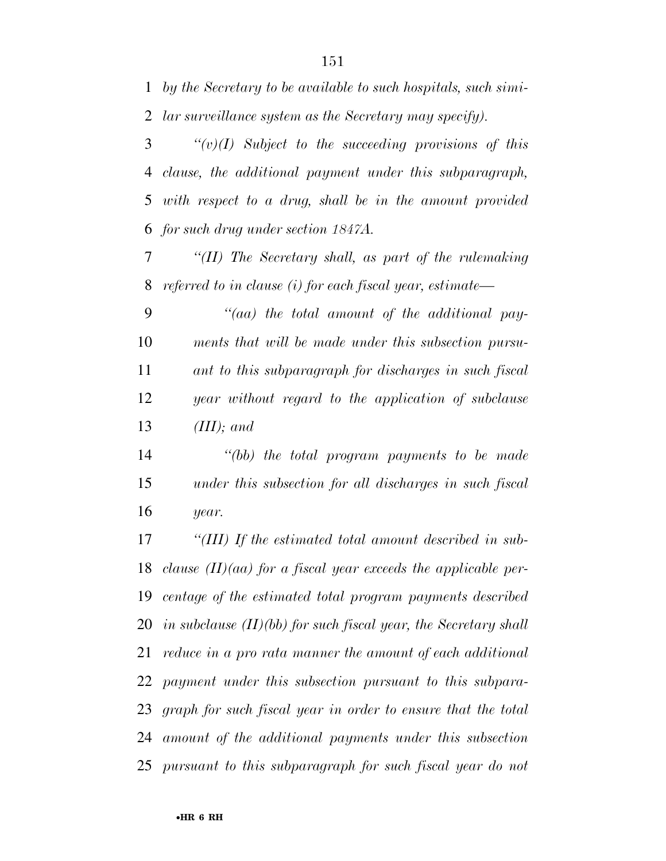*by the Secretary to be available to such hospitals, such simi-lar surveillance system as the Secretary may specify).* 

 *''(v)(I) Subject to the succeeding provisions of this clause, the additional payment under this subparagraph, with respect to a drug, shall be in the amount provided for such drug under section 1847A.* 

 *''(II) The Secretary shall, as part of the rulemaking referred to in clause (i) for each fiscal year, estimate—* 

 *''(aa) the total amount of the additional pay- ments that will be made under this subsection pursu- ant to this subparagraph for discharges in such fiscal year without regard to the application of subclause (III); and* 

 *''(bb) the total program payments to be made under this subsection for all discharges in such fiscal year.* 

 *''(III) If the estimated total amount described in sub- clause (II)(aa) for a fiscal year exceeds the applicable per- centage of the estimated total program payments described in subclause (II)(bb) for such fiscal year, the Secretary shall reduce in a pro rata manner the amount of each additional payment under this subsection pursuant to this subpara- graph for such fiscal year in order to ensure that the total amount of the additional payments under this subsection pursuant to this subparagraph for such fiscal year do not*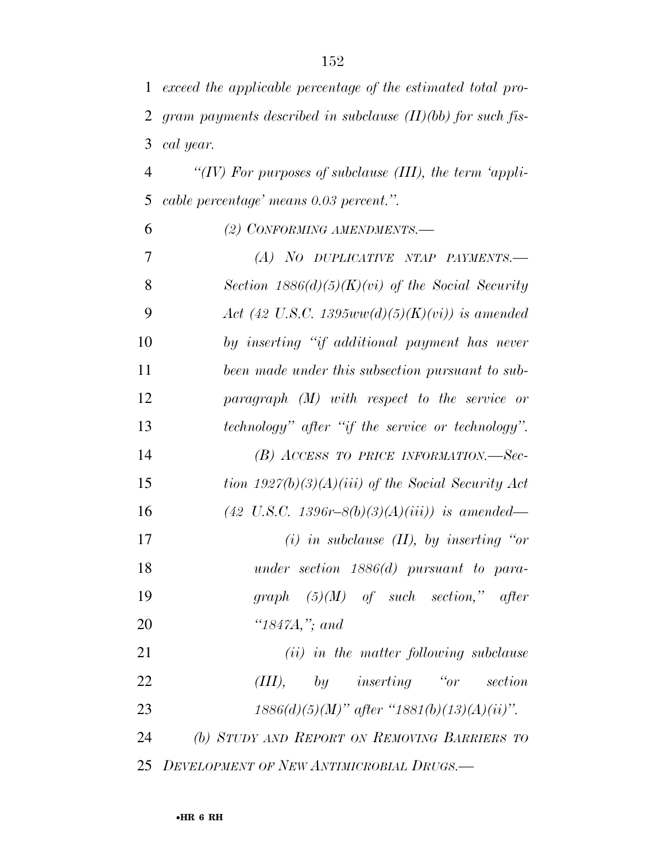| $\mathbf{1}$ | exceed the applicable percentage of the estimated total pro-  |
|--------------|---------------------------------------------------------------|
| 2            | gram payments described in subclause $(II)(bb)$ for such fis- |
| 3            | cal year.                                                     |
| 4            | "(IV) For purposes of subclause (III), the term 'appli-       |
| 5            | cable percentage' means 0.03 percent.".                       |
| 6            | (2) CONFORMING AMENDMENTS.-                                   |
| 7            | (A) NO DUPLICATIVE NTAP PAYMENTS.—                            |
| 8            | Section $1886(d)(5)(K)(vi)$ of the Social Security            |
| 9            | Act (42 U.S.C. 1395 $ww(d)(5)(K)(vi)$ ) is amended            |
| 10           | by inserting "if additional payment has never                 |
| 11           | been made under this subsection pursuant to sub-              |
| 12           | $paramph$ (M) with respect to the service or                  |
| 13           | technology" after "if the service or technology".             |
| 14           | $(B)$ ACCESS TO PRICE INFORMATION.—Sec-                       |
| 15           | tion $1927(b)(3)(A)(iii)$ of the Social Security Act          |
| 16           | $(42 \text{ U.S.C. } 1396r - 8(b)(3)(A)(iii))$ is amended—    |
| 17           | $(i)$ in subclause $(II)$ , by inserting "or                  |
| 18           | under section $1886(d)$ pursuant to para-                     |
| 19           | graph $(5)(M)$ of such section," after                        |
| <b>20</b>    | " $1847A$ ,"; and                                             |
| 21           | ( <i>ii</i> ) in the matter following subclause               |
| 22           | $(III)$ , by inserting "or section                            |
| 23           | $1886(d)(5)(M)$ " after "1881(b)(13)(A)(ii)".                 |
| 24           | (b) STUDY AND REPORT ON REMOVING BARRIERS TO                  |
| 25           | DEVELOPMENT OF NEW ANTIMICROBIAL DRUGS.-                      |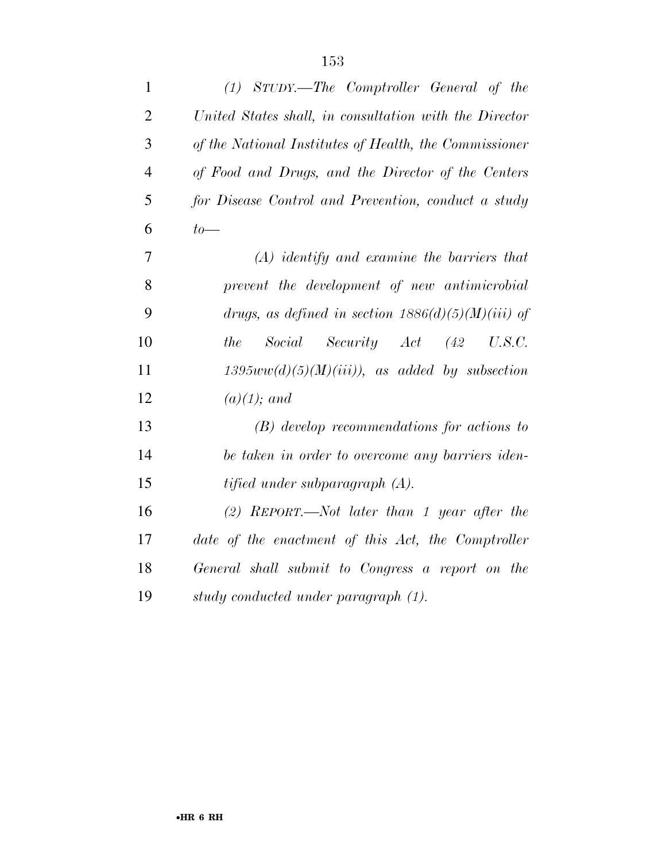| $\mathbf{1}$   | (1) STUDY.—The Comptroller General of the              |
|----------------|--------------------------------------------------------|
| $\overline{2}$ | United States shall, in consultation with the Director |
| 3              | of the National Institutes of Health, the Commissioner |
| $\overline{4}$ | of Food and Drugs, and the Director of the Centers     |
| 5              | for Disease Control and Prevention, conduct a study    |
| 6              | $to-$                                                  |
| 7              | $(A)$ identify and examine the barriers that           |
| 8              | prevent the development of new antimicrobial           |
| 9              | drugs, as defined in section $1886(d)(5)(M)(iii)$ of   |
| 10             | Social Security Act (42<br>the<br>U.S.C.               |
| 11             | $1395ww(d)(5)(M)(iii)$ , as added by subsection        |
| 12             | $(a)(1);$ and                                          |
| 13             | $(B)$ develop recommendations for actions to           |
| 14             | be taken in order to overcome any barriers iden-       |
| 15             | tified under subparagraph $(A)$ .                      |
| 16             | $(2)$ REPORT.—Not later than 1 year after the          |
| 17             | date of the enactment of this Act, the Comptroller     |
| 18             | General shall submit to Congress a report on the       |
| 19             | study conducted under paragraph (1).                   |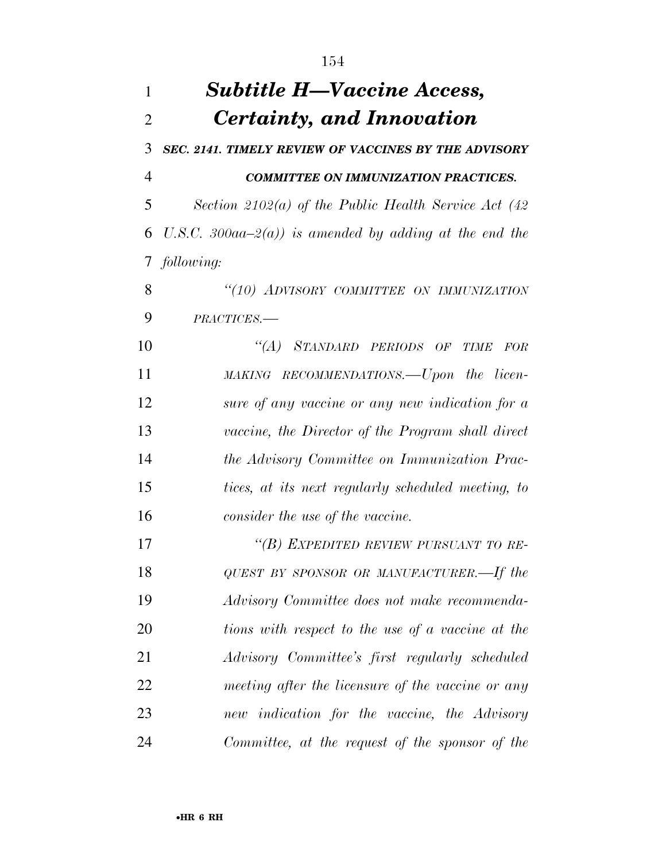| 1              | <b>Subtitle H—Vaccine Access,</b>                      |
|----------------|--------------------------------------------------------|
| $\overline{2}$ | Certainty, and Innovation                              |
| 3              | SEC. 2141. TIMELY REVIEW OF VACCINES BY THE ADVISORY   |
| $\overline{4}$ | <b>COMMITTEE ON IMMUNIZATION PRACTICES.</b>            |
| 5              | Section 2102(a) of the Public Health Service Act (42   |
| 6              | U.S.C. 300aa-2(a)) is amended by adding at the end the |
| $\tau$         | following:                                             |
| 8              | "(10) ADVISORY COMMITTEE ON IMMUNIZATION               |
| 9              | PRACTICES.-                                            |
| 10             | "(A) STANDARD PERIODS OF TIME FOR                      |
| 11             | MAKING RECOMMENDATIONS.—Upon the licen-                |
| 12             | sure of any vaccine or any new indication for a        |
| 13             | vaccine, the Director of the Program shall direct      |
| 14             | the Advisory Committee on Immunization Prac-           |
| 15             | tices, at its next regularly scheduled meeting, to     |
| 16             | consider the use of the vaccine.                       |
| 17             | "(B) EXPEDITED REVIEW PURSUANT TO RE-                  |
| 18             | QUEST BY SPONSOR OR MANUFACTURER.—If the               |
| 19             | Advisory Committee does not make recommenda-           |
| 20             | tions with respect to the use of a vaccine at the      |
| 21             | Advisory Committee's first regularly scheduled         |
| 22             | meeting after the licensure of the vaccine or any      |
| 23             | new indication for the vaccine, the Advisory           |
| 24             | Committee, at the request of the sponsor of the        |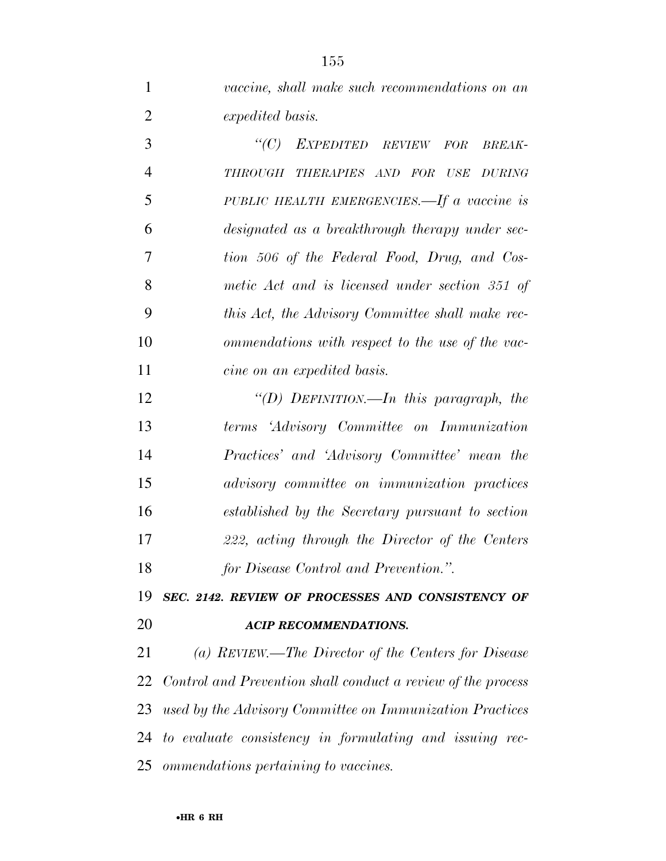*vaccine, shall make such recommendations on an expedited basis.* 

 *''(C) EXPEDITED REVIEW FOR BREAK- THROUGH THERAPIES AND FOR USE DURING PUBLIC HEALTH EMERGENCIES.—If a vaccine is designated as a breakthrough therapy under sec- tion 506 of the Federal Food, Drug, and Cos- metic Act and is licensed under section 351 of this Act, the Advisory Committee shall make rec- ommendations with respect to the use of the vac- cine on an expedited basis. ''(D) DEFINITION.—In this paragraph, the terms 'Advisory Committee on Immunization Practices' and 'Advisory Committee' mean the advisory committee on immunization practices established by the Secretary pursuant to section 222, acting through the Director of the Centers for Disease Control and Prevention.''.* 

 *SEC. 2142. REVIEW OF PROCESSES AND CONSISTENCY OF ACIP RECOMMENDATIONS.* 

 *(a) REVIEW.—The Director of the Centers for Disease Control and Prevention shall conduct a review of the process used by the Advisory Committee on Immunization Practices to evaluate consistency in formulating and issuing rec-ommendations pertaining to vaccines.*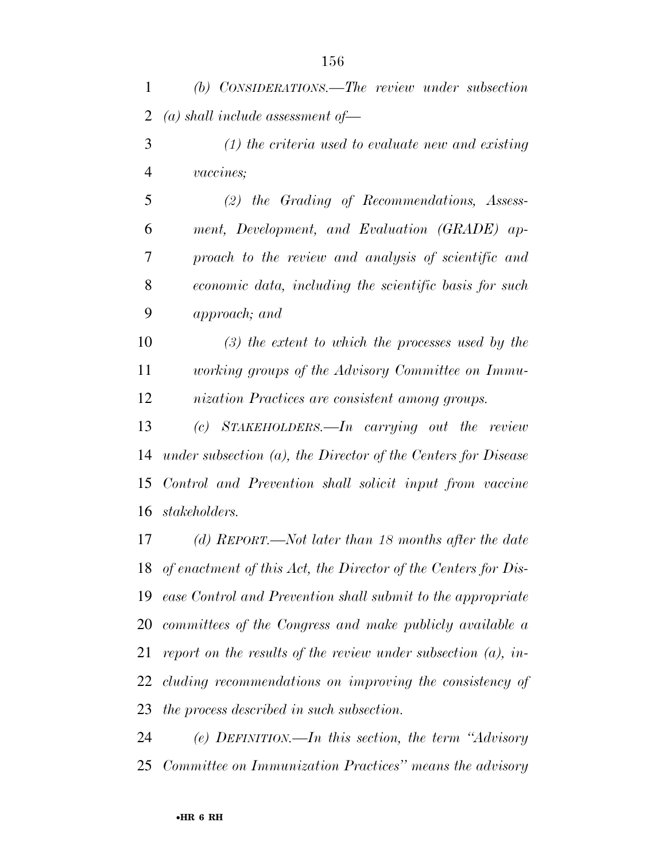*(b) CONSIDERATIONS.—The review under subsection (a) shall include assessment of—* 

 *(1) the criteria used to evaluate new and existing vaccines;* 

 *(2) the Grading of Recommendations, Assess- ment, Development, and Evaluation (GRADE) ap- proach to the review and analysis of scientific and economic data, including the scientific basis for such approach; and* 

 *(3) the extent to which the processes used by the working groups of the Advisory Committee on Immu-nization Practices are consistent among groups.* 

 *(c) STAKEHOLDERS.—In carrying out the review under subsection (a), the Director of the Centers for Disease Control and Prevention shall solicit input from vaccine stakeholders.* 

 *(d) REPORT.—Not later than 18 months after the date of enactment of this Act, the Director of the Centers for Dis- ease Control and Prevention shall submit to the appropriate committees of the Congress and make publicly available a report on the results of the review under subsection (a), in- cluding recommendations on improving the consistency of the process described in such subsection.* 

 *(e) DEFINITION.—In this section, the term ''Advisory Committee on Immunization Practices'' means the advisory*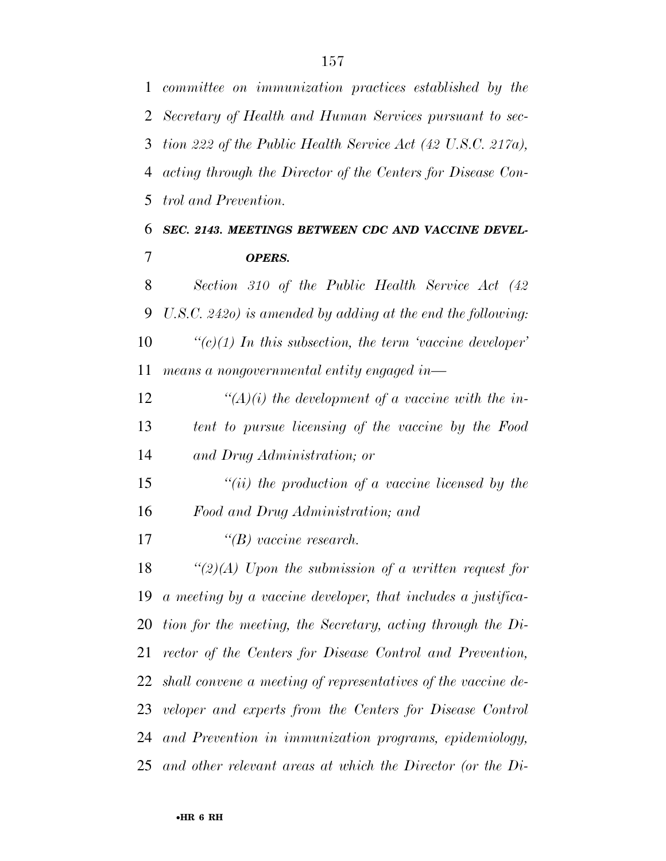*committee on immunization practices established by the Secretary of Health and Human Services pursuant to sec- tion 222 of the Public Health Service Act (42 U.S.C. 217a), acting through the Director of the Centers for Disease Con- trol and Prevention. SEC. 2143. MEETINGS BETWEEN CDC AND VACCINE DEVEL- OPERS. Section 310 of the Public Health Service Act (42 U.S.C. 242o) is amended by adding at the end the following: ''(c)(1) In this subsection, the term 'vaccine developer' means a nongovernmental entity engaged in— ''(A)(i) the development of a vaccine with the in- tent to pursue licensing of the vaccine by the Food and Drug Administration; or ''(ii) the production of a vaccine licensed by the Food and Drug Administration; and ''(B) vaccine research. ''(2)(A) Upon the submission of a written request for a meeting by a vaccine developer, that includes a justifica- tion for the meeting, the Secretary, acting through the Di- rector of the Centers for Disease Control and Prevention, shall convene a meeting of representatives of the vaccine de- veloper and experts from the Centers for Disease Control and Prevention in immunization programs, epidemiology, and other relevant areas at which the Director (or the Di-*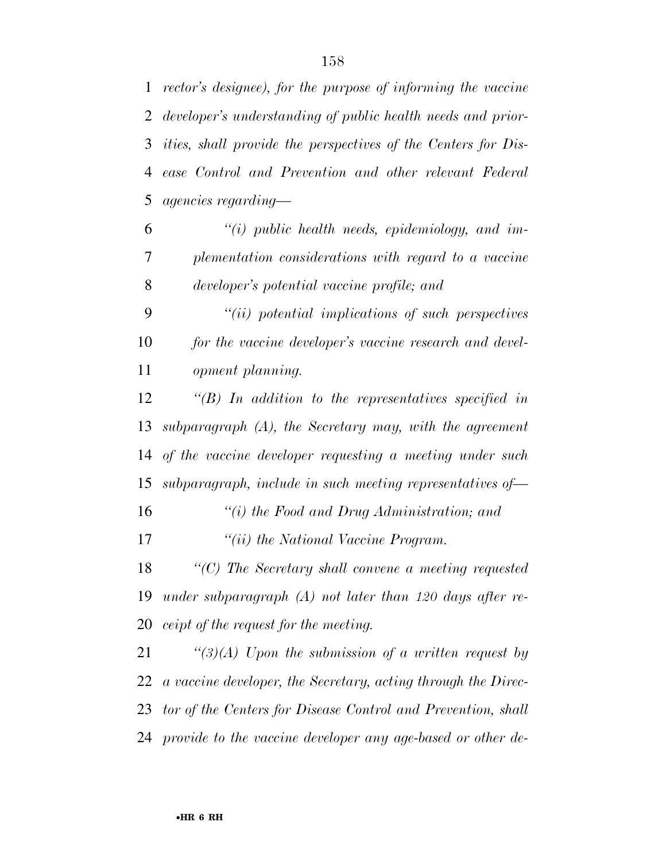*ities, shall provide the perspectives of the Centers for Dis- ease Control and Prevention and other relevant Federal agencies regarding—* 

 *''(i) public health needs, epidemiology, and im- plementation considerations with regard to a vaccine developer's potential vaccine profile; and* 

 *''(ii) potential implications of such perspectives for the vaccine developer's vaccine research and devel-opment planning.* 

 *''(B) In addition to the representatives specified in subparagraph (A), the Secretary may, with the agreement of the vaccine developer requesting a meeting under such subparagraph, include in such meeting representatives of—* 

 *''(i) the Food and Drug Administration; and ''(ii) the National Vaccine Program.* 

 *''(C) The Secretary shall convene a meeting requested under subparagraph (A) not later than 120 days after re-ceipt of the request for the meeting.* 

 *''(3)(A) Upon the submission of a written request by a vaccine developer, the Secretary, acting through the Direc- tor of the Centers for Disease Control and Prevention, shall provide to the vaccine developer any age-based or other de-*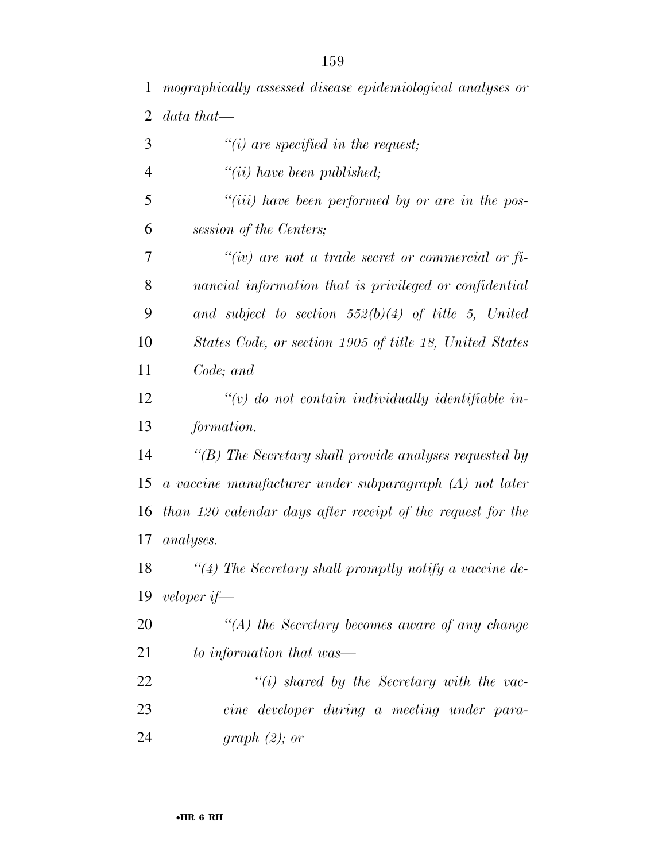| $\overline{2}$ | $data that \_\$                                                                |
|----------------|--------------------------------------------------------------------------------|
| 3              | $"(i)$ are specified in the request;                                           |
| $\overline{4}$ | $"(ii)$ have been published;                                                   |
| 5              | "( <i>iii</i> ) have been performed by or are in the pos-                      |
| 6              | session of the Centers;                                                        |
| 7              | "(iv) are not a trade secret or commercial or $f$ <i>i</i> -                   |
| 8              | nancial information that is privileged or confidential                         |
| 9              | and subject to section $552(b)(4)$ of title 5, United                          |
| 10             | States Code, or section 1905 of title 18, United States                        |
| 11             | Code; and                                                                      |
| 12             | $\lq (v)$ do not contain individually identifiable in-                         |
| 13             | formation.                                                                     |
| 14             | "(B) The Secretary shall provide analyses requested by                         |
| 15             | $a\,\,vaccine\,\, manufacturer\,\,under\,\,subparagnph\,\,(A)\,\,not\,\,later$ |
| 16             | than 120 calendar days after receipt of the request for the                    |
| 17             | <i>analyses.</i>                                                               |
| 18             | $\lq(4)$ The Secretary shall promptly notify a vaccine de-                     |
| 19             | veloper if—                                                                    |
| 20             | $H(A)$ the Secretary becomes aware of any change                               |
| 21             | to information that was—                                                       |
| 22             | $\lq\lq(i)$ shared by the Secretary with the vac-                              |
| 23             | cine developer during a meeting under para-                                    |
| 24             | graph (2); or                                                                  |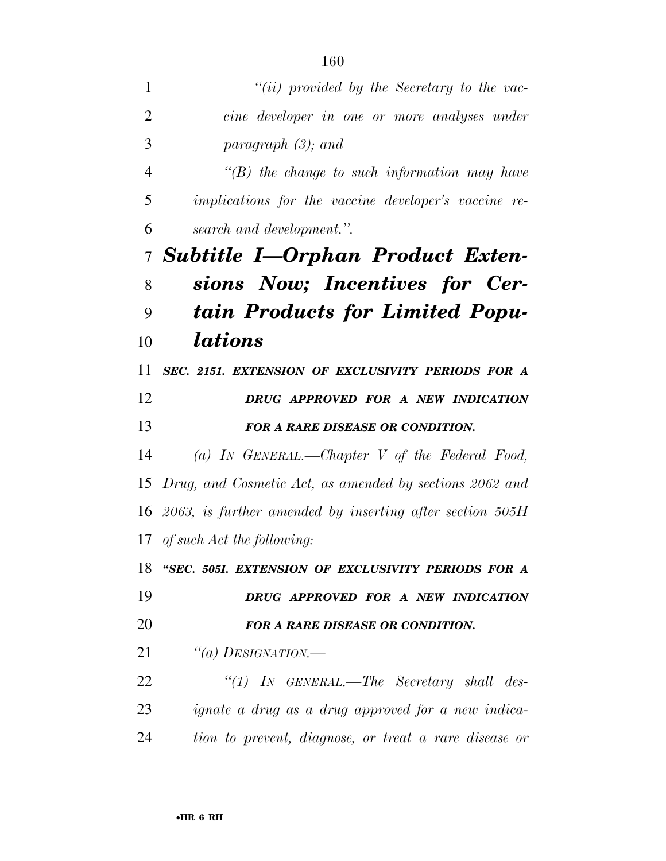| 1              | $``(ii)$ provided by the Secretary to the vac-                |
|----------------|---------------------------------------------------------------|
| $\overline{2}$ | cine developer in one or more analyses under                  |
| 3              | paragraph $(3)$ ; and                                         |
| 4              | $\lq\lq(B)$ the change to such information may have           |
| 5              | implications for the vaccine developer's vaccine re-          |
| 6              | search and development.".                                     |
| $\tau$         | <b>Subtitle I-Orphan Product Exten-</b>                       |
| 8              | sions Now; Incentives for Cer-                                |
| 9              | tain Products for Limited Popu-                               |
| 10             | <i>lations</i>                                                |
| 11             | SEC. 2151. EXTENSION OF EXCLUSIVITY PERIODS FOR A             |
| 12             | DRUG APPROVED FOR A NEW INDICATION                            |
| 13             | FOR A RARE DISEASE OR CONDITION.                              |
| 14             | (a) IN GENERAL.—Chapter V of the Federal Food,                |
| 15             | Drug, and Cosmetic Act, as amended by sections 2062 and       |
|                | 16 2063, is further amended by inserting after section $505H$ |
|                | 17 of such Act the following:                                 |
|                | 18 "SEC. 505I. EXTENSION OF EXCLUSIVITY PERIODS FOR A         |
| 19             | DRUG APPROVED FOR A NEW INDICATION                            |
| 20             | FOR A RARE DISEASE OR CONDITION.                              |
| 21             | "(a) DESIGNATION.—                                            |
| 22             | "(1) IN GENERAL.—The Secretary shall des-                     |
| 23             | <i>ignate a drug as a drug approved for a new indica-</i>     |
| 24             | tion to prevent, diagnose, or treat a rare disease or         |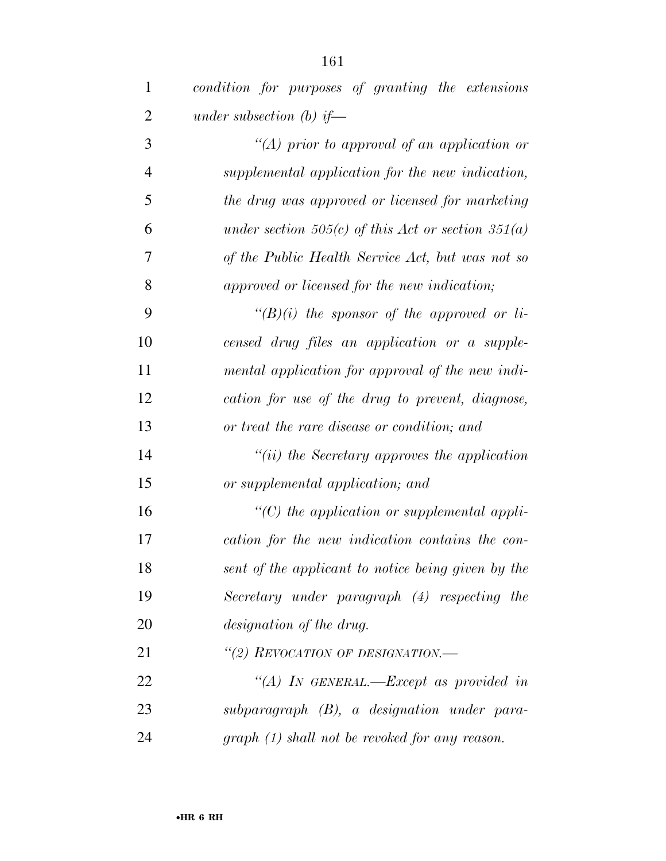| $\mathbf{1}$   | condition for purposes of granting the extensions  |
|----------------|----------------------------------------------------|
| 2              | under subsection (b) if—                           |
| 3              | "(A) prior to approval of an application or        |
| $\overline{4}$ | supplemental application for the new indication,   |
| 5              | the drug was approved or licensed for marketing    |
| 6              | under section 505(c) of this Act or section 351(a) |
| 7              | of the Public Health Service Act, but was not so   |
| 8              | approved or licensed for the new indication;       |
| 9              | " $(B)(i)$ the sponsor of the approved or li-      |
| 10             | censed drug files an application or a supple-      |
| 11             | mental application for approval of the new indi-   |
| 12             | cation for use of the drug to prevent, diagnose,   |
| 13             | or treat the rare disease or condition; and        |
| 14             | $``(ii)$ the Secretary approves the application    |
| 15             | or supplemental application; and                   |
| 16             | $\lq\lq C$ the application or supplemental appli-  |
| 17             | cation for the new indication contains the con-    |
| 18             | sent of the applicant to notice being given by the |
| 19             | Secretary under paragraph (4) respecting the       |
| 20             | designation of the drug.                           |
| 21             | "(2) REVOCATION OF DESIGNATION.—                   |
| 22             | "(A) In GENERAL.—Except as provided in             |
| 23             | $subparagnph$ $(B)$ , a designation under para-    |
| 24             | $graph (1) shall not be revoked for any reason.$   |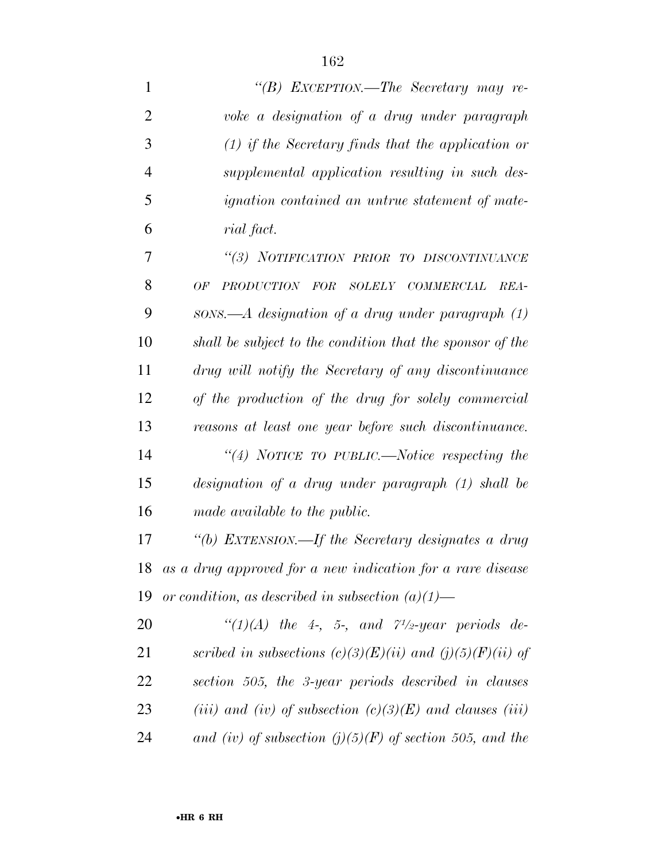*''(B) EXCEPTION.—The Secretary may re- voke a designation of a drug under paragraph (1) if the Secretary finds that the application or supplemental application resulting in such des- ignation contained an untrue statement of mate- rial fact. ''(3) NOTIFICATION PRIOR TO DISCONTINUANCE OF PRODUCTION FOR SOLELY COMMERCIAL REA- SONS.—A designation of a drug under paragraph (1) shall be subject to the condition that the sponsor of the drug will notify the Secretary of any discontinuance of the production of the drug for solely commercial reasons at least one year before such discontinuance.* 

 *''(4) NOTICE TO PUBLIC.—Notice respecting the designation of a drug under paragraph (1) shall be made available to the public.* 

 *''(b) EXTENSION.—If the Secretary designates a drug as a drug approved for a new indication for a rare disease or condition, as described in subsection (a)(1)—* 

 $\text{``(1)(A)}$  the 4-, 5-, and  $\text{''1/2-}$ *year periods de- scribed in subsections (c)(3)(E)(ii) and (j)(5)(F)(ii) of section 505, the 3-year periods described in clauses (iii) and (iv) of subsection (c)(3)(E) and clauses (iii) and (iv) of subsection (j)(5)(F) of section 505, and the*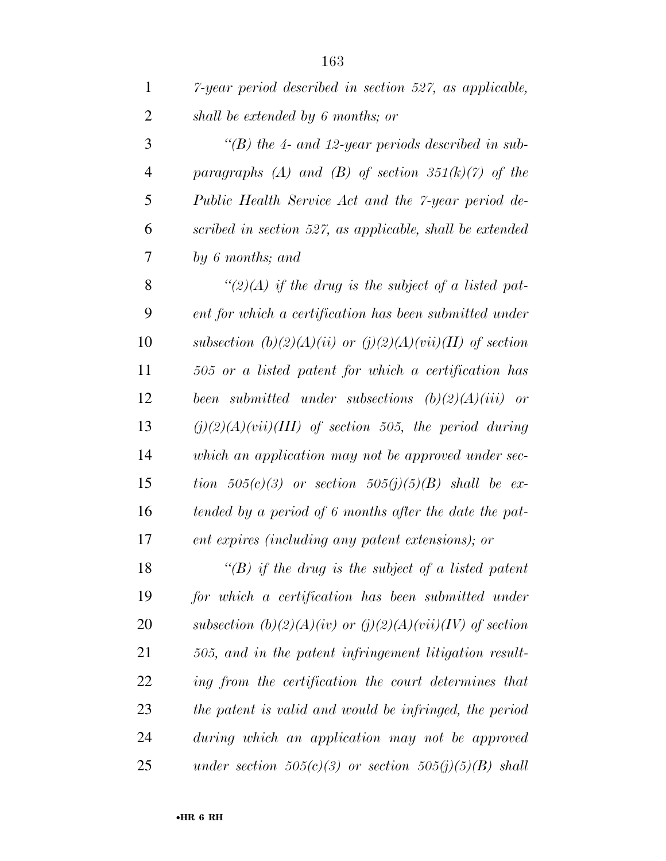| $\mathbf{1}$   | 7-year period described in section 527, as applicable,        |
|----------------|---------------------------------------------------------------|
| $\overline{2}$ | shall be extended by 6 months; or                             |
| 3              | "(B) the 4- and 12-year periods described in sub-             |
| $\overline{4}$ | paragraphs (A) and (B) of section $351(k)(7)$ of the          |
| 5              | Public Health Service Act and the 7-year period de-           |
| 6              | scribed in section 527, as applicable, shall be extended      |
| 7              | by 6 months; and                                              |
| 8              | "(2)(A) if the drug is the subject of a listed pat-           |
| 9              | ent for which a certification has been submitted under        |
| 10             | subsection (b)(2)(A)(ii) or (j)(2)(A)(vii)(II) of section     |
| 11             | 505 or a listed patent for which a certification has          |
| 12             | been submitted under subsections $(b)(2)(A)(iii)$ or          |
| 13             | $(j)(2)(A)(vii)(III)$ of section 505, the period during       |
| 14             | which an application may not be approved under sec-           |
| 15             | tion $505(c)(3)$ or section $505(j)(5)(B)$ shall be ex-       |
| 16             | tended by a period of 6 months after the date the pat-        |
| 17             | ent expires (including any patent extensions); or             |
| 18             | "(B) if the drug is the subject of a listed patent            |
| 19             | for which a certification has been submitted under            |
| 20             | subsection $(b)(2)(A)(iv)$ or $(j)(2)(A)(vii)(IV)$ of section |
| 21             | 505, and in the patent infringement litigation result-        |
| 22             | ing from the certification the court determines that          |
| 23             | the patent is valid and would be infringed, the period        |
| 24             | during which an application may not be approved               |
| 25             | under section $505(c)(3)$ or section $505(j)(5)(B)$ shall     |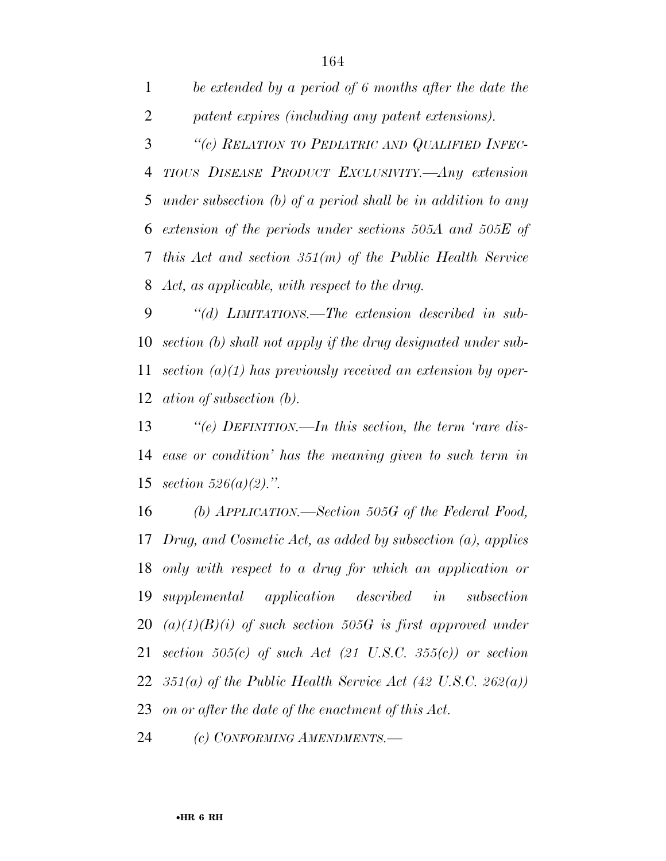*be extended by a period of 6 months after the date the patent expires (including any patent extensions). ''(c) RELATION TO PEDIATRIC AND QUALIFIED INFEC- TIOUS DISEASE PRODUCT EXCLUSIVITY.—Any extension under subsection (b) of a period shall be in addition to any extension of the periods under sections 505A and 505E of this Act and section 351(m) of the Public Health Service Act, as applicable, with respect to the drug.* 

 *''(d) LIMITATIONS.—The extension described in sub- section (b) shall not apply if the drug designated under sub- section (a)(1) has previously received an extension by oper-ation of subsection (b).* 

 *''(e) DEFINITION.—In this section, the term 'rare dis- ease or condition' has the meaning given to such term in section 526(a)(2).''.* 

 *(b) APPLICATION.—Section 505G of the Federal Food, Drug, and Cosmetic Act, as added by subsection (a), applies only with respect to a drug for which an application or supplemental application described in subsection (a)(1)(B)(i) of such section 505G is first approved under section 505(c) of such Act (21 U.S.C. 355(c)) or section 351(a) of the Public Health Service Act (42 U.S.C. 262(a)) on or after the date of the enactment of this Act.* 

*(c) CONFORMING AMENDMENTS.—*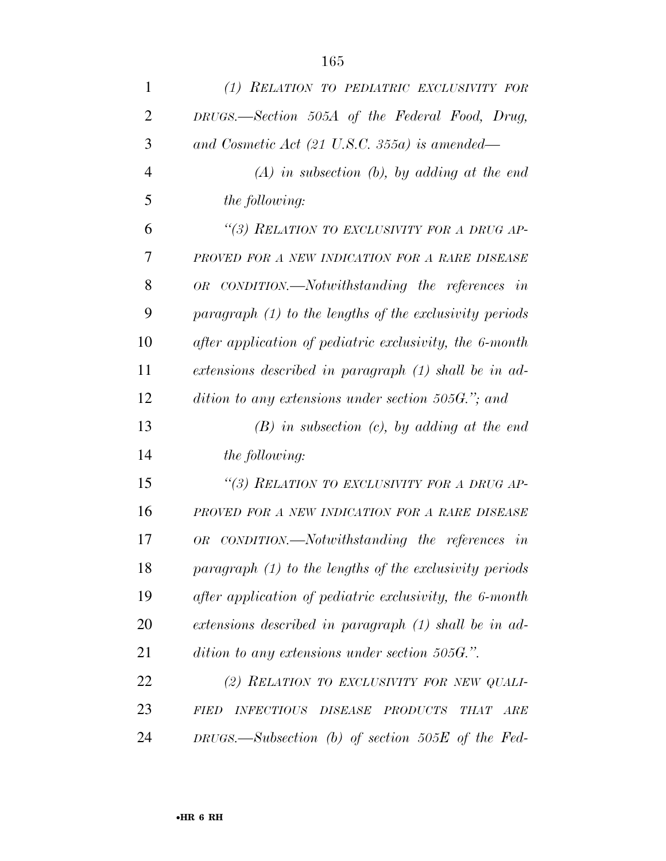| 1              | (1) RELATION TO PEDIATRIC EXCLUSIVITY FOR                                                   |
|----------------|---------------------------------------------------------------------------------------------|
| $\overline{2}$ | DRUGS.—Section 505A of the Federal Food, Drug,                                              |
| 3              | and Cosmetic Act (21 U.S.C. 355a) is amended—                                               |
| $\overline{4}$ | $(A)$ in subsection $(b)$ , by adding at the end                                            |
| 5              | <i>the following:</i>                                                                       |
| 6              | "(3) RELATION TO EXCLUSIVITY FOR A DRUG AP-                                                 |
| 7              | PROVED FOR A NEW INDICATION FOR A RARE DISEASE                                              |
| 8              | OR CONDITION.—Notwithstanding the references in                                             |
| 9              | paragraph $(1)$ to the lengths of the exclusivity periods                                   |
| 10             | after application of pediatric exclusivity, the 6-month                                     |
| 11             | extensions described in paragraph (1) shall be in ad-                                       |
| 12             | dition to any extensions under section 505G."; and                                          |
| 13             | $(B)$ in subsection $(c)$ , by adding at the end                                            |
| 14             | <i>the following:</i>                                                                       |
| 15             | "(3) RELATION TO EXCLUSIVITY FOR A DRUG AP-                                                 |
| 16             | PROVED FOR A NEW INDICATION FOR A RARE DISEASE                                              |
| 17             | CONDITION.—Notwithstanding the references in<br><b>OR</b>                                   |
| 18             | paragraph $(1)$ to the lengths of the exclusivity periods                                   |
| 19             | after application of pediatric exclusivity, the 6-month                                     |
| <b>20</b>      | extensions described in paragraph (1) shall be in ad-                                       |
| 21             | dition to any extensions under section 505G.".                                              |
| 22             | (2) RELATION TO EXCLUSIVITY FOR NEW QUALI-                                                  |
| 23             | <b>INFECTIOUS</b><br><b>DISEASE</b><br><b>PRODUCTS</b><br><b>FIED</b><br><b>THAT</b><br>ARE |
| 24             | DRUGS.—Subsection (b) of section $505E$ of the Fed-                                         |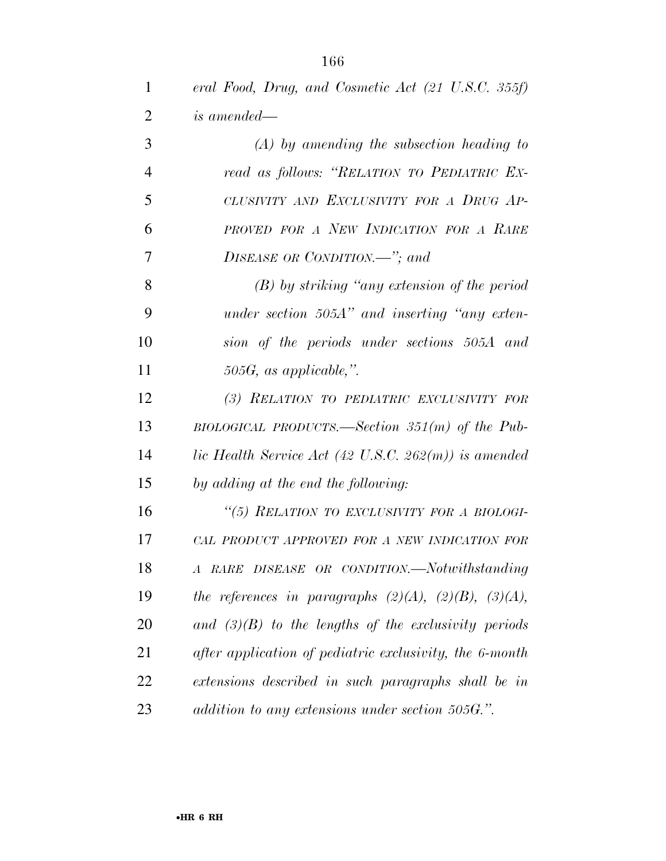| $\mathbf{1}$   | eral Food, Drug, and Cosmetic Act (21 U.S.C. 355f)              |
|----------------|-----------------------------------------------------------------|
| $\overline{2}$ | <i>is amended—</i>                                              |
| 3              | $(A)$ by amending the subsection heading to                     |
| $\overline{4}$ | read as follows: "RELATION TO PEDIATRIC EX-                     |
| 5              | CLUSIVITY AND EXCLUSIVITY FOR A DRUG AP-                        |
| 6              | PROVED FOR A NEW INDICATION FOR A RARE                          |
| 7              | DISEASE OR CONDITION.-"; and                                    |
| 8              | $(B)$ by striking "any extension of the period"                 |
| 9              | under section $505A$ " and inserting "any exten-                |
| 10             | sion of the periods under sections 505A and                     |
| 11             | $505G$ , as applicable,".                                       |
| 12             | (3) RELATION TO PEDIATRIC EXCLUSIVITY FOR                       |
| 13             | BIOLOGICAL PRODUCTS.—Section $351(m)$ of the Pub-               |
| 14             | lic Health Service Act $(42 \text{ U.S.C. } 262(m))$ is amended |
| 15             | by adding at the end the following:                             |
| 16             | "(5) RELATION TO EXCLUSIVITY FOR A BIOLOGI-                     |
| 17             | CAL PRODUCT APPROVED FOR A NEW INDICATION FOR                   |
| 18             | A RARE DISEASE OR CONDITION.—Notwithstanding                    |
| 19             | the references in paragraphs $(2)(A)$ , $(2)(B)$ , $(3)(A)$ ,   |
| 20             | and $(3)(B)$ to the lengths of the exclusivity periods          |
| 21             | after application of pediatric exclusivity, the 6-month         |
| 22             | extensions described in such paragraphs shall be in             |
| 23             | addition to any extensions under section 505G.".                |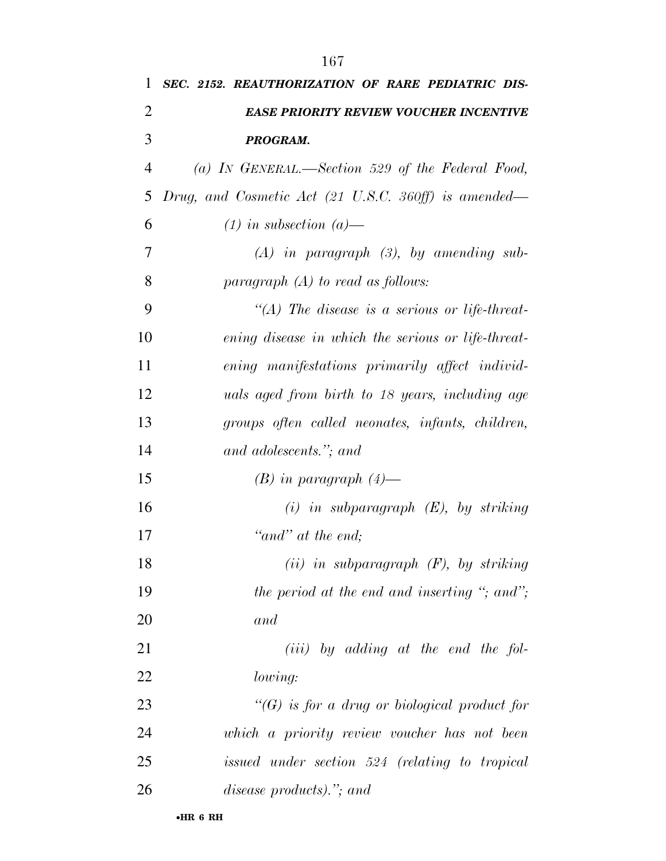| 1              | SEC. 2152. REAUTHORIZATION OF RARE PEDIATRIC DIS-                        |
|----------------|--------------------------------------------------------------------------|
| 2              | <b>EASE PRIORITY REVIEW VOUCHER INCENTIVE</b>                            |
| 3              | PROGRAM.                                                                 |
| $\overline{4}$ | (a) IN GENERAL.—Section 529 of the Federal Food,                         |
| 5              | Drug, and Cosmetic Act $(21 \text{ U.S.C. } 360 \text{ ff})$ is amended— |
| 6              | $(1)$ in subsection $(a)$ —                                              |
| 7              | $(A)$ in paragraph $(B)$ , by amending sub-                              |
| 8              | paragraph $(A)$ to read as follows:                                      |
| 9              | "(A) The disease is a serious or life-threat-                            |
| 10             | ening disease in which the serious or life-threat-                       |
| 11             | ening manifestations primarily affect individ-                           |
| 12             | uals aged from birth to 18 years, including age                          |
| 13             | groups often called neonates, infants, children,                         |
| 14             | and adolescents."; and                                                   |
| 15             | $(B)$ in paragraph $(4)$ —                                               |
| 16             | $(i)$ in subparagraph $(E)$ , by striking                                |
| 17             | "and" at the end:                                                        |
| 18             | $(ii)$ in subparagraph $(F)$ , by striking                               |
| 19             | the period at the end and inserting "; and";                             |
| 20             | and                                                                      |
| 21             | $(iii)$ by adding at the end the fol-                                    |
| 22             | <i>lowing:</i>                                                           |
| 23             | $\lq\lq(G)$ is for a drug or biological product for                      |
| 24             | which a priority review voucher has not been                             |
| 25             | issued under section 524 (relating to tropical                           |
| 26             | disease products)."; and                                                 |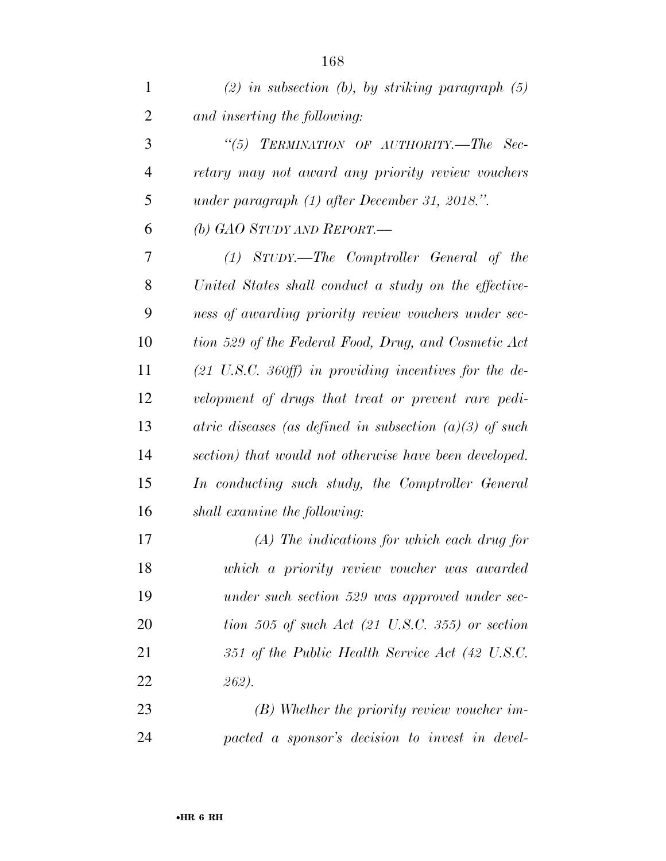| $\mathbf{1}$   | $(2)$ in subsection (b), by striking paragraph $(5)$                      |
|----------------|---------------------------------------------------------------------------|
| $\overline{2}$ | and inserting the following:                                              |
| 3              | "(5) TERMINATION OF AUTHORITY.—The Sec-                                   |
| $\overline{4}$ | retary may not award any priority review vouchers                         |
| 5              | under paragraph (1) after December 31, 2018.".                            |
| 6              | (b) GAO STUDY AND REPORT.—                                                |
| 7              | (1) STUDY.—The Comptroller General of the                                 |
| 8              | United States shall conduct a study on the effective-                     |
| 9              | ness of awarding priority review vouchers under sec-                      |
| 10             | tion 529 of the Federal Food, Drug, and Cosmetic Act                      |
| 11             | $(21 \text{ U.S.C. } 360 \text{ ff})$ in providing incentives for the de- |
| 12             | velopment of drugs that treat or prevent rare pedi-                       |
| 13             | atric diseases (as defined in subsection $(a)(3)$ of such                 |
| 14             | section) that would not otherwise have been developed.                    |
| 15             | In conducting such study, the Comptroller General                         |
| 16             | shall examine the following:                                              |
| 17             | $(A)$ The indications for which each drug for                             |
| 18             | which a priority review voucher was awarded                               |
| 19             | under such section 529 was approved under sec-                            |
| 20             | tion 505 of such Act $(21 \text{ U.S.C. } 355)$ or section                |
| 21             | 351 of the Public Health Service Act (42 U.S.C.                           |
| 22             | 262).                                                                     |
| 23             | $(B)$ Whether the priority review voucher im-                             |

*pacted a sponsor's decision to invest in devel-*

•**HR 6 RH**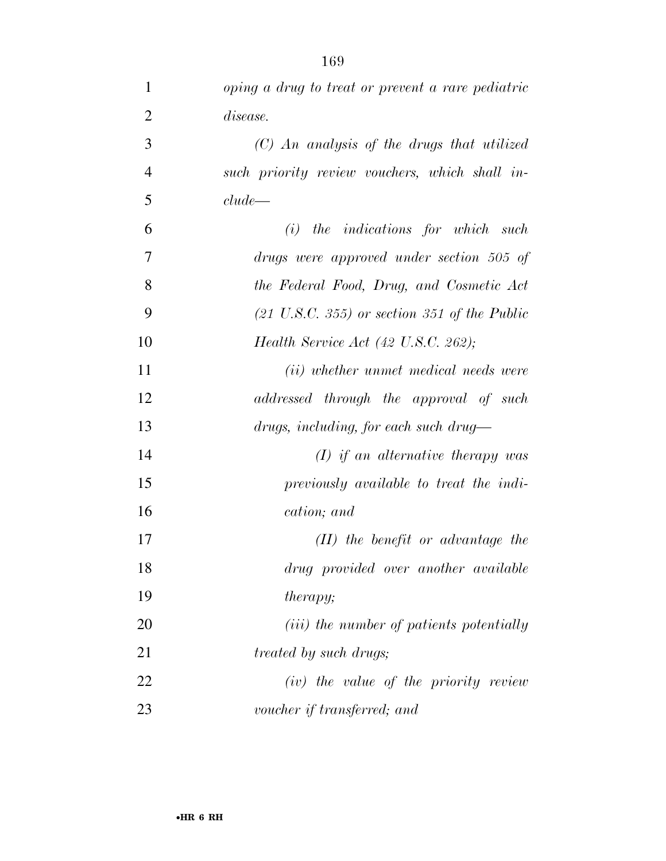| $\mathbf{1}$   | oping a drug to treat or prevent a rare pediatric       |
|----------------|---------------------------------------------------------|
| $\overline{2}$ | <i>disease.</i>                                         |
| 3              | $(C)$ An analysis of the drugs that utilized            |
| $\overline{4}$ | such priority review vouchers, which shall in-          |
| 5              | clude                                                   |
| 6              | the indications for which such<br>(i)                   |
| 7              | drugs were approved under section 505 of                |
| 8              | the Federal Food, Drug, and Cosmetic Act                |
| 9              | $(21 \text{ U.S.C. } 355)$ or section 351 of the Public |
| 10             | Health Service Act $(42 \text{ U.S.C. } 262);$          |
| 11             | (ii) whether unmet medical needs were                   |
| 12             | addressed through the approval of such                  |
| 13             | $drugs, including, for each such drug-$                 |
| 14             | $(I)$ if an alternative therapy was                     |
| 15             | previously available to treat the indi-                 |
| 16             | cation; and                                             |
| 17             | $(II)$ the benefit or advantage the                     |
| 18             | drug provided over another available                    |
| 19             | <i>therapy</i> ;                                        |
| 20             | ( <i>iii</i> ) the number of patients potentially       |
| 21             | <i>treated by such drugs;</i>                           |
| 22             | (iv) the value of the priority review                   |
| 23             | voucher if transferred; and                             |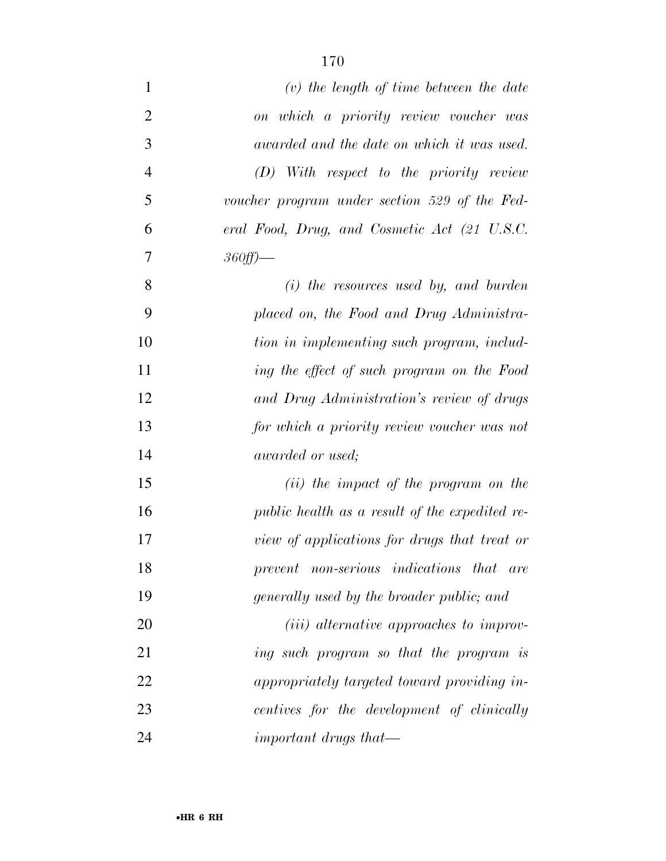| $\mathbf{1}$   | $(v)$ the length of time between the date        |
|----------------|--------------------------------------------------|
| $\overline{2}$ | on which a priority review voucher was           |
| 3              | awarded and the date on which it was used.       |
| $\overline{4}$ | $(D)$ With respect to the priority review        |
| 5              | voucher program under section 529 of the Fed-    |
| 6              | eral Food, Drug, and Cosmetic Act (21 U.S.C.     |
| 7              | $360ff$ )—                                       |
| 8              | $(i)$ the resources used by, and burden          |
| 9              | placed on, the Food and Drug Administra-         |
| 10             | tion in implementing such program, includ-       |
| 11             | ing the effect of such program on the Food       |
| 12             | and Drug Administration's review of drugs        |
| 13             | for which a priority review voucher was not      |
| 14             | <i>awarded or used</i> ;                         |
| 15             | ( <i>ii</i> ) the impact of the program on the   |
| 16             | public health as a result of the expedited re-   |
| 17             | view of applications for drugs that treat or     |
| 18             | prevent non-serious indications that are         |
| 19             | generally used by the broader public; and        |
| 20             | ( <i>iii</i> ) alternative approaches to improv- |
| 21             | ing such program so that the program is          |
| 22             | appropriately targeted toward providing in-      |
| 23             | centives for the development of clinically       |
| 24             | important drugs that—                            |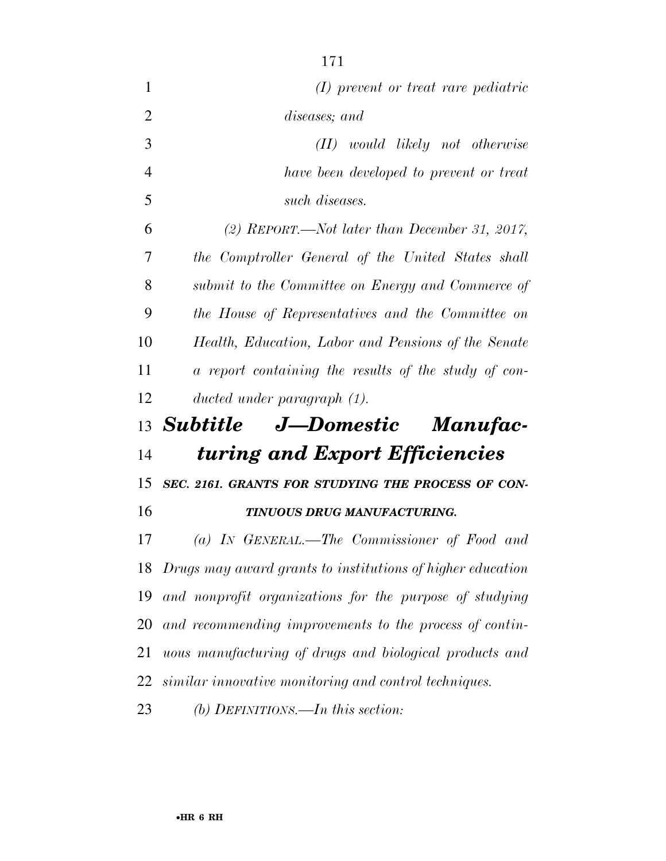| 1              | (I) prevent or treat rare pediatric                        |
|----------------|------------------------------------------------------------|
| $\overline{2}$ | diseases; and                                              |
| 3              | $(II)$ would likely not otherwise                          |
| $\overline{4}$ | have been developed to prevent or treat                    |
| 5              | such diseases.                                             |
| 6              | (2) REPORT.—Not later than December 31, 2017,              |
| 7              | the Comptroller General of the United States shall         |
| 8              | submit to the Committee on Energy and Commerce of          |
| 9              | the House of Representatives and the Committee on          |
| 10             | Health, Education, Labor and Pensions of the Senate        |
| 11             | a report containing the results of the study of con-       |
| 12             | ducted under paragraph $(1)$ .                             |
|                |                                                            |
|                | 13 Subtitle J—Domestic Manufac-                            |
| 14             | turing and Export Efficiencies                             |
| 15             | SEC. 2161. GRANTS FOR STUDYING THE PROCESS OF CON-         |
| 16             | TINUOUS DRUG MANUFACTURING.                                |
| 17             | (a) IN GENERAL.—The Commissioner of Food and               |
| 18             | Drugs may award grants to institutions of higher education |
| 19             | and nonprofit organizations for the purpose of studying    |
| 20             | and recommending improvements to the process of contin-    |
| 21             | uous manufacturing of drugs and biological products and    |
| 22             | similar innovative monitoring and control techniques.      |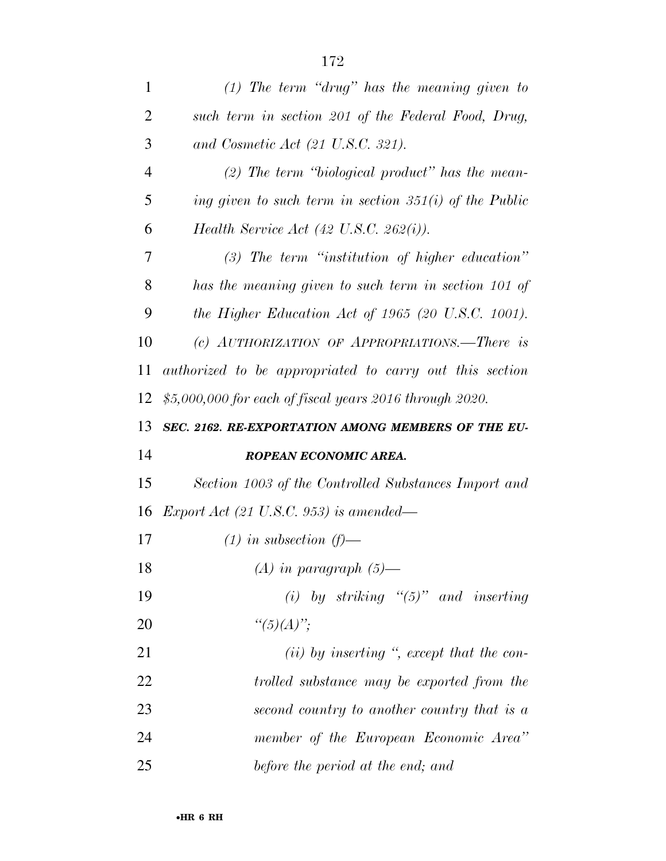| $\mathbf{1}$   | $(1)$ The term "drug" has the meaning given to           |
|----------------|----------------------------------------------------------|
| $\overline{2}$ | such term in section 201 of the Federal Food, Drug,      |
| 3              | and Cosmetic Act (21 U.S.C. 321).                        |
| $\overline{4}$ | $(2)$ The term "biological product" has the mean-        |
| 5              | ing given to such term in section $351(i)$ of the Public |
| 6              | Health Service Act $(42 \text{ U.S.C. } 262(i))$ .       |
| 7              | $(3)$ The term "institution of higher education"         |
| 8              | has the meaning given to such term in section 101 of     |
| 9              | the Higher Education Act of 1965 (20 U.S.C. 1001).       |
| 10             | (c) AUTHORIZATION OF APPROPRIATIONS.—There is            |
| 11             | authorized to be appropriated to carry out this section  |
| 12             | $$5,000,000$ for each of fiscal years 2016 through 2020. |
| 13             | SEC. 2162. RE-EXPORTATION AMONG MEMBERS OF THE EU-       |
|                |                                                          |
| 14             | ROPEAN ECONOMIC AREA.                                    |
| 15             | Section 1003 of the Controlled Substances Import and     |
| 16             | <i>Export Act (21 U.S.C. 953) is amended—</i>            |
| 17             | $(1)$ in subsection $(f)$ —                              |
| 18             | $(A)$ in paragraph $(5)$ —                               |
| 19             | (i) by striking " $(5)$ " and inserting                  |
| 20             | " $(5)(A)$ ";                                            |
| 21             | $(ii)$ by inserting ", except that the con-              |
| 22             | trolled substance may be exported from the               |
| 23             | second country to another country that is a              |
| 24             | member of the European Economic Area"                    |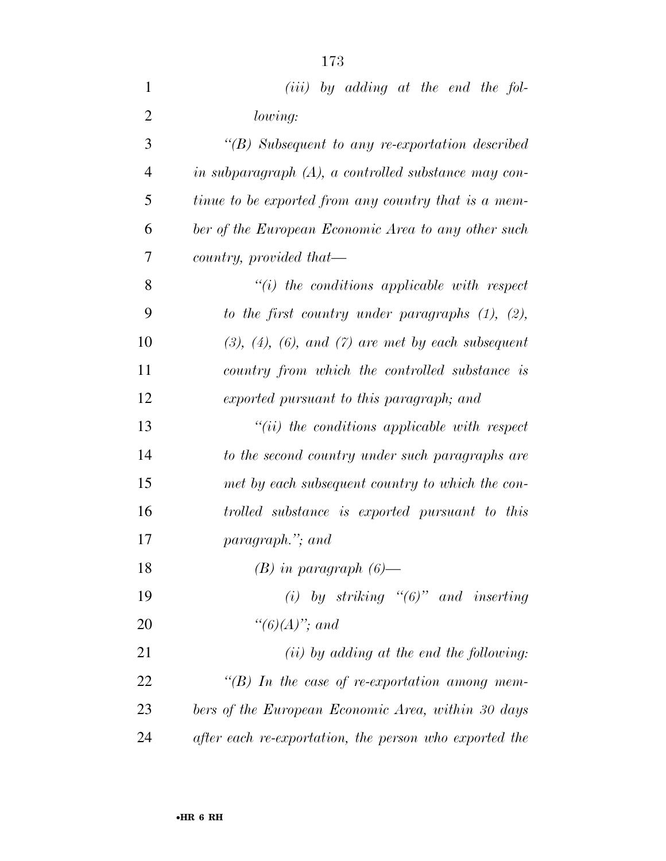| $\mathbf{1}$   | $(iii)$ by adding at the end the fol-                   |
|----------------|---------------------------------------------------------|
| $\overline{2}$ | lowing:                                                 |
| 3              | $\lq (B)$ Subsequent to any re-exportation described    |
| $\overline{4}$ | in subparagraph $(A)$ , a controlled substance may con- |
| 5              | tinue to be exported from any country that is a mem-    |
| 6              | ber of the European Economic Area to any other such     |
| $\overline{7}$ | country, provided that—                                 |
| 8              | $``(i)$ the conditions applicable with respect          |
| 9              | to the first country under paragraphs $(1)$ , $(2)$ ,   |
| 10             | $(3), (4), (6), and (7)$ are met by each subsequent     |
| 11             | country from which the controlled substance is          |
| 12             | exported pursuant to this paragraph; and                |
| 13             | $``(ii)$ the conditions applicable with respect         |
| 14             | to the second country under such paragraphs are         |
| 15             | met by each subsequent country to which the con-        |
| 16             | trolled substance is exported pursuant to this          |
| 17             | paragraph."; and                                        |
| 18             | $(B)$ in paragraph $(6)$ —                              |
| 19             | (i) by striking " $(6)$ " and inserting                 |
| 20             | " $(6)(A)$ "; and                                       |
| 21             | $(ii)$ by adding at the end the following:              |
| 22             | "(B) In the case of re-exportation among mem-           |
| 23             | bers of the European Economic Area, within 30 days      |
| 24             | after each re-exportation, the person who exported the  |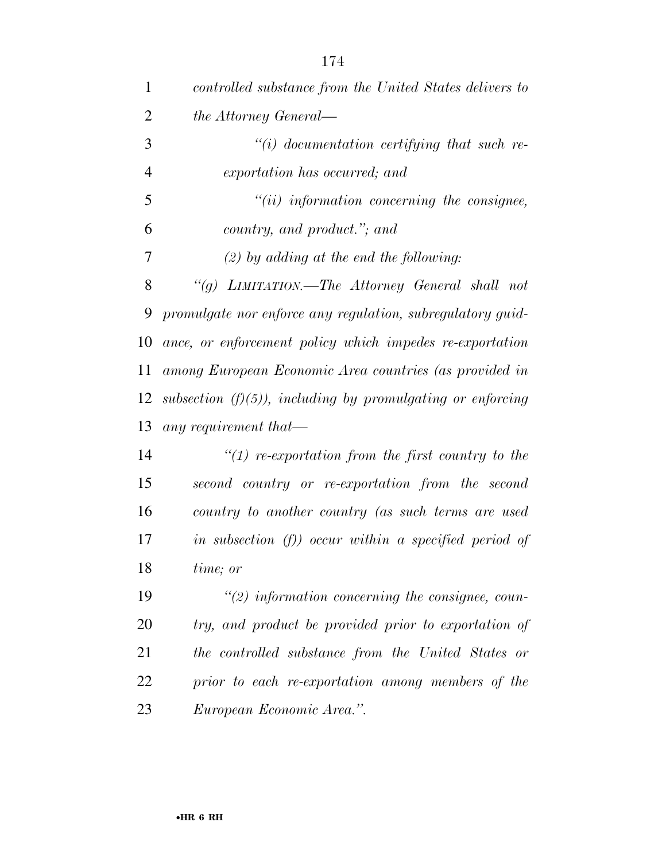| 1              | controlled substance from the United States delivers to      |
|----------------|--------------------------------------------------------------|
| $\overline{2}$ | the Attorney General—                                        |
| 3              | $``(i)$ documentation certifying that such re-               |
| $\overline{4}$ | exportation has occurred; and                                |
| 5              | $``(ii)$ information concerning the consignee,               |
| 6              | country, and product."; and                                  |
| 7              | $(2)$ by adding at the end the following:                    |
| 8              | "(g) LIMITATION.—The Attorney General shall not              |
| 9              | promulgate nor enforce any regulation, subregulatory guid-   |
| 10             | ance, or enforcement policy which impedes re-exportation     |
| 11             | among European Economic Area countries (as provided in       |
| 12             | subsection $(f)(5)$ , including by promulgating or enforcing |
| 13             | any requirement that—                                        |
| 14             | $\lq(1)$ re-exportation from the first country to the        |
| 15             | second country or re-exportation from the second             |
| 16             | country to another country (as such terms are used           |
| 17             | in subsection $(f)$ ) occur within a specified period of     |
| 18             | time; or                                                     |
| 19             | $\lq(2)$ information concerning the consignee, coun-         |
| 20             | try, and product be provided prior to exportation of         |
| 21             | the controlled substance from the United States or           |
| 22             | prior to each re-exportation among members of the            |
| 23             | European Economic Area.".                                    |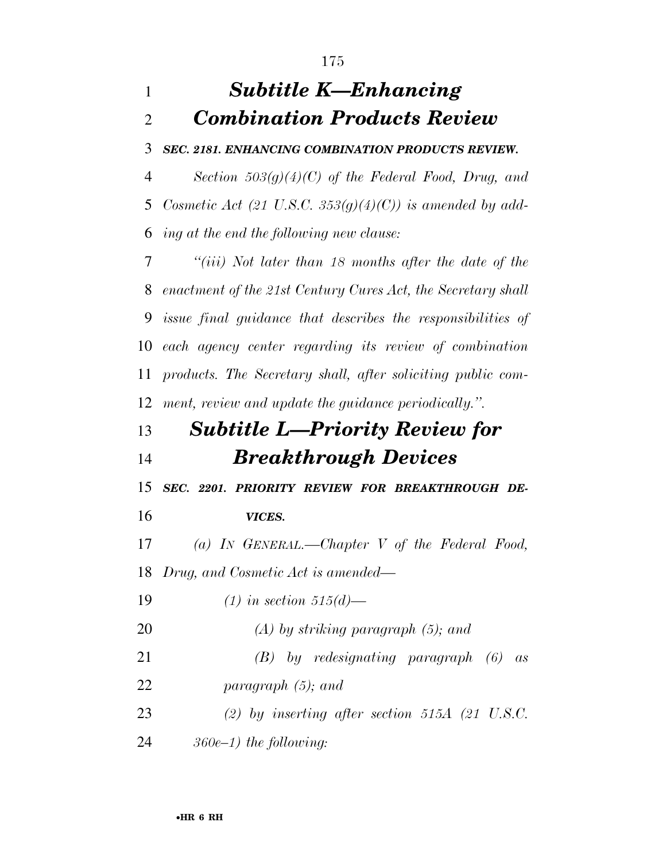## *Subtitle K—Enhancing Combination Products Review*

*SEC. 2181. ENHANCING COMBINATION PRODUCTS REVIEW.* 

 *Section 503(g)(4)(C) of the Federal Food, Drug, and Cosmetic Act (21 U.S.C. 353(g)(4)(C)) is amended by add-ing at the end the following new clause:* 

 *''(iii) Not later than 18 months after the date of the enactment of the 21st Century Cures Act, the Secretary shall issue final guidance that describes the responsibilities of each agency center regarding its review of combination products. The Secretary shall, after soliciting public com-ment, review and update the guidance periodically.''.* 

## *Subtitle L—Priority Review for Breakthrough Devices*

*SEC. 2201. PRIORITY REVIEW FOR BREAKTHROUGH DE-*

*VICES.* 

*(a) IN GENERAL.—Chapter V of the Federal Food,* 

*Drug, and Cosmetic Act is amended—* 

*(1) in section 515(d)—* 

- *(A) by striking paragraph (5); and*
- *(B) by redesignating paragraph (6) as*
- *paragraph (5); and*
- *(2) by inserting after section 515A (21 U.S.C.*
- *360e–1) the following:*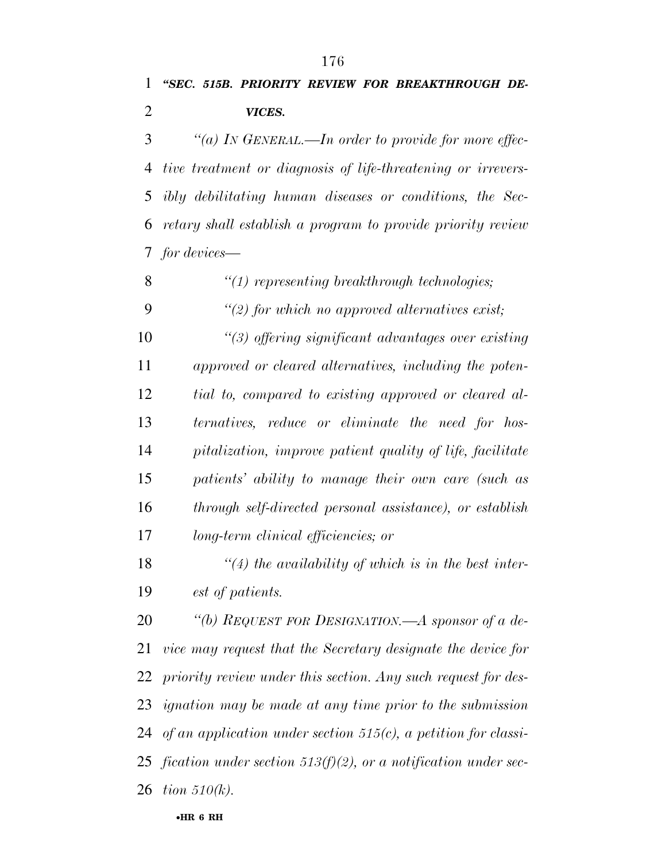## *''SEC. 515B. PRIORITY REVIEW FOR BREAKTHROUGH DE-VICES.*

 *''(a) IN GENERAL.—In order to provide for more effec- tive treatment or diagnosis of life-threatening or irrevers- ibly debilitating human diseases or conditions, the Sec- retary shall establish a program to provide priority review for devices—* 

*''(1) representing breakthrough technologies;* 

*''(2) for which no approved alternatives exist;* 

 *''(3) offering significant advantages over existing approved or cleared alternatives, including the poten- tial to, compared to existing approved or cleared al- ternatives, reduce or eliminate the need for hos- pitalization, improve patient quality of life, facilitate patients' ability to manage their own care (such as through self-directed personal assistance), or establish long-term clinical efficiencies; or* 

 *''(4) the availability of which is in the best inter-est of patients.* 

 *''(b) REQUEST FOR DESIGNATION.—A sponsor of a de- vice may request that the Secretary designate the device for priority review under this section. Any such request for des- ignation may be made at any time prior to the submission of an application under section 515(c), a petition for classi- fication under section 513(f)(2), or a notification under sec-tion 510(k).*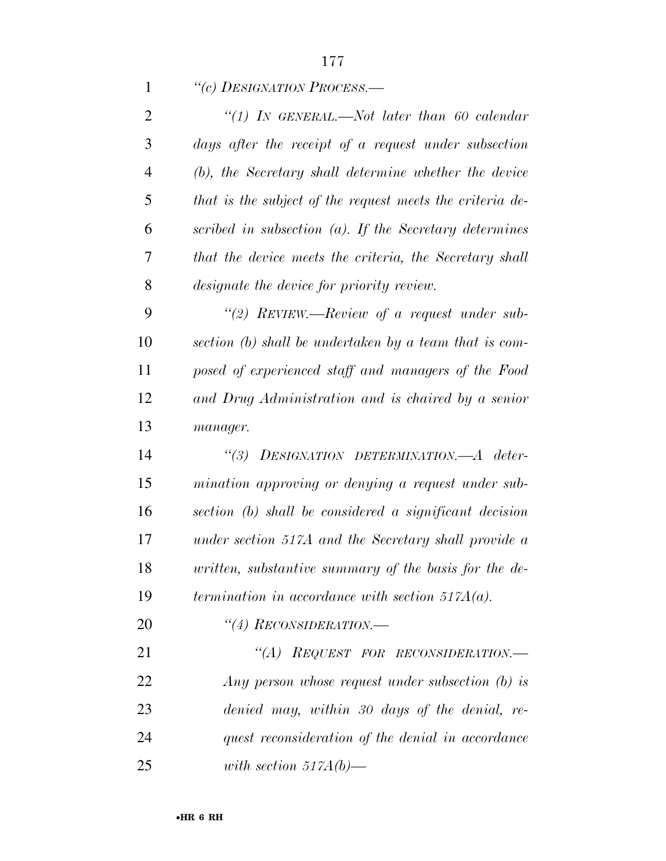|                | 177                                                       |
|----------------|-----------------------------------------------------------|
| $\mathbf{1}$   | "(c) DESIGNATION PROCESS.—                                |
| $\overline{2}$ | "(1) IN GENERAL.—Not later than 60 calendar               |
| 3              | days after the receipt of a request under subsection      |
| $\overline{4}$ | (b), the Secretary shall determine whether the device     |
| 5              | that is the subject of the request meets the criteria de- |
| 6              | scribed in subsection $(a)$ . If the Secretary determines |
| 7              | that the device meets the criteria, the Secretary shall   |
| 8              | designate the device for priority review.                 |
| 9              | "(2) REVIEW.—Review of a request under sub-               |
| 10             | section (b) shall be undertaken by a team that is com-    |
| 11             | posed of experienced staff and managers of the Food       |
| 12             | and Drug Administration and is chaired by a senior        |
| 13             | manager.                                                  |
| 14             | DESIGNATION DETERMINATION.—A deter-<br>$\frac{1}{3}$      |

10<sub>N</sub> aleter- *mination approving or denying a request under sub- section (b) shall be considered a significant decision under section 517A and the Secretary shall provide a written, substantive summary of the basis for the de-termination in accordance with section 517A(a).* 

*''(4) RECONSIDERATION.—* 

 *''(A) REQUEST FOR RECONSIDERATION.— Any person whose request under subsection (b) is denied may, within 30 days of the denial, re- quest reconsideration of the denial in accordance with section 517A(b)—*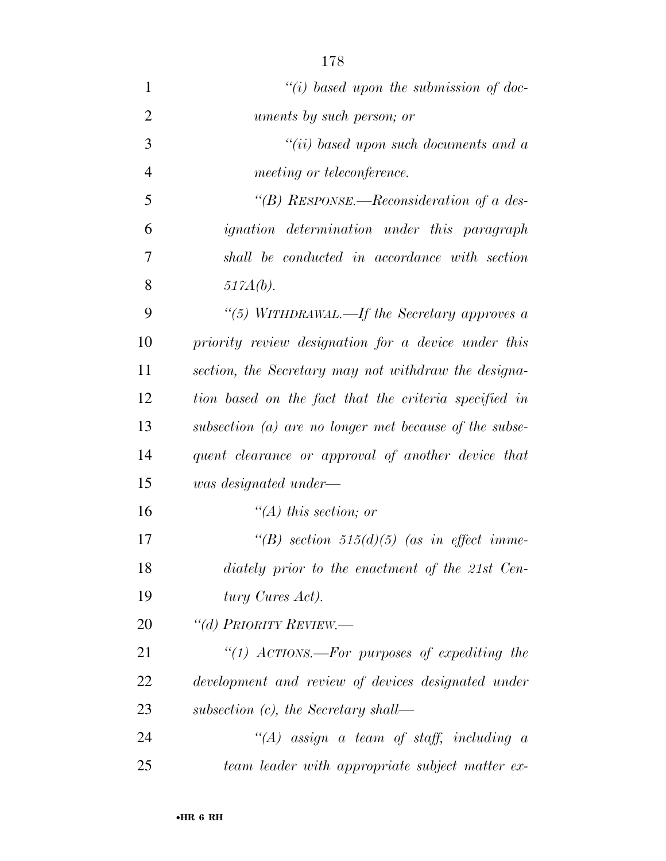| $\mathbf{1}$   | "(i) based upon the submission of doc-                 |
|----------------|--------------------------------------------------------|
| $\overline{2}$ | uments by such person; or                              |
| 3              | $``(ii)$ based upon such documents and a               |
| $\overline{4}$ | meeting or teleconference.                             |
| 5              | "(B) RESPONSE.—Reconsideration of a des-               |
| 6              | <i>ignation</i> determination under this paragraph     |
| 7              | shall be conducted in accordance with section          |
| 8              | $517A(b)$ .                                            |
| 9              | "(5) WITHDRAWAL.—If the Secretary approves a           |
| 10             | priority review designation for a device under this    |
| 11             | section, the Secretary may not withdraw the designa-   |
| 12             | tion based on the fact that the criteria specified in  |
| 13             | subsection (a) are no longer met because of the subse- |
| 14             | quent clearance or approval of another device that     |
| 15             | was designated under—                                  |
| 16             | "(A) this section; or                                  |
| 17             | "(B) section 515(d)(5) (as in effect imme-             |
| 18             | diately prior to the enactment of the 21st Cen-        |
| 19             | tury Cures Act).                                       |
| 20             | "(d) PRIORITY REVIEW.—                                 |
| 21             | "(1) ACTIONS.—For purposes of expediting the           |
| 22             | development and review of devices designated under     |
| 23             | subsection $(c)$ , the Secretary shall—                |
| 24             | $\lq (A)$ assign a team of staff, including a          |
| 25             | team leader with appropriate subject matter ex-        |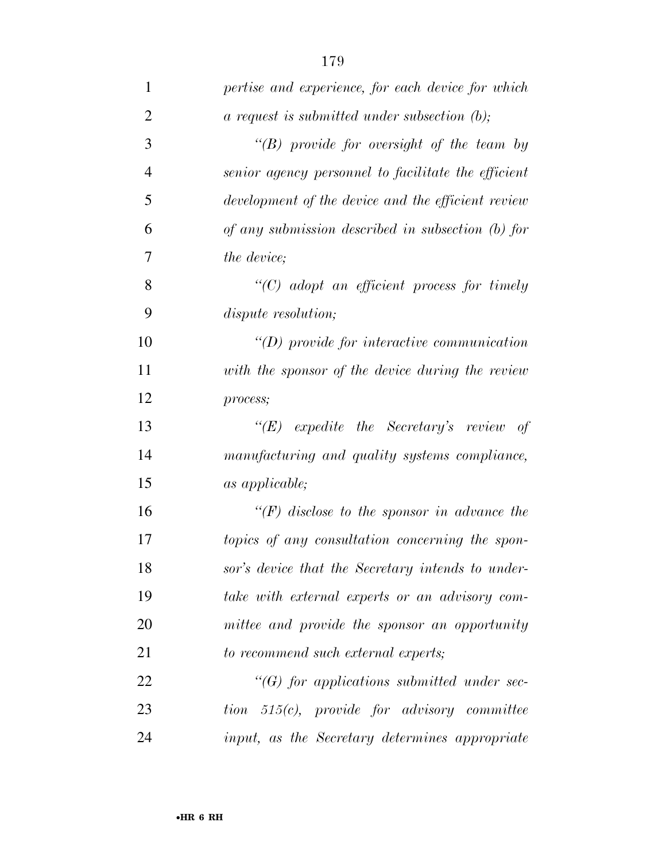| 1              | pertise and experience, for each device for which                             |
|----------------|-------------------------------------------------------------------------------|
| $\overline{2}$ | $a$ request is submitted under subsection $(b)$ ;                             |
| 3              | $\lq\lq(B)$ provide for oversight of the team by                              |
| $\overline{4}$ | senior agency personnel to facilitate the efficient                           |
| 5              | development of the device and the efficient review                            |
| 6              | of any submission described in subsection $(b)$ for                           |
| 7              | the device;                                                                   |
| 8              | $\lq\lq C$ adopt an efficient process for timely                              |
| 9              | <i>dispute resolution;</i>                                                    |
| 10             | $\lq (D)$ provide for interactive communication                               |
| 11             | with the sponsor of the device during the review                              |
| 12             | process;                                                                      |
| 13             | " $(E)$ expedite the Secretary's review of                                    |
| 14             | manufacturing and quality systems compliance,                                 |
| 15             | as applicable;                                                                |
| 16             | $\lq (F)$ disclose to the sponsor in advance the                              |
| 17             | topics of any consultation concerning the spon-                               |
| 18             | sor's device that the Secretary intends to under-                             |
| 19             | take with external experts or an advisory com-                                |
| 20             | mittee and provide the sponsor an opportunity                                 |
| 21             | to recommend such external experts;                                           |
| 22             | $\lq\lq(G)$ for applications submitted under sec-                             |
| 23             | $tion \quad 515(c), \quad provide \quad for \quad a divisory \quad committee$ |
| 24             | input, as the Secretary determines appropriate                                |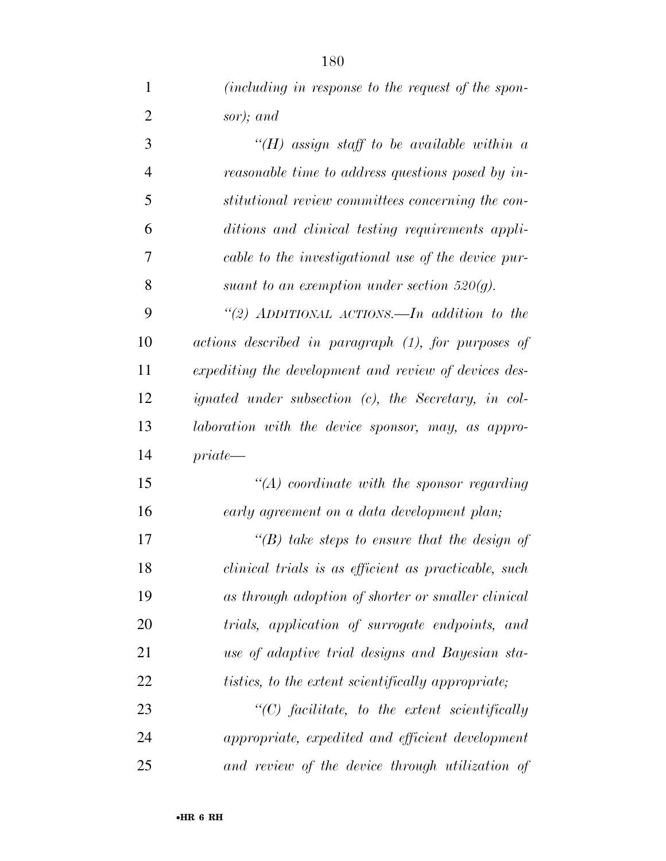| $\mathbf{1}$   | <i>(including in response to the request of the spon-</i>   |
|----------------|-------------------------------------------------------------|
| $\overline{2}$ | sor); and                                                   |
| 3              | $H(H)$ assign staff to be available within a                |
| 4              | reasonable time to address questions posed by in-           |
| 5              | stitutional review committees concerning the con-           |
| 6              | ditions and clinical testing requirements appli-            |
| 7              | cable to the investigational use of the device pur-         |
| 8              | suant to an exemption under section $520(q)$ .              |
| 9              | "(2) ADDITIONAL ACTIONS.—In addition to the                 |
| 10             | actions described in paragraph (1), for purposes of         |
| 11             | expediting the development and review of devices des-       |
| 12             | <i>ignated under subsection (c), the Secretary, in col-</i> |
| 13             | laboration with the device sponsor, may, as appro-          |
| 14             | $private-$                                                  |
| 15             | $\lq (A)$ coordinate with the sponsor regarding             |
| 16             | early agreement on a data development plan;                 |
| 17             | "(B) take steps to ensure that the design of                |
| 18             | clinical trials is as efficient as practicable, such        |
| 19             | as through adoption of shorter or smaller clinical          |
| 20             | trials, application of surrogate endpoints, and             |
| 21             | use of adaptive trial designs and Bayesian sta-             |
| 22             | <i>tistics, to the extent scientifically appropriate;</i>   |
| 23             | $\lq\lq C$ facilitate, to the extent scientifically         |
| 24             | appropriate, expedited and efficient development            |

*and review of the device through utilization of*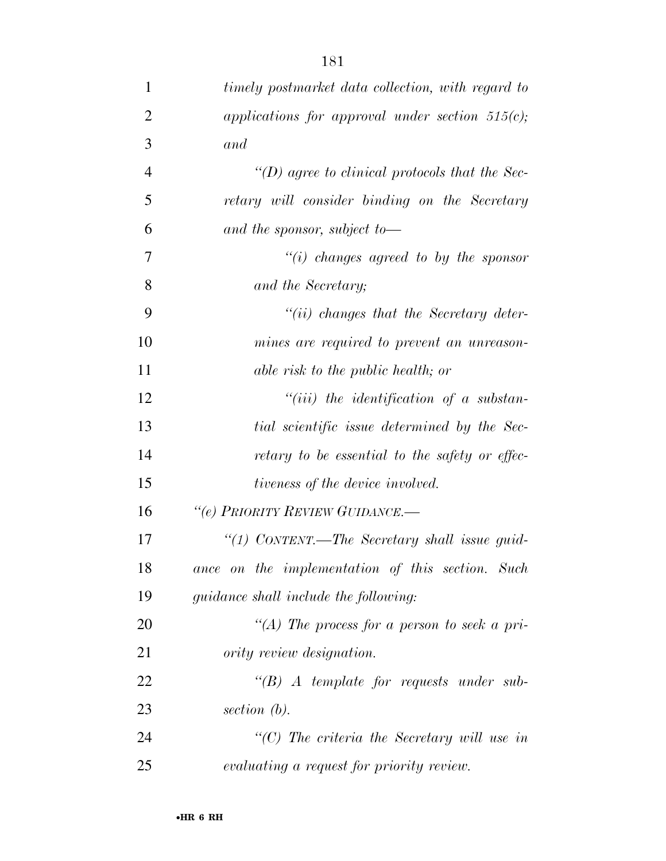| $\mathbf{1}$   | timely postmarket data collection, with regard to   |
|----------------|-----------------------------------------------------|
| $\overline{2}$ | applications for approval under section $515(c)$ ;  |
| 3              | and                                                 |
| $\overline{4}$ | "(D) agree to clinical protocols that the Sec-      |
| 5              | retary will consider binding on the Secretary       |
| 6              | and the sponsor, subject to $-$                     |
| 7              | $\lq\lq(i)$ changes agreed to by the sponsor        |
| 8              | and the Secretary;                                  |
| 9              | $``(ii)$ changes that the Secretary deter-          |
| 10             | mines are required to prevent an unreason-          |
| 11             | able risk to the public health; or                  |
| 12             | $``(iii)$ the identification of a substan-          |
| 13             | tial scientific issue determined by the Sec-        |
| 14             | retary to be essential to the safety or effec-      |
| 15             | tiveness of the device involved.                    |
| 16             | "(e) PRIORITY REVIEW GUIDANCE.-                     |
| 17             | "(1) CONTENT.—The Secretary shall issue guid-       |
| 18             | ance on the implementation of this section. Such    |
| 19             | <i>guidance shall include the following:</i>        |
| 20             | "(A) The process for a person to seek a pri-        |
| 21             | <i>ority review designation.</i>                    |
| 22             | $\lq\lq B$ A template for requests under sub-       |
| 23             | section $(b)$ .                                     |
| 24             | $\lq\lq C$ ) The criteria the Secretary will use in |
| 25             | evaluating a request for priority review.           |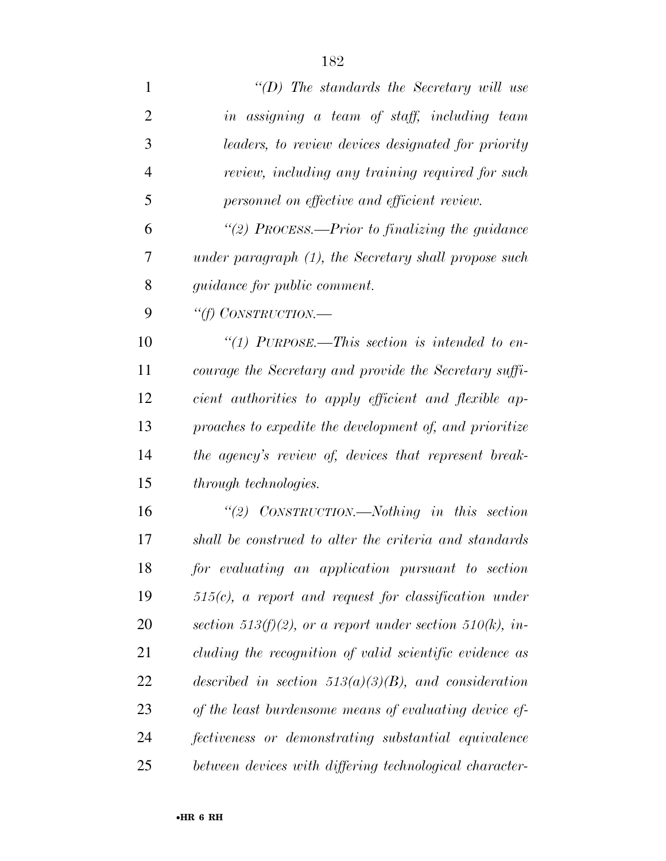*''(D) The standards the Secretary will use in assigning a team of staff, including team leaders, to review devices designated for priority review, including any training required for such personnel on effective and efficient review. ''(2) PROCESS.—Prior to finalizing the guidance under paragraph (1), the Secretary shall propose such guidance for public comment. ''(f) CONSTRUCTION.— ''(1) PURPOSE.—This section is intended to en- courage the Secretary and provide the Secretary suffi- cient authorities to apply efficient and flexible ap- proaches to expedite the development of, and prioritize the agency's review of, devices that represent break- through technologies. ''(2) CONSTRUCTION.—Nothing in this section shall be construed to alter the criteria and standards for evaluating an application pursuant to section 515(c), a report and request for classification under section 513(f)(2), or a report under section 510(k), in-*

*cluding the recognition of valid scientific evidence as* 

*described in section 513(a)(3)(B), and consideration* 

*of the least burdensome means of evaluating device ef-*

*fectiveness or demonstrating substantial equivalence* 

*between devices with differing technological character-*

•**HR 6 RH**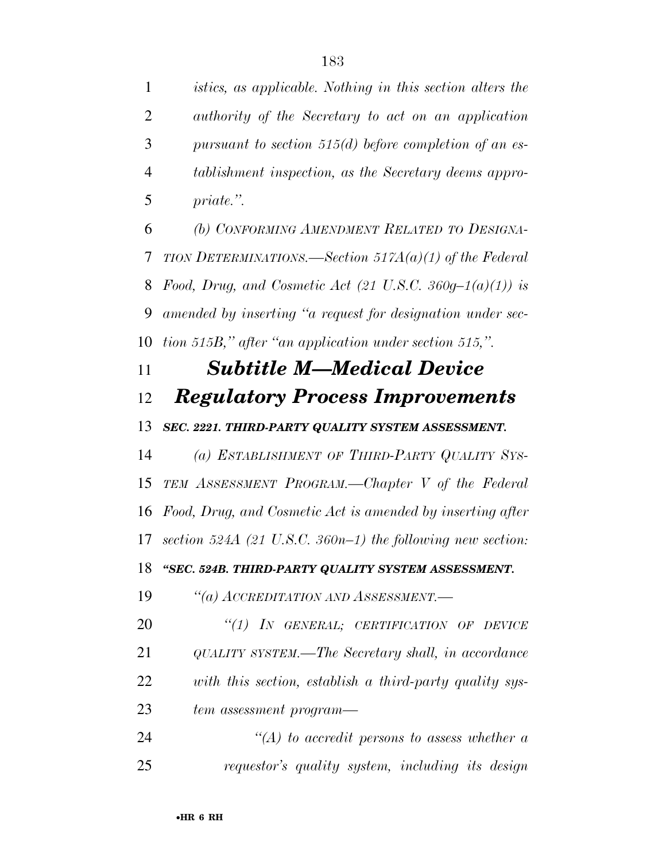*istics, as applicable. Nothing in this section alters the authority of the Secretary to act on an application pursuant to section 515(d) before completion of an es- tablishment inspection, as the Secretary deems appro-priate.''.* 

 *(b) CONFORMING AMENDMENT RELATED TO DESIGNA- TION DETERMINATIONS.—Section 517A(a)(1) of the Federal Food, Drug, and Cosmetic Act (21 U.S.C. 360g–1(a)(1)) is amended by inserting ''a request for designation under sec-tion 515B,'' after ''an application under section 515,''.* 

# *Subtitle M—Medical Device Regulatory Process Improvements*

### *SEC. 2221. THIRD-PARTY QUALITY SYSTEM ASSESSMENT.*

 *(a) ESTABLISHMENT OF THIRD-PARTY QUALITY SYS- TEM ASSESSMENT PROGRAM.—Chapter V of the Federal Food, Drug, and Cosmetic Act is amended by inserting after section 524A (21 U.S.C. 360n–1) the following new section: ''SEC. 524B. THIRD-PARTY QUALITY SYSTEM ASSESSMENT.* 

*''(a) ACCREDITATION AND ASSESSMENT.—* 

 *''(1) IN GENERAL; CERTIFICATION OF DEVICE QUALITY SYSTEM.—The Secretary shall, in accordance with this section, establish a third-party quality sys-tem assessment program—* 

 *''(A) to accredit persons to assess whether a requestor's quality system, including its design*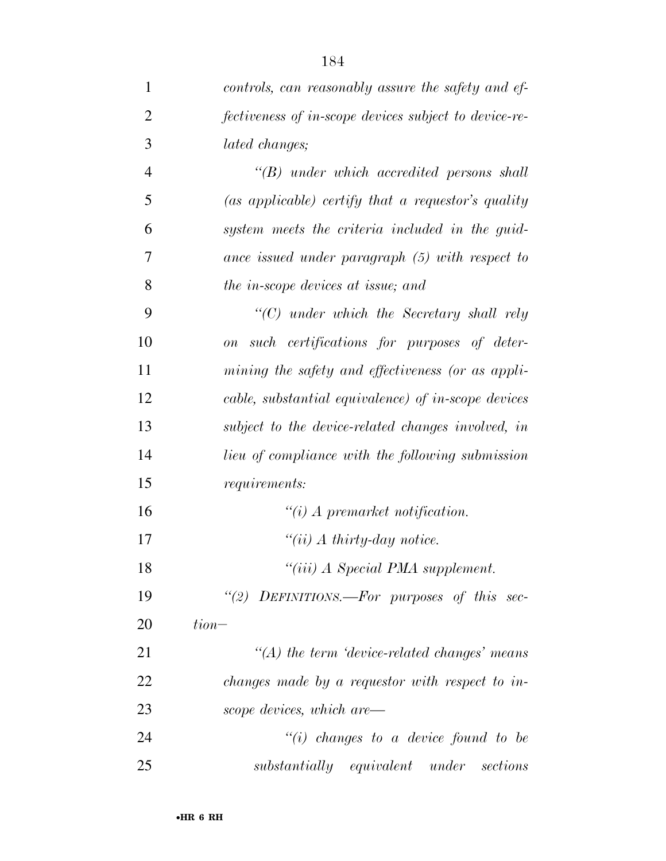| $\mathbf{1}$   | controls, can reasonably assure the safety and ef-            |
|----------------|---------------------------------------------------------------|
| $\overline{2}$ | fectiveness of in-scope devices subject to device-re-         |
| 3              | lated changes;                                                |
| $\overline{4}$ | $\lq\lq B$ under which accredited persons shall               |
| 5              | $(as\ applicable)$ certify that a requestor's quality         |
| 6              | system meets the criteria included in the guid-               |
| 7              | ance issued under paragraph (5) with respect to               |
| 8              | the in-scope devices at issue; and                            |
| 9              | $"$ (C) under which the Secretary shall rely                  |
| 10             | such certifications for purposes of deter-<br>$\overline{on}$ |
| 11             | mining the safety and effectiveness (or as appli-             |
| 12             | cable, substantial equivalence) of in-scope devices           |
| 13             | subject to the device-related changes involved, in            |
| 14             | <i>lieu of compliance with the following submission</i>       |
| 15             | <i>requirements:</i>                                          |
| 16             | $\lq\lq(i)$ A premarket notification.                         |
| 17             | " $(ii)$ A thirty-day notice.                                 |
| 18             | "(iii) A Special PMA supplement.                              |
| 19             | "(2) DEFINITIONS.—For purposes of this sec-                   |
| 20             | $tion-$                                                       |
| 21             | $\lq (A)$ the term 'device-related changes' means             |
| 22             | changes made by a requestor with respect to in-               |
| 23             | scope devices, which are—                                     |
| 24             | $"(i)$ changes to a device found to be                        |
| 25             | substantially equivalent under sections                       |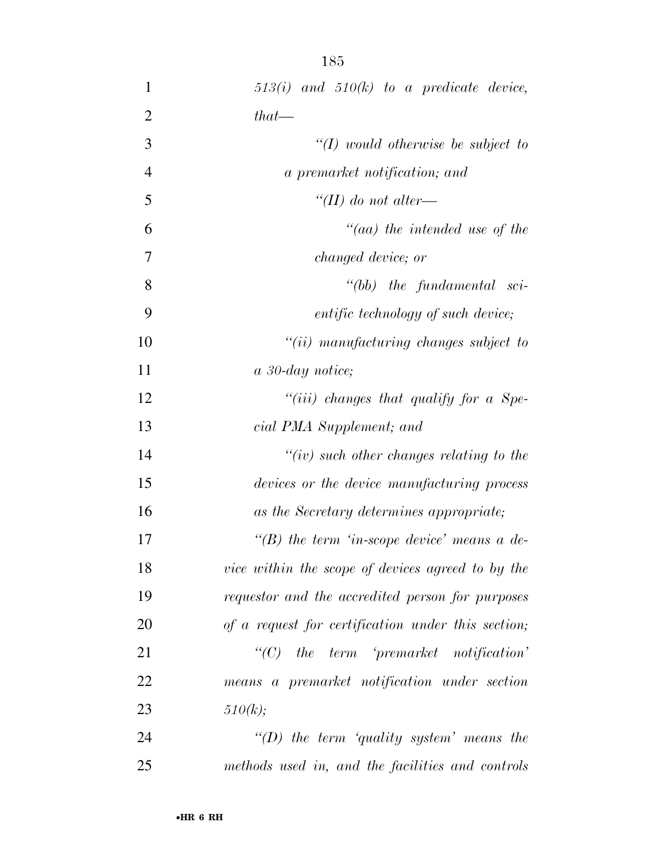| $\mathbf 1$    | $513(i)$ and $510(k)$ to a predicate device,       |
|----------------|----------------------------------------------------|
| $\overline{2}$ | $that$ —                                           |
| 3              | $\lq (I)$ would otherwise be subject to            |
| $\overline{4}$ | a premarket notification; and                      |
| 5              | "(II) do not alter—                                |
| 6              | $\mathcal{C}(aa)$ the intended use of the          |
| 7              | <i>changed device; or</i>                          |
| 8              | $``(bb)$ the fundamental sci-                      |
| 9              | entific technology of such device;                 |
| 10             | $``(ii)$ manufacturing changes subject to          |
| 11             | a 30-day notice;                                   |
| 12             | "(iii) changes that qualify for a Spe-             |
| 13             | cial PMA Supplement; and                           |
| 14             | $``(iv)$ such other changes relating to the        |
| 15             | devices or the device manufacturing process        |
| 16             | as the Secretary determines appropriate;           |
| 17             | "(B) the term 'in-scope device' means a de-        |
| 18             | vice within the scope of devices agreed to by the  |
| 19             | requestor and the accredited person for purposes   |
| 20             | of a request for certification under this section; |
| 21             | $``(C)$ the term 'premarket notification'          |
| 22             | means a premarket notification under section       |
| 23             | 510(k);                                            |
| 24             | "(D) the term 'quality system' means the           |
| 25             | methods used in, and the facilities and controls   |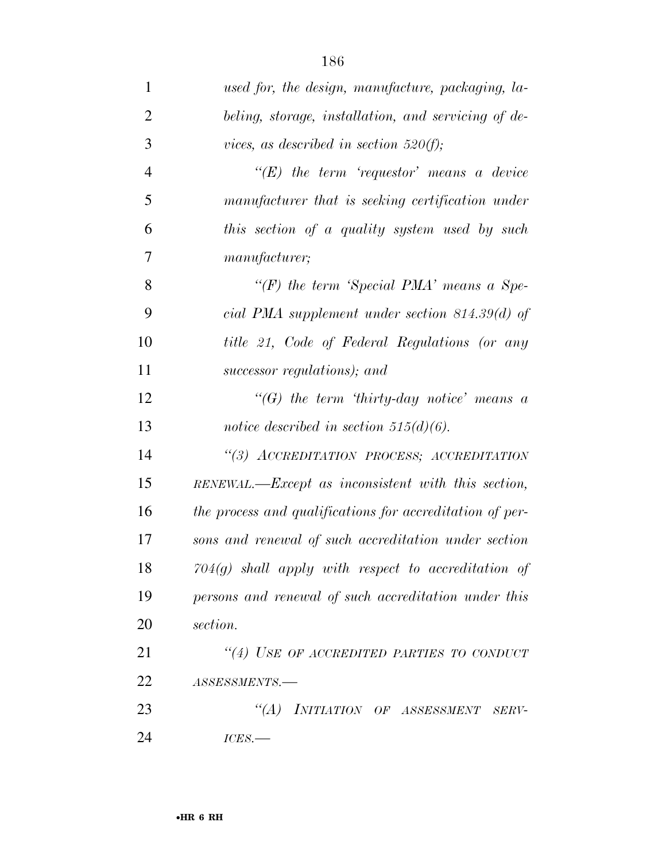| $\mathbf{1}$   | used for, the design, manufacture, packaging, la-        |
|----------------|----------------------------------------------------------|
| $\overline{2}$ | beling, storage, installation, and servicing of de-      |
| 3              | vices, as described in section 520(f);                   |
| $\overline{4}$ | $\lq\lq (E)$ the term 'requestor' means a device         |
| 5              | manufacturer that is seeking certification under         |
| 6              | this section of a quality system used by such            |
| 7              | manufacturer;                                            |
| 8              | "(F) the term 'Special PMA' means a Spe-                 |
| 9              | cial PMA supplement under section $814.39(d)$ of         |
| 10             | title 21, Code of Federal Regulations (or any            |
| 11             | successor regulations); and                              |
| 12             | "(G) the term 'thirty-day notice' means a                |
| 13             | notice described in section $515(d)(6)$ .                |
| 14             | "(3) ACCREDITATION PROCESS; ACCREDITATION                |
| 15             | RENEWAL.—Except as inconsistent with this section,       |
| 16             | the process and qualifications for accreditation of per- |
| 17             | sons and renewal of such accreditation under section     |
| 18             | $704(g)$ shall apply with respect to accreditation of    |
| 19             | persons and renewal of such accreditation under this     |
| 20             | section.                                                 |
| 21             | "(4) USE OF ACCREDITED PARTIES TO CONDUCT                |
| 22             | ASSESSMENTS.-                                            |
| 23             | "(A) INITIATION OF ASSESSMENT SERV-                      |
| 24             | $ICES$ .                                                 |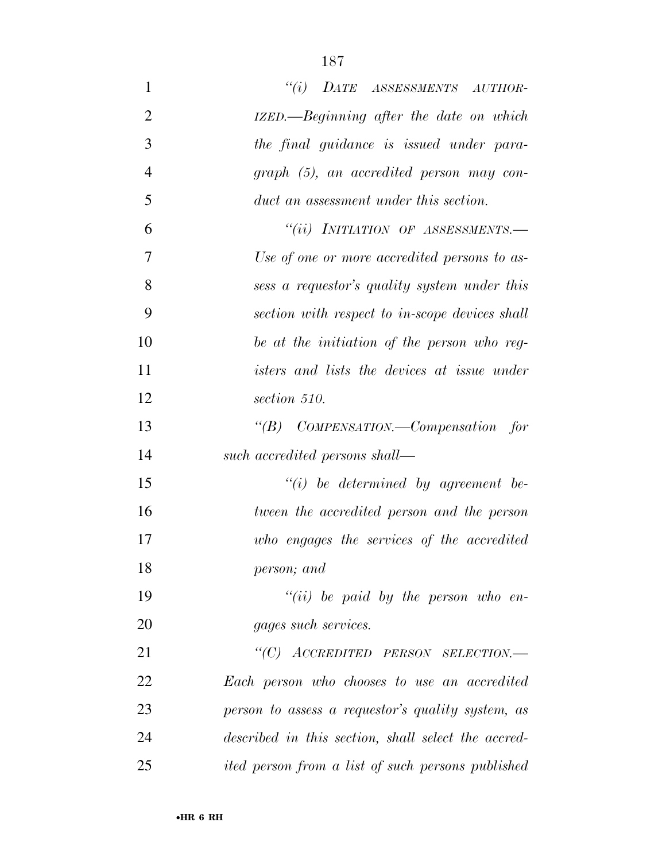| 1              | "(i) DATE ASSESSMENTS AUTHOR-                            |
|----------------|----------------------------------------------------------|
| $\overline{2}$ | IZED.—Beginning after the date on which                  |
| 3              | the final guidance is issued under para-                 |
| $\overline{4}$ | $graph$ $(5)$ , an accredited person may con-            |
| 5              | duct an assessment under this section.                   |
| 6              | "(ii) INITIATION OF ASSESSMENTS.-                        |
| 7              | Use of one or more accredited persons to as-             |
| 8              | sess a requestor's quality system under this             |
| 9              | section with respect to in-scope devices shall           |
| 10             | be at the initiation of the person who reg-              |
| 11             | isters and lists the devices at issue under              |
| 12             | section 510.                                             |
| 13             | "(B) COMPENSATION.—Compensation for                      |
| 14             | such accredited persons shall—                           |
| 15             | $``(i)$ be determined by agreement be-                   |
| 16             | tween the accredited person and the person               |
| 17             | who engages the services of the accredited               |
| 18             | person; and                                              |
| 19             | $``(ii)$ be paid by the person who en-                   |
| 20             | gages such services.                                     |
| 21             | "(C) ACCREDITED PERSON SELECTION.-                       |
| 22             | Each person who chooses to use an accredited             |
| 23             | person to assess a requestor's quality system, as        |
| 24             | described in this section, shall select the accred-      |
| 25             | <i>ited person from a list of such persons published</i> |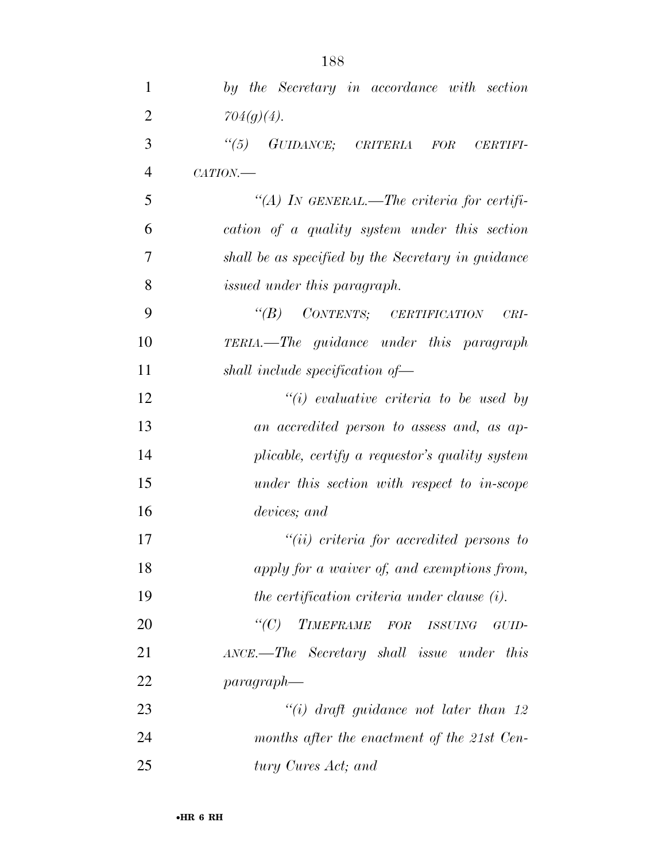| 1              | by the Secretary in accordance with section        |
|----------------|----------------------------------------------------|
| $\overline{2}$ | $704(g)(4)$ .                                      |
| 3              | "(5) GUIDANCE; CRITERIA FOR<br><b>CERTIFI-</b>     |
| $\overline{4}$ | CATION.                                            |
| 5              | "(A) IN GENERAL.—The criteria for certifi-         |
| 6              | cation of a quality system under this section      |
| 7              | shall be as specified by the Secretary in guidance |
| 8              | issued under this paragraph.                       |
| 9              | $\lq\lq(B)$ CONTENTS; CERTIFICATION<br>$CRI-$      |
| 10             | <b>TERIA.</b> —The guidance under this paragraph   |
| 11             | shall include specification of-                    |
| 12             | $"(i)$ evaluative criteria to be used by           |
| 13             | an accredited person to assess and, as ap-         |
| 14             | plicable, certify a requestor's quality system     |
| 15             | under this section with respect to in-scope        |
| 16             | devices; and                                       |
| 17             | $``(ii)$ criteria for accredited persons to        |
| 18             | apply for a waiver of, and exemptions from,        |
| 19             | the certification criteria under clause (i).       |
| 20             | $\lq C$ )<br>TIMEFRAME FOR ISSUING<br>GUID-        |
| 21             | ANCE.—The Secretary shall issue under this         |
| 22             | $paragnah$ —                                       |
| 23             | "(i) draft guidance not later than 12              |
| 24             | months after the enactment of the 21st Cen-        |
| 25             | tury Cures Act; and                                |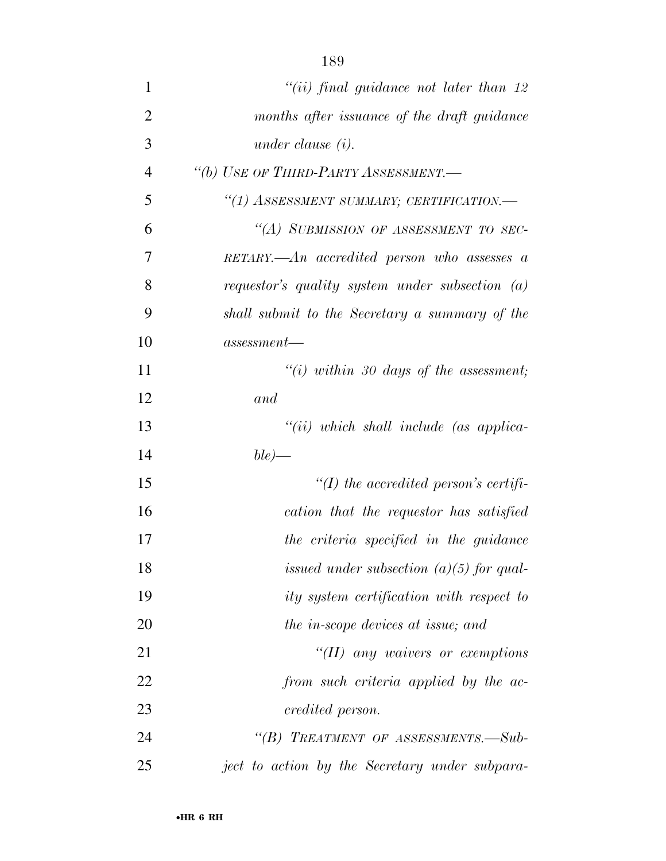| 1              | $``(ii)$ final quidance not later than 12            |
|----------------|------------------------------------------------------|
| $\overline{2}$ | months after issuance of the draft guidance          |
| 3              | under clause $(i)$ .                                 |
| 4              | "(b) USE OF THIRD-PARTY ASSESSMENT.-                 |
| 5              | "(1) ASSESSMENT SUMMARY; CERTIFICATION.-             |
| 6              | "(A) SUBMISSION OF ASSESSMENT TO SEC-                |
| 7              | $RETARY. - An\ accrelated\ person\ who\ assesses\ a$ |
| 8              | requestor's quality system under subsection $(a)$    |
| 9              | shall submit to the Secretary a summary of the       |
| 10             | assessment                                           |
| 11             | $``(i)$ within 30 days of the assessment;            |
| 12             | and                                                  |
| 13             | $``(ii)$ which shall include (as applica-            |
| 14             | $ble\rangle$ —                                       |
| 15             | $\lq (I)$ the accredited person's certifi-           |
| 16             | cation that the requestor has satisfied              |
| 17             | the criteria specified in the guidance               |
| 18             | issued under subsection $(a)(5)$ for qual-           |
| 19             | ity system certification with respect to             |
| 20             | the in-scope devices at issue; and                   |
| 21             | "(II) any waivers or exemptions                      |
| 22             | from such criteria applied by the ac-                |
| 23             | credited person.                                     |
| 24             | "(B) TREATMENT OF ASSESSMENTS.—Sub-                  |
| 25             | ject to action by the Secretary under subpara-       |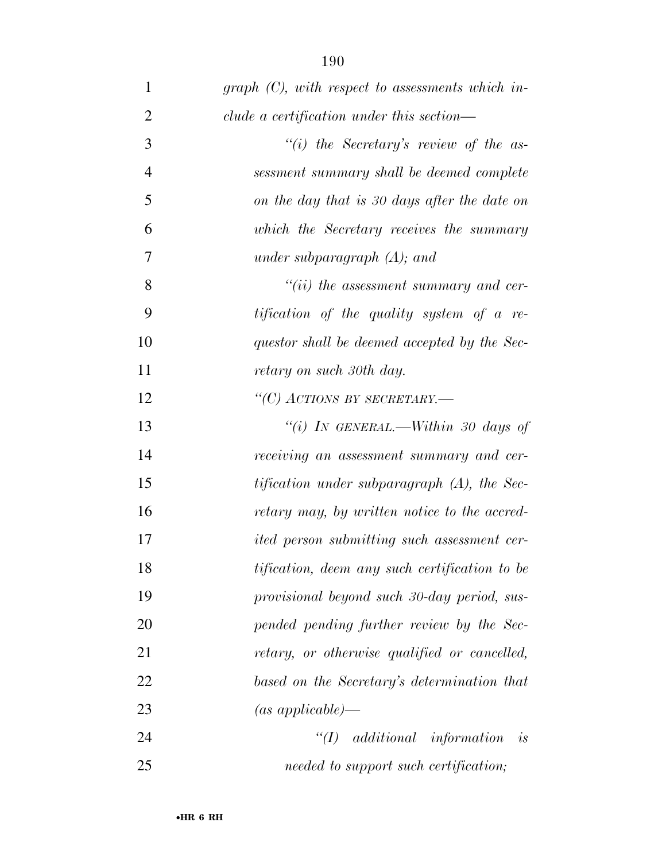| 1              | graph $(C)$ , with respect to assessments which in- |
|----------------|-----------------------------------------------------|
| $\overline{2}$ | clude a certification under this section—           |
| 3              | "(i) the Secretary's review of the as-              |
| $\overline{4}$ | sessment summary shall be deemed complete           |
| 5              | on the day that is 30 days after the date on        |
| 6              | which the Secretary receives the summary            |
| 7              | under subparagraph $(A)$ ; and                      |
| 8              | $``(ii)$ the assessment summary and cer-            |
| 9              | tification of the quality system of a re-           |
| 10             | questor shall be deemed accepted by the Sec-        |
| 11             | retary on such 30th day.                            |
| 12             | "(C) ACTIONS BY SECRETARY.—                         |
| 13             | "(i) IN GENERAL.—Within 30 days of                  |
| 14             | receiving an assessment summary and cer-            |
| 15             | tification under subparagraph (A), the Sec-         |
| 16             | retary may, by written notice to the accred-        |
| 17             | <i>ited person submitting such assessment cer-</i>  |
| 18             | tification, deem any such certification to be       |
| 19             | provisional beyond such 30-day period, sus-         |
| 20             | pended pending further review by the Sec-           |
| 21             | retary, or otherwise qualified or cancelled,        |
| 22             | based on the Secretary's determination that         |
| 23             | $(as\ applicable)$ —                                |
| 24             | <i>additional information</i><br>$\lq(T)$<br>is     |
| 25             | needed to support such certification;               |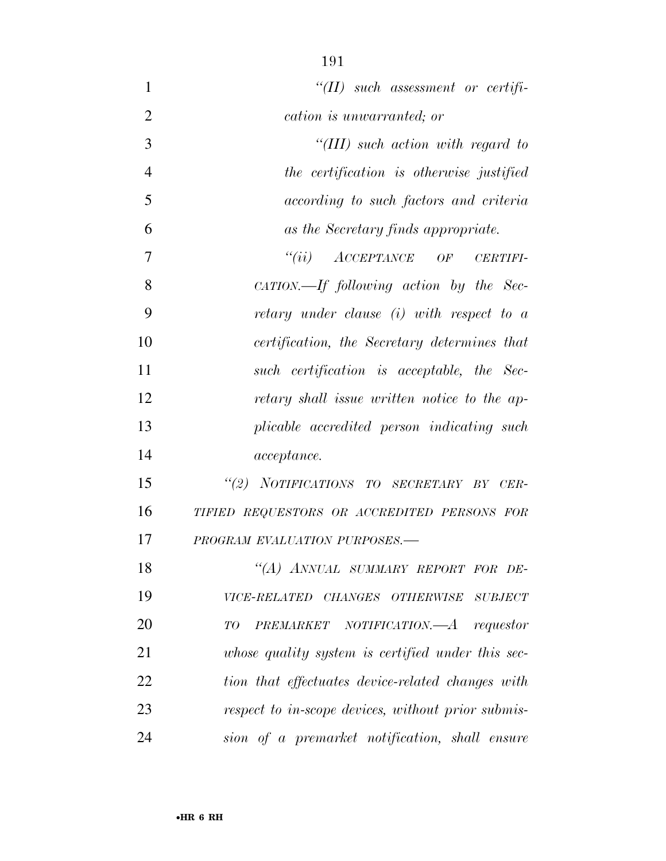| 1              | $``(II)$ such assessment or certifi-               |
|----------------|----------------------------------------------------|
| $\overline{2}$ | cation is unwarranted; or                          |
| 3              | $``(III)$ such action with regard to               |
| $\overline{4}$ | the certification is otherwise justified           |
| 5              | according to such factors and criteria             |
| 6              | as the Secretary finds appropriate.                |
| 7              | $``(ii)$ $ACCEPTANCE$ OF CERTIFI-                  |
| 8              | $CATION$ —If following action by the Sec-          |
| 9              | retary under clause (i) with respect to a          |
| 10             | certification, the Secretary determines that       |
| 11             | such certification is acceptable, the Sec-         |
| 12             | retary shall issue written notice to the ap-       |
| 13             | plicable accredited person indicating such         |
| 14             | <i>acceptance.</i>                                 |
| 15             | "(2) NOTIFICATIONS TO SECRETARY BY CER-            |
| 16             | TIFIED REQUESTORS OR ACCREDITED PERSONS FOR        |
| 17             | PROGRAM EVALUATION PURPOSES.-                      |
| 18             | "(A) ANNUAL SUMMARY REPORT FOR DE-                 |
| 19             | VICE-RELATED CHANGES OTHERWISE SUBJECT             |
| 20             | PREMARKET NOTIFICATION.—A requestor<br>TО          |
| 21             | whose quality system is certified under this sec-  |
| 22             | tion that effectuates device-related changes with  |
| 23             | respect to in-scope devices, without prior submis- |
| 24             | sion of a premarket notification, shall ensure     |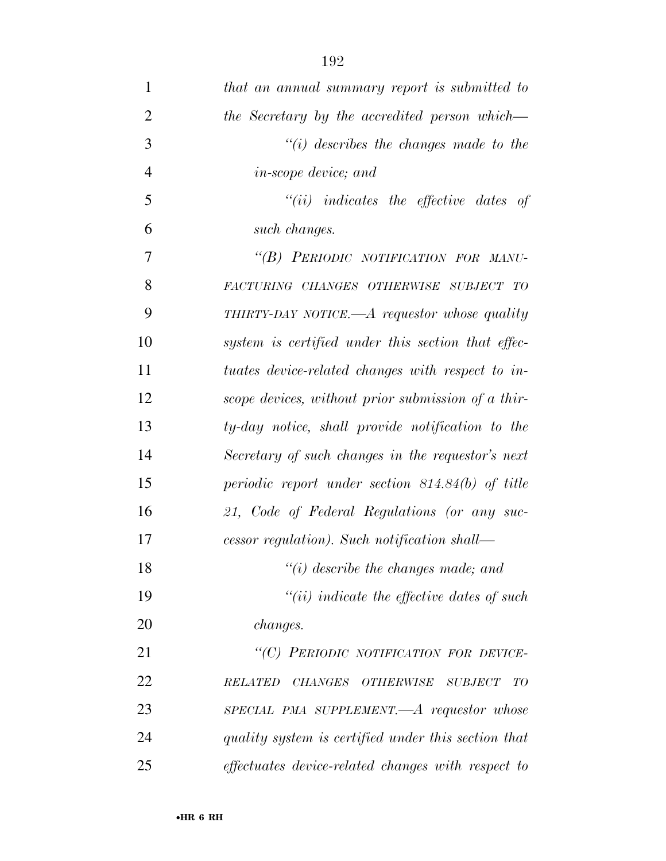| $\mathbf{1}$   | that an annual summary report is submitted to       |
|----------------|-----------------------------------------------------|
| $\overline{2}$ | the Secretary by the accredited person which—       |
| 3              | $"(i)$ describes the changes made to the            |
| $\overline{4}$ | <i>in-scope device</i> ; and                        |
| 5              | $``(ii)$ indicates the effective dates of           |
| 6              | such changes.                                       |
| 7              | "(B) PERIODIC NOTIFICATION FOR MANU-                |
| 8              | FACTURING CHANGES OTHERWISE SUBJECT TO              |
| 9              | THIRTY-DAY NOTICE.— $A$ requestor whose quality     |
| 10             | system is certified under this section that effec-  |
| 11             | tuates device-related changes with respect to in-   |
| 12             | scope devices, without prior submission of a thir-  |
| 13             | ty-day notice, shall provide notification to the    |
| 14             | Secretary of such changes in the requestor's next   |
| 15             | periodic report under section 814.84(b) of title    |
| 16             | 21, Code of Federal Regulations (or any suc-        |
| 17             | cessor regulation). Such notification shall—        |
| 18             | $"(i)$ describe the changes made; and               |
| 19             | $``(ii)$ indicate the effective dates of such       |
| 20             | <i>changes.</i>                                     |
| 21             | "(C) PERIODIC NOTIFICATION FOR DEVICE-              |
| 22             | <b>RELATED</b><br>CHANGES OTHERWISE SUBJECT<br>TО   |
| 23             | $SPECIAL$ PMA SUPPLEMENT.— $A$ requestor whose      |
| 24             | quality system is certified under this section that |
| 25             | effectuates device-related changes with respect to  |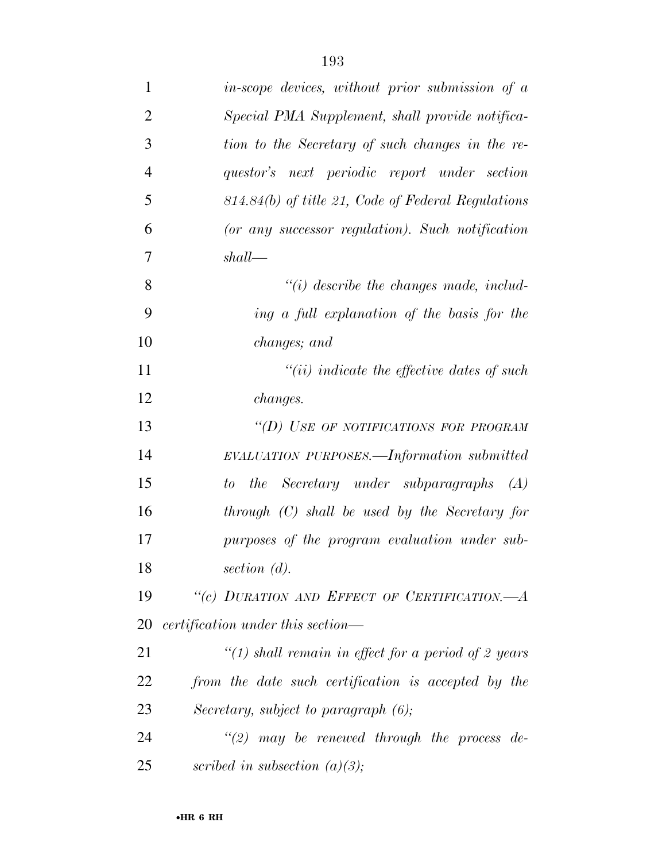| $\mathbf{1}$   | in-scope devices, without prior submission of a      |
|----------------|------------------------------------------------------|
| $\overline{2}$ | Special PMA Supplement, shall provide notifica-      |
| 3              | tion to the Secretary of such changes in the re-     |
| $\overline{4}$ | questor's next periodic report under section         |
| 5              | $814.84(b)$ of title 21, Code of Federal Regulations |
| 6              | (or any successor regulation). Such notification     |
| 7              | $shall$ —                                            |
| 8              | $\lq\lq(i)$ describe the changes made, includ-       |
| 9              | ing a full explanation of the basis for the          |
| 10             | changes; and                                         |
| 11             | $``(ii)$ indicate the effective dates of such        |
| 12             | <i>changes.</i>                                      |
| 13             | "(D) USE OF NOTIFICATIONS FOR PROGRAM                |
| 14             | EVALUATION PURPOSES.—Information submitted           |
| 15             | to the Secretary under subparagraphs<br>(A)          |
| 16             | $through (C) shall be used by the Secretary for$     |
| 17             | purposes of the program evaluation under sub-        |
| 18             | section $(d)$ .                                      |
| 19             | "(c) DURATION AND EFFECT OF CERTIFICATION.-          |
| 20             | certification under this section—                    |
| 21             | "(1) shall remain in effect for a period of 2 years  |
| 22             | from the date such certification is accepted by the  |
| 23             | Secretary, subject to paragraph $(6)$ ;              |
| 24             | $\lq(2)$ may be renewed through the process de-      |
| 25             | scribed in subsection $(a)(3);$                      |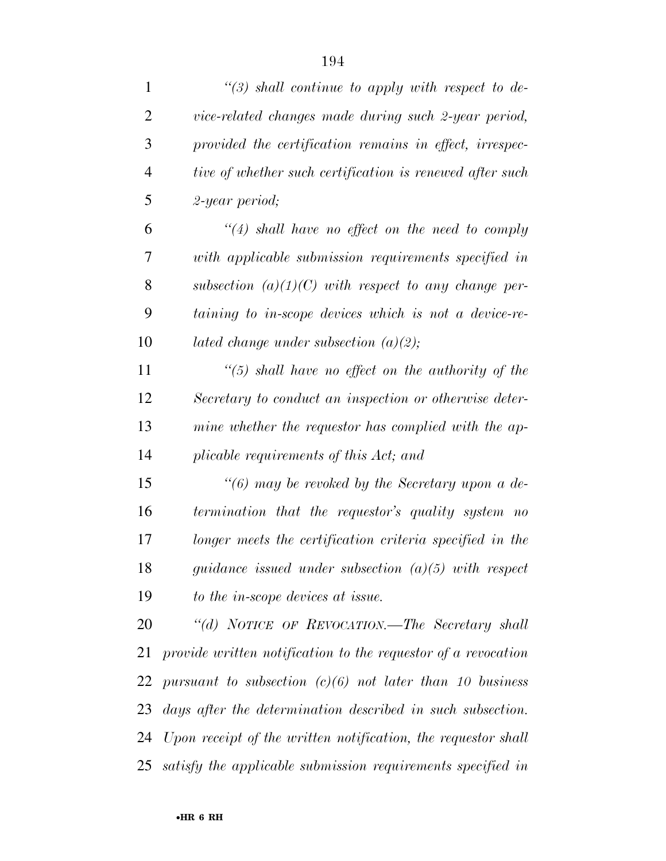| $\mathbf{1}$   | $\lq(3)$ shall continue to apply with respect to de-          |
|----------------|---------------------------------------------------------------|
| $\overline{2}$ | vice-related changes made during such 2-year period,          |
| 3              | provided the certification remains in effect, irrespec-       |
| $\overline{4}$ | tive of whether such certification is renewed after such      |
| 5              | 2-year period;                                                |
| 6              | $\lq(4)$ shall have no effect on the need to comply           |
| 7              | with applicable submission requirements specified in          |
| 8              | subsection $(a)(1)(C)$ with respect to any change per-        |
| 9              | taining to in-scope devices which is not a device-re-         |
| 10             | lated change under subsection $(a)(2)$ ;                      |
| 11             | $\lq(5)$ shall have no effect on the authority of the         |
| 12             | Secretary to conduct an inspection or otherwise deter-        |
| 13             | mine whether the requestor has complied with the ap-          |
| 14             | plicable requirements of this Act; and                        |
| 15             | $\lq(6)$ may be revoked by the Secretary upon a de-           |
| 16             | termination that the requestor's quality system no            |
| 17             | longer meets the certification criteria specified in the      |
| 18             | guidance issued under subsection $(a)(5)$ with respect        |
| 19             | to the in-scope devices at issue.                             |
| 20             | "(d) NOTICE OF REVOCATION.—The Secretary shall                |
| 21             | provide written notification to the requestor of a revocation |
| 22             | pursuant to subsection $(c)(6)$ not later than 10 business    |
| 23             | days after the determination described in such subsection.    |
| 24             | Upon receipt of the written notification, the requestor shall |
| 25             | satisfy the applicable submission requirements specified in   |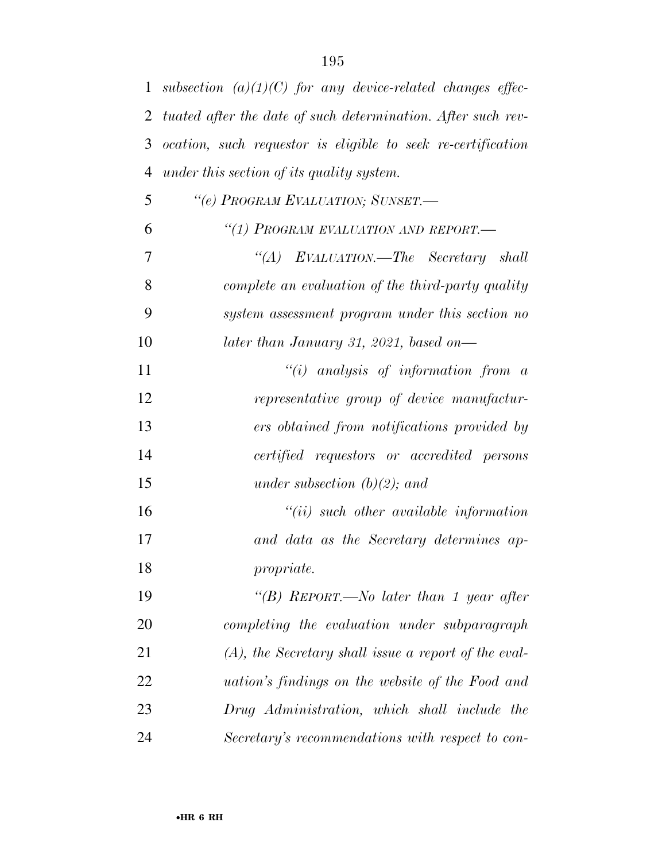| $\mathbf{1}$   | subsection $(a)(1)(C)$ for any device-related changes effec- |
|----------------|--------------------------------------------------------------|
| 2              | tuated after the date of such determination. After such rev- |
| 3              | ocation, such requestor is eligible to seek re-certification |
| $\overline{4}$ | under this section of its quality system.                    |
| 5              | "(e) PROGRAM EVALUATION; SUNSET.-                            |
| 6              | "(1) PROGRAM EVALUATION AND REPORT.-                         |
| 7              | "(A) EVALUATION.—The Secretary shall                         |
| 8              | complete an evaluation of the third-party quality            |
| 9              | system assessment program under this section no              |
| 10             | later than January 31, 2021, based on—                       |
| 11             | "(i) analysis of information from $a$                        |
| 12             | representative group of device manufactur-                   |
| 13             | ers obtained from notifications provided by                  |
| 14             | certified requestors or accredited persons                   |
| 15             | under subsection $(b)(2)$ ; and                              |
| 16             | $``(ii)$ such other available information                    |
| 17             | and data as the Secretary determines ap-                     |
| 18             | propriate.                                                   |
| 19             | "(B) REPORT.—No later than 1 year after                      |
| 20             | completing the evaluation under subparagraph                 |
| 21             | $(A)$ , the Secretary shall issue a report of the eval-      |
| 22             | <i>uation's findings on the website of the Food and</i>      |
| 23             | Drug Administration, which shall include the                 |
| 24             | Secretary's recommendations with respect to con-             |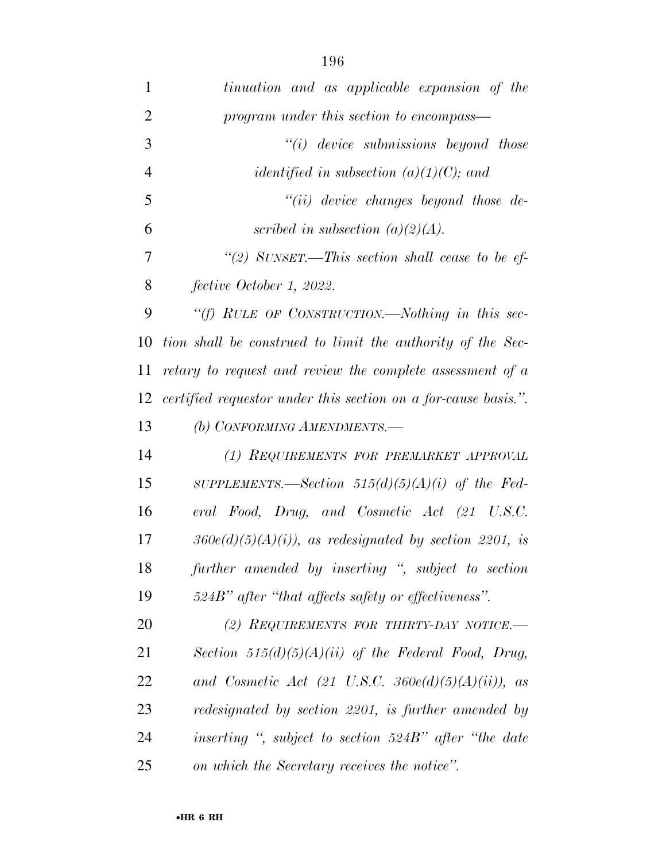| 1              | tinuation and as applicable expansion of the                   |
|----------------|----------------------------------------------------------------|
| $\overline{2}$ | program under this section to encompass—                       |
| 3              | $``(i)$ device submissions beyond those                        |
| $\overline{4}$ | <i>identified in subsection (a)(1)(C); and</i>                 |
| 5              | $``(ii)$ device changes beyond those de-                       |
| 6              | scribed in subsection $(a)(2)(A)$ .                            |
| 7              | "(2) SUNSET.—This section shall cease to be ef-                |
| 8              | fective October 1, 2022.                                       |
| 9              | "(f) RULE OF CONSTRUCTION.—Nothing in this sec-                |
| 10             | tion shall be construed to limit the authority of the Sec-     |
| 11             | retary to request and review the complete assessment of a      |
| 12             | certified requestor under this section on a for-cause basis.". |
| 13             | (b) CONFORMING AMENDMENTS.-                                    |
| 14             | (1) REQUIREMENTS FOR PREMARKET APPROVAL                        |
| 15             | SUPPLEMENTS.—Section $515(d)(5)(A)(i)$ of the Fed-             |
| 16             | eral Food, Drug, and Cosmetic Act (21 U.S.C.                   |
| 17             | $360e(d)(5)(A)(i)$ , as redesignated by section 2201, is       |
| 18             | further amended by inserting ", subject to section             |
| 19             | 524B" after "that affects safety or effectiveness".            |
| 20             | (2) REQUIREMENTS FOR THIRTY-DAY NOTICE.                        |
| 21             | Section $515(d)(5)(A)(ii)$ of the Federal Food, Drug,          |
| 22             | and Cosmetic Act (21 U.S.C. 360 $e(d)(5)(A)(ii)$ ), as         |
| 23             | redesignated by section 2201, is further amended by            |
| 24             | inserting ", subject to section 524B" after "the date          |
| 25             | on which the Secretary receives the notice".                   |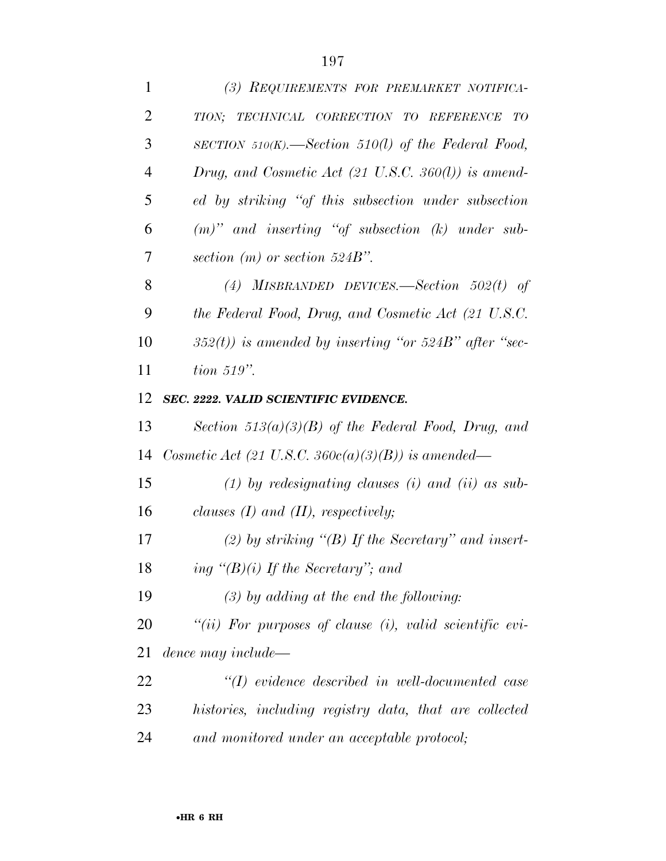| $\mathbf{1}$   | (3) REQUIREMENTS FOR PREMARKET NOTIFICA-                       |
|----------------|----------------------------------------------------------------|
| $\overline{2}$ | TECHNICAL CORRECTION TO REFERENCE<br>TION;<br>TO               |
| 3              | SECTION 510(K).—Section 510(l) of the Federal Food,            |
| $\overline{4}$ | Drug, and Cosmetic Act $(21 \text{ U.S.C. } 360(l))$ is amend- |
| 5              | ed by striking "of this subsection under subsection            |
| 6              | $(m)$ " and inserting "of subsection $(k)$ under sub-          |
| 7              | section $(m)$ or section 524B".                                |
| 8              | (4) MISBRANDED DEVICES.—Section $502(t)$ of                    |
| 9              | the Federal Food, Drug, and Cosmetic Act (21 U.S.C.            |
| 10             | $352(t)$ ) is amended by inserting "or $524B$ " after "sec-    |
| 11             | $tion 519"$ .                                                  |
| 12             | SEC. 2222. VALID SCIENTIFIC EVIDENCE.                          |
| 13             | Section $513(a)(3)(B)$ of the Federal Food, Drug, and          |
| 14             | Cosmetic Act (21 U.S.C. 360 $c(a)(3)(B)$ ) is amended—         |
| 15             | $(1)$ by redesignating clauses $(i)$ and $(ii)$ as sub-        |
| 16             | clauses $(I)$ and $(II)$ , respectively;                       |
| 17             | (2) by striking " $(B)$ If the Secretary" and insert-          |
| 18             | ing " $(B)(i)$ If the Secretary"; and                          |
| 19             | $(3)$ by adding at the end the following:                      |
| 20             | "(ii) For purposes of clause (i), valid scientific evi-        |
| 21             | dence may include—                                             |
| 22             | $\lq (I)$ evidence described in well-documented case           |
| 23             | histories, including registry data, that are collected         |
| 24             | and monitored under an acceptable protocol;                    |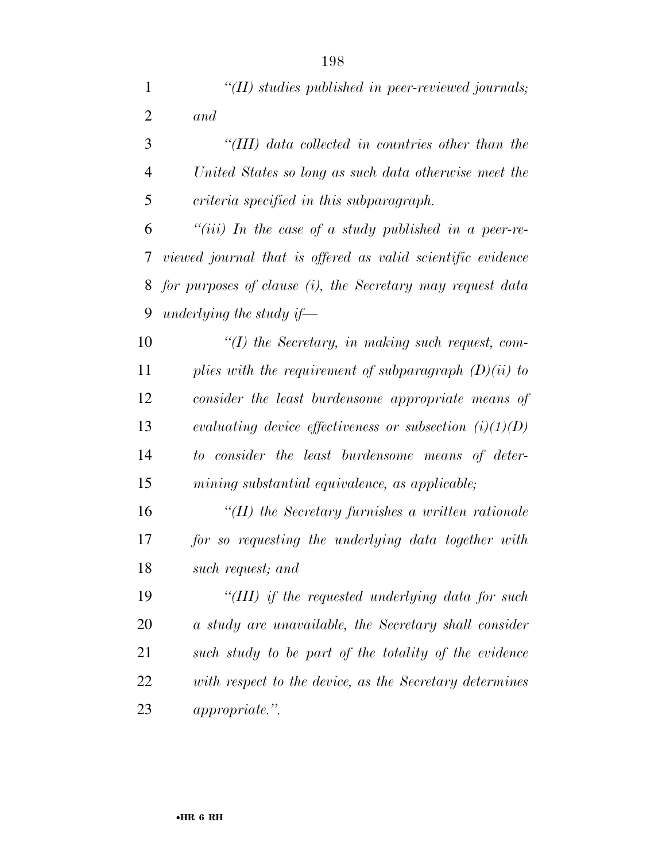| $\mathbf{1}$   | "(II) studies published in peer-reviewed journals;          |
|----------------|-------------------------------------------------------------|
| $\overline{2}$ | and                                                         |
| 3              | "(III) data collected in countries other than the           |
| $\overline{4}$ | United States so long as such data otherwise meet the       |
| 5              | criteria specified in this subparagraph.                    |
| 6              | "(iii) In the case of a study published in a peer-re-       |
| 7              | viewed journal that is offered as valid scientific evidence |
| 8              | for purposes of clause (i), the Secretary may request data  |
| 9              | underlying the study if—                                    |
| 10             | $\lq (I)$ the Secretary, in making such request, com-       |
| 11             | plies with the requirement of subparagraph $(D)(ii)$ to     |
| 12             | consider the least burdensome appropriate means of          |
| 13             | evaluating device effectiveness or subsection $(i)(1)(D)$   |
| 14             | to consider the least burdensome means of deter-            |
| 15             | mining substantial equivalence, as applicable;              |
| 16             | "(II) the Secretary furnishes a written rationale           |
| 17             | for so requesting the underlying data together with         |
| 18             | such request; and                                           |
| 19             | "(III) if the requested underlying data for such            |
| 20             | a study are unavailable, the Secretary shall consider       |
| 21             | such study to be part of the totality of the evidence       |
| 22             | with respect to the device, as the Secretary determines     |
| 23             | <i>appropriate.</i> ".                                      |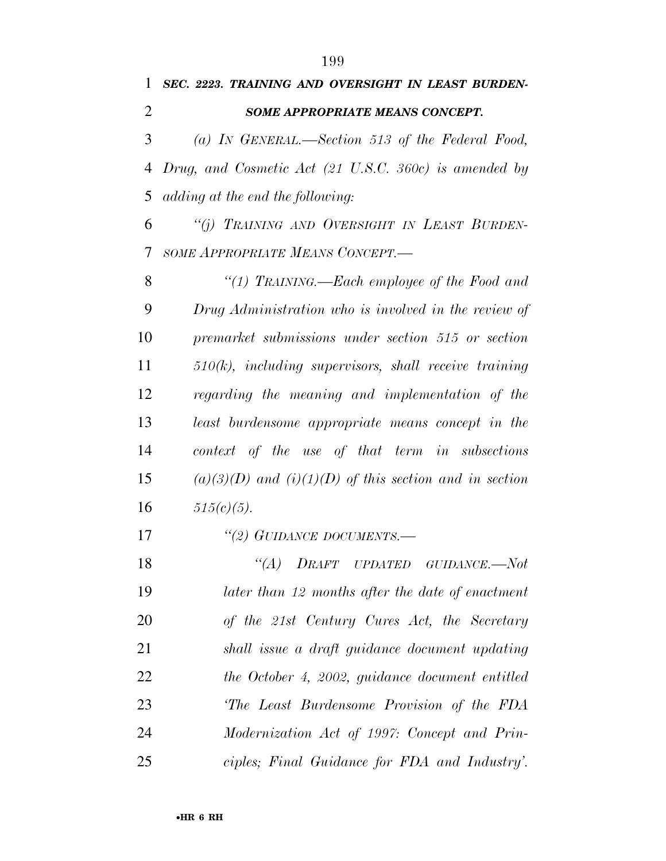*SEC. 2223. TRAINING AND OVERSIGHT IN LEAST BURDEN- SOME APPROPRIATE MEANS CONCEPT. (a) IN GENERAL.—Section 513 of the Federal Food, Drug, and Cosmetic Act (21 U.S.C. 360c) is amended by adding at the end the following: ''(j) TRAINING AND OVERSIGHT IN LEAST BURDEN- SOME APPROPRIATE MEANS CONCEPT.— ''(1) TRAINING.—Each employee of the Food and Drug Administration who is involved in the review of premarket submissions under section 515 or section 510(k), including supervisors, shall receive training regarding the meaning and implementation of the least burdensome appropriate means concept in the context of the use of that term in subsections (a)(3)(D) and (i)(1)(D) of this section and in section*   $515(c)(5)$ . *''(2) GUIDANCE DOCUMENTS.— ''(A) DRAFT UPDATED GUIDANCE.—Not later than 12 months after the date of enactment of the 21st Century Cures Act, the Secretary shall issue a draft guidance document updating the October 4, 2002, guidance document entitled 'The Least Burdensome Provision of the FDA Modernization Act of 1997: Concept and Prin-ciples; Final Guidance for FDA and Industry'.*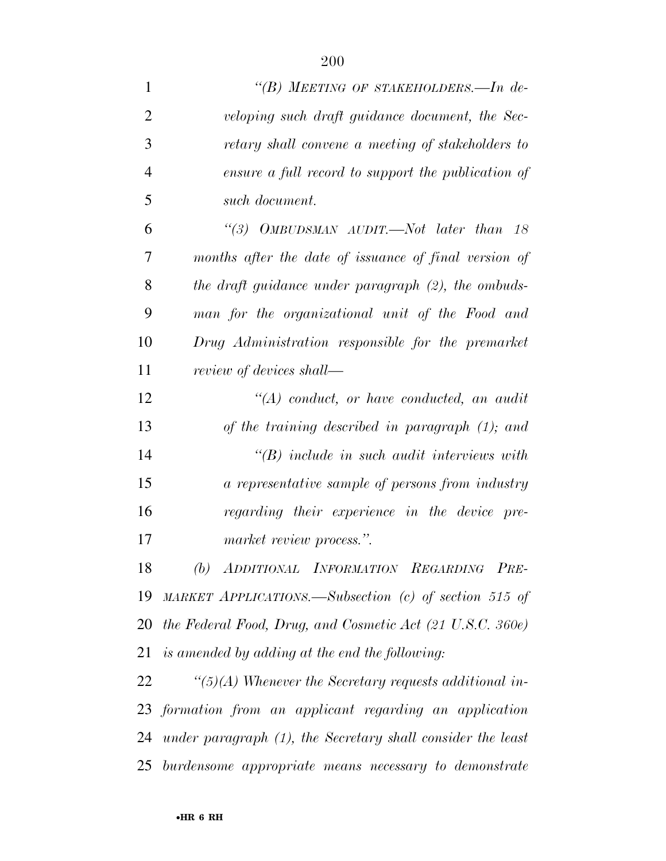| $\mathbf{1}$   | "(B) MEETING OF STAKEHOLDERS.—In de-                           |
|----------------|----------------------------------------------------------------|
| $\overline{2}$ | veloping such draft guidance document, the Sec-                |
| 3              | retary shall convene a meeting of stakeholders to              |
| $\overline{4}$ | ensure a full record to support the publication of             |
| 5              | such document.                                                 |
| 6              | "(3) OMBUDSMAN AUDIT.—Not later than $18$                      |
| 7              | months after the date of issuance of final version of          |
| 8              | the draft guidance under paragraph (2), the ombuds-            |
| 9              | man for the organizational unit of the Food and                |
| 10             | Drug Administration responsible for the premarket              |
| 11             | review of devices shall—                                       |
| 12             | $\lq (A)$ conduct, or have conducted, an audit                 |
| 13             | of the training described in paragraph $(1)$ ; and             |
| 14             | $\lq\lq B$ ) include in such audit interviews with             |
| 15             | a representative sample of persons from industry               |
| 16             | regarding their experience in the device pre-                  |
| 17             | market review process.".                                       |
| 18             | (b) ADDITIONAL INFORMATION REGARDING PRE-                      |
| 19             | MARKET APPLICATIONS.—Subsection (c) of section 515 of          |
| 20             | the Federal Food, Drug, and Cosmetic Act (21 U.S.C. 360e)      |
| 21             | is amended by adding at the end the following:                 |
| 22             | $\lq(5)(A)$ Whenever the Secretary requests additional in-     |
|                | 23 formation from an applicant regarding an application        |
|                | 24 under paragraph (1), the Secretary shall consider the least |
| 25             | burdensome appropriate means necessary to demonstrate          |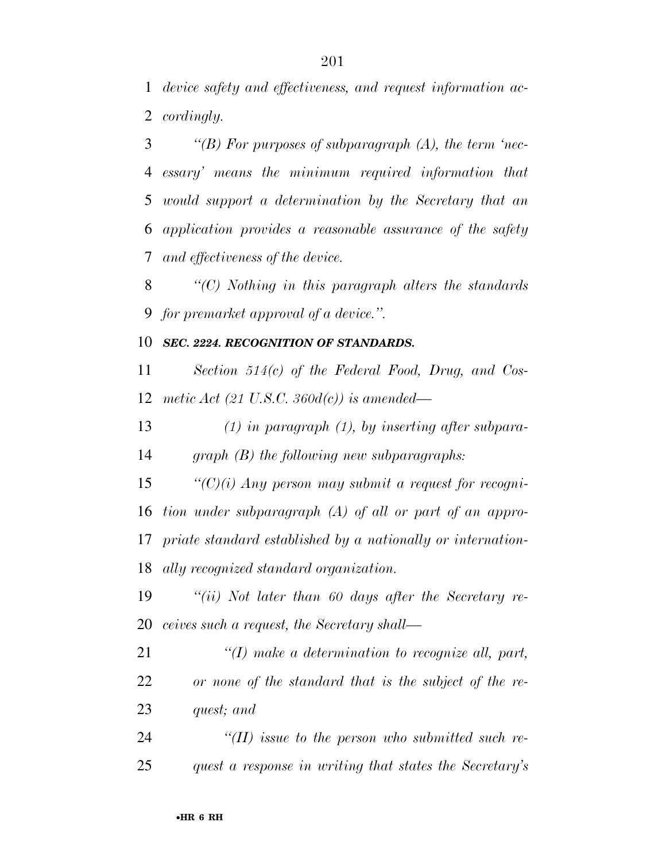*device safety and effectiveness, and request information ac-cordingly.* 

 *''(B) For purposes of subparagraph (A), the term 'nec- essary' means the minimum required information that would support a determination by the Secretary that an application provides a reasonable assurance of the safety and effectiveness of the device.* 

 *''(C) Nothing in this paragraph alters the standards for premarket approval of a device.''.* 

#### *SEC. 2224. RECOGNITION OF STANDARDS.*

 *Section 514(c) of the Federal Food, Drug, and Cos-metic Act (21 U.S.C. 360d(c)) is amended—* 

 *(1) in paragraph (1), by inserting after subpara-graph (B) the following new subparagraphs:* 

 *''(C)(i) Any person may submit a request for recogni- tion under subparagraph (A) of all or part of an appro- priate standard established by a nationally or internation-ally recognized standard organization.* 

 *''(ii) Not later than 60 days after the Secretary re-ceives such a request, the Secretary shall—* 

 *''(I) make a determination to recognize all, part, or none of the standard that is the subject of the re-quest; and* 

 *''(II) issue to the person who submitted such re-quest a response in writing that states the Secretary's*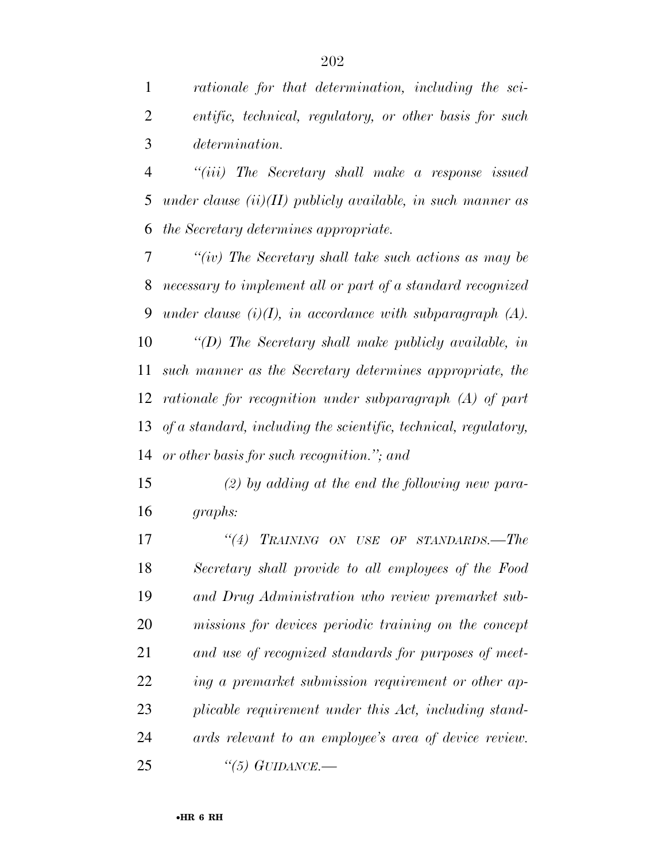*rationale for that determination, including the sci- entific, technical, regulatory, or other basis for such determination.* 

 *''(iii) The Secretary shall make a response issued under clause (ii)(II) publicly available, in such manner as the Secretary determines appropriate.* 

 *''(iv) The Secretary shall take such actions as may be necessary to implement all or part of a standard recognized under clause (i)(I), in accordance with subparagraph (A). ''(D) The Secretary shall make publicly available, in such manner as the Secretary determines appropriate, the rationale for recognition under subparagraph (A) of part of a standard, including the scientific, technical, regulatory, or other basis for such recognition.''; and* 

 *(2) by adding at the end the following new para-graphs:* 

 *''(4) TRAINING ON USE OF STANDARDS.—The Secretary shall provide to all employees of the Food and Drug Administration who review premarket sub- missions for devices periodic training on the concept and use of recognized standards for purposes of meet- ing a premarket submission requirement or other ap- plicable requirement under this Act, including stand- ards relevant to an employee's area of device review. ''(5) GUIDANCE.—*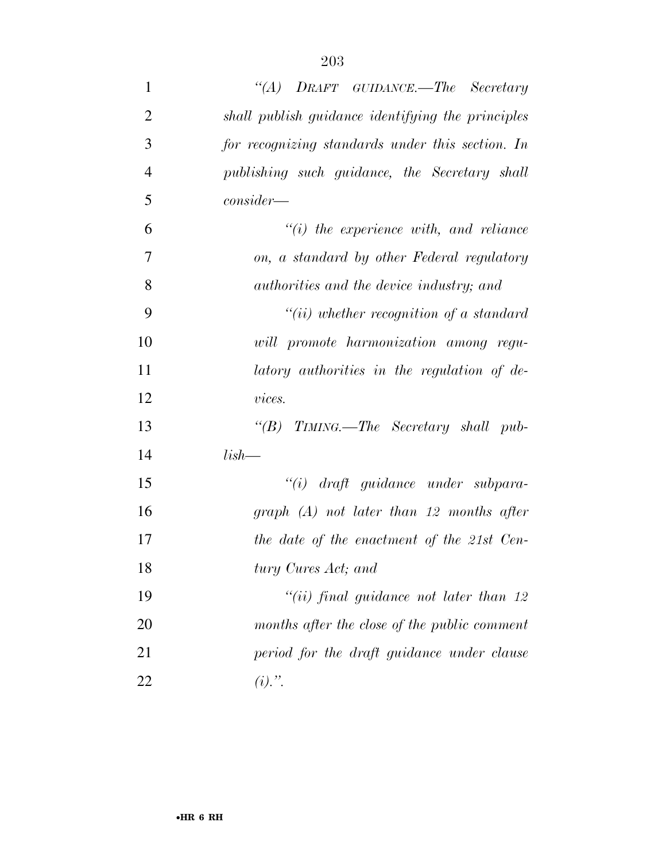| $\mathbf{1}$   | "(A) DRAFT GUIDANCE.—The Secretary                |
|----------------|---------------------------------------------------|
| $\overline{2}$ | shall publish guidance identifying the principles |
| 3              | for recognizing standards under this section. In  |
| $\overline{4}$ | publishing such guidance, the Secretary shall     |
| 5              | $consider-$                                       |
| 6              | $\lq\lq(i)$ the experience with, and reliance     |
| 7              | on, a standard by other Federal regulatory        |
| 8              | authorities and the device industry; and          |
| 9              | $``(ii)$ whether recognition of a standard        |
| 10             | will promote harmonization among regu-            |
| 11             | latory authorities in the regulation of de-       |
| 12             | vices.                                            |
| 13             | "(B) TIMING.—The Secretary shall pub-             |
| 14             | $lish-$                                           |
| 15             | $``(i)$ draft guidance under subpara-             |
| 16             | $graph(A)$ not later than 12 months after         |
| 17             | the date of the enactment of the 21st Cen-        |
| 18             | tury Cures Act; and                               |
| 19             | "(ii) final guidance not later than $12$          |
| 20             | months after the close of the public comment      |
| 21             | period for the draft guidance under clause        |
| 22             | $(i)$ .".                                         |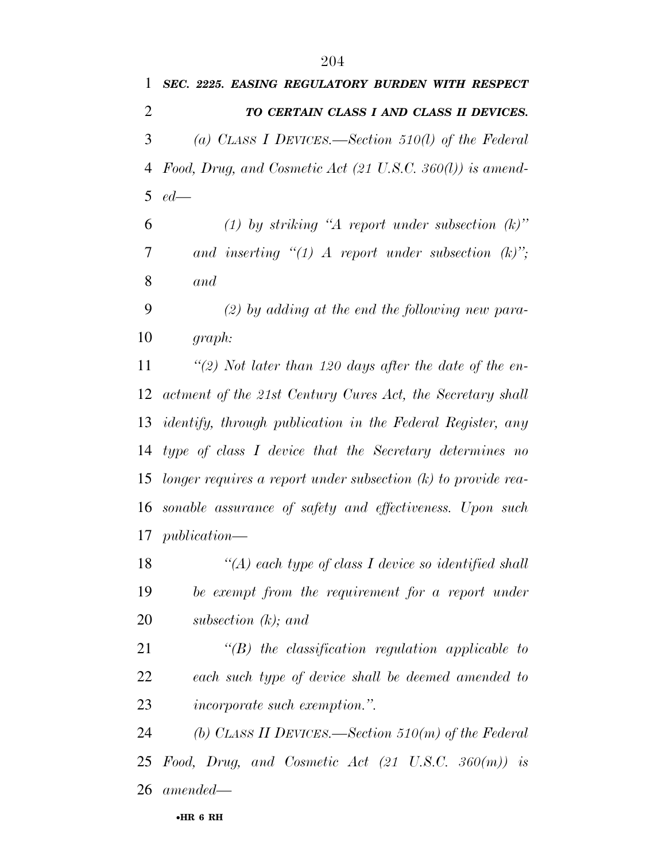*SEC. 2225. EASING REGULATORY BURDEN WITH RESPECT* 

 *TO CERTAIN CLASS I AND CLASS II DEVICES. (a) CLASS I DEVICES.—Section 510(l) of the Federal Food, Drug, and Cosmetic Act (21 U.S.C. 360(l)) is amend- ed— (1) by striking ''A report under subsection (k)'' and inserting ''(1) A report under subsection (k)''; and (2) by adding at the end the following new para- graph: ''(2) Not later than 120 days after the date of the en- actment of the 21st Century Cures Act, the Secretary shall identify, through publication in the Federal Register, any type of class I device that the Secretary determines no longer requires a report under subsection (k) to provide rea- sonable assurance of safety and effectiveness. Upon such publication— ''(A) each type of class I device so identified shall be exempt from the requirement for a report under subsection (k); and ''(B) the classification regulation applicable to each such type of device shall be deemed amended to incorporate such exemption.''. (b) CLASS II DEVICES.—Section 510(m) of the Federal Food, Drug, and Cosmetic Act (21 U.S.C. 360(m)) is amended—*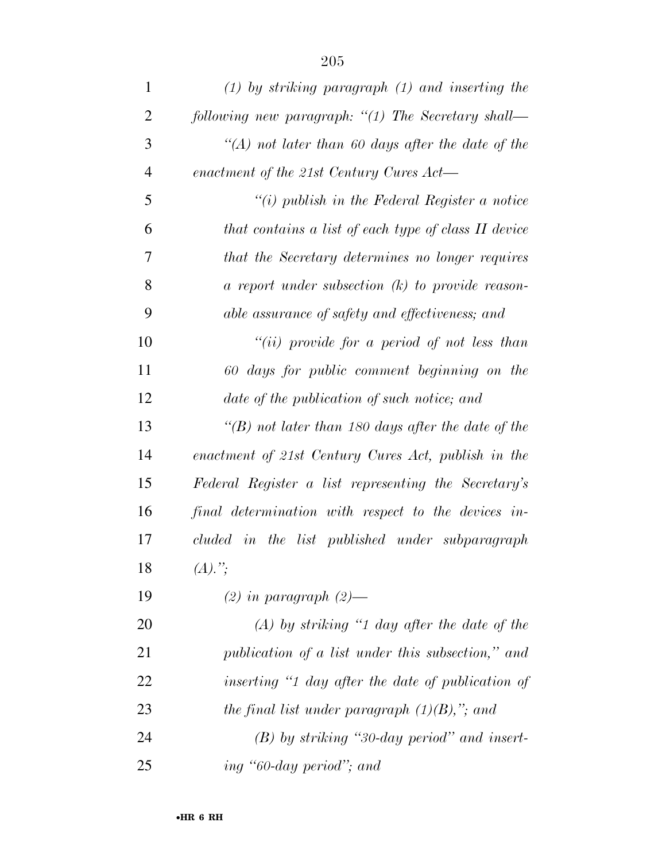| $\mathbf{1}$   | $(1)$ by striking paragraph $(1)$ and inserting the  |
|----------------|------------------------------------------------------|
| $\overline{2}$ | following new paragraph: "(1) The Secretary shall—   |
| 3              | "(A) not later than $60$ days after the date of the  |
| $\overline{4}$ | enactment of the 21st Century Cures Act—             |
| 5              | "(i) publish in the Federal Register a notice        |
| 6              | that contains a list of each type of class II device |
| 7              | that the Secretary determines no longer requires     |
| 8              | a report under subsection $(k)$ to provide reason-   |
| 9              | able assurance of safety and effectiveness; and      |
| 10             | "(ii) provide for a period of not less than          |
| 11             | 60 days for public comment beginning on the          |
| 12             | date of the publication of such notice; and          |
| 13             | "(B) not later than 180 days after the date of the   |
| 14             | enactment of 21st Century Cures Act, publish in the  |
| 15             | Federal Register a list representing the Secretary's |
| 16             | final determination with respect to the devices in-  |
| 17             | cluded in the list published under subparagraph      |
| 18             | $(A).$ ";                                            |
| 19             | $(2)$ in paragraph $(2)$ —                           |
| 20             | $(A)$ by striking "1 day after the date of the       |
| 21             | publication of a list under this subsection," and    |
| 22             | inserting "1 day after the date of publication of    |
| 23             | the final list under paragraph $(1)(B)$ ,"; and      |
| 24             | $(B)$ by striking "30-day period" and insert-        |
| 25             | ing "60-day period"; and                             |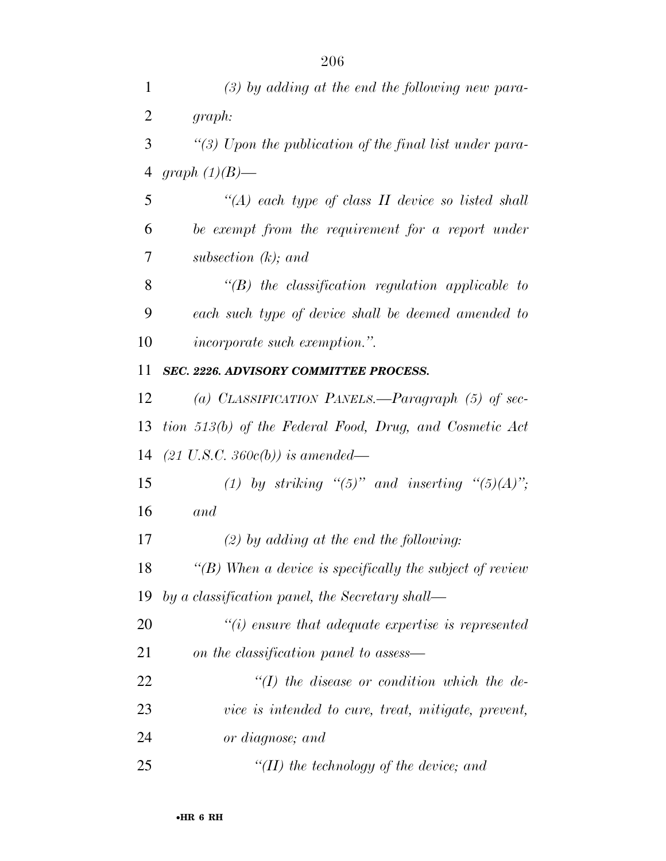| $\mathbf{1}$   | $(3)$ by adding at the end the following new para-            |
|----------------|---------------------------------------------------------------|
| $\overline{2}$ | graph:                                                        |
| 3              | "(3) Upon the publication of the final list under para-       |
| 4              | graph $(1)(B)$ —                                              |
| 5              | "(A) each type of class $II$ device so listed shall           |
| 6              | be exempt from the requirement for a report under             |
| 7              | subsection $(k)$ ; and                                        |
| 8              | $\lq\lq(B)$ the classification regulation applicable to       |
| 9              | each such type of device shall be deemed amended to           |
| 10             | <i>incorporate such exemption.</i> ".                         |
| 11             | <b>SEC. 2226. ADVISORY COMMITTEE PROCESS.</b>                 |
| 12             | (a) CLASSIFICATION PANELS.—Paragraph $(5)$ of sec-            |
| 13             | tion 513(b) of the Federal Food, Drug, and Cosmetic Act       |
| 14             | $(21 \text{ U.S.C. } 360c(b))$ is amended—                    |
| 15             | (1) by striking " $(5)$ " and inserting " $(5)(A)$ ";         |
| 16             | and                                                           |
| 17             | $(2)$ by adding at the end the following:                     |
| 18             | $\lq (B)$ When a device is specifically the subject of review |
| 19             | by a classification panel, the Secretary shall—               |
| 20             | $\lq\lq(i)$ ensure that adequate expertise is represented     |
| 21             | on the classification panel to assess—                        |
| 22             | $\lq (I)$ the disease or condition which the de-              |
| 23             | vice is intended to cure, treat, mitigate, prevent,           |
| 24             | or diagnose; and                                              |
| 25             | $\lq (II)$ the technology of the device; and                  |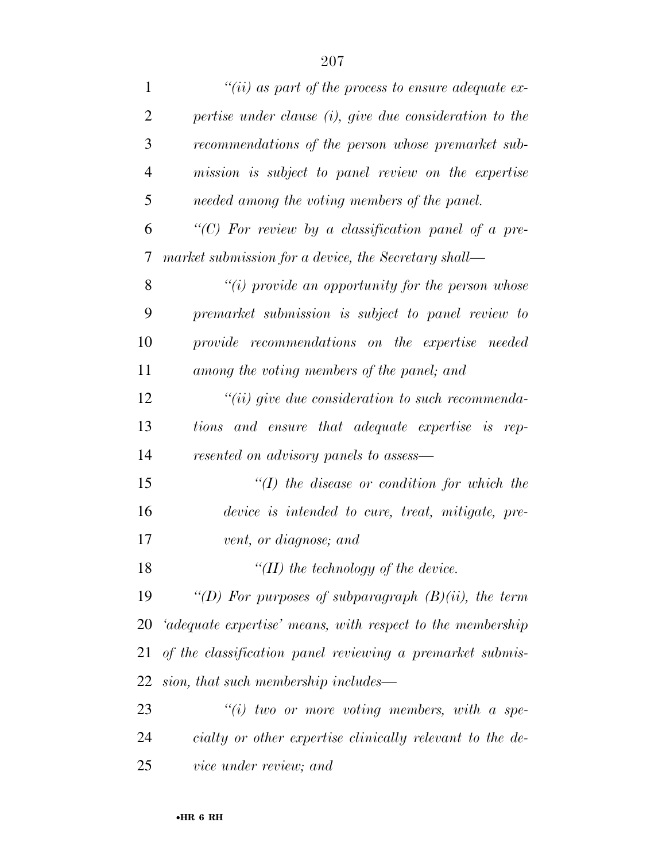| $\mathbf{1}$   | "(ii) as part of the process to ensure adequate ex-          |
|----------------|--------------------------------------------------------------|
| $\overline{2}$ | $pertise$ under clause $(i)$ , give due consideration to the |
| 3              | recommendations of the person whose premarket sub-           |
| $\overline{4}$ | mission is subject to panel review on the expertise          |
| 5              | needed among the voting members of the panel.                |
| 6              | "(C) For review by a classification panel of a pre-          |
| 7              | market submission for a device, the Secretary shall—         |
| 8              | "(i) provide an opportunity for the person whose             |
| 9              | premarket submission is subject to panel review to           |
| 10             | provide recommendations on the expertise needed              |
| 11             | among the voting members of the panel; and                   |
| 12             | $``(ii)$ give due consideration to such recommenda-          |
| 13             | tions and ensure that adequate expertise is rep-             |
| 14             | resented on advisory panels to assess—                       |
| 15             | $\lq (I)$ the disease or condition for which the             |
| 16             | device is intended to cure, treat, mitigate, pre-            |
| 17             | vent, or diagnose; and                                       |
| 18             | "(II) the technology of the device.                          |
| 19             | "(D) For purposes of subparagraph $(B)(ii)$ , the term       |
| 20             | 'adequate expertise' means, with respect to the membership   |
| 21             | of the classification panel reviewing a premarket submis-    |
| 22             | sion, that such membership includes—                         |
| 23             | $``(i)$ two or more voting members, with a spe-              |
| 24             | cialty or other expertise clinically relevant to the de-     |
| 25             | vice under review; and                                       |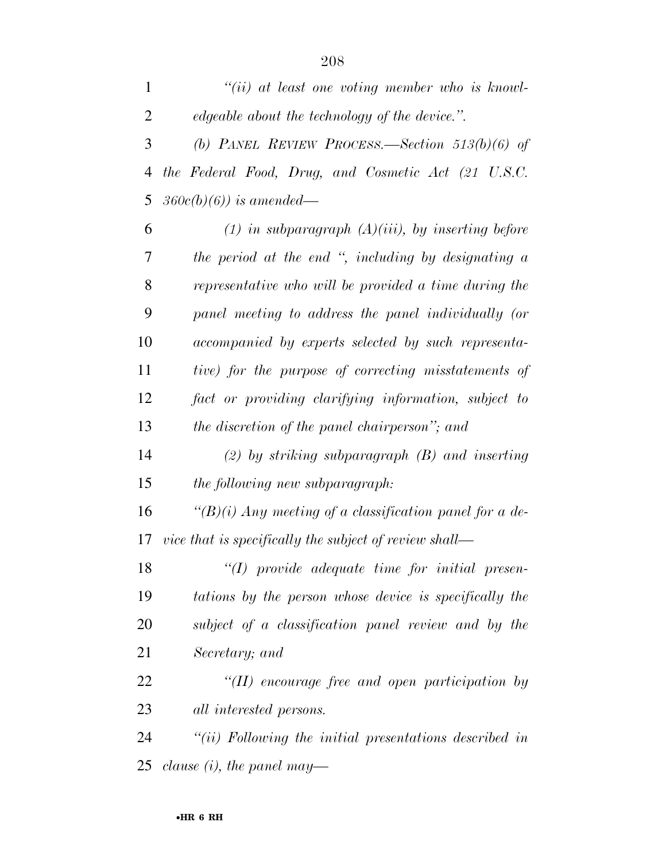| $\mathbf{1}$   | $``(ii)$ at least one voting member who is knowl-          |
|----------------|------------------------------------------------------------|
| $\overline{2}$ | edgeable about the technology of the device.".             |
| 3              | (b) PANEL REVIEW PROCESS.—Section $513(b)(6)$ of           |
| 4              | the Federal Food, Drug, and Cosmetic Act (21 U.S.C.        |
| 5              | $360c(b)(6)$ ) is amended—                                 |
| 6              | $(1)$ in subparagraph $(A)(iii)$ , by inserting before     |
| 7              | the period at the end ", including by designating a        |
| 8              | representative who will be provided a time during the      |
| 9              | panel meeting to address the panel individually (or        |
| 10             | accompanied by experts selected by such representa-        |
| 11             | tive) for the purpose of correcting misstatements of       |
| 12             | fact or providing clarifying information, subject to       |
| 13             | the discretion of the panel chairperson"; and              |
| 14             | $(2)$ by striking subparagraph $(B)$ and inserting         |
| 15             | the following new subparagraph:                            |
| 16             | " $(B)(i)$ Any meeting of a classification panel for a de- |
| 17             | vice that is specifically the subject of review shall—     |
| 18             | $"(I)$ provide adequate time for initial presen-           |
| 19             | tations by the person whose device is specifically the     |
| 20             | subject of a classification panel review and by the        |
| 21             | Secretary; and                                             |
| 22             | $\lq$ (II) encourage free and open participation by        |
| 23             | <i>all interested persons.</i>                             |
| 24             | $"(ii)$ Following the initial presentations described in   |
| 25             | clause (i), the panel may—                                 |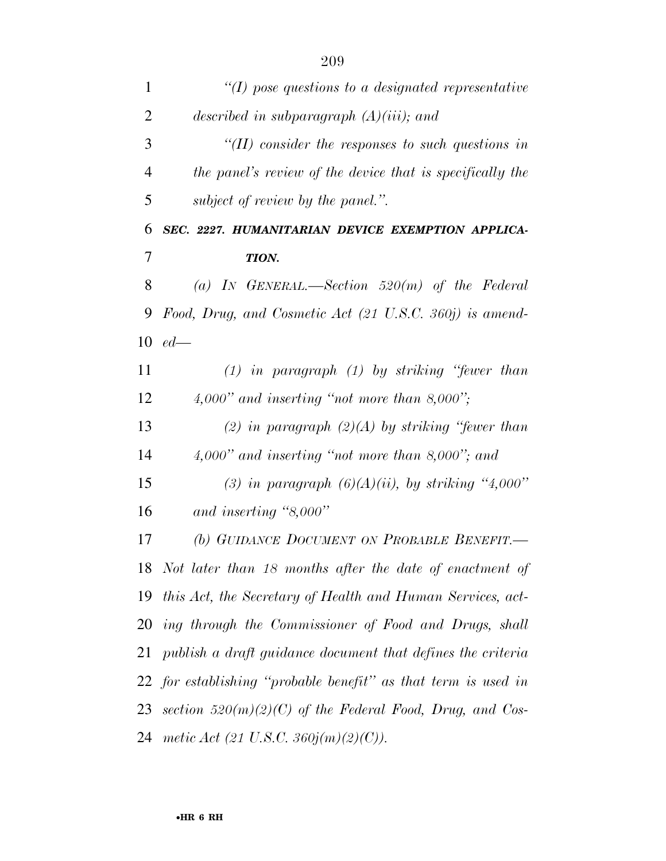| $\mathbf{1}$   | $\lq (I)$ pose questions to a designated representative        |
|----------------|----------------------------------------------------------------|
| $\overline{2}$ | described in subparagraph $(A)(iii)$ ; and                     |
| 3              | $\lq$ (II) consider the responses to such questions in         |
| $\overline{4}$ | the panel's review of the device that is specifically the      |
| 5              | subject of review by the panel.".                              |
| 6              | SEC. 2227. HUMANITARIAN DEVICE EXEMPTION APPLICA-              |
| 7              | TION.                                                          |
| 8              | (a) IN GENERAL.—Section $520(m)$ of the Federal                |
| 9              | Food, Drug, and Cosmetic Act (21 U.S.C. 360j) is amend-        |
| 10             | $ed$ —                                                         |
| 11             | $(1)$ in paragraph $(1)$ by striking "fewer than               |
| 12             | $4,000"$ and inserting "not more than 8,000";                  |
| 13             | (2) in paragraph $(2)(A)$ by striking "fewer than              |
| 14             | $4,000"$ and inserting "not more than 8,000"; and              |
| 15             | (3) in paragraph $(6)(A)(ii)$ , by striking "4,000"            |
| 16             | and inserting " $8,000"$                                       |
| 17             | (b) GUIDANCE DOCUMENT ON PROBABLE BENEFIT.                     |
| 18             | Not later than 18 months after the date of enactment of        |
| 19             | this Act, the Secretary of Health and Human Services, act-     |
| 20             | ing through the Commissioner of Food and Drugs, shall          |
| 21             | publish a draft guidance document that defines the criteria    |
|                | 22 for establishing "probable benefit" as that term is used in |
| 23             | section $520(m)(2)(C)$ of the Federal Food, Drug, and Cos-     |
| 24             | metic Act (21 U.S.C. 360j(m)(2)(C)).                           |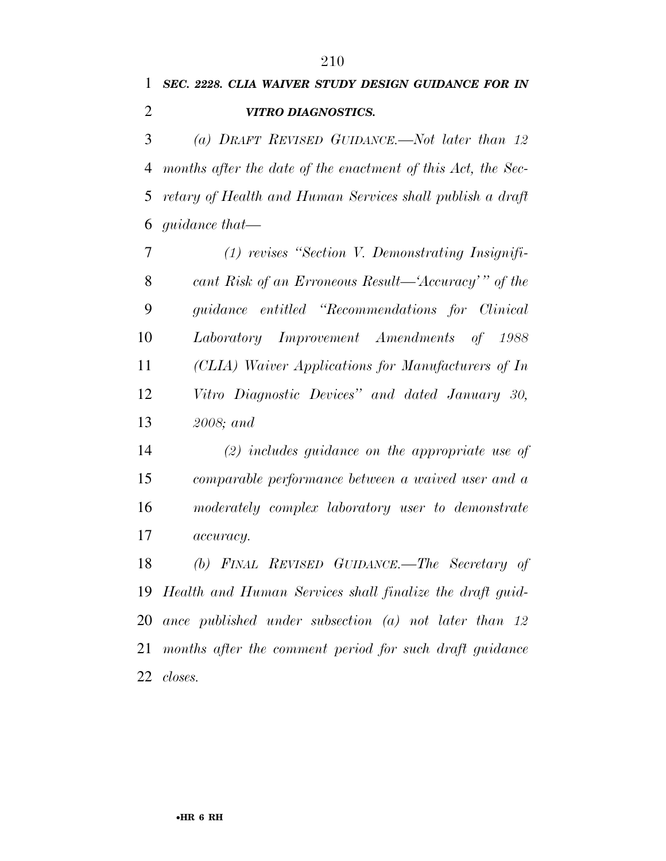*SEC. 2228. CLIA WAIVER STUDY DESIGN GUIDANCE FOR IN VITRO DIAGNOSTICS.* 

 *(a) DRAFT REVISED GUIDANCE.—Not later than 12 months after the date of the enactment of this Act, the Sec- retary of Health and Human Services shall publish a draft guidance that—* 

 *(1) revises ''Section V. Demonstrating Insignifi- cant Risk of an Erroneous Result—'Accuracy' '' of the guidance entitled ''Recommendations for Clinical Laboratory Improvement Amendments of 1988 (CLIA) Waiver Applications for Manufacturers of In Vitro Diagnostic Devices'' and dated January 30, 2008; and* 

 *(2) includes guidance on the appropriate use of comparable performance between a waived user and a moderately complex laboratory user to demonstrate accuracy.* 

 *(b) FINAL REVISED GUIDANCE.—The Secretary of Health and Human Services shall finalize the draft guid- ance published under subsection (a) not later than 12 months after the comment period for such draft guidance closes.*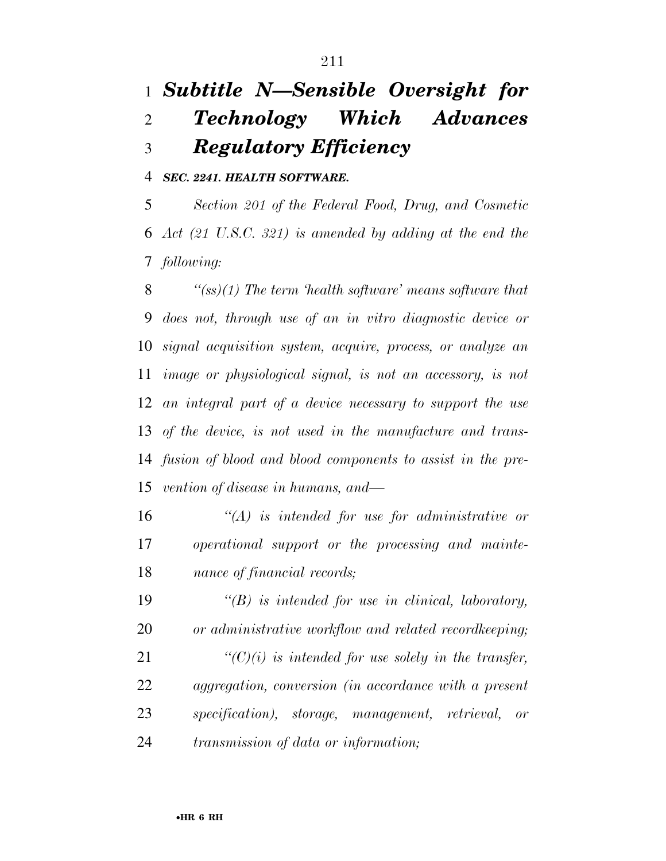## *Subtitle N—Sensible Oversight for Technology Which Advances Regulatory Efficiency*

*SEC. 2241. HEALTH SOFTWARE.* 

 *Section 201 of the Federal Food, Drug, and Cosmetic Act (21 U.S.C. 321) is amended by adding at the end the following:* 

 *''(ss)(1) The term 'health software' means software that does not, through use of an in vitro diagnostic device or signal acquisition system, acquire, process, or analyze an image or physiological signal, is not an accessory, is not an integral part of a device necessary to support the use of the device, is not used in the manufacture and trans- fusion of blood and blood components to assist in the pre-vention of disease in humans, and—* 

 *''(A) is intended for use for administrative or operational support or the processing and mainte-nance of financial records;* 

 *''(B) is intended for use in clinical, laboratory, or administrative workflow and related recordkeeping; ''(C)(i) is intended for use solely in the transfer, aggregation, conversion (in accordance with a present specification), storage, management, retrieval, or transmission of data or information;*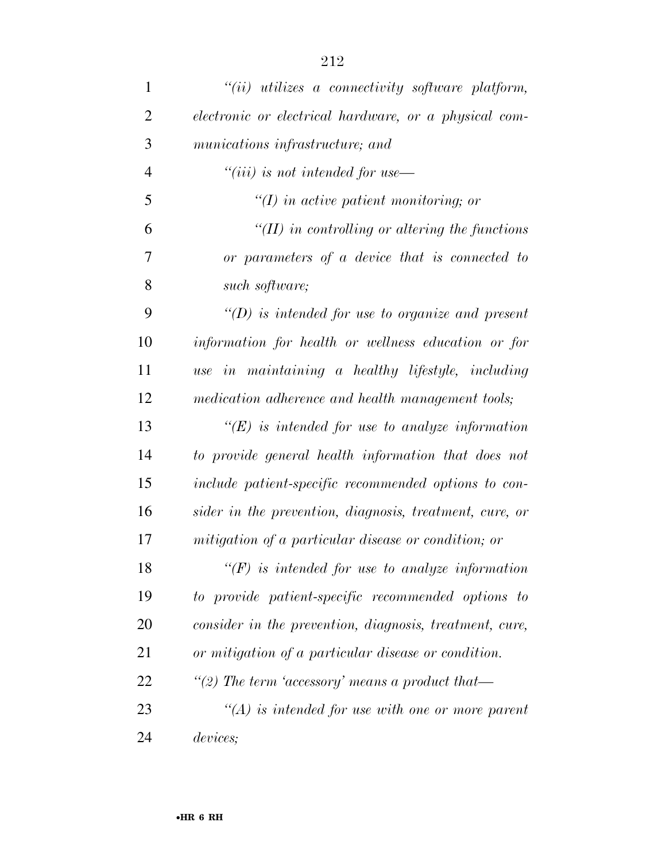| $\mathbf{1}$   | $``(ii)$ utilizes a connectivity software platform,     |
|----------------|---------------------------------------------------------|
| $\overline{2}$ | electronic or electrical hardware, or a physical com-   |
| 3              | munications infrastructure; and                         |
| $\overline{4}$ | $``(iii)$ is not intended for use—                      |
| 5              | $\lq (I)$ in active patient monitoring; or              |
| 6              | "(II) in controlling or altering the functions          |
| 7              | or parameters of a device that is connected to          |
| 8              | such software;                                          |
| 9              | $\lq (D)$ is intended for use to organize and present   |
| 10             | information for health or wellness education or for     |
| 11             | use in maintaining a healthy lifestyle, including       |
| 12             | medication adherence and health management tools;       |
| 13             | $\lq\lq(E)$ is intended for use to analyze information  |
| 14             | to provide general health information that does not     |
| 15             | include patient-specific recommended options to con-    |
| 16             | sider in the prevention, diagnosis, treatment, cure, or |
| 17             | mitigation of a particular disease or condition; or     |
| 18             | $\lq\lq(F)$ is intended for use to analyze information  |
| 19             | to provide patient-specific recommended options to      |
| 20             | consider in the prevention, diagnosis, treatment, cure, |
| 21             | or mitigation of a particular disease or condition.     |
| 22             | "(2) The term 'accessory' means a product that-         |
| 23             | $\lq (A)$ is intended for use with one or more parent   |
| 24             | devices;                                                |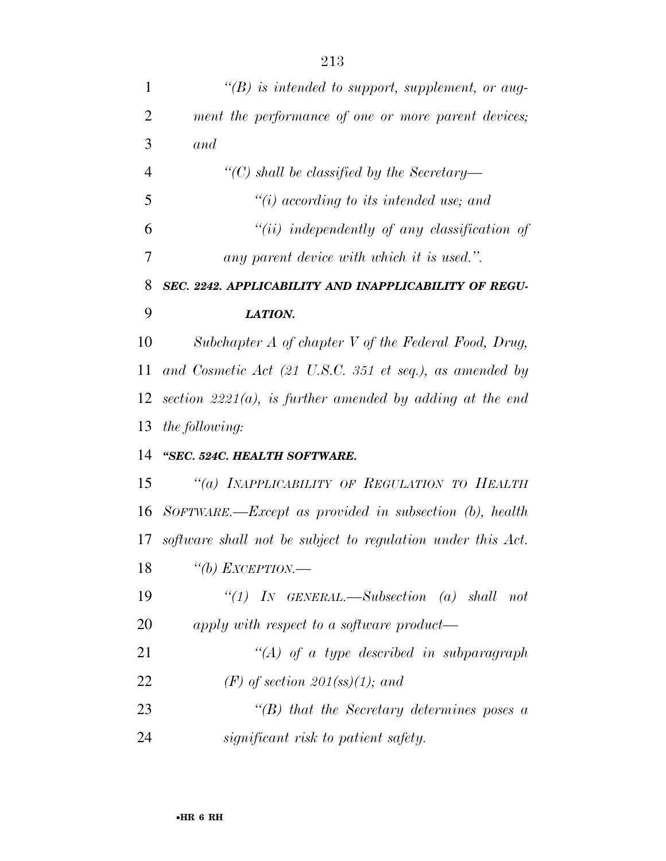| 1              | $\lq (B)$ is intended to support, supplement, or aug-                      |
|----------------|----------------------------------------------------------------------------|
| $\overline{2}$ | ment the performance of one or more parent devices;                        |
| 3              | and                                                                        |
| $\overline{4}$ | "(C) shall be classified by the Secretary—                                 |
| 5              | $\lq\lq(i)$ according to its intended use; and                             |
| 6              | $``(ii)$ independently of any classification of                            |
| 7              | any parent device with which it is used.".                                 |
| 8              | SEC. 2242. APPLICABILITY AND INAPPLICABILITY OF REGU-                      |
| 9              | LATION.                                                                    |
| 10             | Subchapter $A$ of chapter $V$ of the Federal Food, Drug,                   |
| 11             | and Cosmetic Act $(21 \text{ U.S.C. } 351 \text{ et seq.}),$ as amended by |
| 12             | section $2221(a)$ , is further amended by adding at the end                |
| 13             | <i>the following:</i>                                                      |
| 14             | "SEC. 524C. HEALTH SOFTWARE.                                               |
| 15             | "(a) INAPPLICABILITY OF REGULATION TO HEALTH                               |
| 16             | $SorrWARE$ . $-Except$ as provided in subsection (b), health               |
| 17             | software shall not be subject to regulation under this Act.                |
| 18             | "(b) EXCEPTION.-                                                           |
| 19             | "(1) IN GENERAL.—Subsection (a) shall not                                  |
| 20             | apply with respect to a software product—                                  |
| 21             | $\lq (A)$ of a type described in subparagraph                              |
| 22             | $(F)$ of section 201(ss)(1); and                                           |
| 23             | $\lq\lq(B)$ that the Secretary determines poses a                          |
| 24             | significant risk to patient safety.                                        |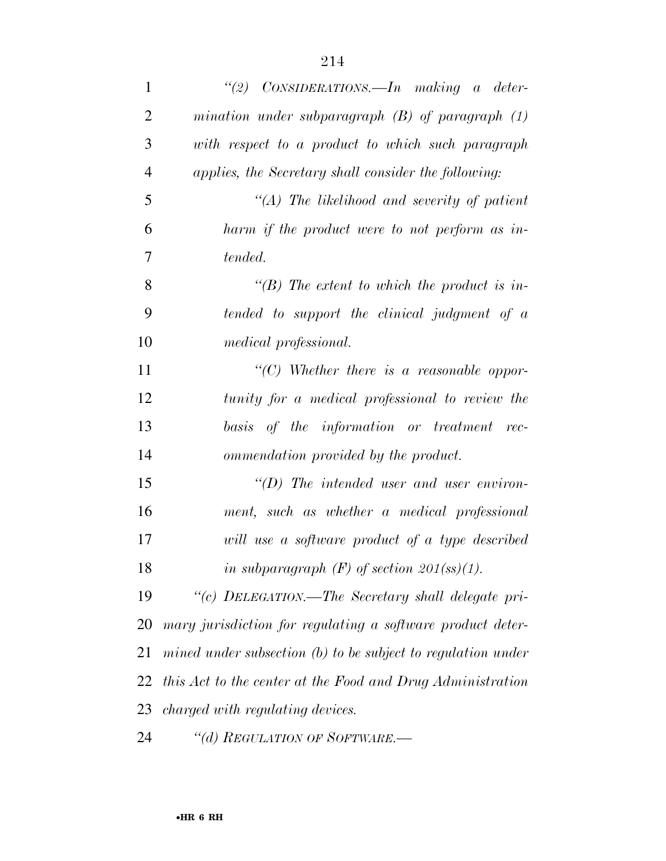| $\mathbf{1}$   | "(2) $\text{ConsIDENTIONS}$ . In making a deter-               |
|----------------|----------------------------------------------------------------|
| $\overline{2}$ | mination under subparagraph $(B)$ of paragraph $(1)$           |
| 3              | with respect to a product to which such paragraph              |
| $\overline{4}$ | applies, the Secretary shall consider the following:           |
| 5              | $\lq (A)$ The likelihood and severity of patient               |
| 6              | harm if the product were to not perform as in-                 |
| $\tau$         | tended.                                                        |
| 8              | "(B) The extent to which the product is in-                    |
| 9              | tended to support the clinical judgment of a                   |
| 10             | medical professional.                                          |
| 11             | "(C) Whether there is a reasonable oppor-                      |
| 12             | tunity for a medical professional to review the                |
| 13             | basis of the information or treatment rec-                     |
| 14             | ommendation provided by the product.                           |
| 15             | $\lq\lq(D)$ The intended user and user environ-                |
| 16             | ment, such as whether a medical professional                   |
| 17             | will use a software product of a type described                |
| 18             | in subparagraph $(F)$ of section 201(ss)(1).                   |
| 19             | "(c) DELEGATION.—The Secretary shall delegate pri-             |
| <b>20</b>      | mary jurisdiction for regulating a software product deter-     |
| 21             | mined under subsection $(b)$ to be subject to regulation under |
| 22             | this Act to the center at the Food and Drug Administration     |
| 23             | charged with regulating devices.                               |
| 24             | "(d) REGULATION OF SOFTWARE.—                                  |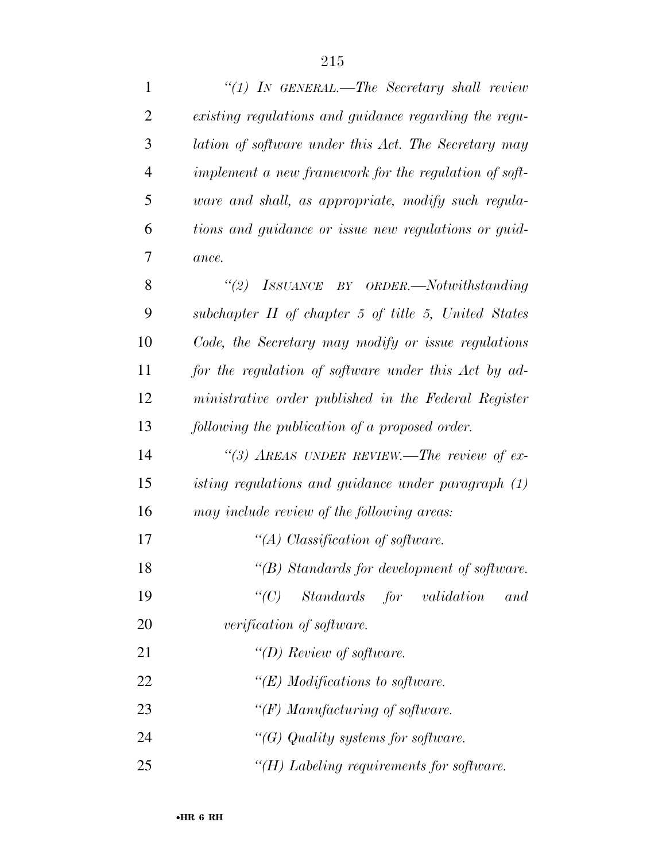| $\mathbf{1}$   | "(1) IN GENERAL.—The Secretary shall review           |
|----------------|-------------------------------------------------------|
| 2              | existing regulations and guidance regarding the regu- |
| 3              | lation of software under this Act. The Secretary may  |
| $\overline{4}$ | implement a new framework for the regulation of soft- |
| 5              | ware and shall, as appropriate, modify such regula-   |
| 6              | tions and guidance or issue new regulations or guid-  |
| 7              | ance.                                                 |
| 8              | (2)<br>ISSUANCE BY ORDER.—Notwithstanding             |
| 9              | subchapter II of chapter 5 of title 5, United States  |
| 10             | Code, the Secretary may modify or issue regulations   |
| 11             | for the regulation of software under this Act by ad-  |
| 12             | ministrative order published in the Federal Register  |
| 13             | following the publication of a proposed order.        |
| 14             | "(3) AREAS UNDER REVIEW.—The review of ex-            |
| 15             | isting regulations and guidance under paragraph (1)   |
| 16             | may include review of the following areas:            |
| 17             | "(A) Classification of software.                      |
| 18             | $\lq\lq(B)$ Standards for development of software.    |
| 19             | $\lq\lq C$<br>Standards for validation<br>and         |
| 20             | verification of software.                             |
| 21             | "(D) Review of software.                              |
| 22             | " $(E)$ Modifications to software.                    |
| 23             | " $(F)$ Manufacturing of software.                    |
| 24             | " $(G)$ Quality systems for software.                 |
| 25             | " $(H)$ Labeling requirements for software.           |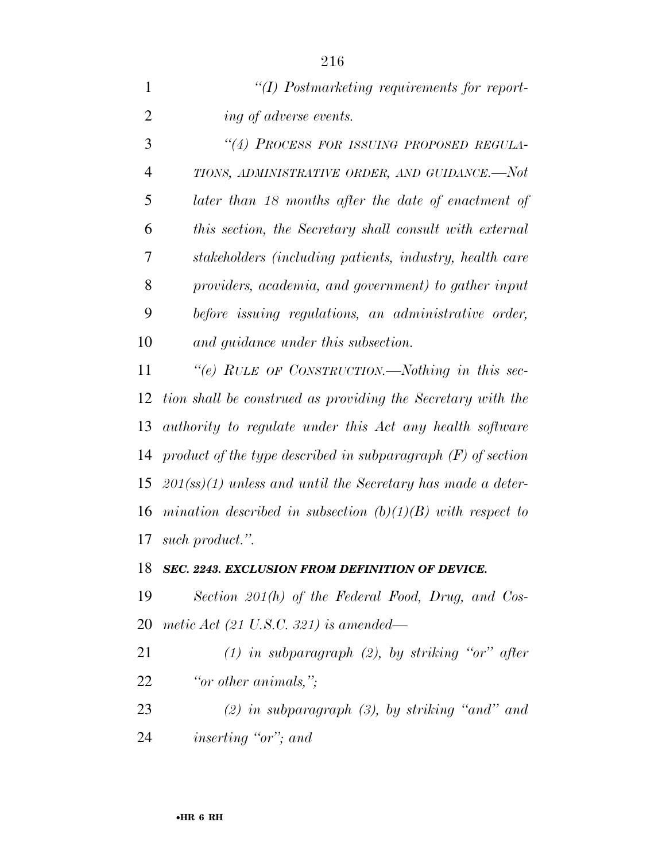| $\lq (I)$ Postmarketing requirements for report- |
|--------------------------------------------------|
| <i>ing of adverse events.</i>                    |

 *''(4) PROCESS FOR ISSUING PROPOSED REGULA- TIONS, ADMINISTRATIVE ORDER, AND GUIDANCE.—Not later than 18 months after the date of enactment of this section, the Secretary shall consult with external stakeholders (including patients, industry, health care providers, academia, and government) to gather input before issuing regulations, an administrative order, and guidance under this subsection.* 

 *''(e) RULE OF CONSTRUCTION.—Nothing in this sec- tion shall be construed as providing the Secretary with the authority to regulate under this Act any health software product of the type described in subparagraph (F) of section 201(ss)(1) unless and until the Secretary has made a deter- mination described in subsection (b)(1)(B) with respect to such product.''.* 

#### *SEC. 2243. EXCLUSION FROM DEFINITION OF DEVICE.*

 *Section 201(h) of the Federal Food, Drug, and Cos-metic Act (21 U.S.C. 321) is amended—* 

- *(1) in subparagraph (2), by striking ''or'' after ''or other animals,'';*
- *(2) in subparagraph (3), by striking ''and'' and inserting ''or''; and*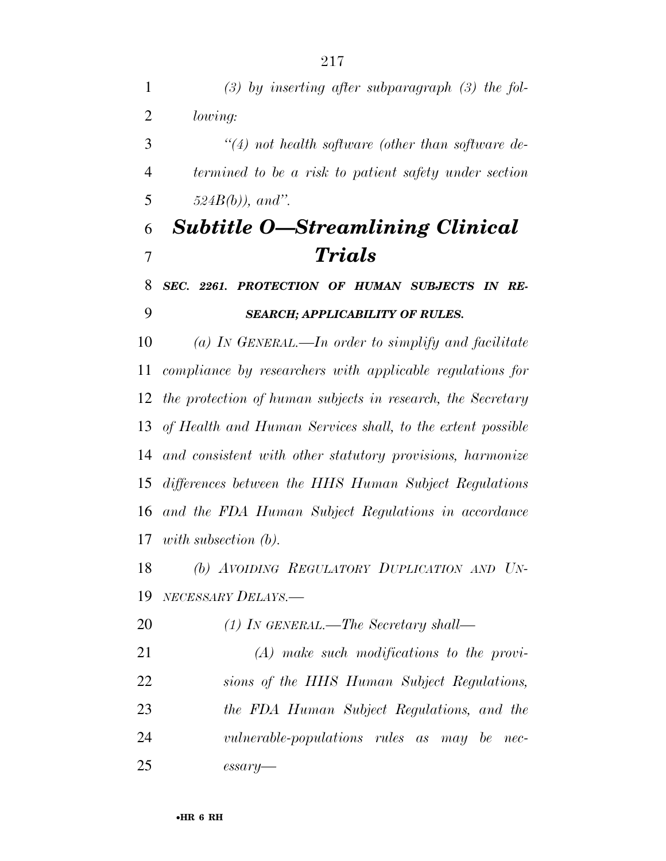*(3) by inserting after subparagraph (3) the fol- lowing: ''(4) not health software (other than software de- termined to be a risk to patient safety under section 524B(b)), and''. Subtitle O—Streamlining Clinical Trials SEC. 2261. PROTECTION OF HUMAN SUBJECTS IN RE- SEARCH; APPLICABILITY OF RULES. (a) IN GENERAL.—In order to simplify and facilitate compliance by researchers with applicable regulations for the protection of human subjects in research, the Secretary of Health and Human Services shall, to the extent possible and consistent with other statutory provisions, harmonize differences between the HHS Human Subject Regulations and the FDA Human Subject Regulations in accordance with subsection (b). (b) AVOIDING REGULATORY DUPLICATION AND UN- NECESSARY DELAYS.— (1) IN GENERAL.—The Secretary shall— (A) make such modifications to the provi- sions of the HHS Human Subject Regulations, the FDA Human Subject Regulations, and the vulnerable-populations rules as may be nec-essary—*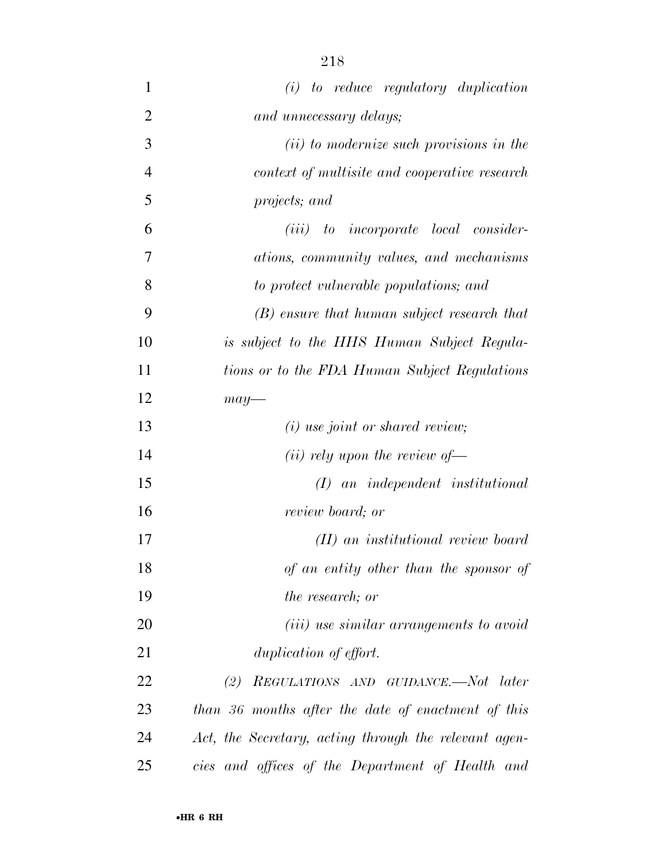| $\mathbf{1}$   | $(i)$ to reduce regulatory duplication                |
|----------------|-------------------------------------------------------|
| $\overline{2}$ | and unnecessary delays;                               |
| 3              | (ii) to modernize such provisions in the              |
| $\overline{4}$ | context of multisite and cooperative research         |
| 5              | projects; and                                         |
| 6              | $(iii)$ to incorporate local consider-                |
| 7              | ations, community values, and mechanisms              |
| 8              | to protect vulnerable populations; and                |
| 9              | (B) ensure that human subject research that           |
| 10             | is subject to the HHS Human Subject Regula-           |
| 11             | tions or to the FDA Human Subject Regulations         |
| 12             | $may-$                                                |
| 13             | $(i)$ use joint or shared review;                     |
| 14             | ( <i>ii</i> ) rely upon the review of $\rightarrow$   |
| 15             | $(I)$ an independent institutional                    |
| 16             | review board; or                                      |
| 17             | (II) an institutional review board                    |
| 18             | of an entity other than the sponsor of                |
| 19             | <i>the research; or</i>                               |
| 20             | ( <i>iii</i> ) use similar arrangements to avoid      |
| 21             | duplication of effort.                                |
| 22             | REGULATIONS AND GUIDANCE.—Not later<br>(2)            |
| 23             | than 36 months after the date of enactment of this    |
| 24             | Act, the Secretary, acting through the relevant agen- |
| 25             | cies and offices of the Department of Health and      |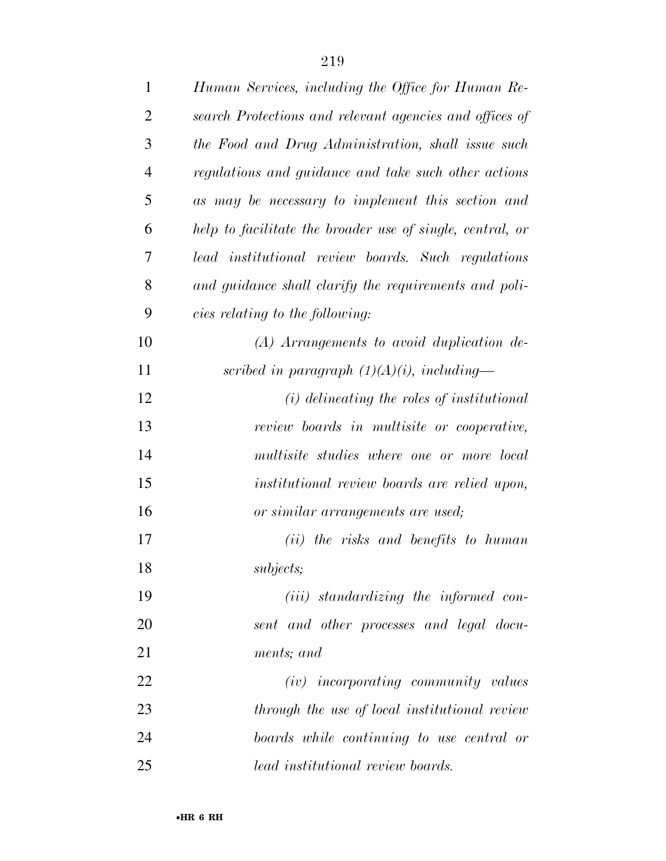| $\mathbf{1}$   | Human Services, including the Office for Human Re-        |
|----------------|-----------------------------------------------------------|
| $\overline{2}$ | search Protections and relevant agencies and offices of   |
| 3              | the Food and Drug Administration, shall issue such        |
| $\overline{4}$ | regulations and guidance and take such other actions      |
| 5              | as may be necessary to implement this section and         |
| 6              | help to facilitate the broader use of single, central, or |
| 7              | lead institutional review boards. Such regulations        |
| 8              | and guidance shall clarify the requirements and poli-     |
| 9              | cies relating to the following:                           |
| 10             | $(A)$ Arrangements to avoid duplication de-               |
| 11             | scribed in paragraph $(1)(A)(i)$ , including-             |
| 12             | $(i)$ delineating the roles of institutional              |
| 13             | review boards in multisite or cooperative,                |
| 14             | multisite studies where one or more local                 |
| 15             | institutional review boards are relied upon,              |
| 16             | or similar arrangements are used;                         |
| 17             | (ii) the risks and benefits to human                      |
| 18             | <i>subjects;</i>                                          |
| 19             | ( <i>iii</i> ) standardizing the informed con-            |
| 20             | sent and other processes and legal docu-                  |
| 21             | ments; and                                                |
| 22             | $(iv)$ incorporating community values                     |
| 23             | through the use of local institutional review             |
| 24             | boards while continuing to use central or                 |
| 25             | lead institutional review boards.                         |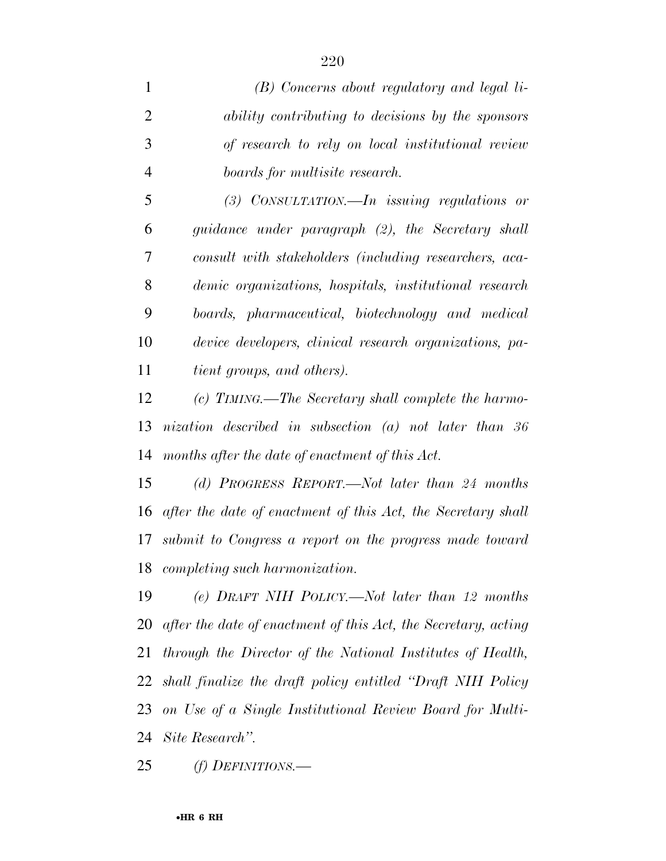*(B) Concerns about regulatory and legal li- ability contributing to decisions by the sponsors of research to rely on local institutional review boards for multisite research. (3) CONSULTATION.—In issuing regulations or guidance under paragraph (2), the Secretary shall* 

 *consult with stakeholders (including researchers, aca- demic organizations, hospitals, institutional research boards, pharmaceutical, biotechnology and medical device developers, clinical research organizations, pa-tient groups, and others).* 

 *(c) TIMING.—The Secretary shall complete the harmo- nization described in subsection (a) not later than 36 months after the date of enactment of this Act.* 

 *(d) PROGRESS REPORT.—Not later than 24 months after the date of enactment of this Act, the Secretary shall submit to Congress a report on the progress made toward completing such harmonization.* 

 *(e) DRAFT NIH POLICY.—Not later than 12 months after the date of enactment of this Act, the Secretary, acting through the Director of the National Institutes of Health, shall finalize the draft policy entitled ''Draft NIH Policy on Use of a Single Institutional Review Board for Multi-Site Research''.* 

*(f) DEFINITIONS.—*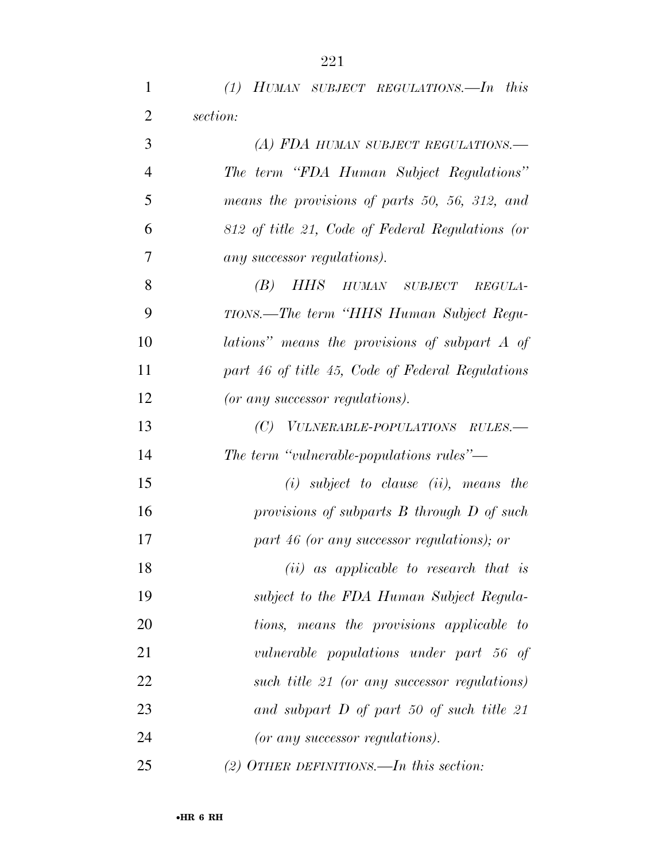*(1) HUMAN SUBJECT REGULATIONS.—In this* 

*section:* 

| 3              | (A) FDA HUMAN SUBJECT REGULATIONS.-              |
|----------------|--------------------------------------------------|
| $\overline{4}$ | The term "FDA Human Subject Regulations"         |
| 5              | means the provisions of parts 50, 56, 312, and   |
| 6              | 812 of title 21, Code of Federal Regulations (or |
| 7              | any successor regulations).                      |
| 8              | HHS HUMAN SUBJECT<br>(B)<br>REGULA-              |
| 9              | TIONS.—The term "HHS Human Subject Regu-         |
| 10             | lations" means the provisions of subpart A of    |
| 11             | part 46 of title 45, Code of Federal Regulations |
| 12             | (or any successor regulations).                  |
| 13             | (C) VULNERABLE-POPULATIONS RULES.-               |
| 14             | The term "vulnerable-populations rules"—         |
| 15             | $(i)$ subject to clause $(ii)$ , means the       |
| 16             | provisions of subparts $B$ through $D$ of such   |
| 17             | part 46 (or any successor regulations); or       |
| 18             | $(ii)$ as applicable to research that is         |
| 19             | subject to the FDA Human Subject Regula-         |
| 20             | tions, means the provisions applicable to        |
| 21             | vulnerable populations under part 56 of          |
| 22             | such title 21 (or any successor regulations)     |
| 23             | and subpart D of part 50 of such title 21        |
| 24             | (or any successor regulations).                  |
| 25             | (2) OTHER DEFINITIONS.—In this section:          |
|                | $\bullet$ HR 6 RH                                |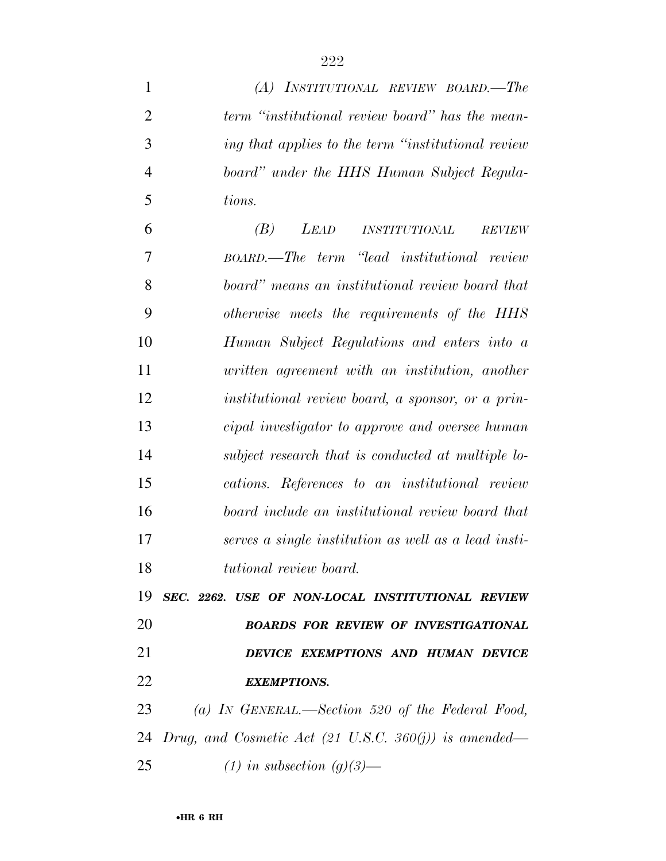*(A) INSTITUTIONAL REVIEW BOARD.—The* 

| $\overline{2}$ | term "institutional review board" has the mean-       |
|----------------|-------------------------------------------------------|
| 3              | ing that applies to the term "institutional review"   |
| $\overline{4}$ | board" under the HHS Human Subject Regula-            |
| 5              | tions.                                                |
| 6              | (B)<br>LEAD<br><i>INSTITUTIONAL</i><br><b>REVIEW</b>  |
| 7              | BOARD.—The term "lead institutional review            |
| 8              | board" means an institutional review board that       |
| 9              | otherwise meets the requirements of the HHS           |
| 10             | Human Subject Regulations and enters into a           |
| 11             | written agreement with an institution, another        |
| 12             | institutional review board, a sponsor, or a prin-     |
| 13             | cipal investigator to approve and oversee human       |
| 14             | subject research that is conducted at multiple lo-    |
| 15             | cations. References to an institutional review        |
| 16             | board include an institutional review board that      |
| 17             | serves a single institution as well as a lead insti-  |
| 18             | tutional review board.                                |
|                | 19 SEC. 2262. USE OF NON-LOCAL INSTITUTIONAL REVIEW   |
| 20             | <b>BOARDS FOR REVIEW OF INVESTIGATIONAL</b>           |
| 21             | DEVICE EXEMPTIONS AND HUMAN DEVICE                    |
| 22             | <b>EXEMPTIONS.</b>                                    |
| 23             | (a) IN GENERAL.—Section 520 of the Federal Food,      |
| 24             | Drug, and Cosmetic Act (21 U.S.C. 360(j)) is amended— |
| 25             | $(1)$ in subsection $(g)(3)$ —                        |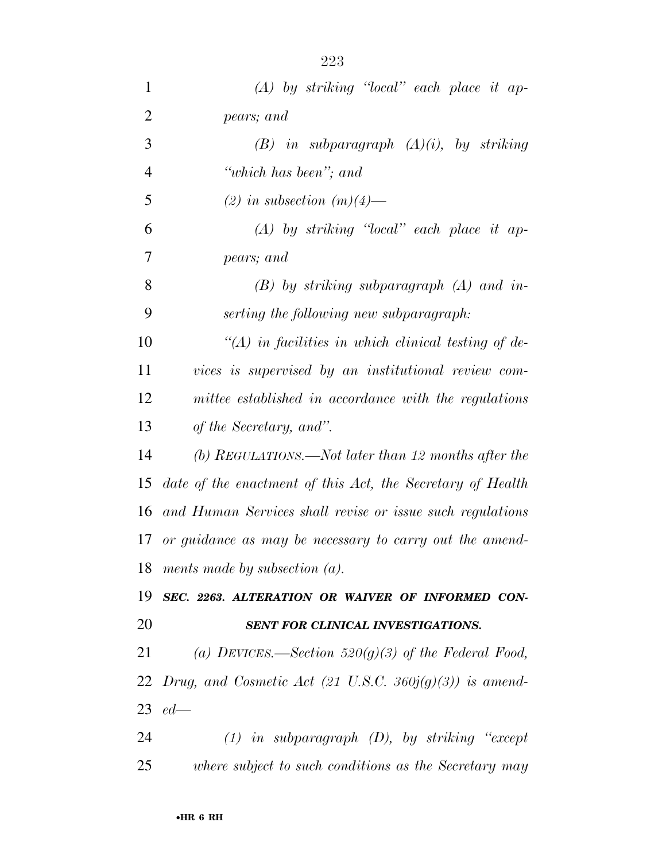| $\mathbf{1}$   | $(A)$ by striking "local" each place it ap-                 |
|----------------|-------------------------------------------------------------|
| $\overline{2}$ | pears; and                                                  |
| 3              | $(B)$ in subparagraph $(A)(i)$ , by striking                |
| $\overline{4}$ | "which has been"; and                                       |
| 5              | $(2)$ in subsection $(m)(4)$ —                              |
| 6              | $(A)$ by striking "local" each place it ap-                 |
| $\overline{7}$ | pears; and                                                  |
| 8              | $(B)$ by striking subparagraph $(A)$ and in-                |
| 9              | serting the following new subparagraph:                     |
| 10             | $\lq (A)$ in facilities in which clinical testing of de-    |
| 11             | vices is supervised by an institutional review com-         |
| 12             | mittee established in accordance with the regulations       |
| 13             | of the Secretary, and".                                     |
| 14             | (b) REGULATIONS.—Not later than 12 months after the         |
| 15             | date of the enactment of this Act, the Secretary of Health  |
| 16             | and Human Services shall revise or issue such regulations   |
|                | 17 or guidance as may be necessary to carry out the amend-  |
|                | 18 ments made by subsection $(a)$ .                         |
| 19             | SEC. 2263. ALTERATION OR WAIVER OF INFORMED CON-            |
| 20             | SENT FOR CLINICAL INVESTIGATIONS.                           |
| 21             | (a) DEVICES.—Section 520(g)(3) of the Federal Food,         |
| 22             | Drug, and Cosmetic Act (21 U.S.C. 360 $j(g)(3)$ ) is amend- |
|                | 23 $ed$ —                                                   |
| 24             | $(1)$ in subparagraph $(D)$ , by striking "except"          |
| 25             | where subject to such conditions as the Secretary may       |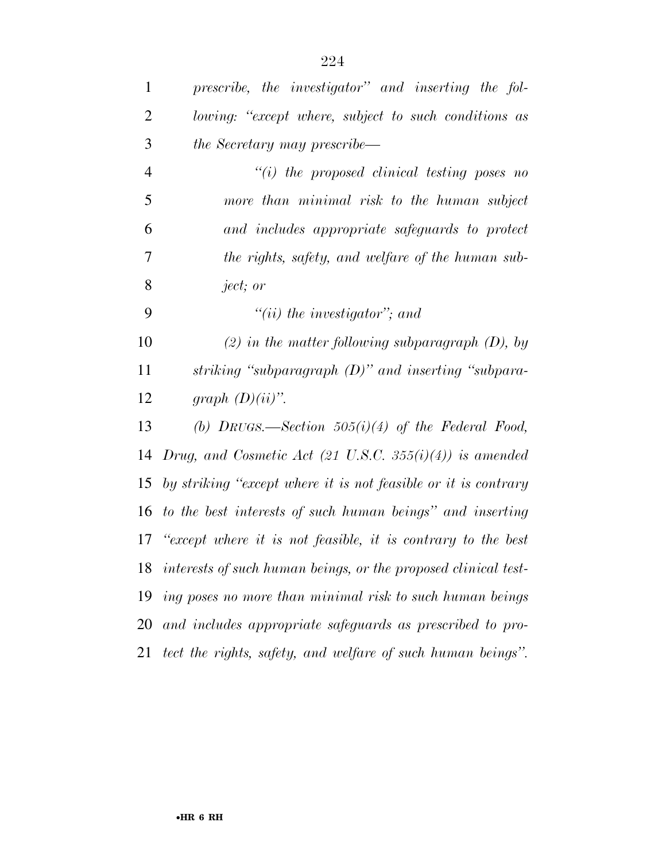| $\mathbf{1}$   | prescribe, the investigator" and inserting the fol-            |
|----------------|----------------------------------------------------------------|
| $\overline{2}$ | lowing: "except where, subject to such conditions as           |
| 3              | <i>the Secretary may prescribe—</i>                            |
| $\overline{4}$ | $``(i)$ the proposed clinical testing poses no                 |
| 5              | more than minimal risk to the human subject                    |
| 6              | and includes appropriate safeguards to protect                 |
| 7              | the rights, safety, and welfare of the human sub-              |
| 8              | ject; or                                                       |
| 9              | $"(ii)$ the investigator"; and                                 |
| 10             | $(2)$ in the matter following subparagraph $(D)$ , by          |
| 11             | striking "subparagraph $(D)$ " and inserting "subpara-         |
| 12             | graph $(D)(ii)$ ".                                             |
| 13             | (b) DRUGS.—Section $505(i)(4)$ of the Federal Food,            |
| 14             | Drug, and Cosmetic Act (21 U.S.C. 355(i)(4)) is amended        |
| 15             | by striking "except where it is not feasible or it is contrary |
| 16             | to the best interests of such human beings" and inserting      |
| 17             | "except where it is not feasible, it is contrary to the best   |
| 18             | interests of such human beings, or the proposed clinical test- |
| 19             | ing poses no more than minimal risk to such human beings       |
| 20             | and includes appropriate safeguards as prescribed to pro-      |
| 21             | tect the rights, safety, and welfare of such human beings".    |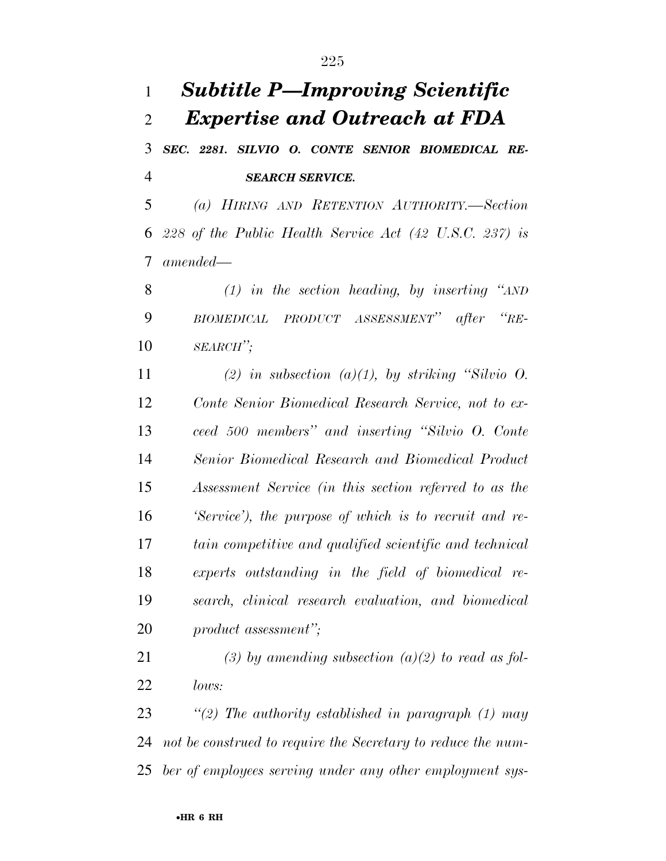## *Subtitle P—Improving Scientific Expertise and Outreach at FDA SEC. 2281. SILVIO O. CONTE SENIOR BIOMEDICAL RE- SEARCH SERVICE. (a) HIRING AND RETENTION AUTHORITY.—Section 228 of the Public Health Service Act (42 U.S.C. 237) is amended— (1) in the section heading, by inserting ''AND BIOMEDICAL PRODUCT ASSESSMENT'' after ''RE- SEARCH''; (2) in subsection (a)(1), by striking ''Silvio O. Conte Senior Biomedical Research Service, not to ex- ceed 500 members'' and inserting ''Silvio O. Conte Senior Biomedical Research and Biomedical Product Assessment Service (in this section referred to as the 'Service'), the purpose of which is to recruit and re- tain competitive and qualified scientific and technical experts outstanding in the field of biomedical re- search, clinical research evaluation, and biomedical product assessment''; (3) by amending subsection (a)(2) to read as fol- lows: ''(2) The authority established in paragraph (1) may*

 *not be construed to require the Secretary to reduce the num-ber of employees serving under any other employment sys-*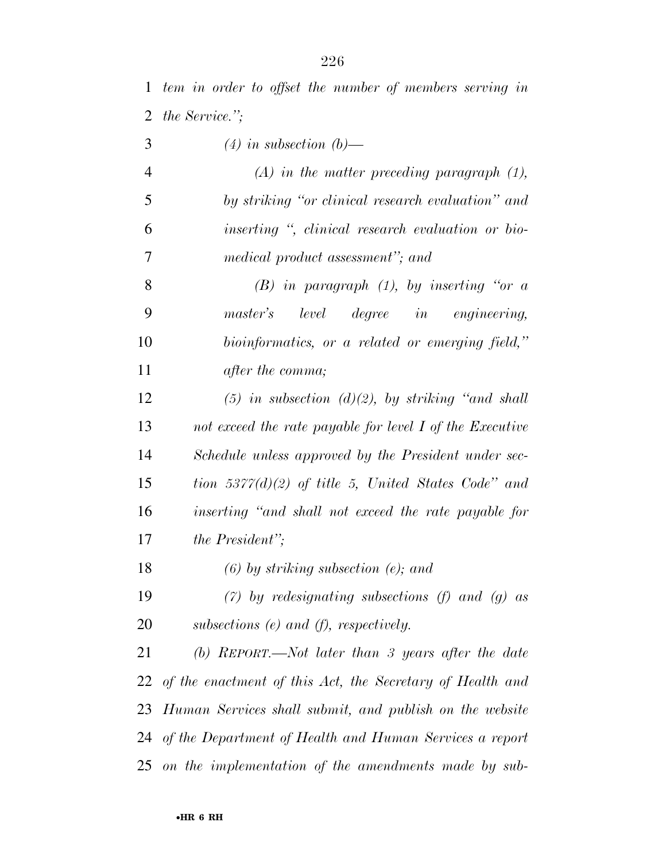| 3 |  |  | $(4)$ in subsection $(b)$ — |  |
|---|--|--|-----------------------------|--|
|---|--|--|-----------------------------|--|

 *(A) in the matter preceding paragraph (1), by striking ''or clinical research evaluation'' and inserting '', clinical research evaluation or bio-medical product assessment''; and* 

 *(B) in paragraph (1), by inserting ''or a master's level degree in engineering, bioinformatics, or a related or emerging field,'' after the comma;* 

 *(5) in subsection (d)(2), by striking ''and shall not exceed the rate payable for level I of the Executive Schedule unless approved by the President under sec- tion 5377(d)(2) of title 5, United States Code'' and inserting ''and shall not exceed the rate payable for the President'';* 

*(6) by striking subsection (e); and* 

 *(7) by redesignating subsections (f) and (g) as subsections (e) and (f), respectively.* 

 *(b) REPORT.—Not later than 3 years after the date of the enactment of this Act, the Secretary of Health and Human Services shall submit, and publish on the website of the Department of Health and Human Services a report on the implementation of the amendments made by sub-*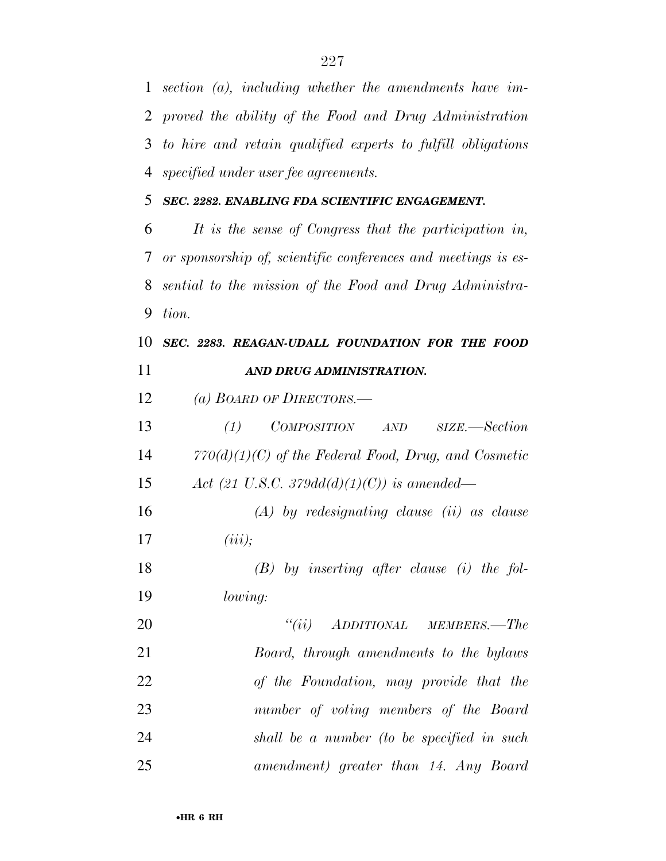*section (a), including whether the amendments have im- proved the ability of the Food and Drug Administration to hire and retain qualified experts to fulfill obligations specified under user fee agreements.* 

*SEC. 2282. ENABLING FDA SCIENTIFIC ENGAGEMENT.* 

 *It is the sense of Congress that the participation in, or sponsorship of, scientific conferences and meetings is es- sential to the mission of the Food and Drug Administra-tion.* 

 *SEC. 2283. REAGAN-UDALL FOUNDATION FOR THE FOOD AND DRUG ADMINISTRATION.* 

*(a) BOARD OF DIRECTORS.—* 

 *(1) COMPOSITION AND SIZE.—Section 770(d)(1)(C) of the Federal Food, Drug, and Cosmetic Act (21 U.S.C. 379dd(d)(1)(C)) is amended—* 

 *(A) by redesignating clause (ii) as clause (iii);* 

 *(B) by inserting after clause (i) the fol-lowing:* 

 *''(ii) ADDITIONAL MEMBERS.—The Board, through amendments to the bylaws of the Foundation, may provide that the number of voting members of the Board shall be a number (to be specified in such amendment) greater than 14. Any Board*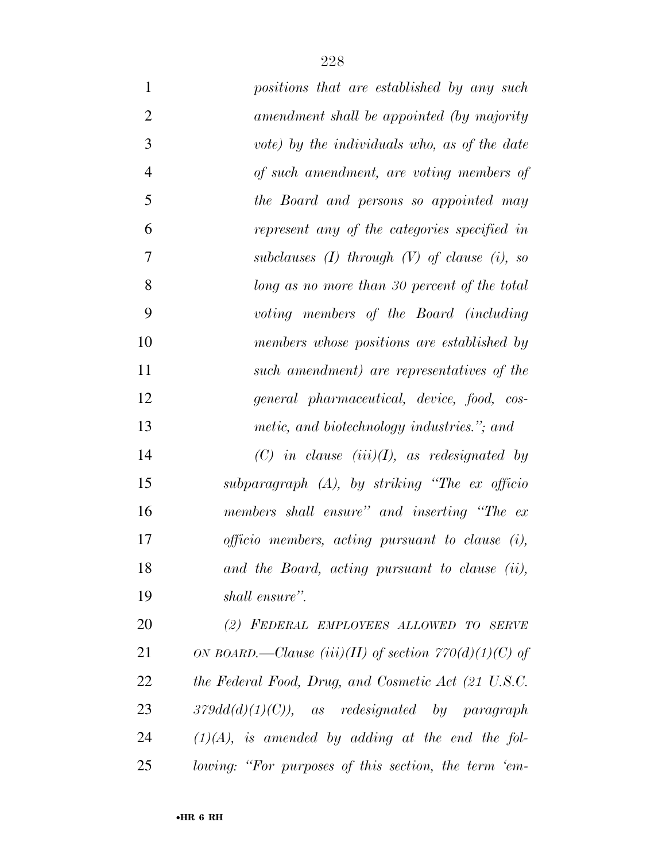| $\mathbf{1}$   | positions that are established by any such                |
|----------------|-----------------------------------------------------------|
| $\overline{2}$ | amendment shall be appointed (by majority                 |
| 3              | vote) by the individuals who, as of the date              |
| $\overline{4}$ | of such amendment, are voting members of                  |
| 5              | the Board and persons so appointed may                    |
| 6              | represent any of the categories specified in              |
| 7              | subclauses $(I)$ through $(V)$ of clause $(i)$ , so       |
| 8              | long as no more than 30 percent of the total              |
| 9              | voting members of the Board (including                    |
| 10             | members whose positions are established by                |
| 11             | such amendment) are representatives of the                |
| 12             | general pharmaceutical, device, food, cos-                |
| 13             | metic, and biotechnology industries."; and                |
| 14             | $(C)$ in clause $(iii)(I)$ , as redesignated by           |
| 15             | subparagraph $(A)$ , by striking "The ex officio          |
| 16             | members shall ensure" and inserting "The ex-              |
| 17             | <i>officio</i> members, acting pursuant to clause $(i)$ , |
| 18             | and the Board, acting pursuant to clause (ii),            |
| 19             | shall ensure".                                            |
| 20             | (2) FEDERAL EMPLOYEES ALLOWED TO SERVE                    |
| 21             | ON BOARD.—Clause (iii)(II) of section $770(d)(1)(C)$ of   |
| 22             | the Federal Food, Drug, and Cosmetic Act (21 U.S.C.       |
| 23             | $379dd(d)(1)(C)$ , as redesignated by paragraph           |
| 24             | $(1)(A)$ , is amended by adding at the end the fol-       |
| 25             | lowing: "For purposes of this section, the term 'em-      |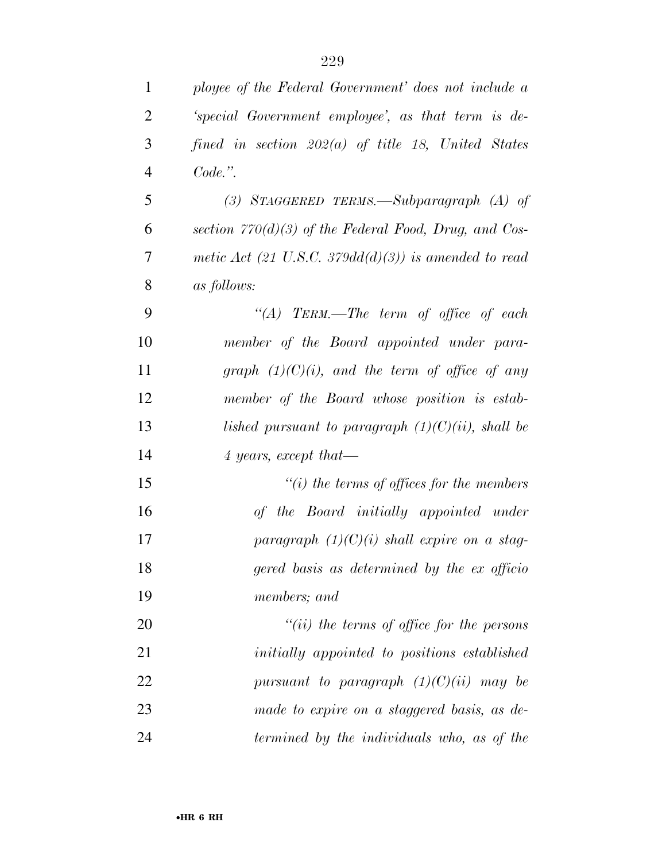| $\mathbf{1}$   | ployee of the Federal Government' does not include a    |
|----------------|---------------------------------------------------------|
| $\overline{2}$ | 'special Government employee', as that term is de-      |
| 3              | fined in section $202(a)$ of title 18, United States    |
| $\overline{4}$ | Code.".                                                 |
| 5              | (3) STAGGERED TERMS.—Subparagraph $(A)$ of              |
| 6              | section $770(d)(3)$ of the Federal Food, Drug, and Cos- |
| 7              | metic Act (21 U.S.C. 379dd(d)(3)) is amended to read    |
| 8              | <i>as follows:</i>                                      |
| 9              | "(A) TERM.—The term of office of each                   |
| 10             | member of the Board appointed under para-               |
| 11             | graph $(1)(C)(i)$ , and the term of office of any       |
| 12             | member of the Board whose position is estab-            |
| 13             | lished pursuant to paragraph $(1)(C)(ii)$ , shall be    |
| 14             | 4 years, except that—                                   |
| 15             | $\lq\lq(i)$ the terms of offices for the members        |
| 16             | of the Board initially appointed under                  |
| 17             | paragraph $(1)(C)(i)$ shall expire on a stag-           |
| 18             | gered basis as determined by the ex officio             |
| 19             | members; and                                            |
| 20             | $``(ii)$ the terms of office for the persons            |
| 21             | initially appointed to positions established            |
| 22             | pursuant to paragraph $(1)(C)(ii)$ may be               |
| 23             | made to expire on a staggered basis, as de-             |
| 24             | termined by the individuals who, as of the              |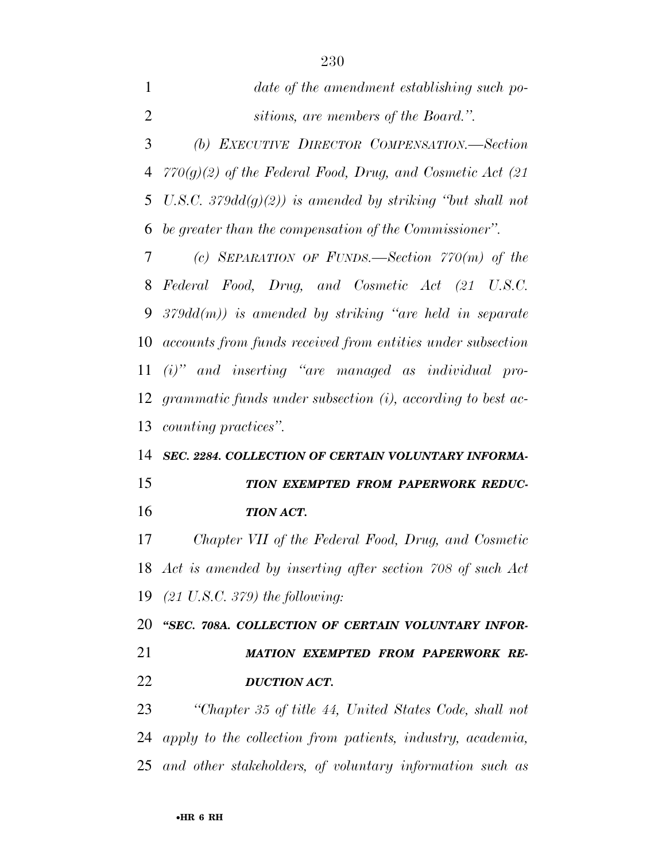*date of the amendment establishing such po- sitions, are members of the Board.''. (b) EXECUTIVE DIRECTOR COMPENSATION.—Section 770(g)(2) of the Federal Food, Drug, and Cosmetic Act (21 U.S.C. 379dd(g)(2)) is amended by striking ''but shall not be greater than the compensation of the Commissioner''. (c) SEPARATION OF FUNDS.—Section 770(m) of the Federal Food, Drug, and Cosmetic Act (21 U.S.C. 379dd(m)) is amended by striking ''are held in separate accounts from funds received from entities under subsection (i)'' and inserting ''are managed as individual pro- grammatic funds under subsection (i), according to best ac-counting practices''.* 

## *SEC. 2284. COLLECTION OF CERTAIN VOLUNTARY INFORMA-TION EXEMPTED FROM PAPERWORK REDUC-*

*TION ACT.* 

 *Chapter VII of the Federal Food, Drug, and Cosmetic Act is amended by inserting after section 708 of such Act (21 U.S.C. 379) the following:* 

 *''SEC. 708A. COLLECTION OF CERTAIN VOLUNTARY INFOR- MATION EXEMPTED FROM PAPERWORK RE-DUCTION ACT.* 

 *''Chapter 35 of title 44, United States Code, shall not apply to the collection from patients, industry, academia, and other stakeholders, of voluntary information such as*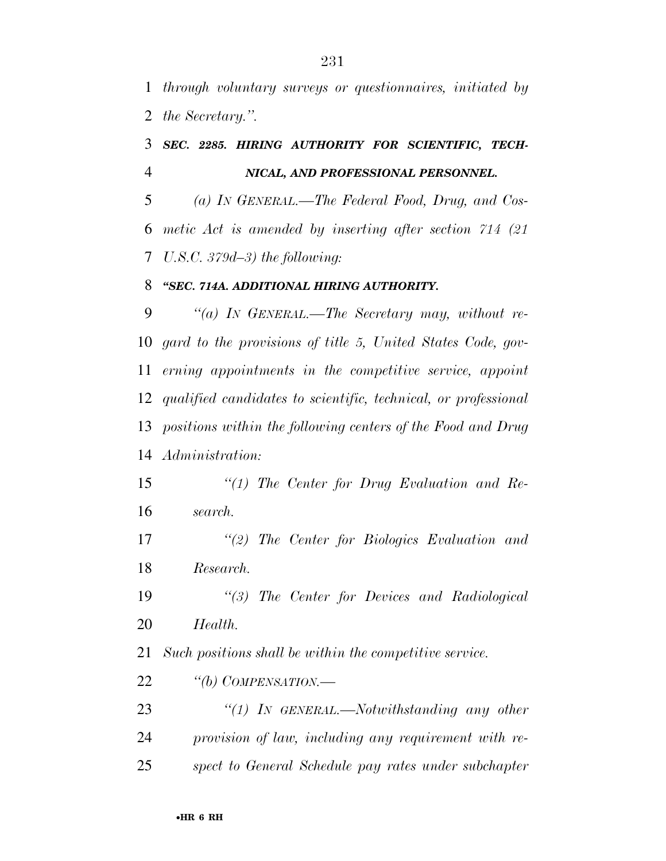*through voluntary surveys or questionnaires, initiated by the Secretary.''.* 

## *SEC. 2285. HIRING AUTHORITY FOR SCIENTIFIC, TECH-NICAL, AND PROFESSIONAL PERSONNEL.*

 *(a) IN GENERAL.—The Federal Food, Drug, and Cos- metic Act is amended by inserting after section 714 (21 U.S.C. 379d–3) the following:* 

## *''SEC. 714A. ADDITIONAL HIRING AUTHORITY.*

 *''(a) IN GENERAL.—The Secretary may, without re- gard to the provisions of title 5, United States Code, gov- erning appointments in the competitive service, appoint qualified candidates to scientific, technical, or professional positions within the following centers of the Food and Drug Administration:* 

 *''(1) The Center for Drug Evaluation and Re-search.* 

 *''(2) The Center for Biologics Evaluation and Research.* 

 *''(3) The Center for Devices and Radiological Health.* 

*Such positions shall be within the competitive service.* 

*''(b) COMPENSATION.—* 

 *''(1) IN GENERAL.—Notwithstanding any other provision of law, including any requirement with re-spect to General Schedule pay rates under subchapter*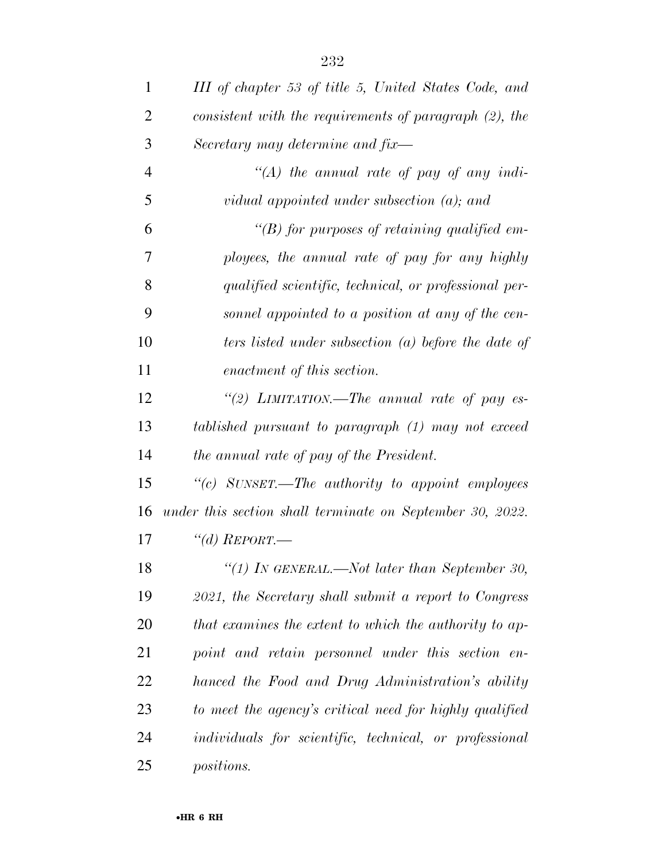| $\mathbf{1}$   | III of chapter 53 of title 5, United States Code, and     |
|----------------|-----------------------------------------------------------|
| $\overline{2}$ | consistent with the requirements of paragraph (2), the    |
| 3              | Secretary may determine and fix-                          |
| $\overline{4}$ | "(A) the annual rate of pay of any indi-                  |
| 5              | vidual appointed under subsection $(a)$ ; and             |
| 6              | "(B) for purposes of retaining qualified em-              |
| 7              | ployees, the annual rate of pay for any highly            |
| 8              | qualified scientific, technical, or professional per-     |
| 9              | sonnel appointed to a position at any of the cen-         |
| 10             | ters listed under subsection (a) before the date of       |
| 11             | enactment of this section.                                |
| 12             | "(2) LIMITATION.—The annual rate of pay es-               |
| 13             | tablished pursuant to paragraph (1) may not exceed        |
| 14             | the annual rate of pay of the President.                  |
| 15             | "(c) SUNSET.-The authority to appoint employees           |
| 16             | under this section shall terminate on September 30, 2022. |
| 17             | "(d) $REPORT$ —                                           |
| 18             | "(1) IN GENERAL.—Not later than September 30,             |
| 19             | 2021, the Secretary shall submit a report to Congress     |
| 20             | that examines the extent to which the authority to ap-    |
| 21             | point and retain personnel under this section en-         |
| 22             | hanced the Food and Drug Administration's ability         |
| 23             | to meet the agency's critical need for highly qualified   |
| 24             | individuals for scientific, technical, or professional    |
| 25             | <i>positions.</i>                                         |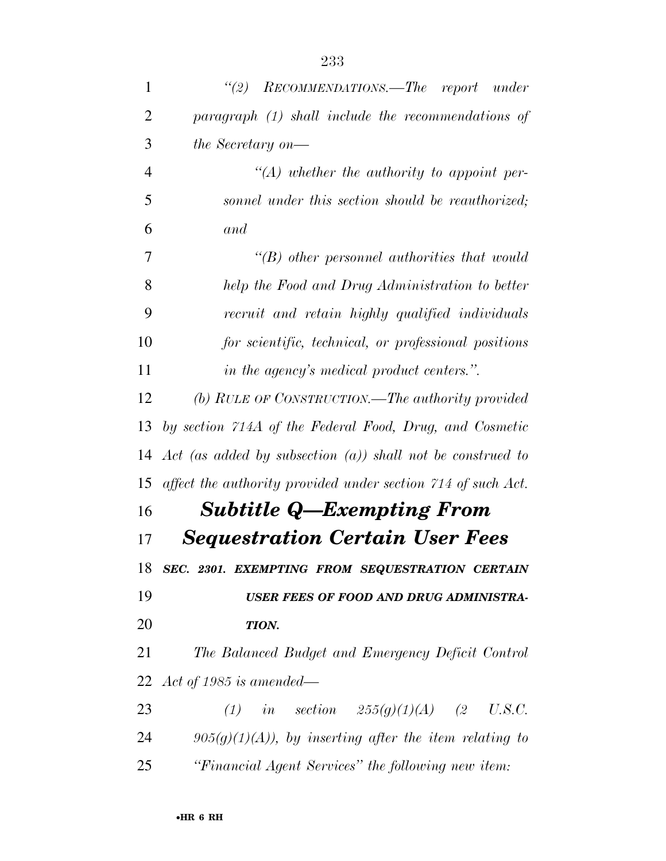| 1              | "(2) RECOMMENDATIONS.—The report under                        |
|----------------|---------------------------------------------------------------|
| $\overline{2}$ | paragraph (1) shall include the recommendations of            |
| 3              | <i>the Secretary on—</i>                                      |
| $\overline{4}$ | $\lq (A)$ whether the authority to appoint per-               |
| 5              | sonnel under this section should be reauthorized;             |
| 6              | and                                                           |
| 7              | $\lq\lq B$ other personnel authorities that would             |
| 8              | help the Food and Drug Administration to better               |
| 9              | recruit and retain highly qualified individuals               |
| 10             | for scientific, technical, or professional positions          |
| 11             | in the agency's medical product centers.".                    |
| 12             | (b) RULE OF CONSTRUCTION.—The authority provided              |
| 13             | by section 714A of the Federal Food, Drug, and Cosmetic       |
| 14             | Act (as added by subsection $(a)$ ) shall not be construed to |
| 15             | affect the authority provided under section 714 of such Act.  |
| 16             | <b>Subtitle Q—Exempting From</b>                              |
| 17             | <b>Sequestration Certain User Fees</b>                        |
|                | 18 SEC. 2301. EXEMPTING FROM SEQUESTRATION CERTAIN            |
| 19             | USER FEES OF FOOD AND DRUG ADMINISTRA-                        |
| 20             | TION.                                                         |
| 21             | The Balanced Budget and Emergency Deficit Control             |
|                | 22 $Act$ of 1985 is amended—                                  |
| 23             | (1) in section $255(g)(1)(A)$ (2 U.S.C.                       |
| 24             | $905(g)(1)(A)$ , by inserting after the item relating to      |
| 25             | "Financial Agent Services" the following new item:            |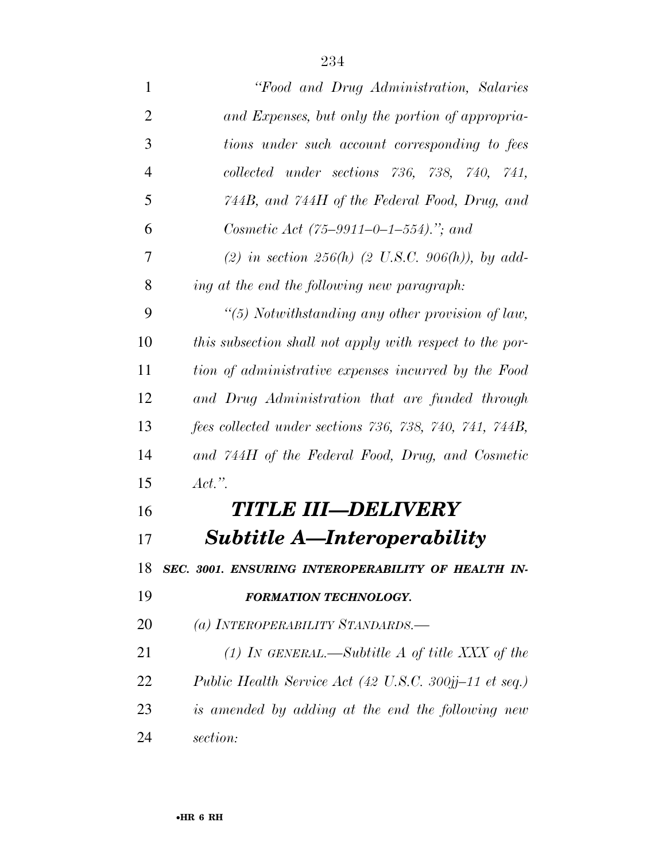| $\mathbf{1}$   | "Food and Drug Administration, Salaries"                 |
|----------------|----------------------------------------------------------|
| $\overline{2}$ | and Expenses, but only the portion of appropria-         |
| 3              | tions under such account corresponding to fees           |
| $\overline{4}$ | collected under sections 736, 738, 740, 741,             |
| 5              | 744B, and 744H of the Federal Food, Drug, and            |
| 6              | Cosmetic Act $(75-9911-0-1-554)$ ."; and                 |
| 7              | (2) in section 256(h) (2 U.S.C. 906(h)), by add-         |
| 8              | ing at the end the following new paragraph:              |
| 9              | "(5) Notwithstanding any other provision of law,         |
| 10             | this subsection shall not apply with respect to the por- |
| 11             | tion of administrative expenses incurred by the Food     |
| 12             | and Drug Administration that are funded through          |
| 13             | fees collected under sections 736, 738, 740, 741, 744B,  |
| 14             | and 744H of the Federal Food, Drug, and Cosmetic         |
| 15             | Act."                                                    |
| 16             | TITLE III—DELIVERY                                       |
| 17             | <b>Subtitle A—Interoperability</b>                       |
| 18             | SEC. 3001. ENSURING INTEROPERABILITY OF HEALTH IN-       |
| 19             | <b>FORMATION TECHNOLOGY.</b>                             |
| 20             | (a) INTEROPERABILITY STANDARDS.-                         |
| 21             | (1) In GENERAL.—Subtitle A of title XXX of the           |
| 22             | Public Health Service Act (42 U.S.C. 300jj-11 et seq.)   |
| 23             | is amended by adding at the end the following new        |
| 24             | section:                                                 |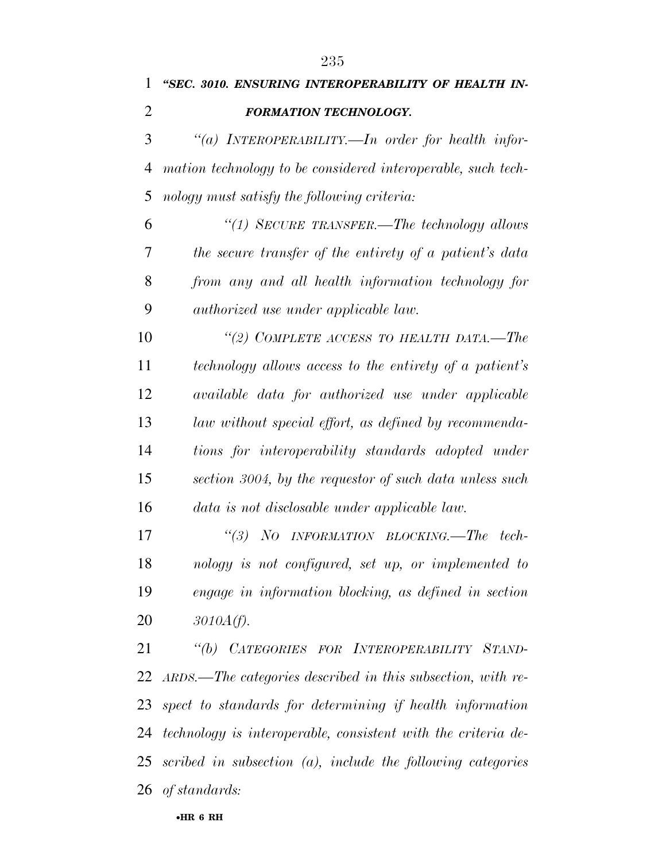*''SEC. 3010. ENSURING INTEROPERABILITY OF HEALTH IN-*

| $\overline{2}$ | <b>FORMATION TECHNOLOGY.</b>                                   |
|----------------|----------------------------------------------------------------|
| 3              | "(a) INTEROPERABILITY.—In order for health infor-              |
| $\overline{4}$ | mation technology to be considered interoperable, such tech-   |
| 5              | nology must satisfy the following criteria:                    |
| 6              | "(1) SECURE TRANSFER.—The technology allows                    |
| 7              | the secure transfer of the entirety of a patient's data        |
| 8              | from any and all health information technology for             |
| 9              | <i>authorized</i> use under applicable law.                    |
| 10             | "(2) COMPLETE ACCESS TO HEALTH DATA,—The                       |
| 11             | technology allows access to the entirety of a patient's        |
| 12             | available data for authorized use under applicable             |
| 13             | law without special effort, as defined by recommenda-          |
| 14             | tions for interoperability standards adopted under             |
| 15             | section 3004, by the requestor of such data unless such        |
| 16             | data is not disclosable under applicable law.                  |
| 17             | "(3) NO INFORMATION BLOCKING.—The tech-                        |
| 18             | nology is not configured, set up, or implemented to            |
| 19             | engage in information blocking, as defined in section          |
| 20             | $3010A(f)$ .                                                   |
| 21             | "(b) CATEGORIES FOR INTEROPERABILITY STAND-                    |
| 22             | $ARDS.$ —The categories described in this subsection, with re- |
| 23             | spect to standards for determining if health information       |
| 24             | technology is interoperable, consistent with the criteria de-  |
| 25             | scribed in subsection $(a)$ , include the following categories |
|                | 26 of standards:                                               |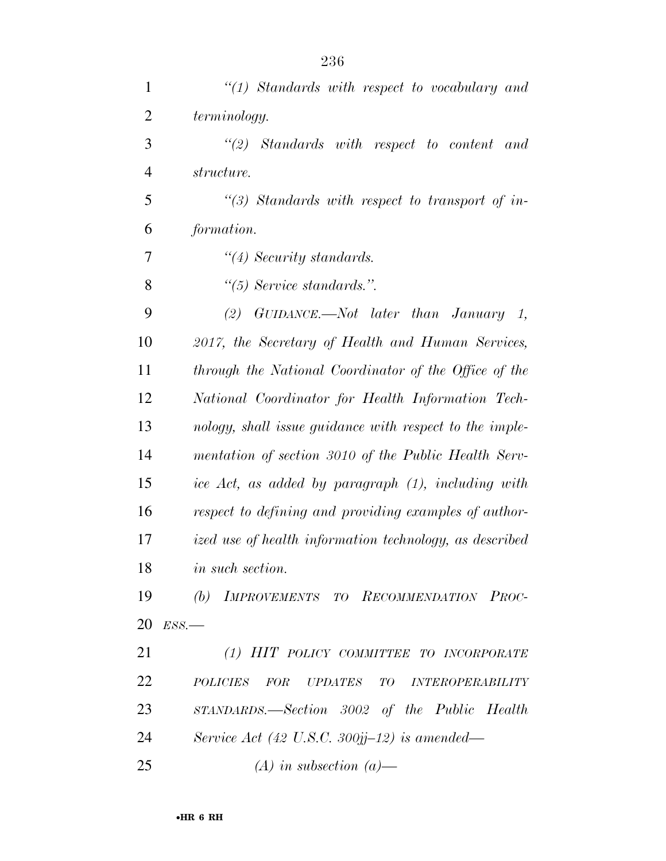| $\mathbf{1}$   | $\lq(1)$ Standards with respect to vocabulary and       |
|----------------|---------------------------------------------------------|
| $\overline{c}$ | terminology.                                            |
| 3              | $\lq(2)$ Standards with respect to content and          |
| $\overline{4}$ | structure.                                              |
| 5              | $\lq(3)$ Standards with respect to transport of in-     |
| 6              | formation.                                              |
| 7              | $\lq(4)$ Security standards.                            |
| 8              | $\lq(5)$ Service standards.".                           |
| 9              | (2) GUIDANCE.—Not later than January 1,                 |
| 10             | 2017, the Secretary of Health and Human Services,       |
| 11             | through the National Coordinator of the Office of the   |
| 12             | National Coordinator for Health Information Tech-       |
| 13             | nology, shall issue guidance with respect to the imple- |
| 14             | mentation of section 3010 of the Public Health Serv-    |
| 15             | ice Act, as added by paragraph (1), including with      |
| 16             | respect to defining and providing examples of author-   |
| 17             | ized use of health information technology, as described |
| 18             | in such section.                                        |
| 19             | (b) IMPROVEMENTS TO RECOMMENDATION PROC-                |
| 20             | $ESS$ .                                                 |
| 21             | (1) HIT POLICY COMMITTEE TO INCORPORATE                 |
| 22             | POLICIES FOR UPDATES TO INTEROPERABILITY                |
| 23             | STANDARDS.—Section 3002 of the Public Health            |
| 24             | Service Act (42 U.S.C. 300jj-12) is amended—            |
| 25             | $(A)$ in subsection $(a)$ —                             |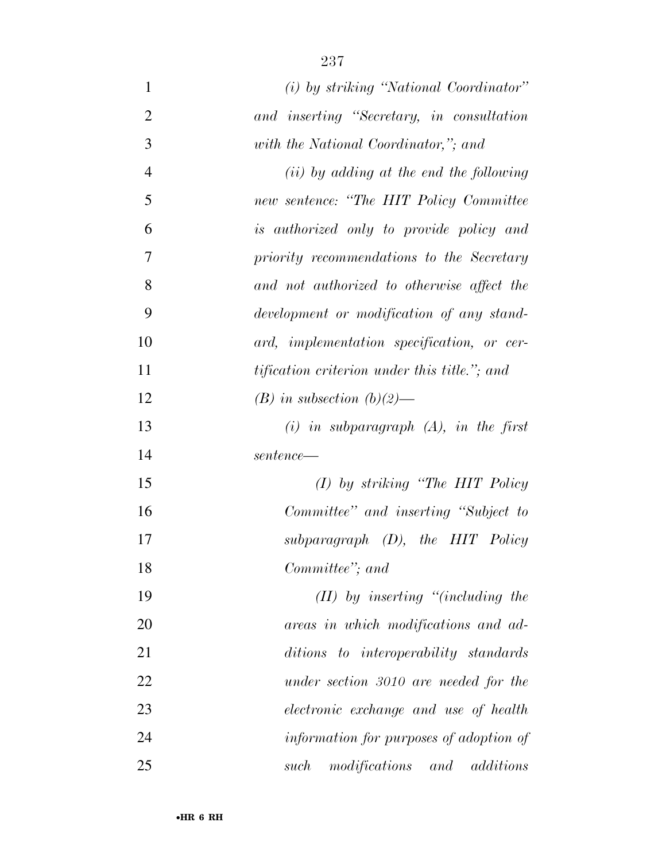| $\mathbf{1}$   | (i) by striking "National Coordinator"               |
|----------------|------------------------------------------------------|
| $\overline{2}$ | and inserting "Secretary, in consultation            |
| 3              | with the National Coordinator,"; and                 |
| 4              | $(ii)$ by adding at the end the following            |
| 5              | new sentence: "The HIT Policy Committee              |
| 6              | is authorized only to provide policy and             |
| 7              | priority recommendations to the Secretary            |
| 8              | and not authorized to otherwise affect the           |
| 9              | development or modification of any stand-            |
| 10             | ard, implementation specification, or cer-           |
| 11             | <i>tification criterion under this title."</i> ; and |
| 12             | $(B)$ in subsection $(b)(2)$ —                       |
| 13             | $(i)$ in subparagraph $(A)$ , in the first           |
| 14             | $sentence$ —                                         |
| 15             | $(I)$ by striking "The HIT Policy"                   |
| 16             | Committee" and inserting "Subject to                 |
| 17             | $subparagnph$ (D), the HIT Policy                    |
| 18             | Committee"; and                                      |
| 19             | $(II)$ by inserting "(including the                  |
| 20             | areas in which modifications and ad-                 |
| 21             | ditions to interoperability standards                |
| 22             | under section 3010 are needed for the                |
| 23             | electronic exchange and use of health                |
| 24             | information for purposes of adoption of              |
| 25             | modifications and<br>additions<br>such               |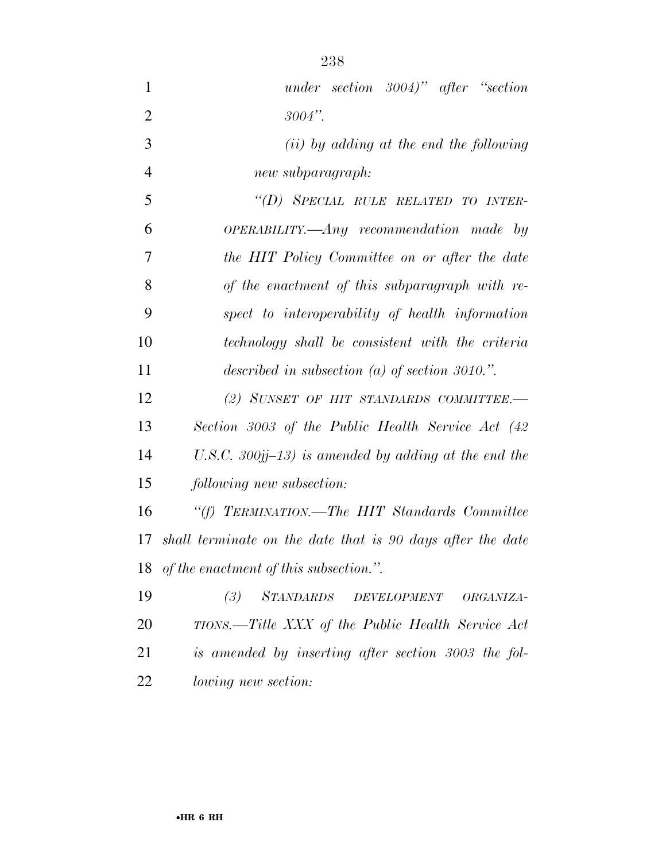| $\mathbf{1}$   | under section $3004$ " after "section                                     |
|----------------|---------------------------------------------------------------------------|
| $\overline{2}$ | $3004"$ .                                                                 |
| 3              | $(ii)$ by adding at the end the following                                 |
| $\overline{4}$ | new subparagraph:                                                         |
| 5              | "(D) SPECIAL RULE RELATED TO INTER-                                       |
| 6              | $OPERABILITY. \longrightarrow \longrightarrow Any$ recommendation made by |
| 7              | the HIT Policy Committee on or after the date                             |
| 8              | of the enactment of this subparagraph with re-                            |
| 9              | spect to interoperability of health information                           |
| 10             | technology shall be consistent with the criteria                          |
| 11             | described in subsection (a) of section 3010.".                            |
| 12             | (2) SUNSET OF HIT STANDARDS COMMITTEE.-                                   |
| 13             | Section 3003 of the Public Health Service Act (42                         |
| 14             | U.S.C. 300jj-13) is amended by adding at the end the                      |
| 15             | following new subsection:                                                 |
| 16             | "(f) TERMINATION.—The HIT Standards Committee                             |
| 17             | shall terminate on the date that is 90 days after the date                |
|                | 18 of the enactment of this subsection.".                                 |
| 19             | (3) STANDARDS DEVELOPMENT<br>ORGANIZA-                                    |
| 20             | TIONS.—Title XXX of the Public Health Service Act                         |
| 21             | is amended by inserting after section 3003 the fol-                       |
| 22             | <i>lowing new section:</i>                                                |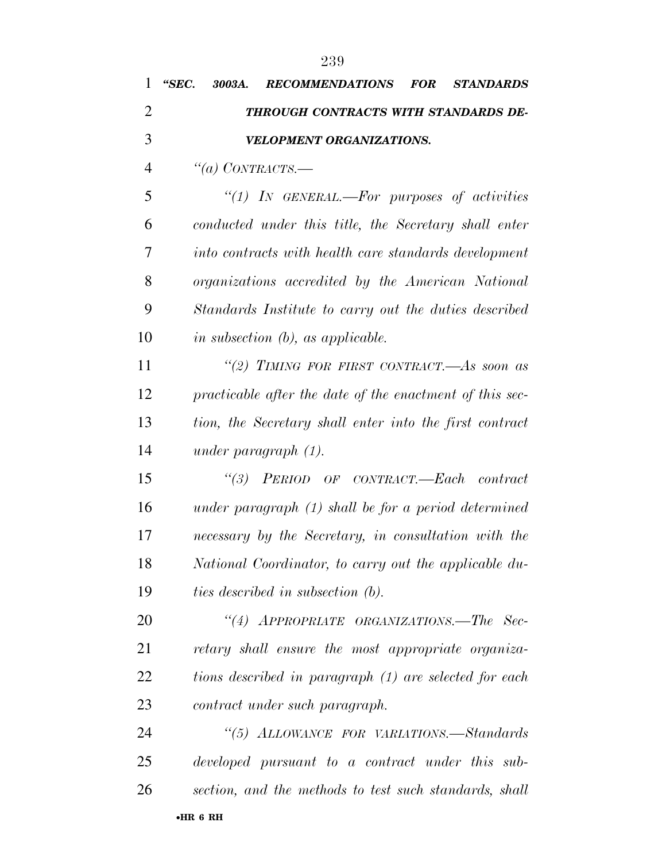| 1              | "SEC.<br><b>RECOMMENDATIONS</b><br>3003A.                | <b>FOR</b> | <b>STANDARDS</b> |
|----------------|----------------------------------------------------------|------------|------------------|
| $\overline{2}$ | THROUGH CONTRACTS WITH STANDARDS DE-                     |            |                  |
| 3              | VELOPMENT ORGANIZATIONS.                                 |            |                  |
| 4              | "(a) CONTRACTS.—                                         |            |                  |
| 5              | "(1) IN GENERAL.—For purposes of activities              |            |                  |
| 6              | conducted under this title, the Secretary shall enter    |            |                  |
| 7              | into contracts with health care standards development    |            |                  |
| 8              | organizations accredited by the American National        |            |                  |
| 9              | Standards Institute to carry out the duties described    |            |                  |
| 10             | in subsection $(b)$ , as applicable.                     |            |                  |
| 11             | "(2) TIMING FOR FIRST CONTRACT.—As soon as               |            |                  |
| 12             | practicable after the date of the enactment of this sec- |            |                  |
| 13             | tion, the Secretary shall enter into the first contract  |            |                  |
| 14             | under paragraph $(1)$ .                                  |            |                  |
| 15             | "(3) PERIOD OF CONTRACT.—Each contract                   |            |                  |
| 16             | under paragraph $(1)$ shall be for a period determined   |            |                  |
| 17             | necessary by the Secretary, in consultation with the     |            |                  |
| 18             | National Coordinator, to carry out the applicable du-    |            |                  |
| 19             | <i>ties described in subsection (b).</i>                 |            |                  |
| 20             | "(4) APPROPRIATE ORGANIZATIONS.—The Sec-                 |            |                  |
| 21             | retary shall ensure the most appropriate organiza-       |            |                  |
| 22             | tions described in paragraph (1) are selected for each   |            |                  |
| 23             | contract under such paragraph.                           |            |                  |
| 24             | "(5) ALLOWANCE FOR VARIATIONS.—Standards                 |            |                  |
| 25             | developed pursuant to a contract under this sub-         |            |                  |
| 26             | section, and the methods to test such standards, shall   |            |                  |
|                |                                                          |            |                  |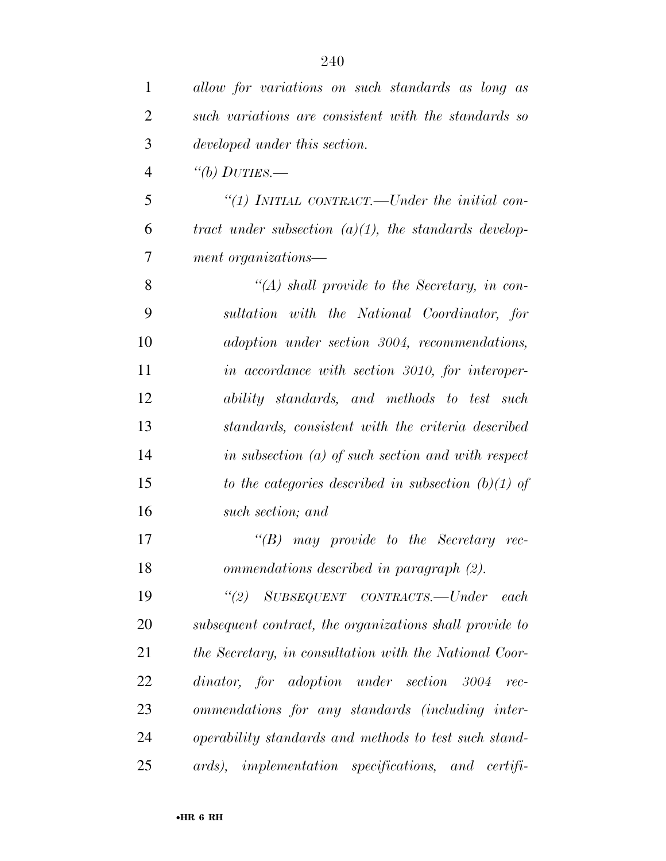| 1              | allow for variations on such standards as long as        |
|----------------|----------------------------------------------------------|
| $\overline{2}$ | such variations are consistent with the standards so     |
| 3              | developed under this section.                            |
| $\overline{4}$ | "(b) $DUTIES$ .                                          |
| 5              | "(1) INITIAL CONTRACT.—Under the initial con-            |
| 6              | tract under subsection $(a)(1)$ , the standards develop- |
| 7              | ment organizations—                                      |
| 8              | $\lq (A)$ shall provide to the Secretary, in con-        |
| 9              | sultation with the National Coordinator, for             |
| 10             | adoption under section 3004, recommendations,            |
| 11             | in accordance with section 3010, for interoper-          |
| 12             | ability standards, and methods to test such              |
| 13             | standards, consistent with the criteria described        |
| 14             | in subsection $(a)$ of such section and with respect     |
| 15             | to the categories described in subsection $(b)(1)$ of    |
| 16             | such section; and                                        |
| 17             | $\lq\lq(B)$ may provide to the Secretary rec-            |
| 18             | ommendations described in paragraph (2).                 |
| 19             | "(2) SUBSEQUENT CONTRACTS.—Under<br>each                 |
| 20             | subsequent contract, the organizations shall provide to  |
| 21             | the Secretary, in consultation with the National Coor-   |
| 22             | dinator, for adoption under section 3004<br>$rec-$       |
| 23             | ommendations for any standards (including inter-         |
| 24             | operability standards and methods to test such stand-    |
| 25             | ards), implementation specifications, and certifi-       |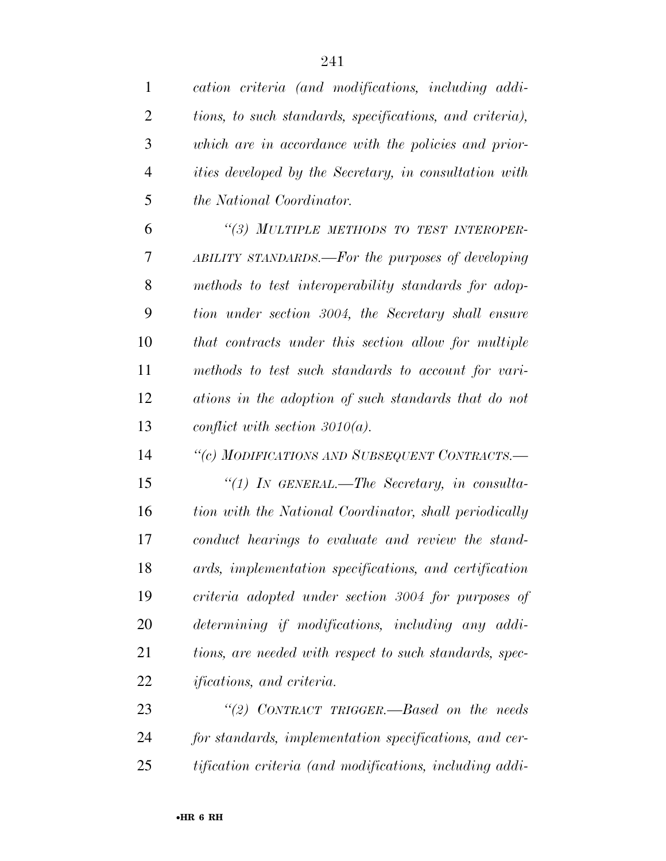| $\mathbf 1$    | cation criteria (and modifications, including addi-           |
|----------------|---------------------------------------------------------------|
| $\overline{2}$ | tions, to such standards, specifications, and criteria),      |
| 3              | which are in accordance with the policies and prior-          |
| $\overline{4}$ | <i>ities developed by the Secretary, in consultation with</i> |
| 5              | <i>the National Coordinator.</i>                              |
| 6              | "(3) MULTIPLE METHODS TO TEST INTEROPER-                      |
| 7              | ABILITY STANDARDS.—For the purposes of developing             |
| 8              | methods to test interoperability standards for adop-          |
| 9              | tion under section 3004, the Secretary shall ensure           |
| 10             | that contracts under this section allow for multiple          |
| 11             | methods to test such standards to account for vari-           |
| 12             | ations in the adoption of such standards that do not          |
| 13             | conflict with section $3010(a)$ .                             |
| 14             | "(c) MODIFICATIONS AND SUBSEQUENT CONTRACTS.-                 |
| 15             | "(1) IN GENERAL.—The Secretary, in consulta-                  |
| 16             | tion with the National Coordinator, shall periodically        |
| 17             | conduct hearings to evaluate and review the stand-            |
| 18             | ards, implementation specifications, and certification        |
| 19             | criteria adopted under section 3004 for purposes of           |
| 20             | determining if modifications, including any addi-             |
| 21             | tions, are needed with respect to such standards, spec-       |
| 22             | <i>ifications, and criteria.</i>                              |
| 23             | "(2) CONTRACT TRIGGER.—Based on the needs                     |
| 24             | for standards, implementation specifications, and cer-        |

*tification criteria (and modifications, including addi-*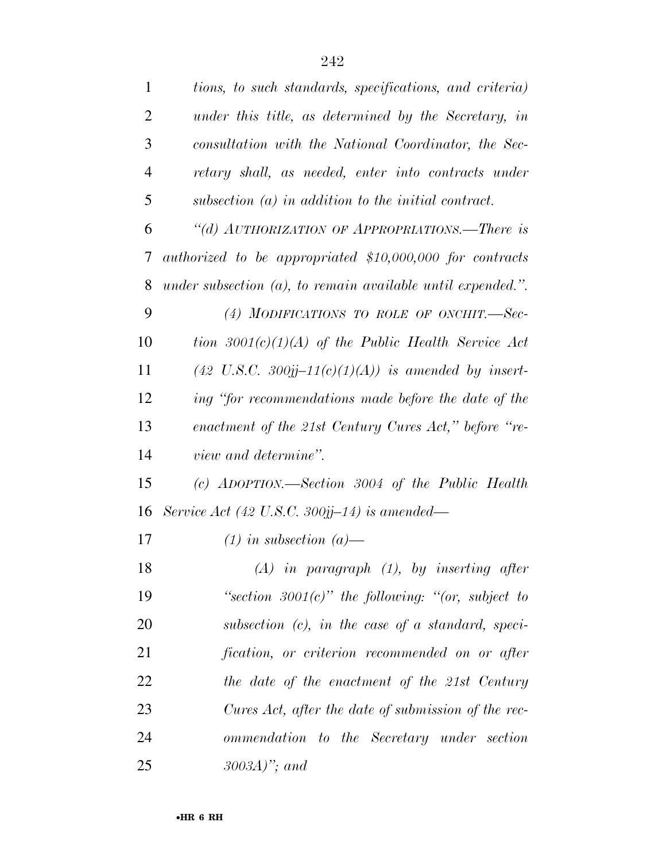| $\mathbf{1}$   | tions, to such standards, specifications, and criteria)               |
|----------------|-----------------------------------------------------------------------|
| $\overline{2}$ | under this title, as determined by the Secretary, in                  |
| 3              | consultation with the National Coordinator, the Sec-                  |
| 4              | retary shall, as needed, enter into contracts under                   |
| 5              | subsection $(a)$ in addition to the initial contract.                 |
| 6              | "(d) AUTHORIZATION OF APPROPRIATIONS.—There is                        |
| 7              | authorized to be appropriated \$10,000,000 for contracts              |
| 8              | under subsection $(a)$ , to remain available until expended.".        |
| 9              | (4) MODIFICATIONS TO ROLE OF ONCHIT.-Sec-                             |
| 10             | tion $3001(c)(1)(A)$ of the Public Health Service Act                 |
| 11             | $(42 \text{ U.S.C. } 300j\text{j}-11(c)(1)(A))$ is amended by insert- |
| 12             | ing "for recommendations made before the date of the                  |
| 13             | enactment of the 21st Century Cures Act," before "re-                 |
| 14             | view and determine".                                                  |
| 15             | (c) $ADOPTION$ .—Section 3004 of the Public Health                    |
| 16             | Service Act (42 U.S.C. 300jj-14) is amended—                          |
| 17             | $(1)$ in subsection $(a)$ —                                           |
| 18             | $(A)$ in paragraph $(1)$ , by inserting after                         |
| 19             | "section $3001(c)$ " the following: "(or, subject to                  |
| 20             | subsection $(c)$ , in the case of a standard, speci-                  |
| 21             | fication, or criterion recommended on or after                        |
| 22             | the date of the enactment of the 21st Century                         |
| 23             | Cures Act, after the date of submission of the rec-                   |
| 24             | ommendation to the Secretary under section                            |
| 25             | $3003A$ ''; and                                                       |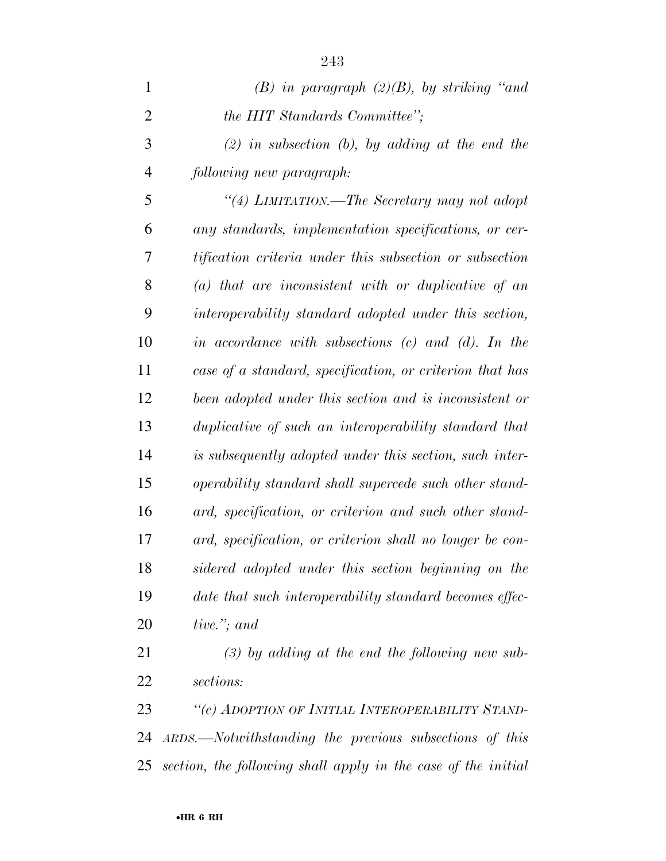| $\mathbf{1}$   | $(B)$ in paragraph $(2)(B)$ , by striking "and           |
|----------------|----------------------------------------------------------|
| $\overline{2}$ | the HIT Standards Committee";                            |
| 3              | $(2)$ in subsection (b), by adding at the end the        |
| $\overline{4}$ | following new paragraph:                                 |
| 5              | "(4) LIMITATION.—The Secretary may not adopt             |
| 6              | any standards, implementation specifications, or cer-    |
| 7              | tification criteria under this subsection or subsection  |
| 8              | $(a)$ that are inconsistent with or duplicative of an    |
| 9              | interoperability standard adopted under this section,    |
| 10             | in accordance with subsections $(c)$ and $(d)$ . In the  |
| 11             | case of a standard, specification, or criterion that has |
| 12             | been adopted under this section and is inconsistent or   |
| 13             | duplicative of such an interoperability standard that    |
| 14             | is subsequently adopted under this section, such inter-  |
| 15             | operability standard shall supercede such other stand-   |
| 16             | ard, specification, or criterion and such other stand-   |
| 17             | ard, specification, or criterion shall no longer be con- |
| 18             | sidered adopted under this section beginning on the      |
| 19             | date that such interoperability standard becomes effec-  |
| 20             | tive."; and                                              |
| 21             | $(3)$ by adding at the end the following new sub-        |

*sections:* 

 *''(c) ADOPTION OF INITIAL INTEROPERABILITY STAND- ARDS.—Notwithstanding the previous subsections of this section, the following shall apply in the case of the initial*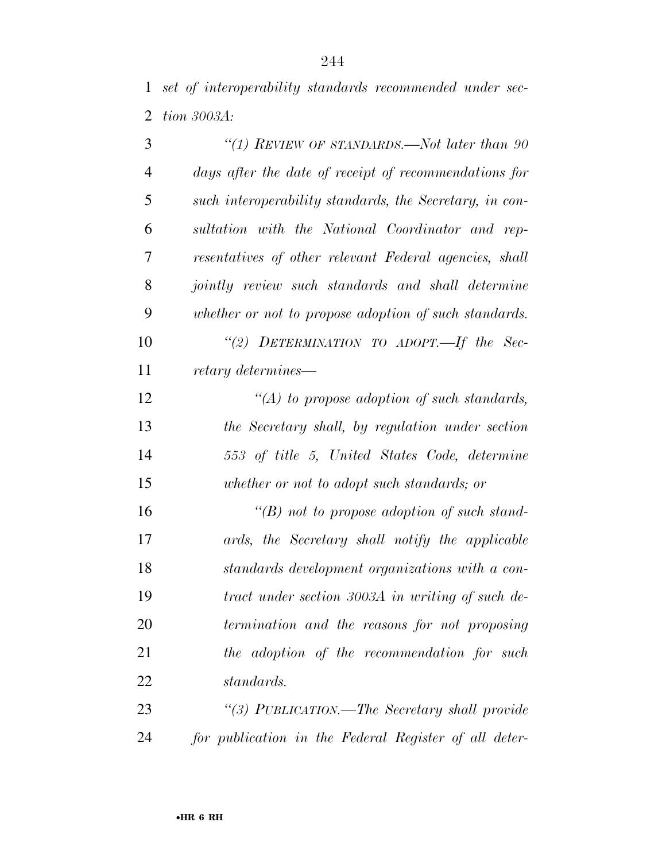*set of interoperability standards recommended under sec-tion 3003A:* 

| 3              | "(1) REVIEW OF STANDARDS.—Not later than $90$           |
|----------------|---------------------------------------------------------|
| $\overline{4}$ | days after the date of receipt of recommendations for   |
| 5              | such interoperability standards, the Secretary, in con- |
| 6              | sultation with the National Coordinator and rep-        |
| 7              | resentatives of other relevant Federal agencies, shall  |
| 8              | jointly review such standards and shall determine       |
| 9              | whether or not to propose adoption of such standards.   |
| 10             | "(2) DETERMINATION TO ADOPT.—If the Sec-                |
| 11             | retary determines—                                      |
| 12             | "(A) to propose adoption of such standards,             |
| 13             | the Secretary shall, by regulation under section        |
| 14             | 553 of title 5, United States Code, determine           |
| 15             | whether or not to adopt such standards; or              |
| 16             | "(B) not to propose adoption of such stand-             |
| 17             | ards, the Secretary shall notify the applicable         |
| 18             | standards development organizations with a con-         |
| 19             | tract under section 3003A in writing of such de-        |
| 20             | termination and the reasons for not proposing           |
| 21             | the adoption of the recommendation for such             |
| 22             | standards.                                              |
| 23             | "(3) PUBLICATION.—The Secretary shall provide           |
| 24             | for publication in the Federal Register of all deter-   |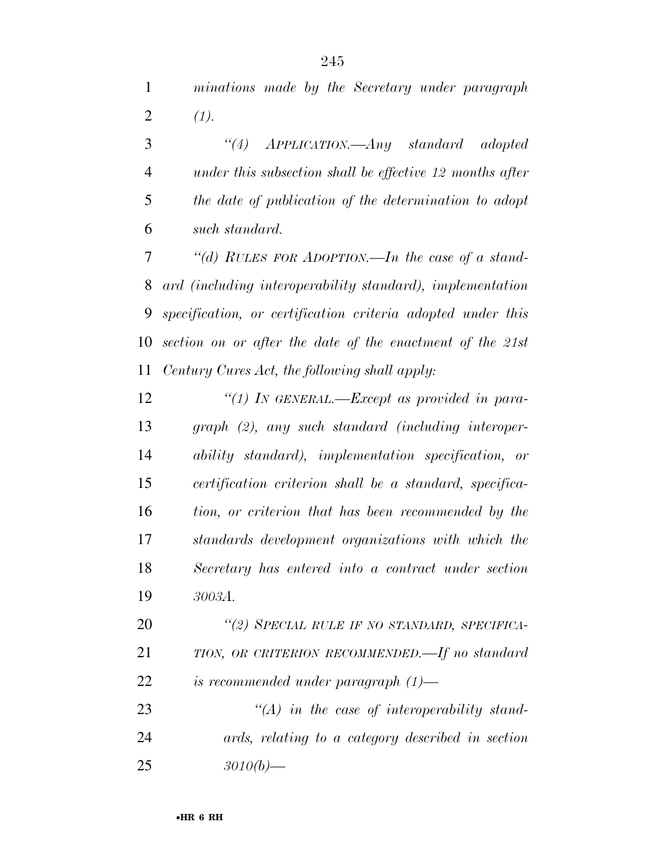*minations made by the Secretary under paragraph*  2  $(1)$ .

 *''(4) APPLICATION.—Any standard adopted under this subsection shall be effective 12 months after the date of publication of the determination to adopt such standard.* 

 *''(d) RULES FOR ADOPTION.—In the case of a stand- ard (including interoperability standard), implementation specification, or certification criteria adopted under this section on or after the date of the enactment of the 21st Century Cures Act, the following shall apply:* 

 *''(1) IN GENERAL.—Except as provided in para- graph (2), any such standard (including interoper- ability standard), implementation specification, or certification criterion shall be a standard, specifica- tion, or criterion that has been recommended by the standards development organizations with which the Secretary has entered into a contract under section 3003A.* 

 *''(2) SPECIAL RULE IF NO STANDARD, SPECIFICA- TION, OR CRITERION RECOMMENDED.—If no standard is recommended under paragraph (1)—* 

 *''(A) in the case of interoperability stand- ards, relating to a category described in section 3010(b)—*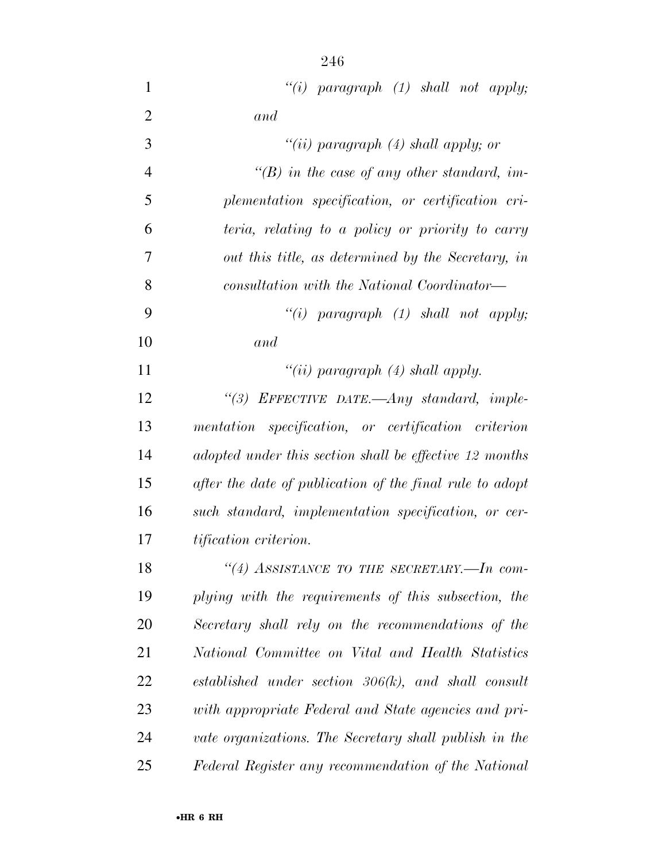*''(i) paragraph (1) shall not apply; and ''(ii) paragraph (4) shall apply; or ''(B) in the case of any other standard, im- plementation specification, or certification cri- teria, relating to a policy or priority to carry out this title, as determined by the Secretary, in consultation with the National Coordinator— ''(i) paragraph (1) shall not apply; and ''(ii) paragraph (4) shall apply. ''(3) EFFECTIVE DATE.—Any standard, imple- mentation specification, or certification criterion adopted under this section shall be effective 12 months after the date of publication of the final rule to adopt such standard, implementation specification, or cer- tification criterion. ''(4) ASSISTANCE TO THE SECRETARY.—In com-*

 *plying with the requirements of this subsection, the Secretary shall rely on the recommendations of the National Committee on Vital and Health Statistics established under section 306(k), and shall consult with appropriate Federal and State agencies and pri- vate organizations. The Secretary shall publish in the Federal Register any recommendation of the National*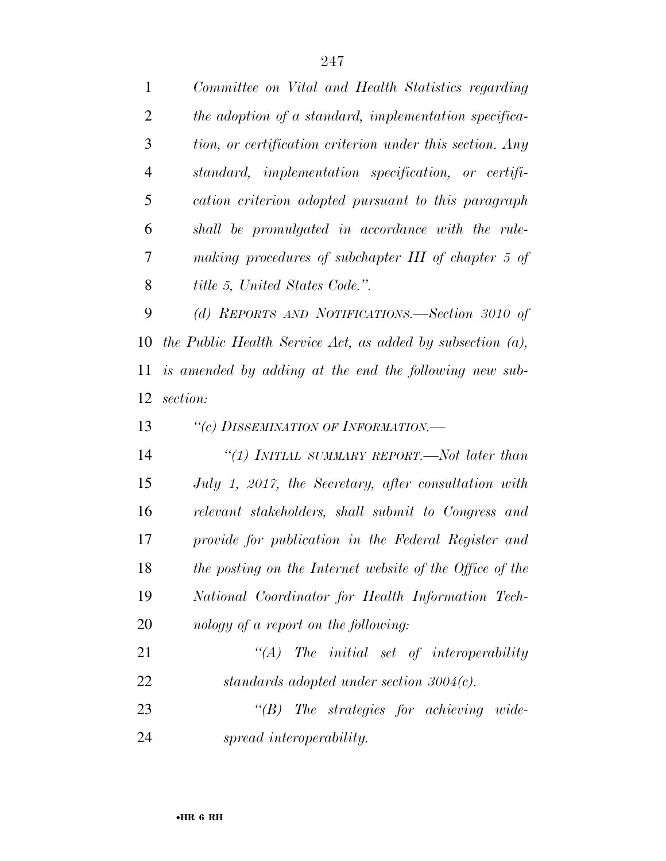*Committee on Vital and Health Statistics regarding the adoption of a standard, implementation specifica- tion, or certification criterion under this section. Any standard, implementation specification, or certifi- cation criterion adopted pursuant to this paragraph shall be promulgated in accordance with the rule- making procedures of subchapter III of chapter 5 of title 5, United States Code.''.* 

 *(d) REPORTS AND NOTIFICATIONS.—Section 3010 of the Public Health Service Act, as added by subsection (a), is amended by adding at the end the following new sub-section:* 

*''(c) DISSEMINATION OF INFORMATION.—* 

 *''(1) INITIAL SUMMARY REPORT.—Not later than July 1, 2017, the Secretary, after consultation with relevant stakeholders, shall submit to Congress and provide for publication in the Federal Register and the posting on the Internet website of the Office of the National Coordinator for Health Information Tech-nology of a report on the following:* 

 *''(A) The initial set of interoperability standards adopted under section 3004(c). ''(B) The strategies for achieving wide-*

*spread interoperability.*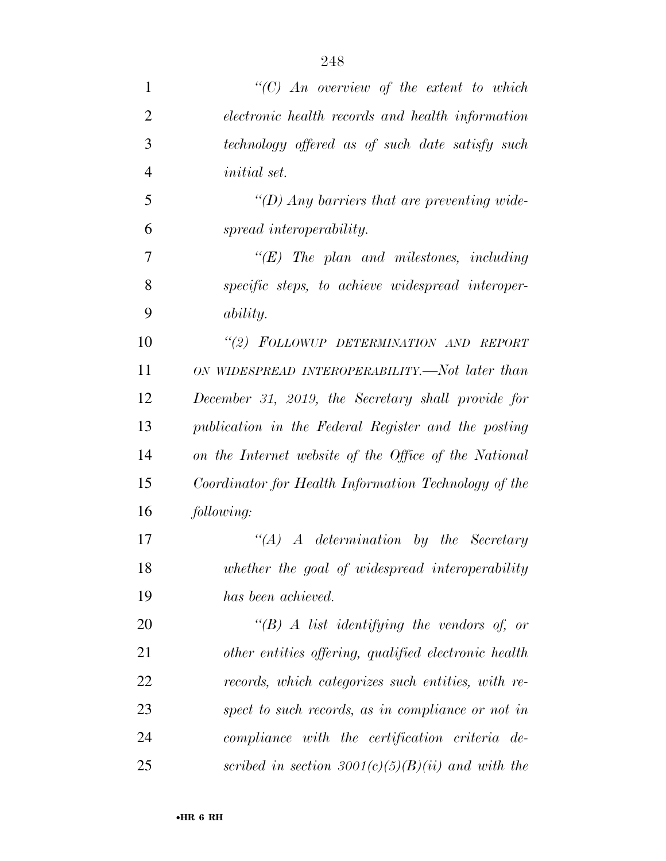| 1              | $\lq\lq C$ An overview of the extent to which         |
|----------------|-------------------------------------------------------|
| $\overline{2}$ | electronic health records and health information      |
| 3              | technology offered as of such date satisfy such       |
| $\overline{4}$ | <i>initial</i> set.                                   |
| 5              | $\lq (D)$ Any barriers that are preventing wide-      |
| 6              | spread interoperability.                              |
| 7              | $\lq\lq (E)$ The plan and milestones, including       |
| 8              | specific steps, to achieve widespread interoper-      |
| 9              | <i>ability.</i>                                       |
| 10             | "(2) FOLLOWUP DETERMINATION AND REPORT                |
| 11             | ON WIDESPREAD INTEROPERABILITY.—Not later than        |
| 12             | December 31, 2019, the Secretary shall provide for    |
| 13             | publication in the Federal Register and the posting   |
| 14             | on the Internet website of the Office of the National |
| 15             | Coordinator for Health Information Technology of the  |
| 16             | following:                                            |
| 17             | $\lq\lq (A)$ A determination by the Secretary         |
| 18             | whether the goal of widespread interoperability       |
| 19             | has been achieved.                                    |
| 20             | $\lq\lq(B)$ A list identifying the vendors of, or     |
| 21             | other entities offering, qualified electronic health  |
| 22             | records, which categorizes such entities, with re-    |
| 23             | spect to such records, as in compliance or not in     |
| 24             | compliance with the certification criteria de-        |
| 25             | scribed in section $3001(c)(5)(B)(ii)$ and with the   |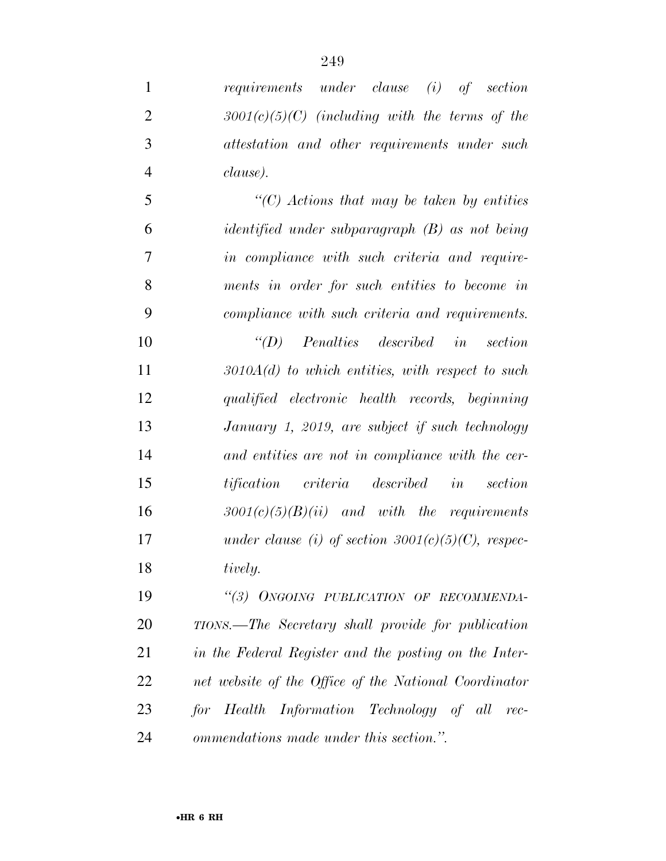*requirements under clause (i) of section 3001(c)(5)(C) (including with the terms of the attestation and other requirements under such clause). ''(C) Actions that may be taken by entities identified under subparagraph (B) as not being in compliance with such criteria and require- ments in order for such entities to become in compliance with such criteria and requirements. ''(D) Penalties described in section 3010A(d) to which entities, with respect to such qualified electronic health records, beginning January 1, 2019, are subject if such technology* 

 *and entities are not in compliance with the cer- tification criteria described in section 3001(c)(5)(B)(ii) and with the requirements under clause (i) of section 3001(c)(5)(C), respec-tively.* 

 *''(3) ONGOING PUBLICATION OF RECOMMENDA- TIONS.—The Secretary shall provide for publication in the Federal Register and the posting on the Inter- net website of the Office of the National Coordinator for Health Information Technology of all rec-ommendations made under this section.''.*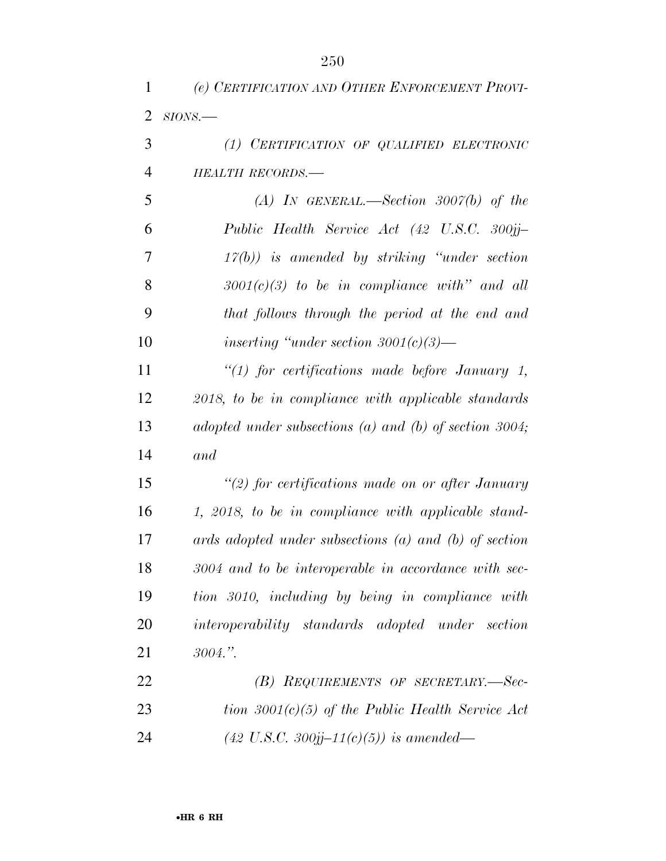*(e) CERTIFICATION AND OTHER ENFORCEMENT PROVI-*

| 2              | $SIONS$ .                                                 |
|----------------|-----------------------------------------------------------|
| 3              | (1) CERTIFICATION OF QUALIFIED ELECTRONIC                 |
| $\overline{4}$ | <b>HEALTH RECORDS.-</b>                                   |
| 5              | (A) IN GENERAL.—Section 3007(b) of the                    |
| 6              | Public Health Service Act (42 U.S.C. 300jj-               |
| 7              | $17(b)$ ) is amended by striking "under section"          |
| 8              | $3001(c)(3)$ to be in compliance with" and all            |
| 9              | that follows through the period at the end and            |
| 10             | inserting "under section $3001(c)(3)$ —                   |
| 11             | " $(1)$ for certifications made before January 1,         |
| 12             | 2018, to be in compliance with applicable standards       |
| 13             | adopted under subsections (a) and (b) of section 3004;    |
| 14             | and                                                       |
| 15             | $\lq(2)$ for certifications made on or after January      |
| 16             | 1, 2018, to be in compliance with applicable stand-       |
| 17             | ards adopted under subsections $(a)$ and $(b)$ of section |
| 18             | 3004 and to be interoperable in accordance with sec-      |
| 19             | tion 3010, including by being in compliance with          |
| 20             | interoperability standards adopted under section          |
| 21             | 3004."                                                    |
| 22             | (B) REQUIREMENTS OF SECRETARY.-Sec-                       |
| 23             | tion $3001(c)(5)$ of the Public Health Service Act        |
| 24             | $(42 \text{ U.S.C. } 300j\text{j}-11(c)(5))$ is amended—  |
|                |                                                           |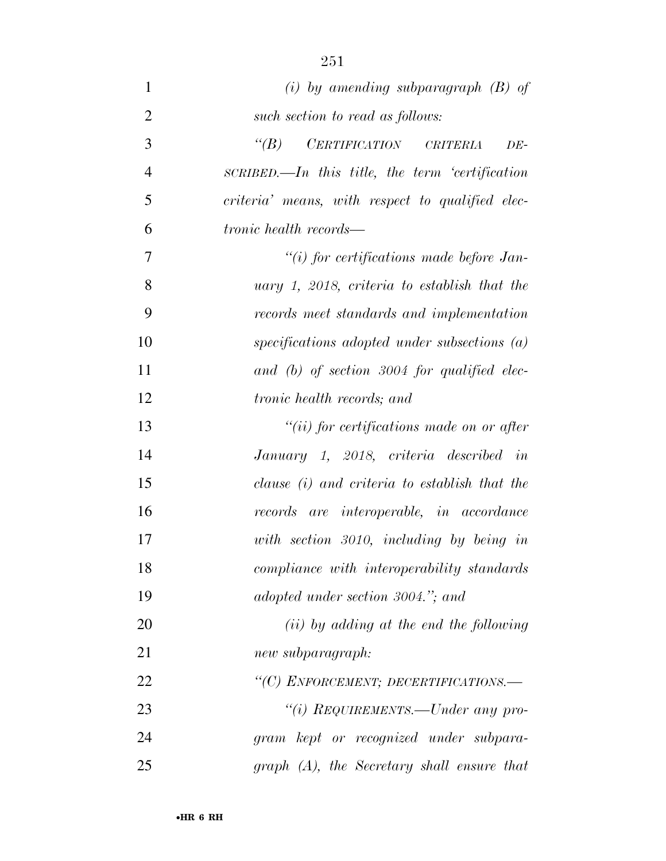| 1              | (i) by amending subparagraph $(B)$ of             |
|----------------|---------------------------------------------------|
| $\overline{2}$ | such section to read as follows:                  |
| 3              | $\lq (B)$<br>CERTIFICATION CRITERIA<br>DE-        |
| $\overline{4}$ | $SCRIBED$ —In this title, the term 'certification |
| 5              | criteria' means, with respect to qualified elec-  |
| 6              | <i>tronic health records—</i>                     |
| 7              | $``(i)$ for certifications made before Jan-       |
| 8              | uary $1, 2018,$ criteria to establish that the    |
| 9              | records meet standards and implementation         |
| 10             | specifications adopted under subsections $(a)$    |
| 11             | and (b) of section $3004$ for qualified elec-     |
| 12             | <i>tronic health records; and</i>                 |
| 13             | $``(ii)$ for certifications made on or after      |
| 14             | January 1, 2018, criteria described in            |
| 15             | clause (i) and criteria to establish that the     |
| 16             | records are interoperable, in accordance          |
| 17             | with section 3010, including by being in          |
| 18             | compliance with interoperability standards        |
| 19             | adopted under section 3004."; and                 |
| 20             | (ii) by adding at the end the following           |
| 21             | new subparagraph:                                 |
| 22             | "(C) ENFORCEMENT; DECERTIFICATIONS.-              |
| 23             | "(i) REQUIREMENTS.—Under any pro-                 |
| 24             | gram kept or recognized under subpara-            |
| 25             | $graph(A)$ , the Secretary shall ensure that      |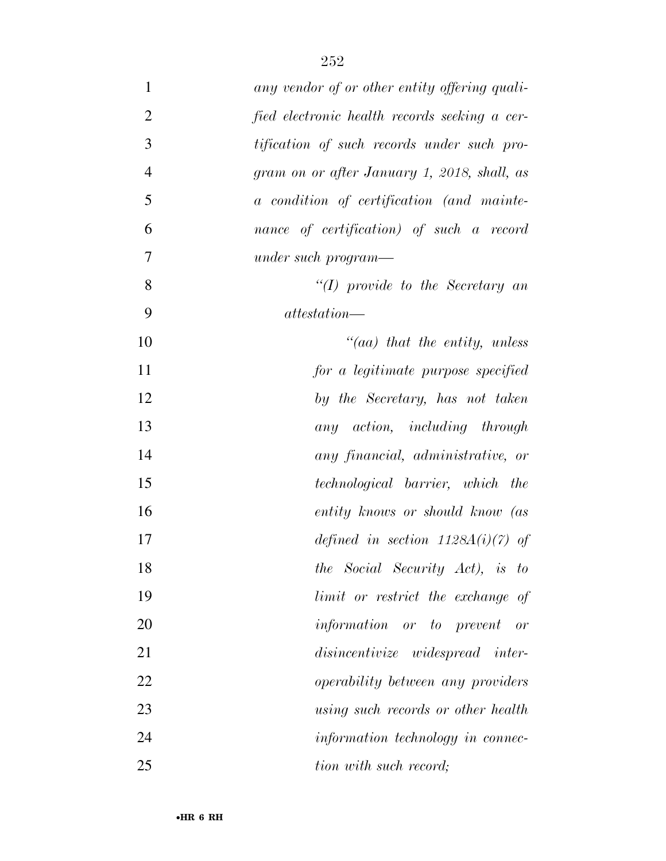| $\mathbf{1}$   | any vendor of or other entity offering quali- |
|----------------|-----------------------------------------------|
| $\overline{2}$ | fied electronic health records seeking a cer- |
| 3              | tification of such records under such pro-    |
| $\overline{4}$ | gram on or after January 1, 2018, shall, as   |
| 5              | a condition of certification (and mainte-     |
| 6              | nance of certification) of such a record      |
| 7              | under such program—                           |
| 8              | $\lq (I)$ provide to the Secretary and        |
| 9              | at testation                                  |
| 10             | $\mathcal{C}(aa)$ that the entity, unless     |
| 11             | for a legitimate purpose specified            |
| 12             | by the Secretary, has not taken               |
| 13             | any action, including through                 |
| 14             | any financial, administrative, or             |
| 15             | <i>technological barrier, which the</i>       |
| 16             | entity knows or should know (as               |
| 17             | defined in section $1128A(i)(7)$ of           |
| 18             | the Social Security Act), is to               |
| 19             | limit or restrict the exchange of             |
| 20             | <i>information or to prevent or</i>           |
| 21             | disincentivize widespread inter-              |
| 22             | <i>operability between any providers</i>      |
| 23             | using such records or other health            |
| 24             | information technology in connec-             |
| 25             | tion with such record;                        |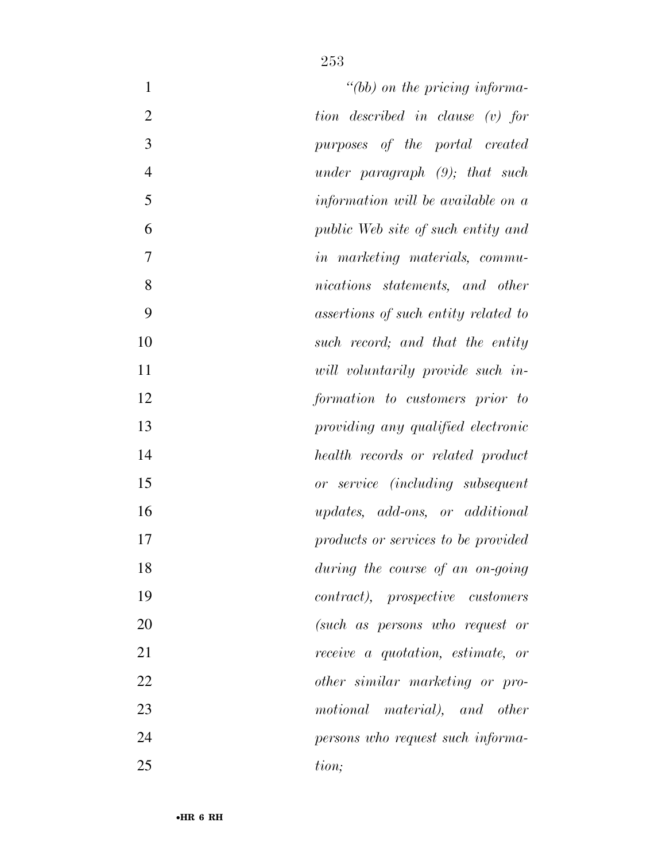| $\mathbf{1}$   | $\degree$ (bb) on the pricing informa-          |
|----------------|-------------------------------------------------|
| $\overline{2}$ | tion described in clause (v) for                |
| 3              | purposes of the portal created                  |
| $\overline{4}$ | under paragraph $(9)$ ; that such               |
| 5              | information will be available on a              |
| 6              | public Web site of such entity and              |
| $\tau$         | <i>in marketing materials, commu-</i>           |
| 8              | nications statements, and other                 |
| 9              | assertions of such entity related to            |
| 10             | such record; and that the entity                |
| 11             | will voluntarily provide such in-               |
| 12             | formation to customers prior to                 |
| 13             | providing any qualified electronic              |
| 14             | health records or related product               |
| 15             | or service (including subsequent                |
| 16             | <i>updates, add-ons, or additional</i>          |
| 17             | products or services to be provided             |
| 18             | during the course of an on-going                |
| 19             | <i>contract</i> ), <i>prospective customers</i> |
| 20             | (such as persons who request or                 |
| 21             | receive a quotation, estimate, or               |
| 22             | other similar marketing or pro-                 |
| 23             | motional material), and other                   |
| 24             | persons who request such informa-               |
| 25             | tion;                                           |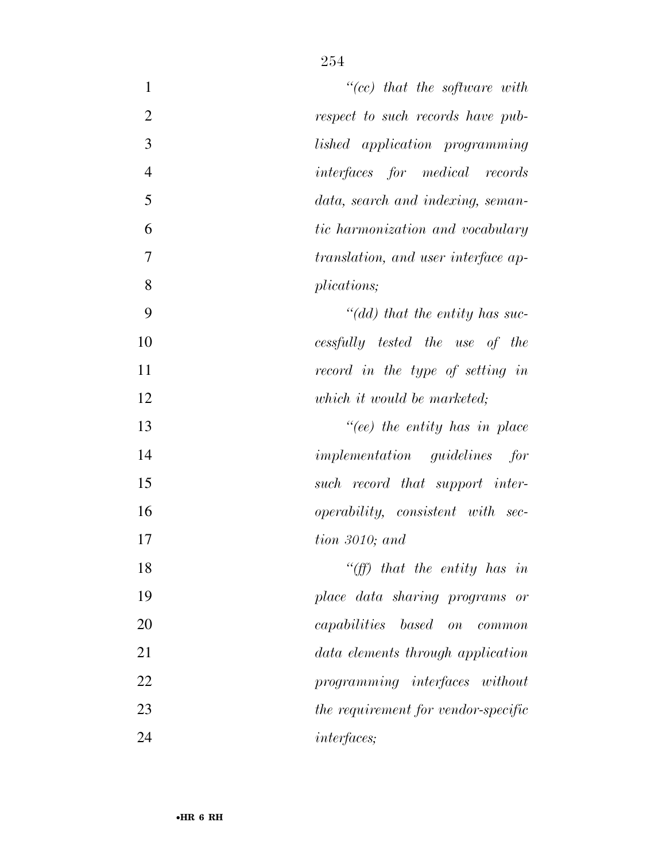| $\mathbf{1}$   | $``(cc)$ that the software with          |
|----------------|------------------------------------------|
| $\overline{2}$ | respect to such records have pub-        |
| 3              | lished application programming           |
| $\overline{4}$ | <i>interfaces</i> for medical records    |
| 5              | data, search and indexing, seman-        |
| 6              | tic harmonization and vocabulary         |
| 7              | translation, and user interface ap-      |
| 8              | plications;                              |
| 9              | "(dd) that the entity has suc-           |
| 10             | cessfully tested the use of the          |
| 11             | record in the type of setting in         |
| 12             | which it would be marketed;              |
| 13             | $" (ee)$ the entity has in place         |
| 14             | <i>implementation guidelines</i> for     |
| 15             | such record that support inter-          |
| 16             | <i>operability, consistent with sec-</i> |
| 17             | $tion\;3010;$ and                        |
| 18             | "(ff) that the entity has in             |
| 19             | place data sharing programs or           |
| 20             | <i>capabilities based on common</i>      |
| 21             | data elements through application        |
| 22             | programming interfaces without           |
| 23             | the requirement for vendor-specific      |
| 24             | <i>interfaces</i> ;                      |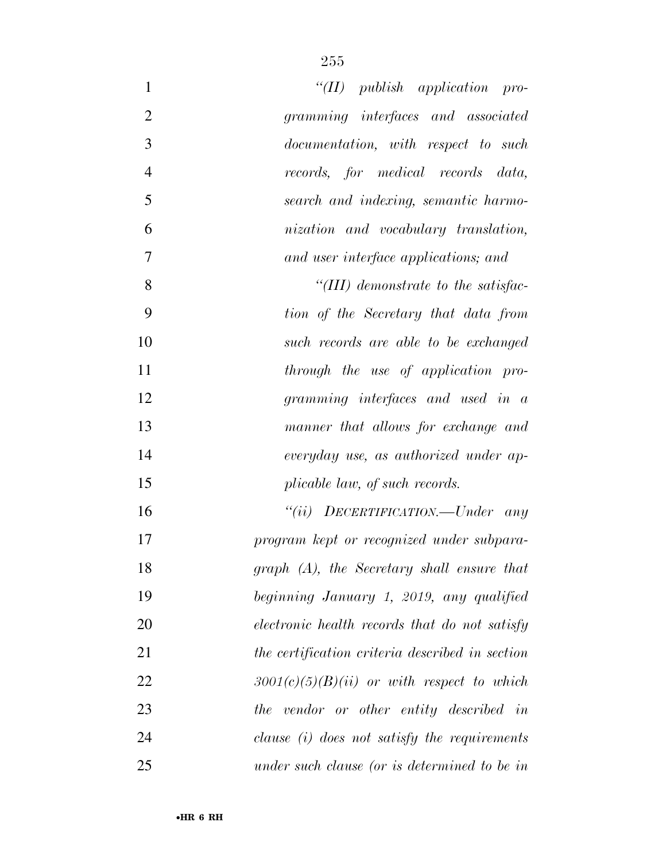| $\mathbf{1}$<br>" $(II)$ publish application pro-      |  |
|--------------------------------------------------------|--|
| $\overline{2}$<br>gramming interfaces and associated   |  |
| 3<br>documentation, with respect to such               |  |
| $\overline{4}$<br>records, for medical records data,   |  |
| 5<br>search and indexing, semantic harmo-              |  |
| 6<br>nization and vocabulary translation,              |  |
| $\overline{7}$<br>and user interface applications; and |  |
| 8<br>"(III) demonstrate to the satisfac-               |  |
| 9<br>tion of the Secretary that data from              |  |
| 10<br>such records are able to be exchanged            |  |
| 11<br>through the use of application pro-              |  |
| 12<br>gramming interfaces and used in a                |  |
| 13<br>manner that allows for exchange and              |  |
| 14<br>everyday use, as authorized under ap-            |  |
| 15<br>plicable law, of such records.                   |  |
| "(ii) $DECEPTIFICATION$ -Under any<br>16               |  |
| 17<br>program kept or recognized under subpara-        |  |
| $graph (A)$ , the Secretary shall ensure that<br>18    |  |
| 19<br>beginning January 1, 2019, any qualified         |  |
| 20<br>electronic health records that do not satisfy    |  |
| 21<br>the certification criteria described in section  |  |
| 22<br>$3001(c)(5)(B)(ii)$ or with respect to which     |  |
| 23<br>the vendor or other entity described in          |  |
| 24<br>clause $(i)$ does not satisfy the requirements   |  |
| 25<br>under such clause (or is determined to be in     |  |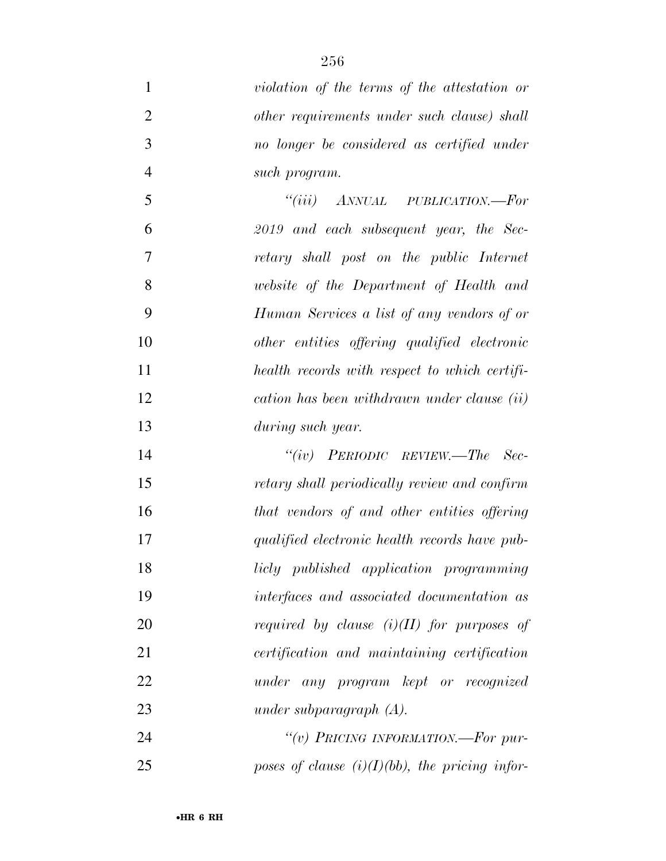| $\mathbf{1}$   | violation of the terms of the attestation or      |
|----------------|---------------------------------------------------|
| $\overline{2}$ | other requirements under such clause) shall       |
| 3              | no longer be considered as certified under        |
| $\overline{4}$ | such program.                                     |
| 5              | "(iii) $ANNUAL$ PUBLICATION.—For                  |
| 6              | 2019 and each subsequent year, the Sec-           |
| 7              | retary shall post on the public Internet          |
| 8              | website of the Department of Health and           |
| 9              | Human Services a list of any vendors of or        |
| 10             | other entities offering qualified electronic      |
| 11             | health records with respect to which certifi-     |
| 12             | cation has been withdrawn under clause (ii)       |
| 13             | during such year.                                 |
| 14             | "(iv) $PERIODIC$ $REVIEW. - The$ $Sec-$           |
| 15             | retary shall periodically review and confirm      |
| 16             | that vendors of and other entities offering       |
| 17             | qualified electronic health records have pub-     |
| 18             | licly published application programming           |
| 19             | interfaces and associated documentation as        |
| 20             | required by clause $(i)(II)$ for purposes of      |
| 21             | certification and maintaining certification       |
| 22             | under any program kept or recognized              |
| 23             | under subparagraph $(A)$ .                        |
| 24             | "(v) PRICING INFORMATION.—For pur-                |
| 25             | poses of clause $(i)(I)(bb)$ , the pricing infor- |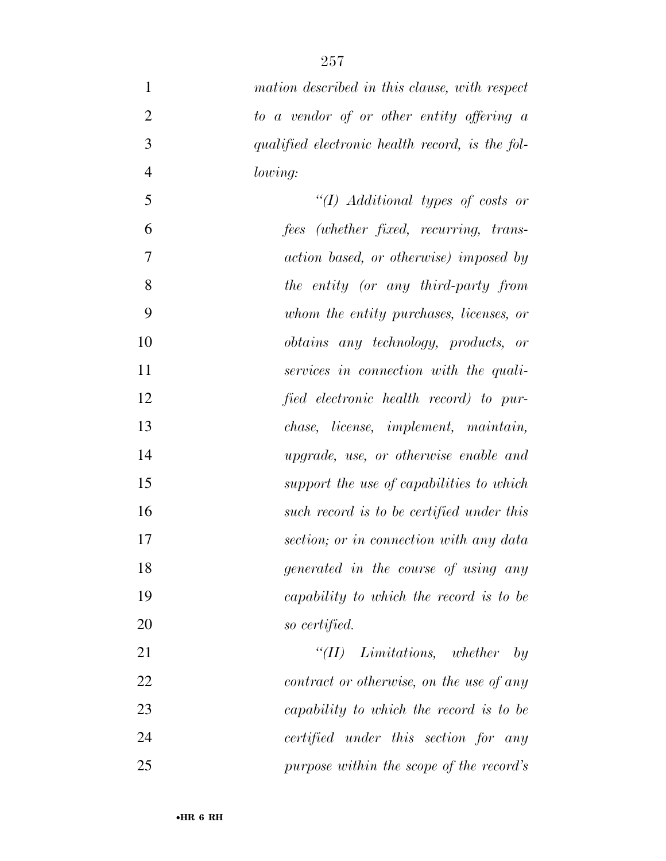| $\mathbf{1}$   | mation described in this clause, with respect   |
|----------------|-------------------------------------------------|
| $\overline{2}$ | to a vendor of or other entity offering a       |
| 3              | qualified electronic health record, is the fol- |
| $\overline{4}$ | lowing:                                         |
| 5              | $``(I)$ Additional types of costs or            |
| 6              | fees (whether fixed, recurring, trans-          |
| 7              | action based, or otherwise) imposed by          |
| 8              | the entity (or any third-party from             |
| 9              | whom the entity purchases, licenses, or         |
| 10             | <i>obtains</i> any technology, products, or     |
| 11             | services in connection with the quali-          |
| 12             | fied electronic health record) to pur-          |
| 13             | chase, license, implement, maintain,            |
| 14             | upgrade, use, or otherwise enable and           |
| 15             | support the use of capabilities to which        |
| 16             | such record is to be certified under this       |
| 17             | section; or in connection with any data         |
| 18             | generated in the course of using any            |
| 19             | capability to which the record is to be         |
| 20             | so certified.                                   |
| 21             | $``(II)$ Limitations, whether<br>by             |
| 22             | contract or otherwise, on the use of any        |
| 23             | capability to which the record is to be         |
| 24             | certified under this section for any            |
| 25             | purpose within the scope of the record's        |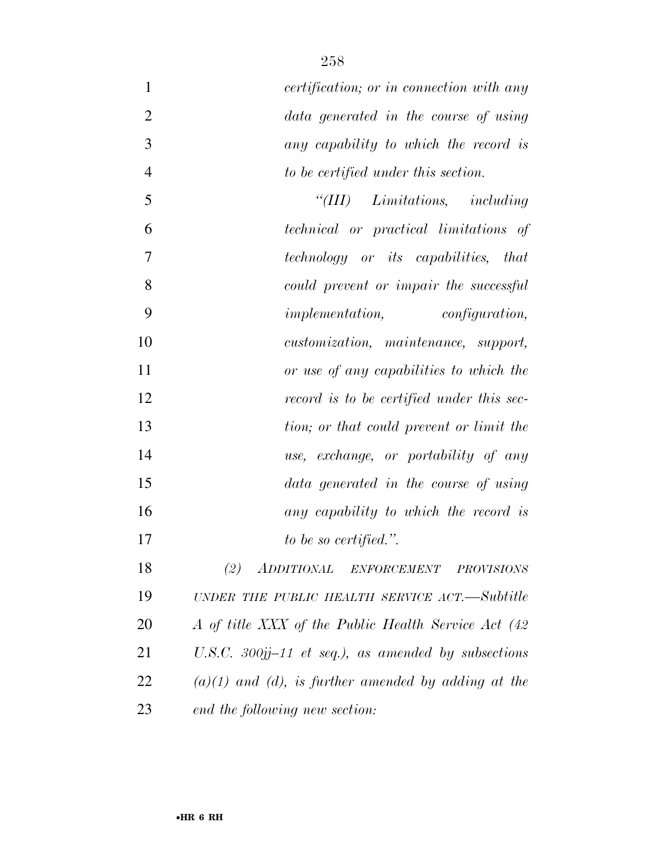| $\mathbf{1}$   | <i>certification</i> ; <i>or in connection with any</i>  |
|----------------|----------------------------------------------------------|
| $\overline{2}$ | data generated in the course of using                    |
| 3              | any capability to which the record is                    |
| $\overline{4}$ | to be certified under this section.                      |
| 5              | Limitations, including<br>``(III)                        |
| 6              | technical or practical limitations of                    |
| 7              | technology or its capabilities, that                     |
| 8              | could prevent or impair the successful                   |
| 9              | <i>implementation, configuration,</i>                    |
| 10             | customization, maintenance, support,                     |
| 11             | or use of any capabilities to which the                  |
| 12             | record is to be certified under this sec-                |
| 13             | tion; or that could prevent or limit the                 |
| 14             | use, exchange, or portability of any                     |
| 15             | data generated in the course of using                    |
| 16             | any capability to which the record is                    |
| 17             | to be so certified.".                                    |
| 18             | (2) ADDITIONAL ENFORCEMENT PROVISIONS                    |
| 19             | UNDER THE PUBLIC HEALTH SERVICE ACT.—Subtitle            |
| 20             | A of title XXX of the Public Health Service Act (42)     |
| 21             | U.S.C. $300jj-11$ et seq.), as amended by subsections    |
| 22             | $(a)(1)$ and $(d)$ , is further amended by adding at the |
| 23             | end the following new section:                           |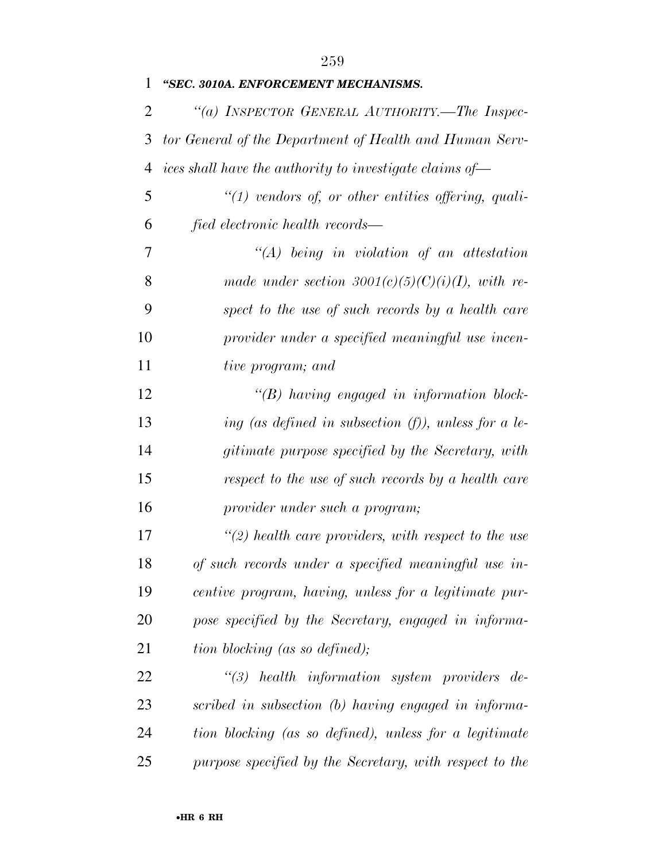| 1  | "SEC. 3010A. ENFORCEMENT MECHANISMS.                    |
|----|---------------------------------------------------------|
| 2  | "(a) INSPECTOR GENERAL AUTHORITY.—The Inspec-           |
| 3  | tor General of the Department of Health and Human Serv- |
| 4  | ices shall have the authority to investigate claims of- |
| 5  | $\lq(1)$ vendors of, or other entities offering, quali- |
| 6  | fied electronic health records—                         |
| 7  | $\lq (A)$ being in violation of an attestation          |
| 8  | made under section 3001(c)(5)(C)(i)(I), with re-        |
| 9  | spect to the use of such records by a health care       |
| 10 | provider under a specified meaningful use incen-        |
| 11 | tive program; and                                       |
| 12 | $\lq\lq(B)$ having engaged in information block-        |
| 13 | ing (as defined in subsection $(f)$ ), unless for a le- |
| 14 | gitimate purpose specified by the Secretary, with       |
| 15 | respect to the use of such records by a health care     |
| 16 | provider under such a program;                          |
| 17 | $\lq(2)$ health care providers, with respect to the use |
| 18 | of such records under a specified meaningful use in-    |
| 19 | centive program, having, unless for a legitimate pur-   |
| 20 | pose specified by the Secretary, engaged in informa-    |
| 21 | tion blocking (as so defined);                          |
| 22 | $\lq(3)$ health information system providers de-        |
| 23 | scribed in subsection (b) having engaged in informa-    |
| 24 | tion blocking (as so defined), unless for a legitimate  |
| 25 | purpose specified by the Secretary, with respect to the |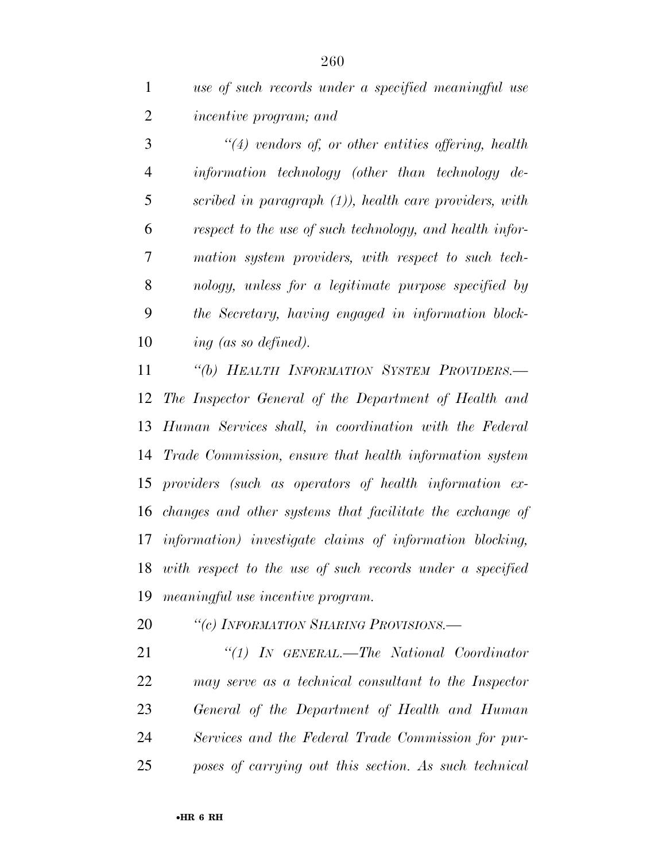*use of such records under a specified meaningful use incentive program; and* 

 *''(4) vendors of, or other entities offering, health information technology (other than technology de- scribed in paragraph (1)), health care providers, with respect to the use of such technology, and health infor- mation system providers, with respect to such tech- nology, unless for a legitimate purpose specified by the Secretary, having engaged in information block-ing (as so defined).* 

 *''(b) HEALTH INFORMATION SYSTEM PROVIDERS.— The Inspector General of the Department of Health and Human Services shall, in coordination with the Federal Trade Commission, ensure that health information system providers (such as operators of health information ex- changes and other systems that facilitate the exchange of information) investigate claims of information blocking, with respect to the use of such records under a specified meaningful use incentive program.* 

*''(c) INFORMATION SHARING PROVISIONS.—* 

 *''(1) IN GENERAL.—The National Coordinator may serve as a technical consultant to the Inspector General of the Department of Health and Human Services and the Federal Trade Commission for pur-poses of carrying out this section. As such technical*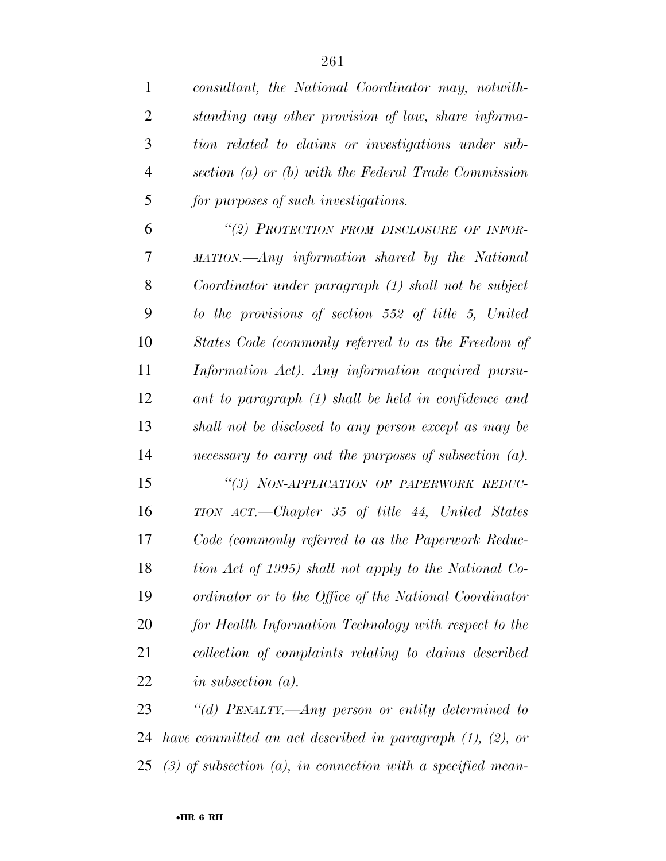| $\mathbf{1}$   | consultant, the National Coordinator may, notwith-        |
|----------------|-----------------------------------------------------------|
| $\overline{2}$ | standing any other provision of law, share informa-       |
| 3              | tion related to claims or investigations under sub-       |
| 4              | section (a) or (b) with the Federal Trade Commission      |
| 5              | for purposes of such investigations.                      |
| 6              | "(2) PROTECTION FROM DISCLOSURE OF INFOR-                 |
| 7              | MATION.—Any information shared by the National            |
| 8              | Coordinator under paragraph (1) shall not be subject      |
| 9              | to the provisions of section 552 of title 5, United       |
| 10             | States Code (commonly referred to as the Freedom of       |
| 11             | Information Act). Any information acquired pursu-         |
| 12             | ant to paragraph (1) shall be held in confidence and      |
| 13             | shall not be disclosed to any person except as may be     |
| 14             | necessary to carry out the purposes of subsection $(a)$ . |
| 15             | "(3) NON-APPLICATION OF PAPERWORK REDUC-                  |
| 16             | TION ACT.—Chapter 35 of title 44, United States           |
| 17             | Code (commonly referred to as the Paperwork Reduc-        |
| 18             | tion Act of 1995) shall not apply to the National Co-     |
| 19             | ordinator or to the Office of the National Coordinator    |
| 20             | for Health Information Technology with respect to the     |
| 21             | collection of complaints relating to claims described     |
| 22             | in subsection $(a)$ .                                     |
| 23             | "(d) PENALTY,—Any person or entity determined to          |

 *have committed an act described in paragraph (1), (2), or (3) of subsection (a), in connection with a specified mean-*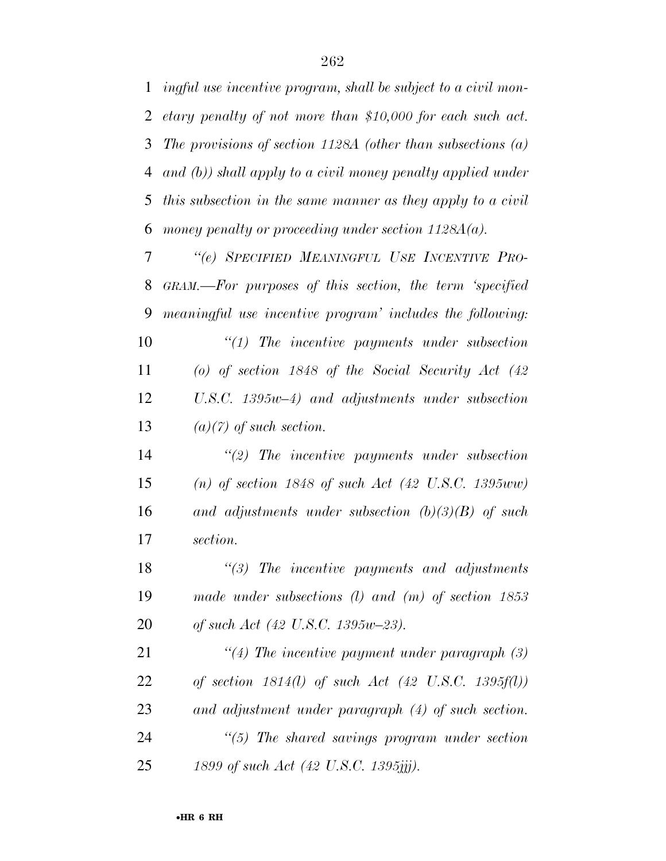*ingful use incentive program, shall be subject to a civil mon- etary penalty of not more than \$10,000 for each such act. The provisions of section 1128A (other than subsections (a) and (b)) shall apply to a civil money penalty applied under this subsection in the same manner as they apply to a civil money penalty or proceeding under section 1128A(a).* 

 *''(e) SPECIFIED MEANINGFUL USE INCENTIVE PRO- GRAM.—For purposes of this section, the term 'specified meaningful use incentive program' includes the following: ''(1) The incentive payments under subsection (o) of section 1848 of the Social Security Act (42 U.S.C. 1395w–4) and adjustments under subsection* 

*(a)(7) of such section.* 

 *''(2) The incentive payments under subsection (n) of section 1848 of such Act (42 U.S.C. 1395ww) and adjustments under subsection (b)(3)(B) of such section.* 

 *''(3) The incentive payments and adjustments made under subsections (l) and (m) of section 1853 of such Act (42 U.S.C. 1395w–23).* 

 *''(4) The incentive payment under paragraph (3) of section 1814(l) of such Act (42 U.S.C. 1395f(l)) and adjustment under paragraph (4) of such section. ''(5) The shared savings program under section 1899 of such Act (42 U.S.C. 1395jjj).*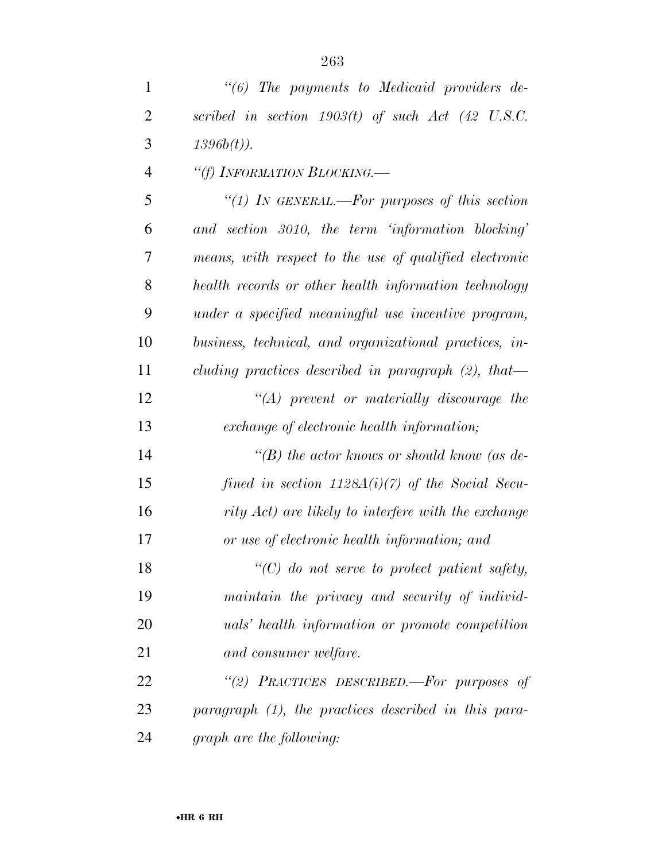| $\mathbf{1}$   | $"(6)$ The payments to Medicaid providers de-           |
|----------------|---------------------------------------------------------|
| $\overline{2}$ | scribed in section $1903(t)$ of such Act (42 U.S.C.     |
| 3              | $1396b(t)$ ).                                           |
| $\overline{4}$ | "(f) INFORMATION BLOCKING.                              |
| 5              | "(1) IN GENERAL.—For purposes of this section           |
| 6              | and section 3010, the term 'information blocking'       |
| 7              | means, with respect to the use of qualified electronic  |
| 8              | health records or other health information technology   |
| 9              | under a specified meaningful use incentive program,     |
| 10             | business, technical, and organizational practices, in-  |
| 11             | cluding practices described in paragraph $(2)$ , that   |
| 12             | $\lq\lq (A)$ prevent or materially discourage the       |
| 13             | exchange of electronic health information;              |
| 14             | "(B) the actor knows or should know (as de-             |
| 15             | fined in section $1128A(i)(7)$ of the Social Secu-      |
| 16             | rity Act) are likely to interfere with the exchange     |
| 17             | or use of electronic health information; and            |
| 18             | $"$ (C) do not serve to protect patient safety,         |
| 19             | maintain the privacy and security of individ-           |
| 20             | <i>uals'</i> health information or promote competition  |
| 21             | and consumer welfare.                                   |
| 22             | "(2) PRACTICES DESCRIBED.—For purposes of               |
| 23             | paragraph $(1)$ , the practices described in this para- |
| 24             | graph are the following:                                |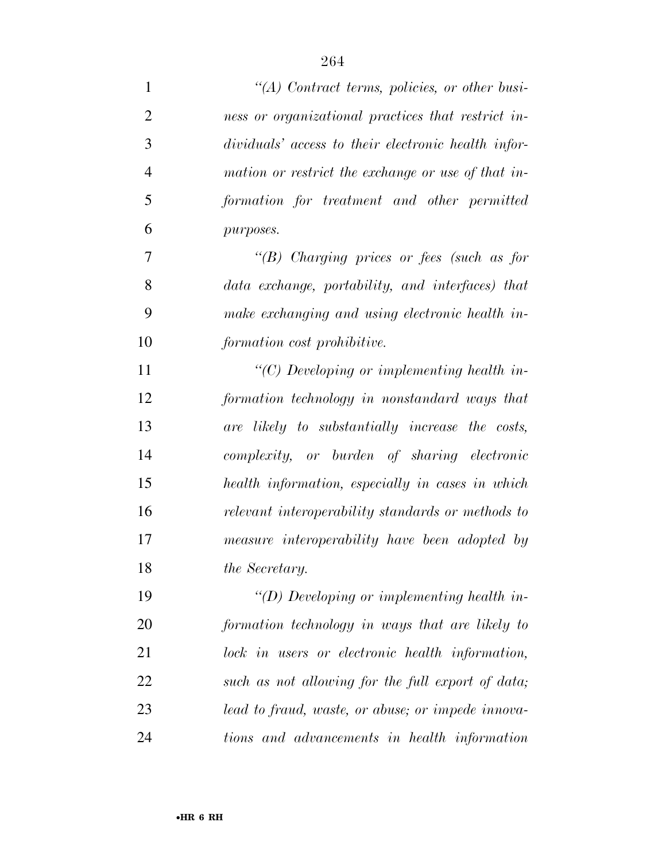| $\mathbf{1}$   | $\lq (A)$ Contract terms, policies, or other busi-  |
|----------------|-----------------------------------------------------|
| $\overline{2}$ | ness or organizational practices that restrict in-  |
| 3              | dividuals' access to their electronic health infor- |
| $\overline{4}$ | mation or restrict the exchange or use of that in-  |
| 5              | formation for treatment and other permitted         |
| 6              | purposes.                                           |
| 7              | "(B) Charging prices or fees (such as for           |
| 8              | data exchange, portability, and interfaces) that    |
| 9              | make exchanging and using electronic health in-     |
| 10             | formation cost prohibitive.                         |
| 11             | "(C) Developing or implementing health in-          |
| 12             | formation technology in nonstandard ways that       |
| 13             | are likely to substantially increase the costs,     |
| 14             | complexity, or burden of sharing electronic         |
| 15             | health information, especially in cases in which    |
| 16             | relevant interoperability standards or methods to   |
| 17             | measure interoperability have been adopted by       |
| 18             | <i>the Secretary.</i>                               |
| 19             | $\lq\lq(D)$ Developing or implementing health in-   |
| <b>20</b>      | formation technology in ways that are likely to     |
| 21             | lock in users or electronic health information,     |
| 22             | such as not allowing for the full export of data;   |
| 23             | lead to fraud, waste, or abuse; or impede innova-   |
| 24             | tions and advancements in health information        |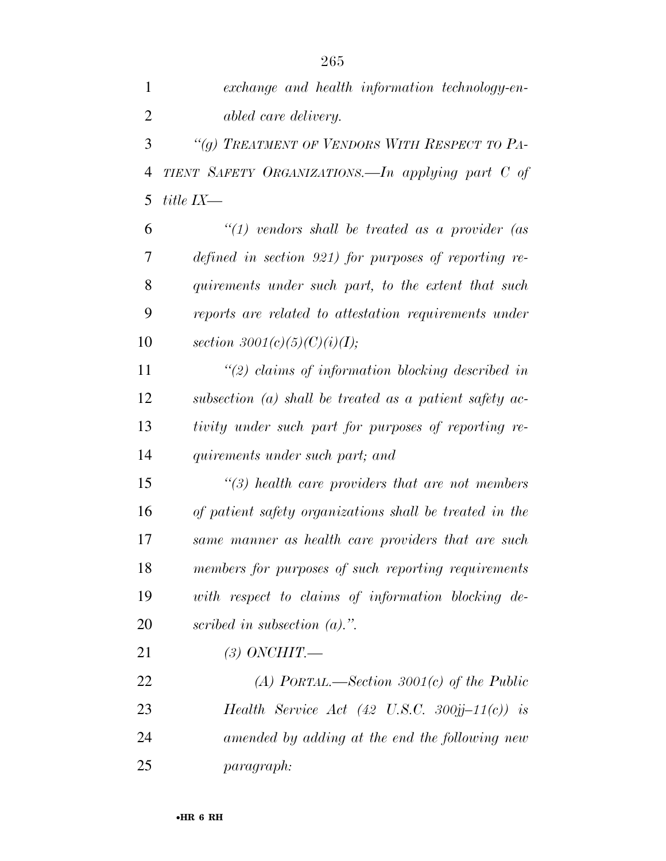*exchange and health information technology-en-abled care delivery.* 

 *''(g) TREATMENT OF VENDORS WITH RESPECT TO PA- TIENT SAFETY ORGANIZATIONS.—In applying part C of title IX—* 

 *''(1) vendors shall be treated as a provider (as defined in section 921) for purposes of reporting re- quirements under such part, to the extent that such reports are related to attestation requirements under section 3001(c)(5)(C)(i)(I);* 

 *''(2) claims of information blocking described in subsection (a) shall be treated as a patient safety ac- tivity under such part for purposes of reporting re-quirements under such part; and* 

 *''(3) health care providers that are not members of patient safety organizations shall be treated in the same manner as health care providers that are such members for purposes of such reporting requirements with respect to claims of information blocking de-scribed in subsection (a).''.* 

*(3) ONCHIT.—* 

 *(A) PORTAL.—Section 3001(c) of the Public Health Service Act (42 U.S.C. 300jj–11(c)) is amended by adding at the end the following new paragraph:*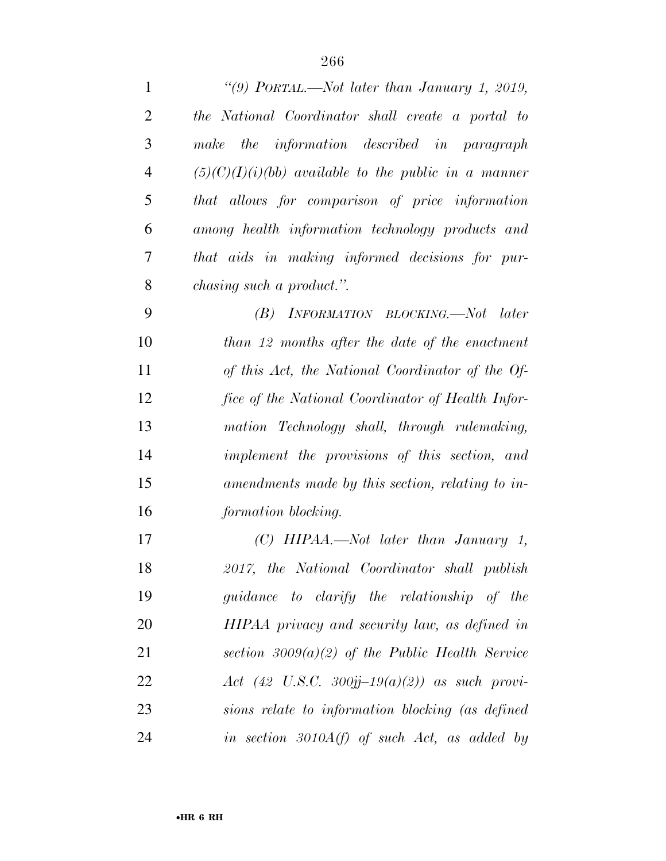| $\mathbf{1}$   | "(9) PORTAL.—Not later than January 1, 2019,           |
|----------------|--------------------------------------------------------|
| $\overline{2}$ | the National Coordinator shall create a portal to      |
| 3              | the information described in paragraph<br>make         |
| $\overline{4}$ | $(5)(C)(I)(i)(bb)$ available to the public in a manner |
| 5              | that allows for comparison of price information        |
| 6              | among health information technology products and       |
| 7              | that aids in making informed decisions for pur-        |
| 8              | chasing such a product.".                              |
| 9              | INFORMATION BLOCKING.—Not later<br>(B)                 |
| 10             | than 12 months after the date of the enactment         |
| 11             | of this Act, the National Coordinator of the Of-       |
| 12             | fice of the National Coordinator of Health Infor-      |
| 13             | mation Technology shall, through rulemaking,           |
| 14             | implement the provisions of this section, and          |
| 15             | amendments made by this section, relating to in-       |
| 16             | formation blocking.                                    |
| 17             | (C) HIPAA.—Not later than January 1,                   |
| 18             | 2017, the National Coordinator shall publish           |
| 19             | guidance to clarify the relationship of the            |
| 20             | HIPAA privacy and security law, as defined in          |
| 21             | section $3009(a)(2)$ of the Public Health Service      |
| 22             | Act (42 U.S.C. 300jj-19(a)(2)) as such provi-          |
| 23             | sions relate to information blocking (as defined       |
| 24             | in section $3010A(f)$ of such Act, as added by         |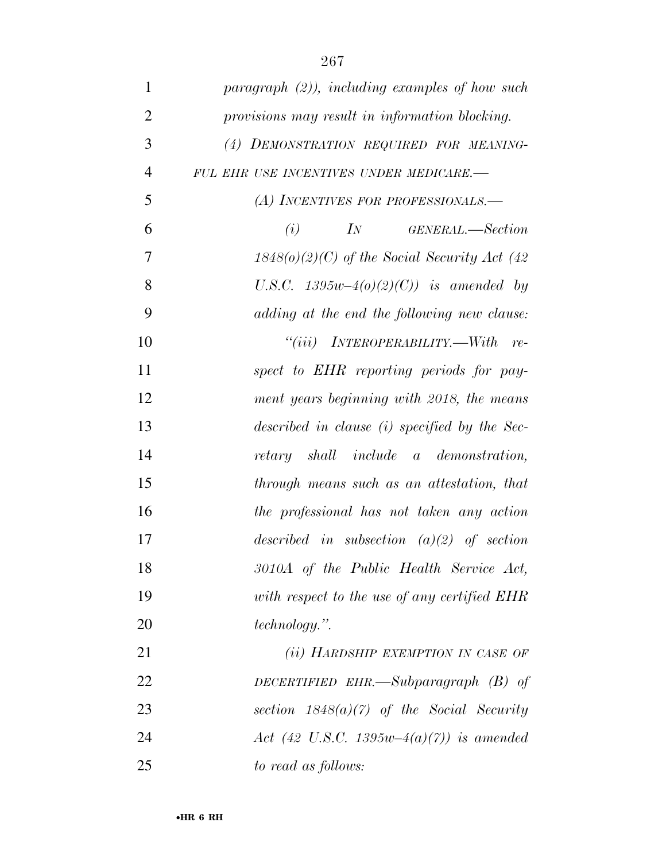| $\mathbf{1}$   | $paragnph (2)$ , including examples of how such |
|----------------|-------------------------------------------------|
| $\overline{2}$ | provisions may result in information blocking.  |
| 3              | (4) DEMONSTRATION REQUIRED FOR MEANING-         |
| $\overline{4}$ | FUL EHR USE INCENTIVES UNDER MEDICARE.-         |
| 5              | (A) INCENTIVES FOR PROFESSIONALS.—              |
| 6              | $\mathcal{I}N$<br>GENERAL.—Section<br>(i)       |
| 7              | $1848(o)(2)(C)$ of the Social Security Act (42) |
| 8              | U.S.C. $1395w-4(0)(2)(C)$ is amended by         |
| 9              | adding at the end the following new clause:     |
| 10             | $``(iii)$ INTEROPERABILITY.—With<br>$re-$       |
| 11             | spect to EHR reporting periods for pay-         |
| 12             | ment years beginning with 2018, the means       |
| 13             | described in clause (i) specified by the Sec-   |
| 14             | retary shall include a demonstration,           |
| 15             | through means such as an attestation, that      |
| 16             | the professional has not taken any action       |
| 17             | described in subsection $(a)(2)$ of section     |
| 18             | 3010A of the Public Health Service Act,         |
| 19             | with respect to the use of any certified EHR    |
| 20             | <i>technology.</i> ".                           |
| 21             | (ii) HARDSHIP EXEMPTION IN CASE OF              |
| 22             | DECERTIFIED EHR.—Subparagraph $(B)$ of          |
| 23             | section $1848(a)(7)$ of the Social Security     |
| 24             | Act (42 U.S.C. 1395w-4(a)(7)) is amended        |
| 25             | to read as follows:                             |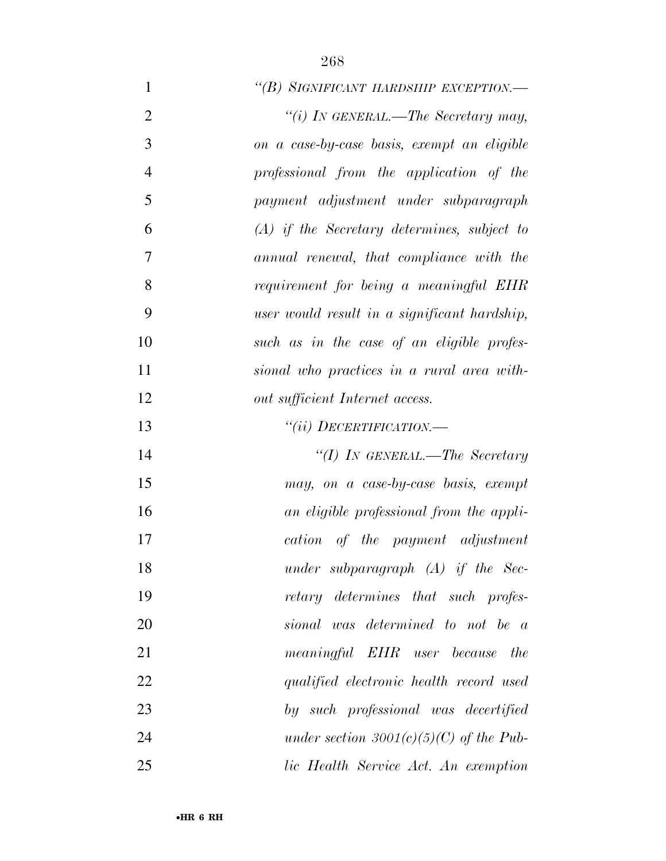| $\mathbf{1}$   | "(B) SIGNIFICANT HARDSHIP EXCEPTION.-         |
|----------------|-----------------------------------------------|
| $\overline{2}$ | "(i) IN GENERAL.—The Secretary may,           |
| 3              | on a case-by-case basis, exempt an eligible   |
| $\overline{4}$ | professional from the application of the      |
| 5              | payment adjustment under subparagraph         |
| 6              | $(A)$ if the Secretary determines, subject to |
| $\overline{7}$ | annual renewal, that compliance with the      |
| 8              | requirement for being a meaningful EHR        |
| 9              | user would result in a significant hardship,  |
| 10             | such as in the case of an eligible profes-    |
| 11             | sional who practices in a rural area with-    |
| 12             | out sufficient Internet access.               |
| 13             | $``(ii)$ DECERTIFICATION.—                    |
| 14             | "(I) IN GENERAL.—The Secretary                |
| 15             | may, on a case-by-case basis, exempt          |
| 16             | an eligible professional from the appli-      |
| 17             | cation of the payment adjustment              |
| 18             | under subparagraph $(A)$ if the Sec-          |
| 19             | retary determines that such profes-           |
| 20             | sional was determined to not be a             |
| 21             | meaningful EHR user because the               |
| 22             | qualified electronic health record used       |
| 23             | by such professional was decertified          |
| 24             | under section 3001(c)(5)(C) of the Pub-       |
| 25             | lic Health Service Act. An exemption          |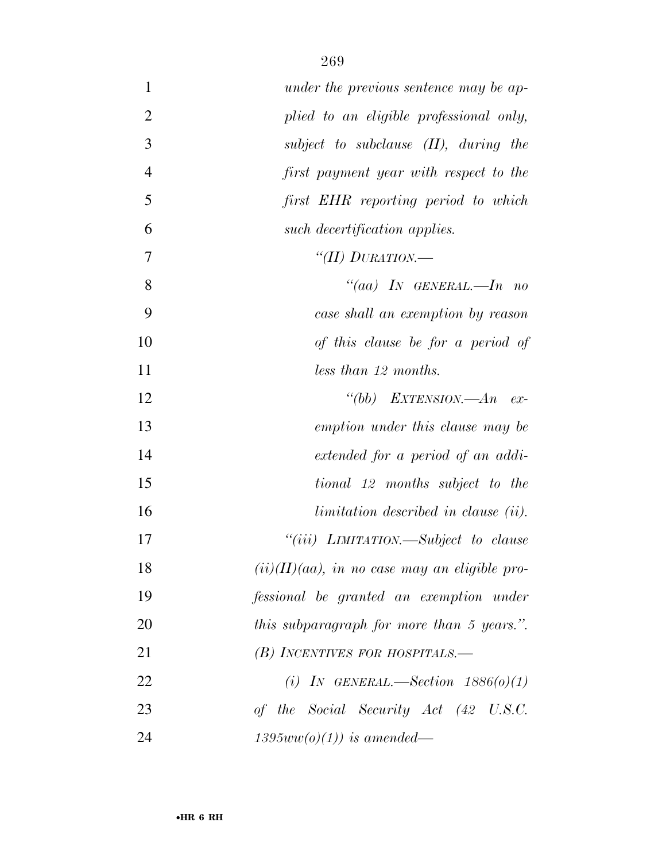| $\mathbf{1}$   | under the previous sentence may be ap-           |
|----------------|--------------------------------------------------|
| $\overline{2}$ | plied to an eligible professional only,          |
| 3              | subject to subclause $(II)$ , during the         |
| $\overline{4}$ | first payment year with respect to the           |
| 5              | first EHR reporting period to which              |
| 6              | such decertification applies.                    |
| 7              | "(II) DURATION.—                                 |
| 8              | "(aa) IN GENERAL.—In no                          |
| 9              | case shall an exemption by reason                |
| 10             | of this clause be for a period of                |
| 11             | less than 12 months.                             |
| 12             | "(bb) EXTENSION.— $An$ ex-                       |
| 13             | emption under this clause may be                 |
| 14             | extended for a period of an addi-                |
| 15             | tional 12 months subject to the                  |
| 16             | limitation described in clause (ii).             |
| 17             | "(iii) LIMITATION.—Subject to clause             |
| 18             | $(ii)(II)(aa)$ , in no case may an eligible pro- |
| 19             | fessional be granted an exemption under          |
| 20             | this subparagraph for more than 5 years.".       |
| 21             | $(B)$ INCENTIVES FOR HOSPITALS.—                 |
| 22             | (i) IN GENERAL.—Section $1886(0)(1)$             |
| 23             | of the Social Security Act (42 U.S.C.            |
| 24             | $1395ww(o)(1)$ ) is amended—                     |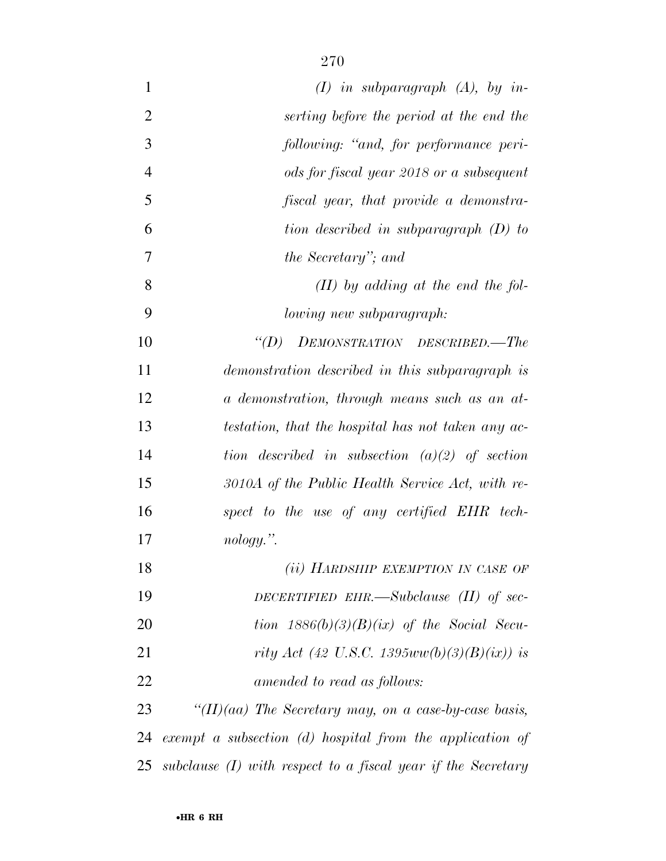| $\mathbf{1}$   | $(I)$ in subparagraph $(A)$ , by in-                           |
|----------------|----------------------------------------------------------------|
| $\overline{2}$ | serting before the period at the end the                       |
| 3              | following: "and, for performance peri-                         |
| $\overline{4}$ | ods for fiscal year 2018 or a subsequent                       |
| 5              | fiscal year, that provide a demonstra-                         |
| 6              | tion described in subparagraph (D) to                          |
| 7              | the Secretary"; and                                            |
| 8              | $(II)$ by adding at the end the fol-                           |
| 9              | lowing new subparagraph:                                       |
| 10             | "(D) DEMONSTRATION DESCRIBED.—The                              |
| 11             | demonstration described in this subparagraph is                |
| 12             | a demonstration, through means such as an at-                  |
| 13             | testation, that the hospital has not taken any ac-             |
| 14             | tion described in subsection $(a)(2)$ of section               |
| 15             | 3010A of the Public Health Service Act, with re-               |
| 16             | spect to the use of any certified EHR tech-                    |
| 17             | $nology.$ ".                                                   |
| 18             | (ii) HARDSHIP EXEMPTION IN CASE OF                             |
| 19             | DECERTIFIED EHR.—Subclause $(II)$ of sec-                      |
| 20             | tion $1886(b)(3)(B)(ix)$ of the Social Secu-                   |
| 21             | rity Act (42 U.S.C. 1395ww(b)(3)(B)(ix)) is                    |
| 22             | amended to read as follows:                                    |
| 23             | " $(II)(aa)$ The Secretary may, on a case-by-case basis,       |
| 24             | exempt a subsection $(d)$ hospital from the application of     |
| 25             | subclause $(I)$ with respect to a fiscal year if the Secretary |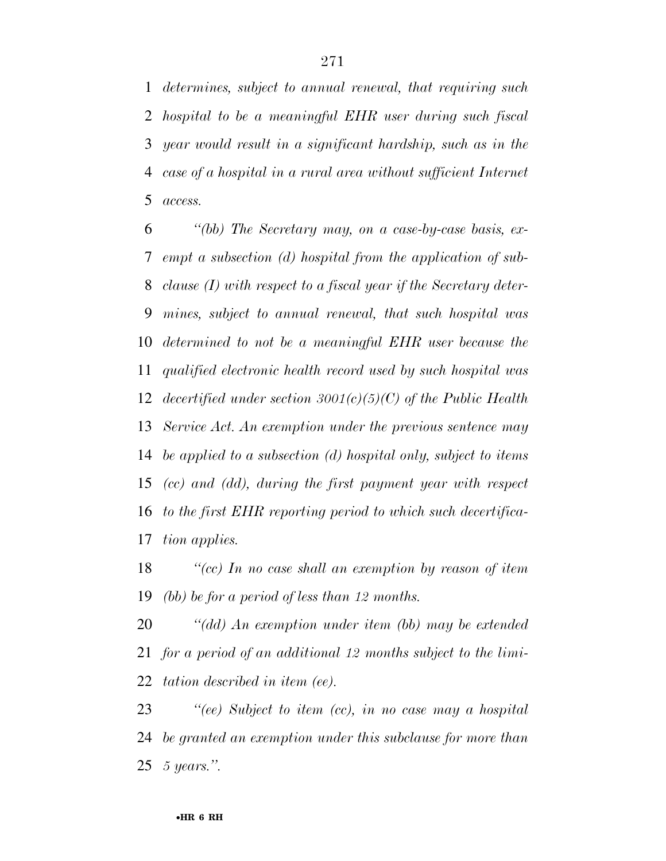*determines, subject to annual renewal, that requiring such hospital to be a meaningful EHR user during such fiscal year would result in a significant hardship, such as in the case of a hospital in a rural area without sufficient Internet access.* 

 *''(bb) The Secretary may, on a case-by-case basis, ex- empt a subsection (d) hospital from the application of sub- clause (I) with respect to a fiscal year if the Secretary deter- mines, subject to annual renewal, that such hospital was determined to not be a meaningful EHR user because the qualified electronic health record used by such hospital was decertified under section 3001(c)(5)(C) of the Public Health Service Act. An exemption under the previous sentence may be applied to a subsection (d) hospital only, subject to items (cc) and (dd), during the first payment year with respect to the first EHR reporting period to which such decertifica-tion applies.* 

 *''(cc) In no case shall an exemption by reason of item (bb) be for a period of less than 12 months.* 

 *''(dd) An exemption under item (bb) may be extended for a period of an additional 12 months subject to the limi-tation described in item (ee).* 

 *''(ee) Subject to item (cc), in no case may a hospital be granted an exemption under this subclause for more than 5 years.''.*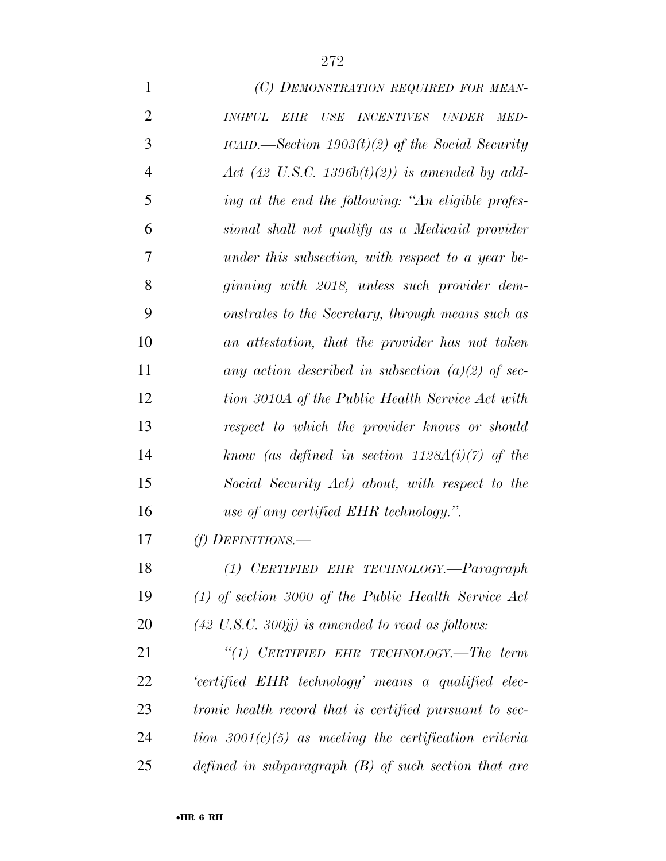| $\mathbf{1}$   | (C) DEMONSTRATION REQUIRED FOR MEAN-                                                   |
|----------------|----------------------------------------------------------------------------------------|
| $\overline{2}$ | <b>EHR</b><br>$\it{USE}$<br><i>INCENTIVES</i><br><b>INGFUL</b><br><i>UNDER</i><br>MED- |
| 3              | ICAID.—Section $1903(t)(2)$ of the Social Security                                     |
| $\overline{4}$ | Act (42 U.S.C. 1396b $(t)(2)$ ) is amended by add-                                     |
| 5              | ing at the end the following: "An eligible profes-                                     |
| 6              | sional shall not qualify as a Medicaid provider                                        |
| 7              | under this subsection, with respect to a year be-                                      |
| 8              | ginning with 2018, unless such provider dem-                                           |
| 9              | onstrates to the Secretary, through means such as                                      |
| 10             | an attestation, that the provider has not taken                                        |
| 11             | any action described in subsection (a)(2) of sec-                                      |
| 12             | tion 3010A of the Public Health Service Act with                                       |
| 13             | respect to which the provider knows or should                                          |
| 14             | know (as defined in section $1128A(i)(7)$ of the                                       |
| 15             | Social Security Act) about, with respect to the                                        |
| 16             | use of any certified EHR technology.".                                                 |
| 17             | (f) DEFINITIONS.—                                                                      |
| 18             | (1) CERTIFIED EHR TECHNOLOGY.-Paragraph                                                |
| 19             | $(1)$ of section 3000 of the Public Health Service Act                                 |
| 20             | $(42 \text{ U.S.C. } 300j)$ is amended to read as follows:                             |
| 21             | "(1) CERTIFIED EHR TECHNOLOGY.—The term                                                |
| 22             | 'certified EHR technology' means a qualified elec-                                     |
| 23             | tronic health record that is certified pursuant to sec-                                |
| 24             | tion $3001(c)(5)$ as meeting the certification criteria                                |
| 25             | defined in subparagraph $(B)$ of such section that are                                 |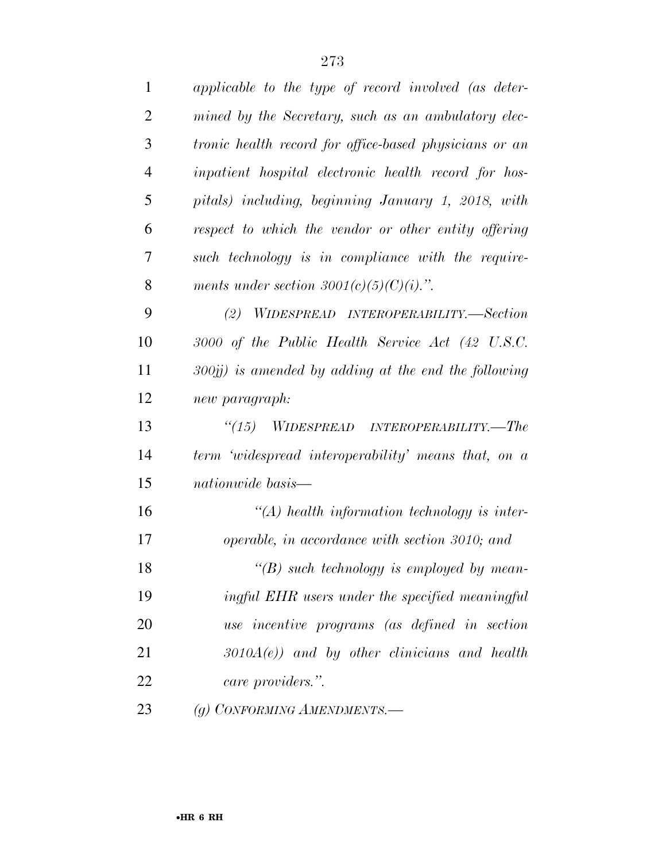| $\mathbf{1}$   | applicable to the type of record involved (as deter-    |
|----------------|---------------------------------------------------------|
| $\overline{2}$ | mined by the Secretary, such as an ambulatory elec-     |
| 3              | tronic health record for office-based physicians or an  |
| $\overline{4}$ | inpatient hospital electronic health record for hos-    |
| 5              | pitals) including, beginning January 1, 2018, with      |
| 6              | respect to which the vendor or other entity offering    |
| 7              | such technology is in compliance with the require-      |
| 8              | ments under section $3001(c)(5)(C)(i)$ .".              |
| 9              | (2)<br>WIDESPREAD INTEROPERABILITY.—Section             |
| 10             | 3000 of the Public Health Service Act (42 U.S.C.        |
| 11             | $300jj$ ) is amended by adding at the end the following |
| 12             | new paragraph:                                          |
| 13             | "(15) WIDESPREAD INTEROPERABILITY.—The                  |
| 14             | term 'widespread interoperability' means that, on a     |
| 15             | nationwide basis—                                       |
| 16             | $\lq (A)$ health information technology is inter-       |
| 17             | operable, in accordance with section 3010; and          |
| 18             | $\lq\lq(B)$ such technology is employed by mean-        |
| 19             | ingful EHR users under the specified meaningful         |
| 20             | use incentive programs (as defined in section           |
| 21             | $3010A(e)$ and by other clinicians and health           |
| 22             | care providers.".                                       |
| 23             | (g) CONFORMING AMENDMENTS.-                             |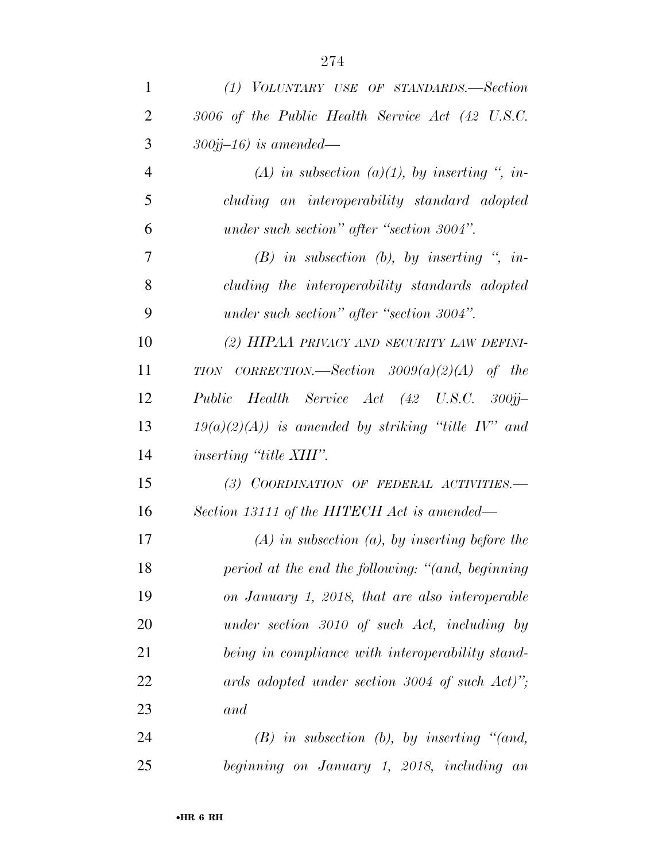| $\mathbf{1}$   | (1) VOLUNTARY USE OF STANDARDS.-Section                      |
|----------------|--------------------------------------------------------------|
| 2              | 3006 of the Public Health Service Act (42 U.S.C.             |
| 3              | $300jj-16$ ) is amended—                                     |
| $\overline{4}$ | (A) in subsection (a)(1), by inserting ", in-                |
| 5              | cluding an interoperability standard adopted                 |
| 6              | under such section" after "section 3004".                    |
| 7              | $(B)$ in subsection (b), by inserting ", in-                 |
| 8              | cluding the interoperability standards adopted               |
| 9              | under such section" after "section 3004".                    |
| 10             | (2) HIPAA PRIVACY AND SECURITY LAW DEFINI-                   |
| 11             | TION CORRECTION.—Section $3009(a)(2)(A)$ of the              |
| 12             | Public Health Service Act (42 U.S.C. 300jj-                  |
| 13             | $19(a)(2)(A)$ ) is amended by striking "title IV" and        |
| 14             | <i>inserting "title XIII".</i>                               |
| 15             | (3) COORDINATION OF FEDERAL ACTIVITIES.-                     |
| 16             | Section 13111 of the HITECH Act is amended—                  |
| 17             | $(A)$ in subsection $(a)$ , by inserting before the          |
| 18             | period at the end the following: "(and, beginning            |
| 19             | on January 1, 2018, that are also interoperable              |
| 20             | under section 3010 of such Act, including by                 |
| 21             | being in compliance with interoperability stand-             |
| 22             | ards adopted under section 3004 of such $Act$ <sup>"</sup> ; |
| 23             | and                                                          |
| 24             | $(B)$ in subsection $(b)$ , by inserting "(and,              |
| 25             | beginning on January 1, 2018, including an                   |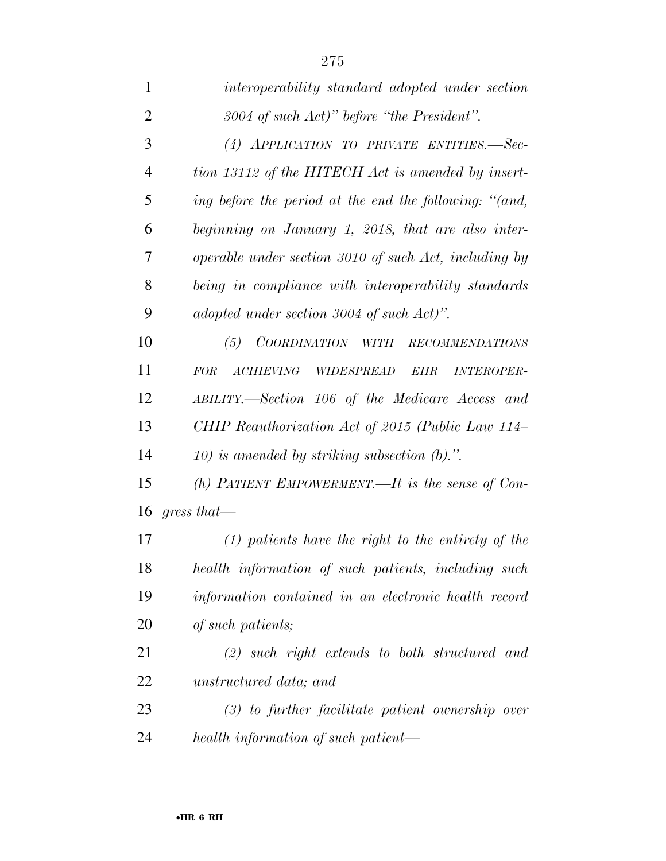| $\mathbf{1}$   | interoperability standard adopted under section                          |
|----------------|--------------------------------------------------------------------------|
| $\overline{2}$ | $3004$ of such Act)" before "the President".                             |
| 3              | (4) APPLICATION TO PRIVATE ENTITIES.-Sec-                                |
| 4              | tion 13112 of the HITECH Act is amended by insert-                       |
| 5              | ing before the period at the end the following: "(and,                   |
| 6              | beginning on January 1, 2018, that are also inter-                       |
| 7              | operable under section 3010 of such Act, including by                    |
| 8              | being in compliance with interoperability standards                      |
| 9              | adopted under section 3004 of such Act)".                                |
| 10             | (5)<br>COORDINATION WITH<br><b>RECOMMENDATIONS</b>                       |
| 11             | <b>FOR</b><br><b>ACHIEVING</b><br>WIDESPREAD<br><b>INTEROPER-</b><br>EHR |
| 12             | ABILITY.—Section 106 of the Medicare Access and                          |
| 13             | CHIP Reauthorization Act of 2015 (Public Law 114–                        |
| 14             | 10) is amended by striking subsection $(b)$ .".                          |
| 15             | (h) PATIENT EMPOWERMENT.—It is the sense of Con-                         |
| 16             | $gress that$ —                                                           |
| 17             | $(1)$ patients have the right to the entirety of the                     |
| 18             | health information of such patients, including such                      |
| 19             | information contained in an electronic health record                     |
| 20             | of such patients;                                                        |
| 21             | $(2)$ such right extends to both structured and                          |
| 22             | unstructured data; and                                                   |
| 23             | $(3)$ to further facilitate patient ownership over                       |
|                |                                                                          |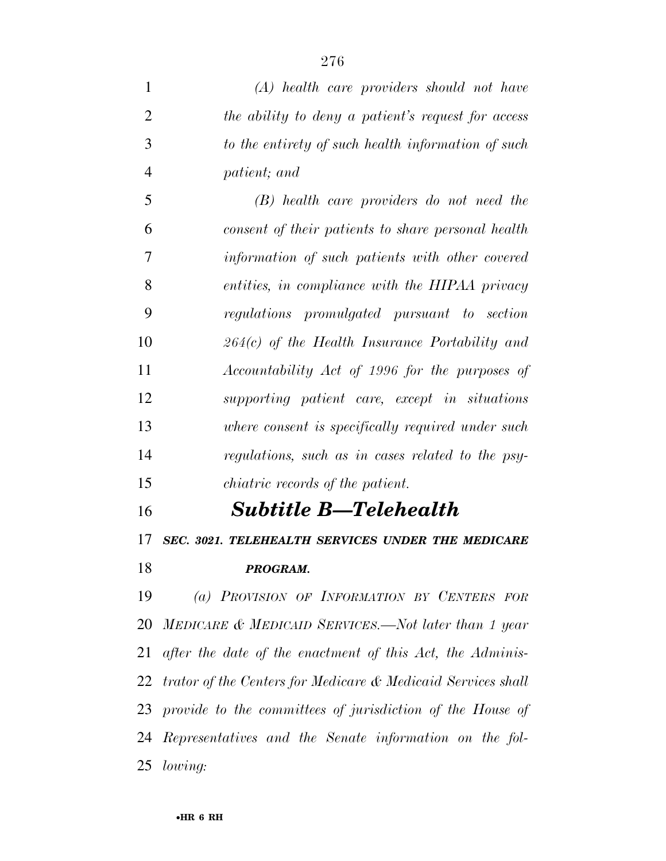*(A) health care providers should not have the ability to deny a patient's request for access to the entirety of such health information of such patient; and* 

 *(B) health care providers do not need the consent of their patients to share personal health information of such patients with other covered entities, in compliance with the HIPAA privacy regulations promulgated pursuant to section 264(c) of the Health Insurance Portability and Accountability Act of 1996 for the purposes of supporting patient care, except in situations where consent is specifically required under such regulations, such as in cases related to the psy-chiatric records of the patient.* 

## *Subtitle B—Telehealth*

*SEC. 3021. TELEHEALTH SERVICES UNDER THE MEDICARE* 

*PROGRAM.* 

 *(a) PROVISION OF INFORMATION BY CENTERS FOR MEDICARE & MEDICAID SERVICES.—Not later than 1 year after the date of the enactment of this Act, the Adminis- trator of the Centers for Medicare & Medicaid Services shall provide to the committees of jurisdiction of the House of Representatives and the Senate information on the fol-lowing:*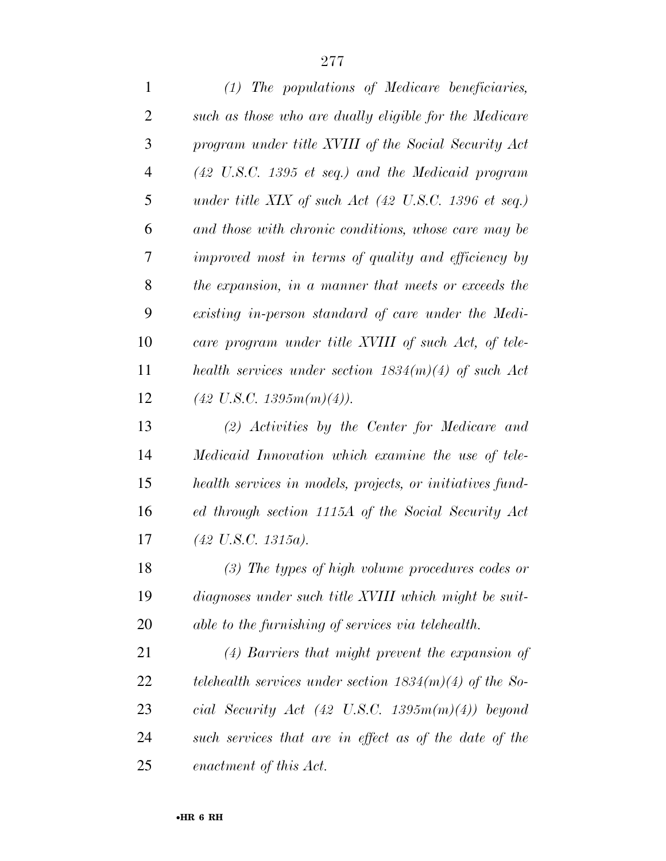| (1) The populations of Medicare beneficiaries,                          |
|-------------------------------------------------------------------------|
| such as those who are dually eligible for the Medicare                  |
| program under title XVIII of the Social Security Act                    |
| $(42 \text{ U.S.C. } 1395 \text{ et seq.})$ and the Medicaid program    |
| under title XIX of such Act $(42 \text{ U.S.C. } 1396 \text{ et seq.})$ |
| and those with chronic conditions, whose care may be                    |
| improved most in terms of quality and efficiency by                     |
| the expansion, in a manner that meets or exceeds the                    |
| existing in-person standard of care under the Medi-                     |
| care program under title XVIII of such Act, of tele-                    |
| health services under section $1834(m)(4)$ of such Act                  |
| $(42 \text{ U.S.C. } 1395m(m)(4)).$                                     |
| (2) Activities by the Center for Medicare and                           |
| Medicaid Innovation which examine the use of tele-                      |
| health services in models, projects, or initiatives fund-               |
| ed through section 1115A of the Social Security Act                     |
| $(42 \text{ U.S.C. } 1315a).$                                           |
| $(3)$ The types of high volume procedures codes or                      |
| diagnoses under such title XVIII which might be suit-                   |
| able to the furnishing of services via telehealth.                      |
|                                                                         |

 *(4) Barriers that might prevent the expansion of telehealth services under section 1834(m)(4) of the So- cial Security Act (42 U.S.C. 1395m(m)(4)) beyond such services that are in effect as of the date of the enactment of this Act.*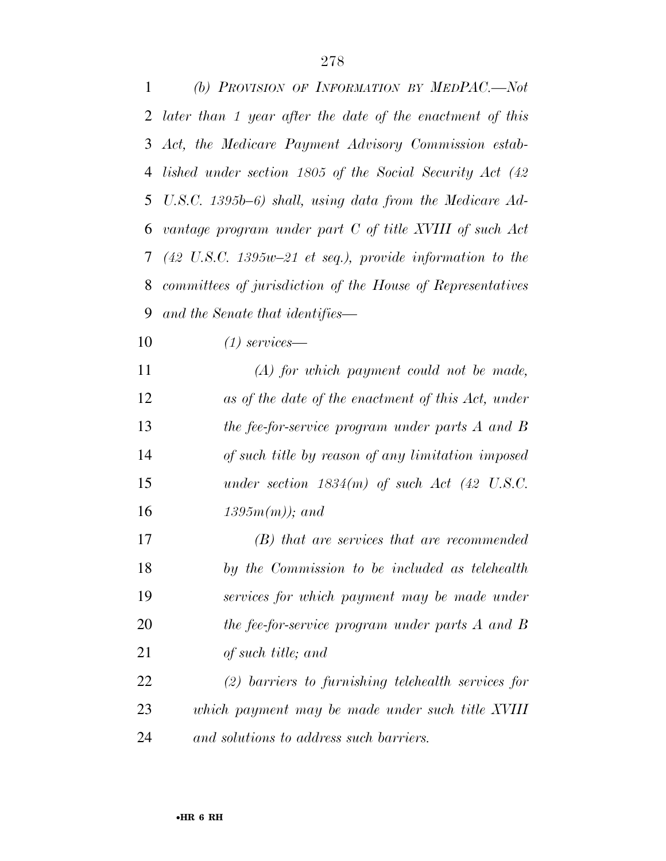| $1 \quad \blacksquare$<br>(b) PROVISION OF INFORMATION BY MEDPAC.-Not |
|-----------------------------------------------------------------------|
| 2 later than 1 year after the date of the enactment of this           |
| 3 Act, the Medicare Payment Advisory Commission estab-                |
| 4 lished under section 1805 of the Social Security Act (42)           |
| 5 U.S.C. 1395b–6) shall, using data from the Medicare Ad-             |
| 6 vantage program under part C of title XVIII of such Act             |
| 7 (42 U.S.C. 1395 $w$ -21 et seq.), provide information to the        |
| 8 committees of jurisdiction of the House of Representatives          |
| 9 and the Senate that identifies—                                     |

*(1) services—* 

 *(A) for which payment could not be made, as of the date of the enactment of this Act, under the fee-for-service program under parts A and B of such title by reason of any limitation imposed under section 1834(m) of such Act (42 U.S.C. 1395m(m)); and* 

 *(B) that are services that are recommended by the Commission to be included as telehealth services for which payment may be made under the fee-for-service program under parts A and B of such title; and* 

 *(2) barriers to furnishing telehealth services for which payment may be made under such title XVIII and solutions to address such barriers.*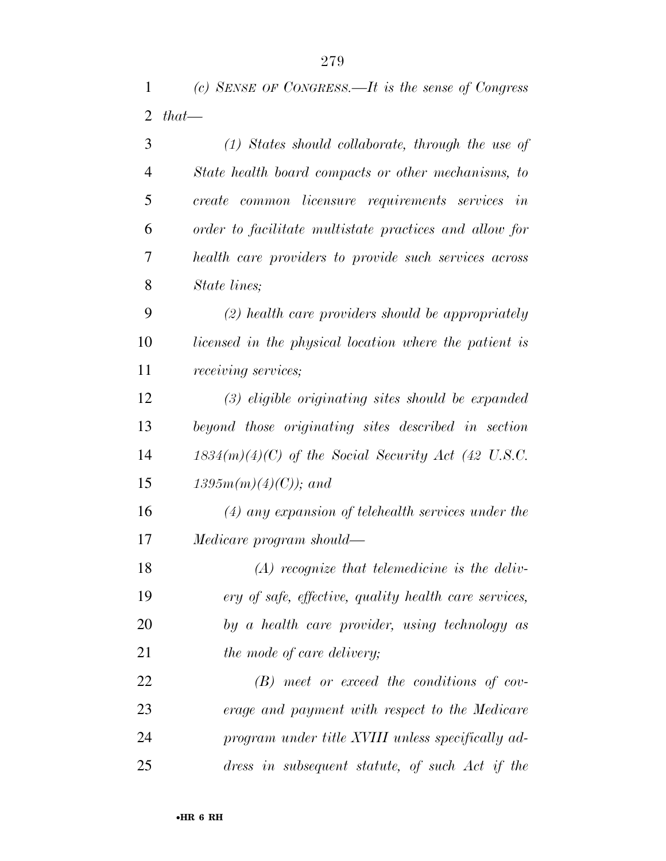*(c) SENSE OF CONGRESS.—It is the sense of Congress* 

| 2  | $that$ —                                               |
|----|--------------------------------------------------------|
| 3  | $(1)$ States should collaborate, through the use of    |
| 4  | State health board compacts or other mechanisms, to    |
| 5  | create common licensure requirements services in       |
| 6  | order to facilitate multistate practices and allow for |
| 7  | health care providers to provide such services across  |
| 8  | State lines;                                           |
| 9  | $(2)$ health care providers should be appropriately    |
| 10 | licensed in the physical location where the patient is |
| 11 | <i>receiving services;</i>                             |
| 12 | $(3)$ eligible originating sites should be expanded    |
| 13 | beyond those originating sites described in section    |
| 14 | $1834(m)(4)(C)$ of the Social Security Act (42 U.S.C.  |
| 15 | $1395m(m)(4)(C)$ ; and                                 |
| 16 | $(4)$ any expansion of telehealth services under the   |
| 17 | Medicare program should—                               |
| 18 | $(A)$ recognize that telemedicine is the deliv-        |
| 19 | ery of safe, effective, quality health care services,  |
| 20 | by a health care provider, using technology as         |
| 21 | the mode of care delivery;                             |
| 22 | $(B)$ meet or exceed the conditions of cov-            |

 *erage and payment with respect to the Medicare program under title XVIII unless specifically ad-dress in subsequent statute, of such Act if the*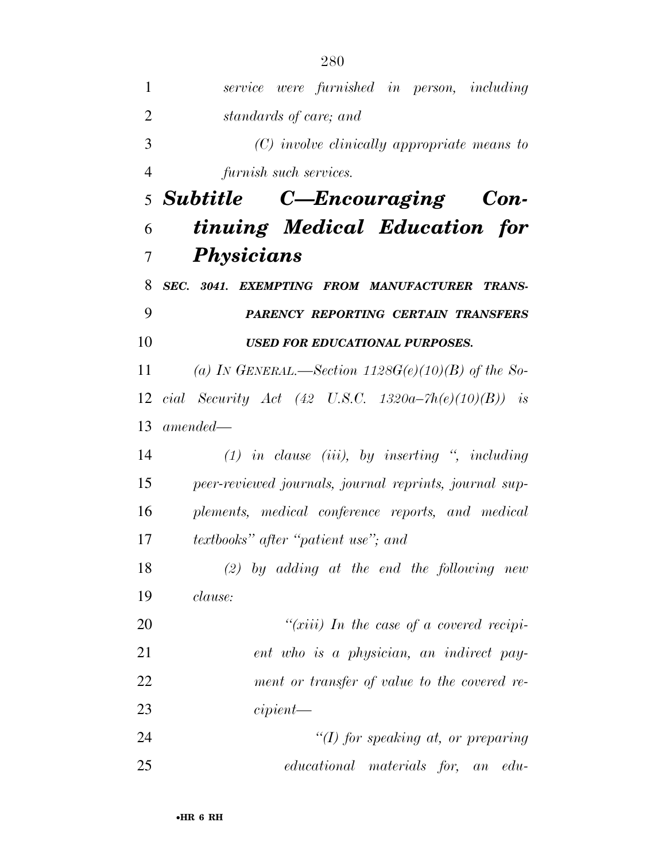| 1              | service were furnished in person, including                |
|----------------|------------------------------------------------------------|
| $\overline{2}$ | standards of care; and                                     |
| 3              | (C) involve clinically appropriate means to                |
| $\overline{4}$ | furnish such services.                                     |
|                | 5 Subtitle C—Encouraging Con-                              |
| 6              | tinuing Medical Education for                              |
| 7              | Physicians                                                 |
| 8              | SEC. 3041. EXEMPTING FROM MANUFACTURER TRANS-              |
| 9              | PARENCY REPORTING CERTAIN TRANSFERS                        |
| 10             | <b>USED FOR EDUCATIONAL PURPOSES.</b>                      |
| 11             | (a) IN GENERAL.—Section $1128G(e)(10)(B)$ of the So-       |
|                | 12 cial Security Act (42 U.S.C. 1320a–7 $h(e)(10)(B)$ ) is |
| 13             | $amended-$                                                 |
| 14             | $(1)$ in clause (iii), by inserting ", including           |
| 15             | peer-reviewed journals, journal reprints, journal sup-     |
| 16             | plements, medical conference reports, and medical          |
| 17             | <i>textbooks</i> " <i>after</i> " <i>patient</i> use"; and |
| 18             | $(2)$ by adding at the end the following new               |
| 19             | clause:                                                    |
| 20             | " $(xiii)$ In the case of a covered recipi-                |
| 21             | ent who is a physician, an indirect pay-                   |
| 22             | ment or transfer of value to the covered re-               |
| 23             | cipient                                                    |
| 24             | "(I) for speaking at, or preparing                         |
| 25             | educational materials for,<br>$edu$ -<br>an                |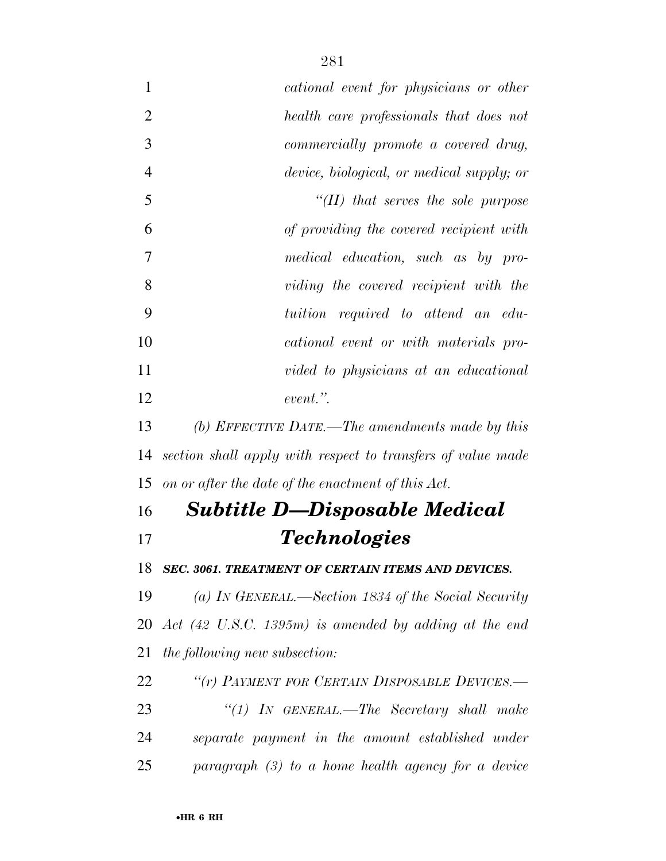| $\mathbf{1}$   | cational event for physicians or other                                  |
|----------------|-------------------------------------------------------------------------|
| $\overline{2}$ | health care professionals that does not                                 |
| 3              | commercially promote a covered drug,                                    |
| $\overline{4}$ | device, biological, or medical supply; or                               |
| 5              | $\lq$ (II) that serves the sole purpose                                 |
| 6              | of providing the covered recipient with                                 |
| 7              | medical education, such as by pro-                                      |
| 8              | viding the covered recipient with the                                   |
| 9              | tuition required to attend an edu-                                      |
| 10             | cational event or with materials pro-                                   |
| 11             | vided to physicians at an educational                                   |
| 12             | event.".                                                                |
| 13             | (b) EFFECTIVE DATE.—The amendments made by this                         |
| 14             | section shall apply with respect to transfers of value made             |
| 15             | on or after the date of the enactment of this Act.                      |
| 16             | <b>Subtitle D-Disposable Medical</b>                                    |
| 17             | <b>Technologies</b>                                                     |
| 18             | SEC. 3061. TREATMENT OF CERTAIN ITEMS AND DEVICES.                      |
| 19             | (a) IN GENERAL.—Section 1834 of the Social Security                     |
| 20             | Act $(42 \text{ U.S.C. } 1395\text{m})$ is amended by adding at the end |
| 21             | the following new subsection:                                           |
| 22             | "(r) PAYMENT FOR CERTAIN DISPOSABLE DEVICES.-                           |
| 23             | "(1) In GENERAL.—The Secretary shall make                               |
| 24             | separate payment in the amount established under                        |
| 25             | $paragnph$ (3) to a home health agency for a device                     |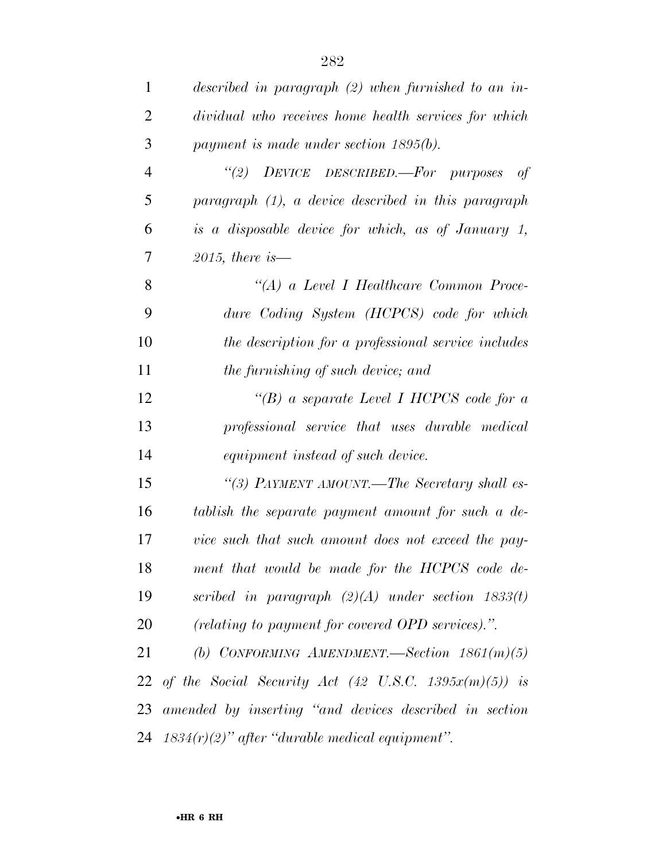| $\mathbf{1}$   | described in paragraph $(2)$ when furnished to an in-        |
|----------------|--------------------------------------------------------------|
| $\overline{2}$ | dividual who receives home health services for which         |
| 3              | payment is made under section $1895(b)$ .                    |
| $\overline{4}$ | "(2) DEVICE DESCRIBED.—For purposes<br>of                    |
| 5              | paragraph (1), a device described in this paragraph          |
| 6              | is a disposable device for which, as of January 1,           |
| 7              | 2015, there is $-$                                           |
| 8              | "(A) a Level I Healthcare Common Proce-                      |
| 9              | dure Coding System (HCPCS) code for which                    |
| 10             | the description for a professional service includes          |
| 11             | the furnishing of such device; and                           |
| 12             | "(B) a separate Level I HCPCS code for a                     |
| 13             | professional service that uses durable medical               |
| 14             | equipment instead of such device.                            |
| 15             | "(3) PAYMENT AMOUNT.—The Secretary shall es-                 |
| 16             | tablish the separate payment amount for such a de-           |
| 17             | vice such that such amount does not exceed the pay-          |
| 18             | ment that would be made for the HCPCS code de-               |
| 19             | scribed in paragraph $(2)(A)$ under section 1833(t)          |
| 20             | (relating to payment for covered OPD services).".            |
| 21             | (b) CONFORMING AMENDMENT. Section $1861(m)(5)$               |
|                | 22 of the Social Security Act (42 U.S.C. 1395 $x(m)(5)$ ) is |
|                | 23 amended by inserting "and devices described in section    |
|                | 24 $1834(r)(2)$ " after "durable medical equipment".         |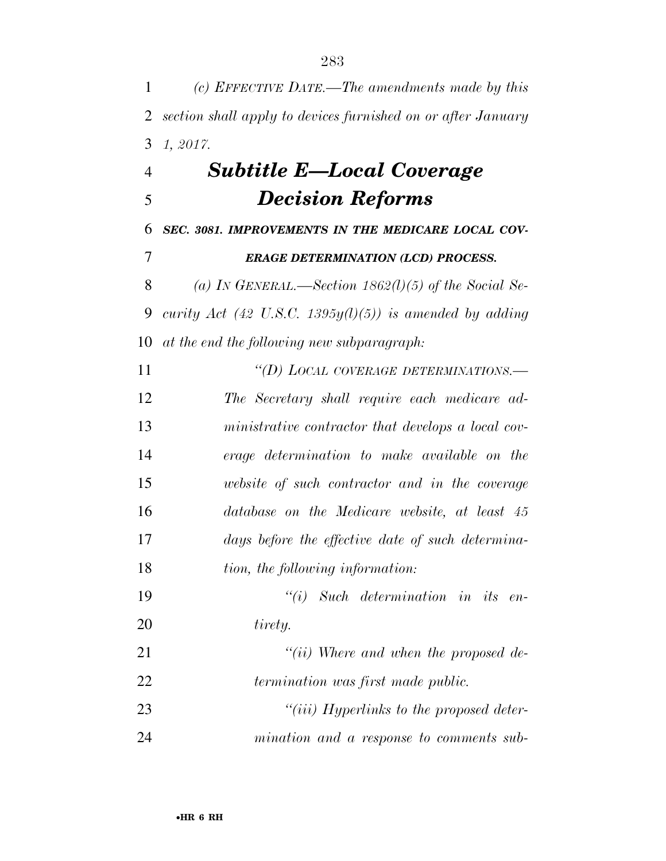*(c) EFFECTIVE DATE.—The amendments made by this section shall apply to devices furnished on or after January 1, 2017. Subtitle E—Local Coverage Decision Reforms SEC. 3081. IMPROVEMENTS IN THE MEDICARE LOCAL COV-*

*ERAGE DETERMINATION (LCD) PROCESS.* 

 *(a) IN GENERAL.—Section 1862(l)(5) of the Social Se- curity Act (42 U.S.C. 1395y(l)(5)) is amended by adding at the end the following new subparagraph:* 

 *''(D) LOCAL COVERAGE DETERMINATIONS.— The Secretary shall require each medicare ad- ministrative contractor that develops a local cov- erage determination to make available on the website of such contractor and in the coverage database on the Medicare website, at least 45 days before the effective date of such determina- tion, the following information: ''(i) Such determination in its en- tirety. ''(ii) Where and when the proposed de-*

*termination was first made public.* 

 *''(iii) Hyperlinks to the proposed deter-mination and a response to comments sub-*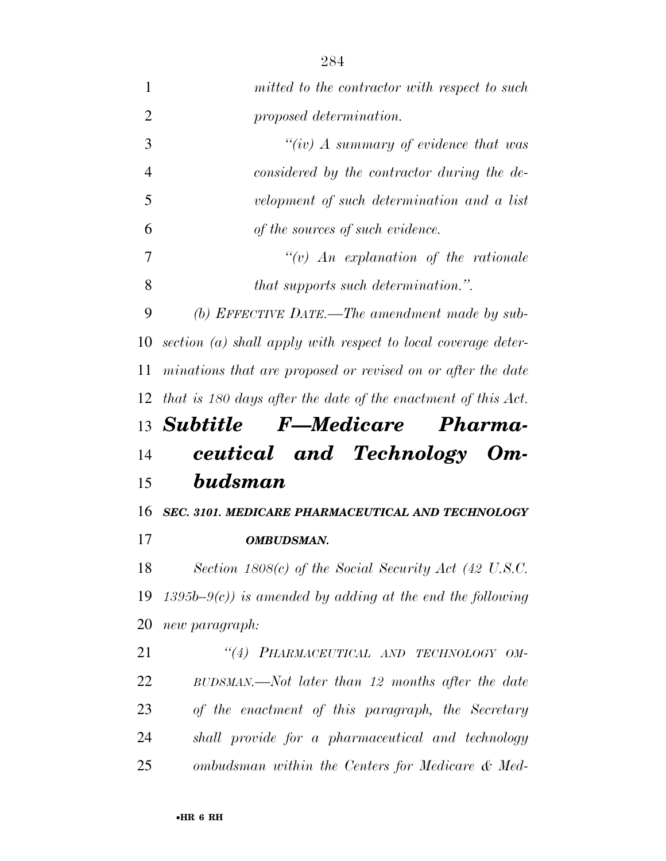| $\mathbf{1}$   | mitted to the contractor with respect to such                 |
|----------------|---------------------------------------------------------------|
| $\overline{2}$ | proposed determination.                                       |
| 3              | "(iv) A summary of evidence that was                          |
| $\overline{4}$ | considered by the contractor during the de-                   |
| 5              | velopment of such determination and a list                    |
| 6              | of the sources of such evidence.                              |
| 7              | $\lq\lq v$ An explanation of the rationale                    |
| 8              | that supports such determination.".                           |
| 9              | (b) EFFECTIVE DATE.—The amendment made by sub-                |
| 10             | section (a) shall apply with respect to local coverage deter- |
| 11             | minations that are proposed or revised on or after the date   |
| 12             | that is 180 days after the date of the enactment of this Act. |
|                |                                                               |
|                | 13 Subtitle F-Medicare Pharma-                                |
| 14             | ceutical and Technology Om-                                   |
| 15             | budsman                                                       |
| 16             | SEC. 3101. MEDICARE PHARMACEUTICAL AND TECHNOLOGY             |
| 17             | OMBUDSMAN.                                                    |
| 18             | Section $1808(c)$ of the Social Security Act (42 U.S.C.       |
| 19             | $1395b-9(c)$ ) is amended by adding at the end the following  |
| 20             | new paragraph:                                                |
| 21             | "(4) PHARMACEUTICAL AND TECHNOLOGY OM-                        |
| 22             | BUDSMAN.—Not later than 12 months after the date              |
| 23             | of the enactment of this paragraph, the Secretary             |
| 24             | shall provide for a pharmaceutical and technology             |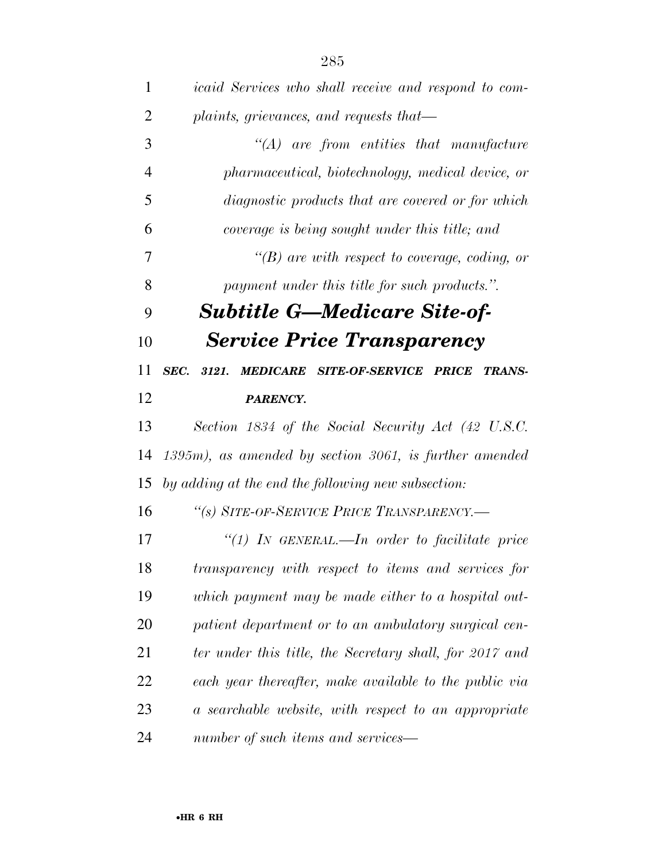| $\mathbf{1}$   | <i>icaid Services who shall receive and respond to com-</i>             |
|----------------|-------------------------------------------------------------------------|
| $\overline{2}$ | plaints, grievances, and requests that—                                 |
| 3              | $\lq (A)$ are from entities that manufacture                            |
| $\overline{4}$ | pharmaceutical, biotechnology, medical device, or                       |
| 5              | <i>diagnostic products that are covered or for which</i>                |
| 6              | coverage is being sought under this title; and                          |
| 7              | $\lq\lq(B)$ are with respect to coverage, coding, or                    |
| 8              | payment under this title for such products.".                           |
| 9              | <b>Subtitle G—Medicare Site-of-</b>                                     |
| 10             | <b>Service Price Transparency</b>                                       |
| 11             | SEC.<br>3121.<br><b>MEDICARE SITE-OF-SERVICE PRICE</b><br><b>TRANS-</b> |
| 12             | <b>PARENCY.</b>                                                         |
| 13             | Section 1834 of the Social Security Act (42 U.S.C.                      |
| 14             | $1395m$ , as amended by section 3061, is further amended                |
| 15             | by adding at the end the following new subsection:                      |
| 16             | "(s) SITE-OF-SERVICE PRICE TRANSPARENCY.-                               |
| 17             | "(1) IN GENERAL.—In order to facilitate price                           |
| 18             | transparency with respect to items and services for                     |
| 19             | which payment may be made either to a hospital out-                     |
| 20             | patient department or to an ambulatory surgical cen-                    |
| 21             | ter under this title, the Secretary shall, for 2017 and                 |
| 22             | each year thereafter, make available to the public via                  |
| 23             | a searchable website, with respect to an appropriate                    |
| 24             | number of such items and services—                                      |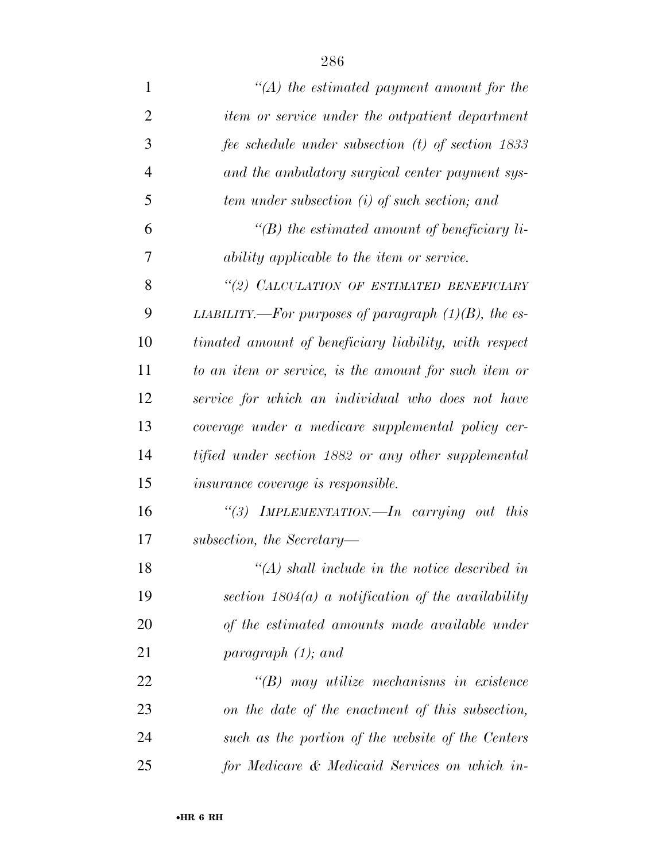| $\mathbf{1}$   | $\lq (A)$ the estimated payment amount for the          |
|----------------|---------------------------------------------------------|
| $\overline{2}$ | <i>item or service under the outpatient department</i>  |
| 3              | fee schedule under subsection (t) of section 1833       |
| 4              | and the ambulatory surgical center payment sys-         |
| 5              | tem under subsection (i) of such section; and           |
| 6              | $\lq (B)$ the estimated amount of beneficiary li-       |
| 7              | ability applicable to the item or service.              |
| 8              | "(2) CALCULATION OF ESTIMATED BENEFICIARY               |
| 9              | LIABILITY.—For purposes of paragraph $(1)(B)$ , the es- |
| 10             | timated amount of beneficiary liability, with respect   |
| 11             | to an item or service, is the amount for such item or   |
| 12             | service for which an individual who does not have       |
| 13             | coverage under a medicare supplemental policy cer-      |
| 14             | tified under section 1882 or any other supplemental     |
| 15             | <i>insurance coverage is responsible.</i>               |
| 16             | IMPLEMENTATION.—In carrying out this<br>(3)             |
| 17             | subsection, the Secretary-                              |
| 18             | $\lq (A)$ shall include in the notice described in      |
| 19             | section $1804(a)$ a notification of the availability    |
| 20             | of the estimated amounts made available under           |
| 21             | paragraph $(1)$ ; and                                   |
| 22             | $\lq\lq(B)$ may utilize mechanisms in existence         |
| 23             | on the date of the enactment of this subsection,        |
| 24             | such as the portion of the website of the Centers       |
| 25             | for Medicare & Medicaid Services on which in-           |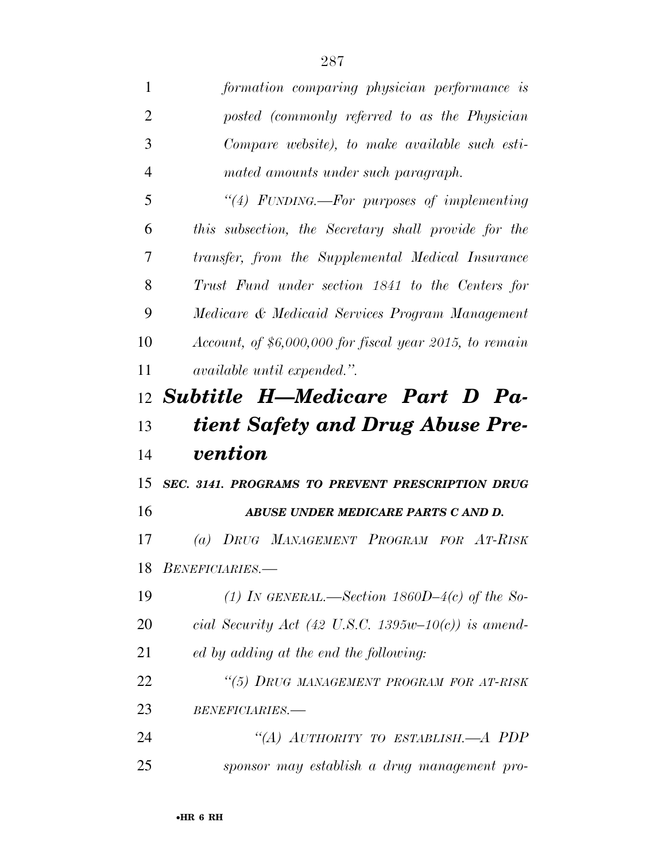| 1              | formation comparing physician performance is             |
|----------------|----------------------------------------------------------|
| $\overline{2}$ | posted (commonly referred to as the Physician            |
| 3              | Compare website), to make available such esti-           |
| $\overline{4}$ | mated amounts under such paragraph.                      |
| 5              | "(4) FUNDING.—For purposes of implementing               |
| 6              | this subsection, the Secretary shall provide for the     |
| 7              | transfer, from the Supplemental Medical Insurance        |
| 8              | Trust Fund under section 1841 to the Centers for         |
| 9              | Medicare & Medicaid Services Program Management          |
| 10             | Account, of $$6,000,000$ for fiscal year 2015, to remain |
| 11             | <i>available until expended.</i> ".                      |
|                | $12$ Subtitle H—Medicare Part D Pa-                      |
|                |                                                          |
| 13             | tient Safety and Drug Abuse Pre-                         |
| 14             | <i>vention</i>                                           |
| 15             | SEC. 3141. PROGRAMS TO PREVENT PRESCRIPTION DRUG         |
| 16             | ABUSE UNDER MEDICARE PARTS C AND D.                      |
| 17             | (a) DRUG MANAGEMENT PROGRAM FOR AT-RISK                  |
|                | 18 BENEFICIARIES.                                        |
| 19             | (1) IN GENERAL.—Section $1860D-4(c)$ of the So-          |
| 20             | cial Security Act (42 U.S.C. 1395w-10(c)) is amend-      |
| 21             | ed by adding at the end the following:                   |
| 22             | "(5) DRUG MANAGEMENT PROGRAM FOR AT-RISK                 |
| 23             | BENEFICIARIES.-                                          |
| 24             | "(A) AUTHORITY TO ESTABLISH.—A PDP                       |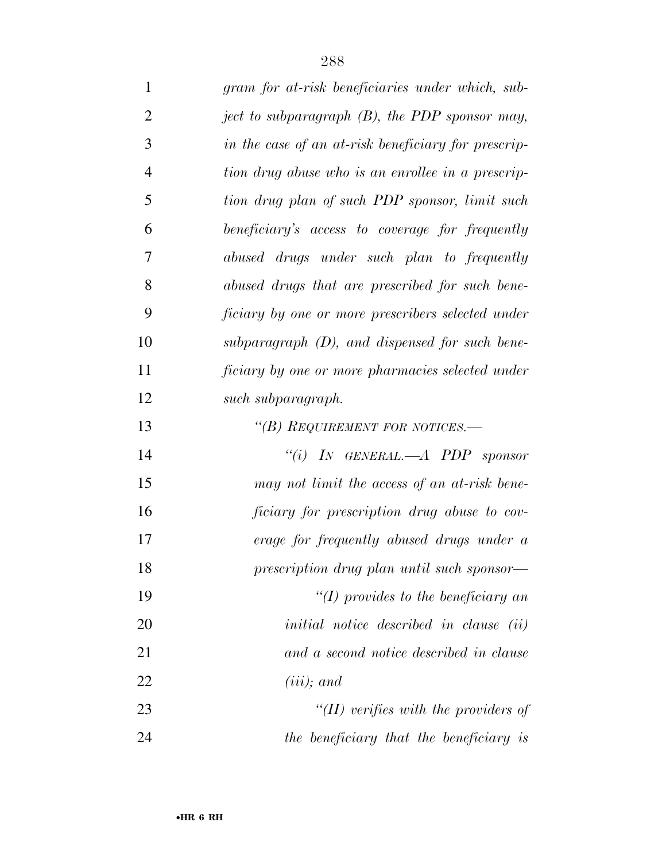| $\mathbf{1}$   | gram for at-risk beneficiaries under which, sub-    |
|----------------|-----------------------------------------------------|
| $\overline{2}$ | ject to subparagraph (B), the PDP sponsor may,      |
| 3              | in the case of an at-risk beneficiary for prescrip- |
| $\overline{4}$ | tion drug abuse who is an enrollee in a prescrip-   |
| 5              | tion drug plan of such PDP sponsor, limit such      |
| 6              | beneficiary's access to coverage for frequently     |
| 7              | abused drugs under such plan to frequently          |
| 8              | abused drugs that are prescribed for such bene-     |
| 9              | ficiary by one or more prescribers selected under   |
| 10             | subparagraph $(D)$ , and dispensed for such bene-   |
| 11             | ficiary by one or more pharmacies selected under    |
| 12             | such subparagraph.                                  |
| 13             | "(B) REQUIREMENT FOR NOTICES.—                      |
| 14             | "(i) IN GENERAL.—A PDP sponsor                      |
| 15             | may not limit the access of an at-risk bene-        |
| 16             | ficiary for prescription drug abuse to cov-         |
| 17             | erage for frequently abused drugs under a           |
| 18             | prescription drug plan until such sponsor—          |
| 19             | $\lq (I)$ provides to the beneficiary an            |
| 20             | <i>initial notice described in clause (ii)</i>      |
| 21             | and a second notice described in clause             |
| 22             | $(iii)$ ; and                                       |
| 23             | " $(II)$ verifies with the providers of             |
| 24             | the beneficiary that the beneficiary is             |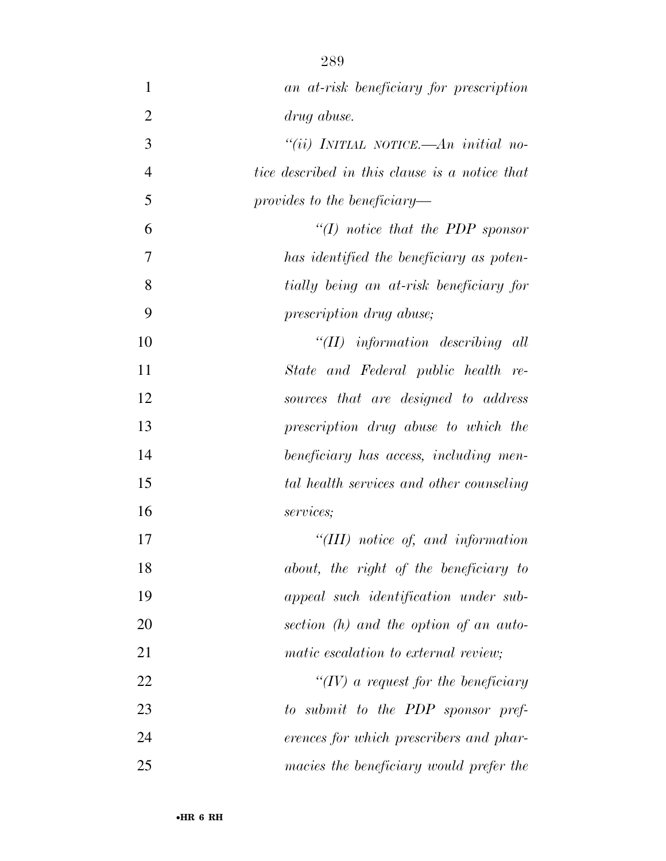| $\mathbf{1}$   | an at-risk beneficiary for prescription        |
|----------------|------------------------------------------------|
| $\overline{2}$ | drug abuse.                                    |
| 3              | "(ii) INITIAL NOTICE.—An initial no-           |
| $\overline{4}$ | tice described in this clause is a notice that |
| 5              | provides to the beneficiary—                   |
| 6              | "(I) notice that the PDP sponsor               |
| 7              | has identified the beneficiary as poten-       |
| 8              | tially being an at-risk beneficiary for        |
| 9              | prescription drug abuse;                       |
| 10             | $``(II)$ information describing all            |
| 11             | State and Federal public health re-            |
| 12             | sources that are designed to address           |
| 13             | prescription drug abuse to which the           |
| 14             | beneficiary has access, including men-         |
| 15             | tal health services and other counseling       |
| 16             | services;                                      |
| 17             | "(III) notice of, and information              |
| 18             | about, the right of the beneficiary to         |
| 19             | appeal such identification under sub-          |
| 20             | section (h) and the option of an auto-         |
| 21             | matic escalation to external review;           |
| 22             | $\lq (IV)$ a request for the beneficiary       |
| 23             | to submit to the PDP sponsor pref-             |
| 24             | erences for which prescribers and phar-        |
| 25             | macies the beneficiary would prefer the        |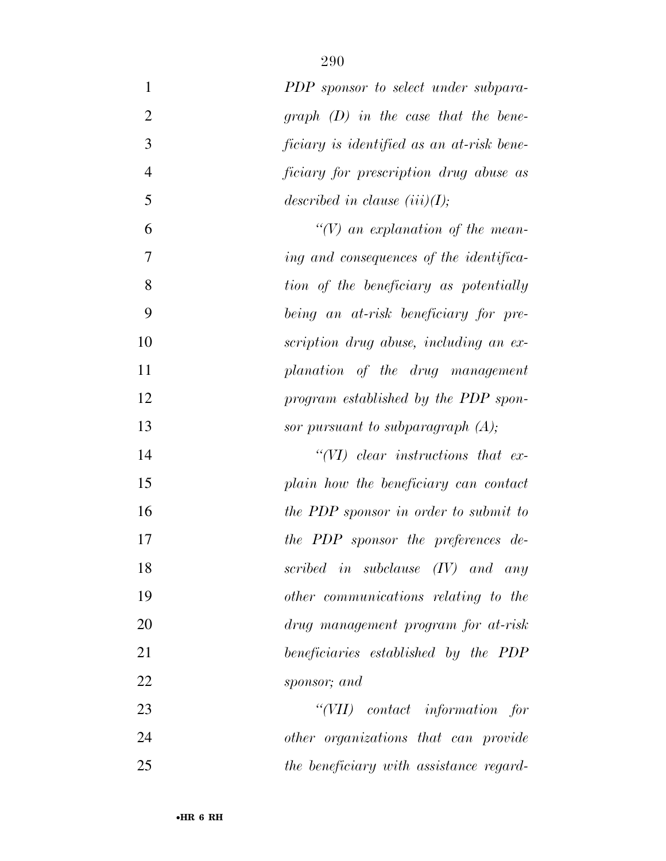| $\mathbf{1}$   | PDP sponsor to select under subpara-      |
|----------------|-------------------------------------------|
| $\overline{2}$ | graph $(D)$ in the case that the bene-    |
| 3              | ficiary is identified as an at-risk bene- |
| $\overline{4}$ | ficiary for prescription drug abuse as    |
| 5              | described in clause $(iii)(I);$           |
| 6              | $\lq (V)$ an explanation of the mean-     |
| 7              | ing and consequences of the identifica-   |
| 8              | tion of the beneficiary as potentially    |
| 9              | being an at-risk beneficiary for pre-     |
| 10             | scription drug abuse, including an ex-    |
| 11             | planation of the drug management          |
| 12             | program established by the PDP spon-      |
| 13             | sor pursuant to subparagraph $(A)$ ;      |
| 14             | $``(VI)$ clear instructions that ex-      |
| 15             | plain how the beneficiary can contact     |
| 16             | the PDP sponsor in order to submit to     |
| 17             | the PDP sponsor the preferences de-       |
| 18             | scribed in subclause $(IV)$ and any       |
| 19             | other communications relating to the      |
| 20             | drug management program for at-risk       |
| 21             | beneficiaries established by the PDP      |
| 22             | sponsor; and                              |
| 23             | "(VII) contact information for            |
| 24             | other organizations that can provide      |
| 25             | the beneficiary with assistance regard-   |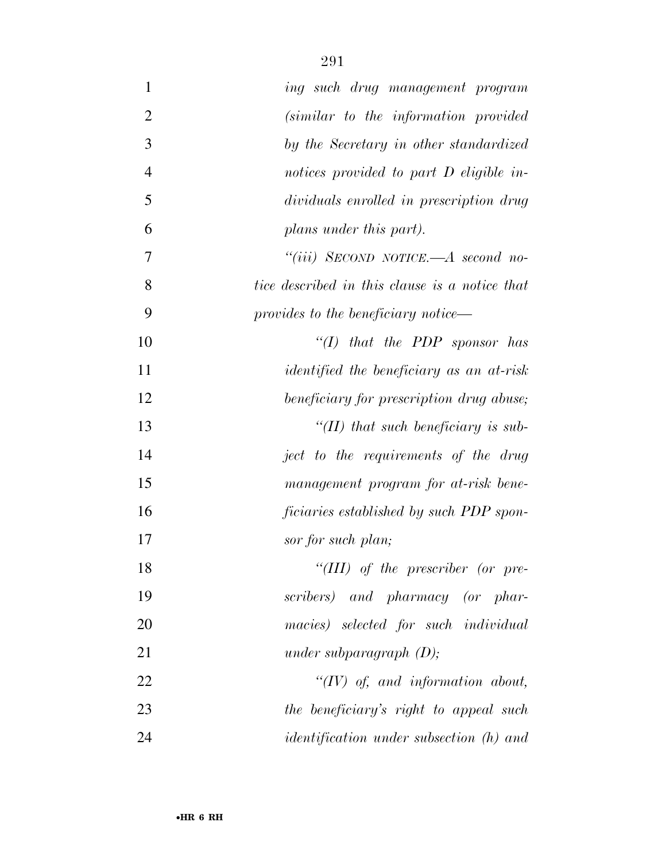| $\mathbf{1}$   | ing such drug management program                |
|----------------|-------------------------------------------------|
| $\overline{2}$ | (similar to the information provided)           |
| 3              | by the Secretary in other standardized          |
| $\overline{4}$ | notices provided to part D eligible in-         |
| 5              | dividuals enrolled in prescription drug         |
| 6              | plans under this part).                         |
| 7              | "(iii) SECOND NOTICE.—A second no-              |
| 8              | tice described in this clause is a notice that  |
| 9              | provides to the beneficiary notice—             |
| 10             | " $(I)$ that the PDP sponsor has                |
| 11             | <i>identified the beneficiary as an at-risk</i> |
| 12             | beneficiary for prescription drug abuse;        |
| 13             | "(II) that such beneficiary is sub-             |
| 14             | ject to the requirements of the drug            |
| 15             | management program for at-risk bene-            |
| 16             | ficiaries established by such PDP spon-         |
| 17             | sor for such plan;                              |
| 18             | "(III) of the prescriber (or pre-               |
| 19             | scribers) and pharmacy (or phar-                |
| 20             | macies) selected for such individual            |
| 21             | under subparagraph $(D)$ ;                      |
| 22             | $``(IV)$ of, and information about,             |
| 23             | the beneficiary's right to appeal such          |
| 24             | <i>identification under subsection (h) and</i>  |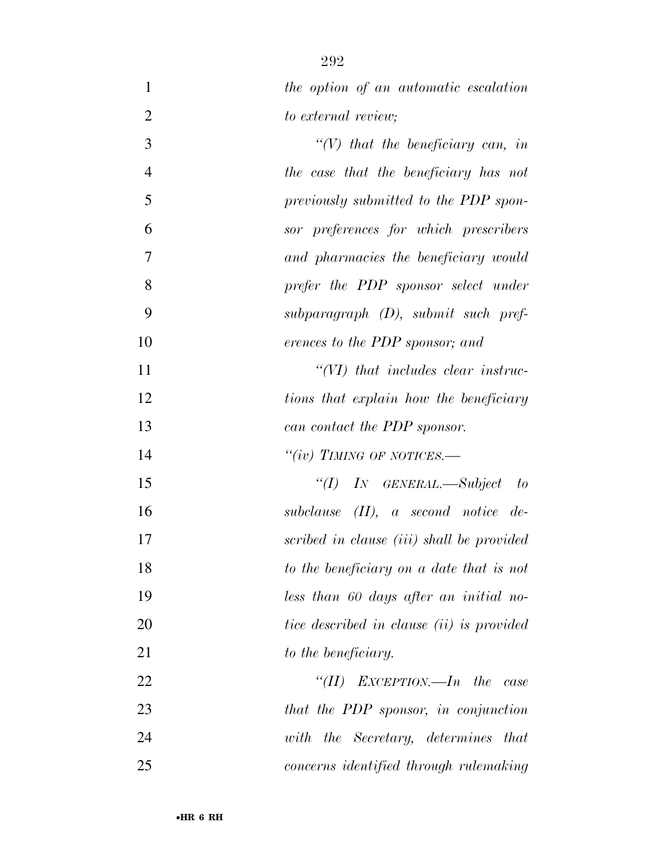| $\mathbf{1}$   | the option of an automatic escalation                      |
|----------------|------------------------------------------------------------|
| $\overline{2}$ | to external review;                                        |
| 3              | $\lq (V)$ that the beneficiary can, in                     |
| $\overline{4}$ | the case that the beneficiary has not                      |
| 5              | previously submitted to the PDP spon-                      |
| 6              | sor preferences for which prescribers                      |
| 7              | and pharmacies the beneficiary would                       |
| 8              | prefer the PDP sponsor select under                        |
| 9              | $subparagnph$ (D), submit such pref-                       |
| 10             | erences to the PDP sponsor; and                            |
| 11             | $\lq$ $\lq$ $\lq$ $\lq$ $\lq$ that includes clear instruc- |
| 12             | tions that explain how the beneficiary                     |
| 13             | can contact the PDP sponsor.                               |
| 14             | "(iv) TIMING OF NOTICES.—                                  |
| 15             | "(I) IN GENERAL.—Subject to                                |
| 16             | subclause $(II)$ , a second notice de-                     |
| 17             | scribed in clause (iii) shall be provided                  |
| 18             | to the beneficiary on a date that is not                   |
| 19             | less than 60 days after an initial no-                     |
| 20             | tice described in clause (ii) is provided                  |
| 21             | to the beneficiary.                                        |
| 22             | "(II) EXCEPTION.—In the case                               |
| 23             | that the PDP sponsor, in conjunction                       |
| 24             | with the Secretary, determines that                        |
| 25             | concerns identified through rulemaking                     |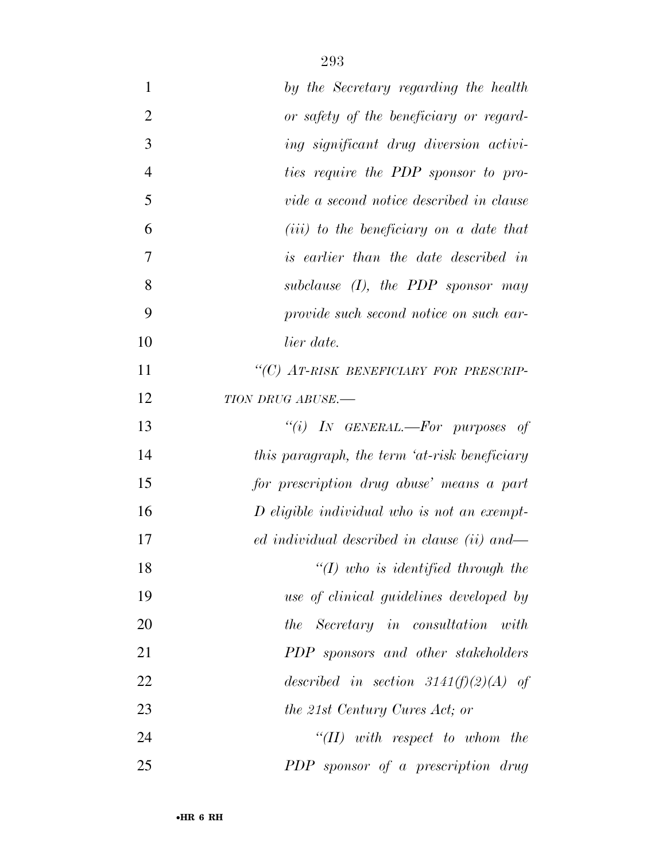| $\mathbf{1}$   | by the Secretary regarding the health         |
|----------------|-----------------------------------------------|
| $\overline{2}$ | or safety of the beneficiary or regard-       |
| 3              | ing significant drug diversion activi-        |
| $\overline{4}$ | ties require the PDP sponsor to pro-          |
| 5              | vide a second notice described in clause      |
| 6              | $(iii)$ to the beneficiary on a date that     |
| $\overline{7}$ | is earlier than the date described in         |
| 8              | subclause $(I)$ , the PDP sponsor may         |
| 9              | provide such second notice on such ear-       |
| 10             | lier date.                                    |
| 11             | "(C) AT-RISK BENEFICIARY FOR PRESCRIP-        |
| 12             | TION DRUG ABUSE.-                             |
| 13             | "(i) IN GENERAL.—For purposes of              |
| 14             | this paragraph, the term 'at-risk beneficiary |
| 15             | for prescription drug abuse' means a part     |
| 16             | $D$ eligible individual who is not an exempt- |
| 17             | ed individual described in clause (ii) and—   |
| 18             | $\lq (I)$ who is identified through the       |
| 19             | use of clinical guidelines developed by       |
| 20             | the Secretary in consultation with            |
| 21             | PDP sponsors and other stakeholders           |
| 22             | described in section 3141(f)(2)(A) of         |
| 23             | the 21st Century Cures Act; or                |
| 24             | $``(II)$ with respect to whom the             |
| 25             | PDP sponsor of a prescription drug            |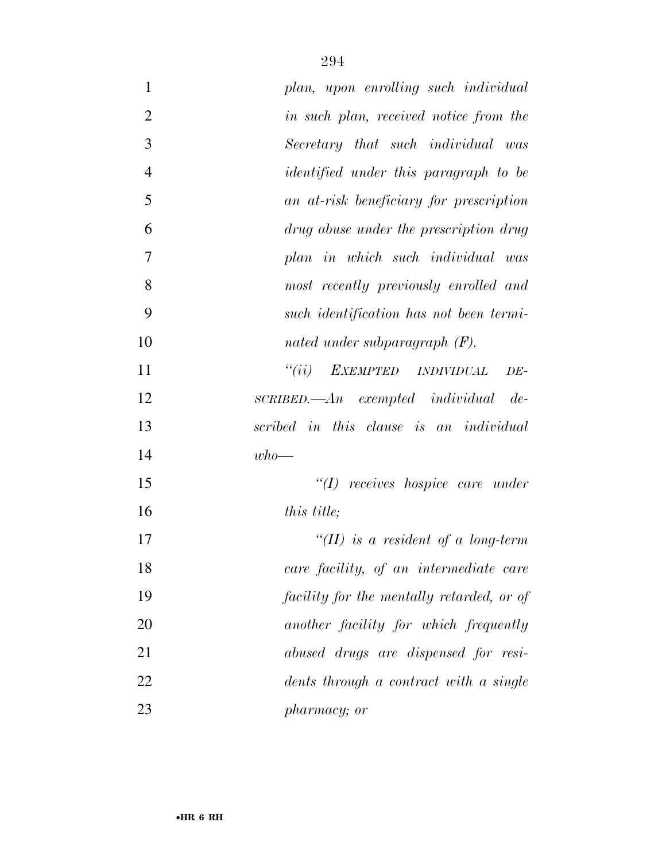| $\mathbf{1}$   | plan, upon enrolling such individual           |
|----------------|------------------------------------------------|
| $\overline{2}$ | in such plan, received notice from the         |
| 3              | Secretary that such individual was             |
| $\overline{4}$ | <i>identified under this paragraph to be</i>   |
| 5              | an at-risk beneficiary for prescription        |
| 6              | drug abuse under the prescription drug         |
| 7              | plan in which such individual was              |
| 8              | most recently previously enrolled and          |
| 9              | such identification has not been termi-        |
| 10             | nated under subparagraph $(F)$ .               |
| 11             | "(ii) EXEMPTED INDIVIDUAL<br>$DE-$             |
| 12             | $SCRIBED. \text{—} An$ exempted individual de- |
| 13             | scribed in this clause is an individual        |
| 14             | $who$ —                                        |
| 15             | $"(1)$ receives hospice care under             |
| 16             | <i>this title</i> ;                            |
| 17             | $\lq (II)$ is a resident of a long-term        |
| 18             | care facility, of an intermediate care         |
| 19             | facility for the mentally retarded, or of      |
| 20             | another facility for which frequently          |
| 21             | abused drugs are dispensed for resi-           |
| 22             | $dents$ through a contract with a single       |
| 23             | pharmacy; or                                   |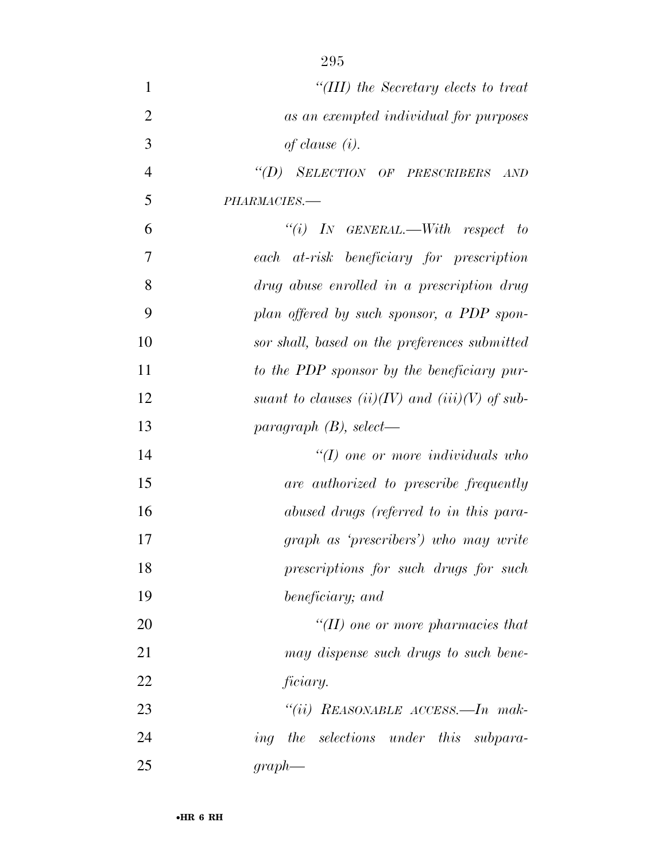| $\mathbf{1}$   | "(III) the Secretary elects to treat               |
|----------------|----------------------------------------------------|
| $\overline{2}$ | as an exempted individual for purposes             |
| 3              | of clause $(i)$ .                                  |
| $\overline{4}$ | "(D) SELECTION OF PRESCRIBERS AND                  |
| 5              | PHARMACIES.-                                       |
| 6              | $``(i)$ IN GENERAL.—With respect to                |
| 7              | each at-risk beneficiary for prescription          |
| 8              | drug abuse enrolled in a prescription drug         |
| 9              | plan offered by such sponsor, a PDP spon-          |
| 10             | sor shall, based on the preferences submitted      |
| 11             | to the PDP sponsor by the beneficiary pur-         |
| 12             | suant to clauses $(ii)(IV)$ and $(iii)(V)$ of sub- |
| 13             | paragraph $(B)$ , select—                          |
| 14             | $\lq (I)$ one or more individuals who              |
| 15             | are authorized to prescribe frequently             |
| 16             | abused drugs (referred to in this para-            |
| 17             | graph as 'prescribers') who may write              |
| 18             | prescriptions for such drugs for such              |
| 19             | beneficiary; and                                   |
| 20             | $H(H)$ one or more pharmacies that                 |
| 21             | may dispense such drugs to such bene-              |
| 22             | ficiary.                                           |
| 23             | "(ii) REASONABLE ACCESS.—In mak-                   |
| 24             | ing the selections under this subpara-             |
| 25             | $graph$ —                                          |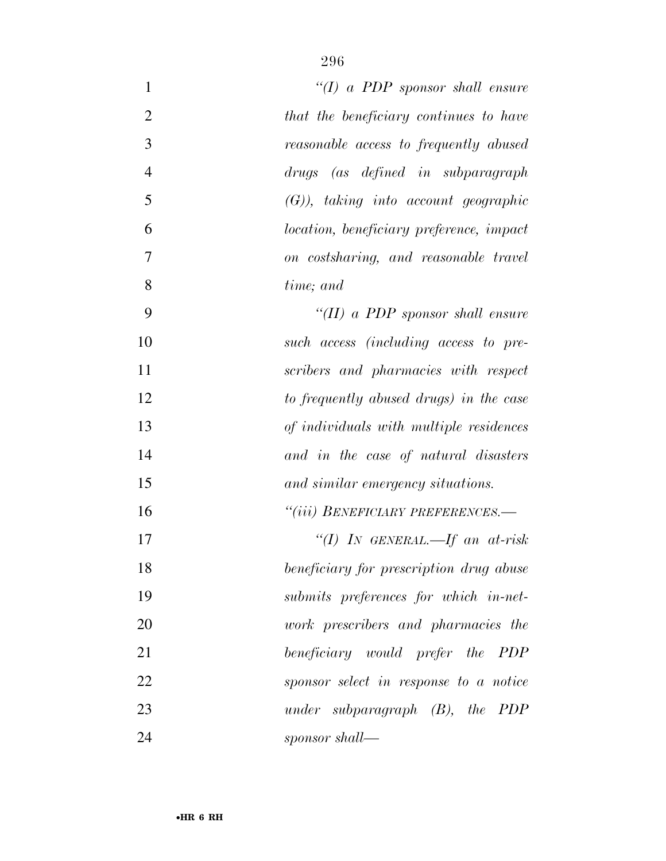| 1              | "(I) a PDP sponsor shall ensure                 |
|----------------|-------------------------------------------------|
| $\overline{2}$ | that the beneficiary continues to have          |
| 3              | reasonable access to frequently abused          |
| $\overline{4}$ | (as defined in subparagraph)<br>drugs           |
| 5              | $(G)$ , taking into account geographic          |
| 6              | <i>location, beneficiary preference, impact</i> |
| $\overline{7}$ | on costsharing, and reasonable travel           |
| 8              | time; and                                       |
| 9              | "(II) a PDP sponsor shall ensure                |
| 10             | such access (including access to pre-           |
| 11             | scribers and pharmacies with respect            |
| 12             | to frequently abused drugs) in the case         |
| 13             | of individuals with multiple residences         |
| 14             | and in the case of natural disasters            |
| 15             | and similar emergency situations.               |
| 16             | "(iii) BENEFICIARY PREFERENCES.-                |
| 17             | "(I) IN GENERAL.—If an at-risk                  |
| 18             | beneficiary for prescription drug abuse         |
| 19             | submits preferences for which in-net-           |
| 20             | work prescribers and pharmacies the             |
| 21             | beneficiary would prefer the PDP                |
| 22             | sponsor select in response to a notice          |
| 23             | under subparagraph $(B)$ , the PDP              |
| 24             | sponsor shall—                                  |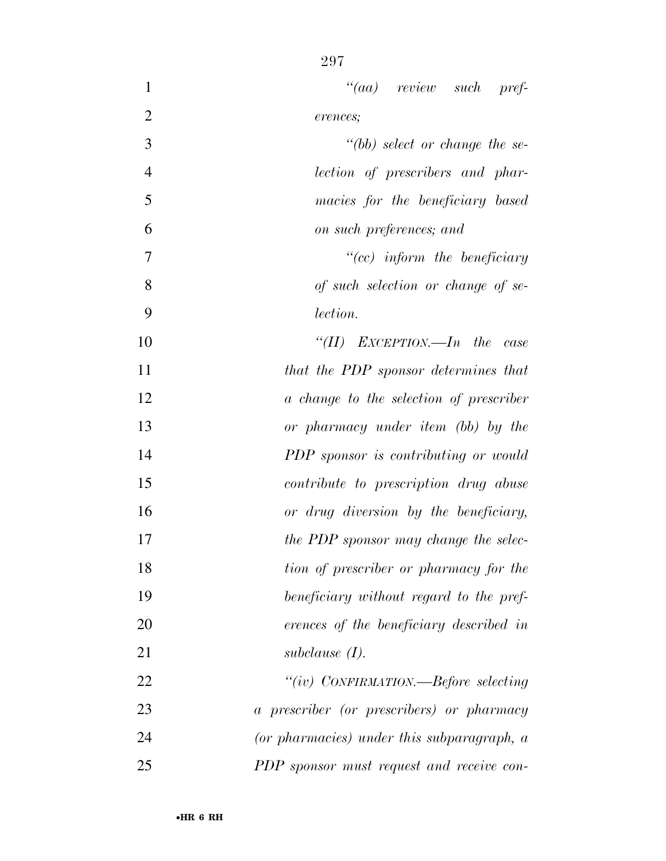| $\mathbf{1}$   | $``(aa)$ review such pref-                   |
|----------------|----------------------------------------------|
| $\overline{2}$ | erences;                                     |
| 3              | $" (bb)$ select or change the se-            |
| $\overline{4}$ | lection of prescribers and phar-             |
| 5              | macies for the beneficiary based             |
| 6              | on such preferences; and                     |
| $\tau$         | $``(cc)$ inform the beneficiary              |
| 8              | of such selection or change of se-           |
| 9              | lection.                                     |
| 10             | "(II) EXCEPTION.—In the case                 |
| 11             | that the PDP sponsor determines that         |
| 12             | a change to the selection of prescriber      |
| 13             | or pharmacy under item (bb) by the           |
| 14             | PDP sponsor is contributing or would         |
| 15             | <i>contribute to prescription drug abuse</i> |
| 16             | or drug diversion by the beneficiary,        |
| 17             | the PDP sponsor may change the selec-        |
| 18             | tion of prescriber or pharmacy for the       |
| 19             | beneficiary without regard to the pref-      |
| 20             | erences of the beneficiary described in      |
| 21             | subclause $(I)$ .                            |
| 22             | "(iv) CONFIRMATION.—Before selecting         |
| 23             | a prescriber (or prescribers) or pharmacy    |
| 24             | (or pharmacies) under this subparagraph, a   |
| 25             | PDP sponsor must request and receive con-    |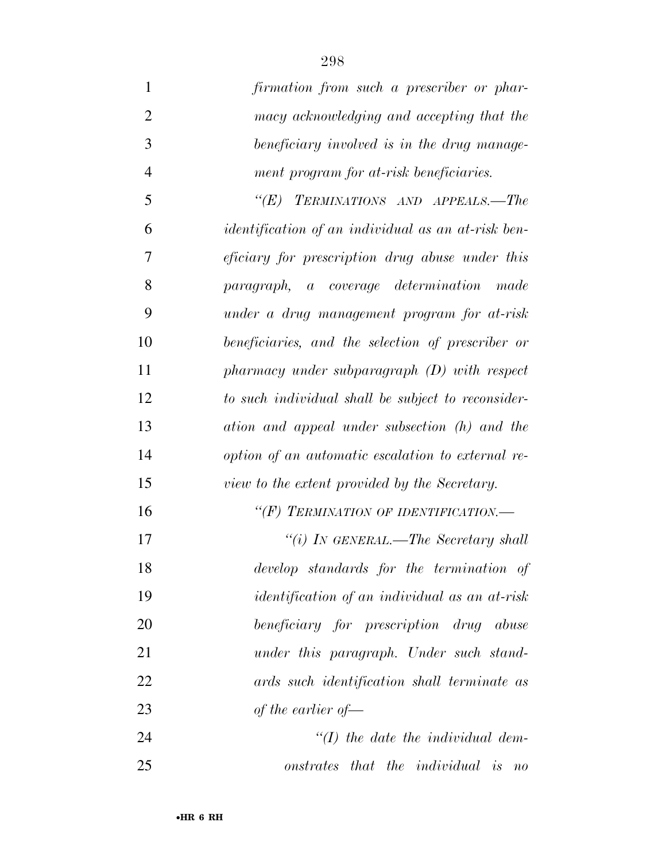| 1              | firmation from such a prescriber or phar-                 |
|----------------|-----------------------------------------------------------|
| $\mathfrak{2}$ | macy acknowledging and accepting that the                 |
| 3              | beneficiary involved is in the drug manage-               |
| $\overline{4}$ | ment program for at-risk beneficiaries.                   |
| 5              | TERMINATIONS AND APPEALS.-The<br>$\lq(E)$                 |
| 6              | <i>identification of an individual as an at-risk ben-</i> |
| $\tau$         | <i>eficiary for prescription drug abuse under this</i>    |
| 8              | paragraph, a coverage determination<br>made               |
| 9              | under a drug management program for at-risk               |
| 10             | beneficiaries, and the selection of prescriber or         |
| 11             | $pharmacy$ under subparagraph $(D)$ with respect          |
| 12             | to such individual shall be subject to reconsider-        |
| 13             | ation and appeal under subsection (h) and the             |
| 14             | option of an automatic escalation to external re-         |
| 15             | view to the extent provided by the Secretary.             |
| 16             | "(F) TERMINATION OF IDENTIFICATION.-                      |
| 17             | "(i) IN GENERAL.—The Secretary shall                      |
| 18             | develop standards for the termination of                  |
| 19             | <i>identification of an individual as an at-risk</i>      |
| 20             | beneficiary for prescription drug abuse                   |
| 21             | under this paragraph. Under such stand-                   |
| 22             | ards such identification shall terminate as               |
| 23             | of the earlier of $-$                                     |
| 24             | $\lq (I)$ the date the individual dem-                    |
| 25             | onstrates that the individual is no                       |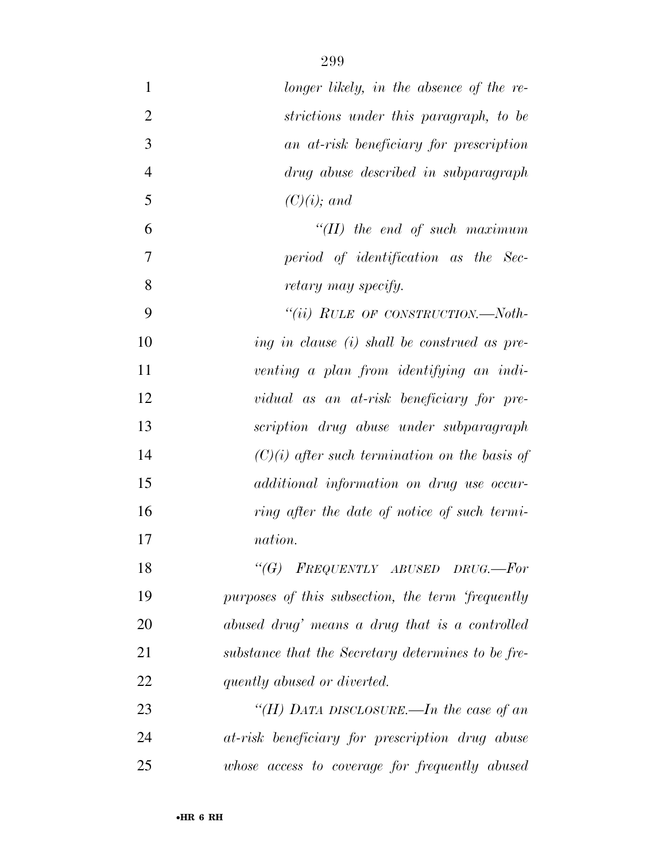| $\mathbf{1}$   | longer likely, in the absence of the re-           |
|----------------|----------------------------------------------------|
| $\overline{2}$ | strictions under this paragraph, to be             |
| 3              | an at-risk beneficiary for prescription            |
| $\overline{4}$ | drug abuse described in subparagraph               |
| 5              | $(C)(i)$ ; and                                     |
| 6              | $H(H)$ the end of such maximum                     |
| 7              | period of identification as the Sec-               |
| 8              | retary may specify.                                |
| 9              | "(ii) RULE OF CONSTRUCTION.—Noth-                  |
| 10             | ing in clause (i) shall be construed as pre-       |
| 11             | venting a plan from identifying an indi-           |
| 12             | vidual as an at-risk beneficiary for pre-          |
| 13             | scription drug abuse under subparagraph            |
| 14             | $(C)(i)$ after such termination on the basis of    |
| 15             | additional information on drug use occur-          |
| 16             | ring after the date of notice of such termi-       |
| 17             | nation.                                            |
| 18             | " $(G)$ FREQUENTLY ABUSED DRUG.—For                |
| 19             | purposes of this subsection, the term 'frequently  |
| 20             | abused drug' means a drug that is a controlled     |
| 21             | substance that the Secretary determines to be fre- |
| 22             | quently abused or diverted.                        |
| 23             | "(H) DATA DISCLOSURE.—In the case of an            |
| 24             | at-risk beneficiary for prescription drug abuse    |
| 25             | whose access to coverage for frequently abused     |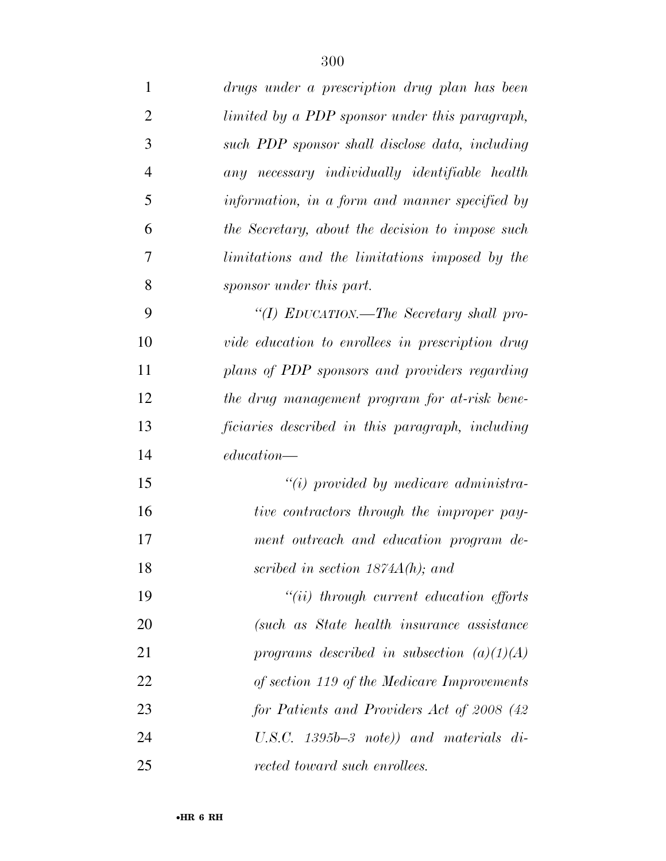| $\mathbf{1}$   | drugs under a prescription drug plan has been    |
|----------------|--------------------------------------------------|
| $\overline{2}$ | limited by a PDP sponsor under this paragraph,   |
| 3              | such PDP sponsor shall disclose data, including  |
| $\overline{4}$ | any necessary individually identifiable health   |
| 5              | information, in a form and manner specified by   |
| 6              | the Secretary, about the decision to impose such |
| 7              | limitations and the limitations imposed by the   |
| 8              | sponsor under this part.                         |
| 9              | "(I) EDUCATION.—The Secretary shall pro-         |
| 10             | vide education to enrollees in prescription drug |
| 11             | plans of PDP sponsors and providers regarding    |
| 12             | the drug management program for at-risk bene-    |
| 13             | ficiaries described in this paragraph, including |
| 14             | $education$ —                                    |
| 15             | $``(i)$ provided by medicare administra-         |
| 16             | tive contractors through the improper pay-       |
| 17             | ment outreach and education program de-          |
| 18             | scribed in section $1874A(h)$ ; and              |
| 19             | $``(ii)$ through current education efforts       |
| 20             | (such as State health insurance assistance)      |
| 21             | programs described in subsection $(a)(1)(A)$     |
| 22             | of section 119 of the Medicare Improvements      |
| 23             | for Patients and Providers Act of 2008 (42)      |
| 24             | U.S.C. $1395b-3$ note)) and materials di-        |
| 25             | rected toward such enrollees.                    |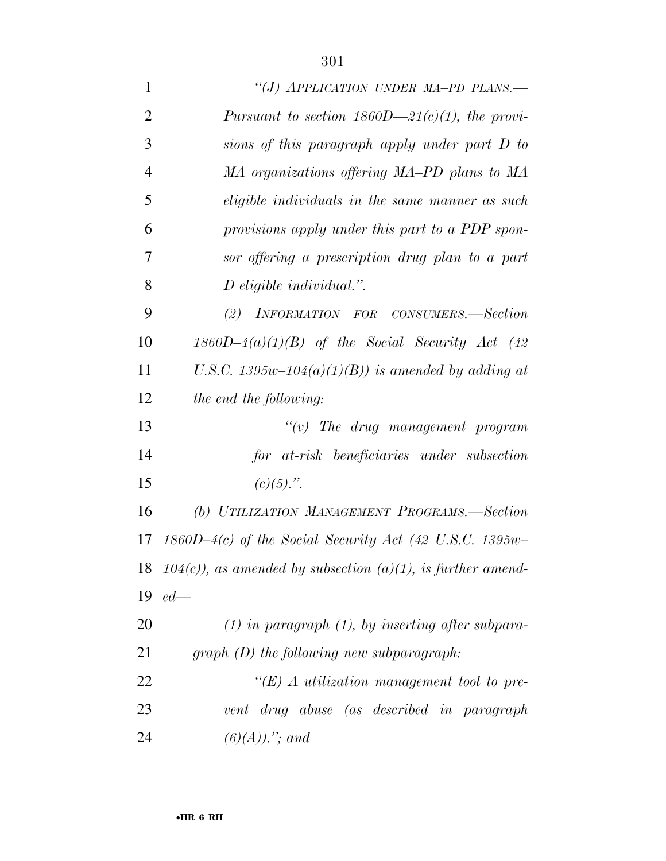| $\mathbf{1}$   | "(J) APPLICATION UNDER MA-PD PLANS.-                           |
|----------------|----------------------------------------------------------------|
| $\overline{2}$ | Pursuant to section $1860D - 21(c)(1)$ , the provi-            |
| 3              | sions of this paragraph apply under part D to                  |
| $\overline{4}$ | MA organizations offering MA-PD plans to MA                    |
| 5              | eligible individuals in the same manner as such                |
| 6              | provisions apply under this part to a PDP spon-                |
| 7              | sor offering a prescription drug plan to a part                |
| 8              | $D$ eligible individual.".                                     |
| 9              | INFORMATION FOR CONSUMERS.-Section<br>(2)                      |
| 10             | $1860D-4(a)(1)(B)$ of the Social Security Act (42              |
| 11             | U.S.C. 1395w-104(a)(1)(B)) is amended by adding at             |
| 12             | the end the following:                                         |
| 13             | $``(v)$ The drug management program                            |
| 14             | for at-risk beneficiaries under subsection                     |
| 15             | $(c)(5)$ .".                                                   |
| 16             | (b) UTILIZATION MANAGEMENT PROGRAMS.—Section                   |
| 17             | $1860D-4(c)$ of the Social Security Act (42 U.S.C. 1395w-      |
|                | 18 104(c)), as amended by subsection (a)(1), is further amend- |
| 19             | $ed$ —                                                         |
| 20             | $(1)$ in paragraph $(1)$ , by inserting after subpara-         |
| 21             | $graph(D)$ the following new subparagraph:                     |
| 22             | $\lq\lq (E)$ A utilization management tool to pre-             |
| 23             | vent drug abuse (as described in paragraph                     |
| 24             | $(6)(A))$ ."; and                                              |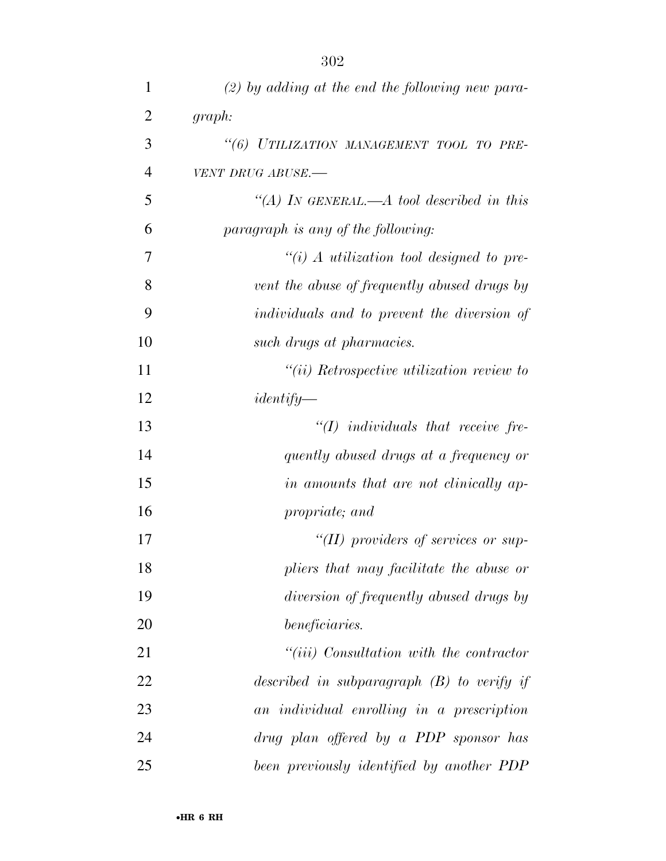| $\mathbf{1}$   | $(2)$ by adding at the end the following new para- |
|----------------|----------------------------------------------------|
| 2              | graph:                                             |
| 3              | "(6) UTILIZATION MANAGEMENT TOOL TO PRE-           |
| $\overline{4}$ | VENT DRUG ABUSE.-                                  |
| 5              | "(A) IN GENERAL.—A tool described in this          |
| 6              | paragraph is any of the following:                 |
| 7              | "(i) A utilization tool designed to pre-           |
| 8              | vent the abuse of frequently abused drugs by       |
| 9              | <i>individuals and to prevent the diversion of</i> |
| 10             | such drugs at pharmacies.                          |
| 11             | $``(ii)$ Retrospective utilization review to       |
| 12             | $identity-$                                        |
| 13             | $\lq (I)$ individuals that receive fre-            |
| 14             | quently abused drugs at a frequency or             |
| 15             | in amounts that are not clinically ap-             |
| 16             | propriate; and                                     |
| 17             | "(II) providers of services or sup-                |
| 18             | pliers that may facilitate the abuse or            |
| 19             | diversion of frequently abused drugs by            |
| 20             | beneficiaries.                                     |
| 21             | $``(iii)$ Consultation with the contractor         |
| 22             | described in subparagraph $(B)$ to verify if       |
| 23             | an individual enrolling in a prescription          |
| 24             | drug plan offered by a PDP sponsor has             |
| 25             | been previously identified by another PDP          |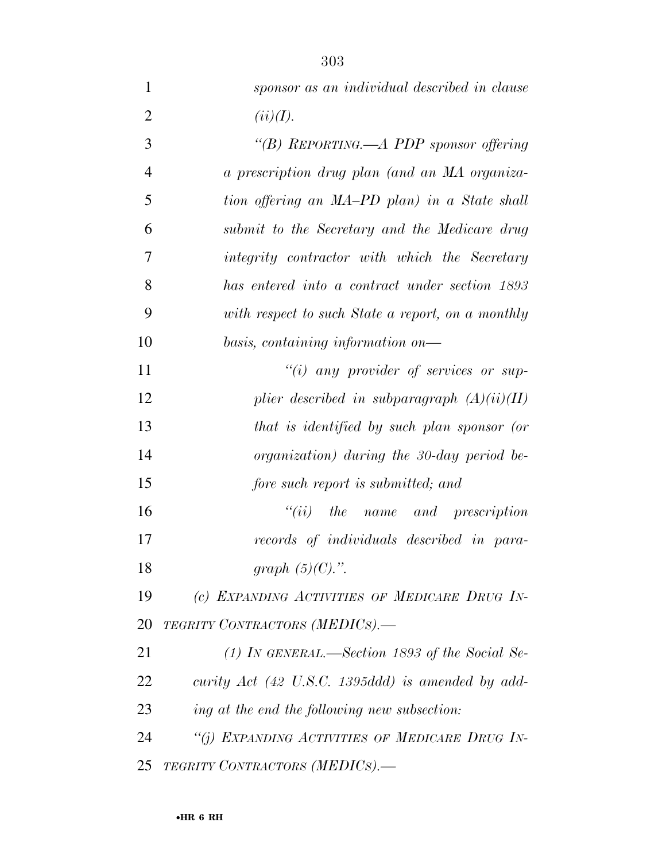| $\mathbf{1}$   | sponsor as an individual described in clause        |
|----------------|-----------------------------------------------------|
| $\overline{2}$ | (ii)(I).                                            |
| 3              | "(B) REPORTING.—A PDP sponsor offering              |
| $\overline{4}$ | a prescription drug plan (and an MA organiza-       |
| 5              | tion offering an MA-PD plan) in a State shall       |
| 6              | submit to the Secretary and the Medicare drug       |
| 7              | integrity contractor with which the Secretary       |
| 8              | has entered into a contract under section 1893      |
| 9              | with respect to such State a report, on a monthly   |
| 10             | basis, containing information on-                   |
| 11             | $``(i)$ any provider of services or sup-            |
| 12             | plier described in subparagraph $(A)(ii)(II)$       |
| 13             | that is identified by such plan sponsor (or         |
| 14             | organization) during the 30-day period be-          |
| 15             | fore such report is submitted; and                  |
| 16             | $``(ii)$ the name and prescription                  |
| 17             | records of individuals described in para-           |
| 18             | graph $(5)(C)$ .".                                  |
| 19             | (c) EXPANDING ACTIVITIES OF MEDICARE DRUG IN-       |
| 20             | TEGRITY CONTRACTORS (MEDICS).-                      |
| 21             | (1) In GENERAL.—Section 1893 of the Social Se-      |
| 22             | curity $Act$ (42 U.S.C. 1395ddd) is amended by add- |
| 23             | ing at the end the following new subsection:        |
| 24             | "(i) EXPANDING ACTIVITIES OF MEDICARE DRUG IN-      |

*TEGRITY CONTRACTORS (MEDICS).—*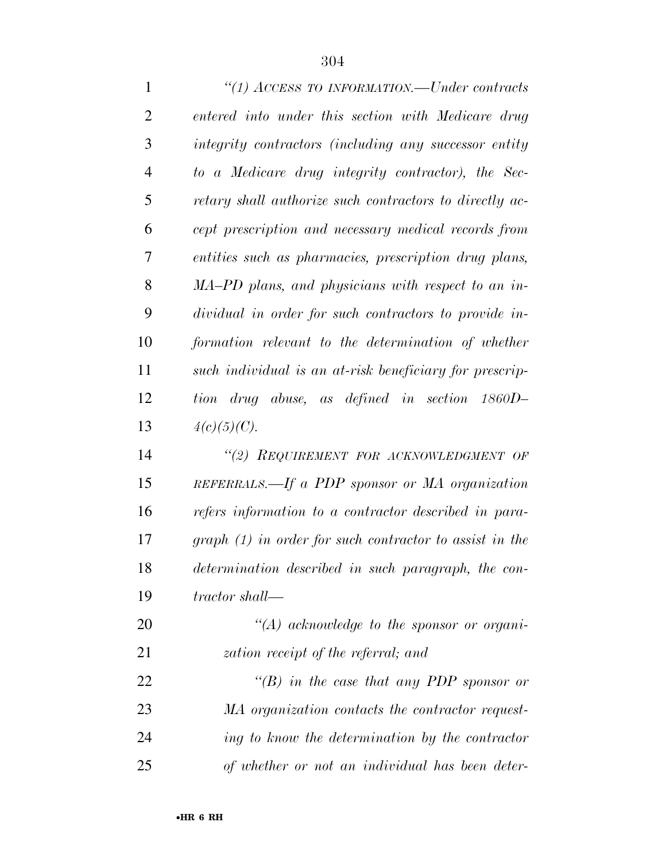| 1              | "(1) $\Lambda$ CCESS TO INFORMATION.—Under contracts      |
|----------------|-----------------------------------------------------------|
| $\overline{2}$ | entered into under this section with Medicare drug        |
| 3              | integrity contractors (including any successor entity     |
| $\overline{4}$ | to a Medicare drug integrity contractor), the Sec-        |
| 5              | retary shall authorize such contractors to directly ac-   |
| 6              | cept prescription and necessary medical records from      |
| 7              | entities such as pharmacies, prescription drug plans,     |
| 8              | MA-PD plans, and physicians with respect to an in-        |
| 9              | dividual in order for such contractors to provide in-     |
| 10             | formation relevant to the determination of whether        |
| 11             | such individual is an at-risk beneficiary for prescrip-   |
| 12             | tion drug abuse, as defined in section 1860D-             |
| 13             | $4(c)(5)(C)$ .                                            |
| 14             | "(2) REQUIREMENT FOR ACKNOWLEDGMENT OF                    |
| 15             | REFERRALS.—If a PDP sponsor or MA organization            |
| 16             | refers information to a contractor described in para-     |
| 17             | $graph (1)$ in order for such contractor to assist in the |
| 18             | determination described in such paragraph, the con-       |
| 19             | tractor shall—                                            |
| 20             | $\lq (A)$ acknowledge to the sponsor or organi-           |
| 21             | zation receipt of the referral; and                       |
| 22             | "(B) in the case that any PDP sponsor or                  |
| 23             | MA organization contacts the contractor request-          |
| 24             | ing to know the determination by the contractor           |
| 25             | of whether or not an individual has been deter-           |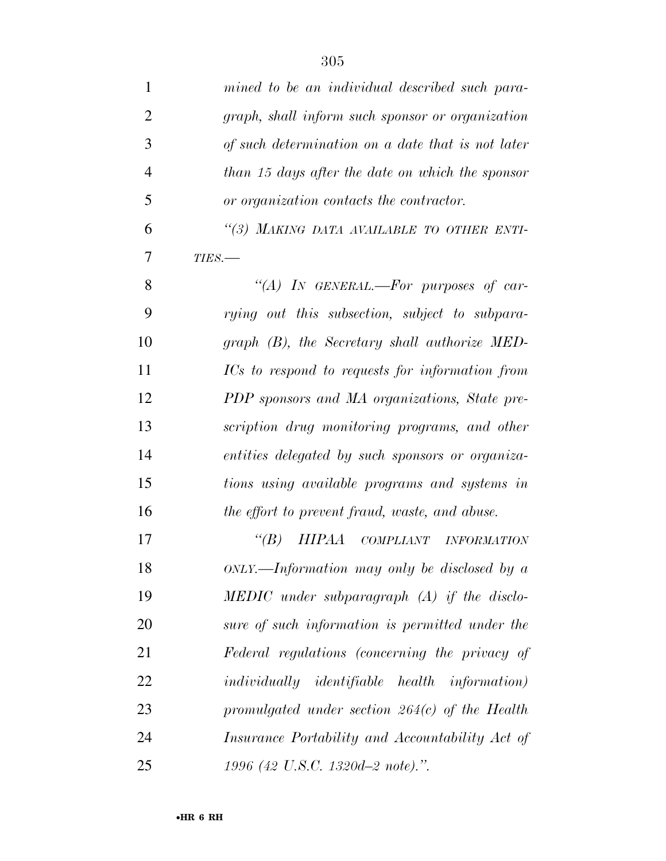| $\mathbf{1}$   | mined to be an individual described such para-        |
|----------------|-------------------------------------------------------|
| $\overline{2}$ | graph, shall inform such sponsor or organization      |
| 3              | of such determination on a date that is not later     |
| $\overline{4}$ | than 15 days after the date on which the sponsor      |
| 5              | or organization contacts the contractor.              |
| 6              | "(3) MAKING DATA AVAILABLE TO OTHER ENTI-             |
| 7              | $TIES$ .                                              |
| 8              | "(A) IN GENERAL.—For purposes of car-                 |
| 9              | rying out this subsection, subject to subpara-        |
| 10             | graph (B), the Secretary shall authorize MED-         |
| 11             | ICs to respond to requests for information from       |
| 12             | PDP sponsors and MA organizations, State pre-         |
| 13             | scription drug monitoring programs, and other         |
| 14             | entities delegated by such sponsors or organiza-      |
| 15             | tions using available programs and systems in         |
| 16             | the effort to prevent fraud, waste, and abuse.        |
| 17             | $\lq(B)$<br>HIPAA COMPLIANT INFORMATION               |
| 18             | $ONLY.$ Information may only be disclosed by a        |
| 19             | $\text{MEDIC}$ under subparagraph (A) if the disclo-  |
| 20             | sure of such information is permitted under the       |
| 21             | Federal regulations (concerning the privacy of        |
| 22             | <i>individually identifiable health information</i> ) |
| 23             | promulgated under section $264(c)$ of the Health      |
| 24             | Insurance Portability and Accountability Act of       |
| 25             | 1996 (42 U.S.C. 1320d-2 note).".                      |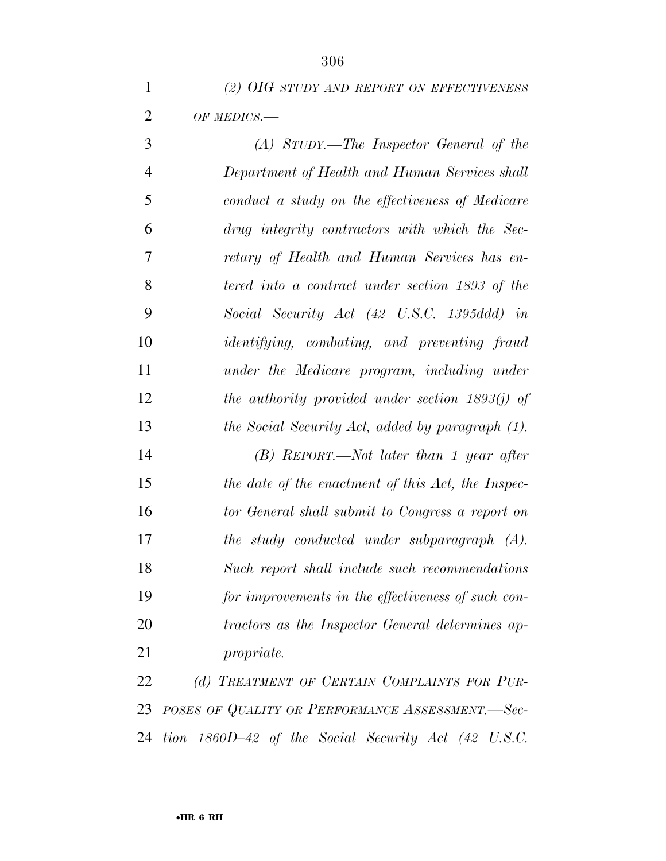| (2) OIG STUDY AND REPORT ON EFFECTIVENESS |
|-------------------------------------------|
| $OF$ MEDICS.—                             |

 *(A) STUDY.—The Inspector General of the Department of Health and Human Services shall conduct a study on the effectiveness of Medicare drug integrity contractors with which the Sec- retary of Health and Human Services has en- tered into a contract under section 1893 of the Social Security Act (42 U.S.C. 1395ddd) in identifying, combating, and preventing fraud under the Medicare program, including under the authority provided under section 1893(j) of the Social Security Act, added by paragraph (1). (B) REPORT.—Not later than 1 year after the date of the enactment of this Act, the Inspec- tor General shall submit to Congress a report on the study conducted under subparagraph (A). Such report shall include such recommendations for improvements in the effectiveness of such con-*

 *tractors as the Inspector General determines ap-propriate.* 

 *(d) TREATMENT OF CERTAIN COMPLAINTS FOR PUR- POSES OF QUALITY OR PERFORMANCE ASSESSMENT.—Sec-tion 1860D–42 of the Social Security Act (42 U.S.C.*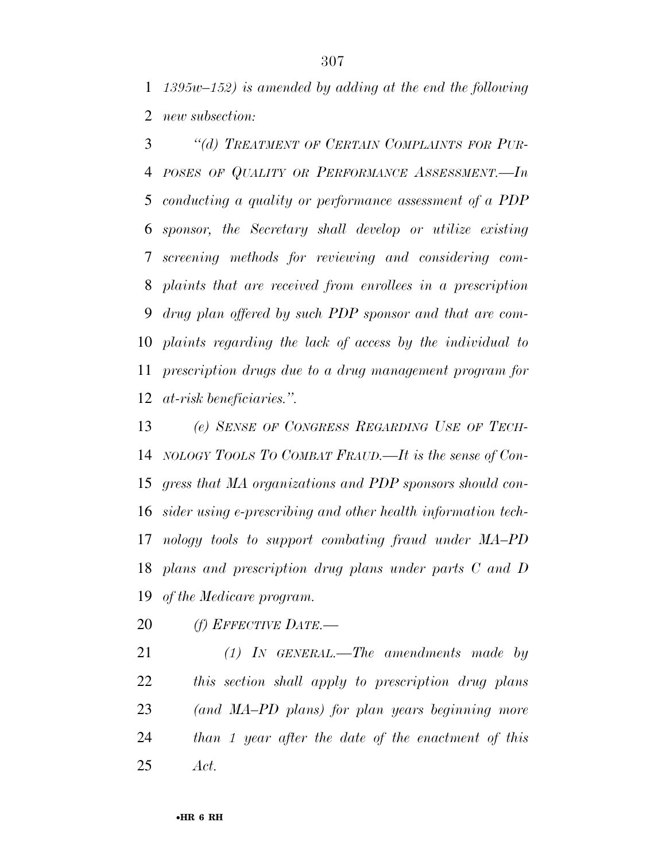*1395w–152) is amended by adding at the end the following new subsection:* 

 *''(d) TREATMENT OF CERTAIN COMPLAINTS FOR PUR- POSES OF QUALITY OR PERFORMANCE ASSESSMENT.—In conducting a quality or performance assessment of a PDP sponsor, the Secretary shall develop or utilize existing screening methods for reviewing and considering com- plaints that are received from enrollees in a prescription drug plan offered by such PDP sponsor and that are com- plaints regarding the lack of access by the individual to prescription drugs due to a drug management program for at-risk beneficiaries.''.* 

 *(e) SENSE OF CONGRESS REGARDING USE OF TECH- NOLOGY TOOLS TO COMBAT FRAUD.—It is the sense of Con- gress that MA organizations and PDP sponsors should con- sider using e-prescribing and other health information tech- nology tools to support combating fraud under MA–PD plans and prescription drug plans under parts C and D of the Medicare program.* 

*(f) EFFECTIVE DATE.—* 

 *(1) IN GENERAL.—The amendments made by this section shall apply to prescription drug plans (and MA–PD plans) for plan years beginning more than 1 year after the date of the enactment of this Act.*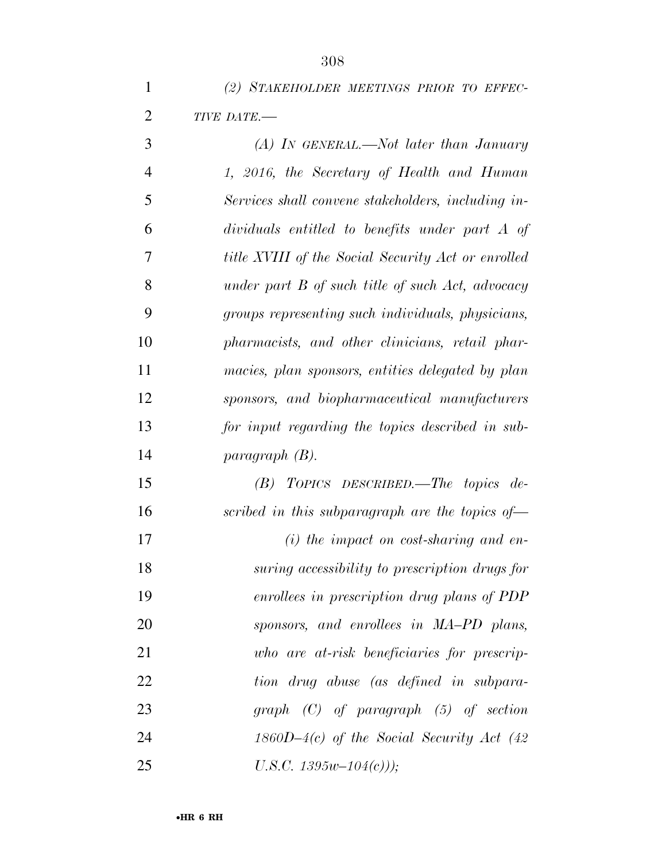|                | 308                                                       |
|----------------|-----------------------------------------------------------|
| $\mathbf{1}$   | (2) STAKEHOLDER MEETINGS PRIOR TO EFFEC-                  |
| $\overline{2}$ | TIVE DATE.-                                               |
| 3              | $(A)$ In GENERAL.—Not later than January                  |
| $\overline{4}$ | 1, 2016, the Secretary of Health and Human                |
| 5              | Services shall convene stakeholders, including in-        |
| 6              | dividuals entitled to benefits under part A of            |
| 7              | <i>title XVIII of the Social Security Act or enrolled</i> |
| 8              | under part B of such title of such Act, advocacy          |
| 9              | groups representing such individuals, physicians,         |
| 10             | pharmacists, and other clinicians, retail phar-           |
| 11             | macies, plan sponsors, entities delegated by plan         |
| 12             | sponsors, and biopharmaceutical manufacturers             |
| 13             | for input regarding the topics described in sub-          |
| 14             | $paragnath(B)$ .                                          |
| 15             | TOPICS DESCRIBED.—The topics de-<br>(B)                   |
| 16             | scribed in this subparagraph are the topics of-           |
| 17             | $(i)$ the impact on cost-sharing and en-                  |
| 18             | suring accessibility to prescription drugs for            |

*enrollees in prescription drug plans of PDP* 

*sponsors, and enrollees in MA–PD plans,* 

*who are at-risk beneficiaries for prescrip-*

*tion drug abuse (as defined in subpara-*

*graph (C) of paragraph (5) of section* 

*1860D–4(c) of the Social Security Act (42* 

*U.S.C. 1395w–104(c)));*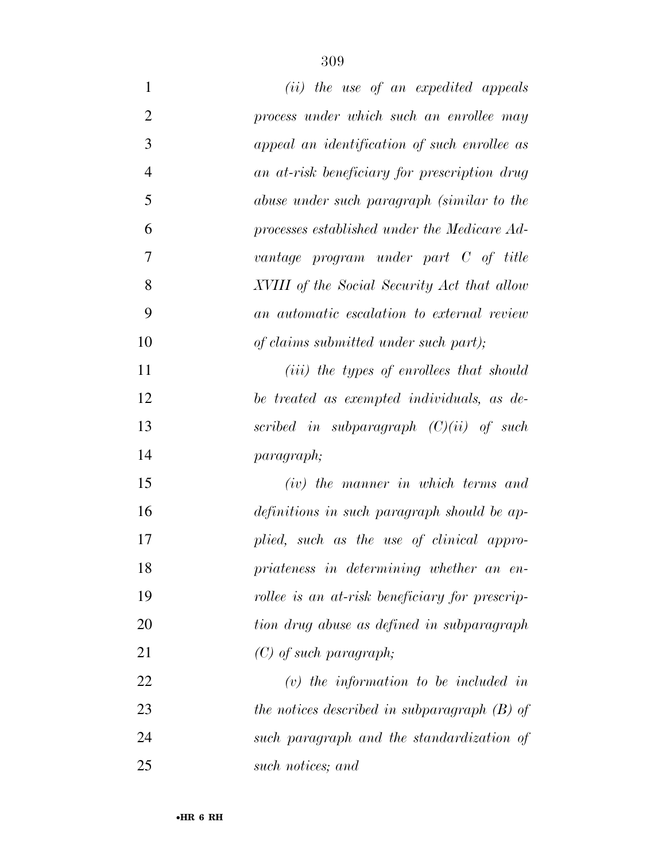| $\mathbf{1}$   | (ii) the use of an expedited appeals              |
|----------------|---------------------------------------------------|
| $\overline{2}$ | process under which such an enrollee may          |
| 3              | appeal an identification of such enrollee as      |
| $\overline{4}$ | an at-risk beneficiary for prescription drug      |
| 5              | abuse under such paragraph (similar to the        |
| 6              | processes established under the Medicare Ad-      |
| $\overline{7}$ | vantage program under part C of title             |
| 8              | XVIII of the Social Security Act that allow       |
| 9              | an automatic escalation to external review        |
| 10             | of claims submitted under such part);             |
| 11             | ( <i>iii</i> ) the types of enrollees that should |
| 12             | be treated as exempted individuals, as de-        |
| 13             | scribed in subparagraph $(C)(ii)$ of such         |
| 14             | paragraph;                                        |
| 15             | (iv) the manner in which terms and                |
| 16             | definitions in such paragraph should be ap-       |
| 17             | plied, such as the use of clinical appro-         |
| 18             | priateness in determining whether an en-          |
| 19             | rollee is an at-risk beneficiary for prescrip-    |
| 20             | tion drug abuse as defined in subparagraph        |
| 21             | $(C)$ of such paragraph;                          |
| 22             | $(v)$ the information to be included in           |
| 23             | the notices described in subparagraph $(B)$ of    |
| 24             | such paragraph and the standardization of         |
| 25             | such notices; and                                 |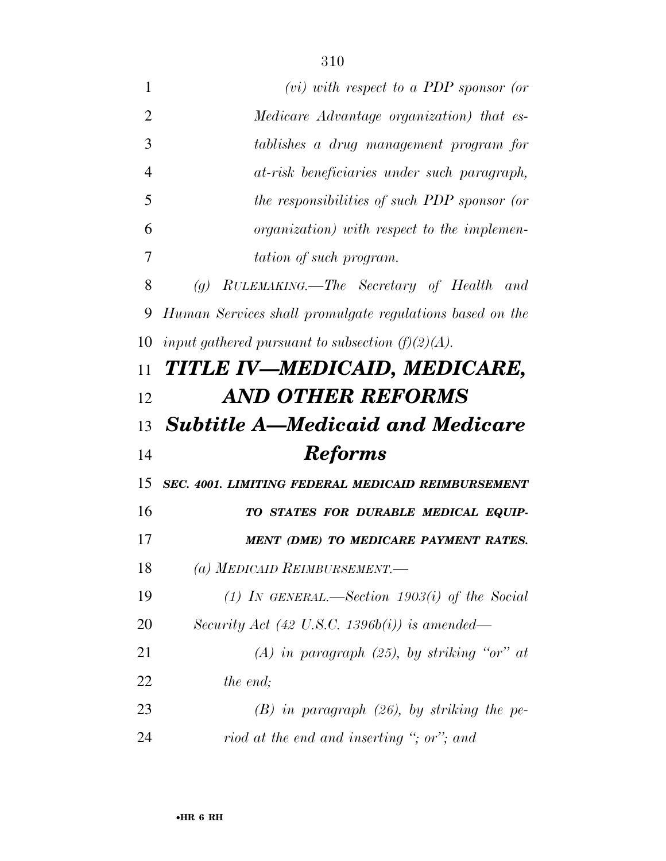- *(vi) with respect to a PDP sponsor (or Medicare Advantage organization) that es- tablishes a drug management program for at-risk beneficiaries under such paragraph, the responsibilities of such PDP sponsor (or organization) with respect to the implemen- tation of such program. (g) RULEMAKING.—The Secretary of Health and Human Services shall promulgate regulations based on the input gathered pursuant to subsection (f)(2)(A). TITLE IV—MEDICAID, MEDICARE, AND OTHER REFORMS Subtitle A—Medicaid and Medicare Reforms SEC. 4001. LIMITING FEDERAL MEDICAID REIMBURSEMENT TO STATES FOR DURABLE MEDICAL EQUIP- MENT (DME) TO MEDICARE PAYMENT RATES. (a) MEDICAID REIMBURSEMENT.— (1) IN GENERAL.—Section 1903(i) of the Social Security Act (42 U.S.C. 1396b(i)) is amended— (A) in paragraph (25), by striking ''or'' at the end; (B) in paragraph (26), by striking the pe-*
- *riod at the end and inserting ''; or''; and*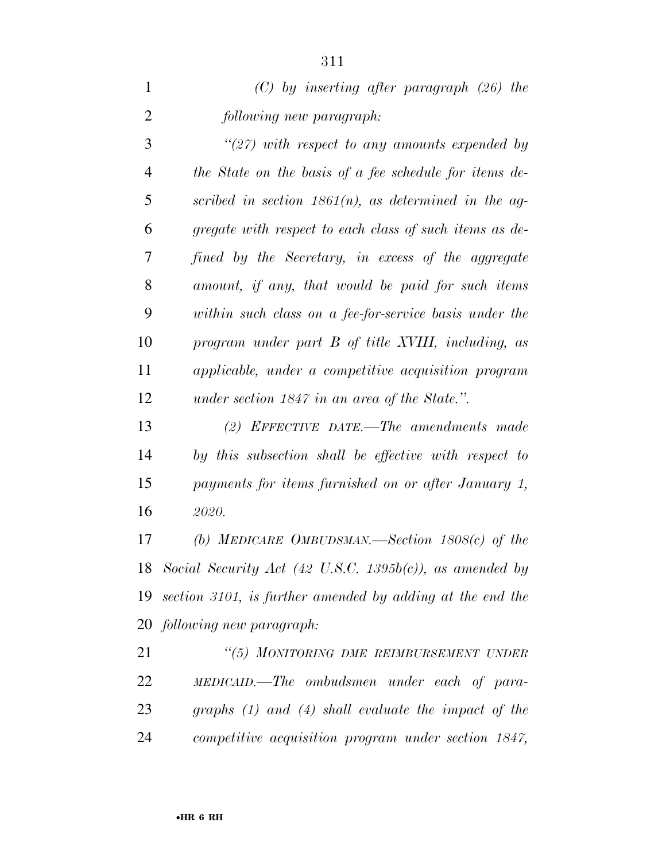| $(C)$ by inserting after paragraph (26) the |  |
|---------------------------------------------|--|
| following new paragraph:                    |  |

 *''(27) with respect to any amounts expended by the State on the basis of a fee schedule for items de- scribed in section 1861(n), as determined in the ag- gregate with respect to each class of such items as de- fined by the Secretary, in excess of the aggregate amount, if any, that would be paid for such items within such class on a fee-for-service basis under the program under part B of title XVIII, including, as applicable, under a competitive acquisition program under section 1847 in an area of the State.''.* 

 *(2) EFFECTIVE DATE.—The amendments made by this subsection shall be effective with respect to payments for items furnished on or after January 1, 2020.* 

 *(b) MEDICARE OMBUDSMAN.—Section 1808(c) of the Social Security Act (42 U.S.C. 1395b(c)), as amended by section 3101, is further amended by adding at the end the following new paragraph:* 

 *''(5) MONITORING DME REIMBURSEMENT UNDER MEDICAID.—The ombudsmen under each of para- graphs (1) and (4) shall evaluate the impact of the competitive acquisition program under section 1847,*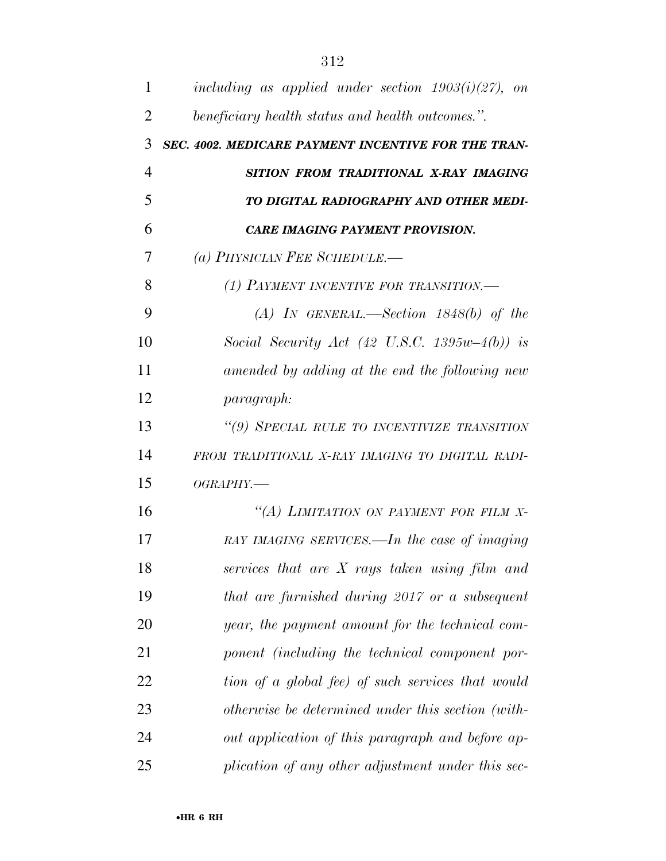| 1              | including as applied under section $1903(i)(27)$ , on |
|----------------|-------------------------------------------------------|
| $\overline{2}$ | beneficiary health status and health outcomes.".      |
| 3              | SEC. 4002. MEDICARE PAYMENT INCENTIVE FOR THE TRAN-   |
| $\overline{4}$ | SITION FROM TRADITIONAL X-RAY IMAGING                 |
| 5              | TO DIGITAL RADIOGRAPHY AND OTHER MEDI-                |
| 6              | <b>CARE IMAGING PAYMENT PROVISION.</b>                |
| 7              | (a) PHYSICIAN FEE SCHEDULE.—                          |
| 8              | (1) PAYMENT INCENTIVE FOR TRANSITION.                 |
| 9              | $(A)$ IN GENERAL.—Section 1848(b) of the              |
| 10             | Social Security Act (42 U.S.C. 1395 $w-4(b)$ ) is     |
| 11             | amended by adding at the end the following new        |
| 12             | <i>paragraph:</i>                                     |
| 13             | "(9) SPECIAL RULE TO INCENTIVIZE TRANSITION           |
| 14             | FROM TRADITIONAL X-RAY IMAGING TO DIGITAL RADI-       |
| 15             | OGRAPHY.—                                             |
| 16             | "(A) LIMITATION ON PAYMENT FOR FILM X-                |
| 17             | RAY IMAGING SERVICES.—In the case of imaging          |
| 18             | services that are $X$ rays taken using film and       |
| 19             | that are furnished during 2017 or a subsequent        |
| 20             | year, the payment amount for the technical com-       |
| 21             | ponent (including the technical component por-        |
| 22             | tion of a global fee) of such services that would     |
| 23             | otherwise be determined under this section (with-     |
| 24             | out application of this paragraph and before ap-      |
| 25             | plication of any other adjustment under this sec-     |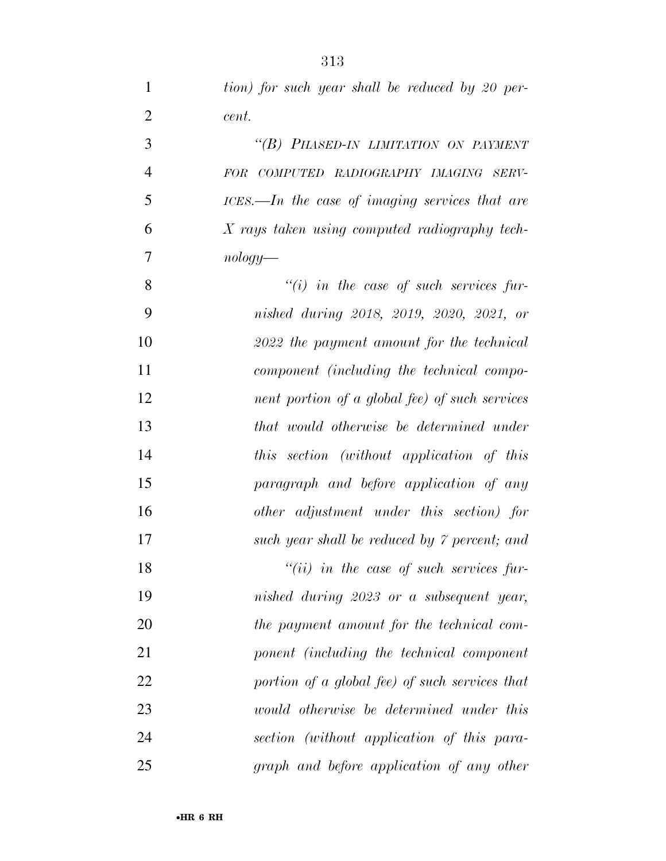| $\mathbf{1}$   | tion) for such year shall be reduced by 20 per-    |
|----------------|----------------------------------------------------|
| $\overline{2}$ | cent.                                              |
| 3              | "(B) PHASED-IN LIMITATION ON PAYMENT               |
| $\overline{4}$ | FOR COMPUTED RADIOGRAPHY IMAGING SERV-             |
| 5              | $ICES. - In the case of imaging services that are$ |
| 6              | X rays taken using computed radiography tech-      |
| 7              | $nology$ —                                         |
| 8              | $``(i)$ in the case of such services fur-          |
| 9              | nished during 2018, 2019, 2020, 2021, or           |
| 10             | 2022 the payment amount for the technical          |
| 11             | component (including the technical compo-          |
| 12             | nent portion of a global fee) of such services     |
| 13             | that would otherwise be determined under           |
| 14             | this section (without application of this          |
| 15             | paragraph and before application of any            |
| 16             | other adjustment under this section) for           |
| 17             | such year shall be reduced by 7 percent; and       |
| 18             | $``(ii)$ in the case of such services fur-         |
| 19             | nished during 2023 or a subsequent year,           |
| 20             | the payment amount for the technical com-          |
| 21             | ponent (including the technical component          |
| 22             | portion of a global fee) of such services that     |
| 23             | would otherwise be determined under this           |
| 24             | section (without application of this para-         |
| 25             | graph and before application of any other          |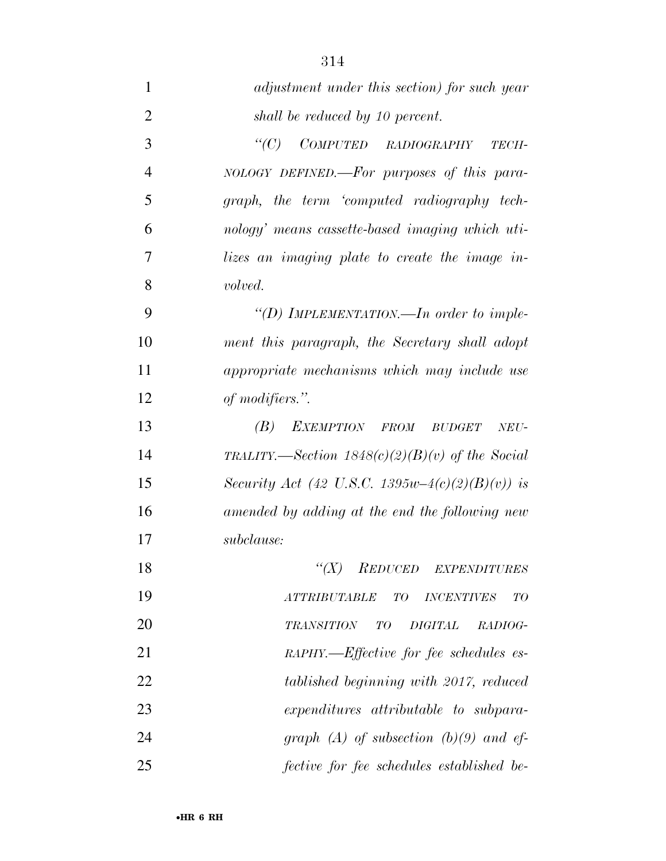| $\mathbf{1}$   | adjustment under this section) for such year          |
|----------------|-------------------------------------------------------|
| $\overline{2}$ | shall be reduced by 10 percent.                       |
| 3              | $\lq C$ )<br>COMPUTED RADIOGRAPHY<br>TECH-            |
| $\overline{4}$ | NOLOGY DEFINED.—For purposes of this para-            |
| 5              | graph, the term 'computed radiography tech-           |
| 6              | nology' means cassette-based imaging which uti-       |
| 7              | lizes an imaging plate to create the image in-        |
| 8              | volved.                                               |
| 9              | "(D) IMPLEMENTATION.—In order to imple-               |
| 10             | ment this paragraph, the Secretary shall adopt        |
| 11             | appropriate mechanisms which may include use          |
| 12             | of modifiers.".                                       |
| 13             | (B)<br>EXEMPTION FROM BUDGET<br>NEU-                  |
| 14             | TRALITY.—Section $1848(c)(2)(B)(v)$ of the Social     |
| 15             | Security Act (42 U.S.C. 1395w-4(c)(2)(B)(v)) is       |
| 16             | amended by adding at the end the following new        |
| 17             | subclause:                                            |
| 18             | $\lq (X)$<br><b>REDUCED</b><br><b>EXPENDITURES</b>    |
| 19             | TO<br><i>ATTRIBUTABLE</i><br>TО<br><b>INCENTIVES</b>  |
| 20             | <b>DIGITAL</b><br><b>TRANSITION</b><br>T O<br>RADIOG- |
| 21             | RAPHY.—Effective for fee schedules es-                |
| 22             | tablished beginning with 2017, reduced                |
| 23             | expenditures attributable to subpara-                 |
| 24             | graph (A) of subsection (b)(9) and ef-                |
| 25             | fective for fee schedules established be-             |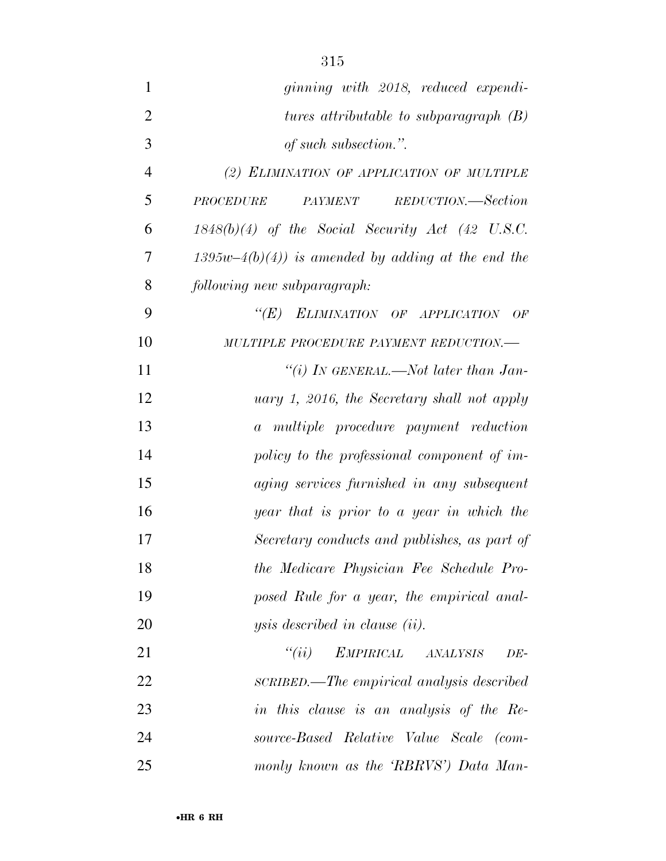| $\mathbf{1}$   | ginning with 2018, reduced expendi-                 |
|----------------|-----------------------------------------------------|
| $\overline{2}$ | tures attributable to subparagraph $(B)$            |
| 3              | of such subsection.".                               |
| $\overline{4}$ | (2) ELIMINATION OF APPLICATION OF MULTIPLE          |
| 5              | REDUCTION.—Section<br>PROCEDURE<br>PAYMENT          |
| 6              | $1848(b)(4)$ of the Social Security Act (42 U.S.C.  |
| 7              | $1395w-4(b)(4)$ is amended by adding at the end the |
| 8              | following new subparagraph:                         |
| 9              | $\lq(E)$<br>ELIMINATION OF APPLICATION<br>OF        |
| 10             | MULTIPLE PROCEDURE PAYMENT REDUCTION.-              |
| 11             | "(i) IN GENERAL.—Not later than Jan-                |
| 12             | uary 1, 2016, the Secretary shall not apply         |
| 13             | a multiple procedure payment reduction              |
| 14             | policy to the professional component of im-         |
| 15             | aging services furnished in any subsequent          |
| 16             | year that is prior to a year in which the           |
| 17             | Secretary conducts and publishes, as part of        |
| 18             | the Medicare Physician Fee Schedule Pro-            |
| 19             | posed Rule for a year, the empirical anal-          |
| 20             | <i>ysis described in clause (ii).</i>               |
| 21             | ``(ii)<br>EMPIRICAL ANALYSIS<br>$DE-$               |
| 22             | SCRIBED.—The empirical analysis described           |
| 23             | in this clause is an analysis of the Re-            |
| 24             | source-Based Relative Value Scale (com-             |
| 25             | monly known as the 'RBRVS') Data Man-               |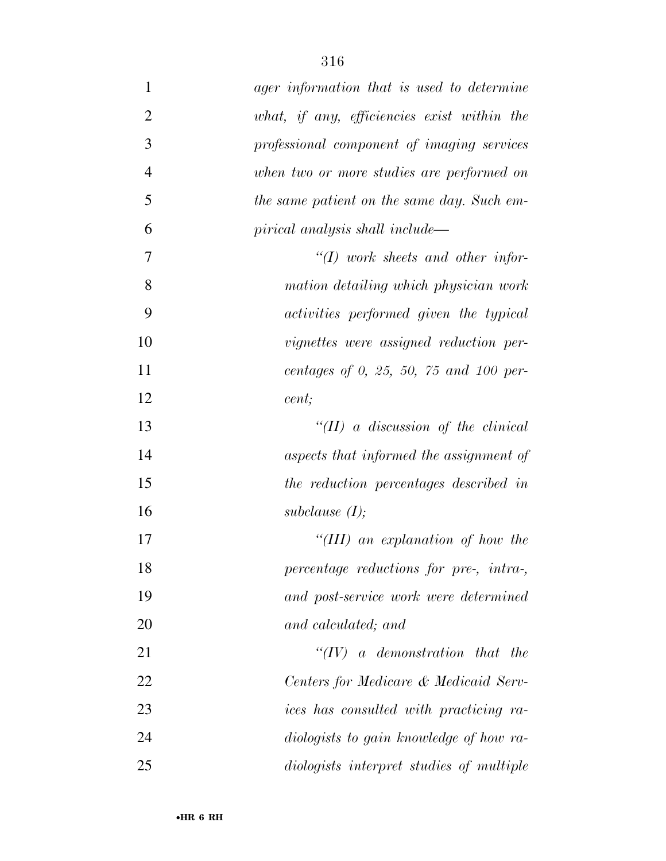| $\mathbf{1}$   | ager information that is used to determine  |
|----------------|---------------------------------------------|
| $\overline{2}$ | what, if any, efficiencies exist within the |
| 3              | professional component of imaging services  |
| $\overline{4}$ | when two or more studies are performed on   |
| 5              | the same patient on the same day. Such em-  |
| 6              | pirical analysis shall include—             |
| 7              | $\lq (I)$ work sheets and other infor-      |
| 8              | mation detailing which physician work       |
| 9              | activities performed given the typical      |
| 10             | vignettes were assigned reduction per-      |
| 11             | centages of 0, 25, 50, 75 and 100 per-      |
| 12             | cent;                                       |
| 13             | "(II) a discussion of the clinical          |
| 14             | aspects that informed the assignment of     |
| 15             | the reduction percentages described in      |
| 16             | subclause $(I);$                            |
| 17             | "(III) an explanation of how the            |
| 18             | percentage reductions for pre-, intra-,     |
| 19             | and post-service work were determined       |
| 20             | and calculated; and                         |
| 21             | $``(IV)$ a demonstration that the           |
| 22             | Centers for Medicare & Medicaid Serv-       |
| 23             | ices has consulted with practicing ra-      |
| 24             | diologists to gain knowledge of how ra-     |
| 25             | diologists interpret studies of multiple    |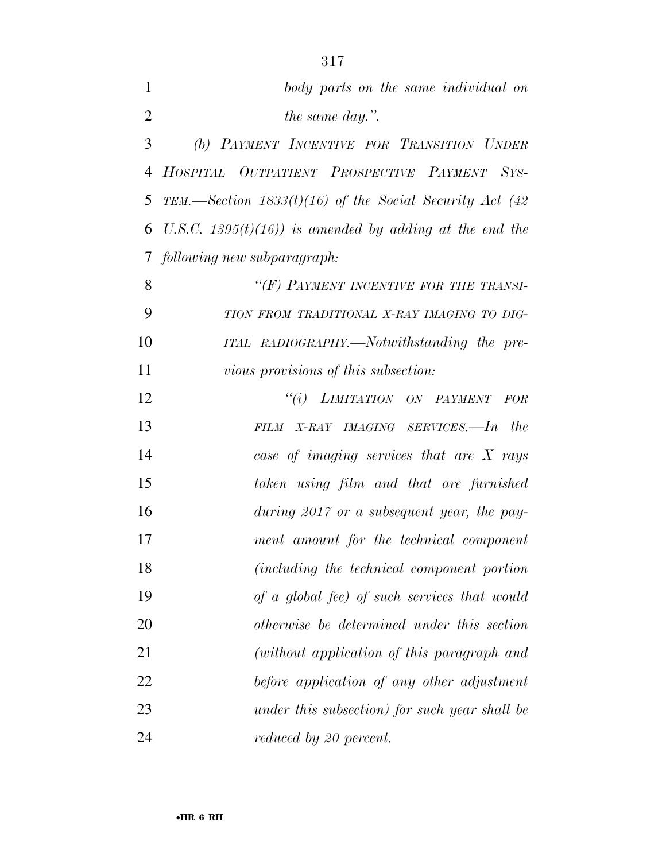| 1              | body parts on the same individual on                       |
|----------------|------------------------------------------------------------|
| $\overline{2}$ | the same day.".                                            |
| 3              | (b) PAYMENT INCENTIVE FOR TRANSITION UNDER                 |
| $\overline{4}$ | HOSPITAL OUTPATIENT PROSPECTIVE PAYMENT SYS-               |
| 5              | TEM.—Section $1833(t)(16)$ of the Social Security Act (42) |
| 6              | U.S.C. 1395 $(t)(16)$ is amended by adding at the end the  |
|                | 7 following new subparagraph:                              |
| 8              | "(F) PAYMENT INCENTIVE FOR THE TRANSI-                     |
| 9              | TION FROM TRADITIONAL X-RAY IMAGING TO DIG-                |
| 10             | ITAL RADIOGRAPHY.—Notwithstanding the pre-                 |
| 11             | <i>vious provisions of this subsection:</i>                |
| 12             | "(i) LIMITATION ON PAYMENT<br><b>FOR</b>                   |
| 13             | the<br>FILM X-RAY IMAGING SERVICES.-In                     |
| 14             | case of imaging services that are $X$ rays                 |
| 15             | taken using film and that are furnished                    |
| 16             | during $2017$ or a subsequent year, the pay-               |
| 17             | ment amount for the technical component                    |
| 18             | (including the technical component portion                 |
| 19             | of a global fee) of such services that would               |
| 20             | otherwise be determined under this section                 |
| 21             | (without application of this paragraph and                 |
| 22             | before application of any other adjustment                 |
| 23             | under this subsection) for such year shall be              |
|                |                                                            |

*reduced by 20 percent.*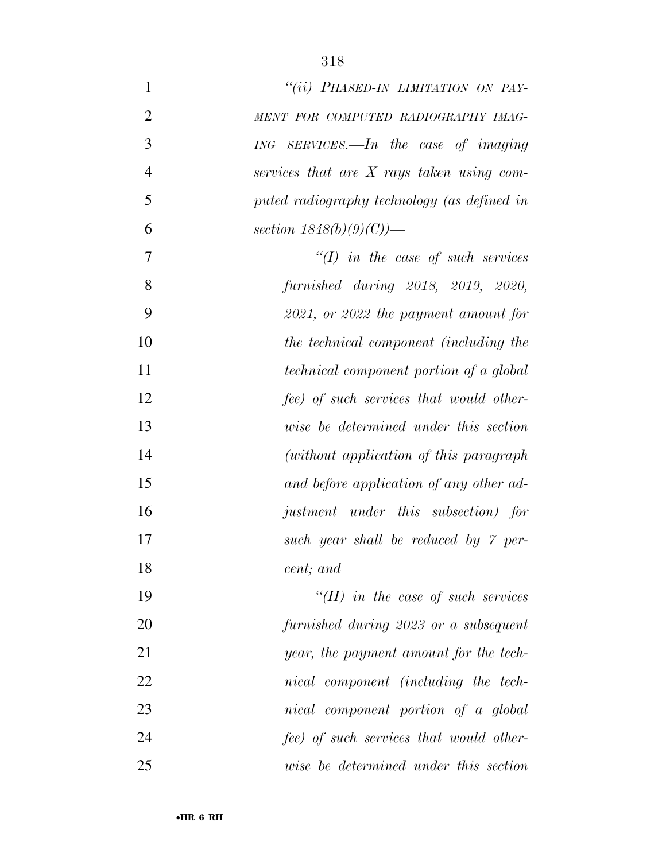| $\mathbf{1}$   | "(ii) PHASED-IN LIMITATION ON PAY-             |
|----------------|------------------------------------------------|
| $\overline{2}$ | MENT FOR COMPUTED RADIOGRAPHY IMAG-            |
| 3              | $ING$ SERVICES.—In the case of imaging         |
| $\overline{4}$ | services that are $X$ rays taken using com-    |
| 5              | puted radiography technology (as defined in    |
| 6              | section $1848(b)(9)(C)$ )—                     |
| 7              | $\lq (I)$ in the case of such services         |
| 8              | furnished during 2018, 2019, 2020,             |
| 9              | $2021$ , or $2022$ the payment amount for      |
| 10             | the technical component (including the         |
| 11             | <i>technical component portion of a global</i> |
| 12             | fee) of such services that would other-        |
| 13             | wise be determined under this section          |
| 14             | (without application of this paragraph)        |
| 15             | and before application of any other ad-        |
| 16             | justment under this subsection) for            |
| 17             | such year shall be reduced by 7 per-           |
| 18             | cent; and                                      |
| 19             | "(II) in the case of such services             |
| 20             | furnished during 2023 or a subsequent          |
| 21             | year, the payment amount for the tech-         |
| 22             | nical component (including the tech-           |
| 23             | nical component portion of a global            |
| 24             | fee) of such services that would other-        |
| 25             | wise be determined under this section          |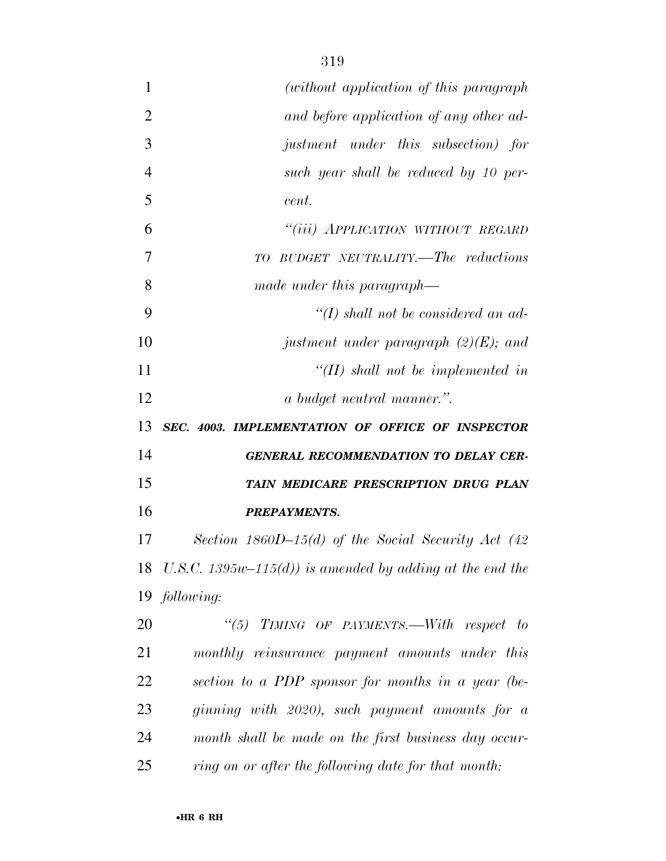| $\mathbf{1}$   | (without application of this paragraph)                  |
|----------------|----------------------------------------------------------|
| $\overline{2}$ | and before application of any other ad-                  |
| 3              | justment under this subsection) for                      |
| 4              | such year shall be reduced by 10 per-                    |
| 5              | cent.                                                    |
| 6              | "(iii) APPLICATION WITHOUT REGARD                        |
| 7              | TO BUDGET NEUTRALITY.—The reductions                     |
| 8              | made under this paragraph—                               |
| 9              | "(I) shall not be considered an ad-                      |
| 10             | justment under paragraph $(2)(E)$ ; and                  |
| 11             | $H(H)$ shall not be implemented in                       |
| 12             | a budget neutral manner.".                               |
| 13             | SEC. 4003. IMPLEMENTATION OF OFFICE OF INSPECTOR         |
| 14             | <b>GENERAL RECOMMENDATION TO DELAY CER-</b>              |
| 15             | TAIN MEDICARE PRESCRIPTION DRUG PLAN                     |
| 16             | <b>PREPAYMENTS.</b>                                      |
| 17             | Section 1860D-15(d) of the Social Security Act $(42)$    |
| 18             | U.S.C. 1395w–115(d)) is amended by adding at the end the |
|                | 19 following:                                            |
| 20             | "(5) TIMING OF PAYMENTS.—With respect to                 |
| 21             | monthly reinsurance payment amounts under this           |
| 22             | section to a PDP sponsor for months in a year (be-       |
| 23             | ginning with 2020), such payment amounts for a           |
| 24             | month shall be made on the first business day occur-     |
| $25\,$         | ring on or after the following date for that month:      |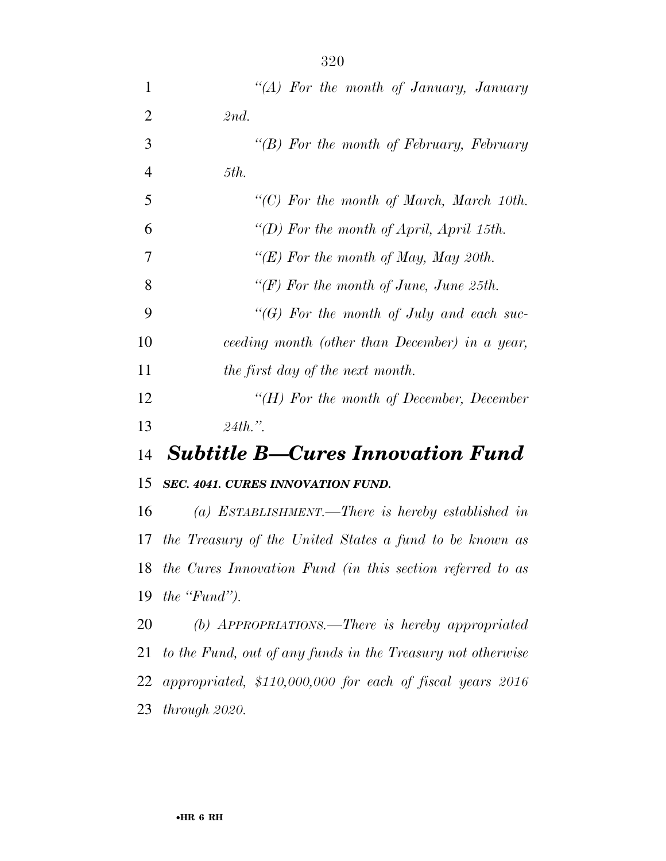| $\mathbf 1$    | "(A) For the month of January, January                    |
|----------------|-----------------------------------------------------------|
| $\overline{2}$ | 2nd.                                                      |
| 3              | "(B) For the month of February, February                  |
| $\overline{4}$ | 5th.                                                      |
| 5              | " $(C)$ For the month of March, March 10th.               |
| 6              | "(D) For the month of April, April 15th.                  |
| 7              | "(E) For the month of May, May 20th.                      |
| 8              | " $(F)$ For the month of June, June 25th.                 |
| 9              | "(G) For the month of July and each suc-                  |
| 10             | ceeding month (other than December) in a year,            |
| 11             | the first day of the next month.                          |
| 12             | " $(H)$ For the month of December, December               |
| 13             | $24th$ ."                                                 |
| 14             | <b>Subtitle B-Cures Innovation Fund</b>                   |
| 15             | SEC. 4041. CURES INNOVATION FUND.                         |
| 16             | (a) ESTABLISHMENT.—There is hereby established in         |
| 17             | the Treasury of the United States a fund to be known as   |
| 18             | the Cures Innovation Fund (in this section referred to as |
| 19             | the $\lq$ Fund").                                         |
|                |                                                           |

 *(b) APPROPRIATIONS.—There is hereby appropriated to the Fund, out of any funds in the Treasury not otherwise appropriated, \$110,000,000 for each of fiscal years 2016 through 2020.*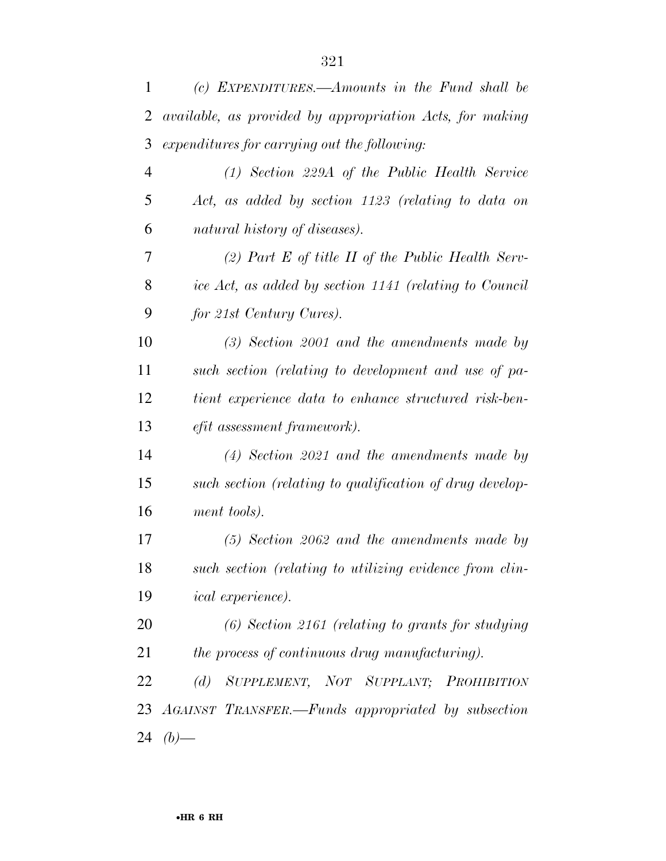| 1              | (c) EXPENDITURES.—Amounts in the Fund shall be                  |
|----------------|-----------------------------------------------------------------|
| $\overline{2}$ | <i>available, as provided by appropriation Acts, for making</i> |
| 3              | expenditures for carrying out the following:                    |
| $\overline{4}$ | $(1)$ Section 229A of the Public Health Service                 |
| 5              | Act, as added by section 1123 (relating to data on              |
| 6              | natural history of diseases).                                   |
| 7              | (2) Part E of title II of the Public Health Serv-               |
| 8              | ice Act, as added by section 1141 (relating to Council          |
| 9              | for 21st Century Cures).                                        |
| 10             | $(3)$ Section 2001 and the amendments made by                   |
| 11             | such section (relating to development and use of pa-            |
| 12             | tient experience data to enhance structured risk-ben-           |
| 13             | <i>efit assessment framework</i> ).                             |
| 14             | $(4)$ Section 2021 and the amendments made by                   |
| 15             | such section (relating to qualification of drug develop-        |
| 16             | ment tools).                                                    |
| 17             | $(5)$ Section 2062 and the amendments made by                   |
| 18             | such section (relating to utilizing evidence from clin-         |
| 19             | <i>ical experience</i> ).                                       |
| 20             | $(6)$ Section 2161 (relating to grants for studying             |
| 21             | the process of continuous drug manufacturing).                  |
| 22             | (d) SUPPLEMENT, NOT SUPPLANT; PROHIBITION                       |
|                | 23 AGAINST TRANSFER.—Funds appropriated by subsection           |
| 24             | $(b)$ —                                                         |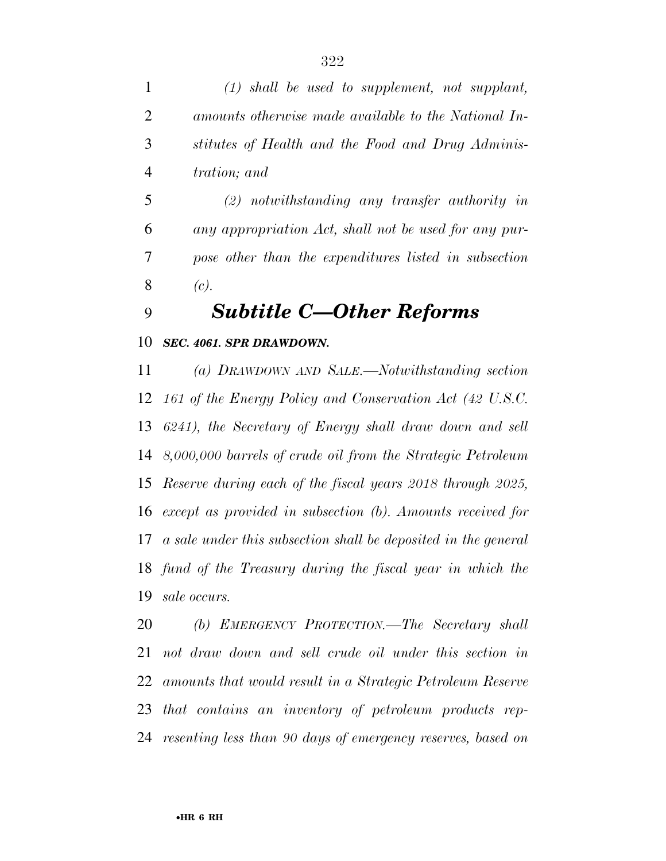*(1) shall be used to supplement, not supplant, amounts otherwise made available to the National In- stitutes of Health and the Food and Drug Adminis-tration; and* 

 *(2) notwithstanding any transfer authority in any appropriation Act, shall not be used for any pur- pose other than the expenditures listed in subsection (c).* 

## *Subtitle C—Other Reforms*

## *SEC. 4061. SPR DRAWDOWN.*

 *(a) DRAWDOWN AND SALE.—Notwithstanding section 161 of the Energy Policy and Conservation Act (42 U.S.C. 6241), the Secretary of Energy shall draw down and sell 8,000,000 barrels of crude oil from the Strategic Petroleum Reserve during each of the fiscal years 2018 through 2025, except as provided in subsection (b). Amounts received for a sale under this subsection shall be deposited in the general fund of the Treasury during the fiscal year in which the sale occurs.* 

 *(b) EMERGENCY PROTECTION.—The Secretary shall not draw down and sell crude oil under this section in amounts that would result in a Strategic Petroleum Reserve that contains an inventory of petroleum products rep-resenting less than 90 days of emergency reserves, based on*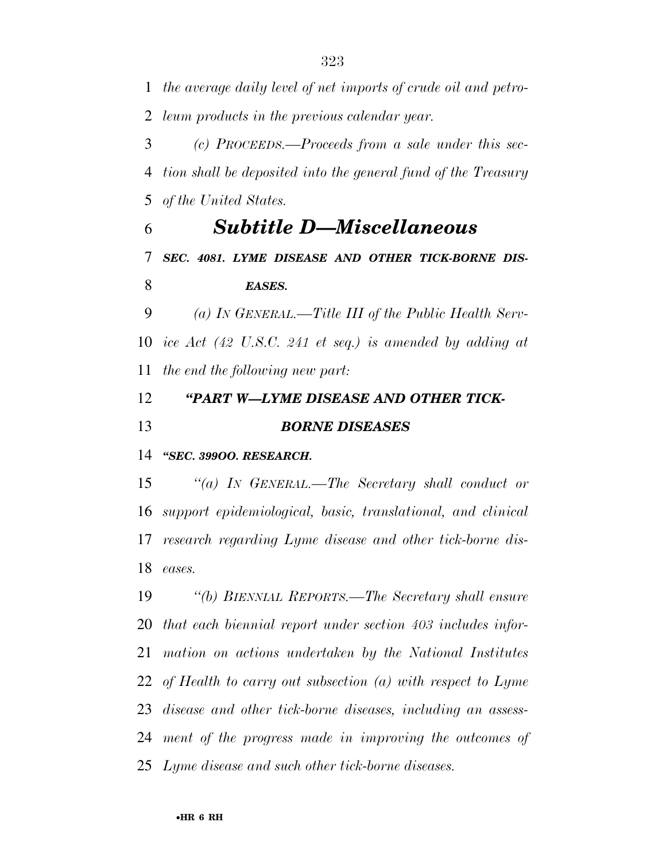*the average daily level of net imports of crude oil and petro-leum products in the previous calendar year.* 

 *(c) PROCEEDS.—Proceeds from a sale under this sec- tion shall be deposited into the general fund of the Treasury of the United States.* 

 *Subtitle D—Miscellaneous SEC. 4081. LYME DISEASE AND OTHER TICK-BORNE DIS-EASES.* 

 *(a) IN GENERAL.—Title III of the Public Health Serv- ice Act (42 U.S.C. 241 et seq.) is amended by adding at the end the following new part:* 

 *''PART W—LYME DISEASE AND OTHER TICK-BORNE DISEASES* 

*''SEC. 399OO. RESEARCH.* 

 *''(a) IN GENERAL.—The Secretary shall conduct or support epidemiological, basic, translational, and clinical research regarding Lyme disease and other tick-borne dis-eases.* 

 *''(b) BIENNIAL REPORTS.—The Secretary shall ensure that each biennial report under section 403 includes infor- mation on actions undertaken by the National Institutes of Health to carry out subsection (a) with respect to Lyme disease and other tick-borne diseases, including an assess- ment of the progress made in improving the outcomes of Lyme disease and such other tick-borne diseases.*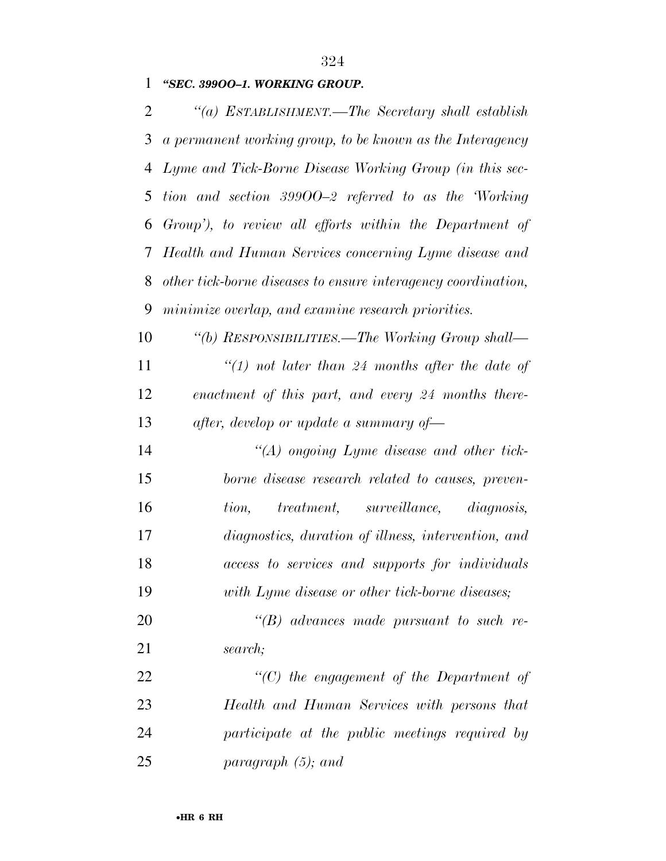## *''SEC. 399OO–1. WORKING GROUP.*

 *''(a) ESTABLISHMENT.—The Secretary shall establish a permanent working group, to be known as the Interagency Lyme and Tick-Borne Disease Working Group (in this sec- tion and section 399OO–2 referred to as the 'Working Group'), to review all efforts within the Department of Health and Human Services concerning Lyme disease and other tick-borne diseases to ensure interagency coordination, minimize overlap, and examine research priorities.* 

 *''(b) RESPONSIBILITIES.—The Working Group shall— ''(1) not later than 24 months after the date of enactment of this part, and every 24 months there-after, develop or update a summary of—* 

 *''(A) ongoing Lyme disease and other tick- borne disease research related to causes, preven- tion, treatment, surveillance, diagnosis, diagnostics, duration of illness, intervention, and access to services and supports for individuals with Lyme disease or other tick-borne diseases;* 

 *''(B) advances made pursuant to such re-search;* 

 *''(C) the engagement of the Department of Health and Human Services with persons that participate at the public meetings required by paragraph (5); and*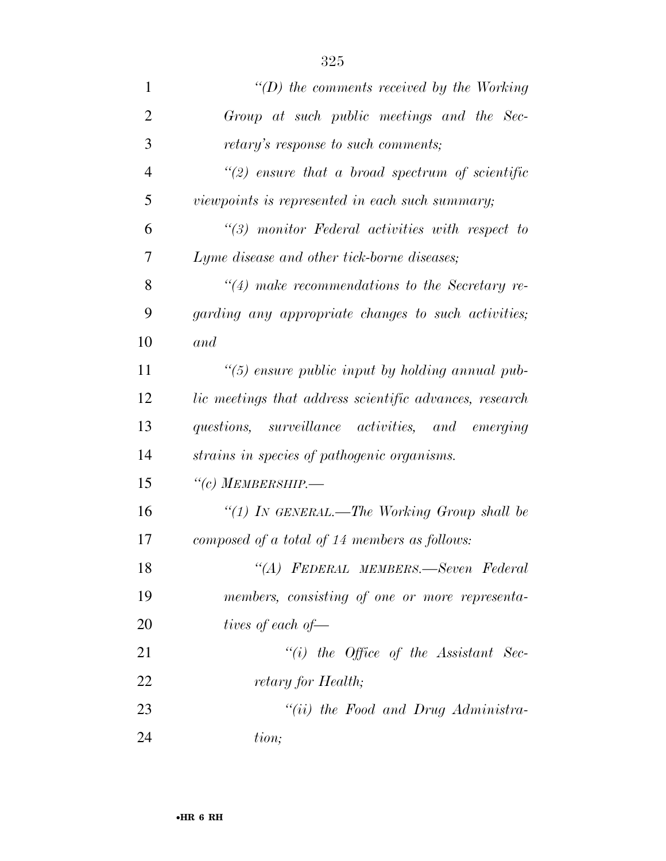| $\mathbf{1}$   | $\lq\lq(D)$ the comments received by the Working        |
|----------------|---------------------------------------------------------|
| $\overline{2}$ | Group at such public meetings and the Sec-              |
| 3              | retary's response to such comments;                     |
| $\overline{4}$ | $\lq(2)$ ensure that a broad spectrum of scientific     |
| 5              | viewpoints is represented in each such summary;         |
| 6              | $\lq(3)$ monitor Federal activities with respect to     |
| 7              | Lyme disease and other tick-borne diseases;             |
| 8              | $\lq(4)$ make recommendations to the Secretary re-      |
| 9              | garding any appropriate changes to such activities;     |
| 10             | and                                                     |
| 11             | "(5) ensure public input by holding annual pub-         |
| 12             | lic meetings that address scientific advances, research |
| 13             | questions, surveillance activities, and emerging        |
| 14             | strains in species of pathogenic organisms.             |
| 15             | $``(c)$ MEMBERSHIP.—                                    |
| 16             | "(1) In GENERAL.—The Working Group shall be             |
| 17             | composed of a total of 14 members as follows:           |
| 18             | "(A) FEDERAL MEMBERS.—Seven Federal                     |
| 19             | members, consisting of one or more representa-          |
| 20             | tives of each of $-$                                    |
| 21             | $``(i)$ the Office of the Assistant Sec-                |
| 22             | retary for Health;                                      |
| 23             | "(ii) the Food and Drug Administra-                     |
| 24             | tion;                                                   |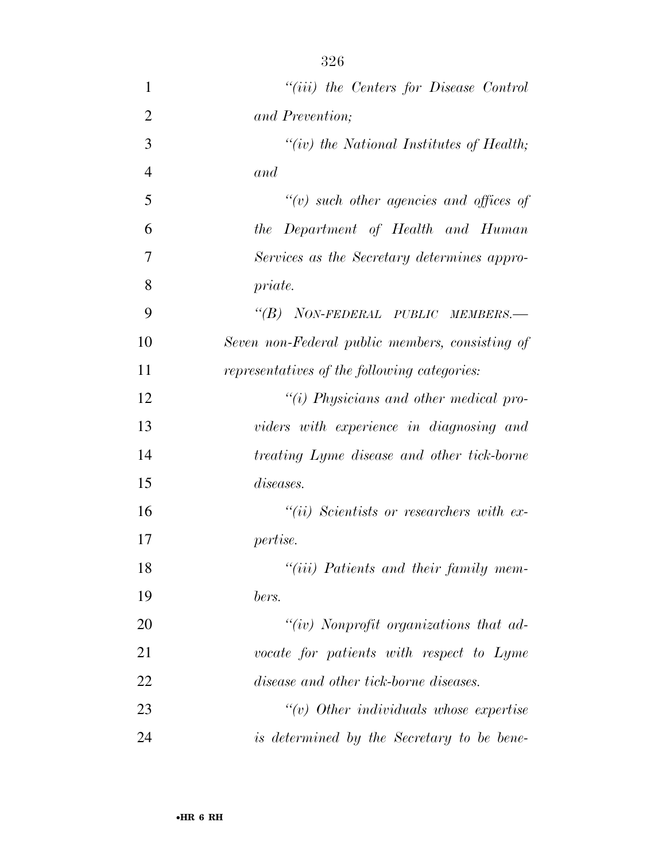| 1              | "(iii) the Centers for Disease Control          |
|----------------|-------------------------------------------------|
| $\overline{2}$ | and Prevention;                                 |
| 3              | "(iv) the National Institutes of Health;        |
| $\overline{4}$ | and                                             |
| 5              | $\lq\lq(v)$ such other agencies and offices of  |
| 6              | the Department of Health and Human              |
| 7              | Services as the Secretary determines appro-     |
| 8              | priate.                                         |
| 9              | "(B) NON-FEDERAL PUBLIC MEMBERS.-               |
| 10             | Seven non-Federal public members, consisting of |
| 11             | representatives of the following categories:    |
| 12             | "(i) Physicians and other medical pro-          |
| 13             | viders with experience in diagnosing and        |
| 14             | treating Lyme disease and other tick-borne      |
| 15             | <i>diseases.</i>                                |
| 16             | $``(ii)$ Scientists or researchers with ex-     |
| 17             | <i>pertise.</i>                                 |
| 18             | "(iii) Patients and their family mem-           |
| 19             | bers.                                           |
| 20             | " $(iv)$ Nonprofit organizations that ad-       |
| 21             | vocate for patients with respect to Lyme        |
| 22             | disease and other tick-borne diseases.          |
| 23             |                                                 |
| 24             | is determined by the Secretary to be bene-      |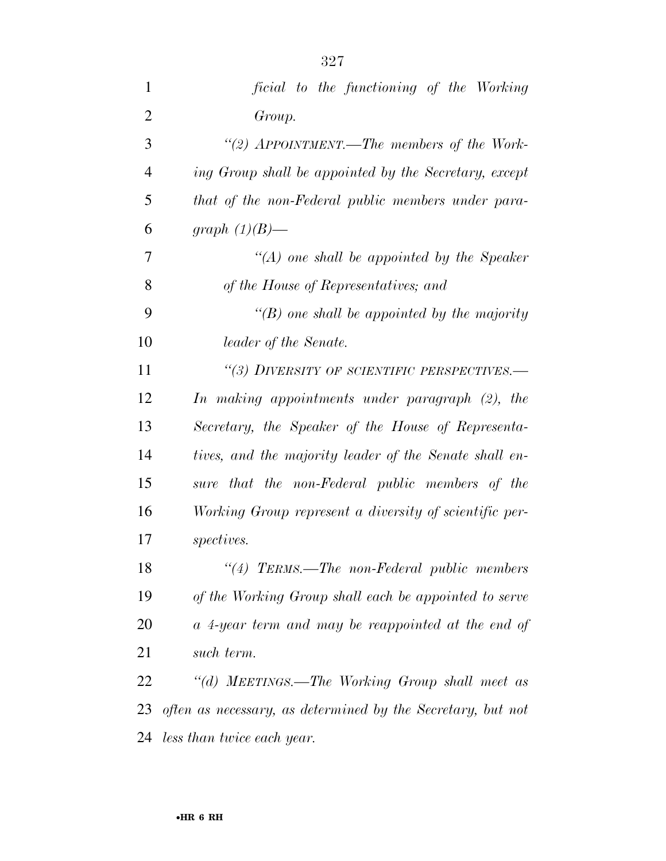| $\mathbf{1}$   | ficial to the functioning of the Working                    |
|----------------|-------------------------------------------------------------|
| $\overline{2}$ | Group.                                                      |
| 3              | "(2) APPOINTMENT.—The members of the Work-                  |
| $\overline{4}$ | ing Group shall be appointed by the Secretary, except       |
| 5              | that of the non-Federal public members under para-          |
| 6              | graph $(1)(B)$ —                                            |
| 7              | $\lq (A)$ one shall be appointed by the Speaker             |
| 8              | of the House of Representatives; and                        |
| 9              | "(B) one shall be appointed by the majority                 |
| 10             | leader of the Senate.                                       |
| 11             | "(3) DIVERSITY OF SCIENTIFIC PERSPECTIVES.-                 |
| 12             | In making appointments under paragraph (2), the             |
| 13             | Secretary, the Speaker of the House of Representa-          |
| 14             | tives, and the majority leader of the Senate shall en-      |
| 15             | sure that the non-Federal public members of the             |
| 16             | Working Group represent a diversity of scientific per-      |
| 17             | <i>spectives.</i>                                           |
| 18             | $\lq(4)$ TERMS.—The non-Federal public members              |
| 19             | of the Working Group shall each be appointed to serve       |
| 20             | a 4-year term and may be reappointed at the end of          |
| 21             | such term.                                                  |
| 22             | "(d) MEETINGS.—The Working Group shall meet as              |
| 23             | often as necessary, as determined by the Secretary, but not |
| 24             | less than twice each year.                                  |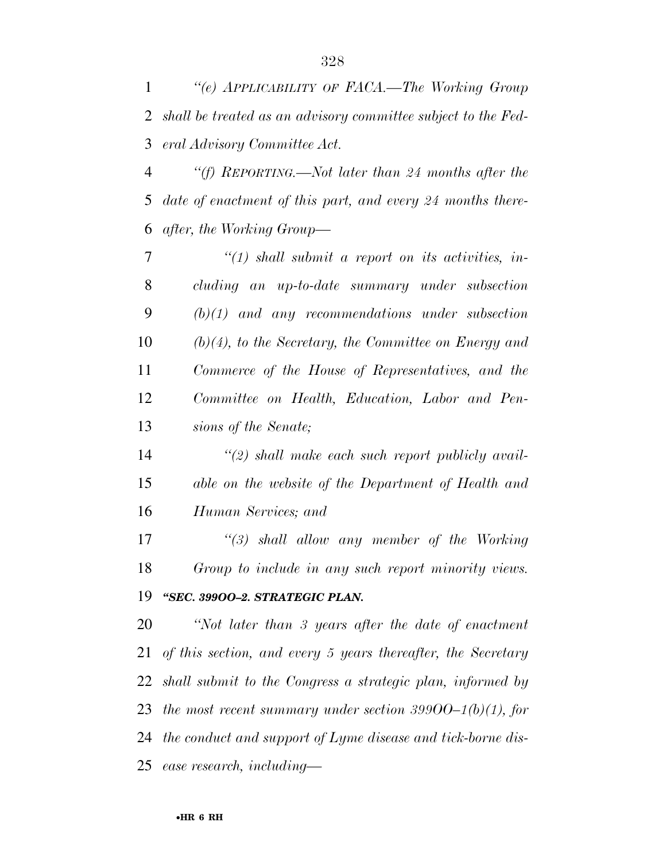*''(e) APPLICABILITY OF FACA.—The Working Group shall be treated as an advisory committee subject to the Fed-eral Advisory Committee Act.* 

 *''(f) REPORTING.—Not later than 24 months after the date of enactment of this part, and every 24 months there-after, the Working Group—* 

 *''(1) shall submit a report on its activities, in- cluding an up-to-date summary under subsection (b)(1) and any recommendations under subsection (b)(4), to the Secretary, the Committee on Energy and Commerce of the House of Representatives, and the Committee on Health, Education, Labor and Pen-sions of the Senate;* 

 *''(2) shall make each such report publicly avail- able on the website of the Department of Health and Human Services; and* 

 *''(3) shall allow any member of the Working Group to include in any such report minority views. ''SEC. 399OO–2. STRATEGIC PLAN.* 

 *''Not later than 3 years after the date of enactment of this section, and every 5 years thereafter, the Secretary shall submit to the Congress a strategic plan, informed by the most recent summary under section 399OO–1(b)(1), for the conduct and support of Lyme disease and tick-borne dis-ease research, including—*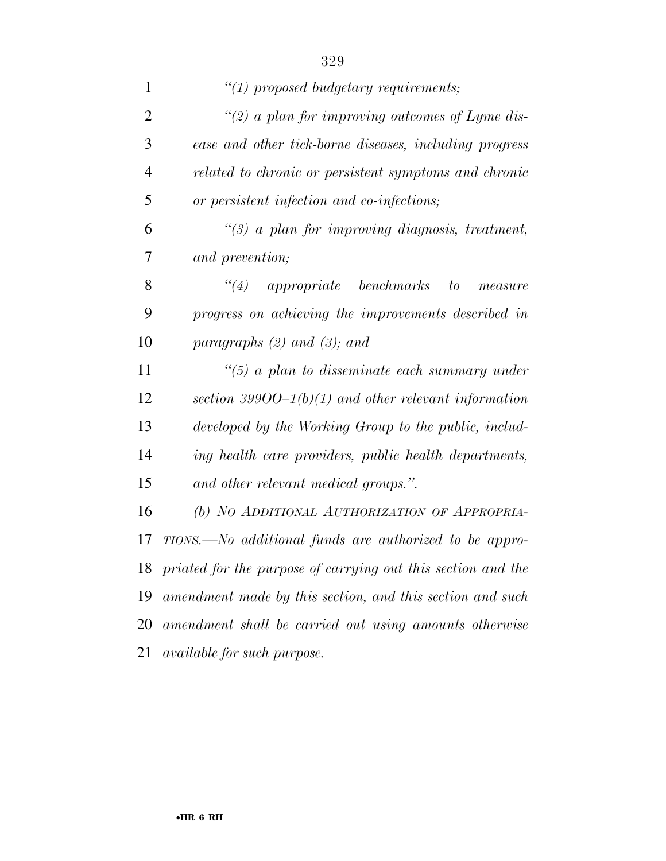| $\mathbf{1}$   | $\lq(1)$ proposed budgetary requirements;                       |
|----------------|-----------------------------------------------------------------|
| $\overline{2}$ | "(2) a plan for improving outcomes of Lyme dis-                 |
| 3              | ease and other tick-borne diseases, including progress          |
| $\overline{4}$ | related to chronic or persistent symptoms and chronic           |
| 5              | or persistent infection and co-infections;                      |
| 6              | $\lq(3)$ a plan for improving diagnosis, treatment,             |
| 7              | and prevention;                                                 |
| 8              | $\degree$ (4) appropriate benchmarks<br>to<br>measure           |
| 9              | progress on achieving the improvements described in             |
| 10             | paragraphs $(2)$ and $(3)$ ; and                                |
| 11             | $\lq(5)$ a plan to disseminate each summary under               |
| 12             | section 39900–1(b)(1) and other relevant information            |
| 13             | developed by the Working Group to the public, includ-           |
| 14             | ing health care providers, public health departments,           |
| 15             | and other relevant medical groups.".                            |
| 16             | (b) NO ADDITIONAL AUTHORIZATION OF APPROPRIA-                   |
| 17             | TIONS.—No additional funds are authorized to be appro-          |
|                | 18 priated for the purpose of carrying out this section and the |
| 19             | amendment made by this section, and this section and such       |
| 20             | amendment shall be carried out using amounts otherwise          |
| 21             | <i>available for such purpose.</i>                              |